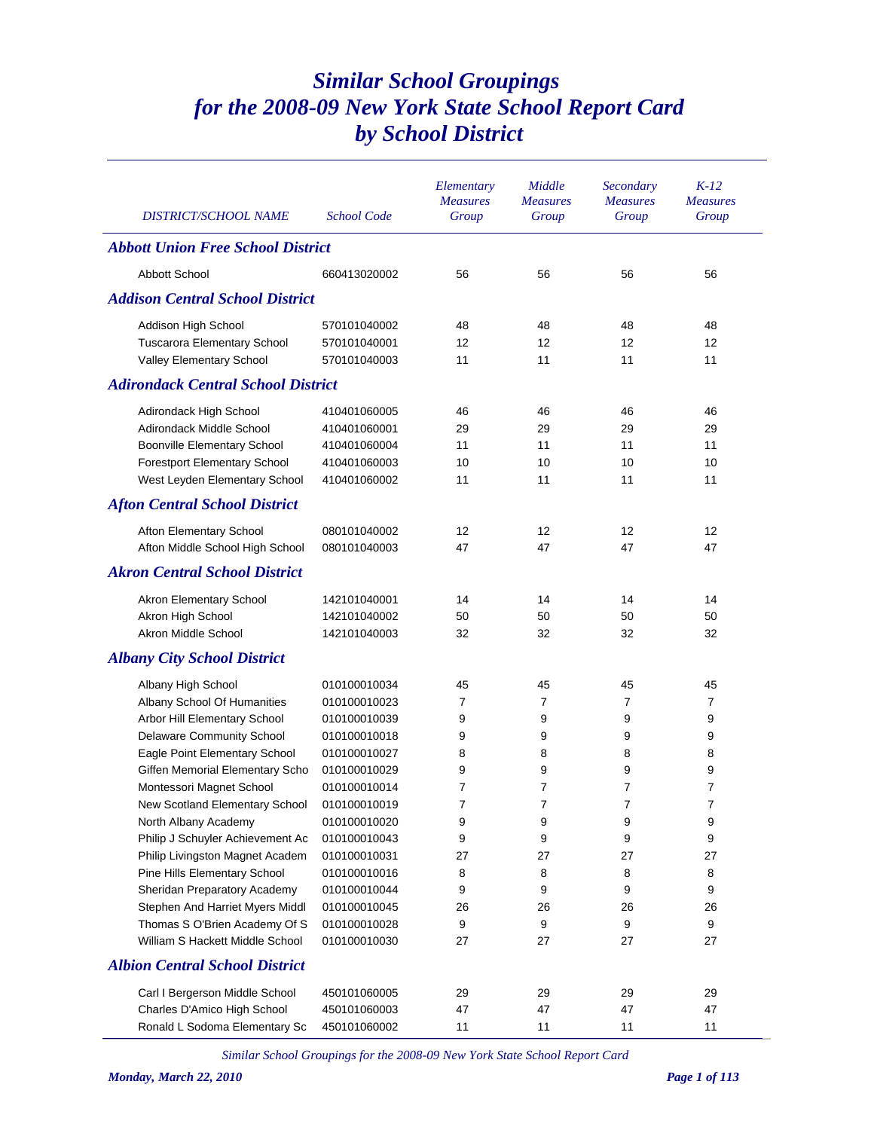## *Similar School Groupings for the 2008-09 New York State School Report Card by School District*

| <b>DISTRICT/SCHOOL NAME</b>               | <b>School Code</b> | Elementary<br><b>Measures</b><br>Group | Middle<br><b>Measures</b><br>Group | Secondary<br><b>Measures</b><br>Group | $K-12$<br><b>Measures</b><br>Group |  |  |  |  |
|-------------------------------------------|--------------------|----------------------------------------|------------------------------------|---------------------------------------|------------------------------------|--|--|--|--|
| <b>Abbott Union Free School District</b>  |                    |                                        |                                    |                                       |                                    |  |  |  |  |
| <b>Abbott School</b>                      | 660413020002       | 56                                     | 56                                 | 56                                    | 56                                 |  |  |  |  |
| <b>Addison Central School District</b>    |                    |                                        |                                    |                                       |                                    |  |  |  |  |
| Addison High School                       | 570101040002       | 48                                     | 48                                 | 48                                    | 48                                 |  |  |  |  |
| <b>Tuscarora Elementary School</b>        | 570101040001       | 12                                     | 12                                 | 12                                    | 12                                 |  |  |  |  |
| Valley Elementary School                  | 570101040003       | 11                                     | 11                                 | 11                                    | 11                                 |  |  |  |  |
| <b>Adirondack Central School District</b> |                    |                                        |                                    |                                       |                                    |  |  |  |  |
| Adirondack High School                    | 410401060005       | 46                                     | 46                                 | 46                                    | 46                                 |  |  |  |  |
| Adirondack Middle School                  | 410401060001       | 29                                     | 29                                 | 29                                    | 29                                 |  |  |  |  |
| <b>Boonville Elementary School</b>        | 410401060004       | 11                                     | 11                                 | 11                                    | 11                                 |  |  |  |  |
| <b>Forestport Elementary School</b>       | 410401060003       | 10                                     | 10                                 | 10                                    | 10                                 |  |  |  |  |
| West Leyden Elementary School             | 410401060002       | 11                                     | 11                                 | 11                                    | 11                                 |  |  |  |  |
| <b>Afton Central School District</b>      |                    |                                        |                                    |                                       |                                    |  |  |  |  |
| Afton Elementary School                   | 080101040002       | 12                                     | 12                                 | 12                                    | 12                                 |  |  |  |  |
| Afton Middle School High School           | 080101040003       | 47                                     | 47                                 | 47                                    | 47                                 |  |  |  |  |
| <b>Akron Central School District</b>      |                    |                                        |                                    |                                       |                                    |  |  |  |  |
| Akron Elementary School                   | 142101040001       | 14                                     | 14                                 | 14                                    | 14                                 |  |  |  |  |
| Akron High School                         | 142101040002       | 50                                     | 50                                 | 50                                    | 50                                 |  |  |  |  |
| Akron Middle School                       | 142101040003       | 32                                     | 32                                 | 32                                    | 32                                 |  |  |  |  |
| <b>Albany City School District</b>        |                    |                                        |                                    |                                       |                                    |  |  |  |  |
| Albany High School                        | 010100010034       | 45                                     | 45                                 | 45                                    | 45                                 |  |  |  |  |
| Albany School Of Humanities               | 010100010023       | $\overline{7}$                         | 7                                  | 7                                     | $\overline{7}$                     |  |  |  |  |
| Arbor Hill Elementary School              | 010100010039       | 9                                      | 9                                  | 9                                     | 9                                  |  |  |  |  |
| Delaware Community School                 | 010100010018       | 9                                      | 9                                  | 9                                     | 9                                  |  |  |  |  |
| Eagle Point Elementary School             | 010100010027       | 8                                      | 8                                  | 8                                     | 8                                  |  |  |  |  |
| Giffen Memorial Elementary Scho           | 010100010029       | 9                                      | 9                                  | 9                                     | 9                                  |  |  |  |  |
| Montessori Magnet School                  | 010100010014       | 7                                      | $\overline{7}$                     | $\overline{7}$                        | 7                                  |  |  |  |  |
| New Scotland Elementary School            | 010100010019       | $\overline{7}$                         | 7                                  | 7                                     | $\overline{7}$                     |  |  |  |  |
| North Albany Academy                      | 010100010020       | 9                                      | 9                                  | 9                                     | 9                                  |  |  |  |  |
| Philip J Schuyler Achievement Ac          | 010100010043       | 9                                      | 9                                  | 9                                     | 9                                  |  |  |  |  |
| Philip Livingston Magnet Academ           | 010100010031       | 27                                     | 27                                 | 27                                    | 27                                 |  |  |  |  |
| Pine Hills Elementary School              | 010100010016       | 8                                      | 8                                  | 8                                     | 8                                  |  |  |  |  |
| Sheridan Preparatory Academy              | 010100010044       | 9                                      | 9                                  | 9                                     | 9                                  |  |  |  |  |
| Stephen And Harriet Myers Middl           | 010100010045       | 26                                     | 26                                 | 26                                    | 26                                 |  |  |  |  |
| Thomas S O'Brien Academy Of S             | 010100010028       | 9                                      | 9                                  | 9                                     | 9                                  |  |  |  |  |
| William S Hackett Middle School           | 010100010030       | 27                                     | 27                                 | 27                                    | 27                                 |  |  |  |  |
| <b>Albion Central School District</b>     |                    |                                        |                                    |                                       |                                    |  |  |  |  |
| Carl I Bergerson Middle School            | 450101060005       | 29                                     | 29                                 | 29                                    | 29                                 |  |  |  |  |
| Charles D'Amico High School               | 450101060003       | 47                                     | 47                                 | 47                                    | 47                                 |  |  |  |  |
| Ronald L Sodoma Elementary Sc             | 450101060002       | 11                                     | 11                                 | 11                                    | 11                                 |  |  |  |  |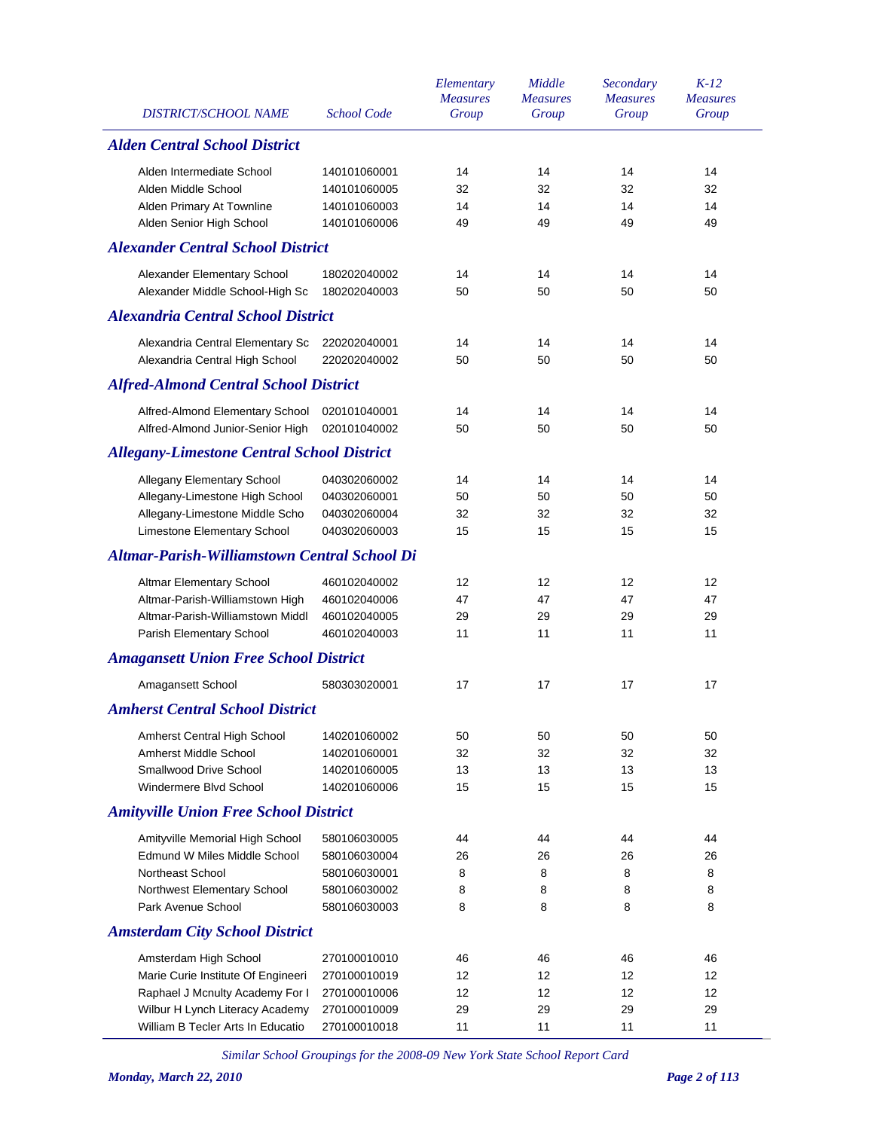| <b>DISTRICT/SCHOOL NAME</b>                         | <b>School Code</b> | Elementary<br><b>Measures</b><br>Group | Middle<br><b>Measures</b><br>Group | Secondary<br><b>Measures</b><br>Group | $K-12$<br><b>Measures</b><br>Group |
|-----------------------------------------------------|--------------------|----------------------------------------|------------------------------------|---------------------------------------|------------------------------------|
| <b>Alden Central School District</b>                |                    |                                        |                                    |                                       |                                    |
| Alden Intermediate School                           | 140101060001       | 14                                     | 14                                 | 14                                    | 14                                 |
| Alden Middle School                                 | 140101060005       | 32                                     | 32                                 | 32                                    | 32                                 |
| Alden Primary At Townline                           | 140101060003       | 14                                     | 14                                 | 14                                    | 14                                 |
| Alden Senior High School                            | 140101060006       | 49                                     | 49                                 | 49                                    | 49                                 |
| <b>Alexander Central School District</b>            |                    |                                        |                                    |                                       |                                    |
| Alexander Elementary School                         | 180202040002       | 14                                     | 14                                 | 14                                    | 14                                 |
| Alexander Middle School-High Sc                     | 180202040003       | 50                                     | 50                                 | 50                                    | 50                                 |
| <b>Alexandria Central School District</b>           |                    |                                        |                                    |                                       |                                    |
| Alexandria Central Elementary Sc                    | 220202040001       | 14                                     | 14                                 | 14                                    | 14                                 |
| Alexandria Central High School                      | 220202040002       | 50                                     | 50                                 | 50                                    | 50                                 |
| <b>Alfred-Almond Central School District</b>        |                    |                                        |                                    |                                       |                                    |
| Alfred-Almond Elementary School                     | 020101040001       | 14                                     | 14                                 | 14                                    | 14                                 |
| Alfred-Almond Junior-Senior High                    | 020101040002       | 50                                     | 50                                 | 50                                    | 50                                 |
| <b>Allegany-Limestone Central School District</b>   |                    |                                        |                                    |                                       |                                    |
| Allegany Elementary School                          | 040302060002       | 14                                     | 14                                 | 14                                    | 14                                 |
| Allegany-Limestone High School                      | 040302060001       | 50                                     | 50                                 | 50                                    | 50                                 |
| Allegany-Limestone Middle Scho                      | 040302060004       | 32                                     | 32                                 | 32                                    | 32                                 |
| Limestone Elementary School                         | 040302060003       | 15                                     | 15                                 | 15                                    | 15                                 |
| <b>Altmar-Parish-Williamstown Central School Di</b> |                    |                                        |                                    |                                       |                                    |
| Altmar Elementary School                            | 460102040002       | 12                                     | 12                                 | 12                                    | 12                                 |
| Altmar-Parish-Williamstown High                     | 460102040006       | 47                                     | 47                                 | 47                                    | 47                                 |
| Altmar-Parish-Williamstown Middl                    | 460102040005       | 29                                     | 29                                 | 29                                    | 29                                 |
| Parish Elementary School                            | 460102040003       | 11                                     | 11                                 | 11                                    | 11                                 |
| <b>Amagansett Union Free School District</b>        |                    |                                        |                                    |                                       |                                    |
| Amagansett School                                   | 580303020001       | 17                                     | 17                                 | 17                                    | 17                                 |
| <b>Amherst Central School District</b>              |                    |                                        |                                    |                                       |                                    |
| Amherst Central High School                         | 140201060002       | 50                                     | 50                                 | 50                                    | 50                                 |
| Amherst Middle School                               | 140201060001       | 32                                     | 32                                 | 32                                    | 32                                 |
| Smallwood Drive School                              | 140201060005       | 13                                     | 13                                 | 13                                    | 13                                 |
| Windermere Blvd School                              | 140201060006       | 15                                     | 15                                 | 15                                    | 15                                 |
| <b>Amityville Union Free School District</b>        |                    |                                        |                                    |                                       |                                    |
| Amityville Memorial High School                     | 580106030005       | 44                                     | 44                                 | 44                                    | 44                                 |
| Edmund W Miles Middle School                        | 580106030004       | 26                                     | 26                                 | 26                                    | 26                                 |
| Northeast School                                    | 580106030001       | 8                                      | 8                                  | 8                                     | 8                                  |
| Northwest Elementary School                         | 580106030002       | 8                                      | 8                                  | 8                                     | 8                                  |
| Park Avenue School                                  | 580106030003       | 8                                      | 8                                  | 8                                     | 8                                  |
| <b>Amsterdam City School District</b>               |                    |                                        |                                    |                                       |                                    |
| Amsterdam High School                               | 270100010010       | 46                                     | 46                                 | 46                                    | 46                                 |
| Marie Curie Institute Of Engineeri                  | 270100010019       | 12                                     | 12                                 | 12                                    | 12                                 |
| Raphael J Mcnulty Academy For I                     | 270100010006       | 12                                     | 12                                 | 12                                    | 12                                 |
| Wilbur H Lynch Literacy Academy                     | 270100010009       | 29                                     | 29                                 | 29                                    | 29                                 |
| William B Tecler Arts In Educatio                   | 270100010018       | 11                                     | 11                                 | 11                                    | 11                                 |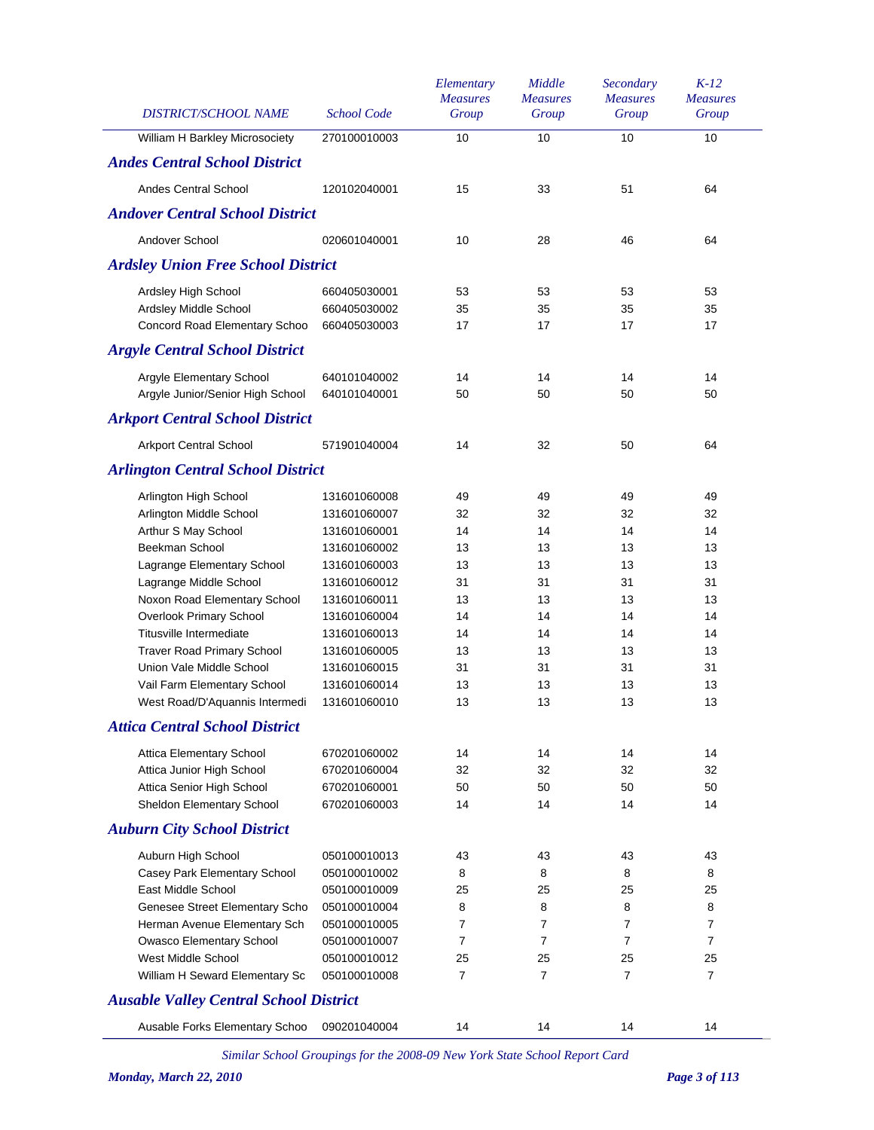| DISTRICT/SCHOOL NAME                          | <b>School Code</b> | Elementary<br><b>Measures</b><br>Group | Middle<br><b>Measures</b><br>Group | Secondary<br><b>Measures</b><br>Group | $K-12$<br><b>Measures</b><br>Group |
|-----------------------------------------------|--------------------|----------------------------------------|------------------------------------|---------------------------------------|------------------------------------|
| William H Barkley Microsociety                | 270100010003       | 10                                     | 10                                 | 10                                    | 10                                 |
| <b>Andes Central School District</b>          |                    |                                        |                                    |                                       |                                    |
| <b>Andes Central School</b>                   | 120102040001       | 15                                     | 33                                 | 51                                    | 64                                 |
| <b>Andover Central School District</b>        |                    |                                        |                                    |                                       |                                    |
| Andover School                                | 020601040001       | 10                                     | 28                                 | 46                                    | 64                                 |
| <b>Ardsley Union Free School District</b>     |                    |                                        |                                    |                                       |                                    |
| Ardsley High School                           | 660405030001       | 53                                     | 53                                 | 53                                    | 53                                 |
| Ardsley Middle School                         | 660405030002       | 35                                     | 35                                 | 35                                    | 35                                 |
| Concord Road Elementary Schoo                 | 660405030003       | 17                                     | 17                                 | 17                                    | 17                                 |
| <b>Argyle Central School District</b>         |                    |                                        |                                    |                                       |                                    |
| Argyle Elementary School                      | 640101040002       | 14                                     | 14                                 | 14                                    | 14                                 |
| Argyle Junior/Senior High School              | 640101040001       | 50                                     | 50                                 | 50                                    | 50                                 |
| <b>Arkport Central School District</b>        |                    |                                        |                                    |                                       |                                    |
| <b>Arkport Central School</b>                 | 571901040004       | 14                                     | 32                                 | 50                                    | 64                                 |
| <b>Arlington Central School District</b>      |                    |                                        |                                    |                                       |                                    |
| Arlington High School                         | 131601060008       | 49                                     | 49                                 | 49                                    | 49                                 |
| Arlington Middle School                       | 131601060007       | 32                                     | 32                                 | 32                                    | 32                                 |
| Arthur S May School                           | 131601060001       | 14                                     | 14                                 | 14                                    | 14                                 |
| Beekman School                                | 131601060002       | 13                                     | 13                                 | 13                                    | 13                                 |
| Lagrange Elementary School                    | 131601060003       | 13                                     | 13                                 | 13                                    | 13                                 |
| Lagrange Middle School                        | 131601060012       | 31                                     | 31                                 | 31                                    | 31                                 |
| Noxon Road Elementary School                  | 131601060011       | 13                                     | 13                                 | 13                                    | 13                                 |
| <b>Overlook Primary School</b>                | 131601060004       | 14                                     | 14                                 | 14                                    | 14                                 |
| Titusville Intermediate                       | 131601060013       | 14                                     | 14                                 | 14                                    | 14                                 |
| <b>Traver Road Primary School</b>             | 131601060005       | 13                                     | 13                                 | 13                                    | 13                                 |
| Union Vale Middle School                      | 131601060015       | 31                                     | 31                                 | 31                                    | 31                                 |
| Vail Farm Elementary School                   | 131601060014       | 13                                     | 13                                 | 13                                    | 13                                 |
| West Road/D'Aquannis Intermedi                | 131601060010       | 13                                     | 13                                 | 13                                    | 13                                 |
| <b>Attica Central School District</b>         |                    |                                        |                                    |                                       |                                    |
| <b>Attica Elementary School</b>               | 670201060002       | 14                                     | 14                                 | 14                                    | 14                                 |
| Attica Junior High School                     | 670201060004       | 32                                     | 32                                 | 32                                    | 32                                 |
| Attica Senior High School                     | 670201060001       | 50                                     | 50                                 | 50                                    | 50                                 |
| Sheldon Elementary School                     | 670201060003       | 14                                     | 14                                 | 14                                    | 14                                 |
| <b>Auburn City School District</b>            |                    |                                        |                                    |                                       |                                    |
| Auburn High School                            | 050100010013       | 43                                     | 43                                 | 43                                    | 43                                 |
| Casey Park Elementary School                  | 050100010002       | 8                                      | 8                                  | 8                                     | 8                                  |
| East Middle School                            | 050100010009       | 25                                     | 25                                 | 25                                    | 25                                 |
| Genesee Street Elementary Scho                | 050100010004       | 8                                      | 8                                  | 8                                     | 8                                  |
| Herman Avenue Elementary Sch                  | 050100010005       | 7                                      | $\overline{7}$                     | $\overline{7}$                        | $\overline{7}$                     |
| Owasco Elementary School                      | 050100010007       | 7                                      | $\overline{7}$                     | $\overline{7}$                        | $\overline{7}$                     |
| West Middle School                            | 050100010012       | 25                                     | 25                                 | 25                                    | 25                                 |
| William H Seward Elementary Sc                | 050100010008       | 7                                      | $\overline{7}$                     | $\overline{7}$                        | $\overline{7}$                     |
| <b>Ausable Valley Central School District</b> |                    |                                        |                                    |                                       |                                    |
| Ausable Forks Elementary Schoo                | 090201040004       | 14                                     | 14                                 | 14                                    | 14                                 |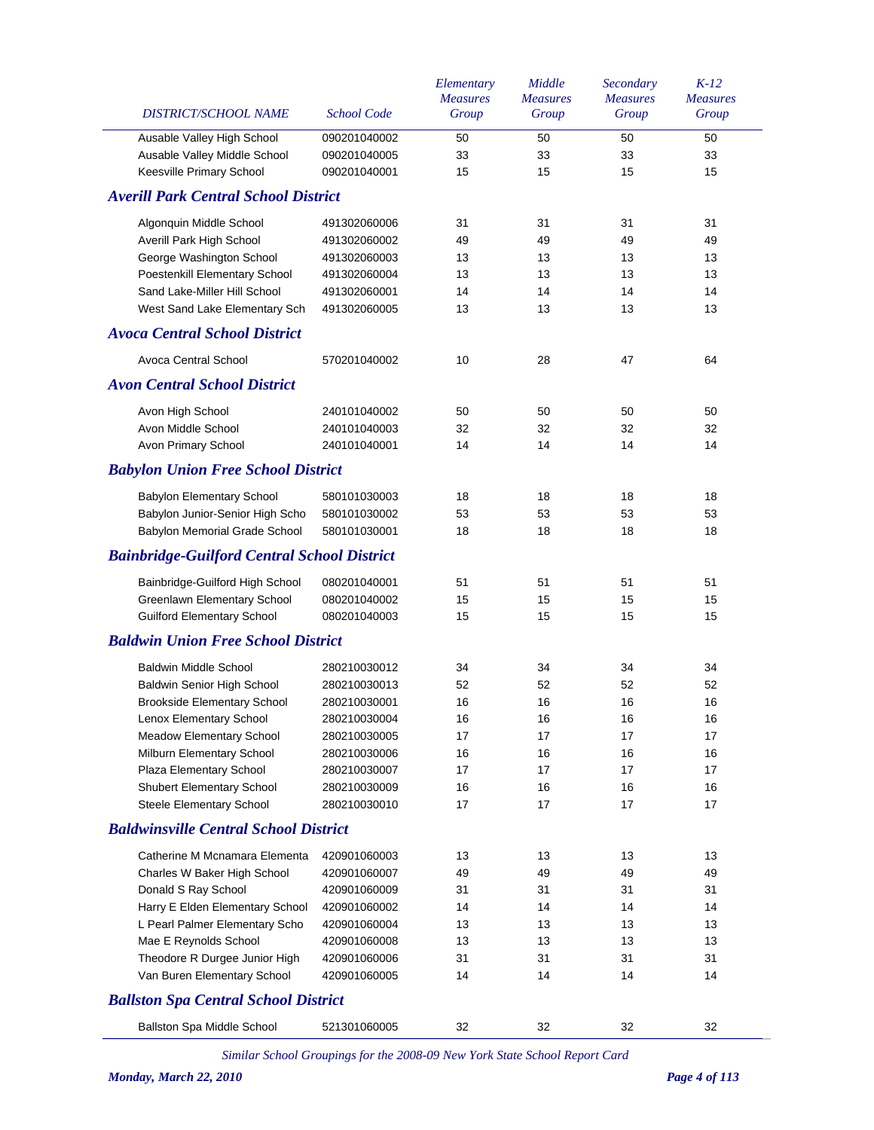| DISTRICT/SCHOOL NAME                               | <b>School Code</b> | Elementary<br><b>Measures</b><br>Group | Middle<br><b>Measures</b><br>Group | Secondary<br><b>Measures</b><br>Group | $K-12$<br><b>Measures</b><br>Group |
|----------------------------------------------------|--------------------|----------------------------------------|------------------------------------|---------------------------------------|------------------------------------|
| Ausable Valley High School                         | 090201040002       | 50                                     | 50                                 | 50                                    | 50                                 |
| Ausable Valley Middle School                       | 090201040005       | 33                                     | 33                                 | 33                                    | 33                                 |
| Keesville Primary School                           | 090201040001       | 15                                     | 15                                 | 15                                    | 15                                 |
| <b>Averill Park Central School District</b>        |                    |                                        |                                    |                                       |                                    |
| Algonquin Middle School                            | 491302060006       | 31                                     | 31                                 | 31                                    | 31                                 |
| Averill Park High School                           | 491302060002       | 49                                     | 49                                 | 49                                    | 49                                 |
| George Washington School                           | 491302060003       | 13                                     | 13                                 | 13                                    | 13                                 |
| Poestenkill Elementary School                      | 491302060004       | 13                                     | 13                                 | 13                                    | 13                                 |
| Sand Lake-Miller Hill School                       | 491302060001       | 14                                     | 14                                 | 14                                    | 14                                 |
| West Sand Lake Elementary Sch                      | 491302060005       | 13                                     | 13                                 | 13                                    | 13                                 |
| <b>Avoca Central School District</b>               |                    |                                        |                                    |                                       |                                    |
| <b>Avoca Central School</b>                        | 570201040002       | 10                                     | 28                                 | 47                                    | 64                                 |
| <b>Avon Central School District</b>                |                    |                                        |                                    |                                       |                                    |
| Avon High School                                   | 240101040002       | 50                                     | 50                                 | 50                                    | 50                                 |
| Avon Middle School                                 | 240101040003       | 32                                     | 32                                 | 32                                    | 32                                 |
| Avon Primary School                                | 240101040001       | 14                                     | 14                                 | 14                                    | 14                                 |
| <b>Babylon Union Free School District</b>          |                    |                                        |                                    |                                       |                                    |
| Babylon Elementary School                          | 580101030003       | 18                                     | 18                                 | 18                                    | 18                                 |
| Babylon Junior-Senior High Scho                    | 580101030002       | 53                                     | 53                                 | 53                                    | 53                                 |
| Babylon Memorial Grade School                      | 580101030001       | 18                                     | 18                                 | 18                                    | 18                                 |
| <b>Bainbridge-Guilford Central School District</b> |                    |                                        |                                    |                                       |                                    |
| Bainbridge-Guilford High School                    | 080201040001       | 51                                     | 51                                 | 51                                    | 51                                 |
| Greenlawn Elementary School                        | 080201040002       | 15                                     | 15                                 | 15                                    | 15                                 |
| <b>Guilford Elementary School</b>                  | 080201040003       | 15                                     | 15                                 | 15                                    | 15                                 |
| <b>Baldwin Union Free School District</b>          |                    |                                        |                                    |                                       |                                    |
| <b>Baldwin Middle School</b>                       | 280210030012       | 34                                     | 34                                 | 34                                    | 34                                 |
| Baldwin Senior High School                         | 280210030013       | 52                                     | 52                                 | 52                                    | 52                                 |
| <b>Brookside Elementary School</b>                 | 280210030001       | 16                                     | 16                                 | 16                                    | 16                                 |
| Lenox Elementary School                            | 280210030004       | 16                                     | 16                                 | 16                                    | 16                                 |
| <b>Meadow Elementary School</b>                    | 280210030005       | 17                                     | 17                                 | 17                                    | 17                                 |
| Milburn Elementary School                          | 280210030006       | 16                                     | 16                                 | 16                                    | 16                                 |
| Plaza Elementary School                            | 280210030007       | 17                                     | 17                                 | 17                                    | 17                                 |
| Shubert Elementary School                          | 280210030009       | 16                                     | 16                                 | 16                                    | 16                                 |
| Steele Elementary School                           | 280210030010       | 17                                     | 17                                 | 17                                    | 17                                 |
| <b>Baldwinsville Central School District</b>       |                    |                                        |                                    |                                       |                                    |
| Catherine M Mcnamara Elementa                      | 420901060003       | 13                                     | 13                                 | 13                                    | 13                                 |
| Charles W Baker High School                        | 420901060007       | 49                                     | 49                                 | 49                                    | 49                                 |
| Donald S Ray School                                | 420901060009       | 31                                     | 31                                 | 31                                    | 31                                 |
| Harry E Elden Elementary School                    | 420901060002       | 14                                     | 14                                 | 14                                    | 14                                 |
| L Pearl Palmer Elementary Scho                     | 420901060004       | 13                                     | 13                                 | 13                                    | 13                                 |
| Mae E Reynolds School                              | 420901060008       | 13                                     | 13                                 | 13                                    | 13                                 |
| Theodore R Durgee Junior High                      | 420901060006       | 31                                     | 31                                 | 31                                    | 31                                 |
| Van Buren Elementary School                        | 420901060005       | 14                                     | 14                                 | 14                                    | 14                                 |
| <b>Ballston Spa Central School District</b>        |                    |                                        |                                    |                                       |                                    |
| Ballston Spa Middle School                         | 521301060005       | 32                                     | 32                                 | 32                                    | 32                                 |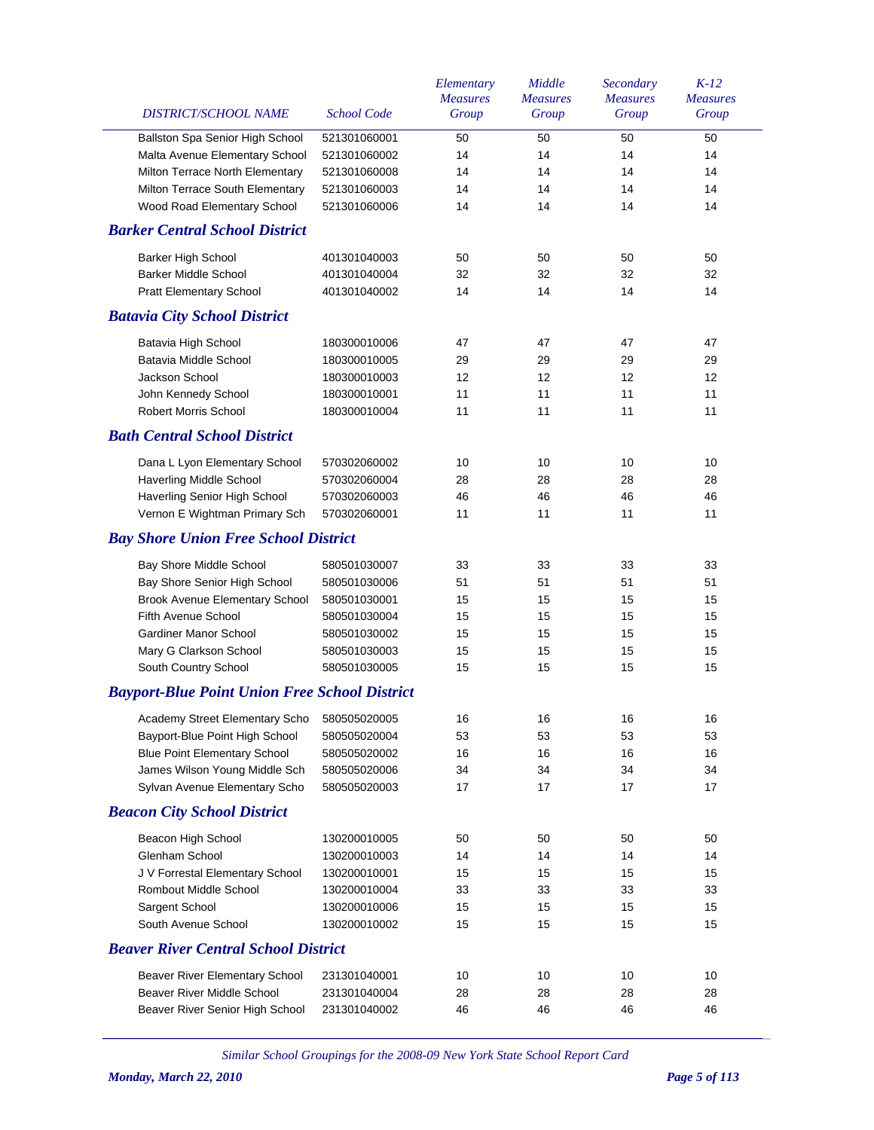| DISTRICT/SCHOOL NAME                                 | <b>School Code</b> | Elementary<br><b>Measures</b><br>Group | Middle<br><b>Measures</b><br>Group | Secondary<br><b>Measures</b><br>Group | $K-12$<br><b>Measures</b><br>Group |
|------------------------------------------------------|--------------------|----------------------------------------|------------------------------------|---------------------------------------|------------------------------------|
| Ballston Spa Senior High School                      | 521301060001       | 50                                     | 50                                 | 50                                    | 50                                 |
| Malta Avenue Elementary School                       | 521301060002       | 14                                     | 14                                 | 14                                    | 14                                 |
| Milton Terrace North Elementary                      | 521301060008       | 14                                     | 14                                 | 14                                    | 14                                 |
| Milton Terrace South Elementary                      | 521301060003       | 14                                     | 14                                 | 14                                    | 14                                 |
| Wood Road Elementary School                          | 521301060006       | 14                                     | 14                                 | 14                                    | 14                                 |
| <b>Barker Central School District</b>                |                    |                                        |                                    |                                       |                                    |
| Barker High School                                   | 401301040003       | 50                                     | 50                                 | 50                                    | 50                                 |
| <b>Barker Middle School</b>                          | 401301040004       | 32                                     | 32                                 | 32                                    | 32                                 |
| <b>Pratt Elementary School</b>                       | 401301040002       | 14                                     | 14                                 | 14                                    | 14                                 |
| <b>Batavia City School District</b>                  |                    |                                        |                                    |                                       |                                    |
| Batavia High School                                  | 180300010006       | 47                                     | 47                                 | 47                                    | 47                                 |
| Batavia Middle School                                | 180300010005       | 29                                     | 29                                 | 29                                    | 29                                 |
| Jackson School                                       | 180300010003       | 12                                     | 12                                 | 12                                    | 12                                 |
| John Kennedy School                                  | 180300010001       | 11                                     | 11                                 | 11                                    | 11                                 |
| <b>Robert Morris School</b>                          | 180300010004       | 11                                     | 11                                 | 11                                    | 11                                 |
| <b>Bath Central School District</b>                  |                    |                                        |                                    |                                       |                                    |
| Dana L Lyon Elementary School                        | 570302060002       | 10                                     | 10                                 | 10                                    | 10                                 |
| Haverling Middle School                              | 570302060004       | 28                                     | 28                                 | 28                                    | 28                                 |
| Haverling Senior High School                         | 570302060003       | 46                                     | 46                                 | 46                                    | 46                                 |
| Vernon E Wightman Primary Sch                        | 570302060001       | 11                                     | 11                                 | 11                                    | 11                                 |
| <b>Bay Shore Union Free School District</b>          |                    |                                        |                                    |                                       |                                    |
| Bay Shore Middle School                              | 580501030007       | 33                                     | 33                                 | 33                                    | 33                                 |
| Bay Shore Senior High School                         | 580501030006       | 51                                     | 51                                 | 51                                    | 51                                 |
| <b>Brook Avenue Elementary School</b>                | 580501030001       | 15                                     | 15                                 | 15                                    | 15                                 |
| Fifth Avenue School                                  | 580501030004       | 15                                     | 15                                 | 15                                    | 15                                 |
| <b>Gardiner Manor School</b>                         | 580501030002       | 15                                     | 15                                 | 15                                    | 15                                 |
| Mary G Clarkson School                               | 580501030003       | 15                                     | 15                                 | 15                                    | 15                                 |
| South Country School                                 | 580501030005       | 15                                     | 15                                 | 15                                    | 15                                 |
| <b>Bayport-Blue Point Union Free School District</b> |                    |                                        |                                    |                                       |                                    |
| Academy Street Elementary Scho 580505020005          |                    | 16                                     | 16                                 | 16                                    | 16                                 |
| Bayport-Blue Point High School                       | 580505020004       | 53                                     | 53                                 | 53                                    | 53                                 |
| <b>Blue Point Elementary School</b>                  | 580505020002       | 16                                     | 16                                 | 16                                    | 16                                 |
| James Wilson Young Middle Sch                        | 580505020006       | 34                                     | 34                                 | 34                                    | 34                                 |
| Sylvan Avenue Elementary Scho                        | 580505020003       | 17                                     | 17                                 | 17                                    | 17                                 |
| <b>Beacon City School District</b>                   |                    |                                        |                                    |                                       |                                    |
| Beacon High School                                   | 130200010005       | 50                                     | 50                                 | 50                                    | 50                                 |
| Glenham School                                       | 130200010003       | 14                                     | 14                                 | 14                                    | 14                                 |
| J V Forrestal Elementary School                      | 130200010001       | 15                                     | 15                                 | 15                                    | 15                                 |
| <b>Rombout Middle School</b>                         | 130200010004       | 33                                     | 33                                 | 33                                    | 33                                 |
| Sargent School                                       | 130200010006       | 15                                     | 15                                 | 15                                    | 15                                 |
| South Avenue School                                  | 130200010002       | 15                                     | 15                                 | 15                                    | 15                                 |
| <b>Beaver River Central School District</b>          |                    |                                        |                                    |                                       |                                    |
| Beaver River Elementary School                       | 231301040001       | 10                                     | 10                                 | 10                                    | 10                                 |
| Beaver River Middle School                           | 231301040004       | 28                                     | 28                                 | 28                                    | 28                                 |
| Beaver River Senior High School                      | 231301040002       | 46                                     | 46                                 | 46                                    | 46                                 |
|                                                      |                    |                                        |                                    |                                       |                                    |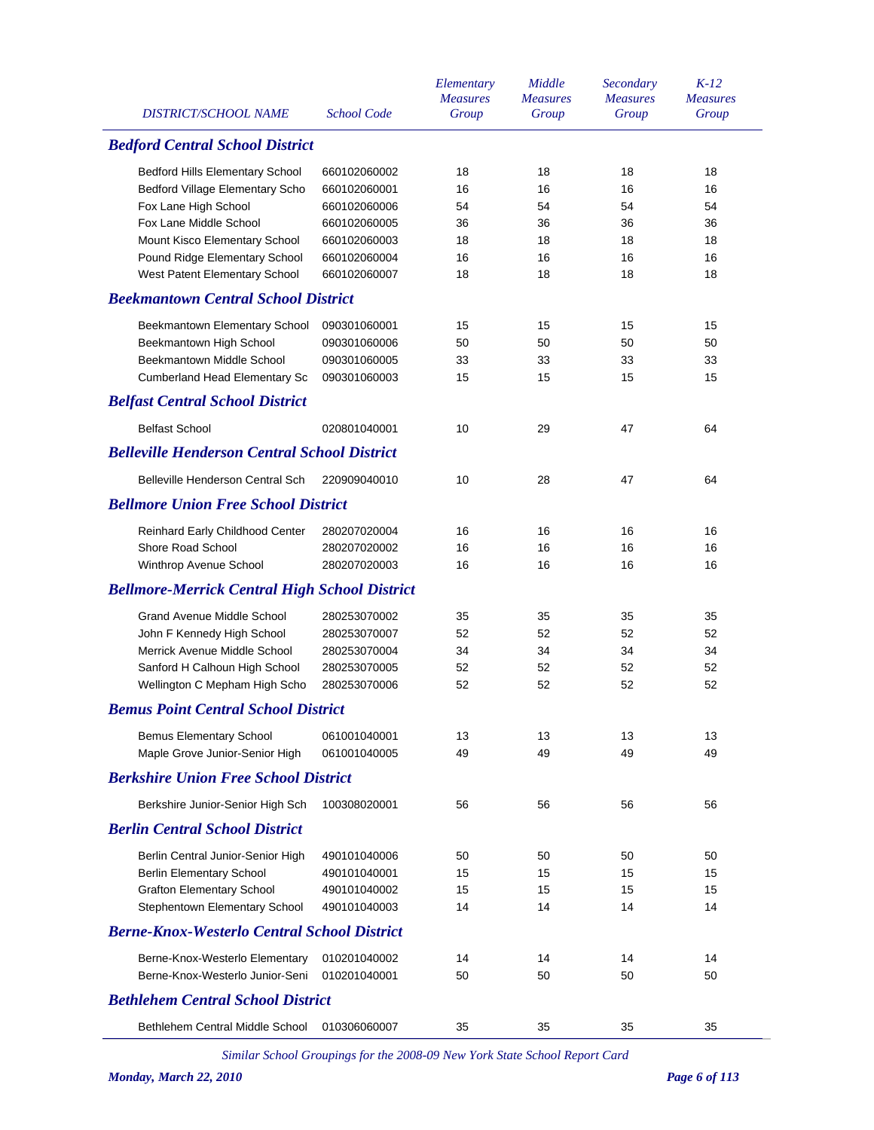| <b>DISTRICT/SCHOOL NAME</b><br><b>School Code</b><br>Group<br>Group<br>Group<br>Group<br><b>Bedford Central School District</b><br>18<br>18<br>18<br>18<br><b>Bedford Hills Elementary School</b><br>660102060002<br>Bedford Village Elementary Scho<br>660102060001<br>16<br>16<br>16<br>16<br>Fox Lane High School<br>660102060006<br>54<br>54<br>54<br>54<br>Fox Lane Middle School<br>660102060005<br>36<br>36<br>36<br>36<br>Mount Kisco Elementary School<br>660102060003<br>18<br>18<br>18<br>18<br>Pound Ridge Elementary School<br>660102060004<br>16<br>16<br>16<br>16<br>West Patent Elementary School<br>660102060007<br>18<br>18<br>18<br>18<br><b>Beekmantown Central School District</b><br>15<br>15<br>Beekmantown Elementary School<br>090301060001<br>15<br>15<br>Beekmantown High School<br>50<br>50<br>50<br>50<br>090301060006<br>Beekmantown Middle School<br>090301060005<br>33<br>33<br>33<br>33<br><b>Cumberland Head Elementary Sc</b><br>090301060003<br>15<br>15<br>15<br>15<br><b>Belfast Central School District</b><br><b>Belfast School</b><br>10<br>29<br>47<br>020801040001<br>64<br><b>Belleville Henderson Central School District</b><br>Belleville Henderson Central Sch<br>220909040010<br>10<br>28<br>47<br>64<br><b>Bellmore Union Free School District</b><br>16<br>16<br>16<br>16<br>Reinhard Early Childhood Center<br>280207020004<br>Shore Road School<br>280207020002<br>16<br>16<br>16<br>16<br>Winthrop Avenue School<br>280207020003<br>16<br>16<br>16<br>16<br><b>Bellmore-Merrick Central High School District</b><br><b>Grand Avenue Middle School</b><br>280253070002<br>35<br>35<br>35<br>35<br>John F Kennedy High School<br>280253070007<br>52<br>52<br>52<br>52<br>Merrick Avenue Middle School<br>280253070004<br>34<br>34<br>34<br>34<br>Sanford H Calhoun High School<br>280253070005<br>52<br>52<br>52<br>52<br>Wellington C Mepham High Scho<br>280253070006<br>52<br>52<br>52<br>52<br><b>Bemus Point Central School District</b><br><b>Bemus Elementary School</b><br>061001040001<br>13<br>13<br>13<br>13<br>Maple Grove Junior-Senior High<br>061001040005<br>49<br>49<br>49<br>49<br><b>Berkshire Union Free School District</b><br>Berkshire Junior-Senior High Sch<br>100308020001<br>56<br>56<br>56<br>56<br><b>Berlin Central School District</b><br>Berlin Central Junior-Senior High<br>490101040006<br>50<br>50<br>50<br>50<br><b>Berlin Elementary School</b><br>490101040001<br>15<br>15<br>15<br>15<br><b>Grafton Elementary School</b><br>15<br>15<br>15<br>490101040002<br>15<br>Stephentown Elementary School<br>490101040003<br>14<br>14<br>14<br>14<br><b>Berne-Knox-Westerlo Central School District</b><br>Berne-Knox-Westerlo Elementary<br>010201040002<br>14<br>14<br>14<br>14<br>Berne-Knox-Westerlo Junior-Seni<br>010201040001<br>50<br>50<br>50<br>50<br><b>Bethlehem Central School District</b><br>Bethlehem Central Middle School<br>010306060007<br>35<br>35<br>35<br>35 |  | Elementary      | Middle          | Secondary       | $K-12$          |
|--------------------------------------------------------------------------------------------------------------------------------------------------------------------------------------------------------------------------------------------------------------------------------------------------------------------------------------------------------------------------------------------------------------------------------------------------------------------------------------------------------------------------------------------------------------------------------------------------------------------------------------------------------------------------------------------------------------------------------------------------------------------------------------------------------------------------------------------------------------------------------------------------------------------------------------------------------------------------------------------------------------------------------------------------------------------------------------------------------------------------------------------------------------------------------------------------------------------------------------------------------------------------------------------------------------------------------------------------------------------------------------------------------------------------------------------------------------------------------------------------------------------------------------------------------------------------------------------------------------------------------------------------------------------------------------------------------------------------------------------------------------------------------------------------------------------------------------------------------------------------------------------------------------------------------------------------------------------------------------------------------------------------------------------------------------------------------------------------------------------------------------------------------------------------------------------------------------------------------------------------------------------------------------------------------------------------------------------------------------------------------------------------------------------------------------------------------------------------------------------------------------------------------------------------------------------------------------------------------------------------------------------------------------------------------------------------------------------------------------------------------------------------------------------------------------------------------------------------------------------------------------------------------------------------------------------------------------------------|--|-----------------|-----------------|-----------------|-----------------|
|                                                                                                                                                                                                                                                                                                                                                                                                                                                                                                                                                                                                                                                                                                                                                                                                                                                                                                                                                                                                                                                                                                                                                                                                                                                                                                                                                                                                                                                                                                                                                                                                                                                                                                                                                                                                                                                                                                                                                                                                                                                                                                                                                                                                                                                                                                                                                                                                                                                                                                                                                                                                                                                                                                                                                                                                                                                                                                                                                                          |  | <b>Measures</b> | <b>Measures</b> | <b>Measures</b> | <b>Measures</b> |
|                                                                                                                                                                                                                                                                                                                                                                                                                                                                                                                                                                                                                                                                                                                                                                                                                                                                                                                                                                                                                                                                                                                                                                                                                                                                                                                                                                                                                                                                                                                                                                                                                                                                                                                                                                                                                                                                                                                                                                                                                                                                                                                                                                                                                                                                                                                                                                                                                                                                                                                                                                                                                                                                                                                                                                                                                                                                                                                                                                          |  |                 |                 |                 |                 |
|                                                                                                                                                                                                                                                                                                                                                                                                                                                                                                                                                                                                                                                                                                                                                                                                                                                                                                                                                                                                                                                                                                                                                                                                                                                                                                                                                                                                                                                                                                                                                                                                                                                                                                                                                                                                                                                                                                                                                                                                                                                                                                                                                                                                                                                                                                                                                                                                                                                                                                                                                                                                                                                                                                                                                                                                                                                                                                                                                                          |  |                 |                 |                 |                 |
|                                                                                                                                                                                                                                                                                                                                                                                                                                                                                                                                                                                                                                                                                                                                                                                                                                                                                                                                                                                                                                                                                                                                                                                                                                                                                                                                                                                                                                                                                                                                                                                                                                                                                                                                                                                                                                                                                                                                                                                                                                                                                                                                                                                                                                                                                                                                                                                                                                                                                                                                                                                                                                                                                                                                                                                                                                                                                                                                                                          |  |                 |                 |                 |                 |
|                                                                                                                                                                                                                                                                                                                                                                                                                                                                                                                                                                                                                                                                                                                                                                                                                                                                                                                                                                                                                                                                                                                                                                                                                                                                                                                                                                                                                                                                                                                                                                                                                                                                                                                                                                                                                                                                                                                                                                                                                                                                                                                                                                                                                                                                                                                                                                                                                                                                                                                                                                                                                                                                                                                                                                                                                                                                                                                                                                          |  |                 |                 |                 |                 |
|                                                                                                                                                                                                                                                                                                                                                                                                                                                                                                                                                                                                                                                                                                                                                                                                                                                                                                                                                                                                                                                                                                                                                                                                                                                                                                                                                                                                                                                                                                                                                                                                                                                                                                                                                                                                                                                                                                                                                                                                                                                                                                                                                                                                                                                                                                                                                                                                                                                                                                                                                                                                                                                                                                                                                                                                                                                                                                                                                                          |  |                 |                 |                 |                 |
|                                                                                                                                                                                                                                                                                                                                                                                                                                                                                                                                                                                                                                                                                                                                                                                                                                                                                                                                                                                                                                                                                                                                                                                                                                                                                                                                                                                                                                                                                                                                                                                                                                                                                                                                                                                                                                                                                                                                                                                                                                                                                                                                                                                                                                                                                                                                                                                                                                                                                                                                                                                                                                                                                                                                                                                                                                                                                                                                                                          |  |                 |                 |                 |                 |
|                                                                                                                                                                                                                                                                                                                                                                                                                                                                                                                                                                                                                                                                                                                                                                                                                                                                                                                                                                                                                                                                                                                                                                                                                                                                                                                                                                                                                                                                                                                                                                                                                                                                                                                                                                                                                                                                                                                                                                                                                                                                                                                                                                                                                                                                                                                                                                                                                                                                                                                                                                                                                                                                                                                                                                                                                                                                                                                                                                          |  |                 |                 |                 |                 |
|                                                                                                                                                                                                                                                                                                                                                                                                                                                                                                                                                                                                                                                                                                                                                                                                                                                                                                                                                                                                                                                                                                                                                                                                                                                                                                                                                                                                                                                                                                                                                                                                                                                                                                                                                                                                                                                                                                                                                                                                                                                                                                                                                                                                                                                                                                                                                                                                                                                                                                                                                                                                                                                                                                                                                                                                                                                                                                                                                                          |  |                 |                 |                 |                 |
|                                                                                                                                                                                                                                                                                                                                                                                                                                                                                                                                                                                                                                                                                                                                                                                                                                                                                                                                                                                                                                                                                                                                                                                                                                                                                                                                                                                                                                                                                                                                                                                                                                                                                                                                                                                                                                                                                                                                                                                                                                                                                                                                                                                                                                                                                                                                                                                                                                                                                                                                                                                                                                                                                                                                                                                                                                                                                                                                                                          |  |                 |                 |                 |                 |
|                                                                                                                                                                                                                                                                                                                                                                                                                                                                                                                                                                                                                                                                                                                                                                                                                                                                                                                                                                                                                                                                                                                                                                                                                                                                                                                                                                                                                                                                                                                                                                                                                                                                                                                                                                                                                                                                                                                                                                                                                                                                                                                                                                                                                                                                                                                                                                                                                                                                                                                                                                                                                                                                                                                                                                                                                                                                                                                                                                          |  |                 |                 |                 |                 |
|                                                                                                                                                                                                                                                                                                                                                                                                                                                                                                                                                                                                                                                                                                                                                                                                                                                                                                                                                                                                                                                                                                                                                                                                                                                                                                                                                                                                                                                                                                                                                                                                                                                                                                                                                                                                                                                                                                                                                                                                                                                                                                                                                                                                                                                                                                                                                                                                                                                                                                                                                                                                                                                                                                                                                                                                                                                                                                                                                                          |  |                 |                 |                 |                 |
|                                                                                                                                                                                                                                                                                                                                                                                                                                                                                                                                                                                                                                                                                                                                                                                                                                                                                                                                                                                                                                                                                                                                                                                                                                                                                                                                                                                                                                                                                                                                                                                                                                                                                                                                                                                                                                                                                                                                                                                                                                                                                                                                                                                                                                                                                                                                                                                                                                                                                                                                                                                                                                                                                                                                                                                                                                                                                                                                                                          |  |                 |                 |                 |                 |
|                                                                                                                                                                                                                                                                                                                                                                                                                                                                                                                                                                                                                                                                                                                                                                                                                                                                                                                                                                                                                                                                                                                                                                                                                                                                                                                                                                                                                                                                                                                                                                                                                                                                                                                                                                                                                                                                                                                                                                                                                                                                                                                                                                                                                                                                                                                                                                                                                                                                                                                                                                                                                                                                                                                                                                                                                                                                                                                                                                          |  |                 |                 |                 |                 |
|                                                                                                                                                                                                                                                                                                                                                                                                                                                                                                                                                                                                                                                                                                                                                                                                                                                                                                                                                                                                                                                                                                                                                                                                                                                                                                                                                                                                                                                                                                                                                                                                                                                                                                                                                                                                                                                                                                                                                                                                                                                                                                                                                                                                                                                                                                                                                                                                                                                                                                                                                                                                                                                                                                                                                                                                                                                                                                                                                                          |  |                 |                 |                 |                 |
|                                                                                                                                                                                                                                                                                                                                                                                                                                                                                                                                                                                                                                                                                                                                                                                                                                                                                                                                                                                                                                                                                                                                                                                                                                                                                                                                                                                                                                                                                                                                                                                                                                                                                                                                                                                                                                                                                                                                                                                                                                                                                                                                                                                                                                                                                                                                                                                                                                                                                                                                                                                                                                                                                                                                                                                                                                                                                                                                                                          |  |                 |                 |                 |                 |
|                                                                                                                                                                                                                                                                                                                                                                                                                                                                                                                                                                                                                                                                                                                                                                                                                                                                                                                                                                                                                                                                                                                                                                                                                                                                                                                                                                                                                                                                                                                                                                                                                                                                                                                                                                                                                                                                                                                                                                                                                                                                                                                                                                                                                                                                                                                                                                                                                                                                                                                                                                                                                                                                                                                                                                                                                                                                                                                                                                          |  |                 |                 |                 |                 |
|                                                                                                                                                                                                                                                                                                                                                                                                                                                                                                                                                                                                                                                                                                                                                                                                                                                                                                                                                                                                                                                                                                                                                                                                                                                                                                                                                                                                                                                                                                                                                                                                                                                                                                                                                                                                                                                                                                                                                                                                                                                                                                                                                                                                                                                                                                                                                                                                                                                                                                                                                                                                                                                                                                                                                                                                                                                                                                                                                                          |  |                 |                 |                 |                 |
|                                                                                                                                                                                                                                                                                                                                                                                                                                                                                                                                                                                                                                                                                                                                                                                                                                                                                                                                                                                                                                                                                                                                                                                                                                                                                                                                                                                                                                                                                                                                                                                                                                                                                                                                                                                                                                                                                                                                                                                                                                                                                                                                                                                                                                                                                                                                                                                                                                                                                                                                                                                                                                                                                                                                                                                                                                                                                                                                                                          |  |                 |                 |                 |                 |
|                                                                                                                                                                                                                                                                                                                                                                                                                                                                                                                                                                                                                                                                                                                                                                                                                                                                                                                                                                                                                                                                                                                                                                                                                                                                                                                                                                                                                                                                                                                                                                                                                                                                                                                                                                                                                                                                                                                                                                                                                                                                                                                                                                                                                                                                                                                                                                                                                                                                                                                                                                                                                                                                                                                                                                                                                                                                                                                                                                          |  |                 |                 |                 |                 |
|                                                                                                                                                                                                                                                                                                                                                                                                                                                                                                                                                                                                                                                                                                                                                                                                                                                                                                                                                                                                                                                                                                                                                                                                                                                                                                                                                                                                                                                                                                                                                                                                                                                                                                                                                                                                                                                                                                                                                                                                                                                                                                                                                                                                                                                                                                                                                                                                                                                                                                                                                                                                                                                                                                                                                                                                                                                                                                                                                                          |  |                 |                 |                 |                 |
|                                                                                                                                                                                                                                                                                                                                                                                                                                                                                                                                                                                                                                                                                                                                                                                                                                                                                                                                                                                                                                                                                                                                                                                                                                                                                                                                                                                                                                                                                                                                                                                                                                                                                                                                                                                                                                                                                                                                                                                                                                                                                                                                                                                                                                                                                                                                                                                                                                                                                                                                                                                                                                                                                                                                                                                                                                                                                                                                                                          |  |                 |                 |                 |                 |
|                                                                                                                                                                                                                                                                                                                                                                                                                                                                                                                                                                                                                                                                                                                                                                                                                                                                                                                                                                                                                                                                                                                                                                                                                                                                                                                                                                                                                                                                                                                                                                                                                                                                                                                                                                                                                                                                                                                                                                                                                                                                                                                                                                                                                                                                                                                                                                                                                                                                                                                                                                                                                                                                                                                                                                                                                                                                                                                                                                          |  |                 |                 |                 |                 |
|                                                                                                                                                                                                                                                                                                                                                                                                                                                                                                                                                                                                                                                                                                                                                                                                                                                                                                                                                                                                                                                                                                                                                                                                                                                                                                                                                                                                                                                                                                                                                                                                                                                                                                                                                                                                                                                                                                                                                                                                                                                                                                                                                                                                                                                                                                                                                                                                                                                                                                                                                                                                                                                                                                                                                                                                                                                                                                                                                                          |  |                 |                 |                 |                 |
|                                                                                                                                                                                                                                                                                                                                                                                                                                                                                                                                                                                                                                                                                                                                                                                                                                                                                                                                                                                                                                                                                                                                                                                                                                                                                                                                                                                                                                                                                                                                                                                                                                                                                                                                                                                                                                                                                                                                                                                                                                                                                                                                                                                                                                                                                                                                                                                                                                                                                                                                                                                                                                                                                                                                                                                                                                                                                                                                                                          |  |                 |                 |                 |                 |
|                                                                                                                                                                                                                                                                                                                                                                                                                                                                                                                                                                                                                                                                                                                                                                                                                                                                                                                                                                                                                                                                                                                                                                                                                                                                                                                                                                                                                                                                                                                                                                                                                                                                                                                                                                                                                                                                                                                                                                                                                                                                                                                                                                                                                                                                                                                                                                                                                                                                                                                                                                                                                                                                                                                                                                                                                                                                                                                                                                          |  |                 |                 |                 |                 |
|                                                                                                                                                                                                                                                                                                                                                                                                                                                                                                                                                                                                                                                                                                                                                                                                                                                                                                                                                                                                                                                                                                                                                                                                                                                                                                                                                                                                                                                                                                                                                                                                                                                                                                                                                                                                                                                                                                                                                                                                                                                                                                                                                                                                                                                                                                                                                                                                                                                                                                                                                                                                                                                                                                                                                                                                                                                                                                                                                                          |  |                 |                 |                 |                 |
|                                                                                                                                                                                                                                                                                                                                                                                                                                                                                                                                                                                                                                                                                                                                                                                                                                                                                                                                                                                                                                                                                                                                                                                                                                                                                                                                                                                                                                                                                                                                                                                                                                                                                                                                                                                                                                                                                                                                                                                                                                                                                                                                                                                                                                                                                                                                                                                                                                                                                                                                                                                                                                                                                                                                                                                                                                                                                                                                                                          |  |                 |                 |                 |                 |
|                                                                                                                                                                                                                                                                                                                                                                                                                                                                                                                                                                                                                                                                                                                                                                                                                                                                                                                                                                                                                                                                                                                                                                                                                                                                                                                                                                                                                                                                                                                                                                                                                                                                                                                                                                                                                                                                                                                                                                                                                                                                                                                                                                                                                                                                                                                                                                                                                                                                                                                                                                                                                                                                                                                                                                                                                                                                                                                                                                          |  |                 |                 |                 |                 |
|                                                                                                                                                                                                                                                                                                                                                                                                                                                                                                                                                                                                                                                                                                                                                                                                                                                                                                                                                                                                                                                                                                                                                                                                                                                                                                                                                                                                                                                                                                                                                                                                                                                                                                                                                                                                                                                                                                                                                                                                                                                                                                                                                                                                                                                                                                                                                                                                                                                                                                                                                                                                                                                                                                                                                                                                                                                                                                                                                                          |  |                 |                 |                 |                 |
|                                                                                                                                                                                                                                                                                                                                                                                                                                                                                                                                                                                                                                                                                                                                                                                                                                                                                                                                                                                                                                                                                                                                                                                                                                                                                                                                                                                                                                                                                                                                                                                                                                                                                                                                                                                                                                                                                                                                                                                                                                                                                                                                                                                                                                                                                                                                                                                                                                                                                                                                                                                                                                                                                                                                                                                                                                                                                                                                                                          |  |                 |                 |                 |                 |
|                                                                                                                                                                                                                                                                                                                                                                                                                                                                                                                                                                                                                                                                                                                                                                                                                                                                                                                                                                                                                                                                                                                                                                                                                                                                                                                                                                                                                                                                                                                                                                                                                                                                                                                                                                                                                                                                                                                                                                                                                                                                                                                                                                                                                                                                                                                                                                                                                                                                                                                                                                                                                                                                                                                                                                                                                                                                                                                                                                          |  |                 |                 |                 |                 |
|                                                                                                                                                                                                                                                                                                                                                                                                                                                                                                                                                                                                                                                                                                                                                                                                                                                                                                                                                                                                                                                                                                                                                                                                                                                                                                                                                                                                                                                                                                                                                                                                                                                                                                                                                                                                                                                                                                                                                                                                                                                                                                                                                                                                                                                                                                                                                                                                                                                                                                                                                                                                                                                                                                                                                                                                                                                                                                                                                                          |  |                 |                 |                 |                 |
|                                                                                                                                                                                                                                                                                                                                                                                                                                                                                                                                                                                                                                                                                                                                                                                                                                                                                                                                                                                                                                                                                                                                                                                                                                                                                                                                                                                                                                                                                                                                                                                                                                                                                                                                                                                                                                                                                                                                                                                                                                                                                                                                                                                                                                                                                                                                                                                                                                                                                                                                                                                                                                                                                                                                                                                                                                                                                                                                                                          |  |                 |                 |                 |                 |
|                                                                                                                                                                                                                                                                                                                                                                                                                                                                                                                                                                                                                                                                                                                                                                                                                                                                                                                                                                                                                                                                                                                                                                                                                                                                                                                                                                                                                                                                                                                                                                                                                                                                                                                                                                                                                                                                                                                                                                                                                                                                                                                                                                                                                                                                                                                                                                                                                                                                                                                                                                                                                                                                                                                                                                                                                                                                                                                                                                          |  |                 |                 |                 |                 |
|                                                                                                                                                                                                                                                                                                                                                                                                                                                                                                                                                                                                                                                                                                                                                                                                                                                                                                                                                                                                                                                                                                                                                                                                                                                                                                                                                                                                                                                                                                                                                                                                                                                                                                                                                                                                                                                                                                                                                                                                                                                                                                                                                                                                                                                                                                                                                                                                                                                                                                                                                                                                                                                                                                                                                                                                                                                                                                                                                                          |  |                 |                 |                 |                 |
|                                                                                                                                                                                                                                                                                                                                                                                                                                                                                                                                                                                                                                                                                                                                                                                                                                                                                                                                                                                                                                                                                                                                                                                                                                                                                                                                                                                                                                                                                                                                                                                                                                                                                                                                                                                                                                                                                                                                                                                                                                                                                                                                                                                                                                                                                                                                                                                                                                                                                                                                                                                                                                                                                                                                                                                                                                                                                                                                                                          |  |                 |                 |                 |                 |
|                                                                                                                                                                                                                                                                                                                                                                                                                                                                                                                                                                                                                                                                                                                                                                                                                                                                                                                                                                                                                                                                                                                                                                                                                                                                                                                                                                                                                                                                                                                                                                                                                                                                                                                                                                                                                                                                                                                                                                                                                                                                                                                                                                                                                                                                                                                                                                                                                                                                                                                                                                                                                                                                                                                                                                                                                                                                                                                                                                          |  |                 |                 |                 |                 |
|                                                                                                                                                                                                                                                                                                                                                                                                                                                                                                                                                                                                                                                                                                                                                                                                                                                                                                                                                                                                                                                                                                                                                                                                                                                                                                                                                                                                                                                                                                                                                                                                                                                                                                                                                                                                                                                                                                                                                                                                                                                                                                                                                                                                                                                                                                                                                                                                                                                                                                                                                                                                                                                                                                                                                                                                                                                                                                                                                                          |  |                 |                 |                 |                 |
|                                                                                                                                                                                                                                                                                                                                                                                                                                                                                                                                                                                                                                                                                                                                                                                                                                                                                                                                                                                                                                                                                                                                                                                                                                                                                                                                                                                                                                                                                                                                                                                                                                                                                                                                                                                                                                                                                                                                                                                                                                                                                                                                                                                                                                                                                                                                                                                                                                                                                                                                                                                                                                                                                                                                                                                                                                                                                                                                                                          |  |                 |                 |                 |                 |
|                                                                                                                                                                                                                                                                                                                                                                                                                                                                                                                                                                                                                                                                                                                                                                                                                                                                                                                                                                                                                                                                                                                                                                                                                                                                                                                                                                                                                                                                                                                                                                                                                                                                                                                                                                                                                                                                                                                                                                                                                                                                                                                                                                                                                                                                                                                                                                                                                                                                                                                                                                                                                                                                                                                                                                                                                                                                                                                                                                          |  |                 |                 |                 |                 |
|                                                                                                                                                                                                                                                                                                                                                                                                                                                                                                                                                                                                                                                                                                                                                                                                                                                                                                                                                                                                                                                                                                                                                                                                                                                                                                                                                                                                                                                                                                                                                                                                                                                                                                                                                                                                                                                                                                                                                                                                                                                                                                                                                                                                                                                                                                                                                                                                                                                                                                                                                                                                                                                                                                                                                                                                                                                                                                                                                                          |  |                 |                 |                 |                 |
|                                                                                                                                                                                                                                                                                                                                                                                                                                                                                                                                                                                                                                                                                                                                                                                                                                                                                                                                                                                                                                                                                                                                                                                                                                                                                                                                                                                                                                                                                                                                                                                                                                                                                                                                                                                                                                                                                                                                                                                                                                                                                                                                                                                                                                                                                                                                                                                                                                                                                                                                                                                                                                                                                                                                                                                                                                                                                                                                                                          |  |                 |                 |                 |                 |
|                                                                                                                                                                                                                                                                                                                                                                                                                                                                                                                                                                                                                                                                                                                                                                                                                                                                                                                                                                                                                                                                                                                                                                                                                                                                                                                                                                                                                                                                                                                                                                                                                                                                                                                                                                                                                                                                                                                                                                                                                                                                                                                                                                                                                                                                                                                                                                                                                                                                                                                                                                                                                                                                                                                                                                                                                                                                                                                                                                          |  |                 |                 |                 |                 |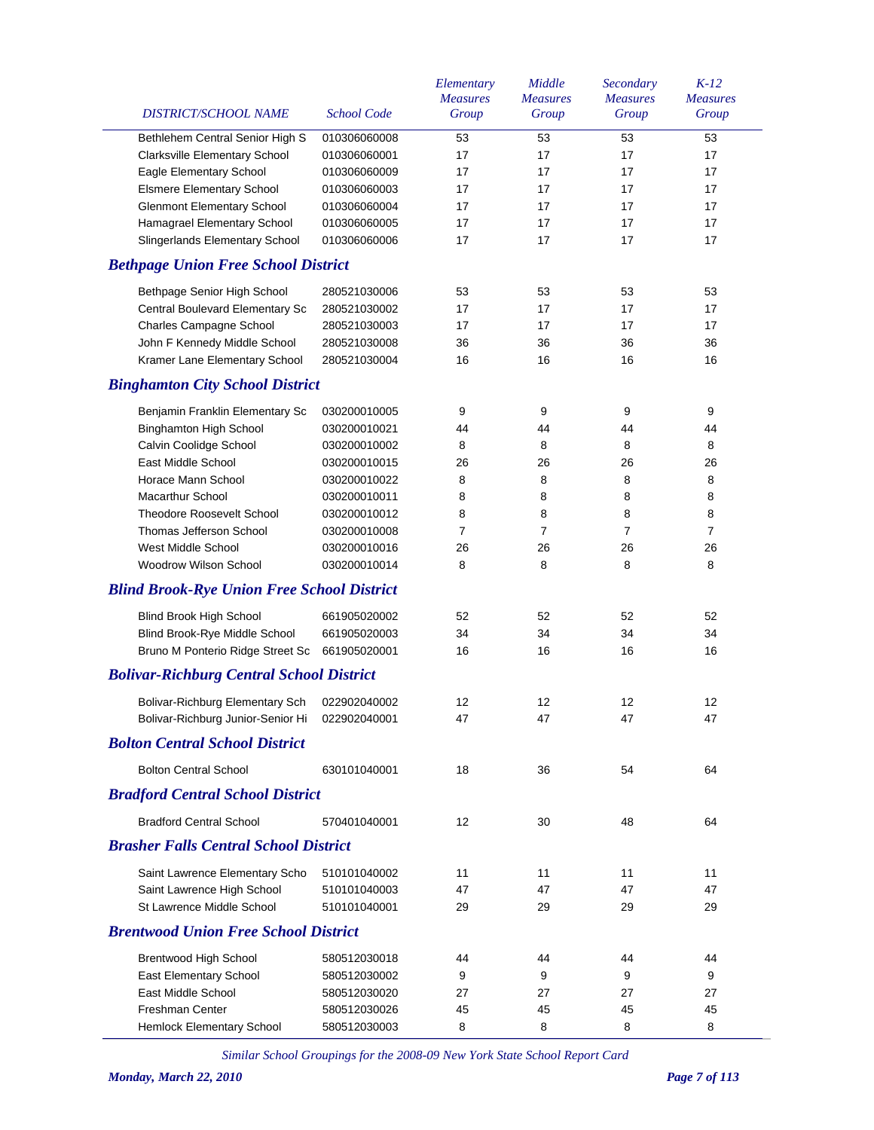| DISTRICT/SCHOOL NAME                                             | <b>School Code</b>           | Elementary<br><b>Measures</b><br>Group | Middle<br><b>Measures</b><br>Group | Secondary<br><b>Measures</b><br>Group | $K-12$<br><b>Measures</b><br>Group |
|------------------------------------------------------------------|------------------------------|----------------------------------------|------------------------------------|---------------------------------------|------------------------------------|
|                                                                  |                              | 53                                     |                                    |                                       | 53                                 |
| Bethlehem Central Senior High S<br>Clarksville Elementary School | 010306060008<br>010306060001 | 17                                     | 53<br>17                           | 53<br>17                              | 17                                 |
| Eagle Elementary School                                          | 010306060009                 | 17                                     | 17                                 | 17                                    | 17                                 |
| <b>Elsmere Elementary School</b>                                 | 010306060003                 | 17                                     | 17                                 | 17                                    | 17                                 |
| <b>Glenmont Elementary School</b>                                | 010306060004                 | 17                                     | 17                                 | 17                                    | 17                                 |
| Hamagrael Elementary School                                      | 010306060005                 | 17                                     | 17                                 | 17                                    | 17                                 |
| Slingerlands Elementary School                                   | 010306060006                 | 17                                     | 17                                 | 17                                    | 17                                 |
| <b>Bethpage Union Free School District</b>                       |                              |                                        |                                    |                                       |                                    |
| Bethpage Senior High School                                      | 280521030006                 | 53                                     | 53                                 | 53                                    | 53                                 |
| Central Boulevard Elementary Sc                                  | 280521030002                 | 17                                     | 17                                 | 17                                    | 17                                 |
| Charles Campagne School                                          | 280521030003                 | 17                                     | 17                                 | 17                                    | 17                                 |
| John F Kennedy Middle School                                     | 280521030008                 | 36                                     | 36                                 | 36                                    | 36                                 |
| Kramer Lane Elementary School                                    | 280521030004                 | 16                                     | 16                                 | 16                                    | 16                                 |
| <b>Binghamton City School District</b>                           |                              |                                        |                                    |                                       |                                    |
|                                                                  |                              |                                        |                                    |                                       |                                    |
| Benjamin Franklin Elementary Sc                                  | 030200010005                 | 9                                      | 9                                  | 9                                     | 9                                  |
| <b>Binghamton High School</b>                                    | 030200010021                 | 44                                     | 44                                 | 44                                    | 44                                 |
| Calvin Coolidge School                                           | 030200010002                 | 8                                      | 8                                  | 8                                     | 8                                  |
| East Middle School                                               | 030200010015                 | 26                                     | 26                                 | 26                                    | 26                                 |
| Horace Mann School                                               | 030200010022                 | 8                                      | 8                                  | 8                                     | 8                                  |
| Macarthur School                                                 | 030200010011                 | 8                                      | 8                                  | 8                                     | 8                                  |
| <b>Theodore Roosevelt School</b>                                 | 030200010012                 | 8                                      | 8                                  | 8                                     | 8                                  |
| Thomas Jefferson School                                          | 030200010008                 | $\overline{7}$                         | $\overline{7}$                     | $\overline{7}$                        | $\overline{7}$                     |
| West Middle School                                               | 030200010016                 | 26                                     | 26                                 | 26                                    | 26                                 |
| Woodrow Wilson School                                            | 030200010014                 | 8                                      | 8                                  | 8                                     | 8                                  |
| <b>Blind Brook-Rye Union Free School District</b>                |                              |                                        |                                    |                                       |                                    |
| <b>Blind Brook High School</b>                                   | 661905020002                 | 52                                     | 52                                 | 52                                    | 52                                 |
| Blind Brook-Rye Middle School                                    | 661905020003                 | 34                                     | 34                                 | 34                                    | 34                                 |
| Bruno M Ponterio Ridge Street Sc                                 | 661905020001                 | 16                                     | 16                                 | 16                                    | 16                                 |
| <b>Bolivar-Richburg Central School District</b>                  |                              |                                        |                                    |                                       |                                    |
| Bolivar-Richburg Elementary Sch                                  | 022902040002                 | 12                                     | 12                                 | 12                                    | 12                                 |
| Bolivar-Richburg Junior-Senior Hi 022902040001                   |                              | 47                                     | 47                                 | 47                                    | 47                                 |
| <b>Bolton Central School District</b>                            |                              |                                        |                                    |                                       |                                    |
| <b>Bolton Central School</b>                                     | 630101040001                 | 18                                     | 36                                 | 54                                    | 64                                 |
| <b>Bradford Central School District</b>                          |                              |                                        |                                    |                                       |                                    |
| <b>Bradford Central School</b>                                   | 570401040001                 | 12                                     | 30                                 | 48                                    | 64                                 |
| <b>Brasher Falls Central School District</b>                     |                              |                                        |                                    |                                       |                                    |
| Saint Lawrence Elementary Scho                                   | 510101040002                 | 11                                     | 11                                 | 11                                    | 11                                 |
| Saint Lawrence High School                                       | 510101040003                 | 47                                     | 47                                 | 47                                    | 47                                 |
| St Lawrence Middle School                                        | 510101040001                 | 29                                     | 29                                 | 29                                    | 29                                 |
| <b>Brentwood Union Free School District</b>                      |                              |                                        |                                    |                                       |                                    |
| Brentwood High School                                            | 580512030018                 | 44                                     | 44                                 | 44                                    | 44                                 |
| East Elementary School                                           | 580512030002                 | 9                                      | 9                                  | 9                                     | 9                                  |
| East Middle School                                               | 580512030020                 | 27                                     | 27                                 | 27                                    | 27                                 |
| <b>Freshman Center</b>                                           | 580512030026                 | 45                                     | 45                                 | 45                                    | 45                                 |
| Hemlock Elementary School                                        | 580512030003                 | 8                                      | 8                                  | 8                                     | 8                                  |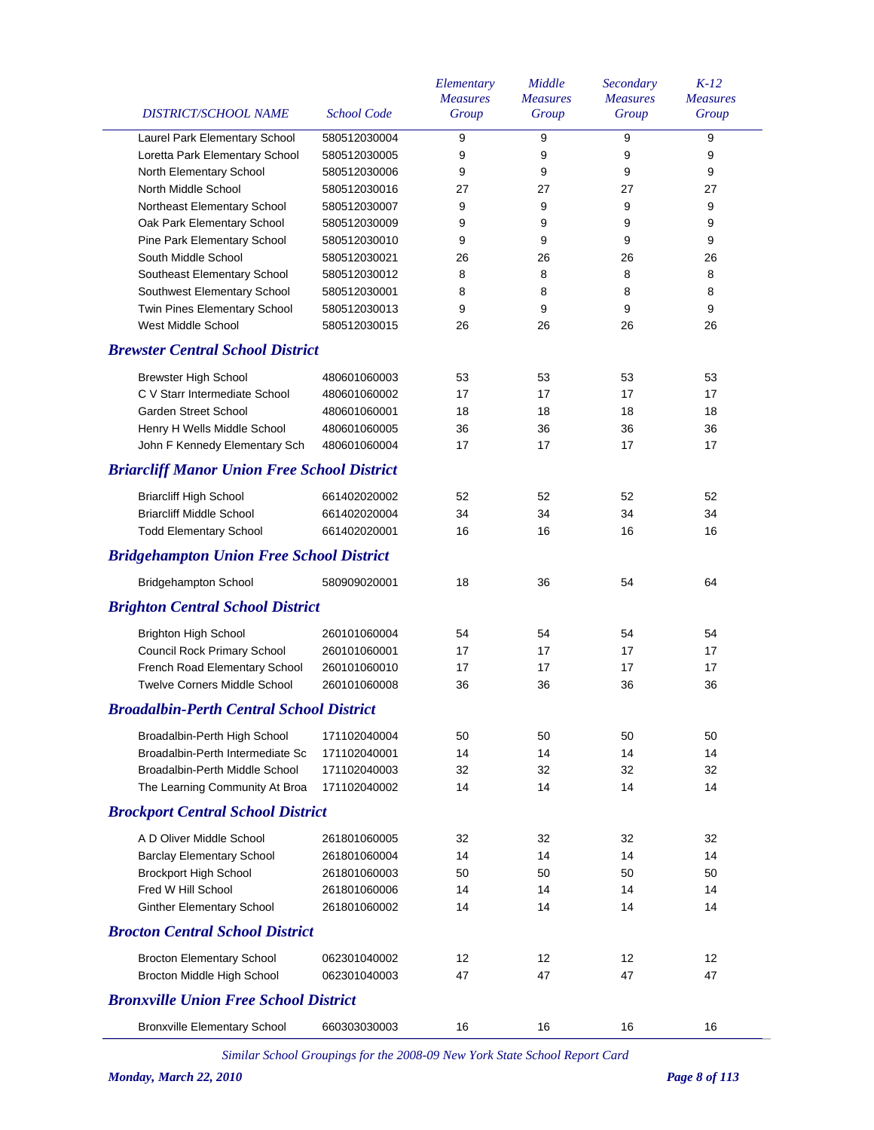| DISTRICT/SCHOOL NAME                               | <b>School Code</b> | Elementary<br><b>Measures</b><br>Group | Middle<br><b>Measures</b><br>Group | Secondary<br><b>Measures</b><br>Group | $K-12$<br><b>Measures</b><br>Group |
|----------------------------------------------------|--------------------|----------------------------------------|------------------------------------|---------------------------------------|------------------------------------|
| Laurel Park Elementary School                      | 580512030004       | 9                                      | 9                                  | 9                                     | 9                                  |
| Loretta Park Elementary School                     | 580512030005       | 9                                      | 9                                  | 9                                     | 9                                  |
| North Elementary School                            | 580512030006       | 9                                      | 9                                  | 9                                     | 9                                  |
| North Middle School                                | 580512030016       | 27                                     | 27                                 | 27                                    | 27                                 |
| Northeast Elementary School                        | 580512030007       | 9                                      | 9                                  | 9                                     | 9                                  |
| Oak Park Elementary School                         | 580512030009       | 9                                      | 9                                  | 9                                     | 9                                  |
| Pine Park Elementary School                        | 580512030010       | 9                                      | 9                                  | 9                                     | 9                                  |
| South Middle School                                | 580512030021       | 26                                     | 26                                 | 26                                    | 26                                 |
| Southeast Elementary School                        | 580512030012       | 8                                      | 8                                  | 8                                     | 8                                  |
| Southwest Elementary School                        | 580512030001       | 8                                      | 8                                  | 8                                     | 8                                  |
| Twin Pines Elementary School                       | 580512030013       | 9                                      | 9                                  | 9                                     | 9                                  |
| West Middle School                                 | 580512030015       | 26                                     | 26                                 | 26                                    | 26                                 |
| <b>Brewster Central School District</b>            |                    |                                        |                                    |                                       |                                    |
| <b>Brewster High School</b>                        | 480601060003       | 53                                     | 53                                 | 53                                    | 53                                 |
| C V Starr Intermediate School                      | 480601060002       | 17                                     | 17                                 | 17                                    | 17                                 |
| <b>Garden Street School</b>                        | 480601060001       | 18                                     | 18                                 | 18                                    | 18                                 |
| Henry H Wells Middle School                        | 480601060005       | 36                                     | 36                                 | 36                                    | 36                                 |
| John F Kennedy Elementary Sch                      | 480601060004       | 17                                     | 17                                 | 17                                    | 17                                 |
| <b>Briarcliff Manor Union Free School District</b> |                    |                                        |                                    |                                       |                                    |
| <b>Briarcliff High School</b>                      | 661402020002       | 52                                     | 52                                 | 52                                    | 52                                 |
| <b>Briarcliff Middle School</b>                    | 661402020004       | 34                                     | 34                                 | 34                                    | 34                                 |
| <b>Todd Elementary School</b>                      | 661402020001       | 16                                     | 16                                 | 16                                    | 16                                 |
| <b>Bridgehampton Union Free School District</b>    |                    |                                        |                                    |                                       |                                    |
| <b>Bridgehampton School</b>                        | 580909020001       | 18                                     | 36                                 | 54                                    | 64                                 |
| <b>Brighton Central School District</b>            |                    |                                        |                                    |                                       |                                    |
| <b>Brighton High School</b>                        | 260101060004       | 54                                     | 54                                 | 54                                    | 54                                 |
| Council Rock Primary School                        | 260101060001       | 17                                     | 17                                 | 17                                    | 17                                 |
| French Road Elementary School                      | 260101060010       | 17                                     | 17                                 | 17                                    | 17                                 |
| <b>Twelve Corners Middle School</b>                | 260101060008       | 36                                     | 36                                 | 36                                    | 36                                 |
| <b>Broadalbin-Perth Central School District</b>    |                    |                                        |                                    |                                       |                                    |
| Broadalbin-Perth High School                       | 171102040004       | 50                                     | 50                                 | 50                                    | 50                                 |
| Broadalbin-Perth Intermediate Sc                   | 171102040001       | 14                                     | 14                                 | 14                                    | 14                                 |
| Broadalbin-Perth Middle School                     | 171102040003       | 32                                     | 32                                 | 32                                    | 32                                 |
| The Learning Community At Broa                     | 171102040002       | 14                                     | 14                                 | 14                                    | 14                                 |
| <b>Brockport Central School District</b>           |                    |                                        |                                    |                                       |                                    |
| A D Oliver Middle School                           | 261801060005       | 32                                     | 32                                 | 32                                    | 32                                 |
| <b>Barclay Elementary School</b>                   | 261801060004       | 14                                     | 14                                 | 14                                    | 14                                 |
| <b>Brockport High School</b>                       | 261801060003       | 50                                     | 50                                 | 50                                    | 50                                 |
| Fred W Hill School                                 | 261801060006       | 14                                     | 14                                 | 14                                    | 14                                 |
| <b>Ginther Elementary School</b>                   | 261801060002       | 14                                     | 14                                 | 14                                    | 14                                 |
| <b>Brocton Central School District</b>             |                    |                                        |                                    |                                       |                                    |
| <b>Brocton Elementary School</b>                   | 062301040002       | $12 \overline{ }$                      | 12                                 | $12 \overline{ }$                     | 12                                 |
| Brocton Middle High School                         | 062301040003       | 47                                     | 47                                 | 47                                    | 47                                 |
| <b>Bronxville Union Free School District</b>       |                    |                                        |                                    |                                       |                                    |
| <b>Bronxville Elementary School</b>                | 660303030003       | 16                                     | 16                                 | 16                                    | 16                                 |
|                                                    |                    |                                        |                                    |                                       |                                    |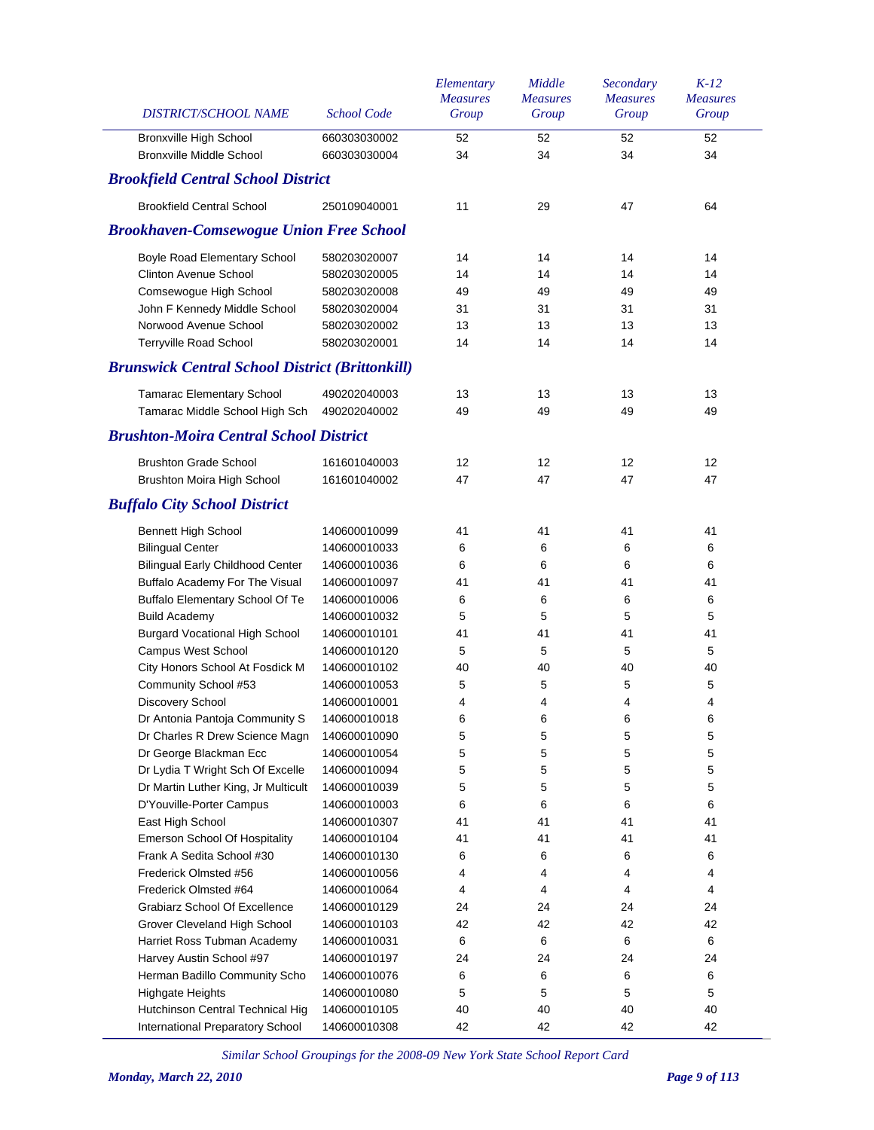| DISTRICT/SCHOOL NAME                                   | <b>School Code</b> | Elementary<br><b>Measures</b><br>Group | Middle<br><b>Measures</b><br>Group | Secondary<br><b>Measures</b><br>Group | $K-12$<br><b>Measures</b><br>Group |
|--------------------------------------------------------|--------------------|----------------------------------------|------------------------------------|---------------------------------------|------------------------------------|
| <b>Bronxville High School</b>                          | 660303030002       | 52                                     | 52                                 | 52                                    | 52                                 |
| <b>Bronxville Middle School</b>                        | 660303030004       | 34                                     | 34                                 | 34                                    | 34                                 |
| <b>Brookfield Central School District</b>              |                    |                                        |                                    |                                       |                                    |
| <b>Brookfield Central School</b>                       | 250109040001       | 11                                     | 29                                 | 47                                    | 64                                 |
| <b>Brookhaven-Comsewogue Union Free School</b>         |                    |                                        |                                    |                                       |                                    |
| Boyle Road Elementary School                           | 580203020007       | 14                                     | 14                                 | 14                                    | 14                                 |
| <b>Clinton Avenue School</b>                           | 580203020005       | 14                                     | 14                                 | 14                                    | 14                                 |
| Comsewogue High School                                 | 580203020008       | 49                                     | 49                                 | 49                                    | 49                                 |
| John F Kennedy Middle School                           | 580203020004       | 31                                     | 31                                 | 31                                    | 31                                 |
| Norwood Avenue School                                  | 580203020002       | 13                                     | 13                                 | 13                                    | 13                                 |
| Terryville Road School                                 | 580203020001       | 14                                     | 14                                 | 14                                    | 14                                 |
| <b>Brunswick Central School District (Brittonkill)</b> |                    |                                        |                                    |                                       |                                    |
| <b>Tamarac Elementary School</b>                       | 490202040003       | 13                                     | 13                                 | 13                                    | 13                                 |
| Tamarac Middle School High Sch                         | 490202040002       | 49                                     | 49                                 | 49                                    | 49                                 |
| <b>Brushton-Moira Central School District</b>          |                    |                                        |                                    |                                       |                                    |
| <b>Brushton Grade School</b>                           | 161601040003       | 12                                     | 12                                 | 12                                    | 12                                 |
| <b>Brushton Moira High School</b>                      | 161601040002       | 47                                     | 47                                 | 47                                    | 47                                 |
| <b>Buffalo City School District</b>                    |                    |                                        |                                    |                                       |                                    |
| <b>Bennett High School</b>                             | 140600010099       | 41                                     | 41                                 | 41                                    | 41                                 |
| <b>Bilingual Center</b>                                | 140600010033       | 6                                      | 6                                  | 6                                     | 6                                  |
| <b>Bilingual Early Childhood Center</b>                | 140600010036       | 6                                      | 6                                  | 6                                     | 6                                  |
| Buffalo Academy For The Visual                         | 140600010097       | 41                                     | 41                                 | 41                                    | 41                                 |
| <b>Buffalo Elementary School Of Te</b>                 | 140600010006       | 6                                      | 6                                  | 6                                     | 6                                  |
| <b>Build Academy</b>                                   | 140600010032       | 5                                      | 5                                  | 5                                     | 5                                  |
| <b>Burgard Vocational High School</b>                  | 140600010101       | 41                                     | 41                                 | 41                                    | 41                                 |
| <b>Campus West School</b>                              | 140600010120       | 5                                      | 5                                  | 5                                     | 5                                  |
| City Honors School At Fosdick M                        | 140600010102       | 40                                     | 40                                 | 40                                    | 40                                 |
| Community School #53                                   | 140600010053       | 5                                      | 5                                  | 5                                     | 5                                  |
| Discovery School                                       | 140600010001       | 4                                      | 4                                  | 4                                     | 4                                  |
| Dr Antonia Pantoja Community S                         | 140600010018       | 6                                      | 6                                  | 6                                     | 6                                  |
| Dr Charles R Drew Science Magn                         | 140600010090       | 5                                      | 5                                  | 5                                     | 5                                  |
| Dr George Blackman Ecc                                 | 140600010054       | 5                                      | 5                                  | 5                                     | 5                                  |
| Dr Lydia T Wright Sch Of Excelle                       | 140600010094       | 5                                      | 5                                  | 5                                     | 5                                  |
| Dr Martin Luther King, Jr Multicult                    | 140600010039       | 5                                      | 5                                  | 5                                     | 5                                  |
| D'Youville-Porter Campus                               | 140600010003       | 6                                      | 6                                  | 6                                     | 6                                  |
| East High School                                       | 140600010307       | 41                                     | 41                                 | 41                                    | 41                                 |
| Emerson School Of Hospitality                          | 140600010104       | 41                                     | 41                                 | 41                                    | 41                                 |
| Frank A Sedita School #30                              | 140600010130       | 6                                      | 6                                  | 6                                     | 6                                  |
| Frederick Olmsted #56                                  | 140600010056       | 4                                      | 4                                  | 4                                     | 4                                  |
| Frederick Olmsted #64                                  | 140600010064       | 4                                      | 4                                  | 4                                     | 4                                  |
| <b>Grabiarz School Of Excellence</b>                   | 140600010129       | 24                                     | 24                                 | 24                                    | 24                                 |
| Grover Cleveland High School                           | 140600010103       | 42                                     | 42                                 | 42                                    | 42                                 |
| Harriet Ross Tubman Academy                            | 140600010031       | 6                                      | 6                                  | 6                                     | 6                                  |
| Harvey Austin School #97                               | 140600010197       | 24                                     | 24                                 | 24                                    | 24                                 |
| Herman Badillo Community Scho                          | 140600010076       | 6                                      | 6                                  | 6                                     | 6                                  |
| <b>Highgate Heights</b>                                | 140600010080       | 5                                      | 5                                  | 5                                     | 5                                  |
| Hutchinson Central Technical Hig                       | 140600010105       | 40                                     | 40                                 | 40                                    | 40                                 |
| International Preparatory School                       | 140600010308       | 42                                     | 42                                 | 42                                    | 42                                 |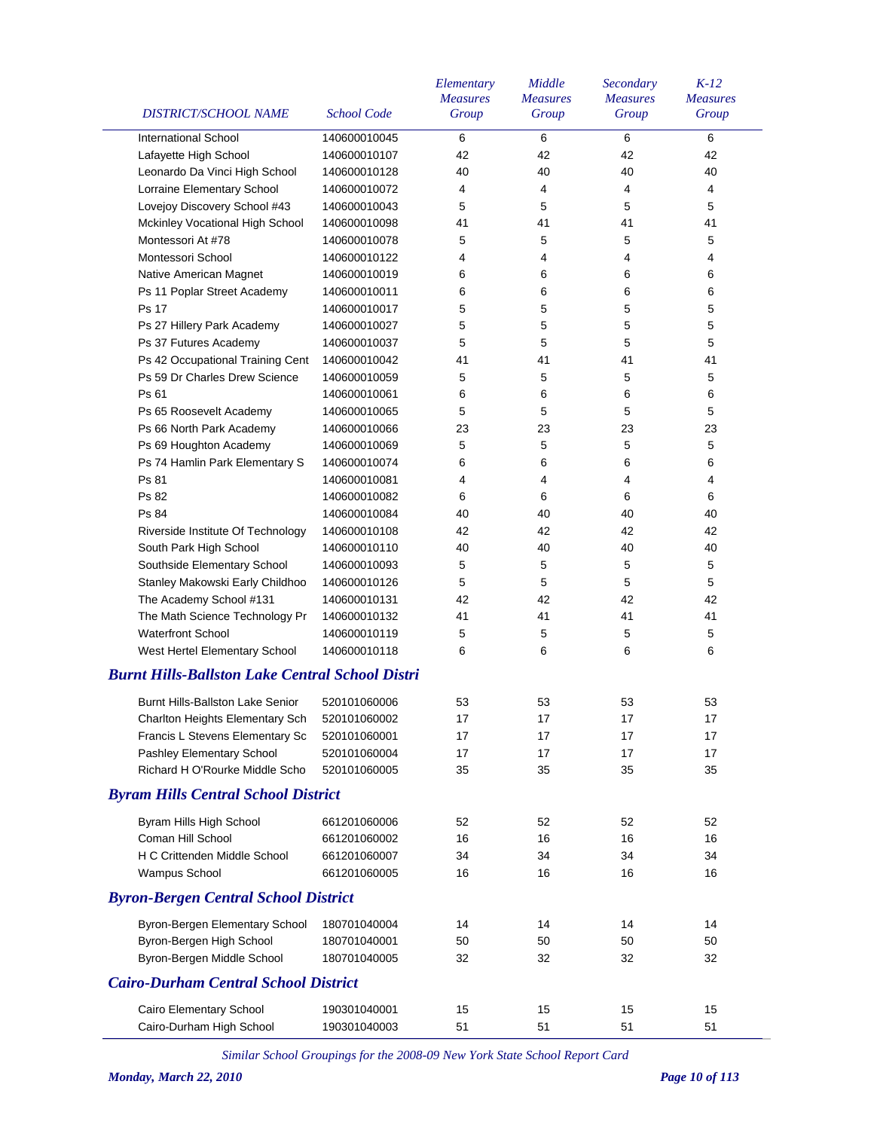| <b>DISTRICT/SCHOOL NAME</b>                            | <b>School Code</b> | Elementary<br><b>Measures</b><br>Group | Middle<br><b>Measures</b><br>Group | Secondary<br><b>Measures</b><br>Group | $K-12$<br><b>Measures</b><br>Group |
|--------------------------------------------------------|--------------------|----------------------------------------|------------------------------------|---------------------------------------|------------------------------------|
| <b>International School</b>                            | 140600010045       | 6                                      | 6                                  | 6                                     | 6                                  |
| Lafayette High School                                  | 140600010107       | 42                                     | 42                                 | 42                                    | 42                                 |
| Leonardo Da Vinci High School                          | 140600010128       | 40                                     | 40                                 | 40                                    | 40                                 |
| Lorraine Elementary School                             | 140600010072       | 4                                      | 4                                  | 4                                     | 4                                  |
| Lovejoy Discovery School #43                           | 140600010043       | 5                                      | 5                                  | 5                                     | 5                                  |
| Mckinley Vocational High School                        | 140600010098       | 41                                     | 41                                 | 41                                    | 41                                 |
| Montessori At #78                                      | 140600010078       | 5                                      | 5                                  | 5                                     | 5                                  |
| Montessori School                                      | 140600010122       | 4                                      | 4                                  | $\overline{4}$                        | 4                                  |
| Native American Magnet                                 | 140600010019       | 6                                      | 6                                  | 6                                     | 6                                  |
| Ps 11 Poplar Street Academy                            | 140600010011       | 6                                      | 6                                  | 6                                     | 6                                  |
| Ps 17                                                  | 140600010017       | 5                                      | 5                                  | 5                                     | 5                                  |
| Ps 27 Hillery Park Academy                             | 140600010027       | 5                                      | 5                                  | 5                                     | 5                                  |
| Ps 37 Futures Academy                                  | 140600010037       | 5                                      | 5                                  | 5                                     | 5                                  |
| Ps 42 Occupational Training Cent                       | 140600010042       | 41                                     | 41                                 | 41                                    | 41                                 |
| Ps 59 Dr Charles Drew Science                          | 140600010059       | 5                                      | 5                                  | 5                                     | 5                                  |
| Ps 61                                                  | 140600010061       | 6                                      | 6                                  | 6                                     | 6                                  |
| Ps 65 Roosevelt Academy                                | 140600010065       | 5                                      | 5                                  | 5                                     | 5                                  |
| Ps 66 North Park Academy                               | 140600010066       | 23                                     | 23                                 | 23                                    | 23                                 |
| Ps 69 Houghton Academy                                 | 140600010069       | 5                                      | 5                                  | 5                                     | 5                                  |
| Ps 74 Hamlin Park Elementary S                         | 140600010074       | 6                                      | 6                                  | 6                                     | 6                                  |
| Ps 81                                                  | 140600010081       | 4                                      | 4                                  | 4                                     | 4                                  |
| Ps 82                                                  | 140600010082       | 6                                      | 6                                  | 6                                     | 6                                  |
| Ps 84                                                  | 140600010084       | 40                                     | 40                                 | 40                                    | 40                                 |
| Riverside Institute Of Technology                      | 140600010108       | 42                                     | 42                                 | 42                                    | 42                                 |
| South Park High School                                 | 140600010110       | 40                                     | 40                                 | 40                                    | 40                                 |
| Southside Elementary School                            | 140600010093       | 5                                      | 5                                  | 5                                     | 5                                  |
| Stanley Makowski Early Childhoo                        | 140600010126       | 5                                      | 5                                  | 5                                     | 5                                  |
| The Academy School #131                                | 140600010131       | 42                                     | 42                                 | 42                                    | 42                                 |
| The Math Science Technology Pr                         | 140600010132       | 41                                     | 41                                 | 41                                    | 41                                 |
| <b>Waterfront School</b>                               | 140600010119       | 5                                      | 5                                  | 5                                     | 5                                  |
| West Hertel Elementary School                          | 140600010118       | 6                                      | 6                                  | 6                                     | 6                                  |
| <b>Burnt Hills-Ballston Lake Central School Distri</b> |                    |                                        |                                    |                                       |                                    |
| Burnt Hills-Ballston Lake Senior                       | 520101060006       | 53                                     | 53                                 | 53                                    | 53                                 |
| Charlton Heights Elementary Sch                        | 520101060002       | 17                                     | 17                                 | 17                                    | 17                                 |
| Francis L Stevens Elementary Sc                        | 520101060001       | 17                                     | 17                                 | 17                                    | 17                                 |
| Pashley Elementary School                              | 520101060004       | 17                                     | 17                                 | 17                                    | 17                                 |
| Richard H O'Rourke Middle Scho                         | 520101060005       | 35                                     | 35                                 | 35                                    | 35                                 |
| <b>Byram Hills Central School District</b>             |                    |                                        |                                    |                                       |                                    |
|                                                        |                    |                                        |                                    |                                       |                                    |
| Byram Hills High School                                | 661201060006       | 52                                     | 52                                 | 52                                    | 52                                 |
| Coman Hill School                                      | 661201060002       | 16                                     | 16                                 | 16                                    | 16                                 |
| <b>H C Crittenden Middle School</b>                    | 661201060007       | 34                                     | 34                                 | 34                                    | 34                                 |
| Wampus School                                          | 661201060005       | 16                                     | 16                                 | 16                                    | 16                                 |
| <b>Byron-Bergen Central School District</b>            |                    |                                        |                                    |                                       |                                    |
| Byron-Bergen Elementary School                         | 180701040004       | 14                                     | 14                                 | 14                                    | 14                                 |
| Byron-Bergen High School                               | 180701040001       | 50                                     | 50                                 | 50                                    | 50                                 |
| Byron-Bergen Middle School                             | 180701040005       | 32                                     | 32                                 | 32                                    | 32                                 |
| <b>Cairo-Durham Central School District</b>            |                    |                                        |                                    |                                       |                                    |
| Cairo Elementary School                                | 190301040001       | 15                                     | 15                                 | 15                                    | 15                                 |
| Cairo-Durham High School                               | 190301040003       | 51                                     | 51                                 | 51                                    | 51                                 |
|                                                        |                    |                                        |                                    |                                       |                                    |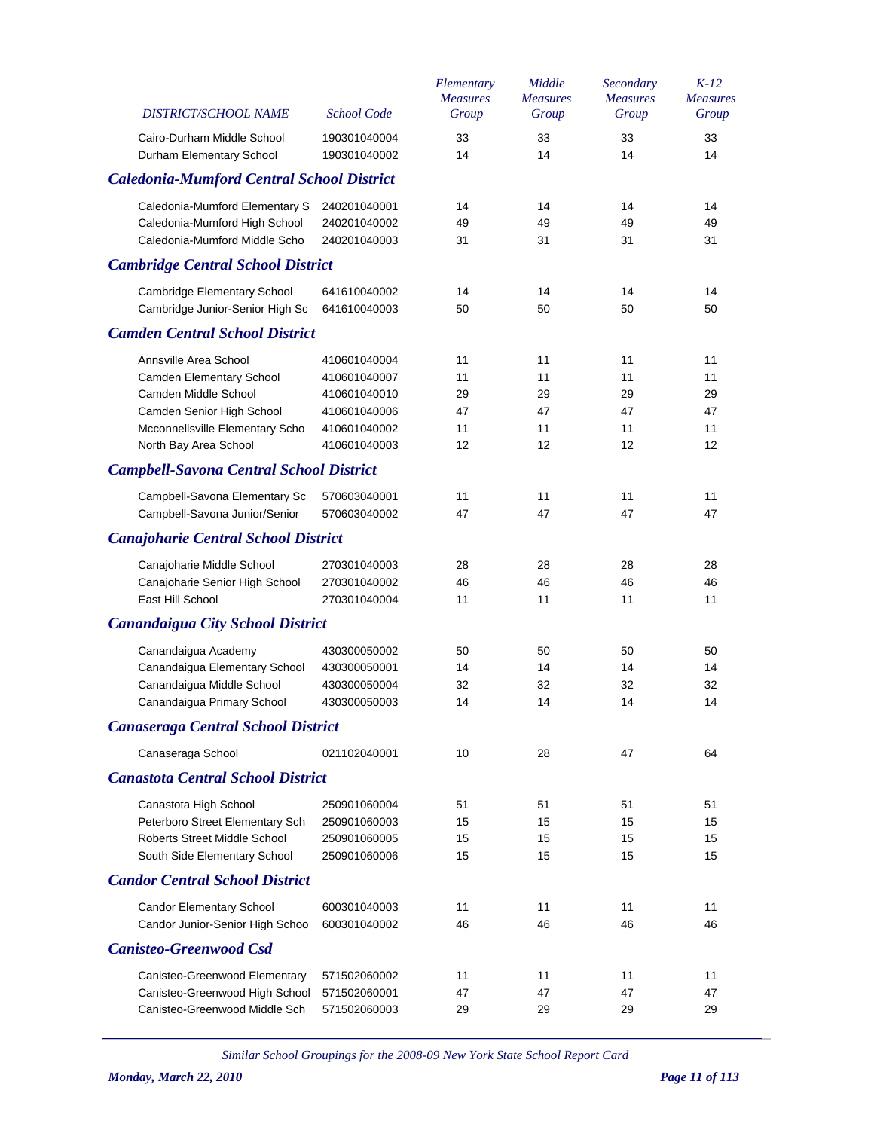| DISTRICT/SCHOOL NAME                                           | <b>School Code</b>           | Elementary<br><b>Measures</b><br>Group | Middle<br><b>Measures</b><br>Group | Secondary<br><b>Measures</b><br>Group | $K-12$<br><b>Measures</b><br>Group |
|----------------------------------------------------------------|------------------------------|----------------------------------------|------------------------------------|---------------------------------------|------------------------------------|
| Cairo-Durham Middle School<br>Durham Elementary School         | 190301040004<br>190301040002 | 33<br>14                               | 33<br>14                           | 33<br>14                              | 33<br>14                           |
| <b>Caledonia-Mumford Central School District</b>               |                              |                                        |                                    |                                       |                                    |
| Caledonia-Mumford Elementary S                                 | 240201040001                 | 14                                     | 14                                 | 14                                    | 14                                 |
| Caledonia-Mumford High School<br>Caledonia-Mumford Middle Scho | 240201040002                 | 49<br>31                               | 49<br>31                           | 49<br>31                              | 49<br>31                           |
| <b>Cambridge Central School District</b>                       | 240201040003                 |                                        |                                    |                                       |                                    |
|                                                                |                              |                                        |                                    |                                       |                                    |
| Cambridge Elementary School<br>Cambridge Junior-Senior High Sc | 641610040002<br>641610040003 | 14<br>50                               | 14<br>50                           | 14<br>50                              | 14<br>50                           |
| <b>Camden Central School District</b>                          |                              |                                        |                                    |                                       |                                    |
| Annsville Area School                                          | 410601040004                 | 11                                     | 11                                 | 11                                    | 11                                 |
| Camden Elementary School                                       | 410601040007                 | 11                                     | 11                                 | 11                                    | 11                                 |
| Camden Middle School                                           | 410601040010                 | 29                                     | 29                                 | 29                                    | 29                                 |
| Camden Senior High School                                      | 410601040006                 | 47                                     | 47                                 | 47                                    | 47                                 |
| Mcconnellsville Elementary Scho                                | 410601040002                 | 11                                     | 11                                 | 11                                    | 11                                 |
| North Bay Area School                                          | 410601040003                 | 12                                     | 12                                 | 12                                    | 12                                 |
| <b>Campbell-Savona Central School District</b>                 |                              |                                        |                                    |                                       |                                    |
| Campbell-Savona Elementary Sc                                  | 570603040001                 | 11                                     | 11                                 | 11                                    | 11                                 |
| Campbell-Savona Junior/Senior                                  | 570603040002                 | 47                                     | 47                                 | 47                                    | 47                                 |
| <b>Canajoharie Central School District</b>                     |                              |                                        |                                    |                                       |                                    |
| Canajoharie Middle School                                      | 270301040003                 | 28                                     | 28                                 | 28                                    | 28                                 |
| Canajoharie Senior High School                                 | 270301040002                 | 46                                     | 46                                 | 46                                    | 46                                 |
| East Hill School                                               | 270301040004                 | 11                                     | 11                                 | 11                                    | 11                                 |
| <b>Canandaigua City School District</b>                        |                              |                                        |                                    |                                       |                                    |
| Canandaigua Academy                                            | 430300050002                 | 50                                     | 50                                 | 50                                    | 50                                 |
| Canandaigua Elementary School                                  | 430300050001                 | 14                                     | 14                                 | 14                                    | 14                                 |
| Canandaigua Middle School                                      | 430300050004                 | 32                                     | 32                                 | 32                                    | 32                                 |
| Canandaigua Primary School                                     | 430300050003                 | 14                                     | 14                                 | 14                                    | 14                                 |
| <b>Canaseraga Central School District</b>                      |                              |                                        |                                    |                                       |                                    |
| Canaseraga School                                              | 021102040001                 | 10                                     | 28                                 | 47                                    | 64                                 |
| <b>Canastota Central School District</b>                       |                              |                                        |                                    |                                       |                                    |
| Canastota High School                                          | 250901060004                 | 51                                     | 51                                 | 51                                    | 51                                 |
| Peterboro Street Elementary Sch                                | 250901060003                 | 15                                     | 15                                 | 15                                    | 15                                 |
| Roberts Street Middle School                                   | 250901060005                 | 15                                     | 15                                 | 15                                    | 15                                 |
| South Side Elementary School                                   | 250901060006                 | 15                                     | 15                                 | 15                                    | 15                                 |
| <b>Candor Central School District</b>                          |                              |                                        |                                    |                                       |                                    |
| <b>Candor Elementary School</b>                                | 600301040003                 | 11                                     | 11                                 | 11                                    | 11                                 |
| Candor Junior-Senior High Schoo                                | 600301040002                 | 46                                     | 46                                 | 46                                    | 46                                 |
| <b>Canisteo-Greenwood Csd</b>                                  |                              |                                        |                                    |                                       |                                    |
| Canisteo-Greenwood Elementary                                  | 571502060002                 | 11                                     | 11                                 | 11                                    | 11                                 |
| Canisteo-Greenwood High School                                 | 571502060001                 | 47                                     | 47                                 | 47                                    | 47                                 |
| Canisteo-Greenwood Middle Sch                                  | 571502060003                 | 29                                     | 29                                 | 29                                    | 29                                 |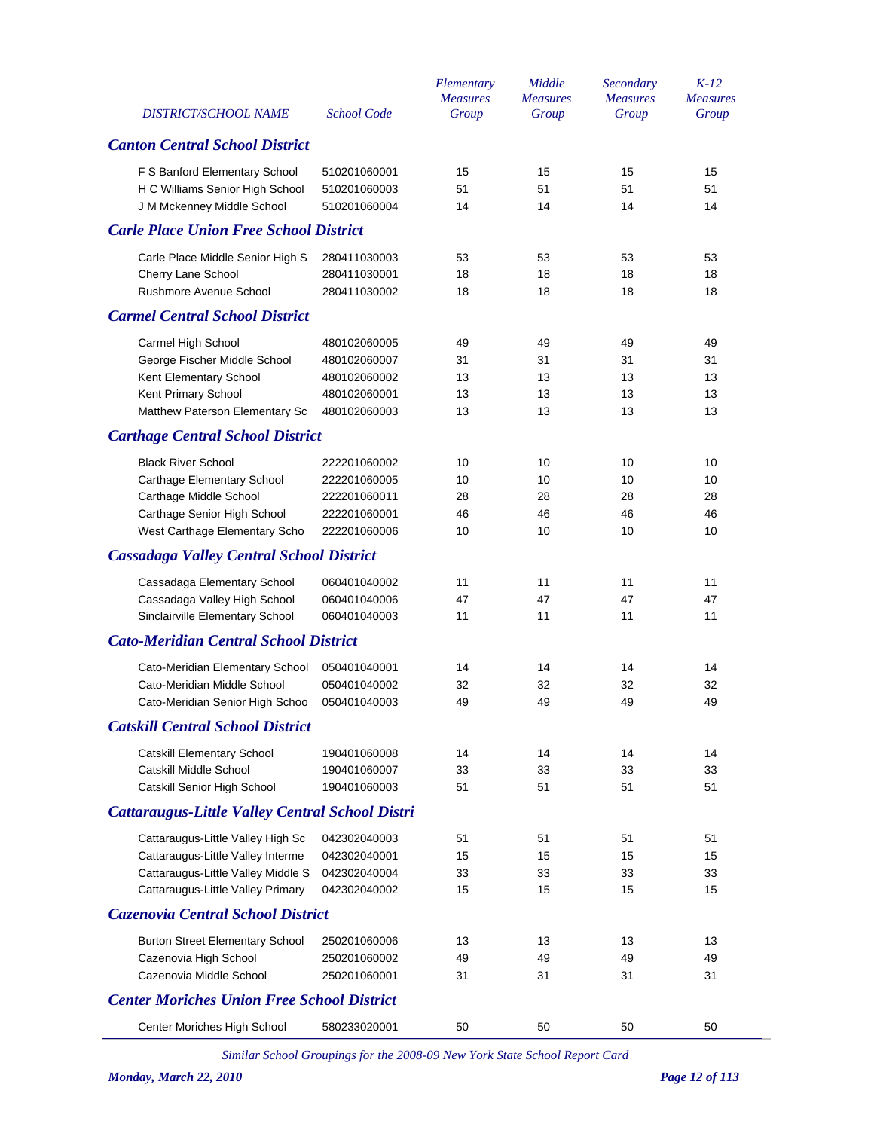|                                                        |                    | Elementary               | Middle                   | Secondary                | $K-12$                   |
|--------------------------------------------------------|--------------------|--------------------------|--------------------------|--------------------------|--------------------------|
| DISTRICT/SCHOOL NAME                                   | <b>School Code</b> | <b>Measures</b><br>Group | <b>Measures</b><br>Group | <b>Measures</b><br>Group | <b>Measures</b><br>Group |
|                                                        |                    |                          |                          |                          |                          |
| <b>Canton Central School District</b>                  |                    |                          |                          |                          |                          |
| F S Banford Elementary School                          | 510201060001       | 15                       | 15                       | 15                       | 15                       |
| H C Williams Senior High School                        | 510201060003       | 51                       | 51                       | 51                       | 51                       |
| J M Mckenney Middle School                             | 510201060004       | 14                       | 14                       | 14                       | 14                       |
| <b>Carle Place Union Free School District</b>          |                    |                          |                          |                          |                          |
| Carle Place Middle Senior High S                       | 280411030003       | 53                       | 53                       | 53                       | 53                       |
| Cherry Lane School                                     | 280411030001       | 18                       | 18                       | 18                       | 18                       |
| Rushmore Avenue School                                 | 280411030002       | 18                       | 18                       | 18                       | 18                       |
| <b>Carmel Central School District</b>                  |                    |                          |                          |                          |                          |
| Carmel High School                                     | 480102060005       | 49                       | 49                       | 49                       | 49                       |
| George Fischer Middle School                           | 480102060007       | 31                       | 31                       | 31                       | 31                       |
| Kent Elementary School                                 | 480102060002       | 13                       | 13                       | 13                       | 13                       |
| Kent Primary School                                    | 480102060001       | 13                       | 13                       | 13                       | 13                       |
| Matthew Paterson Elementary Sc                         | 480102060003       | 13                       | 13                       | 13                       | 13                       |
| <b>Carthage Central School District</b>                |                    |                          |                          |                          |                          |
| <b>Black River School</b>                              | 222201060002       | 10                       | 10                       | 10                       | 10                       |
| Carthage Elementary School                             | 222201060005       | 10                       | 10                       | 10                       | 10                       |
| Carthage Middle School                                 | 222201060011       | 28                       | 28                       | 28                       | 28                       |
| Carthage Senior High School                            | 222201060001       | 46                       | 46                       | 46                       | 46                       |
| West Carthage Elementary Scho                          | 222201060006       | 10                       | 10                       | 10                       | 10                       |
| <b>Cassadaga Valley Central School District</b>        |                    |                          |                          |                          |                          |
| Cassadaga Elementary School                            | 060401040002       | 11                       | 11                       | 11                       | 11                       |
| Cassadaga Valley High School                           | 060401040006       | 47                       | 47                       | 47                       | 47                       |
| Sinclairville Elementary School                        | 060401040003       | 11                       | 11                       | 11                       | 11                       |
| <b>Cato-Meridian Central School District</b>           |                    |                          |                          |                          |                          |
| Cato-Meridian Elementary School                        | 050401040001       | 14                       | 14                       | 14                       | 14                       |
| Cato-Meridian Middle School                            | 050401040002       | 32                       | 32                       | 32                       | 32                       |
| Cato-Meridian Senior High Schoo                        | 050401040003       | 49                       | 49                       | 49                       | 49                       |
| <b>Catskill Central School District</b>                |                    |                          |                          |                          |                          |
| <b>Catskill Elementary School</b>                      | 190401060008       | 14                       | 14                       | 14                       | 14                       |
| Catskill Middle School                                 | 190401060007       | 33                       | 33                       | 33                       | 33                       |
| Catskill Senior High School                            | 190401060003       | 51                       | 51                       | 51                       | 51                       |
| <b>Cattaraugus-Little Valley Central School Distri</b> |                    |                          |                          |                          |                          |
| Cattaraugus-Little Valley High Sc                      | 042302040003       | 51                       | 51                       | 51                       | 51                       |
| Cattaraugus-Little Valley Interme                      | 042302040001       | 15                       | 15                       | 15                       | 15                       |
| Cattaraugus-Little Valley Middle S                     | 042302040004       | 33                       | 33                       | 33                       | 33                       |
| Cattaraugus-Little Valley Primary                      | 042302040002       | 15                       | 15                       | 15                       | 15                       |
| <b>Cazenovia Central School District</b>               |                    |                          |                          |                          |                          |
| <b>Burton Street Elementary School</b>                 | 250201060006       | 13                       | 13                       | 13                       | 13                       |
| Cazenovia High School                                  | 250201060002       | 49                       | 49                       | 49                       | 49                       |
| Cazenovia Middle School                                | 250201060001       | 31                       | 31                       | 31                       | 31                       |
| <b>Center Moriches Union Free School District</b>      |                    |                          |                          |                          |                          |
| Center Moriches High School                            | 580233020001       | 50                       | 50                       | 50                       | 50                       |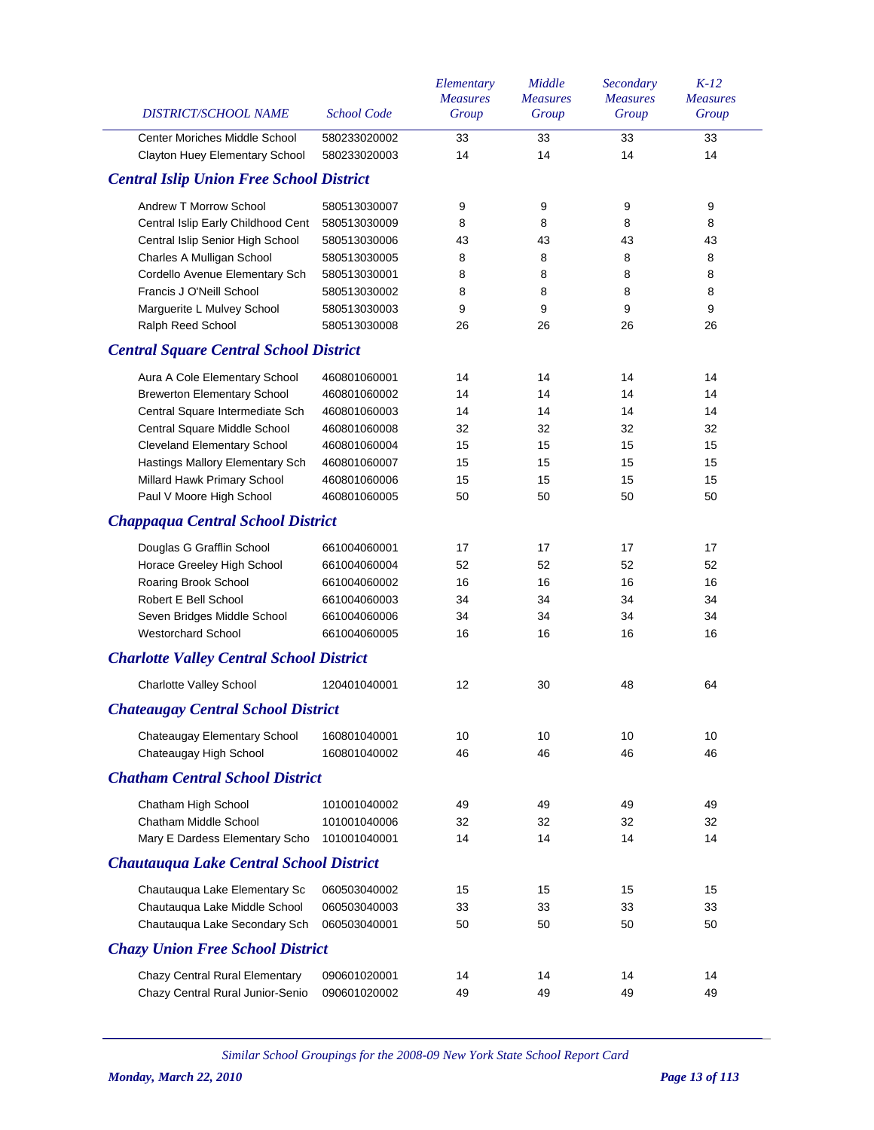| DISTRICT/SCHOOL NAME                                            | <b>School Code</b>           | Elementary<br><b>Measures</b><br>Group | Middle<br><b>Measures</b><br>Group | Secondary<br><b>Measures</b><br>Group | $K-12$<br><b>Measures</b><br>Group |
|-----------------------------------------------------------------|------------------------------|----------------------------------------|------------------------------------|---------------------------------------|------------------------------------|
|                                                                 |                              |                                        |                                    |                                       |                                    |
| Center Moriches Middle School<br>Clayton Huey Elementary School | 580233020002<br>580233020003 | 33<br>14                               | 33<br>14                           | 33<br>14                              | 33<br>14                           |
|                                                                 |                              |                                        |                                    |                                       |                                    |
| <b>Central Islip Union Free School District</b>                 |                              |                                        |                                    |                                       |                                    |
| Andrew T Morrow School                                          | 580513030007                 | 9                                      | 9                                  | 9                                     | 9                                  |
| Central Islip Early Childhood Cent                              | 580513030009                 | 8                                      | 8                                  | 8                                     | 8                                  |
| Central Islip Senior High School                                | 580513030006                 | 43                                     | 43                                 | 43                                    | 43                                 |
| Charles A Mulligan School                                       | 580513030005                 | 8                                      | 8                                  | 8                                     | 8                                  |
| Cordello Avenue Elementary Sch                                  | 580513030001                 | 8                                      | 8                                  | 8                                     | 8                                  |
| Francis J O'Neill School                                        | 580513030002                 | 8                                      | 8                                  | 8                                     | 8                                  |
| Marguerite L Mulvey School                                      | 580513030003                 | 9                                      | 9                                  | 9                                     | 9                                  |
| Ralph Reed School                                               | 580513030008                 | 26                                     | 26                                 | 26                                    | 26                                 |
| <b>Central Square Central School District</b>                   |                              |                                        |                                    |                                       |                                    |
| Aura A Cole Elementary School                                   | 460801060001                 | 14                                     | 14                                 | 14                                    | 14                                 |
| <b>Brewerton Elementary School</b>                              | 460801060002                 | 14                                     | 14                                 | 14                                    | 14                                 |
| Central Square Intermediate Sch                                 | 460801060003                 | 14                                     | 14                                 | 14                                    | 14                                 |
| Central Square Middle School                                    | 460801060008                 | 32                                     | 32                                 | 32                                    | 32                                 |
| Cleveland Elementary School                                     | 460801060004                 | 15                                     | 15                                 | 15                                    | 15                                 |
| Hastings Mallory Elementary Sch                                 | 460801060007                 | 15                                     | 15                                 | 15                                    | 15                                 |
| Millard Hawk Primary School                                     | 460801060006                 | 15                                     | 15                                 | 15                                    | 15                                 |
| Paul V Moore High School                                        | 460801060005                 | 50                                     | 50                                 | 50                                    | 50                                 |
| <b>Chappaqua Central School District</b>                        |                              |                                        |                                    |                                       |                                    |
| Douglas G Grafflin School                                       | 661004060001                 | 17                                     | 17                                 | 17                                    | 17                                 |
| Horace Greeley High School                                      | 661004060004                 | 52                                     | 52                                 | 52                                    | 52                                 |
| Roaring Brook School                                            | 661004060002                 | 16                                     | 16                                 | 16                                    | 16                                 |
| Robert E Bell School                                            | 661004060003                 | 34                                     | 34                                 | 34                                    | 34                                 |
| Seven Bridges Middle School                                     | 661004060006                 | 34                                     | 34                                 | 34                                    | 34                                 |
| Westorchard School                                              | 661004060005                 | 16                                     | 16                                 | 16                                    | 16                                 |
| <b>Charlotte Valley Central School District</b>                 |                              |                                        |                                    |                                       |                                    |
| Charlotte Valley School                                         | 120401040001                 | 12                                     | 30                                 | 48                                    | 64                                 |
| <b>Chateaugay Central School District</b>                       |                              |                                        |                                    |                                       |                                    |
| Chateaugay Elementary School                                    | 160801040001                 | 10                                     | 10                                 | 10                                    | 10                                 |
| Chateaugay High School                                          | 160801040002                 | 46                                     | 46                                 | 46                                    | 46                                 |
| <b>Chatham Central School District</b>                          |                              |                                        |                                    |                                       |                                    |
| Chatham High School                                             | 101001040002                 | 49                                     | 49                                 | 49                                    | 49                                 |
| Chatham Middle School                                           | 101001040006                 | 32                                     | 32                                 | 32                                    | 32                                 |
| Mary E Dardess Elementary Scho                                  | 101001040001                 | 14                                     | 14                                 | 14                                    | 14                                 |
| Chautauqua Lake Central School District                         |                              |                                        |                                    |                                       |                                    |
| Chautauqua Lake Elementary Sc                                   | 060503040002                 | 15                                     | 15                                 | 15                                    | 15                                 |
| Chautauqua Lake Middle School                                   | 060503040003                 | 33                                     | 33                                 | 33                                    | 33                                 |
| Chautauqua Lake Secondary Sch                                   | 060503040001                 | 50                                     | 50                                 | 50                                    | 50                                 |
| <b>Chazy Union Free School District</b>                         |                              |                                        |                                    |                                       |                                    |
|                                                                 |                              |                                        |                                    |                                       |                                    |
| Chazy Central Rural Elementary                                  | 090601020001                 | 14                                     | 14                                 | 14                                    | 14                                 |
| Chazy Central Rural Junior-Senio                                | 090601020002                 | 49                                     | 49                                 | 49                                    | 49                                 |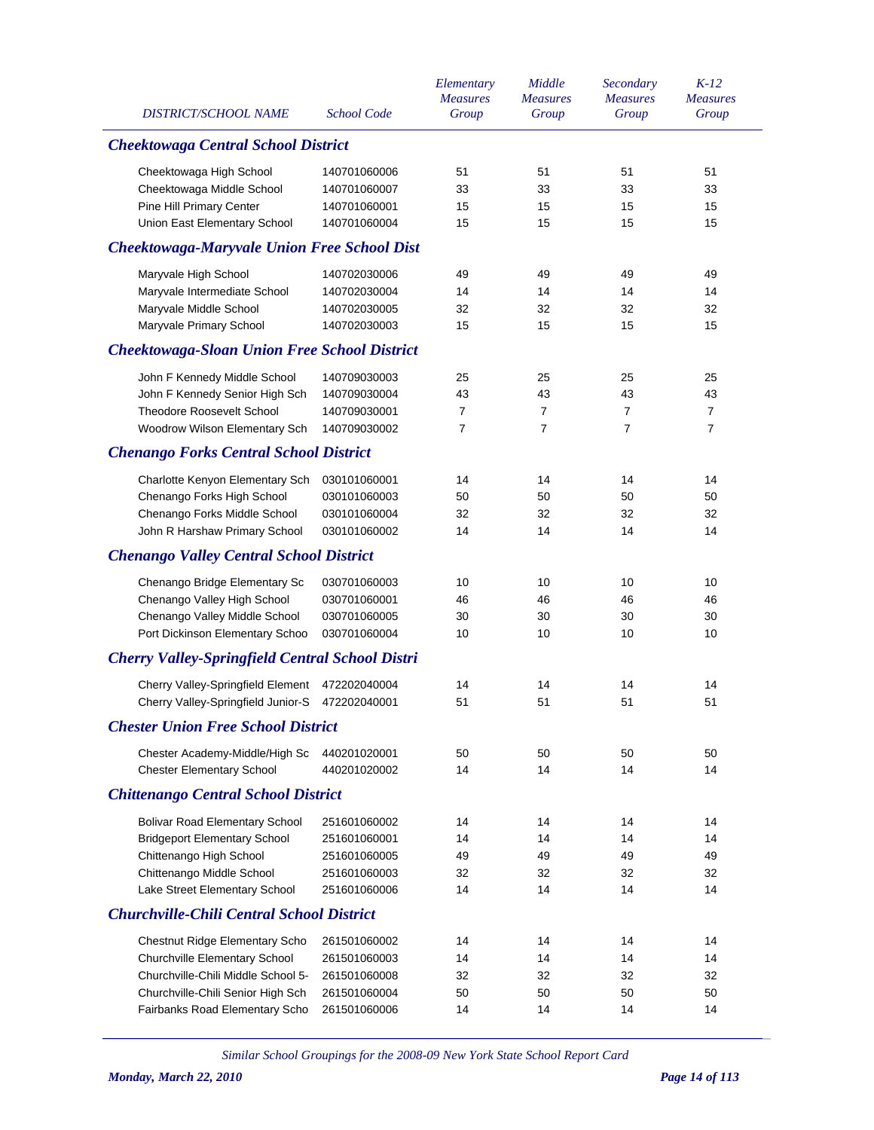| DISTRICT/SCHOOL NAME                                   | <b>School Code</b> | Elementary<br><b>Measures</b><br>Group | Middle<br><b>Measures</b><br>Group | Secondary<br><b>Measures</b><br>Group | $K-12$<br><b>Measures</b><br>Group |
|--------------------------------------------------------|--------------------|----------------------------------------|------------------------------------|---------------------------------------|------------------------------------|
| <b>Cheektowaga Central School District</b>             |                    |                                        |                                    |                                       |                                    |
| Cheektowaga High School                                | 140701060006       | 51                                     | 51                                 | 51                                    | 51                                 |
| Cheektowaga Middle School                              | 140701060007       | 33                                     | 33                                 | 33                                    | 33                                 |
| Pine Hill Primary Center                               | 140701060001       | 15                                     | 15                                 | 15                                    | 15                                 |
| Union East Elementary School                           | 140701060004       | 15                                     | 15                                 | 15                                    | 15                                 |
| <b>Cheektowaga-Maryvale Union Free School Dist</b>     |                    |                                        |                                    |                                       |                                    |
| Maryvale High School                                   | 140702030006       | 49                                     | 49                                 | 49                                    | 49                                 |
| Maryvale Intermediate School                           | 140702030004       | 14                                     | 14                                 | 14                                    | 14                                 |
| Maryvale Middle School                                 | 140702030005       | 32                                     | 32                                 | 32                                    | 32                                 |
| Maryvale Primary School                                | 140702030003       | 15                                     | 15                                 | 15                                    | 15                                 |
| <b>Cheektowaga-Sloan Union Free School District</b>    |                    |                                        |                                    |                                       |                                    |
| John F Kennedy Middle School                           | 140709030003       | 25                                     | 25                                 | 25                                    | 25                                 |
| John F Kennedy Senior High Sch                         | 140709030004       | 43                                     | 43                                 | 43                                    | 43                                 |
| <b>Theodore Roosevelt School</b>                       | 140709030001       | 7                                      | $\overline{7}$                     | $\overline{7}$                        | $\overline{7}$                     |
| Woodrow Wilson Elementary Sch                          | 140709030002       | 7                                      | $\overline{7}$                     | $\overline{7}$                        | $\overline{7}$                     |
| <b>Chenango Forks Central School District</b>          |                    |                                        |                                    |                                       |                                    |
| Charlotte Kenyon Elementary Sch                        | 030101060001       | 14                                     | 14                                 | 14                                    | 14                                 |
| Chenango Forks High School                             | 030101060003       | 50                                     | 50                                 | 50                                    | 50                                 |
| Chenango Forks Middle School                           | 030101060004       | 32                                     | 32                                 | 32                                    | 32                                 |
| John R Harshaw Primary School                          | 030101060002       | 14                                     | 14                                 | 14                                    | 14                                 |
| <b>Chenango Valley Central School District</b>         |                    |                                        |                                    |                                       |                                    |
| Chenango Bridge Elementary Sc                          | 030701060003       | 10                                     | 10                                 | 10                                    | 10                                 |
| Chenango Valley High School                            | 030701060001       | 46                                     | 46                                 | 46                                    | 46                                 |
| Chenango Valley Middle School                          | 030701060005       | 30                                     | 30                                 | 30                                    | 30                                 |
| Port Dickinson Elementary Schoo                        | 030701060004       | 10                                     | 10                                 | 10                                    | 10                                 |
| <b>Cherry Valley-Springfield Central School Distri</b> |                    |                                        |                                    |                                       |                                    |
| Cherry Valley-Springfield Element                      | 472202040004       | 14                                     | 14                                 | 14                                    | 14                                 |
| Cherry Valley-Springfield Junior-S                     | 472202040001       | 51                                     | 51                                 | 51                                    | 51                                 |
| <b>Chester Union Free School District</b>              |                    |                                        |                                    |                                       |                                    |
| Chester Academy-Middle/High Sc                         | 440201020001       | 50                                     | 50                                 | 50                                    | 50                                 |
| <b>Chester Elementary School</b>                       | 440201020002       | 14                                     | 14                                 | 14                                    | 14                                 |
| <b>Chittenango Central School District</b>             |                    |                                        |                                    |                                       |                                    |
| <b>Bolivar Road Elementary School</b>                  | 251601060002       | 14                                     | 14                                 | 14                                    | 14                                 |
| <b>Bridgeport Elementary School</b>                    | 251601060001       | 14                                     | 14                                 | 14                                    | 14                                 |
| Chittenango High School                                | 251601060005       | 49                                     | 49                                 | 49                                    | 49                                 |
| Chittenango Middle School                              | 251601060003       | 32                                     | 32                                 | 32                                    | 32                                 |
| Lake Street Elementary School                          | 251601060006       | 14                                     | 14                                 | 14                                    | 14                                 |
| <b>Churchville-Chili Central School District</b>       |                    |                                        |                                    |                                       |                                    |
| Chestnut Ridge Elementary Scho                         | 261501060002       | 14                                     | 14                                 | 14                                    | 14                                 |
| Churchville Elementary School                          | 261501060003       | 14                                     | 14                                 | 14                                    | 14                                 |
| Churchville-Chili Middle School 5-                     | 261501060008       | 32                                     | 32                                 | 32                                    | 32                                 |
| Churchville-Chili Senior High Sch                      | 261501060004       | 50                                     | 50                                 | 50                                    | 50                                 |
| Fairbanks Road Elementary Scho                         | 261501060006       | 14                                     | 14                                 | 14                                    | 14                                 |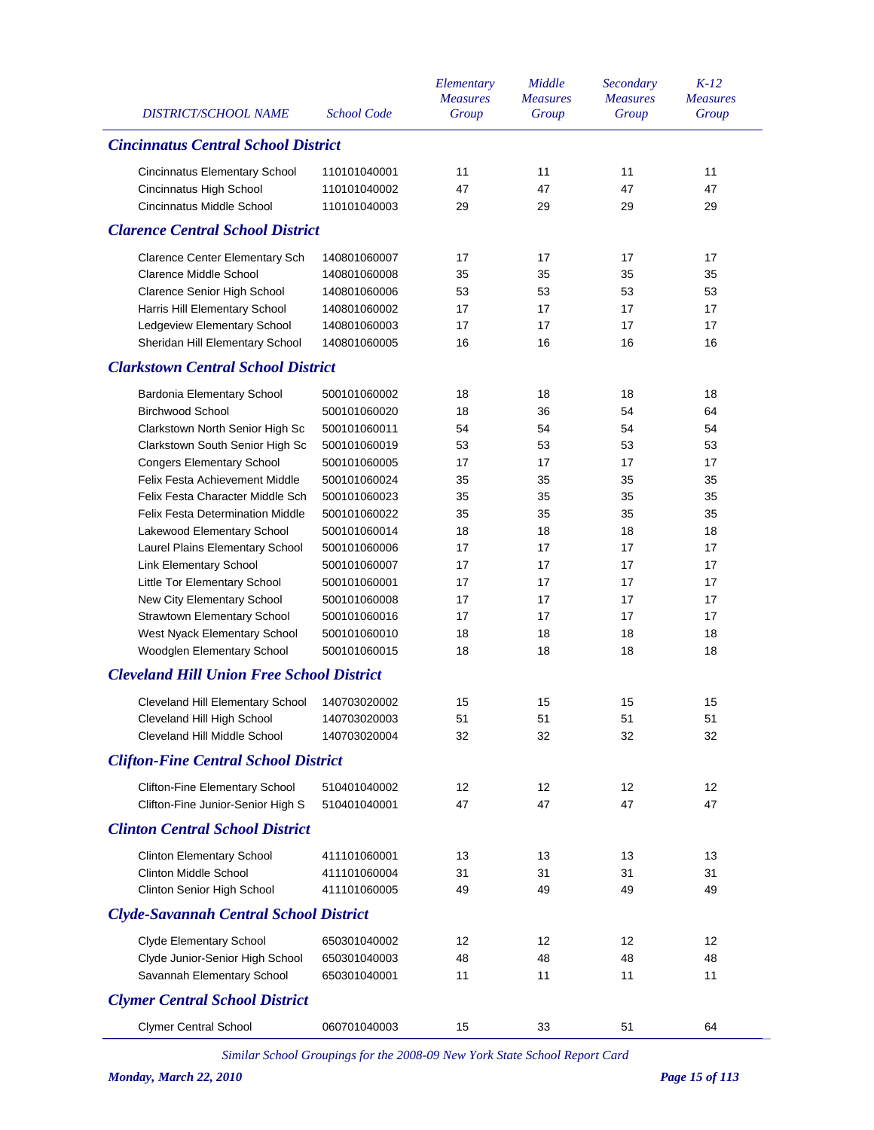| <b>DISTRICT/SCHOOL NAME</b>                      | <b>School Code</b> | Elementary<br><b>Measures</b><br>Group | Middle<br><b>Measures</b><br>Group | Secondary<br><b>Measures</b><br>Group | $K-12$<br><b>Measures</b><br>Group |
|--------------------------------------------------|--------------------|----------------------------------------|------------------------------------|---------------------------------------|------------------------------------|
| <b>Cincinnatus Central School District</b>       |                    |                                        |                                    |                                       |                                    |
| <b>Cincinnatus Elementary School</b>             | 110101040001       | 11                                     | 11                                 | 11                                    | 11                                 |
| Cincinnatus High School                          | 110101040002       | 47                                     | 47                                 | 47                                    | 47                                 |
| <b>Cincinnatus Middle School</b>                 | 110101040003       | 29                                     | 29                                 | 29                                    | 29                                 |
| <b>Clarence Central School District</b>          |                    |                                        |                                    |                                       |                                    |
| <b>Clarence Center Elementary Sch</b>            | 140801060007       | 17                                     | 17                                 | 17                                    | 17                                 |
| <b>Clarence Middle School</b>                    | 140801060008       | 35                                     | 35                                 | 35                                    | 35                                 |
| <b>Clarence Senior High School</b>               | 140801060006       | 53                                     | 53                                 | 53                                    | 53                                 |
| Harris Hill Elementary School                    | 140801060002       | 17                                     | 17                                 | 17                                    | 17                                 |
| Ledgeview Elementary School                      | 140801060003       | 17                                     | 17                                 | 17                                    | 17                                 |
| Sheridan Hill Elementary School                  | 140801060005       | 16                                     | 16                                 | 16                                    | 16                                 |
| <b>Clarkstown Central School District</b>        |                    |                                        |                                    |                                       |                                    |
| Bardonia Elementary School                       | 500101060002       | 18                                     | 18                                 | 18                                    | 18                                 |
| <b>Birchwood School</b>                          | 500101060020       | 18                                     | 36                                 | 54                                    | 64                                 |
| Clarkstown North Senior High Sc                  | 500101060011       | 54                                     | 54                                 | 54                                    | 54                                 |
| Clarkstown South Senior High Sc                  | 500101060019       | 53                                     | 53                                 | 53                                    | 53                                 |
| <b>Congers Elementary School</b>                 | 500101060005       | 17                                     | 17                                 | 17                                    | 17                                 |
| Felix Festa Achievement Middle                   | 500101060024       | 35                                     | 35                                 | 35                                    | 35                                 |
| Felix Festa Character Middle Sch                 | 500101060023       | 35                                     | 35                                 | 35                                    | 35                                 |
| <b>Felix Festa Determination Middle</b>          | 500101060022       | 35                                     | 35                                 | 35                                    | 35                                 |
| Lakewood Elementary School                       | 500101060014       | 18                                     | 18                                 | 18                                    | 18                                 |
| Laurel Plains Elementary School                  | 500101060006       | 17                                     | 17                                 | 17                                    | 17                                 |
| Link Elementary School                           | 500101060007       | 17                                     | 17                                 | 17                                    | 17                                 |
| Little Tor Elementary School                     | 500101060001       | 17                                     | 17                                 | 17                                    | 17                                 |
| New City Elementary School                       | 500101060008       | 17                                     | 17                                 | 17                                    | 17                                 |
| Strawtown Elementary School                      | 500101060016       | 17                                     | 17                                 | 17                                    | 17                                 |
| West Nyack Elementary School                     | 500101060010       | 18                                     | 18                                 | 18                                    | 18                                 |
| Woodglen Elementary School                       | 500101060015       | 18                                     | 18                                 | 18                                    | 18                                 |
| <b>Cleveland Hill Union Free School District</b> |                    |                                        |                                    |                                       |                                    |
| Cleveland Hill Elementary School                 | 140703020002       | 15                                     | 15                                 | 15                                    | 15                                 |
| Cleveland Hill High School                       | 140703020003       | 51                                     | 51                                 | 51                                    | 51                                 |
| Cleveland Hill Middle School                     | 140703020004       | 32                                     | 32                                 | 32                                    | 32                                 |
| <b>Clifton-Fine Central School District</b>      |                    |                                        |                                    |                                       |                                    |
| Clifton-Fine Elementary School                   | 510401040002       | 12                                     | 12                                 | 12                                    | 12                                 |
| Clifton-Fine Junior-Senior High S                | 510401040001       | 47                                     | 47                                 | 47                                    | 47                                 |
| <b>Clinton Central School District</b>           |                    |                                        |                                    |                                       |                                    |
| <b>Clinton Elementary School</b>                 | 411101060001       | 13                                     | 13                                 | 13                                    | 13                                 |
| <b>Clinton Middle School</b>                     | 411101060004       | 31                                     | 31                                 | 31                                    | 31                                 |
| Clinton Senior High School                       | 411101060005       | 49                                     | 49                                 | 49                                    | 49                                 |
| <b>Clyde-Savannah Central School District</b>    |                    |                                        |                                    |                                       |                                    |
| <b>Clyde Elementary School</b>                   | 650301040002       | 12                                     | 12                                 | 12                                    | 12                                 |
| Clyde Junior-Senior High School                  | 650301040003       | 48                                     | 48                                 | 48                                    | 48                                 |
| Savannah Elementary School                       | 650301040001       | 11                                     | 11                                 | 11                                    | 11                                 |
| <b>Clymer Central School District</b>            |                    |                                        |                                    |                                       |                                    |
|                                                  |                    |                                        |                                    |                                       |                                    |
| <b>Clymer Central School</b>                     | 060701040003       | 15                                     | 33                                 | 51                                    | 64                                 |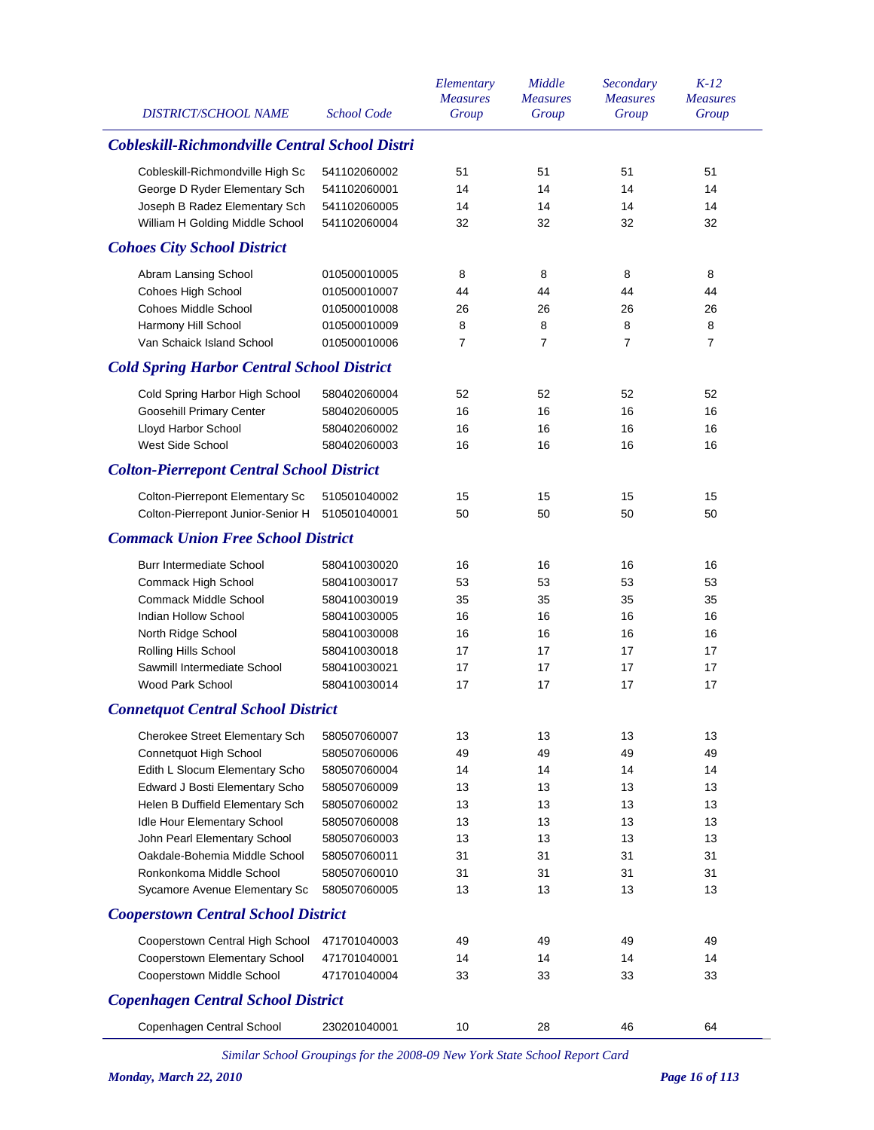| <b>DISTRICT/SCHOOL NAME</b>                       | <b>School Code</b> | Elementary<br><b>Measures</b><br>Group | Middle<br><b>Measures</b><br>Group | Secondary<br><b>Measures</b><br>Group | $K-12$<br><b>Measures</b><br>Group |
|---------------------------------------------------|--------------------|----------------------------------------|------------------------------------|---------------------------------------|------------------------------------|
| Cobleskill-Richmondville Central School Distri    |                    |                                        |                                    |                                       |                                    |
| Cobleskill-Richmondville High Sc                  | 541102060002       | 51                                     | 51                                 | 51                                    | 51                                 |
| George D Ryder Elementary Sch                     | 541102060001       | 14                                     | 14                                 | 14                                    | 14                                 |
| Joseph B Radez Elementary Sch                     | 541102060005       | 14                                     | 14                                 | 14                                    | 14                                 |
| William H Golding Middle School                   | 541102060004       | 32                                     | 32                                 | 32                                    | 32                                 |
| <b>Cohoes City School District</b>                |                    |                                        |                                    |                                       |                                    |
| Abram Lansing School                              | 010500010005       | 8                                      | 8                                  | 8                                     | 8                                  |
| Cohoes High School                                | 010500010007       | 44                                     | 44                                 | 44                                    | 44                                 |
| <b>Cohoes Middle School</b>                       | 010500010008       | 26                                     | 26                                 | 26                                    | 26                                 |
| Harmony Hill School                               | 010500010009       | 8                                      | 8                                  | 8                                     | 8                                  |
| Van Schaick Island School                         | 010500010006       | 7                                      | $\overline{7}$                     | $\overline{7}$                        | 7                                  |
| <b>Cold Spring Harbor Central School District</b> |                    |                                        |                                    |                                       |                                    |
| Cold Spring Harbor High School                    | 580402060004       | 52                                     | 52                                 | 52                                    | 52                                 |
| Goosehill Primary Center                          | 580402060005       | 16                                     | 16                                 | 16                                    | 16                                 |
| Lloyd Harbor School                               | 580402060002       | 16                                     | 16                                 | 16                                    | 16                                 |
| West Side School                                  | 580402060003       | 16                                     | 16                                 | 16                                    | 16                                 |
| <b>Colton-Pierrepont Central School District</b>  |                    |                                        |                                    |                                       |                                    |
| Colton-Pierrepont Elementary Sc                   | 510501040002       | 15                                     | 15                                 | 15                                    | 15                                 |
| Colton-Pierrepont Junior-Senior H                 | 510501040001       | 50                                     | 50                                 | 50                                    | 50                                 |
| <b>Commack Union Free School District</b>         |                    |                                        |                                    |                                       |                                    |
| Burr Intermediate School                          | 580410030020       | 16                                     | 16                                 | 16                                    | 16                                 |
| Commack High School                               | 580410030017       | 53                                     | 53                                 | 53                                    | 53                                 |
| <b>Commack Middle School</b>                      | 580410030019       | 35                                     | 35                                 | 35                                    | 35                                 |
| Indian Hollow School                              | 580410030005       | 16                                     | 16                                 | 16                                    | 16                                 |
| North Ridge School                                | 580410030008       | 16                                     | 16                                 | 16                                    | 16                                 |
| Rolling Hills School                              | 580410030018       | 17                                     | 17                                 | 17                                    | 17                                 |
| Sawmill Intermediate School                       | 580410030021       | 17                                     | 17                                 | 17                                    | 17                                 |
| Wood Park School                                  | 580410030014       | 17                                     | 17                                 | 17                                    | 17                                 |
| <b>Connetquot Central School District</b>         |                    |                                        |                                    |                                       |                                    |
| Cherokee Street Elementary Sch                    | 580507060007       | 13                                     | 13                                 | 13                                    | 13                                 |
| Connetquot High School                            | 580507060006       | 49                                     | 49                                 | 49                                    | 49                                 |
| Edith L Slocum Elementary Scho                    | 580507060004       | 14                                     | 14                                 | 14                                    | 14                                 |
| Edward J Bosti Elementary Scho                    | 580507060009       | 13                                     | 13                                 | 13                                    | 13                                 |
| Helen B Duffield Elementary Sch                   | 580507060002       | 13                                     | 13                                 | 13                                    | 13                                 |
| Idle Hour Elementary School                       | 580507060008       | 13                                     | 13                                 | 13                                    | 13                                 |
| John Pearl Elementary School                      | 580507060003       | 13                                     | 13                                 | 13                                    | 13                                 |
| Oakdale-Bohemia Middle School                     | 580507060011       | 31                                     | 31                                 | 31                                    | 31                                 |
| Ronkonkoma Middle School                          | 580507060010       | 31                                     | 31                                 | 31                                    | 31                                 |
| Sycamore Avenue Elementary Sc                     | 580507060005       | 13                                     | 13                                 | 13                                    | 13                                 |
| <b>Cooperstown Central School District</b>        |                    |                                        |                                    |                                       |                                    |
| Cooperstown Central High School                   | 471701040003       | 49                                     | 49                                 | 49                                    | 49                                 |
| Cooperstown Elementary School                     | 471701040001       | 14                                     | 14                                 | 14                                    | 14                                 |
| Cooperstown Middle School                         | 471701040004       | 33                                     | 33                                 | 33                                    | 33                                 |
| <b>Copenhagen Central School District</b>         |                    |                                        |                                    |                                       |                                    |
| Copenhagen Central School                         | 230201040001       | 10                                     | 28                                 | 46                                    | 64                                 |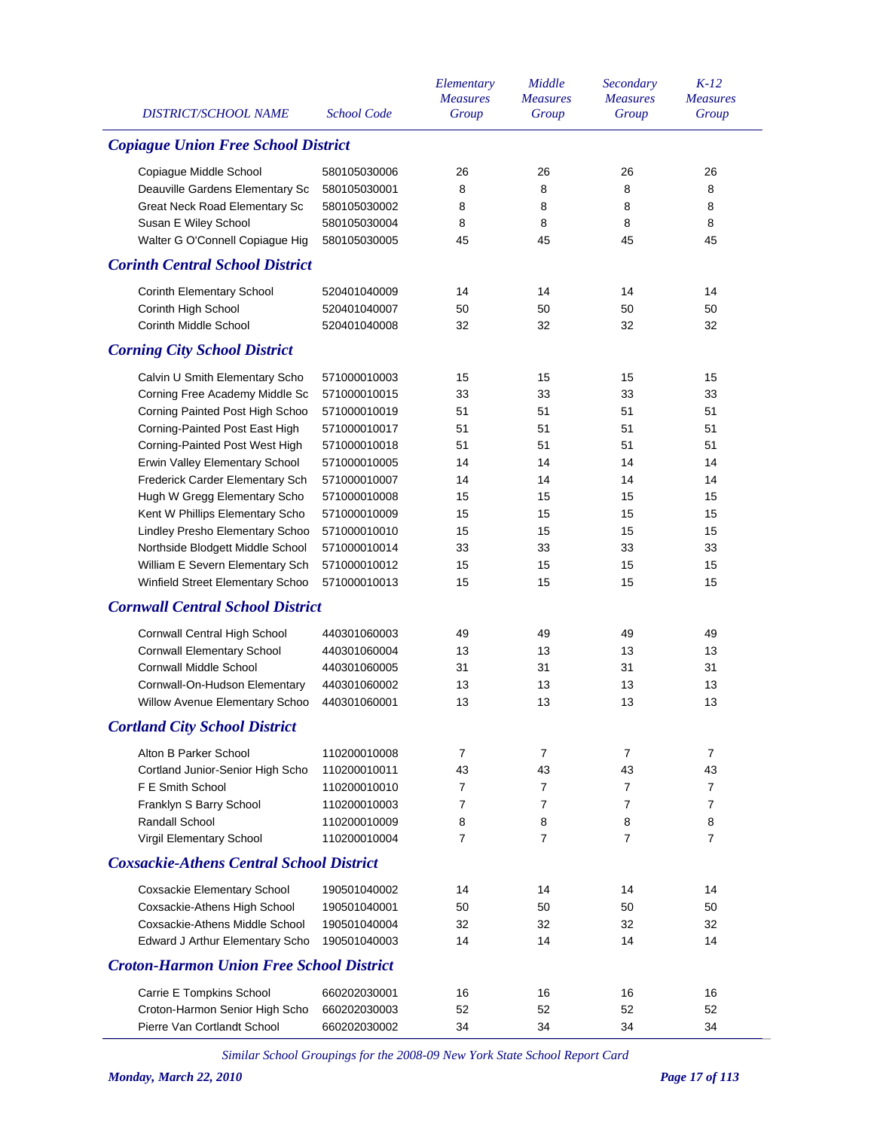| <b>DISTRICT/SCHOOL NAME</b>                     | <b>School Code</b> | Elementary<br><b>Measures</b><br>Group | Middle<br><b>Measures</b><br>Group | Secondary<br><b>Measures</b><br>Group | $K-12$<br><b>Measures</b><br>Group |
|-------------------------------------------------|--------------------|----------------------------------------|------------------------------------|---------------------------------------|------------------------------------|
| <b>Copiague Union Free School District</b>      |                    |                                        |                                    |                                       |                                    |
| Copiague Middle School                          | 580105030006       | 26                                     | 26                                 | 26                                    | 26                                 |
| Deauville Gardens Elementary Sc                 | 580105030001       | 8                                      | 8                                  | 8                                     | 8                                  |
| Great Neck Road Elementary Sc                   | 580105030002       | 8                                      | 8                                  | 8                                     | 8                                  |
| Susan E Wiley School                            | 580105030004       | 8                                      | 8                                  | 8                                     | 8                                  |
| Walter G O'Connell Copiague Hig                 | 580105030005       | 45                                     | 45                                 | 45                                    | 45                                 |
| <b>Corinth Central School District</b>          |                    |                                        |                                    |                                       |                                    |
| <b>Corinth Elementary School</b>                | 520401040009       | 14                                     | 14                                 | 14                                    | 14                                 |
| Corinth High School                             | 520401040007       | 50                                     | 50                                 | 50                                    | 50                                 |
| <b>Corinth Middle School</b>                    | 520401040008       | 32                                     | 32                                 | 32                                    | 32                                 |
| <b>Corning City School District</b>             |                    |                                        |                                    |                                       |                                    |
| Calvin U Smith Elementary Scho                  | 571000010003       | 15                                     | 15                                 | 15                                    | 15                                 |
| Corning Free Academy Middle Sc                  | 571000010015       | 33                                     | 33                                 | 33                                    | 33                                 |
| Corning Painted Post High Schoo                 | 571000010019       | 51                                     | 51                                 | 51                                    | 51                                 |
| Corning-Painted Post East High                  | 571000010017       | 51                                     | 51                                 | 51                                    | 51                                 |
| Corning-Painted Post West High                  | 571000010018       | 51                                     | 51                                 | 51                                    | 51                                 |
| Erwin Valley Elementary School                  | 571000010005       | 14                                     | 14                                 | 14                                    | 14                                 |
| Frederick Carder Elementary Sch                 | 571000010007       | 14                                     | 14                                 | 14                                    | 14                                 |
| Hugh W Gregg Elementary Scho                    | 571000010008       | 15                                     | 15                                 | 15                                    | 15                                 |
| Kent W Phillips Elementary Scho                 | 571000010009       | 15                                     | 15                                 | 15                                    | 15                                 |
| Lindley Presho Elementary Schoo                 | 571000010010       | 15                                     | 15                                 | 15                                    | 15                                 |
| Northside Blodgett Middle School                | 571000010014       | 33                                     | 33                                 | 33                                    | 33                                 |
| William E Severn Elementary Sch                 | 571000010012       | 15                                     | 15                                 | 15                                    | 15                                 |
| Winfield Street Elementary Schoo                | 571000010013       | 15                                     | 15                                 | 15                                    | 15                                 |
| <b>Cornwall Central School District</b>         |                    |                                        |                                    |                                       |                                    |
| Cornwall Central High School                    | 440301060003       | 49                                     | 49                                 | 49                                    | 49                                 |
| <b>Cornwall Elementary School</b>               | 440301060004       | 13                                     | 13                                 | 13                                    | 13                                 |
| <b>Cornwall Middle School</b>                   | 440301060005       | 31                                     | 31                                 | 31                                    | 31                                 |
| Cornwall-On-Hudson Elementary                   | 440301060002       | 13                                     | 13                                 | 13                                    | 13                                 |
| Willow Avenue Elementary Schoo                  | 440301060001       | 13                                     | 13                                 | 13                                    | 13                                 |
| <b>Cortland City School District</b>            |                    |                                        |                                    |                                       |                                    |
| Alton B Parker School                           | 110200010008       | 7                                      | 7                                  | $\overline{7}$                        | 7                                  |
| Cortland Junior-Senior High Scho                | 110200010011       | 43                                     | 43                                 | 43                                    | 43                                 |
| F E Smith School                                | 110200010010       | 7                                      | 7                                  | $\overline{7}$                        | $\overline{7}$                     |
| Franklyn S Barry School                         | 110200010003       | $\overline{7}$                         | 7                                  | $\overline{7}$                        | $\overline{7}$                     |
| Randall School                                  | 110200010009       | 8                                      | 8                                  | 8                                     | 8                                  |
| Virgil Elementary School                        | 110200010004       | 7                                      | 7                                  | $\overline{7}$                        | $\overline{7}$                     |
| <b>Coxsackie-Athens Central School District</b> |                    |                                        |                                    |                                       |                                    |
| Coxsackie Elementary School                     | 190501040002       | 14                                     | 14                                 | 14                                    | 14                                 |
| Coxsackie-Athens High School                    | 190501040001       | 50                                     | 50                                 | 50                                    | 50                                 |
| Coxsackie-Athens Middle School                  | 190501040004       | 32                                     | 32                                 | 32                                    | 32                                 |
| Edward J Arthur Elementary Scho                 | 190501040003       | 14                                     | 14                                 | 14                                    | 14                                 |
| <b>Croton-Harmon Union Free School District</b> |                    |                                        |                                    |                                       |                                    |
| Carrie E Tompkins School                        | 660202030001       | 16                                     | 16                                 | 16                                    | 16                                 |
| Croton-Harmon Senior High Scho                  | 660202030003       | 52                                     | 52                                 | 52                                    | 52                                 |
| Pierre Van Cortlandt School                     | 660202030002       | 34                                     | 34                                 | 34                                    | 34                                 |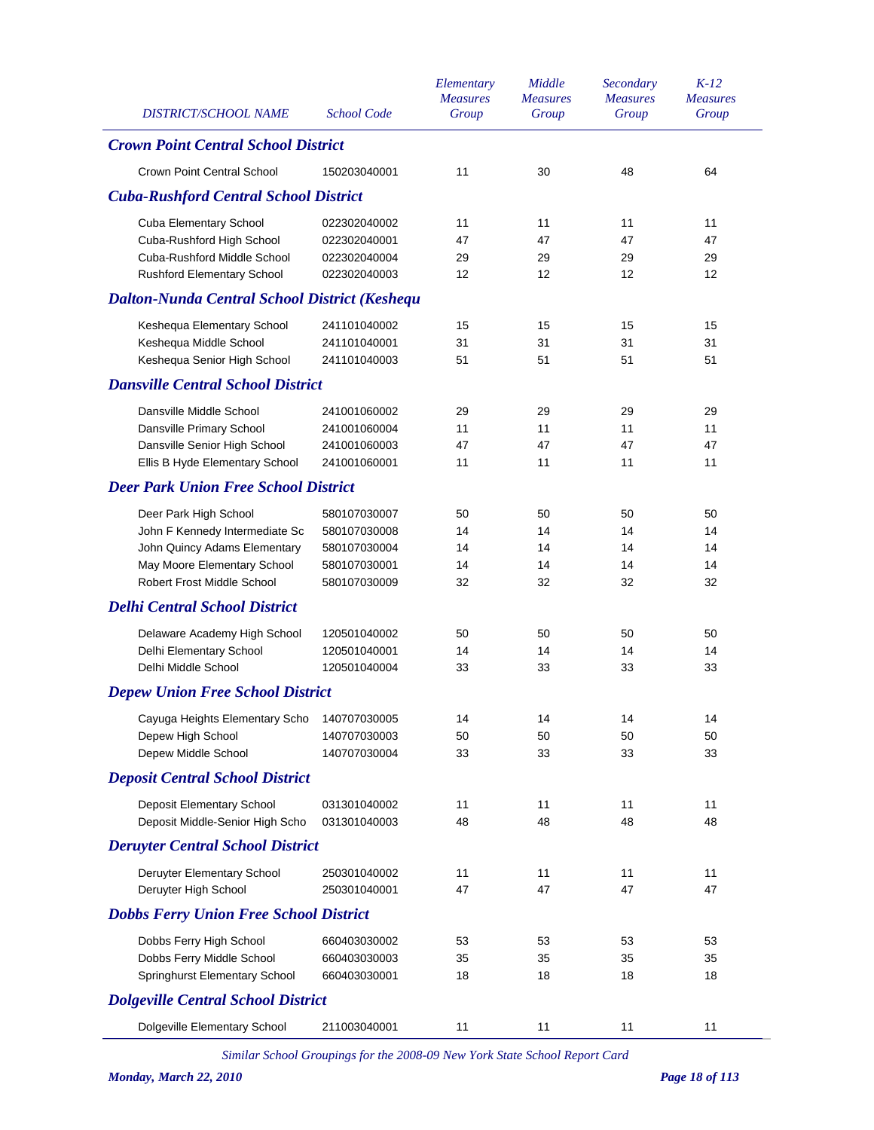| DISTRICT/SCHOOL NAME                                 | <b>School Code</b> | Elementary<br><b>Measures</b><br>Group | Middle<br><b>Measures</b><br>Group | Secondary<br><b>Measures</b><br>Group | $K-12$<br><b>Measures</b><br>Group |
|------------------------------------------------------|--------------------|----------------------------------------|------------------------------------|---------------------------------------|------------------------------------|
| <b>Crown Point Central School District</b>           |                    |                                        |                                    |                                       |                                    |
| <b>Crown Point Central School</b>                    | 150203040001       | 11                                     | 30                                 | 48                                    | 64                                 |
| <b>Cuba-Rushford Central School District</b>         |                    |                                        |                                    |                                       |                                    |
| Cuba Elementary School                               | 022302040002       | 11                                     | 11                                 | 11                                    | 11                                 |
| Cuba-Rushford High School                            | 022302040001       | 47                                     | 47                                 | 47                                    | 47                                 |
| Cuba-Rushford Middle School                          | 022302040004       | 29                                     | 29                                 | 29                                    | 29                                 |
| <b>Rushford Elementary School</b>                    | 022302040003       | 12                                     | 12                                 | 12                                    | 12                                 |
| <b>Dalton-Nunda Central School District (Keshequ</b> |                    |                                        |                                    |                                       |                                    |
| Keshequa Elementary School                           | 241101040002       | 15                                     | 15                                 | 15                                    | 15                                 |
| Keshequa Middle School                               | 241101040001       | 31                                     | 31                                 | 31                                    | 31                                 |
| Keshequa Senior High School                          | 241101040003       | 51                                     | 51                                 | 51                                    | 51                                 |
| <b>Dansville Central School District</b>             |                    |                                        |                                    |                                       |                                    |
| Dansville Middle School                              | 241001060002       | 29                                     | 29                                 | 29                                    | 29                                 |
| Dansville Primary School                             | 241001060004       | 11                                     | 11                                 | 11                                    | 11                                 |
| Dansville Senior High School                         | 241001060003       | 47                                     | 47                                 | 47                                    | 47                                 |
| Ellis B Hyde Elementary School                       | 241001060001       | 11                                     | 11                                 | 11                                    | 11                                 |
| <b>Deer Park Union Free School District</b>          |                    |                                        |                                    |                                       |                                    |
| Deer Park High School                                | 580107030007       | 50                                     | 50                                 | 50                                    | 50                                 |
| John F Kennedy Intermediate Sc                       | 580107030008       | 14                                     | 14                                 | 14                                    | 14                                 |
| John Quincy Adams Elementary                         | 580107030004       | 14                                     | 14                                 | 14                                    | 14                                 |
| May Moore Elementary School                          | 580107030001       | 14                                     | 14                                 | 14                                    | 14                                 |
| <b>Robert Frost Middle School</b>                    | 580107030009       | 32                                     | 32                                 | 32                                    | 32                                 |
| <b>Delhi Central School District</b>                 |                    |                                        |                                    |                                       |                                    |
| Delaware Academy High School                         | 120501040002       | 50                                     | 50                                 | 50                                    | 50                                 |
| Delhi Elementary School                              | 120501040001       | 14                                     | 14                                 | 14                                    | 14                                 |
| Delhi Middle School                                  | 120501040004       | 33                                     | 33                                 | 33                                    | 33                                 |
| <b>Depew Union Free School District</b>              |                    |                                        |                                    |                                       |                                    |
| Cayuga Heights Elementary Scho 140707030005          |                    | 14                                     | 14                                 | 14                                    | 14                                 |
| Depew High School                                    | 140707030003       | 50                                     | 50                                 | 50                                    | 50                                 |
| Depew Middle School                                  | 140707030004       | 33                                     | 33                                 | 33                                    | 33                                 |
| <b>Deposit Central School District</b>               |                    |                                        |                                    |                                       |                                    |
| Deposit Elementary School                            | 031301040002       | 11                                     | 11                                 | 11                                    | 11                                 |
| Deposit Middle-Senior High Scho                      | 031301040003       | 48                                     | 48                                 | 48                                    | 48                                 |
| <b>Deruyter Central School District</b>              |                    |                                        |                                    |                                       |                                    |
| Deruyter Elementary School                           | 250301040002       | 11                                     | 11                                 | 11                                    | 11                                 |
| Deruyter High School                                 | 250301040001       | 47                                     | 47                                 | 47                                    | 47                                 |
| <b>Dobbs Ferry Union Free School District</b>        |                    |                                        |                                    |                                       |                                    |
| Dobbs Ferry High School                              | 660403030002       | 53                                     | 53                                 | 53                                    | 53                                 |
| Dobbs Ferry Middle School                            | 660403030003       | 35                                     | 35                                 | 35                                    | 35                                 |
| Springhurst Elementary School                        | 660403030001       | 18                                     | 18                                 | 18                                    | 18                                 |
| <b>Dolgeville Central School District</b>            |                    |                                        |                                    |                                       |                                    |
| Dolgeville Elementary School                         | 211003040001       | 11                                     | 11                                 | 11                                    | 11                                 |
|                                                      |                    |                                        |                                    |                                       |                                    |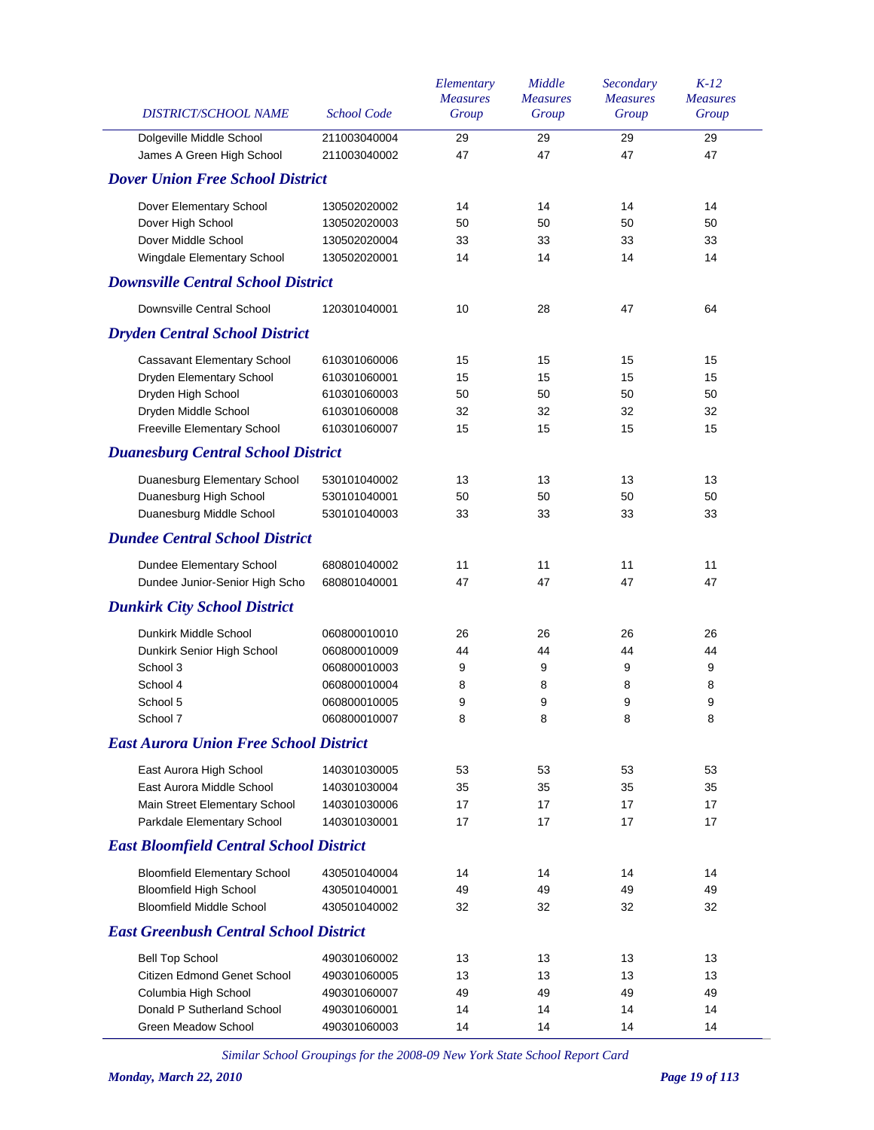| DISTRICT/SCHOOL NAME                           | <b>School Code</b> | Elementary<br><b>Measures</b><br>Group | Middle<br><b>Measures</b><br>Group | Secondary<br><b>Measures</b><br>Group | $K-12$<br><b>Measures</b><br>Group |
|------------------------------------------------|--------------------|----------------------------------------|------------------------------------|---------------------------------------|------------------------------------|
| Dolgeville Middle School                       | 211003040004       | 29                                     | 29                                 | 29                                    | 29                                 |
| James A Green High School                      | 211003040002       | 47                                     | 47                                 | 47                                    | 47                                 |
| <b>Dover Union Free School District</b>        |                    |                                        |                                    |                                       |                                    |
| Dover Elementary School                        | 130502020002       | 14                                     | 14                                 | 14                                    | 14                                 |
| Dover High School                              | 130502020003       | 50                                     | 50                                 | 50                                    | 50                                 |
| Dover Middle School                            | 130502020004       | 33                                     | 33                                 | 33                                    | 33                                 |
| Wingdale Elementary School                     | 130502020001       | 14                                     | 14                                 | 14                                    | 14                                 |
| <b>Downsville Central School District</b>      |                    |                                        |                                    |                                       |                                    |
| Downsville Central School                      | 120301040001       | 10                                     | 28                                 | 47                                    | 64                                 |
| <b>Dryden Central School District</b>          |                    |                                        |                                    |                                       |                                    |
| Cassavant Elementary School                    | 610301060006       | 15                                     | 15                                 | 15                                    | 15                                 |
| Dryden Elementary School                       | 610301060001       | 15                                     | 15                                 | 15                                    | 15                                 |
| Dryden High School                             | 610301060003       | 50                                     | 50                                 | 50                                    | 50                                 |
| Dryden Middle School                           | 610301060008       | 32                                     | 32                                 | 32                                    | 32                                 |
| Freeville Elementary School                    | 610301060007       | 15                                     | 15                                 | 15                                    | 15                                 |
| <b>Duanesburg Central School District</b>      |                    |                                        |                                    |                                       |                                    |
| Duanesburg Elementary School                   | 530101040002       | 13                                     | 13                                 | 13                                    | 13                                 |
| Duanesburg High School                         | 530101040001       | 50                                     | 50                                 | 50                                    | 50                                 |
| Duanesburg Middle School                       | 530101040003       | 33                                     | 33                                 | 33                                    | 33                                 |
| <b>Dundee Central School District</b>          |                    |                                        |                                    |                                       |                                    |
| Dundee Elementary School                       | 680801040002       | 11                                     | 11                                 | 11                                    | 11                                 |
| Dundee Junior-Senior High Scho                 | 680801040001       | 47                                     | 47                                 | 47                                    | 47                                 |
| <b>Dunkirk City School District</b>            |                    |                                        |                                    |                                       |                                    |
| Dunkirk Middle School                          | 060800010010       | 26                                     | 26                                 | 26                                    | 26                                 |
| Dunkirk Senior High School                     | 060800010009       | 44                                     | 44                                 | 44                                    | 44                                 |
| School 3                                       | 060800010003       | 9                                      | 9                                  | 9                                     | 9                                  |
| School 4                                       | 060800010004       | 8                                      | 8                                  | 8                                     | 8                                  |
| School 5                                       | 060800010005       | 9                                      | 9                                  | 9                                     | 9                                  |
| School 7                                       | 060800010007       | 8                                      | 8                                  | 8                                     | 8                                  |
| <b>East Aurora Union Free School District</b>  |                    |                                        |                                    |                                       |                                    |
| East Aurora High School                        | 140301030005       | 53                                     | 53                                 | 53                                    | 53                                 |
| East Aurora Middle School                      | 140301030004       | 35                                     | 35                                 | 35                                    | 35                                 |
| Main Street Elementary School                  | 140301030006       | 17                                     | 17                                 | 17                                    | 17                                 |
| Parkdale Elementary School                     | 140301030001       | 17                                     | 17                                 | 17                                    | 17                                 |
| <b>East Bloomfield Central School District</b> |                    |                                        |                                    |                                       |                                    |
| <b>Bloomfield Elementary School</b>            | 430501040004       | 14                                     | 14                                 | 14                                    | 14                                 |
| <b>Bloomfield High School</b>                  | 430501040001       | 49                                     | 49                                 | 49                                    | 49                                 |
| <b>Bloomfield Middle School</b>                | 430501040002       | 32                                     | 32                                 | 32                                    | 32                                 |
| <b>East Greenbush Central School District</b>  |                    |                                        |                                    |                                       |                                    |
| <b>Bell Top School</b>                         | 490301060002       | 13                                     | 13                                 | 13                                    | 13                                 |
| Citizen Edmond Genet School                    | 490301060005       | 13                                     | 13                                 | 13                                    | 13                                 |
| Columbia High School                           | 490301060007       | 49                                     | 49                                 | 49                                    | 49                                 |
| Donald P Sutherland School                     | 490301060001       | 14                                     | 14                                 | 14                                    | 14                                 |
| Green Meadow School                            | 490301060003       | 14                                     | 14                                 | 14                                    | 14                                 |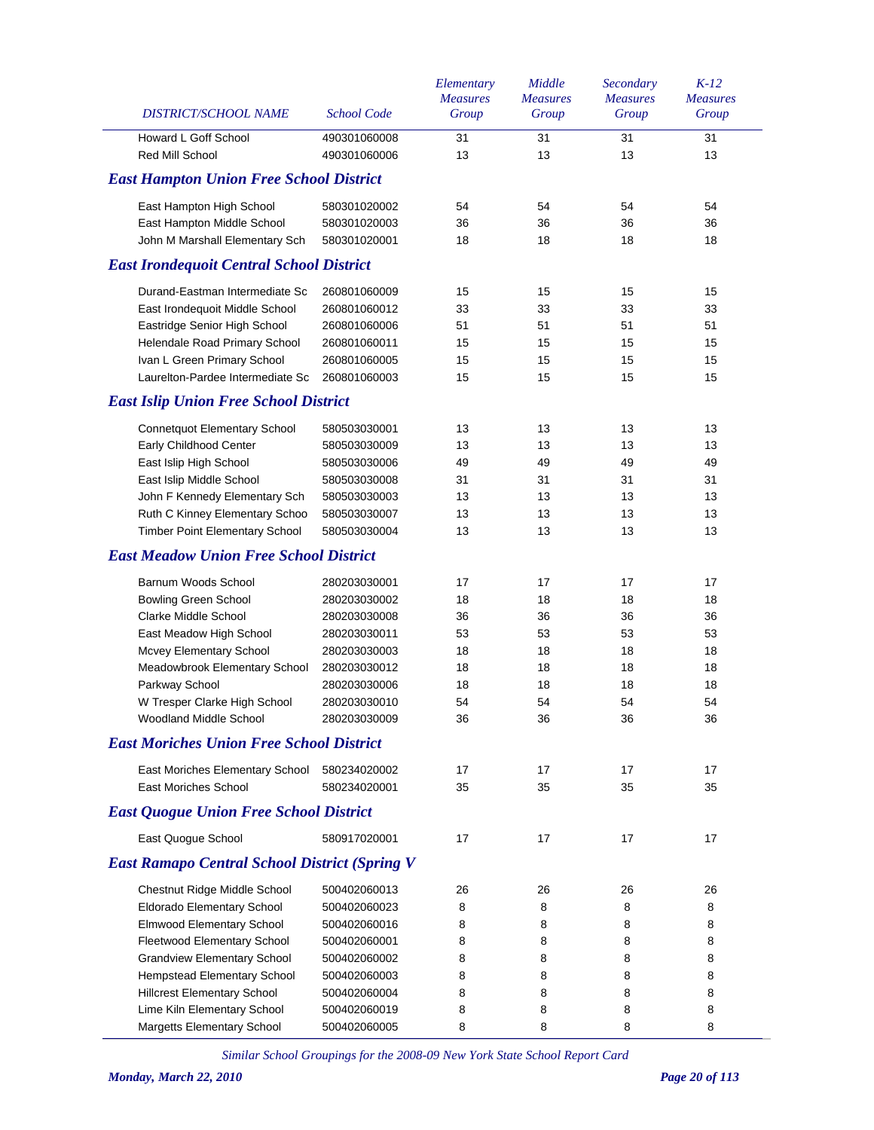| DISTRICT/SCHOOL NAME                                 | <b>School Code</b> | Elementary<br><b>Measures</b><br>Group | Middle<br><b>Measures</b><br>Group | Secondary<br><b>Measures</b><br>Group | $K-12$<br><b>Measures</b><br>Group |
|------------------------------------------------------|--------------------|----------------------------------------|------------------------------------|---------------------------------------|------------------------------------|
| Howard L Goff School                                 | 490301060008       | 31                                     | 31                                 | 31                                    | 31                                 |
| Red Mill School                                      | 490301060006       | 13                                     | 13                                 | 13                                    | 13                                 |
| <b>East Hampton Union Free School District</b>       |                    |                                        |                                    |                                       |                                    |
| East Hampton High School                             | 580301020002       | 54                                     | 54                                 | 54                                    | 54                                 |
| East Hampton Middle School                           | 580301020003       | 36                                     | 36                                 | 36                                    | 36                                 |
| John M Marshall Elementary Sch                       | 580301020001       | 18                                     | 18                                 | 18                                    | 18                                 |
| <b>East Irondequoit Central School District</b>      |                    |                                        |                                    |                                       |                                    |
| Durand-Eastman Intermediate Sc                       | 260801060009       | 15                                     | 15                                 | 15                                    | 15                                 |
| East Irondequoit Middle School                       | 260801060012       | 33                                     | 33                                 | 33                                    | 33                                 |
| Eastridge Senior High School                         | 260801060006       | 51                                     | 51                                 | 51                                    | 51                                 |
| Helendale Road Primary School                        | 260801060011       | 15                                     | 15                                 | 15                                    | 15                                 |
| Ivan L Green Primary School                          | 260801060005       | 15                                     | 15                                 | 15                                    | 15                                 |
| Laurelton-Pardee Intermediate Sc                     | 260801060003       | 15                                     | 15                                 | 15                                    | 15                                 |
| <b>East Islip Union Free School District</b>         |                    |                                        |                                    |                                       |                                    |
| Connetquot Elementary School                         | 580503030001       | 13                                     | 13                                 | 13                                    | 13                                 |
| Early Childhood Center                               | 580503030009       | 13                                     | 13                                 | 13                                    | 13                                 |
| East Islip High School                               | 580503030006       | 49                                     | 49                                 | 49                                    | 49                                 |
| East Islip Middle School                             | 580503030008       | 31                                     | 31                                 | 31                                    | 31                                 |
| John F Kennedy Elementary Sch                        | 580503030003       | 13                                     | 13                                 | 13                                    | 13                                 |
| Ruth C Kinney Elementary Schoo                       | 580503030007       | 13                                     | 13                                 | 13                                    | 13                                 |
| <b>Timber Point Elementary School</b>                | 580503030004       | 13                                     | 13                                 | 13                                    | 13                                 |
| <b>East Meadow Union Free School District</b>        |                    |                                        |                                    |                                       |                                    |
| Barnum Woods School                                  | 280203030001       | 17                                     | 17                                 | 17                                    | 17                                 |
| <b>Bowling Green School</b>                          | 280203030002       | 18                                     | 18                                 | 18                                    | 18                                 |
| <b>Clarke Middle School</b>                          | 280203030008       | 36                                     | 36                                 | 36                                    | 36                                 |
| East Meadow High School                              | 280203030011       | 53                                     | 53                                 | 53                                    | 53                                 |
| Mcvey Elementary School                              | 280203030003       | 18                                     | 18                                 | 18                                    | 18                                 |
| Meadowbrook Elementary School                        | 280203030012       | 18                                     | 18                                 | 18                                    | 18                                 |
| Parkway School                                       | 280203030006       | 18                                     | 18                                 | 18                                    | 18                                 |
| W Tresper Clarke High School                         | 280203030010       | 54                                     | 54                                 | 54                                    | 54                                 |
| Woodland Middle School                               | 280203030009       | 36                                     | 36                                 | 36                                    | 36                                 |
| <b>East Moriches Union Free School District</b>      |                    |                                        |                                    |                                       |                                    |
| East Moriches Elementary School                      | 580234020002       | 17                                     | 17                                 | 17                                    | 17                                 |
| East Moriches School                                 | 580234020001       | 35                                     | 35                                 | 35                                    | 35                                 |
| <b>East Quogue Union Free School District</b>        |                    |                                        |                                    |                                       |                                    |
| East Quogue School                                   | 580917020001       | 17                                     | 17                                 | 17                                    | 17                                 |
| <b>East Ramapo Central School District (Spring V</b> |                    |                                        |                                    |                                       |                                    |
| Chestnut Ridge Middle School                         | 500402060013       | 26                                     | 26                                 | 26                                    | 26                                 |
| Eldorado Elementary School                           | 500402060023       | 8                                      | 8                                  | 8                                     | 8                                  |
| Elmwood Elementary School                            | 500402060016       | 8                                      | 8                                  | 8                                     | 8                                  |
| Fleetwood Elementary School                          | 500402060001       | 8                                      | 8                                  | 8                                     | 8                                  |
| <b>Grandview Elementary School</b>                   | 500402060002       | 8                                      | 8                                  | 8                                     | 8                                  |
| Hempstead Elementary School                          | 500402060003       | 8                                      | 8                                  | 8                                     | 8                                  |
| <b>Hillcrest Elementary School</b>                   | 500402060004       | 8                                      | 8                                  | 8                                     | 8                                  |
| Lime Kiln Elementary School                          | 500402060019       | 8                                      | 8                                  | 8                                     | 8                                  |
| Margetts Elementary School                           | 500402060005       | 8                                      | 8                                  | 8                                     | 8                                  |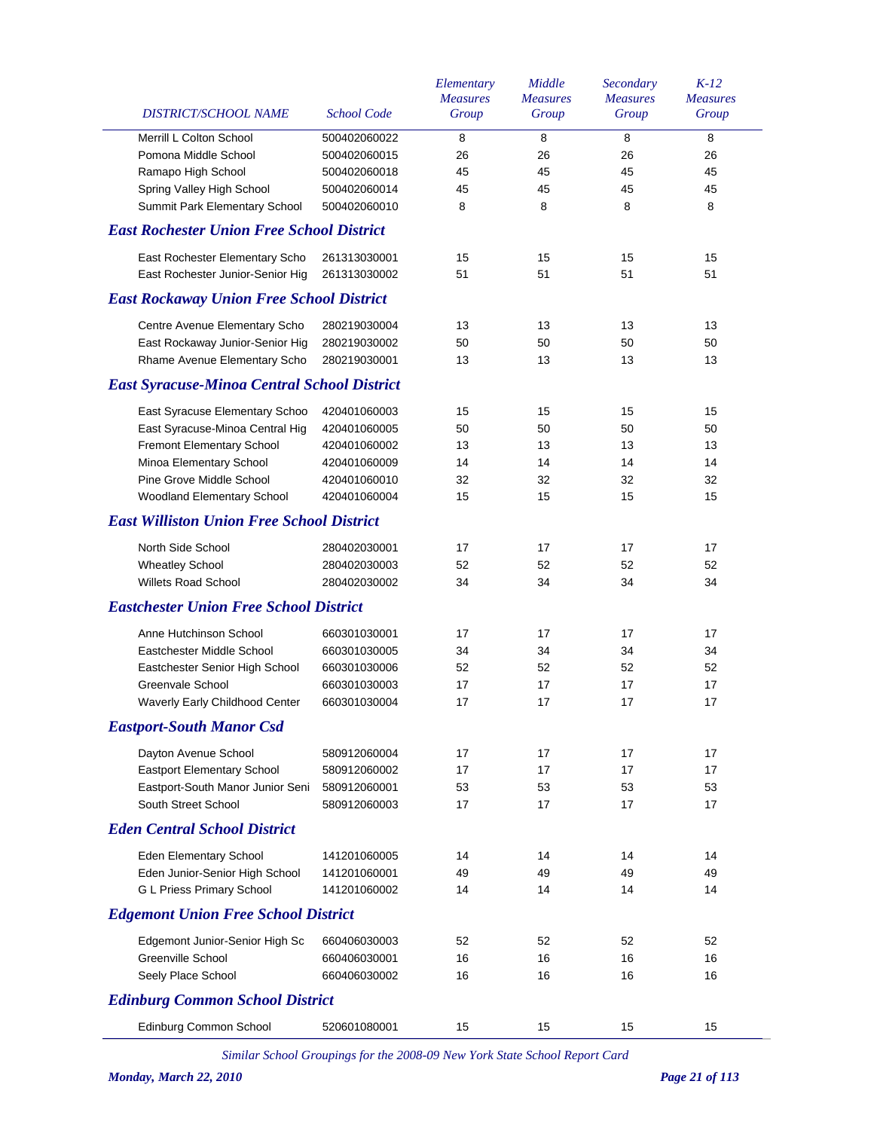| 8<br>$\bf 8$<br>Merrill L Colton School<br>8<br>8<br>500402060022<br>Pomona Middle School<br>500402060015<br>26<br>26<br>26<br>26<br>45<br>Ramapo High School<br>500402060018<br>45<br>45<br>45<br>45<br>45<br>45<br>Spring Valley High School<br>500402060014<br>45<br>Summit Park Elementary School<br>8<br>8<br>500402060010<br>8<br>8<br><b>East Rochester Union Free School District</b><br>East Rochester Elementary Scho<br>15<br>15<br>15<br>15<br>261313030001<br>East Rochester Junior-Senior Hig<br>51<br>51<br>261313030002<br>51<br>51<br><b>East Rockaway Union Free School District</b><br>13<br>13<br>Centre Avenue Elementary Scho<br>280219030004<br>13<br>13<br>50<br>East Rockaway Junior-Senior Hig<br>280219030002<br>50<br>50<br>50<br>Rhame Avenue Elementary Scho<br>280219030001<br>13<br>13<br>13<br>13<br><b>East Syracuse-Minoa Central School District</b><br>East Syracuse Elementary Schoo<br>420401060003<br>15<br>15<br>15<br>15<br>East Syracuse-Minoa Central Hig<br>50<br>420401060005<br>50<br>50<br>50<br>Fremont Elementary School<br>13<br>420401060002<br>13<br>13<br>13<br>Minoa Elementary School<br>420401060009<br>14<br>14<br>14<br>14<br>Pine Grove Middle School<br>32<br>32<br>32<br>32<br>420401060010<br>Woodland Elementary School<br>420401060004<br>15<br>15<br>15<br>15<br><b>East Williston Union Free School District</b><br>North Side School<br>280402030001<br>17<br>17<br>17<br>17<br>52<br>52<br><b>Wheatley School</b><br>280402030003<br>52<br>52<br><b>Willets Road School</b><br>34<br>280402030002<br>34<br>34<br>34<br><b>Eastchester Union Free School District</b><br>Anne Hutchinson School<br>660301030001<br>17<br>17<br>17<br>17<br>Eastchester Middle School<br>660301030005<br>34<br>34<br>34<br>34<br>52<br>52<br>Eastchester Senior High School<br>660301030006<br>52<br>52<br>Greenvale School<br>17<br>17<br>660301030003<br>17<br>17<br>17<br>Waverly Early Childhood Center<br>660301030004<br>17<br>17<br>17<br><b>Eastport-South Manor Csd</b><br>Dayton Avenue School<br>17<br>17<br>17<br>17<br>580912060004<br><b>Eastport Elementary School</b><br>17<br>17<br>17<br>17<br>580912060002<br>Eastport-South Manor Junior Seni<br>53<br>53<br>53<br>53<br>580912060001<br>South Street School<br>580912060003<br>17<br>17<br>17<br>17<br><b>Eden Central School District</b><br>Eden Elementary School<br>141201060005<br>14<br>14<br>14<br>14<br>Eden Junior-Senior High School<br>49<br>49<br>49<br>49<br>141201060001<br>G L Priess Primary School<br>14<br>14<br>14<br>14<br>141201060002<br><b>Edgemont Union Free School District</b><br>Edgemont Junior-Senior High Sc<br>52<br>52<br>52<br>660406030003<br>52<br>Greenville School<br>16<br>660406030001<br>16<br>16<br>16<br>Seely Place School<br>16<br>16<br>16<br>660406030002<br>16<br><b>Edinburg Common School District</b><br>Edinburg Common School<br>520601080001<br>15<br>15<br>15<br>15 | DISTRICT/SCHOOL NAME | <b>School Code</b> | Elementary<br><b>Measures</b><br>Group | Middle<br><b>Measures</b><br>Group | Secondary<br><b>Measures</b><br>Group | $K-12$<br><b>Measures</b><br>Group |
|----------------------------------------------------------------------------------------------------------------------------------------------------------------------------------------------------------------------------------------------------------------------------------------------------------------------------------------------------------------------------------------------------------------------------------------------------------------------------------------------------------------------------------------------------------------------------------------------------------------------------------------------------------------------------------------------------------------------------------------------------------------------------------------------------------------------------------------------------------------------------------------------------------------------------------------------------------------------------------------------------------------------------------------------------------------------------------------------------------------------------------------------------------------------------------------------------------------------------------------------------------------------------------------------------------------------------------------------------------------------------------------------------------------------------------------------------------------------------------------------------------------------------------------------------------------------------------------------------------------------------------------------------------------------------------------------------------------------------------------------------------------------------------------------------------------------------------------------------------------------------------------------------------------------------------------------------------------------------------------------------------------------------------------------------------------------------------------------------------------------------------------------------------------------------------------------------------------------------------------------------------------------------------------------------------------------------------------------------------------------------------------------------------------------------------------------------------------------------------------------------------------------------------------------------------------------------------------------------------------------------------------------------------------------------------------------------------------------------------------------------------------------------------------------------------------------------------------------------------------------------------------------------------------------------------------------------|----------------------|--------------------|----------------------------------------|------------------------------------|---------------------------------------|------------------------------------|
|                                                                                                                                                                                                                                                                                                                                                                                                                                                                                                                                                                                                                                                                                                                                                                                                                                                                                                                                                                                                                                                                                                                                                                                                                                                                                                                                                                                                                                                                                                                                                                                                                                                                                                                                                                                                                                                                                                                                                                                                                                                                                                                                                                                                                                                                                                                                                                                                                                                                                                                                                                                                                                                                                                                                                                                                                                                                                                                                                    |                      |                    |                                        |                                    |                                       |                                    |
|                                                                                                                                                                                                                                                                                                                                                                                                                                                                                                                                                                                                                                                                                                                                                                                                                                                                                                                                                                                                                                                                                                                                                                                                                                                                                                                                                                                                                                                                                                                                                                                                                                                                                                                                                                                                                                                                                                                                                                                                                                                                                                                                                                                                                                                                                                                                                                                                                                                                                                                                                                                                                                                                                                                                                                                                                                                                                                                                                    |                      |                    |                                        |                                    |                                       |                                    |
|                                                                                                                                                                                                                                                                                                                                                                                                                                                                                                                                                                                                                                                                                                                                                                                                                                                                                                                                                                                                                                                                                                                                                                                                                                                                                                                                                                                                                                                                                                                                                                                                                                                                                                                                                                                                                                                                                                                                                                                                                                                                                                                                                                                                                                                                                                                                                                                                                                                                                                                                                                                                                                                                                                                                                                                                                                                                                                                                                    |                      |                    |                                        |                                    |                                       |                                    |
|                                                                                                                                                                                                                                                                                                                                                                                                                                                                                                                                                                                                                                                                                                                                                                                                                                                                                                                                                                                                                                                                                                                                                                                                                                                                                                                                                                                                                                                                                                                                                                                                                                                                                                                                                                                                                                                                                                                                                                                                                                                                                                                                                                                                                                                                                                                                                                                                                                                                                                                                                                                                                                                                                                                                                                                                                                                                                                                                                    |                      |                    |                                        |                                    |                                       |                                    |
|                                                                                                                                                                                                                                                                                                                                                                                                                                                                                                                                                                                                                                                                                                                                                                                                                                                                                                                                                                                                                                                                                                                                                                                                                                                                                                                                                                                                                                                                                                                                                                                                                                                                                                                                                                                                                                                                                                                                                                                                                                                                                                                                                                                                                                                                                                                                                                                                                                                                                                                                                                                                                                                                                                                                                                                                                                                                                                                                                    |                      |                    |                                        |                                    |                                       |                                    |
|                                                                                                                                                                                                                                                                                                                                                                                                                                                                                                                                                                                                                                                                                                                                                                                                                                                                                                                                                                                                                                                                                                                                                                                                                                                                                                                                                                                                                                                                                                                                                                                                                                                                                                                                                                                                                                                                                                                                                                                                                                                                                                                                                                                                                                                                                                                                                                                                                                                                                                                                                                                                                                                                                                                                                                                                                                                                                                                                                    |                      |                    |                                        |                                    |                                       |                                    |
|                                                                                                                                                                                                                                                                                                                                                                                                                                                                                                                                                                                                                                                                                                                                                                                                                                                                                                                                                                                                                                                                                                                                                                                                                                                                                                                                                                                                                                                                                                                                                                                                                                                                                                                                                                                                                                                                                                                                                                                                                                                                                                                                                                                                                                                                                                                                                                                                                                                                                                                                                                                                                                                                                                                                                                                                                                                                                                                                                    |                      |                    |                                        |                                    |                                       |                                    |
|                                                                                                                                                                                                                                                                                                                                                                                                                                                                                                                                                                                                                                                                                                                                                                                                                                                                                                                                                                                                                                                                                                                                                                                                                                                                                                                                                                                                                                                                                                                                                                                                                                                                                                                                                                                                                                                                                                                                                                                                                                                                                                                                                                                                                                                                                                                                                                                                                                                                                                                                                                                                                                                                                                                                                                                                                                                                                                                                                    |                      |                    |                                        |                                    |                                       |                                    |
|                                                                                                                                                                                                                                                                                                                                                                                                                                                                                                                                                                                                                                                                                                                                                                                                                                                                                                                                                                                                                                                                                                                                                                                                                                                                                                                                                                                                                                                                                                                                                                                                                                                                                                                                                                                                                                                                                                                                                                                                                                                                                                                                                                                                                                                                                                                                                                                                                                                                                                                                                                                                                                                                                                                                                                                                                                                                                                                                                    |                      |                    |                                        |                                    |                                       |                                    |
|                                                                                                                                                                                                                                                                                                                                                                                                                                                                                                                                                                                                                                                                                                                                                                                                                                                                                                                                                                                                                                                                                                                                                                                                                                                                                                                                                                                                                                                                                                                                                                                                                                                                                                                                                                                                                                                                                                                                                                                                                                                                                                                                                                                                                                                                                                                                                                                                                                                                                                                                                                                                                                                                                                                                                                                                                                                                                                                                                    |                      |                    |                                        |                                    |                                       |                                    |
|                                                                                                                                                                                                                                                                                                                                                                                                                                                                                                                                                                                                                                                                                                                                                                                                                                                                                                                                                                                                                                                                                                                                                                                                                                                                                                                                                                                                                                                                                                                                                                                                                                                                                                                                                                                                                                                                                                                                                                                                                                                                                                                                                                                                                                                                                                                                                                                                                                                                                                                                                                                                                                                                                                                                                                                                                                                                                                                                                    |                      |                    |                                        |                                    |                                       |                                    |
|                                                                                                                                                                                                                                                                                                                                                                                                                                                                                                                                                                                                                                                                                                                                                                                                                                                                                                                                                                                                                                                                                                                                                                                                                                                                                                                                                                                                                                                                                                                                                                                                                                                                                                                                                                                                                                                                                                                                                                                                                                                                                                                                                                                                                                                                                                                                                                                                                                                                                                                                                                                                                                                                                                                                                                                                                                                                                                                                                    |                      |                    |                                        |                                    |                                       |                                    |
|                                                                                                                                                                                                                                                                                                                                                                                                                                                                                                                                                                                                                                                                                                                                                                                                                                                                                                                                                                                                                                                                                                                                                                                                                                                                                                                                                                                                                                                                                                                                                                                                                                                                                                                                                                                                                                                                                                                                                                                                                                                                                                                                                                                                                                                                                                                                                                                                                                                                                                                                                                                                                                                                                                                                                                                                                                                                                                                                                    |                      |                    |                                        |                                    |                                       |                                    |
|                                                                                                                                                                                                                                                                                                                                                                                                                                                                                                                                                                                                                                                                                                                                                                                                                                                                                                                                                                                                                                                                                                                                                                                                                                                                                                                                                                                                                                                                                                                                                                                                                                                                                                                                                                                                                                                                                                                                                                                                                                                                                                                                                                                                                                                                                                                                                                                                                                                                                                                                                                                                                                                                                                                                                                                                                                                                                                                                                    |                      |                    |                                        |                                    |                                       |                                    |
|                                                                                                                                                                                                                                                                                                                                                                                                                                                                                                                                                                                                                                                                                                                                                                                                                                                                                                                                                                                                                                                                                                                                                                                                                                                                                                                                                                                                                                                                                                                                                                                                                                                                                                                                                                                                                                                                                                                                                                                                                                                                                                                                                                                                                                                                                                                                                                                                                                                                                                                                                                                                                                                                                                                                                                                                                                                                                                                                                    |                      |                    |                                        |                                    |                                       |                                    |
|                                                                                                                                                                                                                                                                                                                                                                                                                                                                                                                                                                                                                                                                                                                                                                                                                                                                                                                                                                                                                                                                                                                                                                                                                                                                                                                                                                                                                                                                                                                                                                                                                                                                                                                                                                                                                                                                                                                                                                                                                                                                                                                                                                                                                                                                                                                                                                                                                                                                                                                                                                                                                                                                                                                                                                                                                                                                                                                                                    |                      |                    |                                        |                                    |                                       |                                    |
|                                                                                                                                                                                                                                                                                                                                                                                                                                                                                                                                                                                                                                                                                                                                                                                                                                                                                                                                                                                                                                                                                                                                                                                                                                                                                                                                                                                                                                                                                                                                                                                                                                                                                                                                                                                                                                                                                                                                                                                                                                                                                                                                                                                                                                                                                                                                                                                                                                                                                                                                                                                                                                                                                                                                                                                                                                                                                                                                                    |                      |                    |                                        |                                    |                                       |                                    |
|                                                                                                                                                                                                                                                                                                                                                                                                                                                                                                                                                                                                                                                                                                                                                                                                                                                                                                                                                                                                                                                                                                                                                                                                                                                                                                                                                                                                                                                                                                                                                                                                                                                                                                                                                                                                                                                                                                                                                                                                                                                                                                                                                                                                                                                                                                                                                                                                                                                                                                                                                                                                                                                                                                                                                                                                                                                                                                                                                    |                      |                    |                                        |                                    |                                       |                                    |
|                                                                                                                                                                                                                                                                                                                                                                                                                                                                                                                                                                                                                                                                                                                                                                                                                                                                                                                                                                                                                                                                                                                                                                                                                                                                                                                                                                                                                                                                                                                                                                                                                                                                                                                                                                                                                                                                                                                                                                                                                                                                                                                                                                                                                                                                                                                                                                                                                                                                                                                                                                                                                                                                                                                                                                                                                                                                                                                                                    |                      |                    |                                        |                                    |                                       |                                    |
|                                                                                                                                                                                                                                                                                                                                                                                                                                                                                                                                                                                                                                                                                                                                                                                                                                                                                                                                                                                                                                                                                                                                                                                                                                                                                                                                                                                                                                                                                                                                                                                                                                                                                                                                                                                                                                                                                                                                                                                                                                                                                                                                                                                                                                                                                                                                                                                                                                                                                                                                                                                                                                                                                                                                                                                                                                                                                                                                                    |                      |                    |                                        |                                    |                                       |                                    |
|                                                                                                                                                                                                                                                                                                                                                                                                                                                                                                                                                                                                                                                                                                                                                                                                                                                                                                                                                                                                                                                                                                                                                                                                                                                                                                                                                                                                                                                                                                                                                                                                                                                                                                                                                                                                                                                                                                                                                                                                                                                                                                                                                                                                                                                                                                                                                                                                                                                                                                                                                                                                                                                                                                                                                                                                                                                                                                                                                    |                      |                    |                                        |                                    |                                       |                                    |
|                                                                                                                                                                                                                                                                                                                                                                                                                                                                                                                                                                                                                                                                                                                                                                                                                                                                                                                                                                                                                                                                                                                                                                                                                                                                                                                                                                                                                                                                                                                                                                                                                                                                                                                                                                                                                                                                                                                                                                                                                                                                                                                                                                                                                                                                                                                                                                                                                                                                                                                                                                                                                                                                                                                                                                                                                                                                                                                                                    |                      |                    |                                        |                                    |                                       |                                    |
|                                                                                                                                                                                                                                                                                                                                                                                                                                                                                                                                                                                                                                                                                                                                                                                                                                                                                                                                                                                                                                                                                                                                                                                                                                                                                                                                                                                                                                                                                                                                                                                                                                                                                                                                                                                                                                                                                                                                                                                                                                                                                                                                                                                                                                                                                                                                                                                                                                                                                                                                                                                                                                                                                                                                                                                                                                                                                                                                                    |                      |                    |                                        |                                    |                                       |                                    |
|                                                                                                                                                                                                                                                                                                                                                                                                                                                                                                                                                                                                                                                                                                                                                                                                                                                                                                                                                                                                                                                                                                                                                                                                                                                                                                                                                                                                                                                                                                                                                                                                                                                                                                                                                                                                                                                                                                                                                                                                                                                                                                                                                                                                                                                                                                                                                                                                                                                                                                                                                                                                                                                                                                                                                                                                                                                                                                                                                    |                      |                    |                                        |                                    |                                       |                                    |
|                                                                                                                                                                                                                                                                                                                                                                                                                                                                                                                                                                                                                                                                                                                                                                                                                                                                                                                                                                                                                                                                                                                                                                                                                                                                                                                                                                                                                                                                                                                                                                                                                                                                                                                                                                                                                                                                                                                                                                                                                                                                                                                                                                                                                                                                                                                                                                                                                                                                                                                                                                                                                                                                                                                                                                                                                                                                                                                                                    |                      |                    |                                        |                                    |                                       |                                    |
|                                                                                                                                                                                                                                                                                                                                                                                                                                                                                                                                                                                                                                                                                                                                                                                                                                                                                                                                                                                                                                                                                                                                                                                                                                                                                                                                                                                                                                                                                                                                                                                                                                                                                                                                                                                                                                                                                                                                                                                                                                                                                                                                                                                                                                                                                                                                                                                                                                                                                                                                                                                                                                                                                                                                                                                                                                                                                                                                                    |                      |                    |                                        |                                    |                                       |                                    |
|                                                                                                                                                                                                                                                                                                                                                                                                                                                                                                                                                                                                                                                                                                                                                                                                                                                                                                                                                                                                                                                                                                                                                                                                                                                                                                                                                                                                                                                                                                                                                                                                                                                                                                                                                                                                                                                                                                                                                                                                                                                                                                                                                                                                                                                                                                                                                                                                                                                                                                                                                                                                                                                                                                                                                                                                                                                                                                                                                    |                      |                    |                                        |                                    |                                       |                                    |
|                                                                                                                                                                                                                                                                                                                                                                                                                                                                                                                                                                                                                                                                                                                                                                                                                                                                                                                                                                                                                                                                                                                                                                                                                                                                                                                                                                                                                                                                                                                                                                                                                                                                                                                                                                                                                                                                                                                                                                                                                                                                                                                                                                                                                                                                                                                                                                                                                                                                                                                                                                                                                                                                                                                                                                                                                                                                                                                                                    |                      |                    |                                        |                                    |                                       |                                    |
|                                                                                                                                                                                                                                                                                                                                                                                                                                                                                                                                                                                                                                                                                                                                                                                                                                                                                                                                                                                                                                                                                                                                                                                                                                                                                                                                                                                                                                                                                                                                                                                                                                                                                                                                                                                                                                                                                                                                                                                                                                                                                                                                                                                                                                                                                                                                                                                                                                                                                                                                                                                                                                                                                                                                                                                                                                                                                                                                                    |                      |                    |                                        |                                    |                                       |                                    |
|                                                                                                                                                                                                                                                                                                                                                                                                                                                                                                                                                                                                                                                                                                                                                                                                                                                                                                                                                                                                                                                                                                                                                                                                                                                                                                                                                                                                                                                                                                                                                                                                                                                                                                                                                                                                                                                                                                                                                                                                                                                                                                                                                                                                                                                                                                                                                                                                                                                                                                                                                                                                                                                                                                                                                                                                                                                                                                                                                    |                      |                    |                                        |                                    |                                       |                                    |
|                                                                                                                                                                                                                                                                                                                                                                                                                                                                                                                                                                                                                                                                                                                                                                                                                                                                                                                                                                                                                                                                                                                                                                                                                                                                                                                                                                                                                                                                                                                                                                                                                                                                                                                                                                                                                                                                                                                                                                                                                                                                                                                                                                                                                                                                                                                                                                                                                                                                                                                                                                                                                                                                                                                                                                                                                                                                                                                                                    |                      |                    |                                        |                                    |                                       |                                    |
|                                                                                                                                                                                                                                                                                                                                                                                                                                                                                                                                                                                                                                                                                                                                                                                                                                                                                                                                                                                                                                                                                                                                                                                                                                                                                                                                                                                                                                                                                                                                                                                                                                                                                                                                                                                                                                                                                                                                                                                                                                                                                                                                                                                                                                                                                                                                                                                                                                                                                                                                                                                                                                                                                                                                                                                                                                                                                                                                                    |                      |                    |                                        |                                    |                                       |                                    |
|                                                                                                                                                                                                                                                                                                                                                                                                                                                                                                                                                                                                                                                                                                                                                                                                                                                                                                                                                                                                                                                                                                                                                                                                                                                                                                                                                                                                                                                                                                                                                                                                                                                                                                                                                                                                                                                                                                                                                                                                                                                                                                                                                                                                                                                                                                                                                                                                                                                                                                                                                                                                                                                                                                                                                                                                                                                                                                                                                    |                      |                    |                                        |                                    |                                       |                                    |
|                                                                                                                                                                                                                                                                                                                                                                                                                                                                                                                                                                                                                                                                                                                                                                                                                                                                                                                                                                                                                                                                                                                                                                                                                                                                                                                                                                                                                                                                                                                                                                                                                                                                                                                                                                                                                                                                                                                                                                                                                                                                                                                                                                                                                                                                                                                                                                                                                                                                                                                                                                                                                                                                                                                                                                                                                                                                                                                                                    |                      |                    |                                        |                                    |                                       |                                    |
|                                                                                                                                                                                                                                                                                                                                                                                                                                                                                                                                                                                                                                                                                                                                                                                                                                                                                                                                                                                                                                                                                                                                                                                                                                                                                                                                                                                                                                                                                                                                                                                                                                                                                                                                                                                                                                                                                                                                                                                                                                                                                                                                                                                                                                                                                                                                                                                                                                                                                                                                                                                                                                                                                                                                                                                                                                                                                                                                                    |                      |                    |                                        |                                    |                                       |                                    |
|                                                                                                                                                                                                                                                                                                                                                                                                                                                                                                                                                                                                                                                                                                                                                                                                                                                                                                                                                                                                                                                                                                                                                                                                                                                                                                                                                                                                                                                                                                                                                                                                                                                                                                                                                                                                                                                                                                                                                                                                                                                                                                                                                                                                                                                                                                                                                                                                                                                                                                                                                                                                                                                                                                                                                                                                                                                                                                                                                    |                      |                    |                                        |                                    |                                       |                                    |
|                                                                                                                                                                                                                                                                                                                                                                                                                                                                                                                                                                                                                                                                                                                                                                                                                                                                                                                                                                                                                                                                                                                                                                                                                                                                                                                                                                                                                                                                                                                                                                                                                                                                                                                                                                                                                                                                                                                                                                                                                                                                                                                                                                                                                                                                                                                                                                                                                                                                                                                                                                                                                                                                                                                                                                                                                                                                                                                                                    |                      |                    |                                        |                                    |                                       |                                    |
|                                                                                                                                                                                                                                                                                                                                                                                                                                                                                                                                                                                                                                                                                                                                                                                                                                                                                                                                                                                                                                                                                                                                                                                                                                                                                                                                                                                                                                                                                                                                                                                                                                                                                                                                                                                                                                                                                                                                                                                                                                                                                                                                                                                                                                                                                                                                                                                                                                                                                                                                                                                                                                                                                                                                                                                                                                                                                                                                                    |                      |                    |                                        |                                    |                                       |                                    |
|                                                                                                                                                                                                                                                                                                                                                                                                                                                                                                                                                                                                                                                                                                                                                                                                                                                                                                                                                                                                                                                                                                                                                                                                                                                                                                                                                                                                                                                                                                                                                                                                                                                                                                                                                                                                                                                                                                                                                                                                                                                                                                                                                                                                                                                                                                                                                                                                                                                                                                                                                                                                                                                                                                                                                                                                                                                                                                                                                    |                      |                    |                                        |                                    |                                       |                                    |
|                                                                                                                                                                                                                                                                                                                                                                                                                                                                                                                                                                                                                                                                                                                                                                                                                                                                                                                                                                                                                                                                                                                                                                                                                                                                                                                                                                                                                                                                                                                                                                                                                                                                                                                                                                                                                                                                                                                                                                                                                                                                                                                                                                                                                                                                                                                                                                                                                                                                                                                                                                                                                                                                                                                                                                                                                                                                                                                                                    |                      |                    |                                        |                                    |                                       |                                    |
|                                                                                                                                                                                                                                                                                                                                                                                                                                                                                                                                                                                                                                                                                                                                                                                                                                                                                                                                                                                                                                                                                                                                                                                                                                                                                                                                                                                                                                                                                                                                                                                                                                                                                                                                                                                                                                                                                                                                                                                                                                                                                                                                                                                                                                                                                                                                                                                                                                                                                                                                                                                                                                                                                                                                                                                                                                                                                                                                                    |                      |                    |                                        |                                    |                                       |                                    |
|                                                                                                                                                                                                                                                                                                                                                                                                                                                                                                                                                                                                                                                                                                                                                                                                                                                                                                                                                                                                                                                                                                                                                                                                                                                                                                                                                                                                                                                                                                                                                                                                                                                                                                                                                                                                                                                                                                                                                                                                                                                                                                                                                                                                                                                                                                                                                                                                                                                                                                                                                                                                                                                                                                                                                                                                                                                                                                                                                    |                      |                    |                                        |                                    |                                       |                                    |
|                                                                                                                                                                                                                                                                                                                                                                                                                                                                                                                                                                                                                                                                                                                                                                                                                                                                                                                                                                                                                                                                                                                                                                                                                                                                                                                                                                                                                                                                                                                                                                                                                                                                                                                                                                                                                                                                                                                                                                                                                                                                                                                                                                                                                                                                                                                                                                                                                                                                                                                                                                                                                                                                                                                                                                                                                                                                                                                                                    |                      |                    |                                        |                                    |                                       |                                    |
|                                                                                                                                                                                                                                                                                                                                                                                                                                                                                                                                                                                                                                                                                                                                                                                                                                                                                                                                                                                                                                                                                                                                                                                                                                                                                                                                                                                                                                                                                                                                                                                                                                                                                                                                                                                                                                                                                                                                                                                                                                                                                                                                                                                                                                                                                                                                                                                                                                                                                                                                                                                                                                                                                                                                                                                                                                                                                                                                                    |                      |                    |                                        |                                    |                                       |                                    |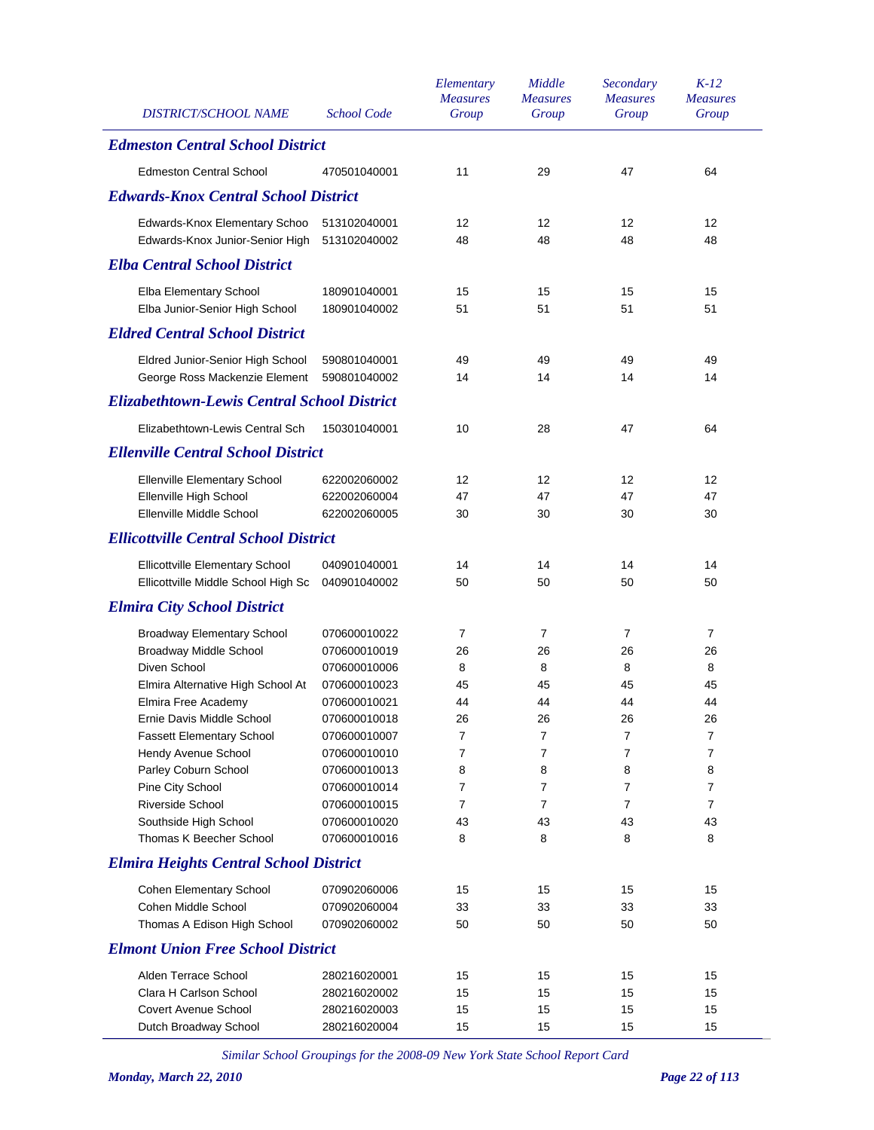| <b>DISTRICT/SCHOOL NAME</b>                        | <b>School Code</b> | Elementary<br><b>Measures</b><br>Group | Middle<br><b>Measures</b><br>Group | Secondary<br><b>Measures</b><br>Group | $K-12$<br><b>Measures</b><br>Group |
|----------------------------------------------------|--------------------|----------------------------------------|------------------------------------|---------------------------------------|------------------------------------|
| <b>Edmeston Central School District</b>            |                    |                                        |                                    |                                       |                                    |
| <b>Edmeston Central School</b>                     | 470501040001       | 11                                     | 29                                 | 47                                    | 64                                 |
| <b>Edwards-Knox Central School District</b>        |                    |                                        |                                    |                                       |                                    |
| Edwards-Knox Elementary Schoo                      | 513102040001       | 12                                     | 12                                 | 12                                    | 12                                 |
| Edwards-Knox Junior-Senior High                    | 513102040002       | 48                                     | 48                                 | 48                                    | 48                                 |
| <b>Elba Central School District</b>                |                    |                                        |                                    |                                       |                                    |
| Elba Elementary School                             | 180901040001       | 15                                     | 15                                 | 15                                    | 15                                 |
| Elba Junior-Senior High School                     | 180901040002       | 51                                     | 51                                 | 51                                    | 51                                 |
| <b>Eldred Central School District</b>              |                    |                                        |                                    |                                       |                                    |
| Eldred Junior-Senior High School                   | 590801040001       | 49                                     | 49                                 | 49                                    | 49                                 |
| George Ross Mackenzie Element                      | 590801040002       | 14                                     | 14                                 | 14                                    | 14                                 |
| <b>Elizabethtown-Lewis Central School District</b> |                    |                                        |                                    |                                       |                                    |
| Elizabethtown-Lewis Central Sch                    | 150301040001       | 10                                     | 28                                 | 47                                    | 64                                 |
| <b>Ellenville Central School District</b>          |                    |                                        |                                    |                                       |                                    |
| <b>Ellenville Elementary School</b>                | 622002060002       | 12                                     | 12                                 | 12                                    | 12                                 |
| Ellenville High School                             | 622002060004       | 47                                     | 47                                 | 47                                    | 47                                 |
| Ellenville Middle School                           | 622002060005       | 30                                     | 30                                 | 30                                    | 30                                 |
| <b>Ellicottville Central School District</b>       |                    |                                        |                                    |                                       |                                    |
| Ellicottville Elementary School                    | 040901040001       | 14                                     | 14                                 | 14                                    | 14                                 |
| Ellicottville Middle School High Sc                | 040901040002       | 50                                     | 50                                 | 50                                    | 50                                 |
| <b>Elmira City School District</b>                 |                    |                                        |                                    |                                       |                                    |
| <b>Broadway Elementary School</b>                  | 070600010022       | 7                                      | 7                                  | $\overline{7}$                        | $\overline{7}$                     |
| <b>Broadway Middle School</b>                      | 070600010019       | 26                                     | 26                                 | 26                                    | 26                                 |
| Diven School                                       | 070600010006       | 8                                      | 8                                  | 8                                     | 8                                  |
| Elmira Alternative High School At                  | 070600010023       | 45                                     | 45                                 | 45                                    | 45                                 |
| Elmira Free Academy                                | 070600010021       | 44                                     | 44                                 | 44                                    | 44                                 |
| Ernie Davis Middle School                          | 070600010018       | 26                                     | 26                                 | 26                                    | 26                                 |
| <b>Fassett Elementary School</b>                   | 070600010007       | 7                                      | 7                                  | 7                                     | 7                                  |
| Hendy Avenue School                                | 070600010010       | 7                                      | 7                                  | $\overline{7}$                        | $\overline{7}$                     |
| Parley Coburn School                               | 070600010013       | 8                                      | 8                                  | 8                                     | 8                                  |
| Pine City School                                   | 070600010014       | 7                                      | 7                                  | $\overline{7}$                        | 7                                  |
| <b>Riverside School</b>                            | 070600010015       | 7                                      | 7                                  | $\overline{7}$                        | 7                                  |
| Southside High School                              | 070600010020       | 43                                     | 43                                 | 43                                    | 43                                 |
| Thomas K Beecher School                            | 070600010016       | 8                                      | 8                                  | 8                                     | 8                                  |
| <b>Elmira Heights Central School District</b>      |                    |                                        |                                    |                                       |                                    |
| <b>Cohen Elementary School</b>                     | 070902060006       | 15                                     | 15                                 | 15                                    | 15                                 |
| Cohen Middle School                                | 070902060004       | 33                                     | 33                                 | 33                                    | 33                                 |
| Thomas A Edison High School                        | 070902060002       | 50                                     | 50                                 | 50                                    | 50                                 |
| <b>Elmont Union Free School District</b>           |                    |                                        |                                    |                                       |                                    |
| Alden Terrace School                               | 280216020001       | 15                                     | 15                                 | 15                                    | 15                                 |
| Clara H Carlson School                             | 280216020002       | 15                                     | 15                                 | 15                                    | 15                                 |
| <b>Covert Avenue School</b>                        | 280216020003       | 15                                     | 15                                 | 15                                    | 15                                 |
| Dutch Broadway School                              | 280216020004       | 15                                     | 15                                 | 15                                    | 15                                 |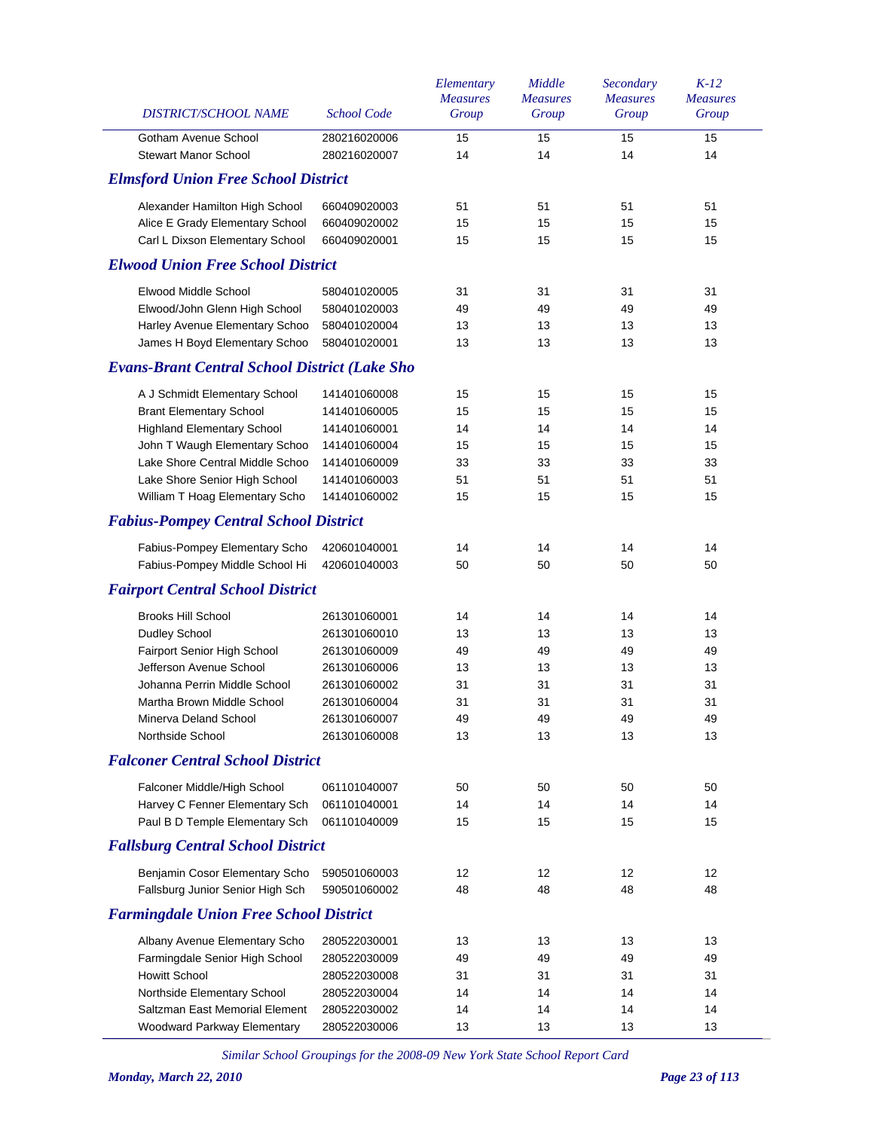| DISTRICT/SCHOOL NAME                                 | <b>School Code</b>           | Elementary<br><b>Measures</b><br>Group | Middle<br><b>Measures</b><br>Group | Secondary<br><b>Measures</b><br>Group | $K-12$<br><b>Measures</b><br>Group |
|------------------------------------------------------|------------------------------|----------------------------------------|------------------------------------|---------------------------------------|------------------------------------|
| Gotham Avenue School<br><b>Stewart Manor School</b>  | 280216020006<br>280216020007 | 15<br>14                               | 15<br>14                           | 15<br>14                              | 15<br>14                           |
| <b>Elmsford Union Free School District</b>           |                              |                                        |                                    |                                       |                                    |
|                                                      |                              |                                        |                                    |                                       |                                    |
| Alexander Hamilton High School                       | 660409020003                 | 51                                     | 51                                 | 51                                    | 51                                 |
| Alice E Grady Elementary School                      | 660409020002                 | 15                                     | 15                                 | 15                                    | 15                                 |
| Carl L Dixson Elementary School                      | 660409020001                 | 15                                     | 15                                 | 15                                    | 15                                 |
| <b>Elwood Union Free School District</b>             |                              |                                        |                                    |                                       |                                    |
| Elwood Middle School                                 | 580401020005                 | 31                                     | 31                                 | 31                                    | 31                                 |
| Elwood/John Glenn High School                        | 580401020003                 | 49                                     | 49                                 | 49                                    | 49                                 |
| Harley Avenue Elementary Schoo                       | 580401020004                 | 13                                     | 13                                 | 13                                    | 13                                 |
| James H Boyd Elementary Schoo                        | 580401020001                 | 13                                     | 13                                 | 13                                    | 13                                 |
| <b>Evans-Brant Central School District (Lake Sho</b> |                              |                                        |                                    |                                       |                                    |
| A J Schmidt Elementary School                        | 141401060008                 | 15                                     | 15                                 | 15                                    | 15                                 |
| <b>Brant Elementary School</b>                       | 141401060005                 | 15                                     | 15                                 | 15                                    | 15                                 |
| <b>Highland Elementary School</b>                    | 141401060001                 | 14                                     | 14                                 | 14                                    | 14                                 |
| John T Waugh Elementary Schoo                        | 141401060004                 | 15                                     | 15                                 | 15                                    | 15                                 |
| Lake Shore Central Middle Schoo                      | 141401060009                 | 33                                     | 33                                 | 33                                    | 33                                 |
| Lake Shore Senior High School                        | 141401060003                 | 51                                     | 51                                 | 51                                    | 51                                 |
| William T Hoag Elementary Scho                       | 141401060002                 | 15                                     | 15                                 | 15                                    | 15                                 |
| <b>Fabius-Pompey Central School District</b>         |                              |                                        |                                    |                                       |                                    |
| Fabius-Pompey Elementary Scho                        | 420601040001                 | 14                                     | 14                                 | 14                                    | 14                                 |
| Fabius-Pompey Middle School Hi                       | 420601040003                 | 50                                     | 50                                 | 50                                    | 50                                 |
| <b>Fairport Central School District</b>              |                              |                                        |                                    |                                       |                                    |
| <b>Brooks Hill School</b>                            | 261301060001                 | 14                                     | 14                                 | 14                                    | 14                                 |
| Dudley School                                        | 261301060010                 | 13                                     | 13                                 | 13                                    | 13                                 |
| Fairport Senior High School                          | 261301060009                 | 49                                     | 49                                 | 49                                    | 49                                 |
| Jefferson Avenue School                              | 261301060006                 | 13                                     | 13                                 | 13                                    | 13                                 |
| Johanna Perrin Middle School                         | 261301060002                 | 31                                     | 31                                 | 31                                    | 31                                 |
| Martha Brown Middle School                           | 261301060004                 | 31                                     | 31                                 | 31                                    | 31                                 |
| Minerva Deland School                                | 261301060007                 | 49                                     | 49                                 | 49                                    | 49                                 |
| Northside School                                     | 261301060008                 | 13                                     | 13                                 | 13                                    | 13                                 |
| <b>Falconer Central School District</b>              |                              |                                        |                                    |                                       |                                    |
| Falconer Middle/High School                          | 061101040007                 | 50                                     | 50                                 | 50                                    | 50                                 |
| Harvey C Fenner Elementary Sch                       | 061101040001                 | 14                                     | 14                                 | 14                                    | 14                                 |
| Paul B D Temple Elementary Sch                       | 061101040009                 | 15                                     | 15                                 | 15                                    | 15                                 |
| <b>Fallsburg Central School District</b>             |                              |                                        |                                    |                                       |                                    |
| Benjamin Cosor Elementary Scho                       | 590501060003                 | 12                                     | 12                                 | 12                                    | 12                                 |
| Fallsburg Junior Senior High Sch                     | 590501060002                 | 48                                     | 48                                 | 48                                    | 48                                 |
| <b>Farmingdale Union Free School District</b>        |                              |                                        |                                    |                                       |                                    |
| Albany Avenue Elementary Scho                        | 280522030001                 | 13                                     | 13                                 | 13                                    | 13                                 |
| Farmingdale Senior High School                       | 280522030009                 | 49                                     | 49                                 | 49                                    | 49                                 |
| <b>Howitt School</b>                                 | 280522030008                 | 31                                     | 31                                 | 31                                    | 31                                 |
| Northside Elementary School                          | 280522030004                 | 14                                     | 14                                 | 14                                    | 14                                 |
| Saltzman East Memorial Element                       | 280522030002                 | 14                                     | 14                                 | 14                                    | 14                                 |
| Woodward Parkway Elementary                          | 280522030006                 | 13                                     | 13                                 | 13                                    | 13                                 |
|                                                      |                              |                                        |                                    |                                       |                                    |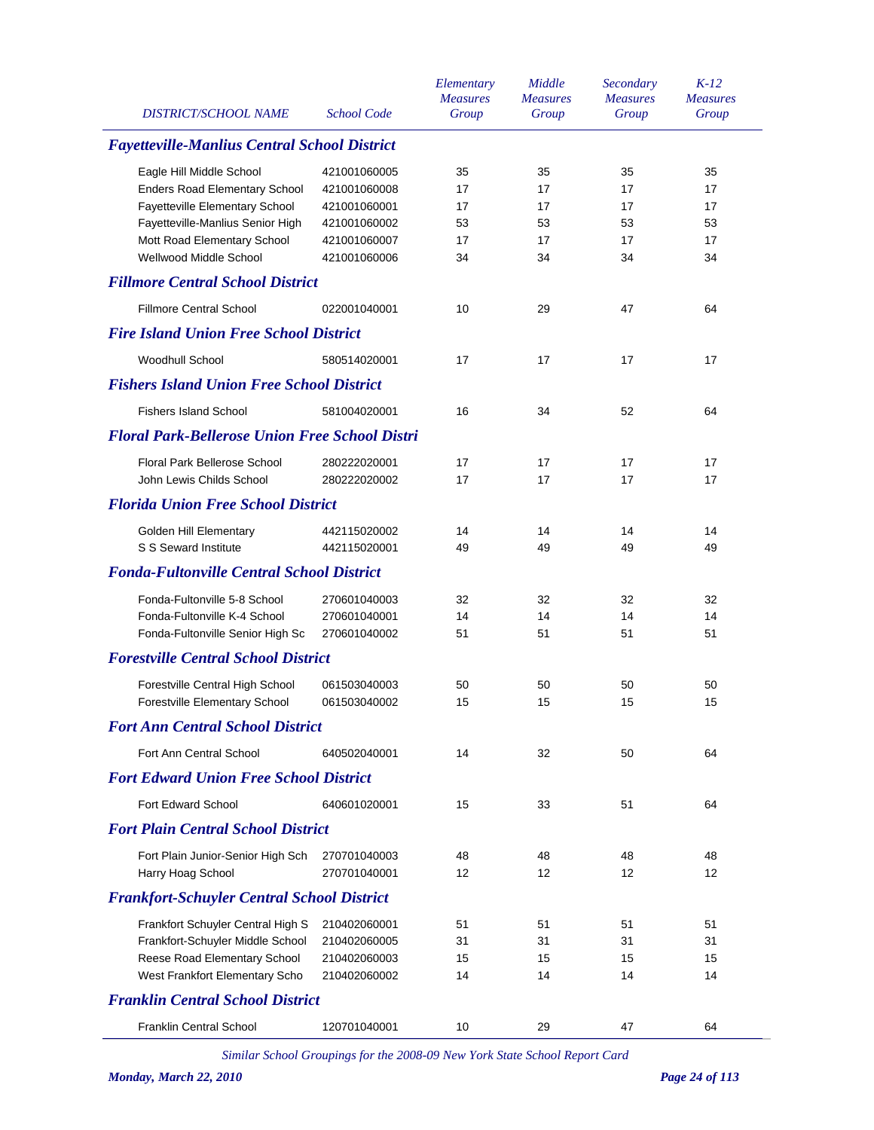| <b>DISTRICT/SCHOOL NAME</b>                           | <b>School Code</b> | Elementary<br><b>Measures</b><br>Group | Middle<br><b>Measures</b><br>Group | Secondary<br><b>Measures</b><br>Group | $K-12$<br><b>Measures</b><br>Group |
|-------------------------------------------------------|--------------------|----------------------------------------|------------------------------------|---------------------------------------|------------------------------------|
| <b>Fayetteville-Manlius Central School District</b>   |                    |                                        |                                    |                                       |                                    |
| Eagle Hill Middle School                              | 421001060005       | 35                                     | 35                                 | 35                                    | 35                                 |
| <b>Enders Road Elementary School</b>                  | 421001060008       | 17                                     | 17                                 | 17                                    | 17                                 |
| Fayetteville Elementary School                        | 421001060001       | 17                                     | 17                                 | 17                                    | 17                                 |
| Fayetteville-Manlius Senior High                      | 421001060002       | 53                                     | 53                                 | 53                                    | 53                                 |
| Mott Road Elementary School                           | 421001060007       | 17                                     | 17                                 | 17                                    | 17                                 |
| Wellwood Middle School                                | 421001060006       | 34                                     | 34                                 | 34                                    | 34                                 |
| <b>Fillmore Central School District</b>               |                    |                                        |                                    |                                       |                                    |
| <b>Fillmore Central School</b>                        | 022001040001       | 10                                     | 29                                 | 47                                    | 64                                 |
| <b>Fire Island Union Free School District</b>         |                    |                                        |                                    |                                       |                                    |
| <b>Woodhull School</b>                                | 580514020001       | 17                                     | 17                                 | 17                                    | 17                                 |
| <b>Fishers Island Union Free School District</b>      |                    |                                        |                                    |                                       |                                    |
| <b>Fishers Island School</b>                          | 581004020001       | 16                                     | 34                                 | 52                                    | 64                                 |
| <b>Floral Park-Bellerose Union Free School Distri</b> |                    |                                        |                                    |                                       |                                    |
| <b>Floral Park Bellerose School</b>                   | 280222020001       | 17                                     | 17                                 | 17                                    | 17                                 |
| John Lewis Childs School                              | 280222020002       | 17                                     | 17                                 | 17                                    | 17                                 |
| <b>Florida Union Free School District</b>             |                    |                                        |                                    |                                       |                                    |
| Golden Hill Elementary                                | 442115020002       | 14                                     | 14                                 | 14                                    | 14                                 |
| S S Seward Institute                                  | 442115020001       | 49                                     | 49                                 | 49                                    | 49                                 |
| <b>Fonda-Fultonville Central School District</b>      |                    |                                        |                                    |                                       |                                    |
| Fonda-Fultonville 5-8 School                          | 270601040003       | 32                                     | 32                                 | 32                                    | 32                                 |
| Fonda-Fultonville K-4 School                          | 270601040001       | 14                                     | 14                                 | 14                                    | 14                                 |
| Fonda-Fultonville Senior High Sc                      | 270601040002       | 51                                     | 51                                 | 51                                    | 51                                 |
| <b>Forestville Central School District</b>            |                    |                                        |                                    |                                       |                                    |
| Forestville Central High School                       | 061503040003       | 50                                     | 50                                 | 50                                    | 50                                 |
| Forestville Elementary School                         | 061503040002       | 15                                     | 15                                 | 15                                    | 15                                 |
| <b>Fort Ann Central School District</b>               |                    |                                        |                                    |                                       |                                    |
| Fort Ann Central School                               | 640502040001       | 14                                     | 32                                 | 50                                    | 64                                 |
| <b>Fort Edward Union Free School District</b>         |                    |                                        |                                    |                                       |                                    |
| Fort Edward School                                    | 640601020001       | 15                                     | 33                                 | 51                                    | 64                                 |
| <b>Fort Plain Central School District</b>             |                    |                                        |                                    |                                       |                                    |
| Fort Plain Junior-Senior High Sch                     | 270701040003       | 48                                     | 48                                 | 48                                    | 48                                 |
| Harry Hoag School                                     | 270701040001       | 12                                     | $12 \overline{ }$                  | 12                                    | 12                                 |
| <b>Frankfort-Schuyler Central School District</b>     |                    |                                        |                                    |                                       |                                    |
| Frankfort Schuyler Central High S                     | 210402060001       | 51                                     | 51                                 | 51                                    | 51                                 |
| Frankfort-Schuyler Middle School                      | 210402060005       | 31                                     | 31                                 | 31                                    | 31                                 |
| Reese Road Elementary School                          | 210402060003       | 15                                     | 15                                 | 15                                    | 15                                 |
| West Frankfort Elementary Scho                        | 210402060002       | 14                                     | 14                                 | 14                                    | 14                                 |
| <b>Franklin Central School District</b>               |                    |                                        |                                    |                                       |                                    |
| <b>Franklin Central School</b>                        | 120701040001       | 10                                     | 29                                 | 47                                    | 64                                 |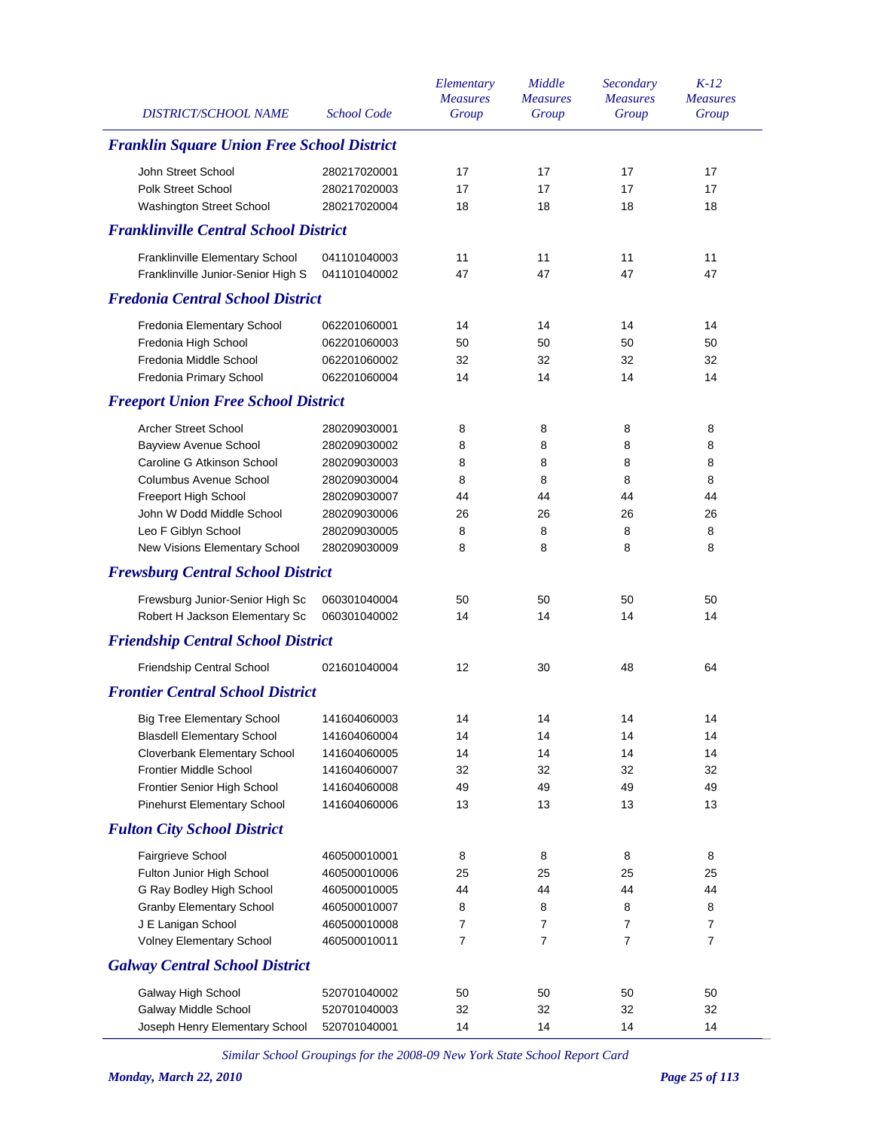| <b>DISTRICT/SCHOOL NAME</b>                       | <b>School Code</b> | Elementary<br><b>Measures</b><br>Group | Middle<br><b>Measures</b><br>Group | Secondary<br><b>Measures</b><br>Group | $K-12$<br><b>Measures</b><br>Group |
|---------------------------------------------------|--------------------|----------------------------------------|------------------------------------|---------------------------------------|------------------------------------|
| <b>Franklin Square Union Free School District</b> |                    |                                        |                                    |                                       |                                    |
| John Street School                                | 280217020001       | 17                                     | 17                                 | 17                                    | 17                                 |
| Polk Street School                                | 280217020003       | 17                                     | 17                                 | 17                                    | 17                                 |
| Washington Street School                          | 280217020004       | 18                                     | 18                                 | 18                                    | 18                                 |
| <b>Franklinville Central School District</b>      |                    |                                        |                                    |                                       |                                    |
| Franklinville Elementary School                   | 041101040003       | 11                                     | 11                                 | 11                                    | 11                                 |
| Franklinville Junior-Senior High S                | 041101040002       | 47                                     | 47                                 | 47                                    | 47                                 |
| <b>Fredonia Central School District</b>           |                    |                                        |                                    |                                       |                                    |
| Fredonia Elementary School                        | 062201060001       | 14                                     | 14                                 | 14                                    | 14                                 |
| Fredonia High School                              | 062201060003       | 50                                     | 50                                 | 50                                    | 50                                 |
| Fredonia Middle School                            | 062201060002       | 32                                     | 32                                 | 32                                    | 32                                 |
| Fredonia Primary School                           | 062201060004       | 14                                     | 14                                 | 14                                    | 14                                 |
| <b>Freeport Union Free School District</b>        |                    |                                        |                                    |                                       |                                    |
| <b>Archer Street School</b>                       | 280209030001       | 8                                      | 8                                  | 8                                     | 8                                  |
| <b>Bayview Avenue School</b>                      | 280209030002       | 8                                      | 8                                  | 8                                     | 8                                  |
| Caroline G Atkinson School                        | 280209030003       | 8                                      | 8                                  | 8                                     | 8                                  |
| Columbus Avenue School                            | 280209030004       | 8                                      | 8                                  | 8                                     | 8                                  |
| Freeport High School                              | 280209030007       | 44                                     | 44                                 | 44                                    | 44                                 |
| John W Dodd Middle School                         | 280209030006       | 26                                     | 26                                 | 26                                    | 26                                 |
| Leo F Giblyn School                               | 280209030005       | 8                                      | 8                                  | 8                                     | 8                                  |
| New Visions Elementary School                     | 280209030009       | 8                                      | 8                                  | 8                                     | 8                                  |
| <b>Frewsburg Central School District</b>          |                    |                                        |                                    |                                       |                                    |
| Frewsburg Junior-Senior High Sc                   | 060301040004       | 50                                     | 50                                 | 50                                    | 50                                 |
| Robert H Jackson Elementary Sc                    | 060301040002       | 14                                     | 14                                 | 14                                    | 14                                 |
| <b>Friendship Central School District</b>         |                    |                                        |                                    |                                       |                                    |
| Friendship Central School                         | 021601040004       | 12                                     | 30                                 | 48                                    | 64                                 |
| <b>Frontier Central School District</b>           |                    |                                        |                                    |                                       |                                    |
| <b>Big Tree Elementary School</b>                 | 141604060003       | 14                                     | 14                                 | 14                                    | 14                                 |
| <b>Blasdell Elementary School</b>                 | 141604060004       | 14                                     | 14                                 | 14                                    | 14                                 |
| Cloverbank Elementary School                      | 141604060005       | 14                                     | 14                                 | 14                                    | 14                                 |
| <b>Frontier Middle School</b>                     | 141604060007       | 32                                     | 32                                 | 32                                    | 32                                 |
| Frontier Senior High School                       | 141604060008       | 49                                     | 49                                 | 49                                    | 49                                 |
| <b>Pinehurst Elementary School</b>                | 141604060006       | 13                                     | 13                                 | 13                                    | 13                                 |
| <b>Fulton City School District</b>                |                    |                                        |                                    |                                       |                                    |
| Fairgrieve School                                 | 460500010001       | 8                                      | 8                                  | 8                                     | 8                                  |
| Fulton Junior High School                         | 460500010006       | 25                                     | 25                                 | 25                                    | 25                                 |
| G Ray Bodley High School                          | 460500010005       | 44                                     | 44                                 | 44                                    | 44                                 |
| <b>Granby Elementary School</b>                   | 460500010007       | 8                                      | 8                                  | 8                                     | 8                                  |
| J E Lanigan School                                | 460500010008       | 7                                      | 7                                  | 7                                     | $\overline{7}$                     |
| Volney Elementary School                          | 460500010011       | 7                                      | 7                                  | $\overline{7}$                        | $\overline{7}$                     |
| <b>Galway Central School District</b>             |                    |                                        |                                    |                                       |                                    |
| Galway High School                                | 520701040002       | 50                                     | 50                                 | 50                                    | 50                                 |
| Galway Middle School                              | 520701040003       | 32                                     | 32                                 | 32                                    | 32                                 |
| Joseph Henry Elementary School                    | 520701040001       | 14                                     | 14                                 | 14                                    | 14                                 |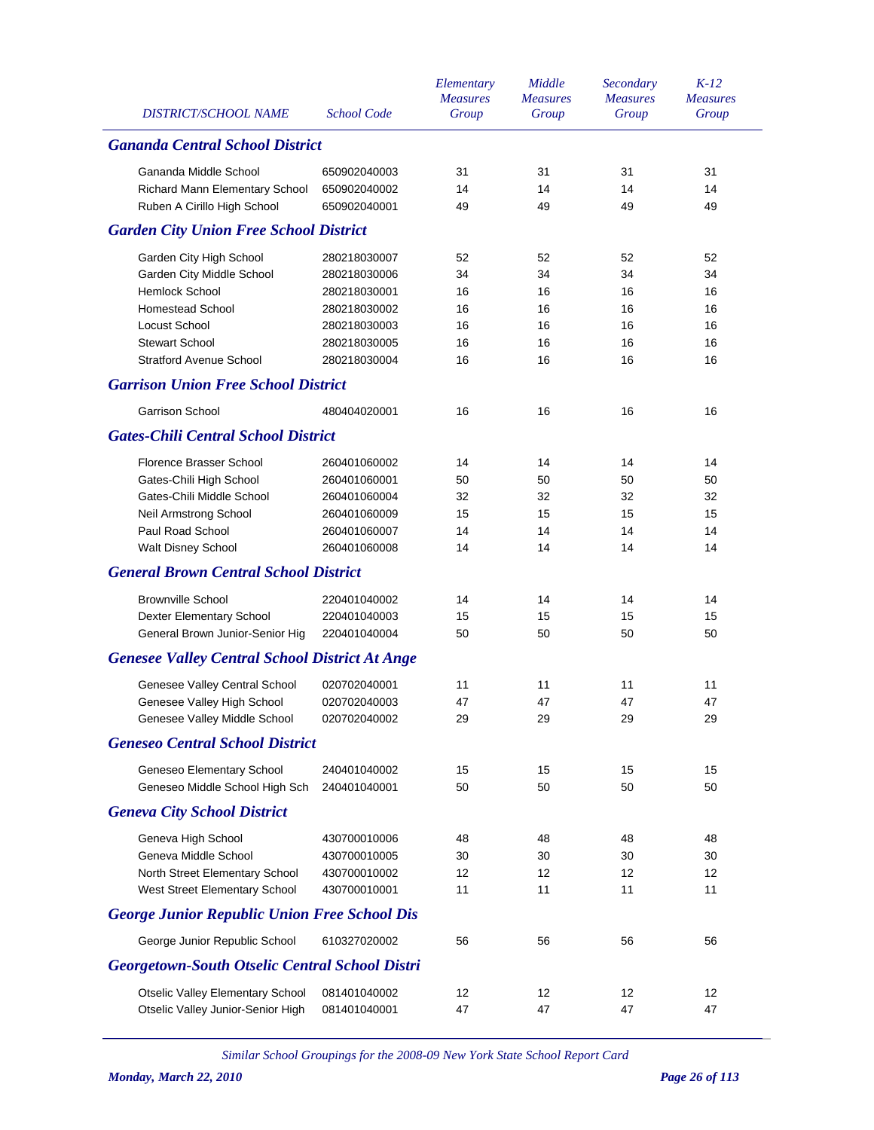|                                                       |                    | Elementary      | Middle          | Secondary       | $K-12$          |
|-------------------------------------------------------|--------------------|-----------------|-----------------|-----------------|-----------------|
|                                                       |                    | <b>Measures</b> | <b>Measures</b> | <b>Measures</b> | <b>Measures</b> |
| <b>DISTRICT/SCHOOL NAME</b>                           | <b>School Code</b> | Group           | Group           | Group           | Group           |
| <b>Gananda Central School District</b>                |                    |                 |                 |                 |                 |
| Gananda Middle School                                 | 650902040003       | 31              | 31              | 31              | 31              |
| Richard Mann Elementary School                        | 650902040002       | 14              | 14              | 14              | 14              |
| Ruben A Cirillo High School                           | 650902040001       | 49              | 49              | 49              | 49              |
| <b>Garden City Union Free School District</b>         |                    |                 |                 |                 |                 |
| Garden City High School                               | 280218030007       | 52              | 52              | 52              | 52              |
| Garden City Middle School                             | 280218030006       | 34              | 34              | 34              | 34              |
| Hemlock School                                        | 280218030001       | 16              | 16              | 16              | 16              |
| <b>Homestead School</b>                               | 280218030002       | 16              | 16              | 16              | 16              |
| Locust School                                         | 280218030003       | 16              | 16              | 16              | 16              |
| <b>Stewart School</b>                                 | 280218030005       | 16              | 16              | 16              | 16              |
| <b>Stratford Avenue School</b>                        | 280218030004       | 16              | 16              | 16              | 16              |
| <b>Garrison Union Free School District</b>            |                    |                 |                 |                 |                 |
| <b>Garrison School</b>                                | 480404020001       | 16              | 16              | 16              | 16              |
| <b>Gates-Chili Central School District</b>            |                    |                 |                 |                 |                 |
| Florence Brasser School                               | 260401060002       | 14              | 14              | 14              | 14              |
| Gates-Chili High School                               | 260401060001       | 50              | 50              | 50              | 50              |
| Gates-Chili Middle School                             | 260401060004       | 32              | 32              | 32              | 32              |
| <b>Neil Armstrong School</b>                          | 260401060009       | 15              | 15              | 15              | 15              |
| Paul Road School                                      | 260401060007       | 14              | 14              | 14              | 14              |
| <b>Walt Disney School</b>                             | 260401060008       | 14              | 14              | 14              | 14              |
| <b>General Brown Central School District</b>          |                    |                 |                 |                 |                 |
| <b>Brownville School</b>                              | 220401040002       | 14              | 14              | 14              | 14              |
| <b>Dexter Elementary School</b>                       | 220401040003       | 15              | 15              | 15              | 15              |
| General Brown Junior-Senior Hig                       | 220401040004       | 50              | 50              | 50              | 50              |
| <b>Genesee Valley Central School District At Ange</b> |                    |                 |                 |                 |                 |
| Genesee Valley Central School                         | 020702040001       | 11              | 11              | 11              | 11              |
| Genesee Valley High School                            | 020702040003       | 47              | 47              | 47              | 47              |
| Genesee Valley Middle School                          | 020702040002       | 29              | 29              | 29              | 29              |
| <b>Geneseo Central School District</b>                |                    |                 |                 |                 |                 |
| Geneseo Elementary School                             | 240401040002       | 15              | 15              | 15              | 15              |
| Geneseo Middle School High Sch                        | 240401040001       | 50              | 50              | 50              | 50              |
| <b>Geneva City School District</b>                    |                    |                 |                 |                 |                 |
| Geneva High School                                    | 430700010006       | 48              | 48              | 48              | 48              |
| Geneva Middle School                                  | 430700010005       | 30              | 30              | 30              | 30              |
| North Street Elementary School                        | 430700010002       | 12              | 12              | 12              | 12              |
| West Street Elementary School                         | 430700010001       | 11              | 11              | 11              | 11              |
| <b>George Junior Republic Union Free School Dis</b>   |                    |                 |                 |                 |                 |
| George Junior Republic School                         | 610327020002       | 56              | 56              | 56              | 56              |
| <b>Georgetown-South Otselic Central School Distri</b> |                    |                 |                 |                 |                 |
| <b>Otselic Valley Elementary School</b>               | 081401040002       | 12              | 12              | 12              | 12              |
| Otselic Valley Junior-Senior High                     | 081401040001       | 47              | 47              | 47              | 47              |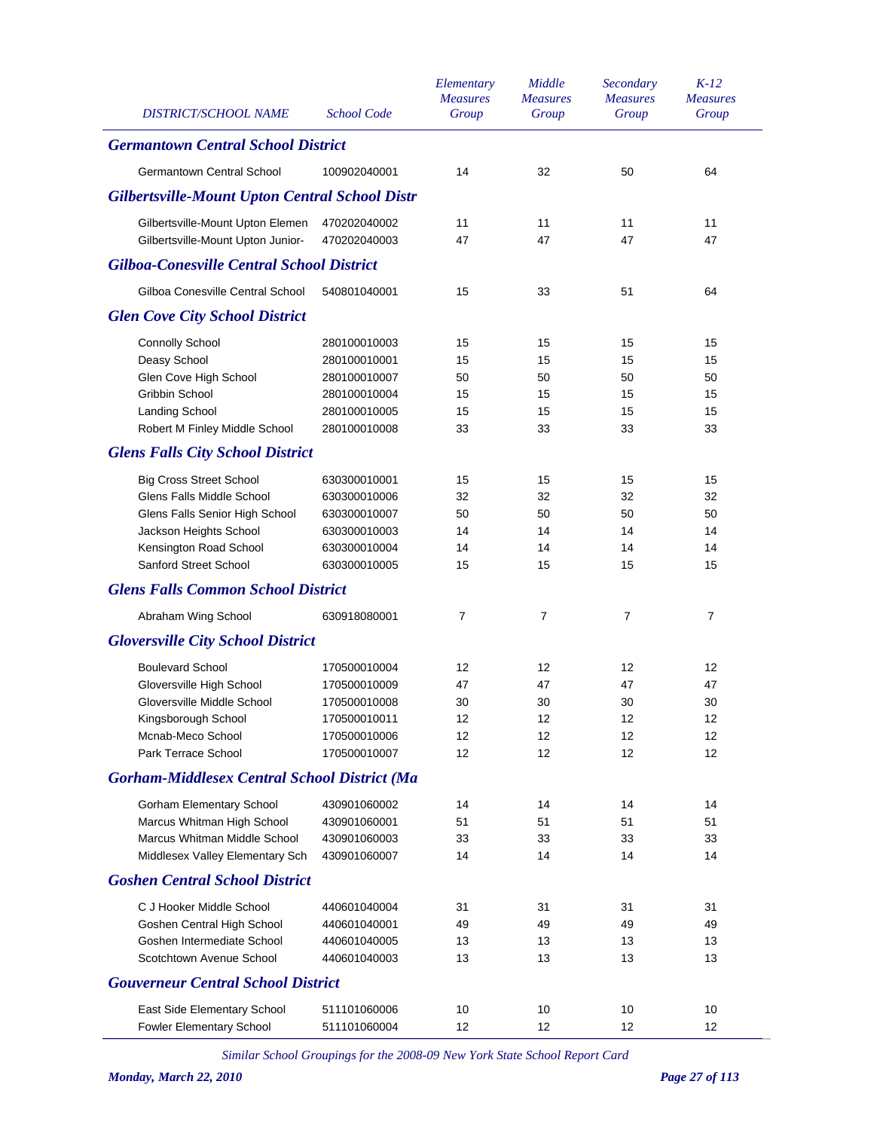| DISTRICT/SCHOOL NAME                                  | <b>School Code</b> | Elementary<br><b>Measures</b><br>Group | Middle<br><b>Measures</b><br>Group | Secondary<br><b>Measures</b><br>Group | $K-12$<br><b>Measures</b><br>Group |
|-------------------------------------------------------|--------------------|----------------------------------------|------------------------------------|---------------------------------------|------------------------------------|
| <b>Germantown Central School District</b>             |                    |                                        |                                    |                                       |                                    |
| Germantown Central School                             | 100902040001       | 14                                     | 32                                 | 50                                    | 64                                 |
| <b>Gilbertsville-Mount Upton Central School Distr</b> |                    |                                        |                                    |                                       |                                    |
| Gilbertsville-Mount Upton Elemen                      | 470202040002       | 11                                     | 11                                 | 11                                    | 11                                 |
| Gilbertsville-Mount Upton Junior-                     | 470202040003       | 47                                     | 47                                 | 47                                    | 47                                 |
| <b>Gilboa-Conesville Central School District</b>      |                    |                                        |                                    |                                       |                                    |
| Gilboa Conesville Central School                      | 540801040001       | 15                                     | 33                                 | 51                                    | 64                                 |
| <b>Glen Cove City School District</b>                 |                    |                                        |                                    |                                       |                                    |
| Connolly School                                       | 280100010003       | 15                                     | 15                                 | 15                                    | 15                                 |
| Deasy School                                          | 280100010001       | 15                                     | 15                                 | 15                                    | 15                                 |
| Glen Cove High School                                 | 280100010007       | 50                                     | 50                                 | 50                                    | 50                                 |
| Gribbin School                                        | 280100010004       | 15                                     | 15                                 | 15                                    | 15                                 |
| <b>Landing School</b>                                 | 280100010005       | 15                                     | 15                                 | 15                                    | 15                                 |
| Robert M Finley Middle School                         | 280100010008       | 33                                     | 33                                 | 33                                    | 33                                 |
| <b>Glens Falls City School District</b>               |                    |                                        |                                    |                                       |                                    |
| <b>Big Cross Street School</b>                        | 630300010001       | 15                                     | 15                                 | 15                                    | 15                                 |
| Glens Falls Middle School                             | 630300010006       | 32                                     | 32                                 | 32                                    | 32                                 |
| Glens Falls Senior High School                        | 630300010007       | 50                                     | 50                                 | 50                                    | 50                                 |
| Jackson Heights School                                | 630300010003       | 14                                     | 14                                 | 14                                    | 14                                 |
| Kensington Road School                                | 630300010004       | 14                                     | 14                                 | 14                                    | 14                                 |
| Sanford Street School                                 | 630300010005       | 15                                     | 15                                 | 15                                    | 15                                 |
| <b>Glens Falls Common School District</b>             |                    |                                        |                                    |                                       |                                    |
| Abraham Wing School                                   | 630918080001       | 7                                      | $\overline{7}$                     | 7                                     | $\overline{7}$                     |
| <b>Gloversville City School District</b>              |                    |                                        |                                    |                                       |                                    |
| <b>Boulevard School</b>                               | 170500010004       | 12                                     | 12                                 | 12                                    | 12                                 |
| Gloversville High School                              | 170500010009       | 47                                     | 47                                 | 47                                    | 47                                 |
| Gloversville Middle School                            | 170500010008       | 30                                     | 30                                 | 30                                    | 30                                 |
| Kingsborough School                                   | 170500010011       | 12                                     | 12                                 | 12                                    | 12                                 |
| Mcnab-Meco School                                     | 170500010006       | 12                                     | 12                                 | 12                                    | 12                                 |
| Park Terrace School                                   | 170500010007       | 12                                     | 12                                 | 12                                    | 12                                 |
| <b>Gorham-Middlesex Central School District (Ma</b>   |                    |                                        |                                    |                                       |                                    |
| Gorham Elementary School                              | 430901060002       | 14                                     | 14                                 | 14                                    | 14                                 |
| Marcus Whitman High School                            | 430901060001       | 51                                     | 51                                 | 51                                    | 51                                 |
| Marcus Whitman Middle School                          | 430901060003       | 33                                     | 33                                 | 33                                    | 33                                 |
| Middlesex Valley Elementary Sch                       | 430901060007       | 14                                     | 14                                 | 14                                    | 14                                 |
| <b>Goshen Central School District</b>                 |                    |                                        |                                    |                                       |                                    |
| C J Hooker Middle School                              | 440601040004       | 31                                     | 31                                 | 31                                    | 31                                 |
| Goshen Central High School                            | 440601040001       | 49                                     | 49                                 | 49                                    | 49                                 |
| Goshen Intermediate School                            | 440601040005       | 13                                     | 13                                 | 13                                    | 13                                 |
| Scotchtown Avenue School                              | 440601040003       | 13                                     | 13                                 | 13                                    | 13                                 |
| <b>Gouverneur Central School District</b>             |                    |                                        |                                    |                                       |                                    |
| East Side Elementary School                           | 511101060006       | 10                                     | 10                                 | 10                                    | 10                                 |
| <b>Fowler Elementary School</b>                       | 511101060004       | 12                                     | 12                                 | 12                                    | 12                                 |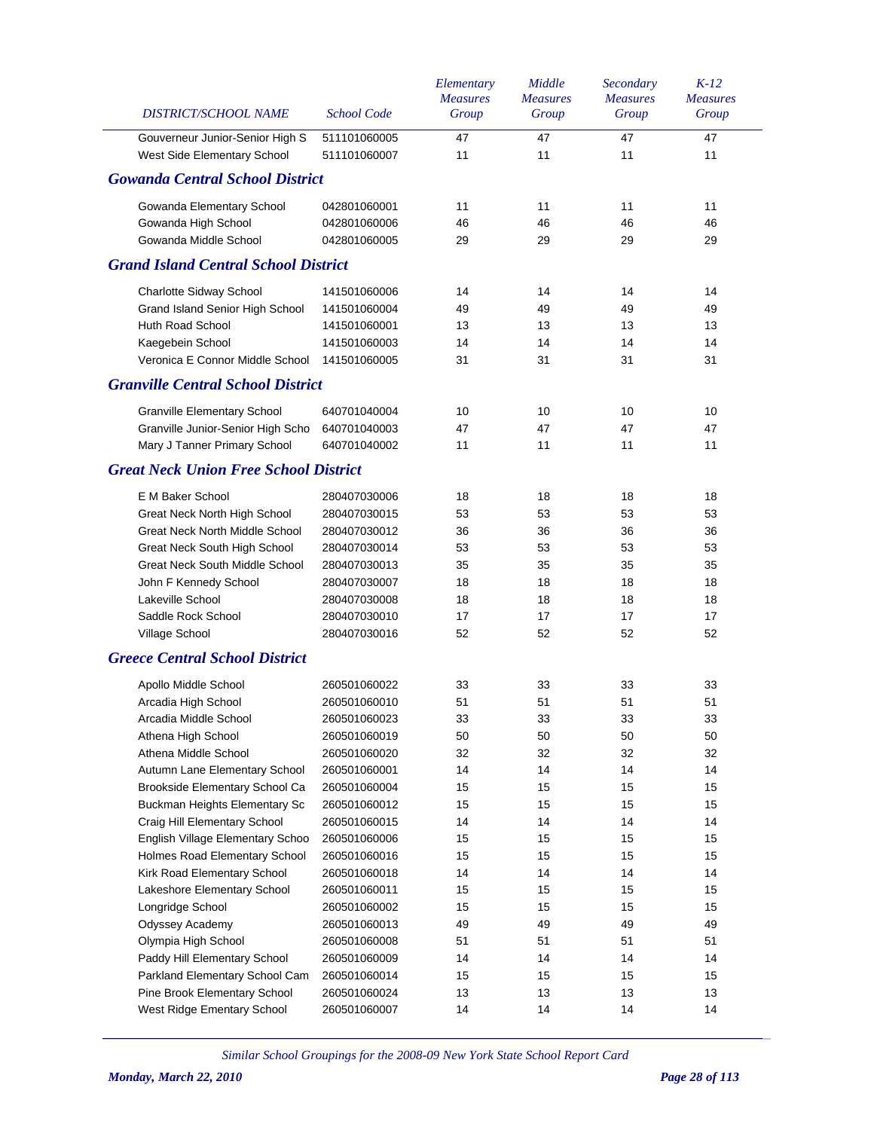| <b>DISTRICT/SCHOOL NAME</b>                  | <b>School Code</b> | Elementary<br><b>Measures</b><br>Group | Middle<br><b>Measures</b><br>Group | Secondary<br><b>Measures</b><br>Group | $K-12$<br><b>Measures</b><br>Group |
|----------------------------------------------|--------------------|----------------------------------------|------------------------------------|---------------------------------------|------------------------------------|
| Gouverneur Junior-Senior High S              | 511101060005       | 47                                     | 47                                 | 47                                    | 47                                 |
| West Side Elementary School                  | 511101060007       | 11                                     | 11                                 | 11                                    | 11                                 |
| <b>Gowanda Central School District</b>       |                    |                                        |                                    |                                       |                                    |
| Gowanda Elementary School                    | 042801060001       | 11                                     | 11                                 | 11                                    | 11                                 |
| Gowanda High School                          | 042801060006       | 46                                     | 46                                 | 46                                    | 46                                 |
| Gowanda Middle School                        | 042801060005       | 29                                     | 29                                 | 29                                    | 29                                 |
| <b>Grand Island Central School District</b>  |                    |                                        |                                    |                                       |                                    |
| Charlotte Sidway School                      | 141501060006       | 14                                     | 14                                 | 14                                    | 14                                 |
| Grand Island Senior High School              | 141501060004       | 49                                     | 49                                 | 49                                    | 49                                 |
| Huth Road School                             | 141501060001       | 13                                     | 13                                 | 13                                    | 13                                 |
| Kaegebein School                             | 141501060003       | 14                                     | 14                                 | 14                                    | 14                                 |
| Veronica E Connor Middle School              | 141501060005       | 31                                     | 31                                 | 31                                    | 31                                 |
| <b>Granville Central School District</b>     |                    |                                        |                                    |                                       |                                    |
| <b>Granville Elementary School</b>           | 640701040004       | 10                                     | 10                                 | 10                                    | 10                                 |
| Granville Junior-Senior High Scho            | 640701040003       | 47                                     | 47                                 | 47                                    | 47                                 |
| Mary J Tanner Primary School                 | 640701040002       | 11                                     | 11                                 | 11                                    | 11                                 |
| <b>Great Neck Union Free School District</b> |                    |                                        |                                    |                                       |                                    |
| E M Baker School                             | 280407030006       | 18                                     | 18                                 | 18                                    | 18                                 |
| Great Neck North High School                 | 280407030015       | 53                                     | 53                                 | 53                                    | 53                                 |
| Great Neck North Middle School               | 280407030012       | 36                                     | 36                                 | 36                                    | 36                                 |
| Great Neck South High School                 | 280407030014       | 53                                     | 53                                 | 53                                    | 53                                 |
| Great Neck South Middle School               | 280407030013       | 35                                     | 35                                 | 35                                    | 35                                 |
| John F Kennedy School                        | 280407030007       | 18                                     | 18                                 | 18                                    | 18                                 |
| Lakeville School                             | 280407030008       | 18                                     | 18                                 | 18                                    | 18                                 |
| Saddle Rock School                           | 280407030010       | 17                                     | 17                                 | 17                                    | 17                                 |
| Village School                               | 280407030016       | 52                                     | 52                                 | 52                                    | 52                                 |
| <b>Greece Central School District</b>        |                    |                                        |                                    |                                       |                                    |
| Apollo Middle School                         | 260501060022       | 33                                     | 33                                 | 33                                    | 33                                 |
| Arcadia High School                          | 260501060010       | 51                                     | 51                                 | 51                                    | 51                                 |
| Arcadia Middle School                        | 260501060023       | 33                                     | 33                                 | 33                                    | 33                                 |
| Athena High School                           | 260501060019       | 50                                     | 50                                 | 50                                    | 50                                 |
| Athena Middle School                         | 260501060020       | 32                                     | 32                                 | 32                                    | 32                                 |
| Autumn Lane Elementary School                | 260501060001       | 14                                     | 14                                 | 14                                    | 14                                 |
| Brookside Elementary School Ca               | 260501060004       | 15                                     | 15                                 | 15                                    | 15                                 |
| Buckman Heights Elementary Sc                | 260501060012       | 15                                     | 15                                 | 15                                    | 15                                 |
| Craig Hill Elementary School                 | 260501060015       | 14                                     | 14                                 | 14                                    | 14                                 |
| English Village Elementary Schoo             | 260501060006       | 15                                     | 15                                 | 15                                    | 15                                 |
| Holmes Road Elementary School                | 260501060016       | 15                                     | 15                                 | 15                                    | 15                                 |
| Kirk Road Elementary School                  | 260501060018       | 14                                     | 14                                 | 14                                    | 14                                 |
| Lakeshore Elementary School                  | 260501060011       | 15                                     | 15                                 | 15                                    | 15                                 |
| Longridge School                             | 260501060002       | 15                                     | 15                                 | 15                                    | 15                                 |
| Odyssey Academy                              | 260501060013       | 49                                     | 49                                 | 49                                    | 49                                 |
| Olympia High School                          | 260501060008       | 51                                     | 51                                 | 51                                    | 51                                 |
| Paddy Hill Elementary School                 | 260501060009       | 14                                     | 14                                 | 14                                    | 14                                 |
| Parkland Elementary School Cam               | 260501060014       | 15                                     | 15                                 | 15                                    | 15                                 |
| Pine Brook Elementary School                 | 260501060024       | 13                                     | 13                                 | 13                                    | 13                                 |
| West Ridge Ementary School                   | 260501060007       | 14                                     | 14                                 | 14                                    | 14                                 |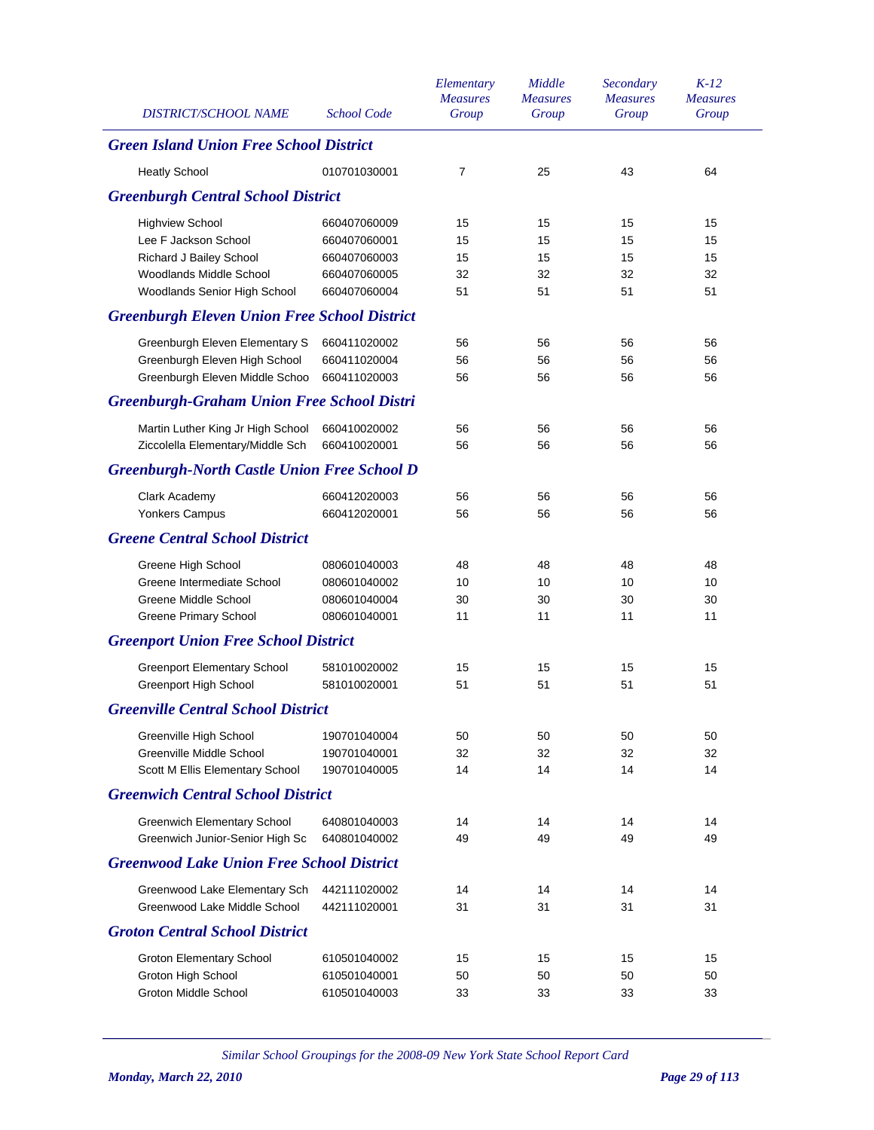| <b>DISTRICT/SCHOOL NAME</b>                         | <b>School Code</b> | Elementary<br><b>Measures</b><br>Group | Middle<br><b>Measures</b><br>Group | Secondary<br><b>Measures</b><br>Group | $K-12$<br><b>Measures</b><br>Group |
|-----------------------------------------------------|--------------------|----------------------------------------|------------------------------------|---------------------------------------|------------------------------------|
| <b>Green Island Union Free School District</b>      |                    |                                        |                                    |                                       |                                    |
| <b>Heatly School</b>                                | 010701030001       | $\overline{7}$                         | 25                                 | 43                                    | 64                                 |
| <b>Greenburgh Central School District</b>           |                    |                                        |                                    |                                       |                                    |
| <b>Highview School</b>                              | 660407060009       | 15                                     | 15                                 | 15                                    | 15                                 |
| Lee F Jackson School                                | 660407060001       | 15                                     | 15                                 | 15                                    | 15                                 |
| Richard J Bailey School                             | 660407060003       | 15                                     | 15                                 | 15                                    | 15                                 |
| Woodlands Middle School                             | 660407060005       | 32                                     | 32                                 | 32                                    | 32                                 |
| Woodlands Senior High School                        | 660407060004       | 51                                     | 51                                 | 51                                    | 51                                 |
| <b>Greenburgh Eleven Union Free School District</b> |                    |                                        |                                    |                                       |                                    |
| Greenburgh Eleven Elementary S                      | 660411020002       | 56                                     | 56                                 | 56                                    | 56                                 |
| Greenburgh Eleven High School                       | 660411020004       | 56                                     | 56                                 | 56                                    | 56                                 |
| Greenburgh Eleven Middle Schoo                      | 660411020003       | 56                                     | 56                                 | 56                                    | 56                                 |
| <b>Greenburgh-Graham Union Free School Distri</b>   |                    |                                        |                                    |                                       |                                    |
| Martin Luther King Jr High School                   | 660410020002       | 56                                     | 56                                 | 56                                    | 56                                 |
| Ziccolella Elementary/Middle Sch                    | 660410020001       | 56                                     | 56                                 | 56                                    | 56                                 |
| <b>Greenburgh-North Castle Union Free School D</b>  |                    |                                        |                                    |                                       |                                    |
| Clark Academy                                       | 660412020003       | 56                                     | 56                                 | 56                                    | 56                                 |
| Yonkers Campus                                      | 660412020001       | 56                                     | 56                                 | 56                                    | 56                                 |
| <b>Greene Central School District</b>               |                    |                                        |                                    |                                       |                                    |
| Greene High School                                  | 080601040003       | 48                                     | 48                                 | 48                                    | 48                                 |
| Greene Intermediate School                          | 080601040002       | 10                                     | 10                                 | 10                                    | 10                                 |
| Greene Middle School                                | 080601040004       | 30                                     | 30                                 | 30                                    | 30                                 |
| <b>Greene Primary School</b>                        | 080601040001       | 11                                     | 11                                 | 11                                    | 11                                 |
| <b>Greenport Union Free School District</b>         |                    |                                        |                                    |                                       |                                    |
| <b>Greenport Elementary School</b>                  | 581010020002       | 15                                     | 15                                 | 15                                    | 15                                 |
| Greenport High School                               | 581010020001       | 51                                     | 51                                 | 51                                    | 51                                 |
| <b>Greenville Central School District</b>           |                    |                                        |                                    |                                       |                                    |
| Greenville High School                              | 190701040004       | 50                                     | 50                                 | 50                                    | 50                                 |
| Greenville Middle School                            | 190701040001       | 32                                     | 32                                 | 32                                    | 32                                 |
| Scott M Ellis Elementary School                     | 190701040005       | 14                                     | 14                                 | 14                                    | 14                                 |
| <b>Greenwich Central School District</b>            |                    |                                        |                                    |                                       |                                    |
| <b>Greenwich Elementary School</b>                  | 640801040003       | 14                                     | 14                                 | 14                                    | 14                                 |
| Greenwich Junior-Senior High Sc                     | 640801040002       | 49                                     | 49                                 | 49                                    | 49                                 |
| <b>Greenwood Lake Union Free School District</b>    |                    |                                        |                                    |                                       |                                    |
| Greenwood Lake Elementary Sch                       | 442111020002       | 14                                     | 14                                 | 14                                    | 14                                 |
| Greenwood Lake Middle School                        | 442111020001       | 31                                     | 31                                 | 31                                    | 31                                 |
| <b>Groton Central School District</b>               |                    |                                        |                                    |                                       |                                    |
| <b>Groton Elementary School</b>                     | 610501040002       | 15                                     | 15                                 | 15                                    | 15                                 |
| Groton High School                                  | 610501040001       | 50                                     | 50                                 | 50                                    | 50                                 |
| <b>Groton Middle School</b>                         | 610501040003       | 33                                     | 33                                 | 33                                    | 33                                 |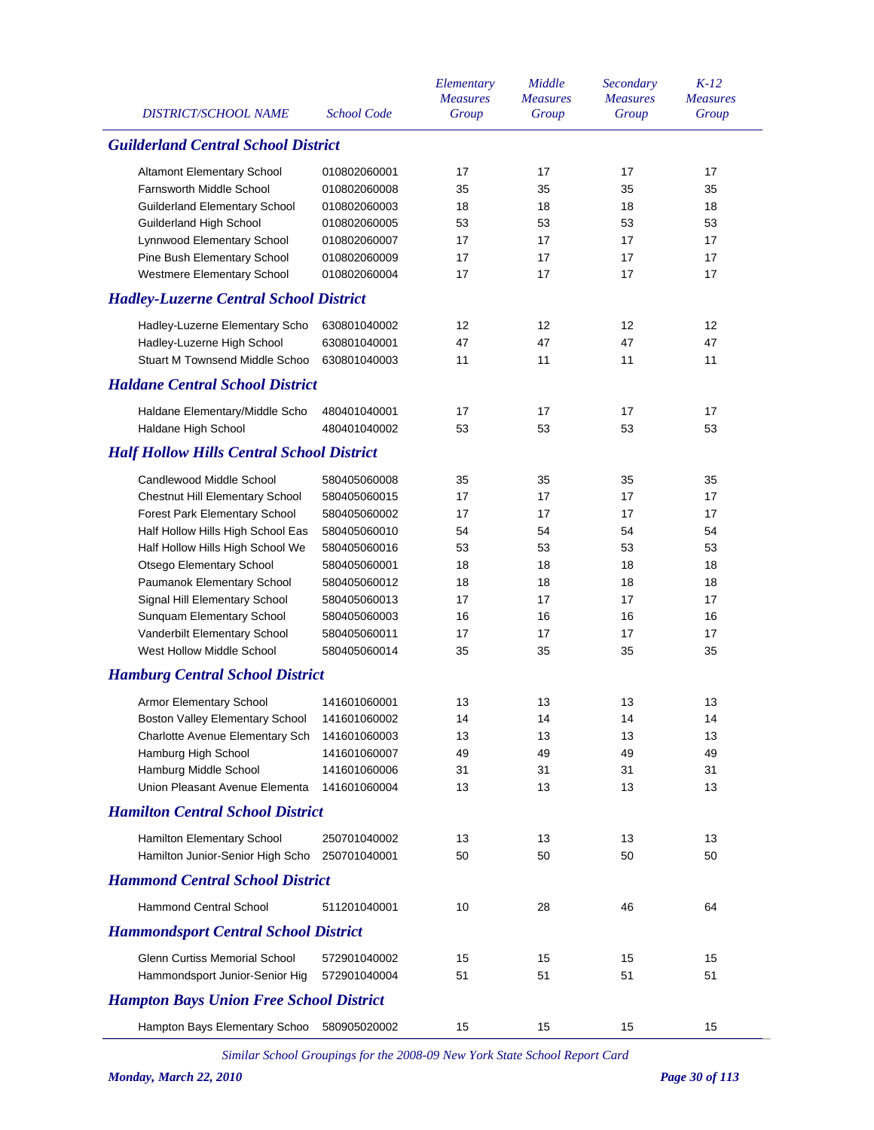| <b>DISTRICT/SCHOOL NAME</b>                                              | <b>School Code</b>           | Elementary<br><b>Measures</b><br>Group | Middle<br><b>Measures</b><br>Group | Secondary<br><b>Measures</b><br>Group | $K-12$<br><b>Measures</b><br>Group |
|--------------------------------------------------------------------------|------------------------------|----------------------------------------|------------------------------------|---------------------------------------|------------------------------------|
| <b>Guilderland Central School District</b>                               |                              |                                        |                                    |                                       |                                    |
| Altamont Elementary School                                               | 010802060001                 | 17                                     | 17                                 | 17                                    | 17                                 |
| <b>Farnsworth Middle School</b>                                          | 010802060008                 | 35                                     | 35                                 | 35                                    | 35                                 |
| <b>Guilderland Elementary School</b>                                     | 010802060003                 | 18                                     | 18                                 | 18                                    | 18                                 |
| Guilderland High School                                                  | 010802060005                 | 53                                     | 53                                 | 53                                    | 53                                 |
| Lynnwood Elementary School                                               | 010802060007                 | 17                                     | 17                                 | 17                                    | 17                                 |
| Pine Bush Elementary School                                              | 010802060009                 | 17                                     | 17                                 | 17                                    | 17                                 |
| Westmere Elementary School                                               | 010802060004                 | 17                                     | 17                                 | 17                                    | 17                                 |
| <b>Hadley-Luzerne Central School District</b>                            |                              |                                        |                                    |                                       |                                    |
| Hadley-Luzerne Elementary Scho                                           | 630801040002                 | 12                                     | 12                                 | 12                                    | 12                                 |
| Hadley-Luzerne High School                                               | 630801040001                 | 47                                     | 47                                 | 47                                    | 47                                 |
| Stuart M Townsend Middle Schoo                                           | 630801040003                 | 11                                     | 11                                 | 11                                    | 11                                 |
| <b>Haldane Central School District</b>                                   |                              |                                        |                                    |                                       |                                    |
|                                                                          |                              | 17                                     | 17                                 | 17                                    | 17                                 |
| Haldane Elementary/Middle Scho<br>Haldane High School                    | 480401040001<br>480401040002 | 53                                     | 53                                 | 53                                    | 53                                 |
| <b>Half Hollow Hills Central School District</b>                         |                              |                                        |                                    |                                       |                                    |
| Candlewood Middle School                                                 |                              |                                        |                                    |                                       |                                    |
|                                                                          | 580405060008<br>580405060015 | 35<br>17                               | 35<br>17                           | 35<br>17                              | 35<br>17                           |
| Chestnut Hill Elementary School                                          |                              |                                        |                                    | 17                                    |                                    |
| Forest Park Elementary School                                            | 580405060002<br>580405060010 | 17<br>54                               | 17<br>54                           | 54                                    | 17<br>54                           |
| Half Hollow Hills High School Eas                                        | 580405060016                 | 53                                     | 53                                 | 53                                    | 53                                 |
| Half Hollow Hills High School We                                         | 580405060001                 | 18                                     | 18                                 | 18                                    | 18                                 |
| Otsego Elementary School<br>Paumanok Elementary School                   | 580405060012                 | 18                                     | 18                                 | 18                                    | 18                                 |
| Signal Hill Elementary School                                            | 580405060013                 | 17                                     | 17                                 | 17                                    | 17                                 |
| Sunquam Elementary School                                                | 580405060003                 | 16                                     | 16                                 | 16                                    | 16                                 |
| Vanderbilt Elementary School                                             | 580405060011                 | 17                                     | 17                                 | 17                                    | 17                                 |
| West Hollow Middle School                                                | 580405060014                 | 35                                     | 35                                 | 35                                    | 35                                 |
| <b>Hamburg Central School District</b>                                   |                              |                                        |                                    |                                       |                                    |
|                                                                          | 141601060001                 | 13                                     | 13                                 | 13                                    | 13                                 |
| <b>Armor Elementary School</b><br><b>Boston Valley Elementary School</b> | 141601060002                 | 14                                     | 14                                 | 14                                    |                                    |
| Charlotte Avenue Elementary Sch                                          | 141601060003                 | 13                                     | 13                                 | 13                                    | 14<br>13                           |
| Hamburg High School                                                      | 141601060007                 | 49                                     | 49                                 | 49                                    | 49                                 |
| Hamburg Middle School                                                    | 141601060006                 | 31                                     | 31                                 | 31                                    | 31                                 |
| Union Pleasant Avenue Elementa                                           | 141601060004                 | 13                                     | 13                                 | 13                                    | 13                                 |
| <b>Hamilton Central School District</b>                                  |                              |                                        |                                    |                                       |                                    |
| Hamilton Elementary School                                               | 250701040002                 | 13                                     | 13                                 | 13                                    | 13                                 |
| Hamilton Junior-Senior High Scho                                         | 250701040001                 | 50                                     | 50                                 | 50                                    | 50                                 |
| <b>Hammond Central School District</b>                                   |                              |                                        |                                    |                                       |                                    |
| <b>Hammond Central School</b>                                            | 511201040001                 | 10                                     | 28                                 | 46                                    | 64                                 |
| <b>Hammondsport Central School District</b>                              |                              |                                        |                                    |                                       |                                    |
| Glenn Curtiss Memorial School                                            | 572901040002                 | 15                                     | 15                                 | 15                                    | 15                                 |
| Hammondsport Junior-Senior Hig                                           | 572901040004                 | 51                                     | 51                                 | 51                                    | 51                                 |
| <b>Hampton Bays Union Free School District</b>                           |                              |                                        |                                    |                                       |                                    |
| Hampton Bays Elementary Schoo                                            | 580905020002                 | 15                                     | 15                                 | 15                                    | 15                                 |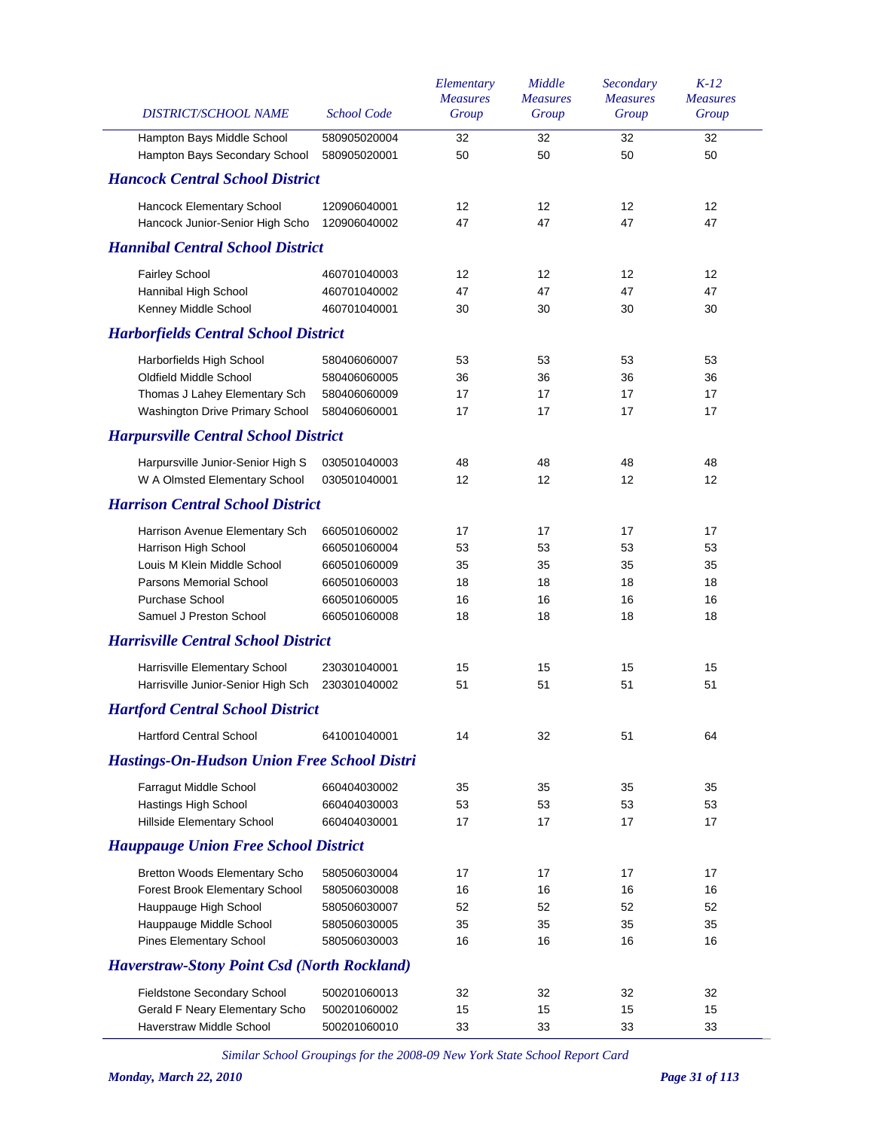| DISTRICT/SCHOOL NAME                                        | <b>School Code</b>           | Elementary<br><b>Measures</b><br>Group | Middle<br><b>Measures</b><br>Group | Secondary<br><b>Measures</b><br>Group | $K-12$<br><b>Measures</b><br>Group |
|-------------------------------------------------------------|------------------------------|----------------------------------------|------------------------------------|---------------------------------------|------------------------------------|
| Hampton Bays Middle School<br>Hampton Bays Secondary School | 580905020004<br>580905020001 | 32<br>50                               | 32<br>50                           | 32<br>50                              | 32<br>50                           |
| <b>Hancock Central School District</b>                      |                              |                                        |                                    |                                       |                                    |
| Hancock Elementary School                                   | 120906040001                 | 12                                     | 12                                 | 12                                    | 12                                 |
| Hancock Junior-Senior High Scho                             | 120906040002                 | 47                                     | 47                                 | 47                                    | 47                                 |
| <b>Hannibal Central School District</b>                     |                              |                                        |                                    |                                       |                                    |
| <b>Fairley School</b>                                       | 460701040003                 | 12                                     | 12                                 | 12                                    | 12                                 |
| Hannibal High School                                        | 460701040002                 | 47                                     | 47                                 | 47                                    | 47                                 |
| Kenney Middle School                                        | 460701040001                 | 30                                     | 30                                 | 30                                    | 30                                 |
| <b>Harborfields Central School District</b>                 |                              |                                        |                                    |                                       |                                    |
| Harborfields High School                                    | 580406060007                 | 53                                     | 53                                 | 53                                    | 53                                 |
| Oldfield Middle School                                      | 580406060005                 | 36                                     | 36                                 | 36                                    | 36                                 |
| Thomas J Lahey Elementary Sch                               | 580406060009                 | 17                                     | 17                                 | 17                                    | 17                                 |
| Washington Drive Primary School                             | 580406060001                 | 17                                     | 17                                 | 17                                    | 17                                 |
| <b>Harpursville Central School District</b>                 |                              |                                        |                                    |                                       |                                    |
| Harpursville Junior-Senior High S                           | 030501040003                 | 48                                     | 48                                 | 48                                    | 48                                 |
| W A Olmsted Elementary School                               | 030501040001                 | 12                                     | 12                                 | 12                                    | 12                                 |
| <b>Harrison Central School District</b>                     |                              |                                        |                                    |                                       |                                    |
| Harrison Avenue Elementary Sch                              | 660501060002                 | 17                                     | 17                                 | 17                                    | 17                                 |
| Harrison High School                                        | 660501060004                 | 53                                     | 53                                 | 53                                    | 53                                 |
| Louis M Klein Middle School                                 | 660501060009                 | 35                                     | 35                                 | 35                                    | 35                                 |
| Parsons Memorial School                                     | 660501060003                 | 18                                     | 18                                 | 18                                    | 18                                 |
| <b>Purchase School</b>                                      | 660501060005                 | 16                                     | 16                                 | 16                                    | 16                                 |
| Samuel J Preston School                                     | 660501060008                 | 18                                     | 18                                 | 18                                    | 18                                 |
| <b>Harrisville Central School District</b>                  |                              |                                        |                                    |                                       |                                    |
| Harrisville Elementary School                               | 230301040001                 | 15                                     | 15                                 | 15                                    | 15                                 |
| Harrisville Junior-Senior High Sch                          | 230301040002                 | 51                                     | 51                                 | 51                                    | 51                                 |
| <b>Hartford Central School District</b>                     |                              |                                        |                                    |                                       |                                    |
| <b>Hartford Central School</b>                              | 641001040001                 | 14                                     | 32                                 | 51                                    | 64                                 |
| <b>Hastings-On-Hudson Union Free School Distri</b>          |                              |                                        |                                    |                                       |                                    |
| Farragut Middle School                                      | 660404030002                 | 35                                     | 35                                 | 35                                    | 35                                 |
| Hastings High School                                        | 660404030003                 | 53                                     | 53                                 | 53                                    | 53                                 |
| Hillside Elementary School                                  | 660404030001                 | 17                                     | 17                                 | 17                                    | 17                                 |
| <b>Hauppauge Union Free School District</b>                 |                              |                                        |                                    |                                       |                                    |
| <b>Bretton Woods Elementary Scho</b>                        | 580506030004                 | 17                                     | 17                                 | 17                                    | 17                                 |
| Forest Brook Elementary School                              | 580506030008                 | 16                                     | 16                                 | 16                                    | 16                                 |
| Hauppauge High School                                       | 580506030007                 | 52                                     | 52                                 | 52                                    | 52                                 |
| Hauppauge Middle School                                     | 580506030005                 | 35                                     | 35                                 | 35                                    | 35                                 |
| <b>Pines Elementary School</b>                              | 580506030003                 | 16                                     | 16                                 | 16                                    | 16                                 |
| <b>Haverstraw-Stony Point Csd (North Rockland)</b>          |                              |                                        |                                    |                                       |                                    |
| Fieldstone Secondary School                                 | 500201060013                 | 32                                     | 32                                 | 32                                    | 32                                 |
| Gerald F Neary Elementary Scho                              | 500201060002                 | 15                                     | 15                                 | 15                                    | 15                                 |
| Haverstraw Middle School                                    | 500201060010                 | 33                                     | 33                                 | 33                                    | 33                                 |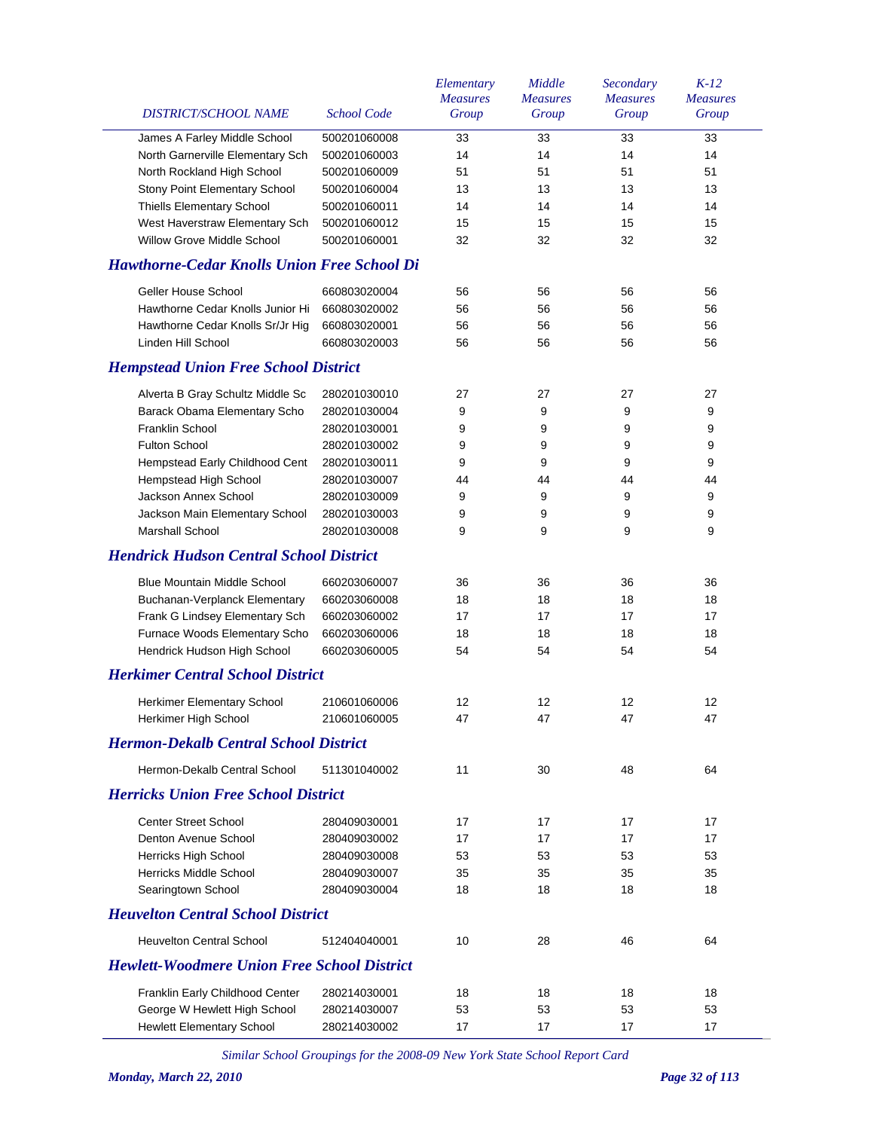| DISTRICT/SCHOOL NAME                               | <b>School Code</b> | Elementary<br><b>Measures</b><br>Group | Middle<br><b>Measures</b><br>Group | Secondary<br><b>Measures</b><br>Group | $K-12$<br><b>Measures</b><br>Group |
|----------------------------------------------------|--------------------|----------------------------------------|------------------------------------|---------------------------------------|------------------------------------|
| James A Farley Middle School                       | 500201060008       | 33                                     | 33                                 | 33                                    | 33                                 |
| North Garnerville Elementary Sch                   | 500201060003       | 14                                     | 14                                 | 14                                    | 14                                 |
| North Rockland High School                         | 500201060009       | 51                                     | 51                                 | 51                                    | 51                                 |
| Stony Point Elementary School                      | 500201060004       | 13                                     | 13                                 | 13                                    | 13                                 |
| <b>Thiells Elementary School</b>                   | 500201060011       | 14                                     | 14                                 | 14                                    | 14                                 |
| West Haverstraw Elementary Sch                     | 500201060012       | 15                                     | 15                                 | 15                                    | 15                                 |
| Willow Grove Middle School                         | 500201060001       | 32                                     | 32                                 | 32                                    | 32                                 |
| <b>Hawthorne-Cedar Knolls Union Free School Di</b> |                    |                                        |                                    |                                       |                                    |
| Geller House School                                | 660803020004       | 56                                     | 56                                 | 56                                    | 56                                 |
| Hawthorne Cedar Knolls Junior Hi                   | 660803020002       | 56                                     | 56                                 | 56                                    | 56                                 |
| Hawthorne Cedar Knolls Sr/Jr Hig                   | 660803020001       | 56                                     | 56                                 | 56                                    | 56                                 |
| Linden Hill School                                 | 660803020003       | 56                                     | 56                                 | 56                                    | 56                                 |
| <b>Hempstead Union Free School District</b>        |                    |                                        |                                    |                                       |                                    |
| Alverta B Gray Schultz Middle Sc                   | 280201030010       | 27                                     | 27                                 | 27                                    | 27                                 |
| Barack Obama Elementary Scho                       | 280201030004       | 9                                      | 9                                  | 9                                     | 9                                  |
| Franklin School                                    | 280201030001       | 9                                      | 9                                  | 9                                     | 9                                  |
| <b>Fulton School</b>                               | 280201030002       | 9                                      | 9                                  | 9                                     | 9                                  |
| Hempstead Early Childhood Cent                     | 280201030011       | 9                                      | 9                                  | 9                                     | 9                                  |
| Hempstead High School                              | 280201030007       | 44                                     | 44                                 | 44                                    | 44                                 |
| Jackson Annex School                               | 280201030009       | 9                                      | 9                                  | 9                                     | 9                                  |
| Jackson Main Elementary School                     | 280201030003       | 9                                      | 9                                  | 9                                     | 9                                  |
| Marshall School                                    | 280201030008       | 9                                      | 9                                  | 9                                     | 9                                  |
| <b>Hendrick Hudson Central School District</b>     |                    |                                        |                                    |                                       |                                    |
| <b>Blue Mountain Middle School</b>                 | 660203060007       | 36                                     | 36                                 | 36                                    | 36                                 |
| Buchanan-Verplanck Elementary                      | 660203060008       | 18                                     | 18                                 | 18                                    | 18                                 |
| Frank G Lindsey Elementary Sch                     | 660203060002       | 17                                     | 17                                 | 17                                    | 17                                 |
| Furnace Woods Elementary Scho                      | 660203060006       | 18                                     | 18                                 | 18                                    | 18                                 |
| Hendrick Hudson High School                        | 660203060005       | 54                                     | 54                                 | 54                                    | 54                                 |
| <b>Herkimer Central School District</b>            |                    |                                        |                                    |                                       |                                    |
| Herkimer Elementary School                         | 210601060006       | 12                                     | 12                                 | 12                                    | 12                                 |
| Herkimer High School                               | 210601060005       | 47                                     | 47                                 | 47                                    | 47                                 |
| <b>Hermon-Dekalb Central School District</b>       |                    |                                        |                                    |                                       |                                    |
| Hermon-Dekalb Central School                       | 511301040002       | 11                                     | 30                                 | 48                                    | 64                                 |
| <b>Herricks Union Free School District</b>         |                    |                                        |                                    |                                       |                                    |
| <b>Center Street School</b>                        | 280409030001       | 17                                     | 17                                 | 17                                    | 17                                 |
| Denton Avenue School                               | 280409030002       | 17                                     | 17                                 | 17                                    | 17                                 |
| Herricks High School                               | 280409030008       | 53                                     | 53                                 | 53                                    | 53                                 |
| <b>Herricks Middle School</b>                      | 280409030007       | 35                                     | 35                                 | 35                                    | 35                                 |
| Searingtown School                                 | 280409030004       | 18                                     | 18                                 | 18                                    | 18                                 |
| <b>Heuvelton Central School District</b>           |                    |                                        |                                    |                                       |                                    |
| <b>Heuvelton Central School</b>                    | 512404040001       | 10                                     | 28                                 | 46                                    | 64                                 |
| <b>Hewlett-Woodmere Union Free School District</b> |                    |                                        |                                    |                                       |                                    |
| Franklin Early Childhood Center                    | 280214030001       | 18                                     | 18                                 | 18                                    | 18                                 |
| George W Hewlett High School                       | 280214030007       | 53                                     | 53                                 | 53                                    | 53                                 |
| <b>Hewlett Elementary School</b>                   | 280214030002       | 17                                     | 17                                 | 17                                    | 17                                 |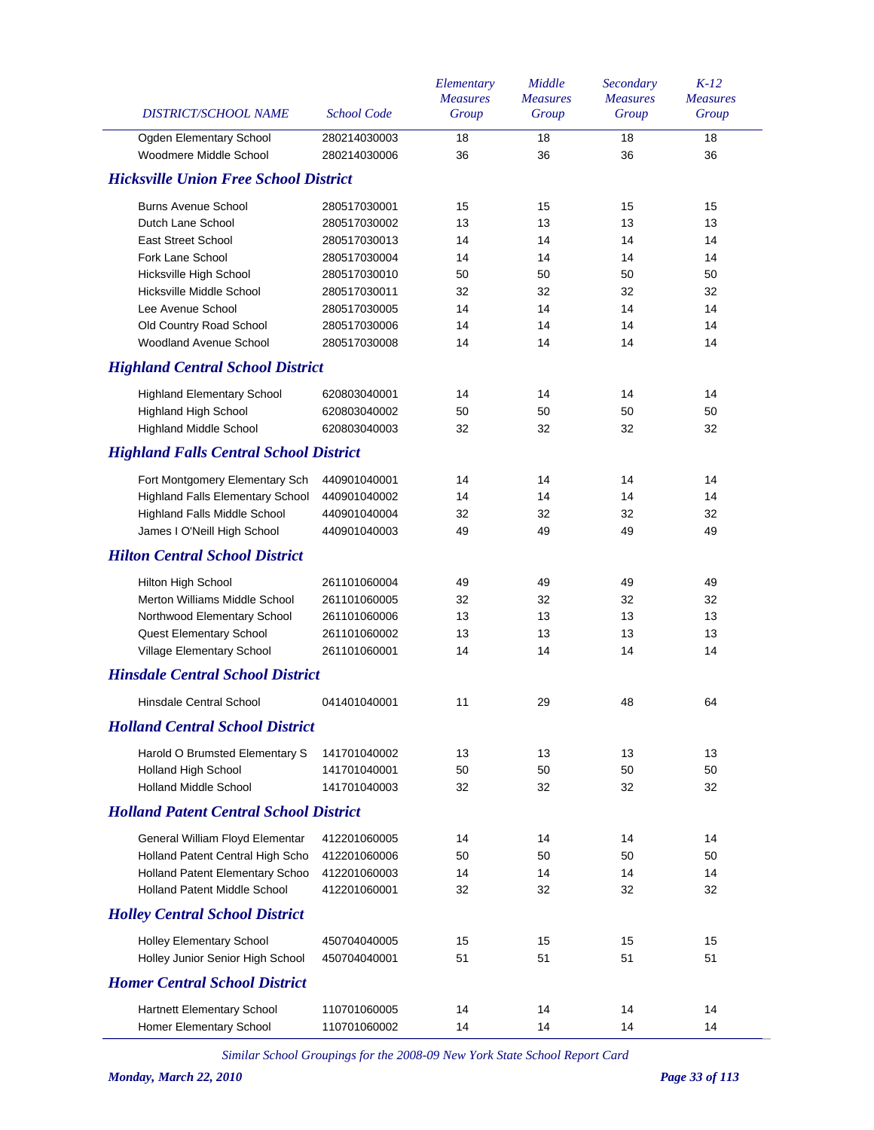| Ogden Elementary School                       | 280214030003 |    |    | Group | Group |
|-----------------------------------------------|--------------|----|----|-------|-------|
|                                               |              | 18 | 18 | 18    | 18    |
| Woodmere Middle School                        | 280214030006 | 36 | 36 | 36    | 36    |
| <b>Hicksville Union Free School District</b>  |              |    |    |       |       |
| <b>Burns Avenue School</b>                    | 280517030001 | 15 | 15 | 15    | 15    |
| Dutch Lane School                             | 280517030002 | 13 | 13 | 13    | 13    |
| <b>East Street School</b>                     | 280517030013 | 14 | 14 | 14    | 14    |
| Fork Lane School                              | 280517030004 | 14 | 14 | 14    | 14    |
| Hicksville High School                        | 280517030010 | 50 | 50 | 50    | 50    |
| Hicksville Middle School                      | 280517030011 | 32 | 32 | 32    | 32    |
| Lee Avenue School                             | 280517030005 | 14 | 14 | 14    | 14    |
| Old Country Road School                       | 280517030006 | 14 | 14 | 14    | 14    |
| Woodland Avenue School                        | 280517030008 | 14 | 14 | 14    | 14    |
| <b>Highland Central School District</b>       |              |    |    |       |       |
| <b>Highland Elementary School</b>             | 620803040001 | 14 | 14 | 14    | 14    |
| <b>Highland High School</b>                   | 620803040002 | 50 | 50 | 50    | 50    |
| <b>Highland Middle School</b>                 | 620803040003 | 32 | 32 | 32    | 32    |
| <b>Highland Falls Central School District</b> |              |    |    |       |       |
| Fort Montgomery Elementary Sch                | 440901040001 | 14 | 14 | 14    | 14    |
| <b>Highland Falls Elementary School</b>       | 440901040002 | 14 | 14 | 14    | 14    |
| Highland Falls Middle School                  | 440901040004 | 32 | 32 | 32    | 32    |
| James I O'Neill High School                   | 440901040003 | 49 | 49 | 49    | 49    |
| <b>Hilton Central School District</b>         |              |    |    |       |       |
| Hilton High School                            | 261101060004 | 49 | 49 | 49    | 49    |
| Merton Williams Middle School                 | 261101060005 | 32 | 32 | 32    | 32    |
| Northwood Elementary School                   | 261101060006 | 13 | 13 | 13    | 13    |
| <b>Quest Elementary School</b>                | 261101060002 | 13 | 13 | 13    | 13    |
| Village Elementary School                     | 261101060001 | 14 | 14 | 14    | 14    |
| <b>Hinsdale Central School District</b>       |              |    |    |       |       |
| Hinsdale Central School                       | 041401040001 | 11 | 29 | 48    | 64    |
| <b>Holland Central School District</b>        |              |    |    |       |       |
| Harold O Brumsted Elementary S                | 141701040002 | 13 | 13 | 13    | 13    |
| Holland High School                           | 141701040001 | 50 | 50 | 50    | 50    |
| <b>Holland Middle School</b>                  | 141701040003 | 32 | 32 | 32    | 32    |
| <b>Holland Patent Central School District</b> |              |    |    |       |       |
| General William Floyd Elementar               | 412201060005 | 14 | 14 | 14    | 14    |
| Holland Patent Central High Scho              | 412201060006 | 50 | 50 | 50    | 50    |
| Holland Patent Elementary Schoo               | 412201060003 | 14 | 14 | 14    | 14    |
| <b>Holland Patent Middle School</b>           | 412201060001 | 32 | 32 | 32    | 32    |
| <b>Holley Central School District</b>         |              |    |    |       |       |
| <b>Holley Elementary School</b>               | 450704040005 | 15 | 15 | 15    | 15    |
| Holley Junior Senior High School              | 450704040001 | 51 | 51 | 51    | 51    |
| <b>Homer Central School District</b>          |              |    |    |       |       |
| Hartnett Elementary School                    | 110701060005 | 14 | 14 | 14    | 14    |
| Homer Elementary School                       | 110701060002 | 14 | 14 | 14    | 14    |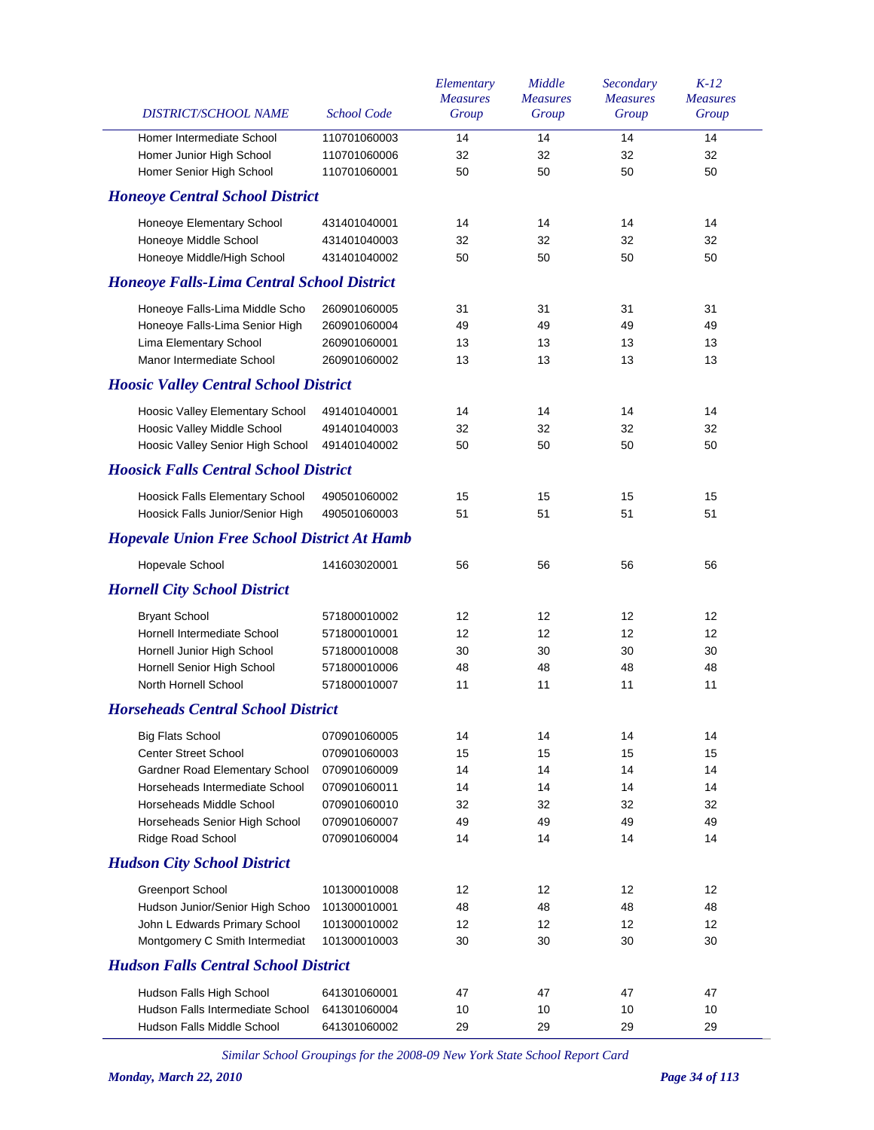| DISTRICT/SCHOOL NAME                               | <b>School Code</b> | Elementary<br><b>Measures</b><br>Group | Middle<br><b>Measures</b><br>Group | Secondary<br><b>Measures</b><br>Group | $K-12$<br><b>Measures</b><br>Group |
|----------------------------------------------------|--------------------|----------------------------------------|------------------------------------|---------------------------------------|------------------------------------|
| Homer Intermediate School                          | 110701060003       | 14                                     | 14                                 | 14                                    | 14                                 |
| Homer Junior High School                           | 110701060006       | 32                                     | 32                                 | 32                                    | 32                                 |
| Homer Senior High School                           | 110701060001       | 50                                     | 50                                 | 50                                    | 50                                 |
| <b>Honeoye Central School District</b>             |                    |                                        |                                    |                                       |                                    |
| Honeoye Elementary School                          | 431401040001       | 14                                     | 14                                 | 14                                    | 14                                 |
| Honeoye Middle School                              | 431401040003       | 32                                     | 32                                 | 32                                    | 32                                 |
| Honeoye Middle/High School                         | 431401040002       | 50                                     | 50                                 | 50                                    | 50                                 |
| <b>Honeoye Falls-Lima Central School District</b>  |                    |                                        |                                    |                                       |                                    |
| Honeoye Falls-Lima Middle Scho                     | 260901060005       | 31                                     | 31                                 | 31                                    | 31                                 |
| Honeoye Falls-Lima Senior High                     | 260901060004       | 49                                     | 49                                 | 49                                    | 49                                 |
| Lima Elementary School                             | 260901060001       | 13                                     | 13                                 | 13                                    | 13                                 |
| Manor Intermediate School                          | 260901060002       | 13                                     | 13                                 | 13                                    | 13                                 |
| <b>Hoosic Valley Central School District</b>       |                    |                                        |                                    |                                       |                                    |
| Hoosic Valley Elementary School                    | 491401040001       | 14                                     | 14                                 | 14                                    | 14                                 |
| Hoosic Valley Middle School                        | 491401040003       | 32                                     | 32                                 | 32                                    | 32                                 |
| Hoosic Valley Senior High School                   | 491401040002       | 50                                     | 50                                 | 50                                    | 50                                 |
| <b>Hoosick Falls Central School District</b>       |                    |                                        |                                    |                                       |                                    |
| Hoosick Falls Elementary School                    | 490501060002       | 15                                     | 15                                 | 15                                    | 15                                 |
| Hoosick Falls Junior/Senior High                   | 490501060003       | 51                                     | 51                                 | 51                                    | 51                                 |
| <b>Hopevale Union Free School District At Hamb</b> |                    |                                        |                                    |                                       |                                    |
| Hopevale School                                    | 141603020001       | 56                                     | 56                                 | 56                                    | 56                                 |
| <b>Hornell City School District</b>                |                    |                                        |                                    |                                       |                                    |
| <b>Bryant School</b>                               | 571800010002       | 12                                     | 12                                 | 12                                    | 12                                 |
| Hornell Intermediate School                        | 571800010001       | 12                                     | 12                                 | 12                                    | 12                                 |
| Hornell Junior High School                         | 571800010008       | 30                                     | 30                                 | 30                                    | 30                                 |
| Hornell Senior High School                         | 571800010006       | 48                                     | 48                                 | 48                                    | 48                                 |
| North Hornell School                               | 571800010007       | 11                                     | 11                                 | 11                                    | 11                                 |
| <b>Horseheads Central School District</b>          |                    |                                        |                                    |                                       |                                    |
| <b>Big Flats School</b>                            | 070901060005       | 14                                     | 14                                 | 14                                    | 14                                 |
| <b>Center Street School</b>                        | 070901060003       | 15                                     | 15                                 | 15                                    | 15                                 |
| Gardner Road Elementary School                     | 070901060009       | 14                                     | 14                                 | 14                                    | 14                                 |
| Horseheads Intermediate School                     | 070901060011       | 14                                     | 14                                 | 14                                    | 14                                 |
| Horseheads Middle School                           | 070901060010       | 32                                     | 32                                 | 32                                    | 32                                 |
| Horseheads Senior High School                      | 070901060007       | 49                                     | 49                                 | 49                                    | 49                                 |
| Ridge Road School                                  | 070901060004       | 14                                     | 14                                 | 14                                    | 14                                 |
| <b>Hudson City School District</b>                 |                    |                                        |                                    |                                       |                                    |
| <b>Greenport School</b>                            | 101300010008       | 12                                     | 12                                 | 12                                    | 12                                 |
| Hudson Junior/Senior High Schoo                    | 101300010001       | 48                                     | 48                                 | 48                                    | 48                                 |
| John L Edwards Primary School                      | 101300010002       | 12                                     | 12                                 | 12                                    | 12                                 |
| Montgomery C Smith Intermediat                     | 101300010003       | 30                                     | 30                                 | 30                                    | 30                                 |
| <b>Hudson Falls Central School District</b>        |                    |                                        |                                    |                                       |                                    |
| Hudson Falls High School                           | 641301060001       | 47                                     | 47                                 | 47                                    | 47                                 |
| Hudson Falls Intermediate School                   | 641301060004       | 10                                     | 10                                 | 10                                    | 10                                 |
| Hudson Falls Middle School                         | 641301060002       | 29                                     | 29                                 | 29                                    | 29                                 |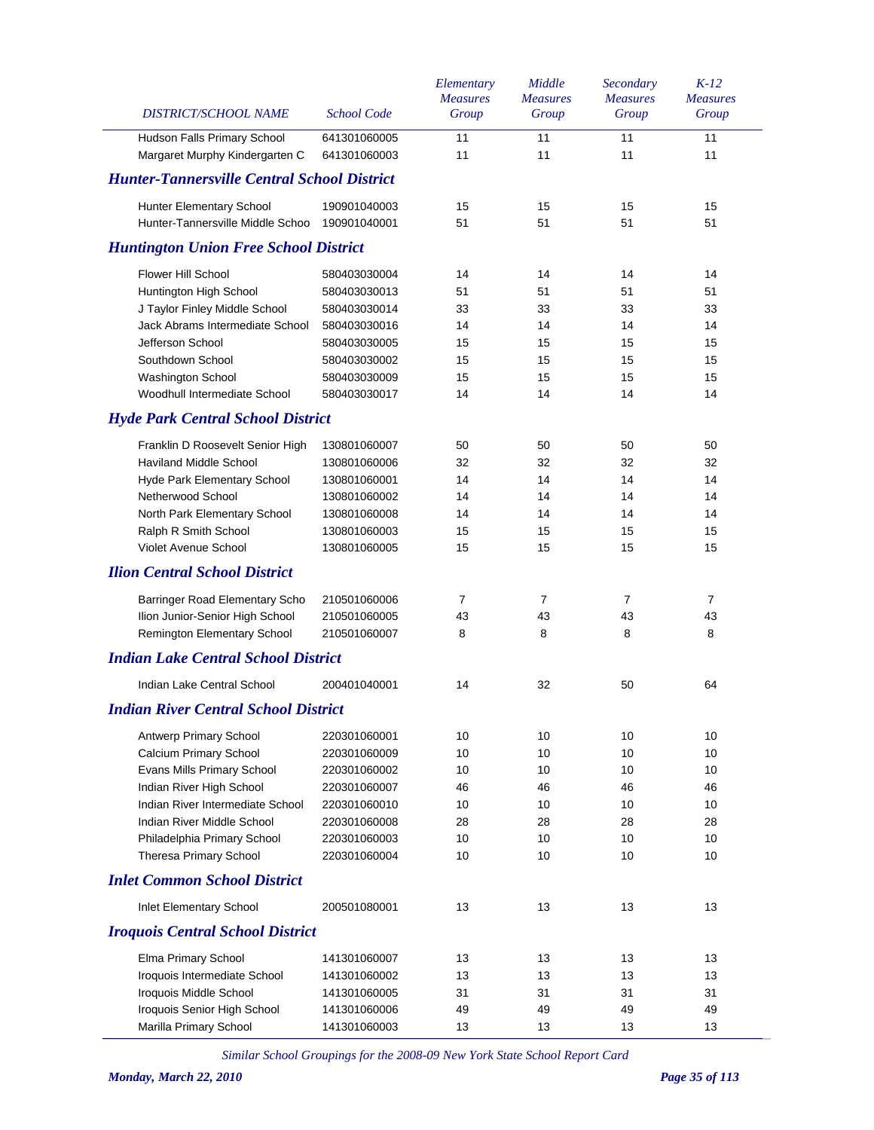| DISTRICT/SCHOOL NAME                                          | <b>School Code</b>           | Elementary<br><b>Measures</b><br>Group | Middle<br><b>Measures</b><br>Group | Secondary<br><b>Measures</b><br>Group | $K-12$<br><b>Measures</b><br>Group |
|---------------------------------------------------------------|------------------------------|----------------------------------------|------------------------------------|---------------------------------------|------------------------------------|
| Hudson Falls Primary School<br>Margaret Murphy Kindergarten C | 641301060005<br>641301060003 | 11<br>11                               | 11<br>11                           | 11<br>11                              | 11<br>11                           |
| <b>Hunter-Tannersville Central School District</b>            |                              |                                        |                                    |                                       |                                    |
| Hunter Elementary School                                      | 190901040003                 | 15                                     | 15                                 | 15                                    | 15                                 |
| Hunter-Tannersville Middle Schoo                              | 190901040001                 | 51                                     | 51                                 | 51                                    | 51                                 |
| <b>Huntington Union Free School District</b>                  |                              |                                        |                                    |                                       |                                    |
| <b>Flower Hill School</b>                                     | 580403030004                 | 14                                     | 14                                 | 14                                    | 14                                 |
| Huntington High School                                        | 580403030013                 | 51                                     | 51                                 | 51                                    | 51                                 |
| J Taylor Finley Middle School                                 | 580403030014                 | 33                                     | 33                                 | 33                                    | 33                                 |
| Jack Abrams Intermediate School                               | 580403030016                 | 14                                     | 14                                 | 14                                    | 14                                 |
| Jefferson School                                              | 580403030005                 | 15                                     | 15                                 | 15                                    | 15                                 |
| Southdown School                                              | 580403030002                 | 15                                     | 15                                 | 15                                    | 15                                 |
| <b>Washington School</b>                                      | 580403030009                 | 15                                     | 15                                 | 15                                    | 15                                 |
| Woodhull Intermediate School                                  | 580403030017                 | 14                                     | 14                                 | 14                                    | 14                                 |
| <b>Hyde Park Central School District</b>                      |                              |                                        |                                    |                                       |                                    |
| Franklin D Roosevelt Senior High                              | 130801060007                 | 50                                     | 50                                 | 50                                    | 50                                 |
| <b>Haviland Middle School</b>                                 | 130801060006                 | 32                                     | 32                                 | 32                                    | 32                                 |
| <b>Hyde Park Elementary School</b>                            | 130801060001                 | 14                                     | 14                                 | 14                                    | 14                                 |
| Netherwood School                                             | 130801060002                 | 14                                     | 14                                 | 14                                    | 14                                 |
| North Park Elementary School                                  | 130801060008                 | 14                                     | 14                                 | 14                                    | 14                                 |
| Ralph R Smith School                                          | 130801060003                 | 15                                     | 15                                 | 15                                    | 15                                 |
| Violet Avenue School                                          | 130801060005                 | 15                                     | 15                                 | 15                                    | 15                                 |
| <b>Ilion Central School District</b>                          |                              |                                        |                                    |                                       |                                    |
| Barringer Road Elementary Scho                                | 210501060006                 | 7                                      | $\overline{7}$                     | 7                                     | 7                                  |
| Ilion Junior-Senior High School                               | 210501060005                 | 43                                     | 43                                 | 43                                    | 43                                 |
| Remington Elementary School                                   | 210501060007                 | 8                                      | 8                                  | 8                                     | 8                                  |
| <b>Indian Lake Central School District</b>                    |                              |                                        |                                    |                                       |                                    |
| Indian Lake Central School                                    | 200401040001                 | 14                                     | 32                                 | 50                                    | 64                                 |
| <b>Indian River Central School District</b>                   |                              |                                        |                                    |                                       |                                    |
|                                                               |                              |                                        |                                    |                                       |                                    |
| Antwerp Primary School                                        | 220301060001                 | 10                                     | 10                                 | 10                                    | 10                                 |
| Calcium Primary School                                        | 220301060009                 | 10                                     | 10                                 | 10                                    | 10                                 |
| Evans Mills Primary School<br>Indian River High School        | 220301060002                 | 10                                     | 10                                 | 10                                    | 10                                 |
|                                                               | 220301060007                 | 46                                     | 46                                 | 46                                    | 46                                 |
| Indian River Intermediate School                              | 220301060010                 | 10                                     | 10                                 | 10                                    | 10                                 |
| Indian River Middle School                                    | 220301060008                 | 28                                     | 28                                 | 28                                    | 28                                 |
| Philadelphia Primary School                                   | 220301060003                 | 10                                     | 10                                 | 10                                    | 10                                 |
| Theresa Primary School                                        | 220301060004                 | 10                                     | 10                                 | 10                                    | 10                                 |
| <b>Inlet Common School District</b>                           |                              |                                        |                                    |                                       |                                    |
| Inlet Elementary School                                       | 200501080001                 | 13                                     | 13                                 | 13                                    | 13                                 |
| <b>Iroquois Central School District</b>                       |                              |                                        |                                    |                                       |                                    |
| Elma Primary School                                           | 141301060007                 | 13                                     | 13                                 | 13                                    | 13                                 |
| Iroquois Intermediate School                                  | 141301060002                 | 13                                     | 13                                 | 13                                    | 13                                 |
| Iroquois Middle School                                        | 141301060005                 | 31                                     | 31                                 | 31                                    | 31                                 |
| Iroquois Senior High School                                   | 141301060006                 | 49                                     | 49                                 | 49                                    | 49                                 |
| Marilla Primary School                                        | 141301060003                 | 13                                     | 13                                 | 13                                    | 13                                 |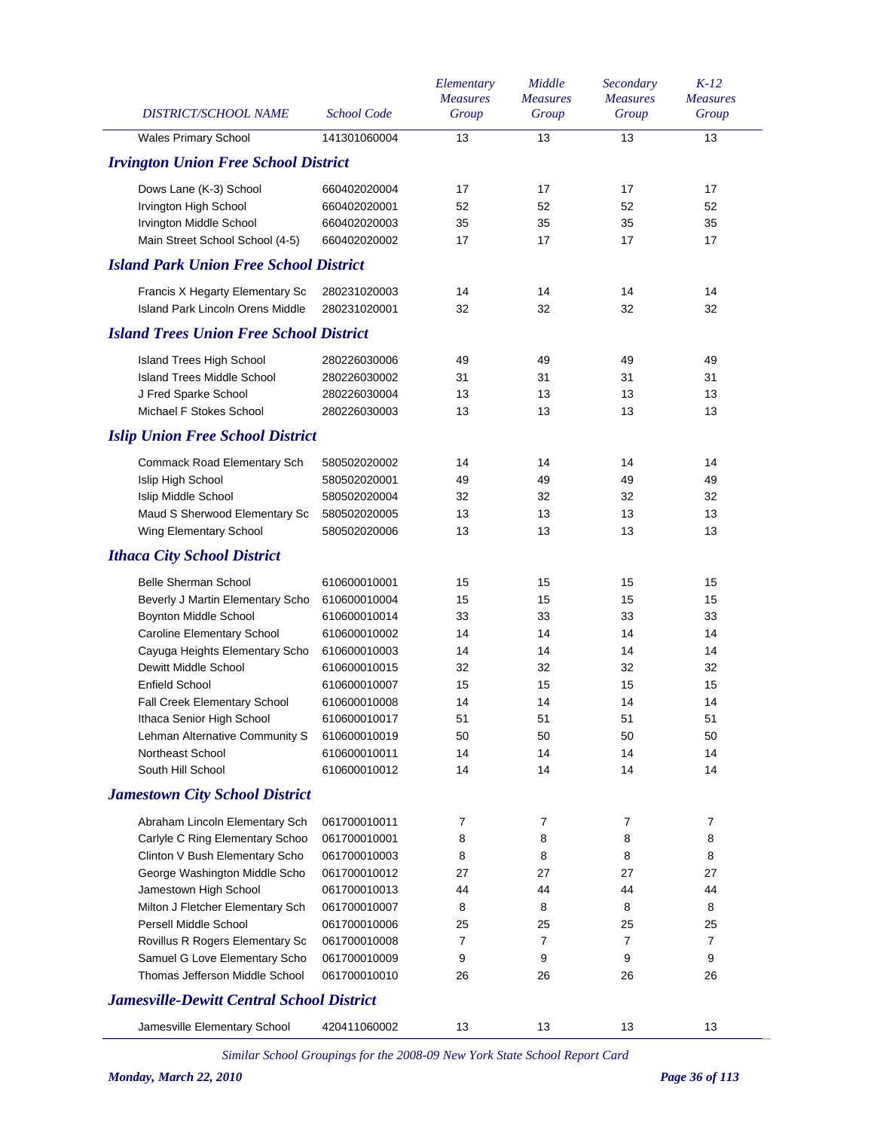| DISTRICT/SCHOOL NAME                             | <b>School Code</b> | Elementary<br><b>Measures</b><br>Group | Middle<br><b>Measures</b><br>Group | Secondary<br><b>Measures</b><br>Group | $K-12$<br><b>Measures</b><br>Group |
|--------------------------------------------------|--------------------|----------------------------------------|------------------------------------|---------------------------------------|------------------------------------|
| <b>Wales Primary School</b>                      | 141301060004       | 13                                     | 13                                 | 13                                    | 13                                 |
| <b>Irvington Union Free School District</b>      |                    |                                        |                                    |                                       |                                    |
| Dows Lane (K-3) School                           | 660402020004       | 17                                     | 17                                 | 17                                    | 17                                 |
| Irvington High School                            | 660402020001       | 52                                     | 52                                 | 52                                    | 52                                 |
| <b>Irvington Middle School</b>                   | 660402020003       | 35                                     | 35                                 | 35                                    | 35                                 |
| Main Street School School (4-5)                  | 660402020002       | 17                                     | 17                                 | 17                                    | 17                                 |
| <b>Island Park Union Free School District</b>    |                    |                                        |                                    |                                       |                                    |
| Francis X Hegarty Elementary Sc                  | 280231020003       | 14                                     | 14                                 | 14                                    | 14                                 |
| Island Park Lincoln Orens Middle                 | 280231020001       | 32                                     | 32                                 | 32                                    | 32                                 |
| <b>Island Trees Union Free School District</b>   |                    |                                        |                                    |                                       |                                    |
| Island Trees High School                         | 280226030006       | 49                                     | 49                                 | 49                                    | 49                                 |
| <b>Island Trees Middle School</b>                | 280226030002       | 31                                     | 31                                 | 31                                    | 31                                 |
| J Fred Sparke School                             | 280226030004       | 13                                     | 13                                 | 13                                    | 13                                 |
| Michael F Stokes School                          | 280226030003       | 13                                     | 13                                 | 13                                    | 13                                 |
| <b>Islip Union Free School District</b>          |                    |                                        |                                    |                                       |                                    |
| Commack Road Elementary Sch                      | 580502020002       | 14                                     | 14                                 | 14                                    | 14                                 |
| Islip High School                                | 580502020001       | 49                                     | 49                                 | 49                                    | 49                                 |
| <b>Islip Middle School</b>                       | 580502020004       | 32                                     | 32                                 | 32                                    | 32                                 |
| Maud S Sherwood Elementary Sc                    | 580502020005       | 13                                     | 13                                 | 13                                    | 13                                 |
| Wing Elementary School                           | 580502020006       | 13                                     | 13                                 | 13                                    | 13                                 |
| <b>Ithaca City School District</b>               |                    |                                        |                                    |                                       |                                    |
| <b>Belle Sherman School</b>                      | 610600010001       | 15                                     | 15                                 | 15                                    | 15                                 |
| Beverly J Martin Elementary Scho                 | 610600010004       | 15                                     | 15                                 | 15                                    | 15                                 |
| Boynton Middle School                            | 610600010014       | 33                                     | 33                                 | 33                                    | 33                                 |
| Caroline Elementary School                       | 610600010002       | 14                                     | 14                                 | 14                                    | 14                                 |
| Cayuga Heights Elementary Scho                   | 610600010003       | 14                                     | 14                                 | 14                                    | 14                                 |
| Dewitt Middle School                             | 610600010015       | 32                                     | 32                                 | 32                                    | 32                                 |
| <b>Enfield School</b>                            |                    |                                        |                                    |                                       |                                    |
|                                                  | 610600010007       | 15                                     | 15                                 | 15                                    | 15                                 |
| Fall Creek Elementary School                     | 610600010008       | 14                                     | 14                                 | 14                                    | 14                                 |
| Ithaca Senior High School                        | 610600010017       | 51                                     | 51                                 | 51                                    | 51                                 |
| Lehman Alternative Community S                   | 610600010019       | 50                                     | 50                                 | 50                                    | 50                                 |
| Northeast School                                 | 610600010011       | 14                                     | 14                                 | 14                                    | 14                                 |
| South Hill School                                | 610600010012       | 14                                     | 14                                 | 14                                    | 14                                 |
| <b>Jamestown City School District</b>            |                    |                                        |                                    |                                       |                                    |
| Abraham Lincoln Elementary Sch                   | 061700010011       | 7                                      | 7                                  | 7                                     | 7                                  |
| Carlyle C Ring Elementary Schoo                  | 061700010001       | 8                                      | 8                                  | 8                                     | 8                                  |
| Clinton V Bush Elementary Scho                   | 061700010003       | 8                                      | 8                                  | 8                                     | 8                                  |
| George Washington Middle Scho                    | 061700010012       | 27                                     | 27                                 | 27                                    | 27                                 |
| Jamestown High School                            | 061700010013       | 44                                     | 44                                 | 44                                    | 44                                 |
| Milton J Fletcher Elementary Sch                 | 061700010007       | 8                                      | 8                                  | 8                                     | 8                                  |
| Persell Middle School                            | 061700010006       | 25                                     | 25                                 | 25                                    | 25                                 |
| Rovillus R Rogers Elementary Sc                  | 061700010008       | 7                                      | 7                                  | $\overline{7}$                        | 7                                  |
| Samuel G Love Elementary Scho                    | 061700010009       | 9                                      | 9                                  | 9                                     | 9                                  |
| Thomas Jefferson Middle School                   | 061700010010       | 26                                     | 26                                 | 26                                    | 26                                 |
| <b>Jamesville-Dewitt Central School District</b> |                    |                                        |                                    |                                       |                                    |
| Jamesville Elementary School                     | 420411060002       | 13                                     | 13                                 | 13                                    | 13                                 |
|                                                  |                    |                                        |                                    |                                       |                                    |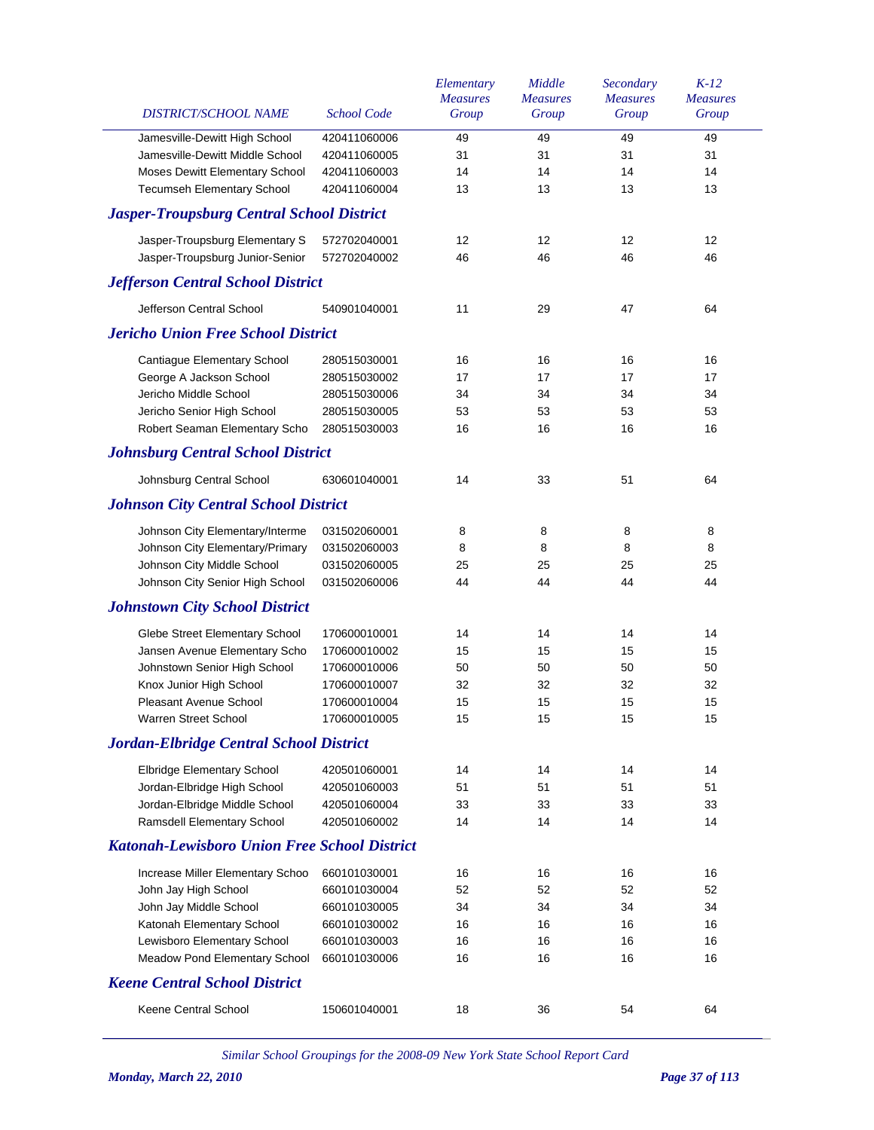| DISTRICT/SCHOOL NAME                                | <b>School Code</b> | Elementary<br><b>Measures</b><br>Group | Middle<br><b>Measures</b><br>Group | Secondary<br><b>Measures</b><br>Group | $K-12$<br><b>Measures</b><br>Group |
|-----------------------------------------------------|--------------------|----------------------------------------|------------------------------------|---------------------------------------|------------------------------------|
| Jamesville-Dewitt High School                       | 420411060006       | 49                                     | 49                                 | 49                                    | 49                                 |
| Jamesville-Dewitt Middle School                     | 420411060005       | 31                                     | 31                                 | 31                                    | 31                                 |
| Moses Dewitt Elementary School                      | 420411060003       | 14                                     | 14                                 | 14                                    | 14                                 |
| <b>Tecumseh Elementary School</b>                   | 420411060004       | 13                                     | 13                                 | 13                                    | 13                                 |
| <b>Jasper-Troupsburg Central School District</b>    |                    |                                        |                                    |                                       |                                    |
| Jasper-Troupsburg Elementary S                      | 572702040001       | 12                                     | 12                                 | 12                                    | 12                                 |
| Jasper-Troupsburg Junior-Senior                     | 572702040002       | 46                                     | 46                                 | 46                                    | 46                                 |
| <b>Jefferson Central School District</b>            |                    |                                        |                                    |                                       |                                    |
| Jefferson Central School                            | 540901040001       | 11                                     | 29                                 | 47                                    | 64                                 |
| <b>Jericho Union Free School District</b>           |                    |                                        |                                    |                                       |                                    |
| Cantiague Elementary School                         | 280515030001       | 16                                     | 16                                 | 16                                    | 16                                 |
| George A Jackson School                             | 280515030002       | 17                                     | 17                                 | 17                                    | 17                                 |
| Jericho Middle School                               | 280515030006       | 34                                     | 34                                 | 34                                    | 34                                 |
| Jericho Senior High School                          | 280515030005       | 53                                     | 53                                 | 53                                    | 53                                 |
| Robert Seaman Elementary Scho                       | 280515030003       | 16                                     | 16                                 | 16                                    | 16                                 |
| <b>Johnsburg Central School District</b>            |                    |                                        |                                    |                                       |                                    |
| Johnsburg Central School                            | 630601040001       | 14                                     | 33                                 | 51                                    | 64                                 |
| <b>Johnson City Central School District</b>         |                    |                                        |                                    |                                       |                                    |
| Johnson City Elementary/Interme                     | 031502060001       | 8                                      | 8                                  | 8                                     | 8                                  |
| Johnson City Elementary/Primary                     | 031502060003       | 8                                      | 8                                  | 8                                     | 8                                  |
| Johnson City Middle School                          | 031502060005       | 25                                     | 25                                 | 25                                    | 25                                 |
| Johnson City Senior High School                     | 031502060006       | 44                                     | 44                                 | 44                                    | 44                                 |
| <b>Johnstown City School District</b>               |                    |                                        |                                    |                                       |                                    |
| Glebe Street Elementary School                      | 170600010001       | 14                                     | 14                                 | 14                                    | 14                                 |
| Jansen Avenue Elementary Scho                       | 170600010002       | 15                                     | 15                                 | 15                                    | 15                                 |
| Johnstown Senior High School                        | 170600010006       | 50                                     | 50                                 | 50                                    | 50                                 |
| Knox Junior High School                             | 170600010007       | 32                                     | 32                                 | 32                                    | 32                                 |
| <b>Pleasant Avenue School</b>                       | 170600010004       | 15                                     | 15                                 | 15                                    | 15                                 |
| Warren Street School                                | 170600010005       | 15                                     | 15                                 | 15                                    | 15                                 |
| <b>Jordan-Elbridge Central School District</b>      |                    |                                        |                                    |                                       |                                    |
| Elbridge Elementary School                          | 420501060001       | 14                                     | 14                                 | 14                                    | 14                                 |
| Jordan-Elbridge High School                         | 420501060003       | 51                                     | 51                                 | 51                                    | 51                                 |
| Jordan-Elbridge Middle School                       | 420501060004       | 33                                     | 33                                 | 33                                    | 33                                 |
| Ramsdell Elementary School                          | 420501060002       | 14                                     | 14                                 | 14                                    | 14                                 |
| <b>Katonah-Lewisboro Union Free School District</b> |                    |                                        |                                    |                                       |                                    |
| Increase Miller Elementary Schoo                    | 660101030001       | 16                                     | 16                                 | 16                                    | 16                                 |
| John Jay High School                                | 660101030004       | 52                                     | 52                                 | 52                                    | 52                                 |
| John Jay Middle School                              | 660101030005       | 34                                     | 34                                 | 34                                    | 34                                 |
| Katonah Elementary School                           | 660101030002       | 16                                     | 16                                 | 16                                    | 16                                 |
| Lewisboro Elementary School                         | 660101030003       | 16                                     | 16                                 | 16                                    | 16                                 |
| Meadow Pond Elementary School                       | 660101030006       | 16                                     | 16                                 | 16                                    | 16                                 |
| <b>Keene Central School District</b>                |                    |                                        |                                    |                                       |                                    |
| Keene Central School                                | 150601040001       | 18                                     | 36                                 | 54                                    | 64                                 |
|                                                     |                    |                                        |                                    |                                       |                                    |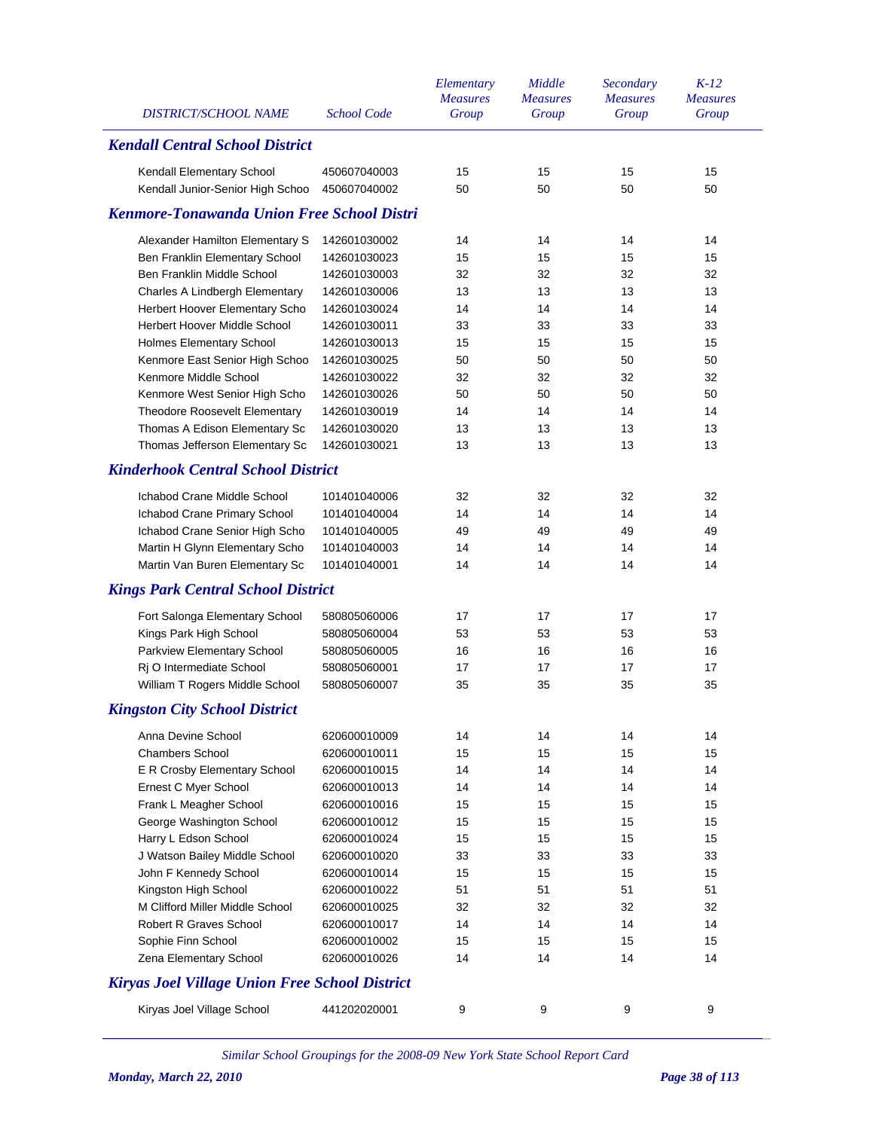| <b>DISTRICT/SCHOOL NAME</b>                                    | <b>School Code</b>           | Elementary<br><b>Measures</b><br>Group | Middle<br><b>Measures</b><br>Group | Secondary<br><b>Measures</b><br>Group | $K-12$<br><b>Measures</b><br>Group |
|----------------------------------------------------------------|------------------------------|----------------------------------------|------------------------------------|---------------------------------------|------------------------------------|
| <b>Kendall Central School District</b>                         |                              |                                        |                                    |                                       |                                    |
| Kendall Elementary School                                      | 450607040003                 | 15                                     | 15                                 | 15                                    | 15                                 |
| Kendall Junior-Senior High Schoo                               | 450607040002                 | 50                                     | 50                                 | 50                                    | 50                                 |
| <b>Kenmore-Tonawanda Union Free School Distri</b>              |                              |                                        |                                    |                                       |                                    |
|                                                                |                              |                                        |                                    |                                       |                                    |
| Alexander Hamilton Elementary S                                | 142601030002                 | 14                                     | 14                                 | 14                                    | 14                                 |
| Ben Franklin Elementary School                                 | 142601030023                 | 15                                     | 15                                 | 15                                    | 15                                 |
| Ben Franklin Middle School                                     | 142601030003                 | 32                                     | 32                                 | 32                                    | 32                                 |
| Charles A Lindbergh Elementary                                 | 142601030006                 | 13<br>14                               | 13                                 | 13<br>14                              | 13<br>14                           |
| Herbert Hoover Elementary Scho<br>Herbert Hoover Middle School | 142601030024                 |                                        | 14                                 | 33                                    | 33                                 |
|                                                                | 142601030011<br>142601030013 | 33<br>15                               | 33<br>15                           | 15                                    | 15                                 |
| Holmes Elementary School<br>Kenmore East Senior High Schoo     | 142601030025                 | 50                                     | 50                                 | 50                                    | 50                                 |
| Kenmore Middle School                                          | 142601030022                 | 32                                     | 32                                 | 32                                    | 32                                 |
| Kenmore West Senior High Scho                                  | 142601030026                 | 50                                     | 50                                 | 50                                    | 50                                 |
| Theodore Roosevelt Elementary                                  | 142601030019                 | 14                                     | 14                                 | 14                                    | 14                                 |
| Thomas A Edison Elementary Sc                                  | 142601030020                 | 13                                     | 13                                 | 13                                    | 13                                 |
| Thomas Jefferson Elementary Sc                                 | 142601030021                 | 13                                     | 13                                 | 13                                    | 13                                 |
| <b>Kinderhook Central School District</b>                      |                              |                                        |                                    |                                       |                                    |
|                                                                |                              |                                        |                                    |                                       |                                    |
| Ichabod Crane Middle School                                    | 101401040006                 | 32                                     | 32                                 | 32                                    | 32                                 |
| Ichabod Crane Primary School                                   | 101401040004                 | 14                                     | 14                                 | 14                                    | 14                                 |
| Ichabod Crane Senior High Scho                                 | 101401040005                 | 49                                     | 49                                 | 49                                    | 49                                 |
| Martin H Glynn Elementary Scho                                 | 101401040003                 | 14                                     | 14                                 | 14                                    | 14                                 |
| Martin Van Buren Elementary Sc                                 | 101401040001                 | 14                                     | 14                                 | 14                                    | 14                                 |
| <b>Kings Park Central School District</b>                      |                              |                                        |                                    |                                       |                                    |
| Fort Salonga Elementary School                                 | 580805060006                 | 17                                     | 17                                 | 17                                    | 17                                 |
| Kings Park High School                                         | 580805060004                 | 53                                     | 53                                 | 53                                    | 53                                 |
| Parkview Elementary School                                     | 580805060005                 | 16                                     | 16                                 | 16                                    | 16                                 |
| Rj O Intermediate School                                       | 580805060001                 | 17                                     | 17                                 | 17                                    | 17                                 |
| William T Rogers Middle School                                 | 580805060007                 | 35                                     | 35                                 | 35                                    | 35                                 |
| <b>Kingston City School District</b>                           |                              |                                        |                                    |                                       |                                    |
| Anna Devine School                                             | 620600010009                 | 14                                     | 14                                 | 14                                    | 14                                 |
| <b>Chambers School</b>                                         | 620600010011                 | 15                                     | 15                                 | 15                                    | 15                                 |
| E R Crosby Elementary School                                   | 620600010015                 | 14                                     | 14                                 | 14                                    | 14                                 |
| Ernest C Myer School                                           | 620600010013                 | 14                                     | 14                                 | 14                                    | 14                                 |
| Frank L Meagher School                                         | 620600010016                 | 15                                     | 15                                 | 15                                    | 15                                 |
| George Washington School                                       | 620600010012                 | 15                                     | 15                                 | 15                                    | 15                                 |
| Harry L Edson School                                           | 620600010024                 | 15                                     | 15                                 | 15                                    | 15                                 |
| J Watson Bailey Middle School                                  | 620600010020                 | 33                                     | 33                                 | 33                                    | 33                                 |
| John F Kennedy School                                          | 620600010014                 | 15                                     | 15                                 | 15                                    | 15                                 |
| Kingston High School                                           | 620600010022                 | 51                                     | 51                                 | 51                                    | 51                                 |
| M Clifford Miller Middle School                                | 620600010025                 | 32                                     | 32                                 | 32                                    | 32                                 |
| <b>Robert R Graves School</b>                                  | 620600010017                 | 14                                     | 14                                 | 14                                    | 14                                 |
| Sophie Finn School                                             | 620600010002                 | 15                                     | 15                                 | 15                                    | 15                                 |
| Zena Elementary School                                         | 620600010026                 | 14                                     | 14                                 | 14                                    | 14                                 |
| <b>Kiryas Joel Village Union Free School District</b>          |                              |                                        |                                    |                                       |                                    |
| Kiryas Joel Village School                                     | 441202020001                 | 9                                      | 9                                  | 9                                     | 9                                  |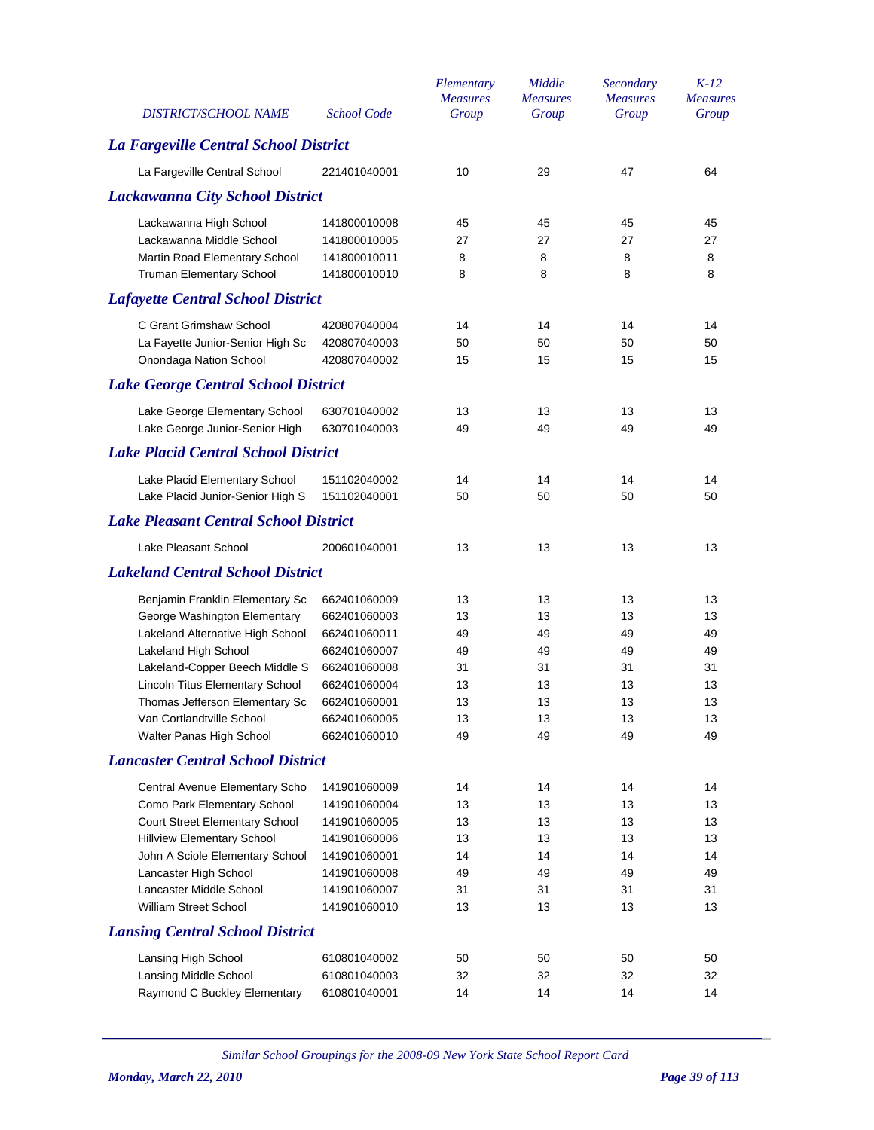| <b>DISTRICT/SCHOOL NAME</b>                                 | <b>School Code</b>           | Elementary<br><b>Measures</b><br>Group | Middle<br><b>Measures</b><br>Group | Secondary<br><b>Measures</b><br>Group | $K-12$<br><b>Measures</b><br>Group |
|-------------------------------------------------------------|------------------------------|----------------------------------------|------------------------------------|---------------------------------------|------------------------------------|
| La Fargeville Central School District                       |                              |                                        |                                    |                                       |                                    |
| La Fargeville Central School                                | 221401040001                 | 10                                     | 29                                 | 47                                    | 64                                 |
| <b>Lackawanna City School District</b>                      |                              |                                        |                                    |                                       |                                    |
| Lackawanna High School                                      | 141800010008                 | 45                                     | 45                                 | 45                                    | 45                                 |
| Lackawanna Middle School                                    | 141800010005                 | 27                                     | 27                                 | 27                                    | 27                                 |
| Martin Road Elementary School                               | 141800010011                 | 8                                      | 8                                  | 8                                     | 8                                  |
| Truman Elementary School                                    | 141800010010                 | 8                                      | 8                                  | 8                                     | 8                                  |
| <b>Lafayette Central School District</b>                    |                              |                                        |                                    |                                       |                                    |
| C Grant Grimshaw School                                     | 420807040004                 | 14                                     | 14                                 | 14                                    | 14                                 |
| La Fayette Junior-Senior High Sc                            | 420807040003                 | 50                                     | 50                                 | 50                                    | 50                                 |
| Onondaga Nation School                                      | 420807040002                 | 15                                     | 15                                 | 15                                    | 15                                 |
| <b>Lake George Central School District</b>                  |                              |                                        |                                    |                                       |                                    |
| Lake George Elementary School                               | 630701040002                 | 13                                     | 13                                 | 13                                    | 13                                 |
| Lake George Junior-Senior High                              | 630701040003                 | 49                                     | 49                                 | 49                                    | 49                                 |
| <b>Lake Placid Central School District</b>                  |                              |                                        |                                    |                                       |                                    |
| Lake Placid Elementary School                               | 151102040002                 | 14                                     | 14                                 | 14                                    | 14                                 |
| Lake Placid Junior-Senior High S                            | 151102040001                 | 50                                     | 50                                 | 50                                    | 50                                 |
| <b>Lake Pleasant Central School District</b>                |                              |                                        |                                    |                                       |                                    |
| Lake Pleasant School                                        | 200601040001                 | 13                                     | 13                                 | 13                                    | 13                                 |
| <b>Lakeland Central School District</b>                     |                              |                                        |                                    |                                       |                                    |
| Benjamin Franklin Elementary Sc                             | 662401060009                 | 13                                     | 13                                 | 13                                    | 13                                 |
| George Washington Elementary                                | 662401060003                 | 13                                     | 13                                 | 13                                    | 13                                 |
| Lakeland Alternative High School                            | 662401060011                 | 49                                     | 49                                 | 49                                    | 49                                 |
| Lakeland High School                                        | 662401060007                 | 49                                     | 49                                 | 49                                    | 49                                 |
| Lakeland-Copper Beech Middle S                              | 662401060008                 | 31                                     | 31                                 | 31                                    | 31                                 |
| Lincoln Titus Elementary School                             | 662401060004                 | 13                                     | 13                                 | 13                                    | 13                                 |
| Thomas Jefferson Elementary Sc<br>Van Cortlandtville School | 662401060001<br>662401060005 | 13<br>13                               | 13<br>13                           | 13<br>13                              | 13<br>13                           |
| Walter Panas High School                                    | 662401060010                 | 49                                     | 49                                 | 49                                    | 49                                 |
| <b>Lancaster Central School District</b>                    |                              |                                        |                                    |                                       |                                    |
| Central Avenue Elementary Scho                              | 141901060009                 | 14                                     | 14                                 | 14                                    | 14                                 |
| Como Park Elementary School                                 | 141901060004                 | 13                                     | 13                                 | 13                                    | 13                                 |
| Court Street Elementary School                              | 141901060005                 | 13                                     | 13                                 | 13                                    | 13                                 |
| <b>Hillview Elementary School</b>                           | 141901060006                 | 13                                     | 13                                 | 13                                    | 13                                 |
| John A Sciole Elementary School                             | 141901060001                 | 14                                     | 14                                 | 14                                    | 14                                 |
| Lancaster High School                                       | 141901060008                 | 49                                     | 49                                 | 49                                    | 49                                 |
| Lancaster Middle School                                     | 141901060007                 | 31                                     | 31                                 | 31                                    | 31                                 |
| William Street School                                       | 141901060010                 | 13                                     | 13                                 | 13                                    | 13                                 |
| <b>Lansing Central School District</b>                      |                              |                                        |                                    |                                       |                                    |
| Lansing High School                                         | 610801040002                 | 50                                     | 50                                 | 50                                    | 50                                 |
| Lansing Middle School                                       | 610801040003                 | 32                                     | 32                                 | 32                                    | 32                                 |
| Raymond C Buckley Elementary                                | 610801040001                 | 14                                     | 14                                 | 14                                    | 14                                 |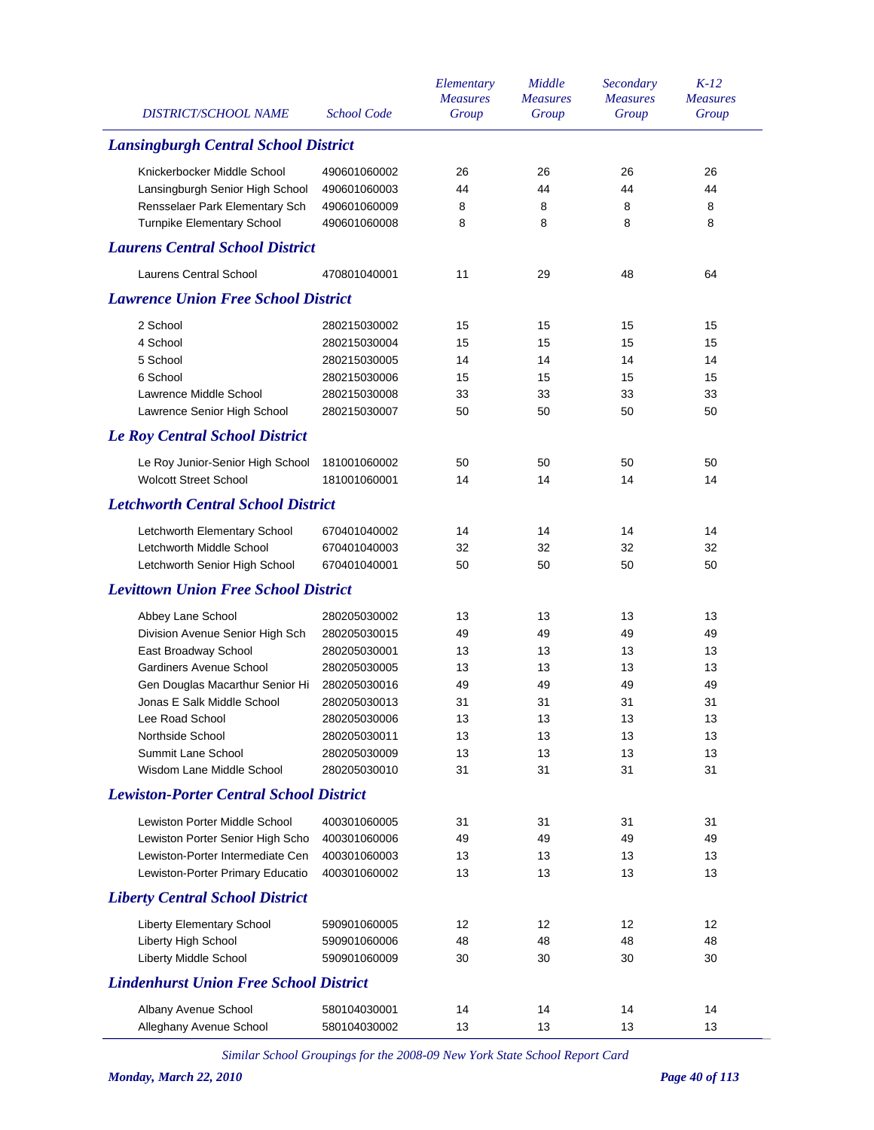| <b>DISTRICT/SCHOOL NAME</b>                    | <b>School Code</b> | Elementary<br><b>Measures</b><br>Group | Middle<br><b>Measures</b><br>Group | Secondary<br><b>Measures</b><br>Group | $K-12$<br><b>Measures</b><br>Group |
|------------------------------------------------|--------------------|----------------------------------------|------------------------------------|---------------------------------------|------------------------------------|
| <b>Lansingburgh Central School District</b>    |                    |                                        |                                    |                                       |                                    |
| Knickerbocker Middle School                    | 490601060002       | 26                                     | 26                                 | 26                                    | 26                                 |
| Lansingburgh Senior High School                | 490601060003       | 44                                     | 44                                 | 44                                    | 44                                 |
| Rensselaer Park Elementary Sch                 | 490601060009       | 8                                      | 8                                  | 8                                     | 8                                  |
| <b>Turnpike Elementary School</b>              | 490601060008       | 8                                      | 8                                  | 8                                     | 8                                  |
| <b>Laurens Central School District</b>         |                    |                                        |                                    |                                       |                                    |
| <b>Laurens Central School</b>                  | 470801040001       | 11                                     | 29                                 | 48                                    | 64                                 |
| <b>Lawrence Union Free School District</b>     |                    |                                        |                                    |                                       |                                    |
| 2 School                                       | 280215030002       | 15                                     | 15                                 | 15                                    | 15                                 |
| 4 School                                       | 280215030004       | 15                                     | 15                                 | 15                                    | 15                                 |
| 5 School                                       | 280215030005       | 14                                     | 14                                 | 14                                    | 14                                 |
| 6 School                                       | 280215030006       | 15                                     | 15                                 | 15                                    | 15                                 |
| Lawrence Middle School                         | 280215030008       | 33                                     | 33                                 | 33                                    | 33                                 |
| Lawrence Senior High School                    | 280215030007       | 50                                     | 50                                 | 50                                    | 50                                 |
| <b>Le Roy Central School District</b>          |                    |                                        |                                    |                                       |                                    |
| Le Roy Junior-Senior High School               | 181001060002       | 50                                     | 50                                 | 50                                    | 50                                 |
| <b>Wolcott Street School</b>                   | 181001060001       | 14                                     | 14                                 | 14                                    | 14                                 |
| <b>Letchworth Central School District</b>      |                    |                                        |                                    |                                       |                                    |
| Letchworth Elementary School                   | 670401040002       | 14                                     | 14                                 | 14                                    | 14                                 |
| Letchworth Middle School                       | 670401040003       | 32                                     | 32                                 | 32                                    | 32                                 |
| Letchworth Senior High School                  | 670401040001       | 50                                     | 50                                 | 50                                    | 50                                 |
| <b>Levittown Union Free School District</b>    |                    |                                        |                                    |                                       |                                    |
| Abbey Lane School                              | 280205030002       | 13                                     | 13                                 | 13                                    | 13                                 |
| Division Avenue Senior High Sch                | 280205030015       | 49                                     | 49                                 | 49                                    | 49                                 |
| East Broadway School                           | 280205030001       | 13                                     | 13                                 | 13                                    | 13                                 |
| Gardiners Avenue School                        | 280205030005       | 13                                     | 13                                 | 13                                    | 13                                 |
| Gen Douglas Macarthur Senior Hi                | 280205030016       | 49                                     | 49                                 | 49                                    | 49                                 |
| Jonas E Salk Middle School                     | 280205030013       | 31                                     | 31                                 | 31                                    | 31                                 |
| Lee Road School                                | 280205030006       | 13                                     | 13                                 | 13                                    | 13                                 |
| Northside School                               | 280205030011       | 13                                     | 13                                 | 13                                    | 13                                 |
| Summit Lane School                             | 280205030009       | 13                                     | 13                                 | 13                                    | 13                                 |
| Wisdom Lane Middle School                      | 280205030010       | 31                                     | 31                                 | 31                                    | 31                                 |
| <b>Lewiston-Porter Central School District</b> |                    |                                        |                                    |                                       |                                    |
| Lewiston Porter Middle School                  | 400301060005       | 31                                     | 31                                 | 31                                    | 31                                 |
| Lewiston Porter Senior High Scho               | 400301060006       | 49                                     | 49                                 | 49                                    | 49                                 |
| Lewiston-Porter Intermediate Cen               | 400301060003       | 13                                     | 13                                 | 13                                    | 13                                 |
| Lewiston-Porter Primary Educatio               | 400301060002       | 13                                     | 13                                 | 13                                    | 13                                 |
| <b>Liberty Central School District</b>         |                    |                                        |                                    |                                       |                                    |
| <b>Liberty Elementary School</b>               | 590901060005       | 12                                     | 12                                 | 12                                    | 12                                 |
| Liberty High School                            | 590901060006       | 48                                     | 48                                 | 48                                    | 48                                 |
| Liberty Middle School                          | 590901060009       | 30                                     | 30                                 | 30                                    | 30                                 |
| <b>Lindenhurst Union Free School District</b>  |                    |                                        |                                    |                                       |                                    |
| Albany Avenue School                           | 580104030001       | 14                                     | 14                                 | 14                                    | 14                                 |
| Alleghany Avenue School                        | 580104030002       | 13                                     | 13                                 | 13                                    | 13                                 |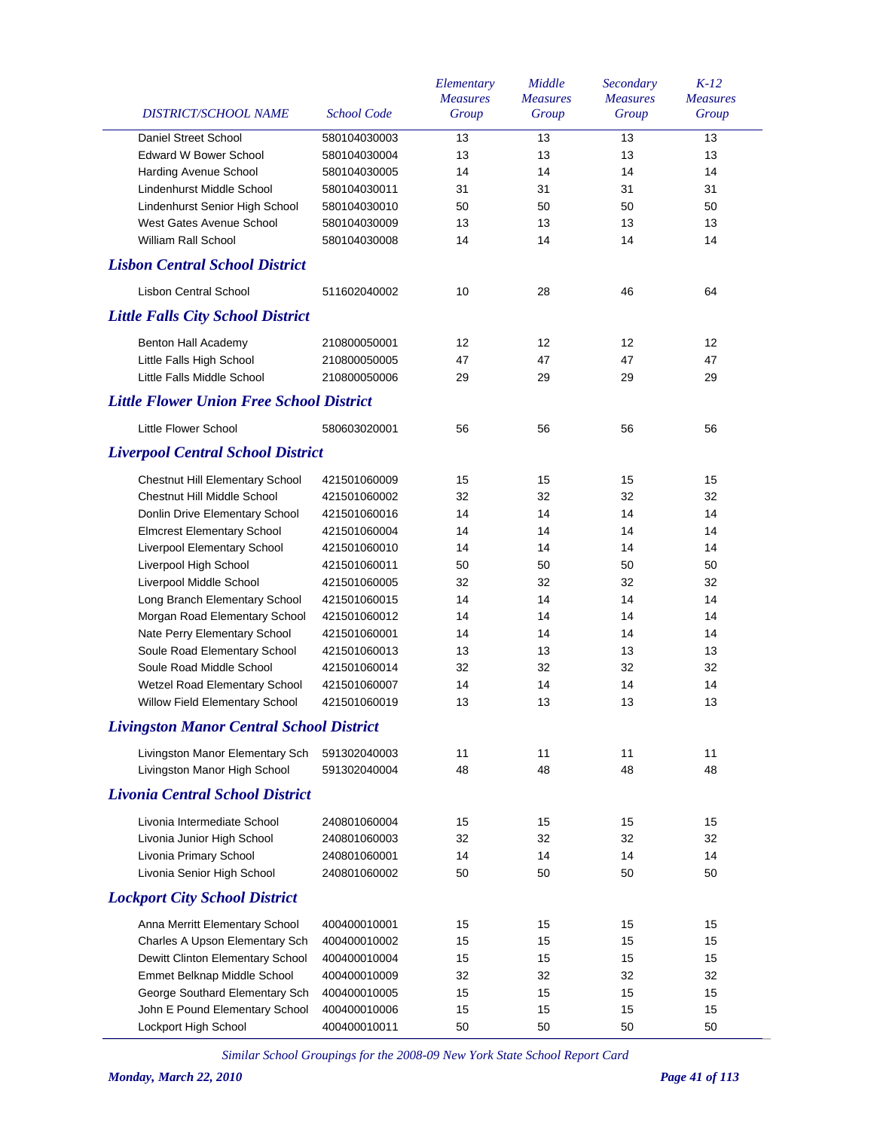| <b>DISTRICT/SCHOOL NAME</b>                                 | School Code                  | Elementary<br><b>Measures</b><br>Group | Middle<br><b>Measures</b><br>Group | Secondary<br><b>Measures</b><br>Group | $K-12$<br><b>Measures</b><br>Group |
|-------------------------------------------------------------|------------------------------|----------------------------------------|------------------------------------|---------------------------------------|------------------------------------|
|                                                             |                              |                                        |                                    |                                       |                                    |
| <b>Daniel Street School</b><br><b>Edward W Bower School</b> | 580104030003                 | 13                                     | 13<br>13                           | 13<br>13                              | 13                                 |
|                                                             | 580104030004                 | 13<br>14                               | 14                                 | 14                                    | 13<br>14                           |
| Harding Avenue School<br>Lindenhurst Middle School          | 580104030005                 | 31                                     | 31                                 | 31                                    | 31                                 |
|                                                             | 580104030011                 |                                        | 50                                 |                                       |                                    |
| Lindenhurst Senior High School<br>West Gates Avenue School  | 580104030010                 | 50<br>13                               | 13                                 | 50<br>13                              | 50<br>13                           |
| <b>William Rall School</b>                                  | 580104030009<br>580104030008 | 14                                     | 14                                 | 14                                    | 14                                 |
| <b>Lisbon Central School District</b>                       |                              |                                        |                                    |                                       |                                    |
| <b>Lisbon Central School</b>                                | 511602040002                 | 10                                     | 28                                 | 46                                    | 64                                 |
| <b>Little Falls City School District</b>                    |                              |                                        |                                    |                                       |                                    |
|                                                             |                              |                                        |                                    |                                       |                                    |
| Benton Hall Academy                                         | 210800050001                 | 12                                     | 12                                 | 12                                    | 12                                 |
| Little Falls High School                                    | 210800050005                 | 47                                     | 47                                 | 47                                    | 47                                 |
| Little Falls Middle School                                  | 210800050006                 | 29                                     | 29                                 | 29                                    | 29                                 |
| <b>Little Flower Union Free School District</b>             |                              |                                        |                                    |                                       |                                    |
| Little Flower School                                        | 580603020001                 | 56                                     | 56                                 | 56                                    | 56                                 |
| <b>Liverpool Central School District</b>                    |                              |                                        |                                    |                                       |                                    |
| <b>Chestnut Hill Elementary School</b>                      | 421501060009                 | 15                                     | 15                                 | 15                                    | 15                                 |
| Chestnut Hill Middle School                                 | 421501060002                 | 32                                     | 32                                 | 32                                    | 32                                 |
| Donlin Drive Elementary School                              | 421501060016                 | 14                                     | 14                                 | 14                                    | 14                                 |
| <b>Elmcrest Elementary School</b>                           | 421501060004                 | 14                                     | 14                                 | 14                                    | 14                                 |
| Liverpool Elementary School                                 | 421501060010                 | 14                                     | 14                                 | 14                                    | 14                                 |
| Liverpool High School                                       | 421501060011                 | 50                                     | 50                                 | 50                                    | 50                                 |
| Liverpool Middle School                                     | 421501060005                 | 32                                     | 32                                 | 32                                    | 32                                 |
| Long Branch Elementary School                               | 421501060015                 | 14                                     | 14                                 | 14                                    | 14                                 |
| Morgan Road Elementary School                               | 421501060012                 | 14                                     | 14                                 | 14                                    | 14                                 |
| Nate Perry Elementary School                                | 421501060001                 | 14                                     | 14                                 | 14                                    | 14                                 |
| Soule Road Elementary School                                | 421501060013                 | 13                                     | 13                                 | 13                                    | 13                                 |
| Soule Road Middle School                                    | 421501060014                 | 32                                     | 32                                 | 32                                    | 32                                 |
| Wetzel Road Elementary School                               | 421501060007                 | 14                                     | 14                                 | 14                                    | 14                                 |
| Willow Field Elementary School                              | 421501060019                 | 13                                     | 13                                 | 13                                    | 13                                 |
| <b>Livingston Manor Central School District</b>             |                              |                                        |                                    |                                       |                                    |
| Livingston Manor Elementary Sch                             | 591302040003                 | 11                                     | 11                                 | 11                                    | 11                                 |
| Livingston Manor High School                                | 591302040004                 | 48                                     | 48                                 | 48                                    | 48                                 |
| <b>Livonia Central School District</b>                      |                              |                                        |                                    |                                       |                                    |
|                                                             |                              |                                        |                                    |                                       |                                    |
| Livonia Intermediate School                                 | 240801060004<br>240801060003 | 15<br>32                               | 15<br>32                           | 15<br>32                              | 15<br>32                           |
| Livonia Junior High School                                  |                              |                                        |                                    | 14                                    |                                    |
| Livonia Primary School<br>Livonia Senior High School        | 240801060001<br>240801060002 | 14<br>50                               | 14<br>50                           | 50                                    | 14<br>50                           |
| <b>Lockport City School District</b>                        |                              |                                        |                                    |                                       |                                    |
|                                                             |                              |                                        |                                    |                                       |                                    |
| Anna Merritt Elementary School                              | 400400010001                 | 15                                     | 15                                 | 15                                    | 15                                 |
| Charles A Upson Elementary Sch                              | 400400010002                 | 15                                     | 15                                 | 15                                    | 15                                 |
| Dewitt Clinton Elementary School                            | 400400010004                 | 15                                     | 15                                 | 15                                    | 15                                 |
| Emmet Belknap Middle School                                 | 400400010009                 | 32                                     | 32                                 | 32                                    | 32                                 |
| George Southard Elementary Sch                              | 400400010005                 | 15                                     | 15                                 | 15                                    | 15                                 |
| John E Pound Elementary School                              | 400400010006                 | 15                                     | 15                                 | 15                                    | 15                                 |
| Lockport High School                                        | 400400010011                 | 50                                     | 50                                 | 50                                    | 50                                 |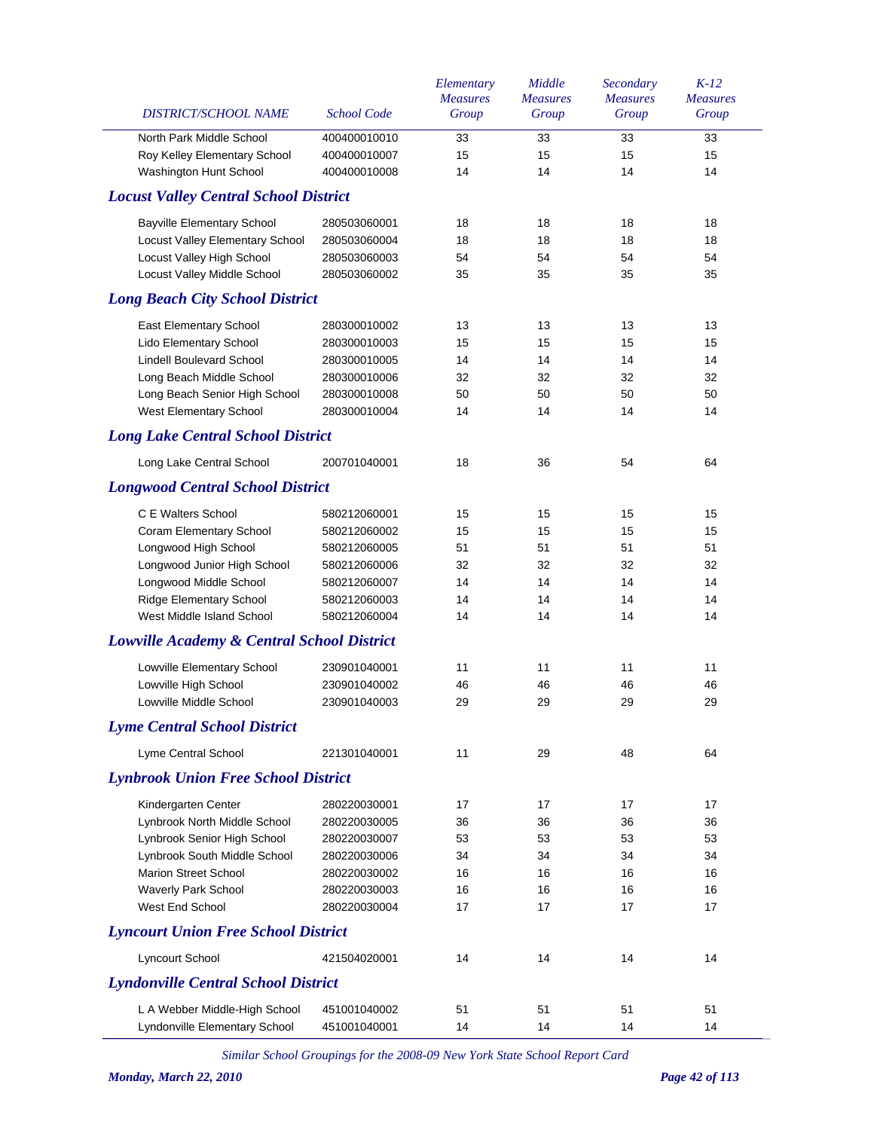| DISTRICT/SCHOOL NAME                                  | <b>School Code</b> | Elementary<br><b>Measures</b><br>Group | Middle<br><b>Measures</b><br>Group | Secondary<br><b>Measures</b><br>Group | $K-12$<br><b>Measures</b><br>Group |
|-------------------------------------------------------|--------------------|----------------------------------------|------------------------------------|---------------------------------------|------------------------------------|
| North Park Middle School                              | 400400010010       | 33                                     | 33                                 | 33                                    | 33                                 |
| Roy Kelley Elementary School                          | 400400010007       | 15                                     | 15                                 | 15                                    | 15                                 |
| Washington Hunt School                                | 400400010008       | 14                                     | 14                                 | 14                                    | 14                                 |
| <b>Locust Valley Central School District</b>          |                    |                                        |                                    |                                       |                                    |
| <b>Bayville Elementary School</b>                     | 280503060001       | 18                                     | 18                                 | 18                                    | 18                                 |
| Locust Valley Elementary School                       | 280503060004       | 18                                     | 18                                 | 18                                    | 18                                 |
| Locust Valley High School                             | 280503060003       | 54                                     | 54                                 | 54                                    | 54                                 |
| <b>Locust Valley Middle School</b>                    | 280503060002       | 35                                     | 35                                 | 35                                    | 35                                 |
| <b>Long Beach City School District</b>                |                    |                                        |                                    |                                       |                                    |
| East Elementary School                                | 280300010002       | 13                                     | 13                                 | 13                                    | 13                                 |
| Lido Elementary School                                | 280300010003       | 15                                     | 15                                 | 15                                    | 15                                 |
| <b>Lindell Boulevard School</b>                       | 280300010005       | 14                                     | 14                                 | 14                                    | 14                                 |
| Long Beach Middle School                              | 280300010006       | 32                                     | 32                                 | 32                                    | 32                                 |
| Long Beach Senior High School                         | 280300010008       | 50                                     | 50                                 | 50                                    | 50                                 |
| West Elementary School                                | 280300010004       | 14                                     | 14                                 | 14                                    | 14                                 |
| <b>Long Lake Central School District</b>              |                    |                                        |                                    |                                       |                                    |
| Long Lake Central School                              | 200701040001       | 18                                     | 36                                 | 54                                    | 64                                 |
| <b>Longwood Central School District</b>               |                    |                                        |                                    |                                       |                                    |
| C E Walters School                                    | 580212060001       | 15                                     | 15                                 | 15                                    | 15                                 |
| <b>Coram Elementary School</b>                        | 580212060002       | 15                                     | 15                                 | 15                                    | 15                                 |
| Longwood High School                                  | 580212060005       | 51                                     | 51                                 | 51                                    | 51                                 |
| Longwood Junior High School                           | 580212060006       | 32                                     | 32                                 | 32                                    | 32                                 |
| Longwood Middle School                                | 580212060007       | 14                                     | 14                                 | 14                                    | 14                                 |
| Ridge Elementary School                               | 580212060003       | 14                                     | 14                                 | 14                                    | 14                                 |
| West Middle Island School                             | 580212060004       | 14                                     | 14                                 | 14                                    | 14                                 |
| <b>Lowville Academy &amp; Central School District</b> |                    |                                        |                                    |                                       |                                    |
| Lowville Elementary School                            | 230901040001       | 11                                     | 11                                 | 11                                    | 11                                 |
| Lowville High School                                  | 230901040002       | 46                                     | 46                                 | 46                                    | 46                                 |
| Lowville Middle School                                | 230901040003       | 29                                     | 29                                 | 29                                    | 29                                 |
| <b>Lyme Central School District</b>                   |                    |                                        |                                    |                                       |                                    |
| Lyme Central School                                   | 221301040001       | 11                                     | 29                                 | 48                                    | 64                                 |
| <b>Lynbrook Union Free School District</b>            |                    |                                        |                                    |                                       |                                    |
| Kindergarten Center                                   | 280220030001       | 17                                     | 17                                 | 17                                    | 17                                 |
| Lynbrook North Middle School                          | 280220030005       | 36                                     | 36                                 | 36                                    | 36                                 |
| Lynbrook Senior High School                           | 280220030007       | 53                                     | 53                                 | 53                                    | 53                                 |
| Lynbrook South Middle School                          | 280220030006       | 34                                     | 34                                 | 34                                    | 34                                 |
| <b>Marion Street School</b>                           | 280220030002       | 16                                     | 16                                 | 16                                    | 16                                 |
| Waverly Park School                                   | 280220030003       | 16                                     | 16                                 | 16                                    | 16                                 |
| West End School                                       | 280220030004       | 17                                     | 17                                 | 17                                    | 17                                 |
| <b>Lyncourt Union Free School District</b>            |                    |                                        |                                    |                                       |                                    |
| Lyncourt School                                       | 421504020001       | 14                                     | 14                                 | 14                                    | 14                                 |
| <b>Lyndonville Central School District</b>            |                    |                                        |                                    |                                       |                                    |
| L A Webber Middle-High School                         | 451001040002       | 51                                     | 51                                 | 51                                    | 51                                 |
| Lyndonville Elementary School                         | 451001040001       | 14                                     | 14                                 | 14                                    | 14                                 |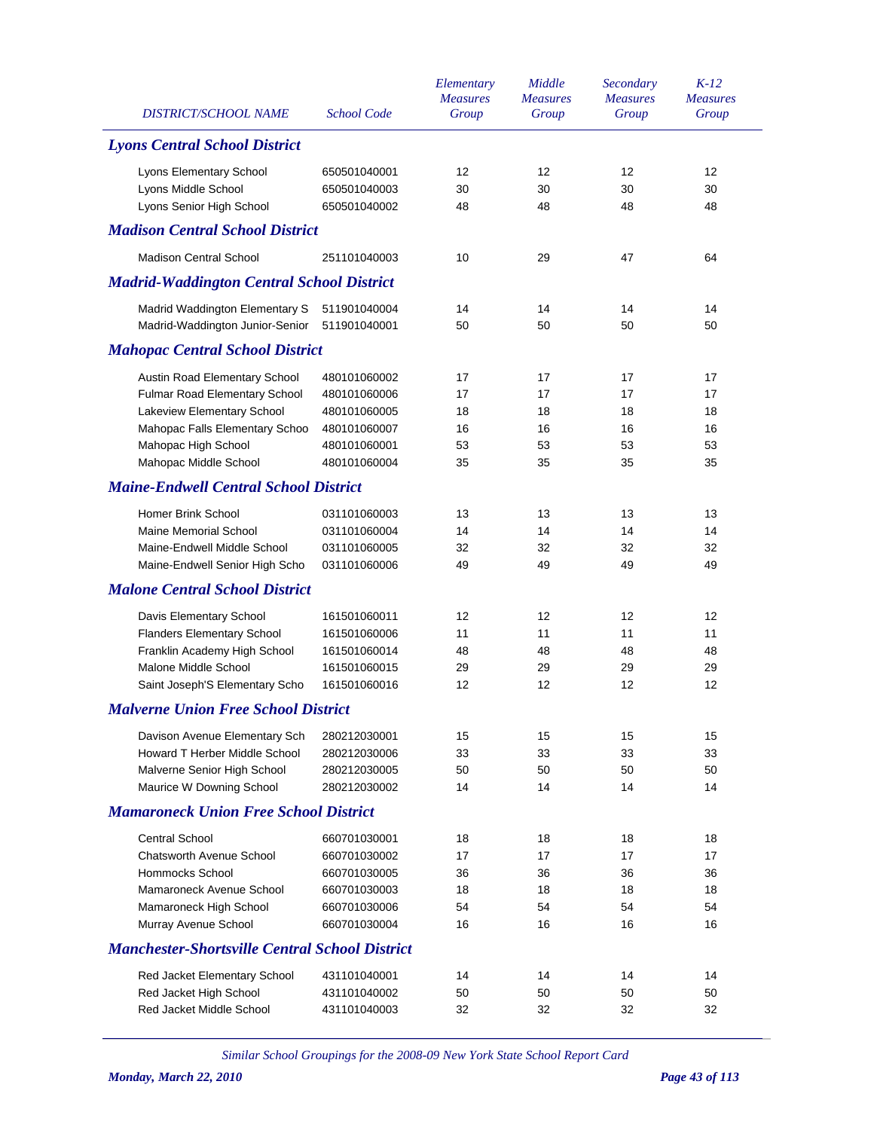| <b>DISTRICT/SCHOOL NAME</b>                           | <b>School Code</b> | Elementary<br><b>Measures</b><br>Group | Middle<br><b>Measures</b><br>Group | Secondary<br><b>Measures</b><br>Group | $K-12$<br><b>Measures</b><br>Group |
|-------------------------------------------------------|--------------------|----------------------------------------|------------------------------------|---------------------------------------|------------------------------------|
| <b>Lyons Central School District</b>                  |                    |                                        |                                    |                                       |                                    |
| Lyons Elementary School                               | 650501040001       | 12                                     | 12                                 | 12                                    | 12                                 |
| Lyons Middle School                                   | 650501040003       | 30                                     | 30                                 | 30                                    | 30                                 |
| Lyons Senior High School                              | 650501040002       | 48                                     | 48                                 | 48                                    | 48                                 |
| <b>Madison Central School District</b>                |                    |                                        |                                    |                                       |                                    |
| <b>Madison Central School</b>                         | 251101040003       | 10                                     | 29                                 | 47                                    | 64                                 |
| <b>Madrid-Waddington Central School District</b>      |                    |                                        |                                    |                                       |                                    |
| Madrid Waddington Elementary S                        | 511901040004       | 14                                     | 14                                 | 14                                    | 14                                 |
| Madrid-Waddington Junior-Senior                       | 511901040001       | 50                                     | 50                                 | 50                                    | 50                                 |
| <b>Mahopac Central School District</b>                |                    |                                        |                                    |                                       |                                    |
| Austin Road Elementary School                         | 480101060002       | 17                                     | 17                                 | 17                                    | 17                                 |
| Fulmar Road Elementary School                         | 480101060006       | 17                                     | 17                                 | 17                                    | 17                                 |
| Lakeview Elementary School                            | 480101060005       | 18                                     | 18                                 | 18                                    | 18                                 |
| Mahopac Falls Elementary Schoo                        | 480101060007       | 16                                     | 16                                 | 16                                    | 16                                 |
| Mahopac High School                                   | 480101060001       | 53                                     | 53                                 | 53                                    | 53                                 |
| Mahopac Middle School                                 | 480101060004       | 35                                     | 35                                 | 35                                    | 35                                 |
| <b>Maine-Endwell Central School District</b>          |                    |                                        |                                    |                                       |                                    |
| Homer Brink School                                    | 031101060003       | 13                                     | 13                                 | 13                                    | 13                                 |
| <b>Maine Memorial School</b>                          | 031101060004       | 14                                     | 14                                 | 14                                    | 14                                 |
| Maine-Endwell Middle School                           | 031101060005       | 32                                     | 32                                 | 32                                    | 32                                 |
| Maine-Endwell Senior High Scho                        | 031101060006       | 49                                     | 49                                 | 49                                    | 49                                 |
| <b>Malone Central School District</b>                 |                    |                                        |                                    |                                       |                                    |
| Davis Elementary School                               | 161501060011       | 12                                     | 12                                 | 12                                    | 12                                 |
| <b>Flanders Elementary School</b>                     | 161501060006       | 11                                     | 11                                 | 11                                    | 11                                 |
| Franklin Academy High School                          | 161501060014       | 48                                     | 48                                 | 48                                    | 48                                 |
| Malone Middle School                                  | 161501060015       | 29                                     | 29                                 | 29                                    | 29                                 |
| Saint Joseph'S Elementary Scho                        | 161501060016       | 12                                     | 12                                 | 12                                    | 12                                 |
| <b>Malverne Union Free School District</b>            |                    |                                        |                                    |                                       |                                    |
| Davison Avenue Elementary Sch                         | 280212030001       | 15                                     | 15                                 | 15                                    | 15                                 |
| Howard T Herber Middle School                         | 280212030006       | 33                                     | 33                                 | 33                                    | 33                                 |
| Malverne Senior High School                           | 280212030005       | 50                                     | 50                                 | 50                                    | 50                                 |
| Maurice W Downing School                              | 280212030002       | 14                                     | 14                                 | 14                                    | 14                                 |
| <b>Mamaroneck Union Free School District</b>          |                    |                                        |                                    |                                       |                                    |
| <b>Central School</b>                                 | 660701030001       | 18                                     | 18                                 | 18                                    | 18                                 |
| Chatsworth Avenue School                              | 660701030002       | 17                                     | 17                                 | 17                                    | 17                                 |
| Hommocks School                                       | 660701030005       | 36                                     | 36                                 | 36                                    | 36                                 |
| Mamaroneck Avenue School                              | 660701030003       | 18                                     | 18                                 | 18                                    | 18                                 |
| Mamaroneck High School                                | 660701030006       | 54                                     | 54                                 | 54                                    | 54                                 |
| Murray Avenue School                                  | 660701030004       | 16                                     | 16                                 | 16                                    | 16                                 |
| <b>Manchester-Shortsville Central School District</b> |                    |                                        |                                    |                                       |                                    |
| Red Jacket Elementary School                          | 431101040001       | 14                                     | 14                                 | 14                                    | 14                                 |
| Red Jacket High School                                | 431101040002       | 50                                     | 50                                 | 50                                    | 50                                 |
| Red Jacket Middle School                              | 431101040003       | 32                                     | 32                                 | 32                                    | 32                                 |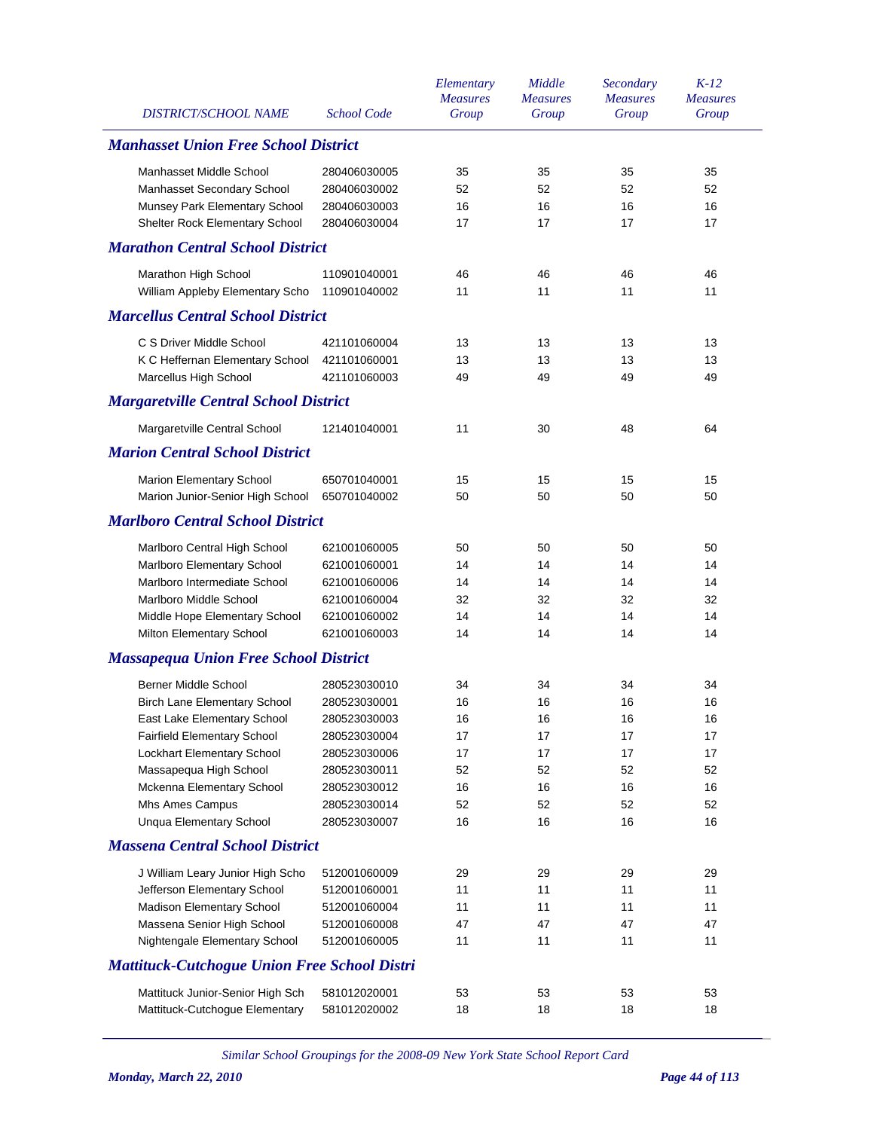| <b>DISTRICT/SCHOOL NAME</b>                         | <b>School Code</b> | Elementary<br><b>Measures</b><br>Group | Middle<br><b>Measures</b><br>Group | Secondary<br><b>Measures</b><br>Group | $K-12$<br><b>Measures</b><br>Group |
|-----------------------------------------------------|--------------------|----------------------------------------|------------------------------------|---------------------------------------|------------------------------------|
| <b>Manhasset Union Free School District</b>         |                    |                                        |                                    |                                       |                                    |
| Manhasset Middle School                             | 280406030005       | 35                                     | 35                                 | 35                                    | 35                                 |
| Manhasset Secondary School                          | 280406030002       | 52                                     | 52                                 | 52                                    | 52                                 |
| Munsey Park Elementary School                       | 280406030003       | 16                                     | 16                                 | 16                                    | 16                                 |
| Shelter Rock Elementary School                      | 280406030004       | 17                                     | 17                                 | 17                                    | 17                                 |
| <b>Marathon Central School District</b>             |                    |                                        |                                    |                                       |                                    |
| Marathon High School                                | 110901040001       | 46                                     | 46                                 | 46                                    | 46                                 |
| William Appleby Elementary Scho                     | 110901040002       | 11                                     | 11                                 | 11                                    | 11                                 |
| <b>Marcellus Central School District</b>            |                    |                                        |                                    |                                       |                                    |
| C S Driver Middle School                            | 421101060004       | 13                                     | 13                                 | 13                                    | 13                                 |
| K C Heffernan Elementary School                     | 421101060001       | 13                                     | 13                                 | 13                                    | 13                                 |
| Marcellus High School                               | 421101060003       | 49                                     | 49                                 | 49                                    | 49                                 |
| <b>Margaretville Central School District</b>        |                    |                                        |                                    |                                       |                                    |
| Margaretville Central School                        | 121401040001       | 11                                     | 30                                 | 48                                    | 64                                 |
| <b>Marion Central School District</b>               |                    |                                        |                                    |                                       |                                    |
| <b>Marion Elementary School</b>                     | 650701040001       | 15                                     | 15                                 | 15                                    | 15                                 |
| Marion Junior-Senior High School                    | 650701040002       | 50                                     | 50                                 | 50                                    | 50                                 |
| <b>Marlboro Central School District</b>             |                    |                                        |                                    |                                       |                                    |
| Marlboro Central High School                        | 621001060005       | 50                                     | 50                                 | 50                                    | 50                                 |
| Marlboro Elementary School                          | 621001060001       | 14                                     | 14                                 | 14                                    | 14                                 |
| Marlboro Intermediate School                        | 621001060006       | 14                                     | 14                                 | 14                                    | 14                                 |
| Marlboro Middle School                              | 621001060004       | 32                                     | 32                                 | 32                                    | 32                                 |
| Middle Hope Elementary School                       | 621001060002       | 14                                     | 14                                 | 14                                    | 14                                 |
| Milton Elementary School                            | 621001060003       | 14                                     | 14                                 | 14                                    | 14                                 |
| <b>Massapequa Union Free School District</b>        |                    |                                        |                                    |                                       |                                    |
| <b>Berner Middle School</b>                         | 280523030010       | 34                                     | 34                                 | 34                                    | 34                                 |
| <b>Birch Lane Elementary School</b>                 | 280523030001       | 16                                     | 16                                 | 16                                    | 16                                 |
| East Lake Elementary School                         | 280523030003       | 16                                     | 16                                 | 16                                    | 16                                 |
| Fairfield Elementary School                         | 280523030004       | 17                                     | 17                                 | 17                                    | 17                                 |
| Lockhart Elementary School                          | 280523030006       | 17                                     | 17                                 | 17                                    | 17                                 |
| Massapequa High School                              | 280523030011       | 52                                     | 52                                 | 52                                    | 52                                 |
| Mckenna Elementary School                           | 280523030012       | 16                                     | 16                                 | 16                                    | 16                                 |
| Mhs Ames Campus                                     | 280523030014       | 52                                     | 52                                 | 52                                    | 52                                 |
| <b>Unqua Elementary School</b>                      | 280523030007       | 16                                     | 16                                 | 16                                    | 16                                 |
| <b>Massena Central School District</b>              |                    |                                        |                                    |                                       |                                    |
| J William Leary Junior High Scho                    | 512001060009       | 29                                     | 29                                 | 29                                    | 29                                 |
| Jefferson Elementary School                         | 512001060001       | 11                                     | 11                                 | 11                                    | 11                                 |
| Madison Elementary School                           | 512001060004       | 11                                     | 11                                 | 11                                    | 11                                 |
| Massena Senior High School                          | 512001060008       | 47                                     | 47                                 | 47                                    | 47                                 |
| Nightengale Elementary School                       | 512001060005       | 11                                     | 11                                 | 11                                    | 11                                 |
| <b>Mattituck-Cutchogue Union Free School Distri</b> |                    |                                        |                                    |                                       |                                    |
| Mattituck Junior-Senior High Sch                    | 581012020001       | 53                                     | 53                                 | 53                                    | 53                                 |
| Mattituck-Cutchogue Elementary                      | 581012020002       | 18                                     | 18                                 | 18                                    | 18                                 |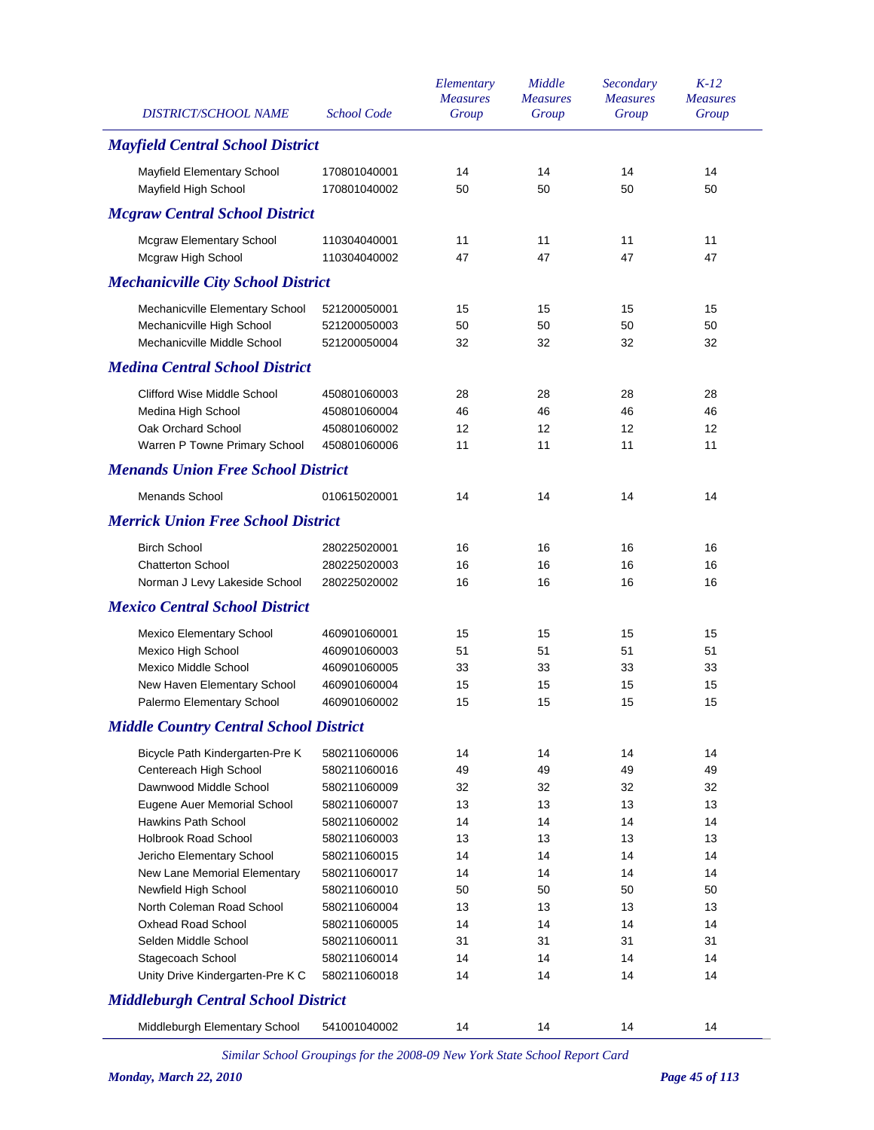| <b>DISTRICT/SCHOOL NAME</b>                   | <b>School Code</b> | Elementary<br><b>Measures</b><br>Group | Middle<br><b>Measures</b><br>Group | Secondary<br><b>Measures</b><br>Group | $K-12$<br><b>Measures</b><br>Group |
|-----------------------------------------------|--------------------|----------------------------------------|------------------------------------|---------------------------------------|------------------------------------|
| <b>Mayfield Central School District</b>       |                    |                                        |                                    |                                       |                                    |
| Mayfield Elementary School                    | 170801040001       | 14                                     | 14                                 | 14                                    | 14                                 |
| Mayfield High School                          | 170801040002       | 50                                     | 50                                 | 50                                    | 50                                 |
| <b>Mcgraw Central School District</b>         |                    |                                        |                                    |                                       |                                    |
| <b>Mcgraw Elementary School</b>               | 110304040001       | 11                                     | 11                                 | 11                                    | 11                                 |
| Mcgraw High School                            | 110304040002       | 47                                     | 47                                 | 47                                    | 47                                 |
| <b>Mechanicville City School District</b>     |                    |                                        |                                    |                                       |                                    |
| Mechanicville Elementary School               | 521200050001       | 15                                     | 15                                 | 15                                    | 15                                 |
| Mechanicville High School                     | 521200050003       | 50                                     | 50                                 | 50                                    | 50                                 |
| Mechanicville Middle School                   | 521200050004       | 32                                     | 32                                 | 32                                    | 32                                 |
| <b>Medina Central School District</b>         |                    |                                        |                                    |                                       |                                    |
| <b>Clifford Wise Middle School</b>            | 450801060003       | 28                                     | 28                                 | 28                                    | 28                                 |
| Medina High School                            | 450801060004       | 46                                     | 46                                 | 46                                    | 46                                 |
| Oak Orchard School                            | 450801060002       | 12                                     | 12                                 | 12                                    | 12                                 |
| Warren P Towne Primary School                 | 450801060006       | 11                                     | 11                                 | 11                                    | 11                                 |
| <b>Menands Union Free School District</b>     |                    |                                        |                                    |                                       |                                    |
| <b>Menands School</b>                         | 010615020001       | 14                                     | 14                                 | 14                                    | 14                                 |
| <b>Merrick Union Free School District</b>     |                    |                                        |                                    |                                       |                                    |
| <b>Birch School</b>                           | 280225020001       | 16                                     | 16                                 | 16                                    | 16                                 |
| <b>Chatterton School</b>                      | 280225020003       | 16                                     | 16                                 | 16                                    | 16                                 |
| Norman J Levy Lakeside School                 | 280225020002       | 16                                     | 16                                 | 16                                    | 16                                 |
| <b>Mexico Central School District</b>         |                    |                                        |                                    |                                       |                                    |
| <b>Mexico Elementary School</b>               | 460901060001       | 15                                     | 15                                 | 15                                    | 15                                 |
| Mexico High School                            | 460901060003       | 51                                     | 51                                 | 51                                    | 51                                 |
| <b>Mexico Middle School</b>                   | 460901060005       | 33                                     | 33                                 | 33                                    | 33                                 |
| New Haven Elementary School                   | 460901060004       | 15                                     | 15                                 | 15                                    | 15                                 |
| Palermo Elementary School                     | 460901060002       | 15                                     | 15                                 | 15                                    | 15                                 |
| <b>Middle Country Central School District</b> |                    |                                        |                                    |                                       |                                    |
| Bicycle Path Kindergarten-Pre K               | 580211060006       | 14                                     | 14                                 | 14                                    | 14                                 |
| Centereach High School                        | 580211060016       | 49                                     | 49                                 | 49                                    | 49                                 |
| Dawnwood Middle School                        | 580211060009       | 32                                     | 32                                 | 32                                    | 32                                 |
| Eugene Auer Memorial School                   | 580211060007       | 13                                     | 13                                 | 13                                    | 13                                 |
| Hawkins Path School                           | 580211060002       | 14                                     | 14                                 | 14                                    | 14                                 |
| <b>Holbrook Road School</b>                   | 580211060003       | 13                                     | 13                                 | 13                                    | 13                                 |
| Jericho Elementary School                     | 580211060015       | 14                                     | 14                                 | 14                                    | 14                                 |
| New Lane Memorial Elementary                  | 580211060017       | 14                                     | 14                                 | 14                                    | 14                                 |
| Newfield High School                          | 580211060010       | 50                                     | 50                                 | 50                                    | 50                                 |
| North Coleman Road School                     | 580211060004       | 13                                     | 13                                 | 13                                    | 13                                 |
| <b>Oxhead Road School</b>                     | 580211060005       | 14                                     | 14                                 | 14                                    | 14                                 |
| Selden Middle School                          | 580211060011       | 31                                     | 31                                 | 31                                    | 31                                 |
| Stagecoach School                             | 580211060014       | 14                                     | 14                                 | 14                                    | 14                                 |
| Unity Drive Kindergarten-Pre K C              | 580211060018       | 14                                     | 14                                 | 14                                    | 14                                 |
| <b>Middleburgh Central School District</b>    |                    |                                        |                                    |                                       |                                    |
| Middleburgh Elementary School                 | 541001040002       | 14                                     | 14                                 | 14                                    | 14                                 |
|                                               |                    |                                        |                                    |                                       |                                    |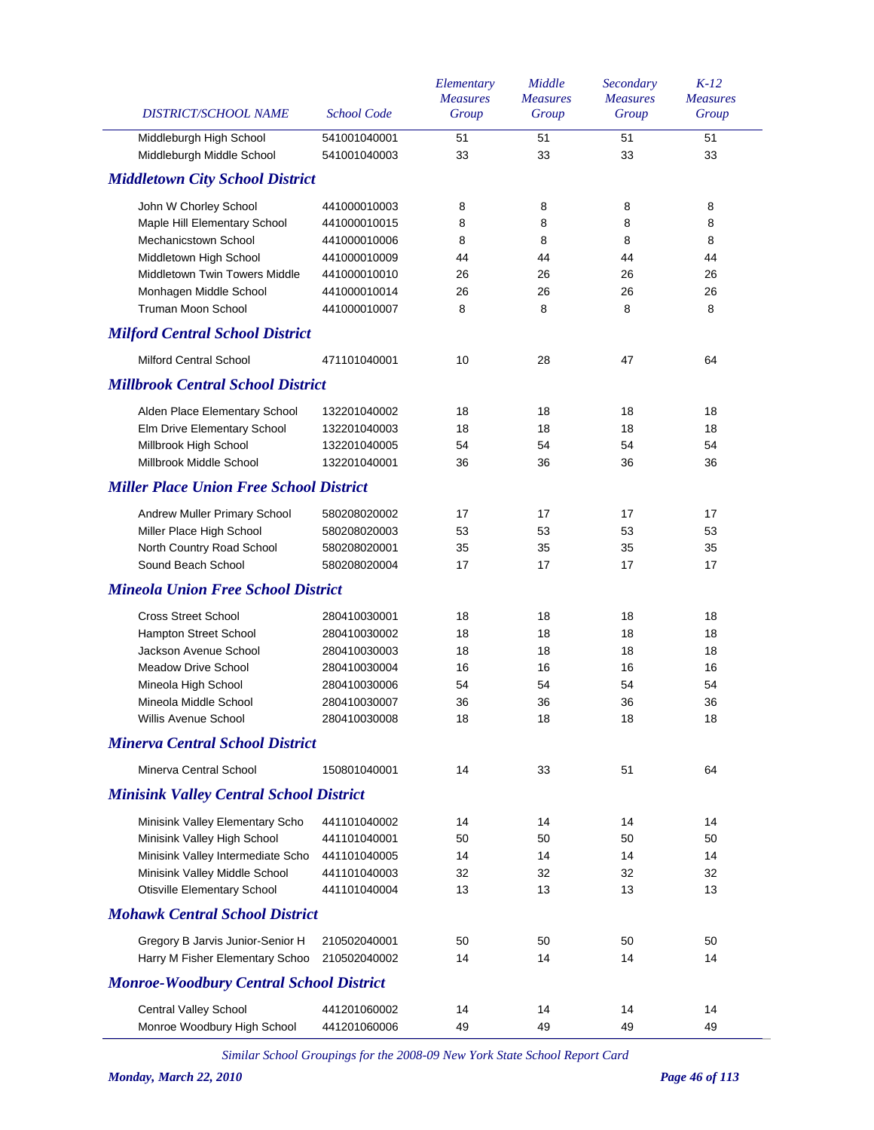| DISTRICT/SCHOOL NAME                           | <b>School Code</b> | Elementary<br><b>Measures</b><br>Group | Middle<br><b>Measures</b><br>Group | Secondary<br><b>Measures</b><br>Group | $K-12$<br><b>Measures</b><br>Group |
|------------------------------------------------|--------------------|----------------------------------------|------------------------------------|---------------------------------------|------------------------------------|
| Middleburgh High School                        | 541001040001       | 51                                     | 51                                 | 51                                    | 51                                 |
| Middleburgh Middle School                      | 541001040003       | 33                                     | 33                                 | 33                                    | 33                                 |
| <b>Middletown City School District</b>         |                    |                                        |                                    |                                       |                                    |
| John W Chorley School                          | 441000010003       | 8                                      | 8                                  | 8                                     | 8                                  |
| Maple Hill Elementary School                   | 441000010015       | 8                                      | 8                                  | 8                                     | 8                                  |
| Mechanicstown School                           | 441000010006       | 8                                      | 8                                  | 8                                     | 8                                  |
| Middletown High School                         | 441000010009       | 44                                     | 44                                 | 44                                    | 44                                 |
| Middletown Twin Towers Middle                  | 441000010010       | 26                                     | 26                                 | 26                                    | 26                                 |
| Monhagen Middle School                         | 441000010014       | 26                                     | 26                                 | 26                                    | 26                                 |
| Truman Moon School                             | 441000010007       | 8                                      | 8                                  | 8                                     | 8                                  |
| <b>Milford Central School District</b>         |                    |                                        |                                    |                                       |                                    |
| Milford Central School                         | 471101040001       | 10                                     | 28                                 | 47                                    | 64                                 |
| <b>Millbrook Central School District</b>       |                    |                                        |                                    |                                       |                                    |
| Alden Place Elementary School                  | 132201040002       | 18                                     | 18                                 | 18                                    | 18                                 |
| Elm Drive Elementary School                    | 132201040003       | 18                                     | 18                                 | 18                                    | 18                                 |
| Millbrook High School                          | 132201040005       | 54                                     | 54                                 | 54                                    | 54                                 |
| Millbrook Middle School                        | 132201040001       | 36                                     | 36                                 | 36                                    | 36                                 |
| <b>Miller Place Union Free School District</b> |                    |                                        |                                    |                                       |                                    |
| Andrew Muller Primary School                   | 580208020002       | 17                                     | 17                                 | 17                                    | 17                                 |
| Miller Place High School                       | 580208020003       | 53                                     | 53                                 | 53                                    | 53                                 |
| North Country Road School                      | 580208020001       | 35                                     | 35                                 | 35                                    | 35                                 |
| Sound Beach School                             | 580208020004       | 17                                     | 17                                 | 17                                    | 17                                 |
| <b>Mineola Union Free School District</b>      |                    |                                        |                                    |                                       |                                    |
| <b>Cross Street School</b>                     | 280410030001       | 18                                     | 18                                 | 18                                    | 18                                 |
| Hampton Street School                          | 280410030002       | 18                                     | 18                                 | 18                                    | 18                                 |
| Jackson Avenue School                          | 280410030003       | 18                                     | 18                                 | 18                                    | 18                                 |
| <b>Meadow Drive School</b>                     | 280410030004       | 16                                     | 16                                 | 16                                    | 16                                 |
| Mineola High School                            | 280410030006       | 54                                     | 54                                 | 54                                    | 54                                 |
| Mineola Middle School                          | 280410030007       | 36                                     | 36                                 | 36                                    | 36                                 |
| Willis Avenue School                           | 280410030008       | 18                                     | 18                                 | 18                                    | 18                                 |
| <b>Minerva Central School District</b>         |                    |                                        |                                    |                                       |                                    |
| Minerva Central School                         | 150801040001       | 14                                     | 33                                 | 51                                    | 64                                 |
| <b>Minisink Valley Central School District</b> |                    |                                        |                                    |                                       |                                    |
| Minisink Valley Elementary Scho                | 441101040002       | 14                                     | 14                                 | 14                                    | 14                                 |
| Minisink Valley High School                    | 441101040001       | 50                                     | 50                                 | 50                                    | 50                                 |
| Minisink Valley Intermediate Scho              | 441101040005       | 14                                     | 14                                 | 14                                    | 14                                 |
| Minisink Valley Middle School                  | 441101040003       | 32                                     | 32                                 | 32                                    | 32                                 |
| <b>Otisville Elementary School</b>             | 441101040004       | 13                                     | 13                                 | 13                                    | 13                                 |
| <b>Mohawk Central School District</b>          |                    |                                        |                                    |                                       |                                    |
| Gregory B Jarvis Junior-Senior H               | 210502040001       | 50                                     | 50                                 | 50                                    | 50                                 |
| Harry M Fisher Elementary Schoo                | 210502040002       | 14                                     | 14                                 | 14                                    | 14                                 |
| <b>Monroe-Woodbury Central School District</b> |                    |                                        |                                    |                                       |                                    |
| Central Valley School                          | 441201060002       | 14                                     | 14                                 | 14                                    | 14                                 |
| Monroe Woodbury High School                    | 441201060006       | 49                                     | 49                                 | 49                                    | 49                                 |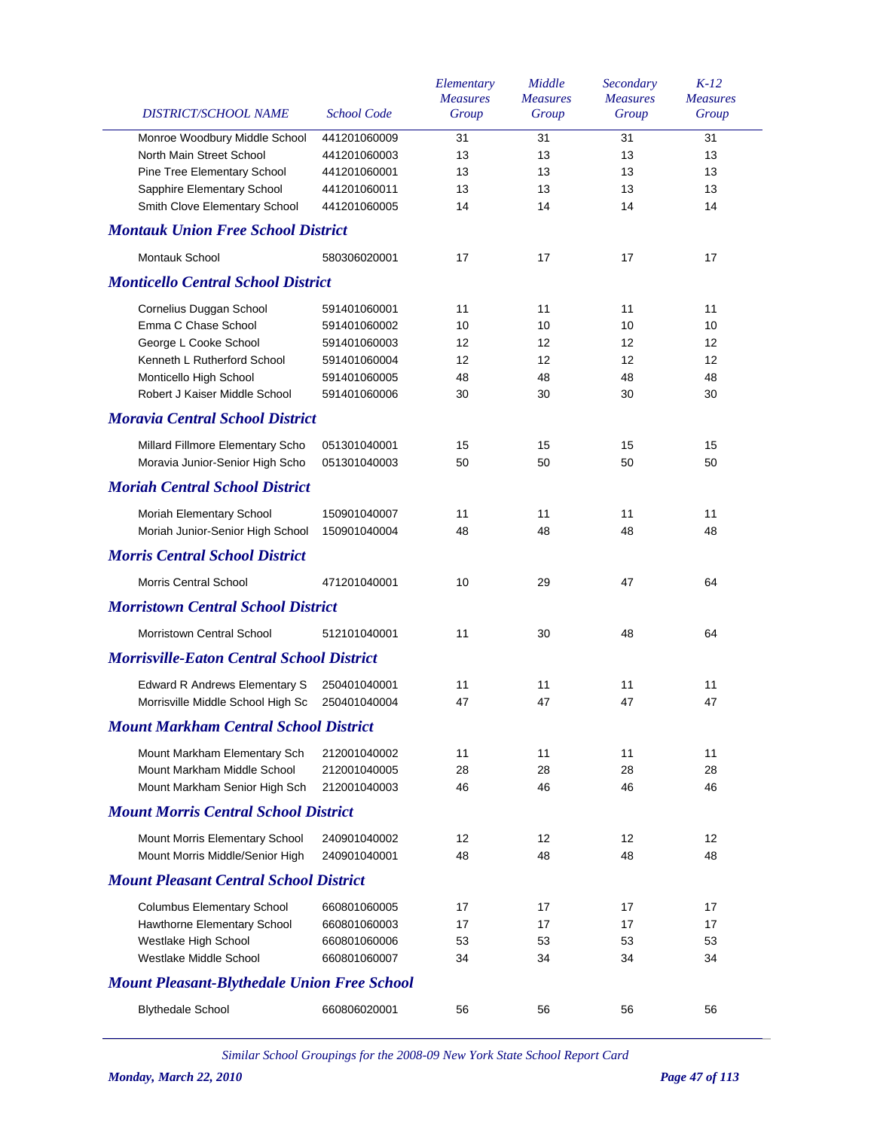|                                                                   |                              | Elementary      | Middle          | Secondary       | $K-12$          |
|-------------------------------------------------------------------|------------------------------|-----------------|-----------------|-----------------|-----------------|
|                                                                   |                              | <b>Measures</b> | <b>Measures</b> | <b>Measures</b> | <b>Measures</b> |
| DISTRICT/SCHOOL NAME                                              | <b>School Code</b>           | Group           | Group           | Group           | Group           |
| Monroe Woodbury Middle School                                     | 441201060009                 | 31              | 31              | 31              | 31              |
| North Main Street School                                          | 441201060003                 | 13              | 13              | 13              | 13              |
| <b>Pine Tree Elementary School</b>                                | 441201060001                 | 13              | 13              | 13              | 13              |
| Sapphire Elementary School                                        | 441201060011                 | 13              | 13              | 13              | 13              |
| Smith Clove Elementary School                                     | 441201060005                 | 14              | 14              | 14              | 14              |
| <b>Montauk Union Free School District</b>                         |                              |                 |                 |                 |                 |
| Montauk School                                                    | 580306020001                 | 17              | 17              | 17              | 17              |
| <b>Monticello Central School District</b>                         |                              |                 |                 |                 |                 |
| Cornelius Duggan School                                           | 591401060001                 | 11              | 11              | 11              | 11              |
| Emma C Chase School                                               | 591401060002                 | 10              | 10              | 10              | 10              |
| George L Cooke School                                             | 591401060003                 | 12              | 12              | 12              | 12              |
| Kenneth L Rutherford School                                       | 591401060004                 | 12              | 12              | 12              | 12              |
| Monticello High School                                            | 591401060005                 | 48              | 48              | 48              | 48              |
| Robert J Kaiser Middle School                                     | 591401060006                 | 30              | 30              | 30              | 30              |
| <b>Moravia Central School District</b>                            |                              |                 |                 |                 |                 |
|                                                                   |                              |                 |                 |                 |                 |
| Millard Fillmore Elementary Scho                                  | 051301040001                 | 15              | 15              | 15              | 15              |
| Moravia Junior-Senior High Scho                                   | 051301040003                 | 50              | 50              | 50              | 50              |
| <b>Moriah Central School District</b>                             |                              |                 |                 |                 |                 |
| Moriah Elementary School                                          | 150901040007                 | 11              | 11              | 11              | 11              |
| Moriah Junior-Senior High School                                  | 150901040004                 | 48              | 48              | 48              | 48              |
| <b>Morris Central School District</b>                             |                              |                 |                 |                 |                 |
| <b>Morris Central School</b>                                      | 471201040001                 | 10              | 29              | 47              | 64              |
| <b>Morristown Central School District</b>                         |                              |                 |                 |                 |                 |
| Morristown Central School                                         | 512101040001                 | 11              | 30              | 48              | 64              |
| <b>Morrisville-Eaton Central School District</b>                  |                              |                 |                 |                 |                 |
| <b>Edward R Andrews Elementary S</b>                              | 250401040001                 | 11              | 11              | 11              | 11              |
| Morrisville Middle School High Sc                                 | 250401040004                 | 47              | 47              | 47              | 47              |
| <b>Mount Markham Central School District</b>                      |                              |                 |                 |                 |                 |
| Mount Markham Elementary Sch                                      | 212001040002                 | 11              | 11              | 11              | 11              |
| Mount Markham Middle School                                       | 212001040005                 | 28              | 28              | 28              | 28              |
| Mount Markham Senior High Sch                                     | 212001040003                 | 46              | 46              | 46              | 46              |
| <b>Mount Morris Central School District</b>                       |                              |                 |                 |                 |                 |
|                                                                   |                              |                 |                 |                 |                 |
| Mount Morris Elementary School<br>Mount Morris Middle/Senior High | 240901040002<br>240901040001 | 12<br>48        | 12<br>48        | 12<br>48        | 12<br>48        |
| <b>Mount Pleasant Central School District</b>                     |                              |                 |                 |                 |                 |
|                                                                   |                              |                 |                 |                 |                 |
| <b>Columbus Elementary School</b>                                 | 660801060005<br>660801060003 | 17<br>17        | 17<br>17        | 17<br>17        | 17<br>17        |
| Hawthorne Elementary School                                       |                              |                 |                 |                 |                 |
| Westlake High School                                              | 660801060006                 | 53              | 53              | 53              | 53              |
| Westlake Middle School                                            | 660801060007                 | 34              | 34              | 34              | 34              |
| <b>Mount Pleasant-Blythedale Union Free School</b>                |                              |                 |                 |                 |                 |
| <b>Blythedale School</b>                                          | 660806020001                 | 56              | 56              | 56              | 56              |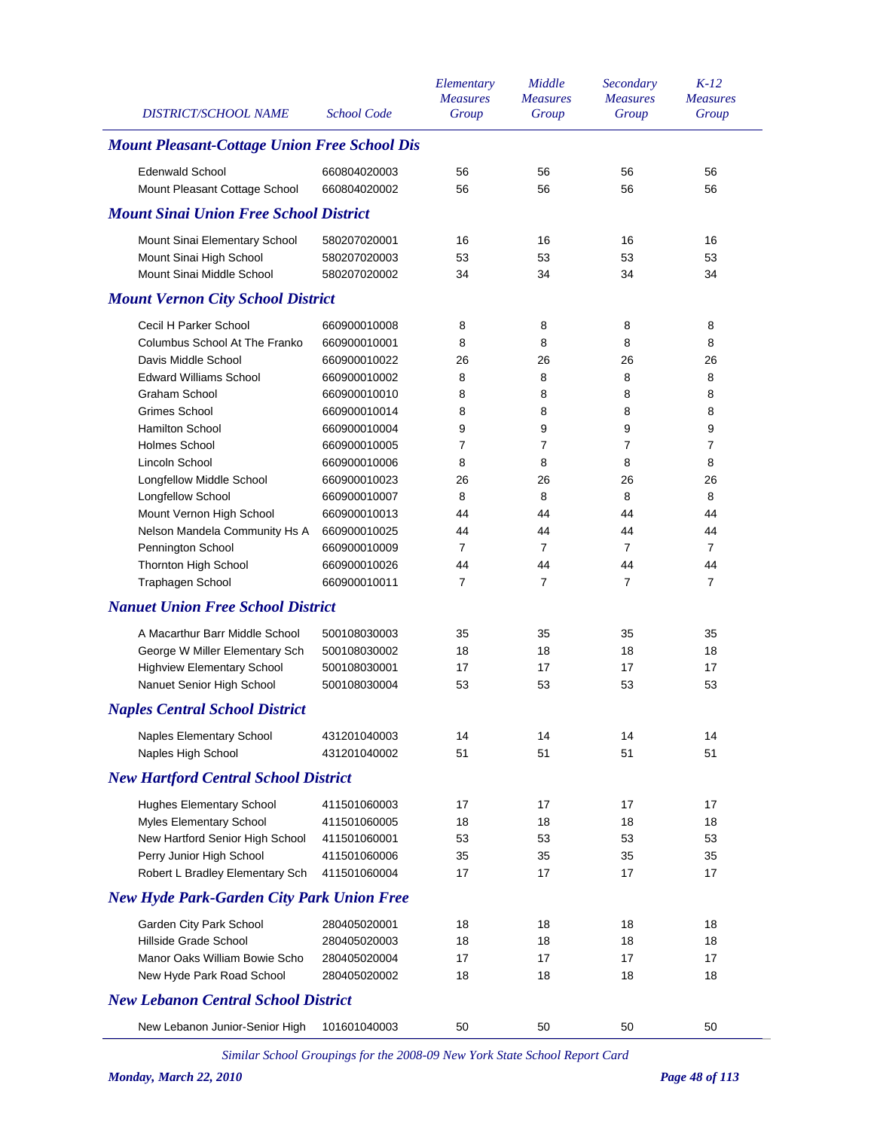| <b>DISTRICT/SCHOOL NAME</b>                         | <b>School Code</b> | Elementary<br><b>Measures</b><br>Group | Middle<br><b>Measures</b><br>Group | Secondary<br><b>Measures</b><br>Group | $K-12$<br><b>Measures</b><br>Group |
|-----------------------------------------------------|--------------------|----------------------------------------|------------------------------------|---------------------------------------|------------------------------------|
| <b>Mount Pleasant-Cottage Union Free School Dis</b> |                    |                                        |                                    |                                       |                                    |
| <b>Edenwald School</b>                              | 660804020003       | 56                                     | 56                                 | 56                                    | 56                                 |
| Mount Pleasant Cottage School                       | 660804020002       | 56                                     | 56                                 | 56                                    | 56                                 |
| <b>Mount Sinai Union Free School District</b>       |                    |                                        |                                    |                                       |                                    |
| Mount Sinai Elementary School                       | 580207020001       | 16                                     | 16                                 | 16                                    | 16                                 |
| Mount Sinai High School                             | 580207020003       | 53                                     | 53                                 | 53                                    | 53                                 |
| Mount Sinai Middle School                           | 580207020002       | 34                                     | 34                                 | 34                                    | 34                                 |
| <b>Mount Vernon City School District</b>            |                    |                                        |                                    |                                       |                                    |
| Cecil H Parker School                               | 660900010008       | 8                                      | 8                                  | 8                                     | 8                                  |
| Columbus School At The Franko                       | 660900010001       | 8                                      | 8                                  | 8                                     | 8                                  |
| Davis Middle School                                 | 660900010022       | 26                                     | 26                                 | 26                                    | 26                                 |
| <b>Edward Williams School</b>                       | 660900010002       | 8                                      | 8                                  | 8                                     | 8                                  |
| <b>Graham School</b>                                | 660900010010       | 8                                      | 8                                  | 8                                     | 8                                  |
| Grimes School                                       | 660900010014       | 8                                      | 8                                  | 8                                     | 8                                  |
| Hamilton School                                     | 660900010004       | 9                                      | 9                                  | 9                                     | 9                                  |
| <b>Holmes School</b>                                | 660900010005       | $\overline{7}$                         | 7                                  | 7                                     | $\overline{7}$                     |
| Lincoln School                                      | 660900010006       | 8                                      | 8                                  | 8                                     | 8                                  |
| Longfellow Middle School                            | 660900010023       | 26                                     | 26                                 | 26                                    | 26                                 |
| Longfellow School                                   | 660900010007       | 8                                      | 8                                  | 8                                     | 8                                  |
| Mount Vernon High School                            | 660900010013       | 44                                     | 44                                 | 44                                    | 44                                 |
| Nelson Mandela Community Hs A                       | 660900010025       | 44                                     | 44                                 | 44                                    | 44                                 |
| Pennington School                                   | 660900010009       | $\overline{7}$                         | 7                                  | $\overline{7}$                        | $\overline{7}$                     |
| Thornton High School                                | 660900010026       | 44                                     | 44                                 | 44                                    | 44                                 |
| Traphagen School                                    | 660900010011       | $\overline{7}$                         | 7                                  | $\overline{7}$                        | $\overline{7}$                     |
| <b>Nanuet Union Free School District</b>            |                    |                                        |                                    |                                       |                                    |
| A Macarthur Barr Middle School                      | 500108030003       | 35                                     | 35                                 | 35                                    | 35                                 |
| George W Miller Elementary Sch                      | 500108030002       | 18                                     | 18                                 | 18                                    | 18                                 |
| <b>Highview Elementary School</b>                   | 500108030001       | 17                                     | 17                                 | 17                                    | 17                                 |
| Nanuet Senior High School                           | 500108030004       | 53                                     | 53                                 | 53                                    | 53                                 |
| <b>Naples Central School District</b>               |                    |                                        |                                    |                                       |                                    |
| Naples Elementary School                            | 431201040003       | 14                                     | 14                                 | 14                                    | 14                                 |
| Naples High School                                  | 431201040002       | 51                                     | 51                                 | 51                                    | 51                                 |
| <b>New Hartford Central School District</b>         |                    |                                        |                                    |                                       |                                    |
| <b>Hughes Elementary School</b>                     | 411501060003       | 17                                     | 17                                 | 17                                    | 17                                 |
| Myles Elementary School                             | 411501060005       | 18                                     | 18                                 | 18                                    | 18                                 |
| New Hartford Senior High School                     | 411501060001       | 53                                     | 53                                 | 53                                    | 53                                 |
| Perry Junior High School                            | 411501060006       | 35                                     | 35                                 | 35                                    | 35                                 |
| Robert L Bradley Elementary Sch                     | 411501060004       | 17                                     | 17                                 | 17                                    | 17                                 |
| <b>New Hyde Park-Garden City Park Union Free</b>    |                    |                                        |                                    |                                       |                                    |
| Garden City Park School                             | 280405020001       | 18                                     | 18                                 | 18                                    | 18                                 |
| Hillside Grade School                               | 280405020003       | 18                                     | 18                                 | 18                                    | 18                                 |
| Manor Oaks William Bowie Scho                       | 280405020004       | 17                                     | 17                                 | 17                                    | 17                                 |
| New Hyde Park Road School                           | 280405020002       | 18                                     | 18                                 | 18                                    | 18                                 |
| <b>New Lebanon Central School District</b>          |                    |                                        |                                    |                                       |                                    |
| New Lebanon Junior-Senior High                      | 101601040003       | 50                                     | 50                                 | 50                                    | 50                                 |
|                                                     |                    |                                        |                                    |                                       |                                    |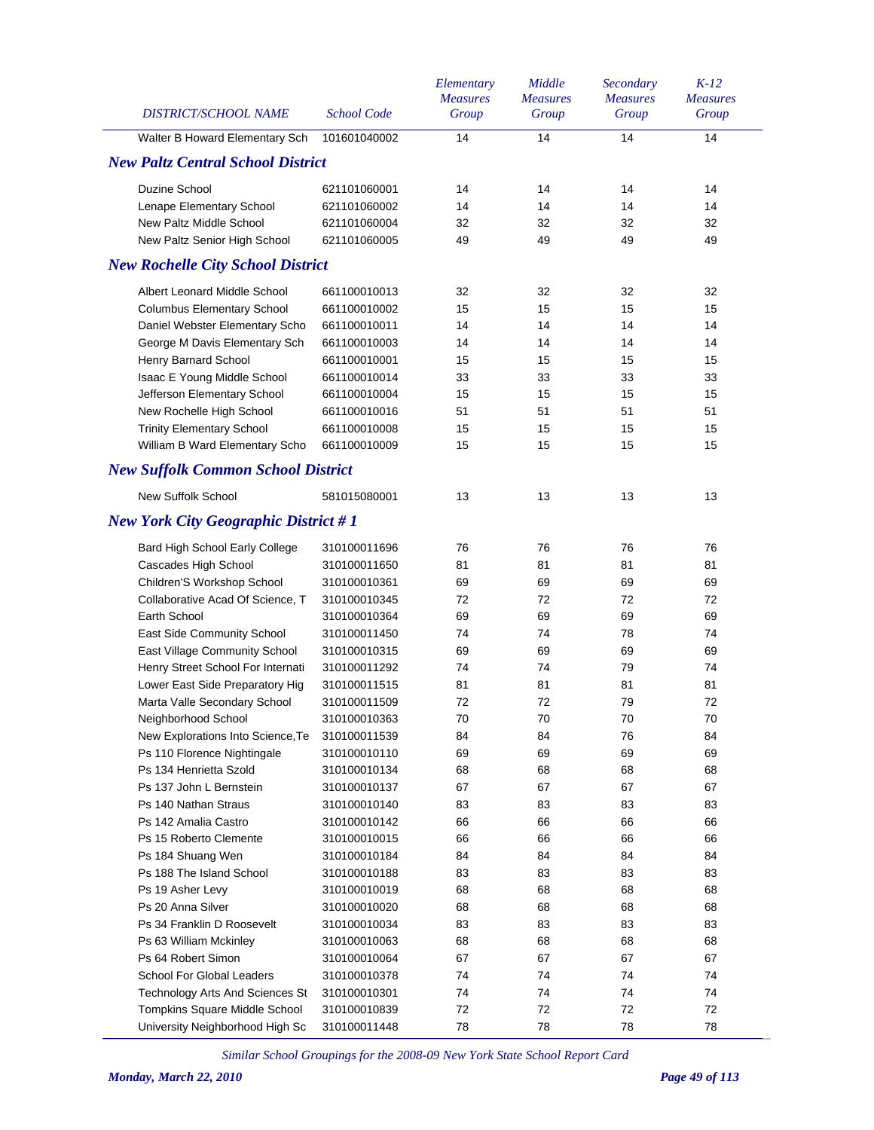| DISTRICT/SCHOOL NAME                        | <b>School Code</b> | Elementary<br><b>Measures</b><br>Group | Middle<br><b>Measures</b><br>Group | Secondary<br><b>Measures</b><br>Group | $K-12$<br><b>Measures</b><br>Group |
|---------------------------------------------|--------------------|----------------------------------------|------------------------------------|---------------------------------------|------------------------------------|
| Walter B Howard Elementary Sch              | 101601040002       | 14                                     | 14                                 | 14                                    | 14                                 |
| <b>New Paltz Central School District</b>    |                    |                                        |                                    |                                       |                                    |
| Duzine School                               | 621101060001       | 14                                     | 14                                 | 14                                    | 14                                 |
| Lenape Elementary School                    | 621101060002       | 14                                     | 14                                 | 14                                    | 14                                 |
| New Paltz Middle School                     | 621101060004       | 32                                     | 32                                 | 32                                    | 32                                 |
| New Paltz Senior High School                | 621101060005       | 49                                     | 49                                 | 49                                    | 49                                 |
| <b>New Rochelle City School District</b>    |                    |                                        |                                    |                                       |                                    |
| Albert Leonard Middle School                | 661100010013       | 32                                     | 32                                 | 32                                    | 32                                 |
| <b>Columbus Elementary School</b>           | 661100010002       | 15                                     | 15                                 | 15                                    | 15                                 |
| Daniel Webster Elementary Scho              | 661100010011       | 14                                     | 14                                 | 14                                    | 14                                 |
| George M Davis Elementary Sch               | 661100010003       | 14                                     | 14                                 | 14                                    | 14                                 |
| Henry Barnard School                        | 661100010001       | 15                                     | 15                                 | 15                                    | 15                                 |
| Isaac E Young Middle School                 | 661100010014       | 33                                     | 33                                 | 33                                    | 33                                 |
| Jefferson Elementary School                 | 661100010004       | 15                                     | 15                                 | 15                                    | 15                                 |
| New Rochelle High School                    | 661100010016       | 51                                     | 51                                 | 51                                    | 51                                 |
| <b>Trinity Elementary School</b>            | 661100010008       | 15                                     | 15                                 | 15                                    | 15                                 |
| William B Ward Elementary Scho              | 661100010009       | 15                                     | 15                                 | 15                                    | 15                                 |
| <b>New Suffolk Common School District</b>   |                    |                                        |                                    |                                       |                                    |
| New Suffolk School                          | 581015080001       | 13                                     | 13                                 | 13                                    | 13                                 |
| <b>New York City Geographic District #1</b> |                    |                                        |                                    |                                       |                                    |
| Bard High School Early College              | 310100011696       | 76                                     | 76                                 | 76                                    | 76                                 |
| Cascades High School                        | 310100011650       | 81                                     | 81                                 | 81                                    | 81                                 |
| Children'S Workshop School                  | 310100010361       | 69                                     | 69                                 | 69                                    | 69                                 |
| Collaborative Acad Of Science, T            | 310100010345       | 72                                     | 72                                 | 72                                    | 72                                 |
| Earth School                                | 310100010364       | 69                                     | 69                                 | 69                                    | 69                                 |
| East Side Community School                  | 310100011450       | 74                                     | 74                                 | 78                                    | 74                                 |
| East Village Community School               | 310100010315       | 69                                     | 69                                 | 69                                    | 69                                 |
| Henry Street School For Internati           | 310100011292       | 74                                     | 74                                 | 79                                    | 74                                 |
| Lower East Side Preparatory Hig             | 310100011515       | 81                                     | 81                                 | 81                                    | 81                                 |
| Marta Valle Secondary School                | 310100011509       | 72                                     | 72                                 | 79                                    | 72                                 |
| Neighborhood School                         | 310100010363       | $70\,$                                 | 70                                 | $70\,$                                | $70\,$                             |
| New Explorations Into Science, Te           | 310100011539       | 84                                     | 84                                 | 76                                    | 84                                 |
| Ps 110 Florence Nightingale                 | 310100010110       | 69                                     | 69                                 | 69                                    | 69                                 |
| Ps 134 Henrietta Szold                      | 310100010134       | 68                                     | 68                                 | 68                                    | 68                                 |
| Ps 137 John L Bernstein                     | 310100010137       | 67                                     | 67                                 | 67                                    | 67                                 |
| Ps 140 Nathan Straus                        | 310100010140       | 83                                     | 83                                 | 83                                    | 83                                 |
| Ps 142 Amalia Castro                        | 310100010142       | 66                                     | 66                                 | 66                                    | 66                                 |
| Ps 15 Roberto Clemente                      | 310100010015       | 66                                     | 66                                 | 66                                    | 66                                 |
| Ps 184 Shuang Wen                           | 310100010184       | 84                                     | 84                                 | 84                                    | 84                                 |
| Ps 188 The Island School                    | 310100010188       | 83                                     | 83                                 | 83                                    | 83                                 |
| Ps 19 Asher Levy                            | 310100010019       | 68                                     | 68                                 | 68                                    | 68                                 |
| Ps 20 Anna Silver                           | 310100010020       | 68                                     | 68                                 | 68                                    | 68                                 |
| Ps 34 Franklin D Roosevelt                  | 310100010034       | 83                                     | 83                                 | 83                                    | 83                                 |
| Ps 63 William Mckinley                      | 310100010063       | 68                                     | 68                                 | 68                                    | 68                                 |
| Ps 64 Robert Simon                          | 310100010064       | 67                                     | 67                                 | 67                                    | 67                                 |
| <b>School For Global Leaders</b>            | 310100010378       | 74                                     | 74                                 | 74                                    | 74                                 |
| Technology Arts And Sciences St             | 310100010301       | 74                                     | 74                                 | 74                                    | 74                                 |
| Tompkins Square Middle School               | 310100010839       | 72                                     | 72                                 | 72                                    | 72                                 |
| University Neighborhood High Sc             | 310100011448       | 78                                     | 78                                 | 78                                    | 78                                 |
|                                             |                    |                                        |                                    |                                       |                                    |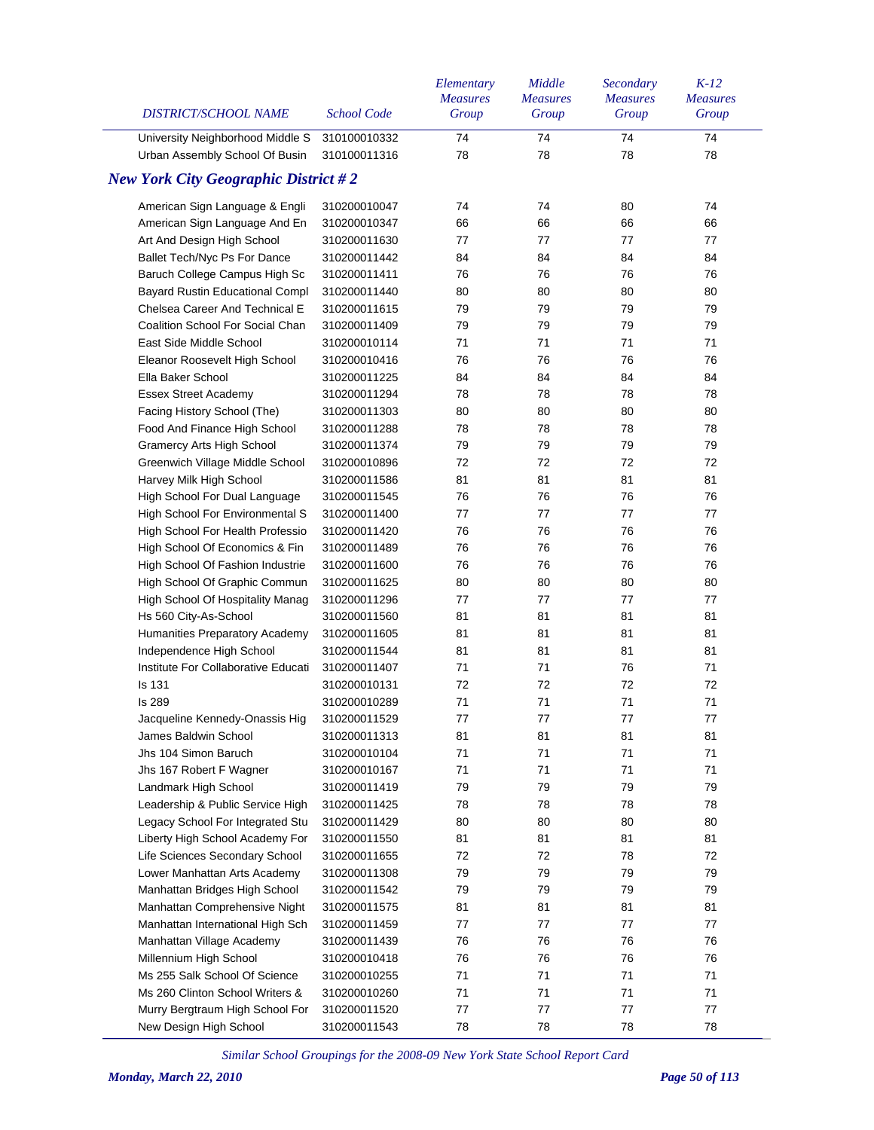| <b>DISTRICT/SCHOOL NAME</b>                 | <b>School Code</b> | Elementary<br><b>Measures</b><br>Group | Middle<br><b>Measures</b><br>Group | Secondary<br><b>Measures</b><br>Group | $K-12$<br><b>Measures</b><br>Group |
|---------------------------------------------|--------------------|----------------------------------------|------------------------------------|---------------------------------------|------------------------------------|
| University Neighborhood Middle S            | 310100010332       | 74                                     | 74                                 | 74                                    | 74                                 |
| Urban Assembly School Of Busin              | 310100011316       | 78                                     | 78                                 | 78                                    | 78                                 |
| <b>New York City Geographic District #2</b> |                    |                                        |                                    |                                       |                                    |
| American Sign Language & Engli              | 310200010047       | 74                                     | 74                                 | 80                                    | 74                                 |
| American Sign Language And En               | 310200010347       | 66                                     | 66                                 | 66                                    | 66                                 |
| Art And Design High School                  | 310200011630       | 77                                     | 77                                 | 77                                    | 77                                 |
| Ballet Tech/Nyc Ps For Dance                | 310200011442       | 84                                     | 84                                 | 84                                    | 84                                 |
| Baruch College Campus High Sc               | 310200011411       | 76                                     | 76                                 | 76                                    | 76                                 |
| Bayard Rustin Educational Compl             | 310200011440       | 80                                     | 80                                 | 80                                    | 80                                 |
| Chelsea Career And Technical E              | 310200011615       | 79                                     | 79                                 | 79                                    | 79                                 |
| Coalition School For Social Chan            | 310200011409       | 79                                     | 79                                 | 79                                    | 79                                 |
| East Side Middle School                     | 310200010114       | 71                                     | 71                                 | 71                                    | 71                                 |
| Eleanor Roosevelt High School               | 310200010416       | 76                                     | 76                                 | 76                                    | 76                                 |
| Ella Baker School                           | 310200011225       | 84                                     | 84                                 | 84                                    | 84                                 |
| <b>Essex Street Academy</b>                 | 310200011294       | 78                                     | 78                                 | 78                                    | 78                                 |
| Facing History School (The)                 | 310200011303       | 80                                     | 80                                 | 80                                    | 80                                 |
| Food And Finance High School                | 310200011288       | 78                                     | 78                                 | 78                                    | 78                                 |
| <b>Gramercy Arts High School</b>            | 310200011374       | 79                                     | 79                                 | 79                                    | 79                                 |
| Greenwich Village Middle School             | 310200010896       | 72                                     | 72                                 | 72                                    | 72                                 |
| Harvey Milk High School                     | 310200011586       | 81                                     | 81                                 | 81                                    | 81                                 |
| High School For Dual Language               | 310200011545       | 76                                     | 76                                 | 76                                    | 76                                 |
| High School For Environmental S             | 310200011400       | 77                                     | 77                                 | 77                                    | 77                                 |
| High School For Health Professio            | 310200011420       | 76                                     | 76                                 | 76                                    | 76                                 |
| High School Of Economics & Fin              | 310200011489       | 76                                     | 76                                 | 76                                    | 76                                 |
| High School Of Fashion Industrie            | 310200011600       | 76                                     | 76                                 | 76                                    | 76                                 |
| High School Of Graphic Commun               | 310200011625       | 80                                     | 80                                 | 80                                    | 80                                 |
| High School Of Hospitality Manag            | 310200011296       | 77                                     | 77                                 | 77                                    | 77                                 |
| Hs 560 City-As-School                       | 310200011560       | 81                                     | 81                                 | 81                                    | 81                                 |
| Humanities Preparatory Academy              | 310200011605       | 81                                     | 81                                 | 81                                    | 81                                 |
| Independence High School                    | 310200011544       | 81                                     | 81                                 | 81                                    | 81                                 |
| Institute For Collaborative Educati         | 310200011407       | 71                                     | 71                                 | 76                                    | 71                                 |
| <b>Is 131</b>                               | 310200010131       | 72                                     | 72                                 | 72                                    | 72                                 |
| <b>Is 289</b>                               | 310200010289       | 71                                     | 71                                 | 71                                    | 71                                 |
| Jacqueline Kennedy-Onassis Hig              | 310200011529       | 77                                     | 77                                 | $77$                                  | 77                                 |
| James Baldwin School                        | 310200011313       | 81                                     | 81                                 | 81                                    | 81                                 |
| Jhs 104 Simon Baruch                        | 310200010104       | 71                                     | 71                                 | 71                                    | 71                                 |
| Jhs 167 Robert F Wagner                     | 310200010167       | 71                                     | 71                                 | 71                                    | 71                                 |
| Landmark High School                        | 310200011419       | 79                                     | 79                                 | 79                                    | 79                                 |
| Leadership & Public Service High            | 310200011425       | 78                                     | 78                                 | 78                                    | 78                                 |
| Legacy School For Integrated Stu            | 310200011429       | 80                                     | 80                                 | 80                                    | 80                                 |
| Liberty High School Academy For             | 310200011550       | 81                                     | 81                                 | 81                                    | 81                                 |
| Life Sciences Secondary School              | 310200011655       | 72                                     | 72                                 | 78                                    | 72                                 |
| Lower Manhattan Arts Academy                | 310200011308       | 79                                     | 79                                 | 79                                    | 79                                 |
| Manhattan Bridges High School               | 310200011542       | 79                                     | 79                                 | 79                                    | 79                                 |
| Manhattan Comprehensive Night               | 310200011575       | 81                                     | 81                                 | 81                                    | 81                                 |
| Manhattan International High Sch            | 310200011459       | 77                                     | 77                                 | 77                                    | 77                                 |
| Manhattan Village Academy                   | 310200011439       | 76                                     | 76                                 | 76                                    | 76                                 |
| Millennium High School                      | 310200010418       | 76                                     | 76                                 | 76                                    | 76                                 |
| Ms 255 Salk School Of Science               | 310200010255       | 71                                     | 71                                 | 71                                    | 71                                 |
| Ms 260 Clinton School Writers &             | 310200010260       | 71                                     | 71                                 | 71                                    | 71                                 |
| Murry Bergtraum High School For             | 310200011520       | 77                                     | 77                                 | 77                                    | 77                                 |
| New Design High School                      | 310200011543       | 78                                     | 78                                 | 78                                    | 78                                 |
|                                             |                    |                                        |                                    |                                       |                                    |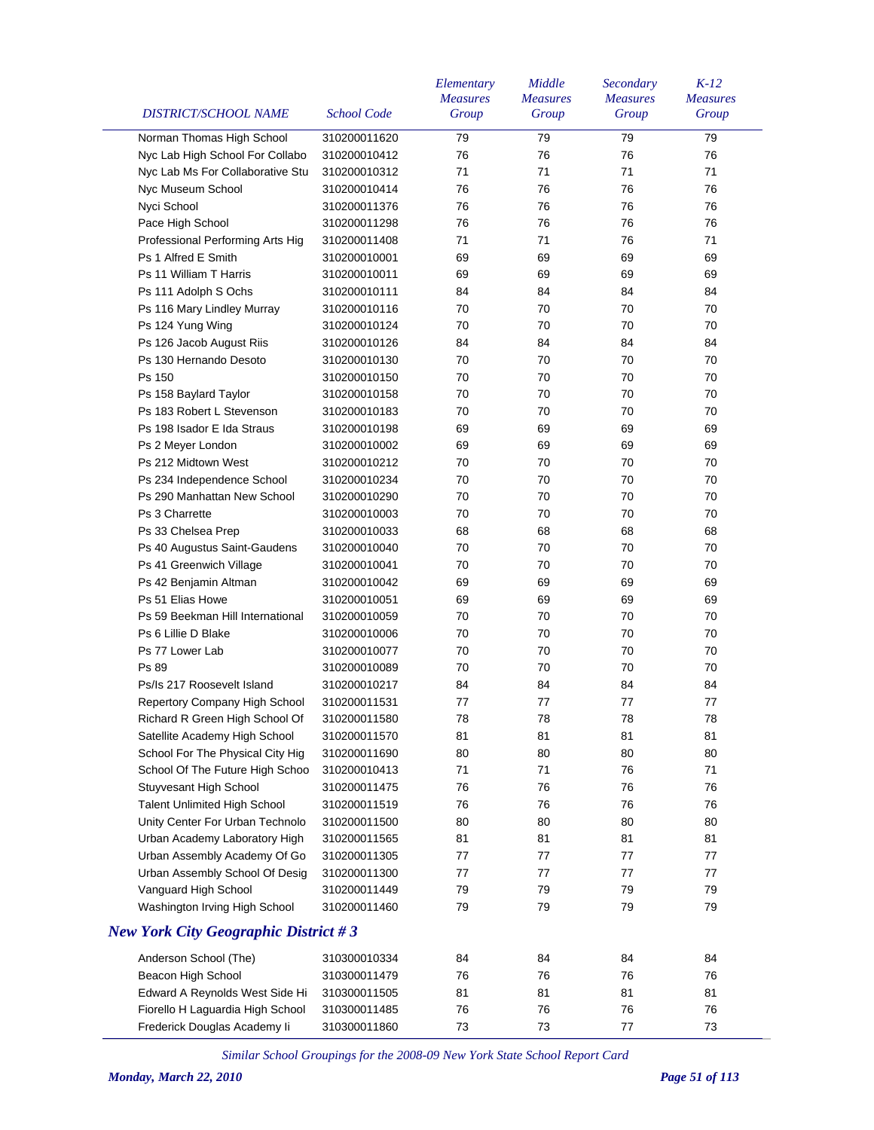| <b>DISTRICT/SCHOOL NAME</b>                 | <b>School Code</b> | Elementary<br><b>Measures</b><br>Group | Middle<br><b>Measures</b><br>Group | Secondary<br><b>Measures</b><br>Group | $K-12$<br><b>Measures</b><br>Group |
|---------------------------------------------|--------------------|----------------------------------------|------------------------------------|---------------------------------------|------------------------------------|
| Norman Thomas High School                   | 310200011620       | 79                                     | 79                                 | 79                                    | 79                                 |
| Nyc Lab High School For Collabo             | 310200010412       | 76                                     | 76                                 | 76                                    | 76                                 |
| Nyc Lab Ms For Collaborative Stu            | 310200010312       | 71                                     | 71                                 | 71                                    | 71                                 |
| Nyc Museum School                           | 310200010414       | 76                                     | 76                                 | 76                                    | 76                                 |
| Nyci School                                 | 310200011376       | 76                                     | 76                                 | 76                                    | 76                                 |
|                                             | 310200011298       | 76                                     | 76                                 | 76                                    |                                    |
| Pace High School                            |                    |                                        | 71                                 |                                       | 76                                 |
| Professional Performing Arts Hig            | 310200011408       | 71                                     |                                    | 76                                    | 71                                 |
| Ps 1 Alfred E Smith                         | 310200010001       | 69                                     | 69                                 | 69                                    | 69                                 |
| Ps 11 William T Harris                      | 310200010011       | 69                                     | 69                                 | 69                                    | 69                                 |
| Ps 111 Adolph S Ochs                        | 310200010111       | 84                                     | 84                                 | 84                                    | 84                                 |
| Ps 116 Mary Lindley Murray                  | 310200010116       | 70                                     | 70                                 | 70                                    | 70                                 |
| Ps 124 Yung Wing                            | 310200010124       | 70                                     | 70                                 | 70                                    | 70                                 |
| Ps 126 Jacob August Riis                    | 310200010126       | 84                                     | 84                                 | 84                                    | 84                                 |
| Ps 130 Hernando Desoto                      | 310200010130       | 70                                     | 70                                 | 70                                    | 70                                 |
| Ps 150                                      | 310200010150       | 70                                     | 70                                 | 70                                    | 70                                 |
| Ps 158 Baylard Taylor                       | 310200010158       | 70                                     | 70                                 | 70                                    | 70                                 |
| Ps 183 Robert L Stevenson                   | 310200010183       | 70                                     | 70                                 | 70                                    | 70                                 |
| Ps 198 Isador E Ida Straus                  | 310200010198       | 69                                     | 69                                 | 69                                    | 69                                 |
| Ps 2 Meyer London                           | 310200010002       | 69                                     | 69                                 | 69                                    | 69                                 |
| Ps 212 Midtown West                         | 310200010212       | 70                                     | 70                                 | 70                                    | 70                                 |
| Ps 234 Independence School                  | 310200010234       | 70                                     | 70                                 | 70                                    | 70                                 |
| Ps 290 Manhattan New School                 | 310200010290       | 70                                     | 70                                 | 70                                    | 70                                 |
| Ps 3 Charrette                              | 310200010003       | 70                                     | 70                                 | 70                                    | 70                                 |
| Ps 33 Chelsea Prep                          | 310200010033       | 68                                     | 68                                 | 68                                    | 68                                 |
| Ps 40 Augustus Saint-Gaudens                | 310200010040       | 70                                     | 70                                 | 70                                    | 70                                 |
| Ps 41 Greenwich Village                     | 310200010041       | 70                                     | 70                                 | 70                                    | 70                                 |
| Ps 42 Benjamin Altman                       | 310200010042       | 69                                     | 69                                 | 69                                    | 69                                 |
| Ps 51 Elias Howe                            | 310200010051       | 69                                     | 69                                 | 69                                    | 69                                 |
| Ps 59 Beekman Hill International            | 310200010059       | 70                                     | 70                                 | 70                                    | 70                                 |
| Ps 6 Lillie D Blake                         | 310200010006       | 70                                     | 70                                 | 70                                    | 70                                 |
| Ps 77 Lower Lab                             | 310200010077       | 70                                     | 70                                 | 70                                    | 70                                 |
| Ps 89                                       | 310200010089       | 70                                     | 70                                 | 70                                    | 70                                 |
| Ps/Is 217 Roosevelt Island                  | 310200010217       | 84                                     | 84                                 | 84                                    | 84                                 |
| Repertory Company High School               | 310200011531       | 77                                     | 77                                 | 77                                    | 77                                 |
| Richard R Green High School Of              | 310200011580       | 78                                     | 78                                 | 78                                    | 78                                 |
| Satellite Academy High School               | 310200011570       | 81                                     | 81                                 | 81                                    | 81                                 |
| School For The Physical City Hig            | 310200011690       | 80                                     | 80                                 | 80                                    | 80                                 |
| School Of The Future High Schoo             | 310200010413       | 71                                     | 71                                 | 76                                    | 71                                 |
| Stuyvesant High School                      | 310200011475       | 76                                     | 76                                 | 76                                    | 76                                 |
| <b>Talent Unlimited High School</b>         | 310200011519       | 76                                     | 76                                 | 76                                    | 76                                 |
| Unity Center For Urban Technolo             | 310200011500       | 80                                     | 80                                 | 80                                    | 80                                 |
| Urban Academy Laboratory High               | 310200011565       | 81                                     | 81                                 | 81                                    | 81                                 |
| Urban Assembly Academy Of Go                | 310200011305       | 77                                     | 77                                 | 77                                    | 77                                 |
| Urban Assembly School Of Desig              | 310200011300       | 77                                     | 77                                 | 77                                    | 77                                 |
| Vanguard High School                        | 310200011449       | 79                                     | 79                                 | 79                                    | 79                                 |
| Washington Irving High School               | 310200011460       | 79                                     | 79                                 | 79                                    | 79                                 |
| <b>New York City Geographic District #3</b> |                    |                                        |                                    |                                       |                                    |
| Anderson School (The)                       | 310300010334       | 84                                     | 84                                 | 84                                    | 84                                 |
| Beacon High School                          | 310300011479       | 76                                     | 76                                 | 76                                    | 76                                 |
| Edward A Reynolds West Side Hi              | 310300011505       | 81                                     | 81                                 | 81                                    | 81                                 |
| Fiorello H Laguardia High School            | 310300011485       | 76                                     | 76                                 | 76                                    | 76                                 |
| Frederick Douglas Academy li                | 310300011860       | 73                                     | 73                                 | 77                                    | 73                                 |
|                                             |                    |                                        |                                    |                                       |                                    |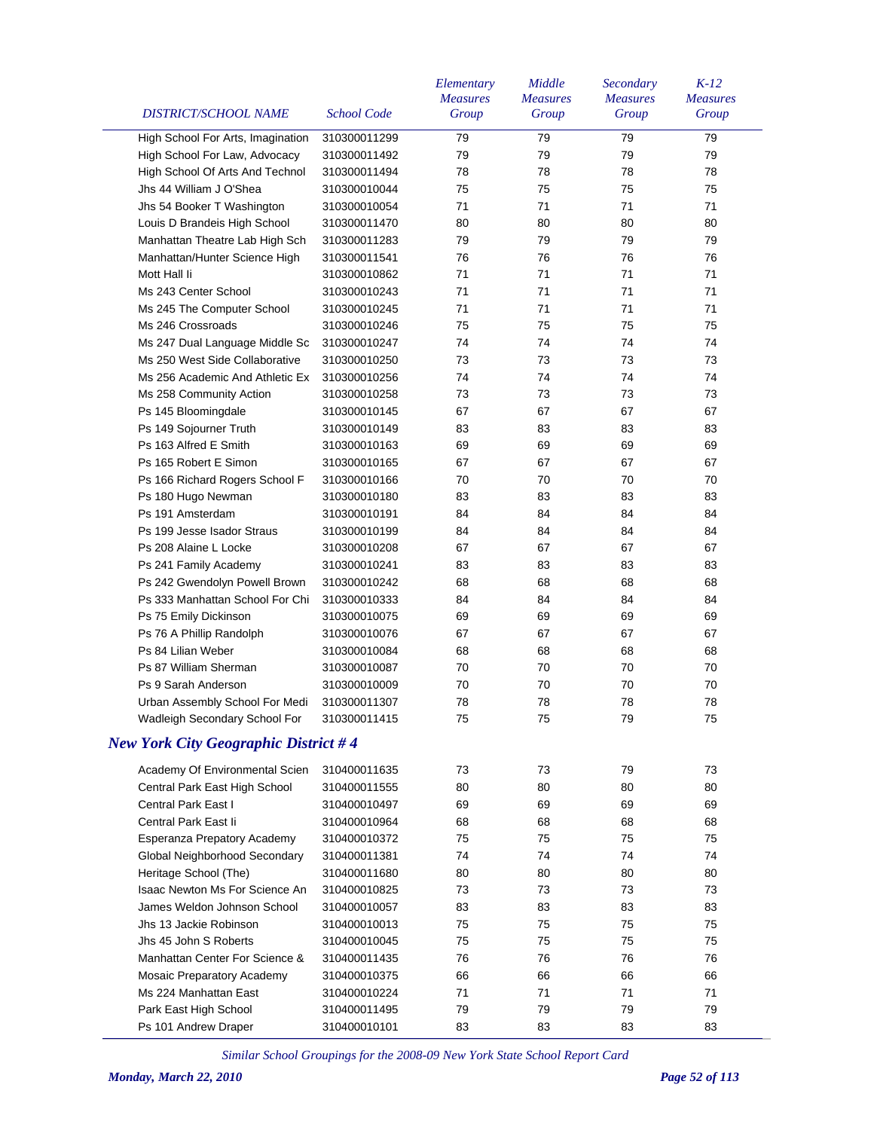| DISTRICT/SCHOOL NAME                        | <b>School Code</b> | Elementary<br><b>Measures</b><br>Group | Middle<br><b>Measures</b><br>Group | Secondary<br><b>Measures</b><br>Group | $K-12$<br><b>Measures</b><br>Group |
|---------------------------------------------|--------------------|----------------------------------------|------------------------------------|---------------------------------------|------------------------------------|
| High School For Arts, Imagination           | 310300011299       | 79                                     | 79                                 | 79                                    | 79                                 |
| High School For Law, Advocacy               | 310300011492       | 79                                     | 79                                 | 79                                    | 79                                 |
| High School Of Arts And Technol             | 310300011494       | 78                                     | 78                                 | 78                                    | 78                                 |
| Jhs 44 William J O'Shea                     | 310300010044       | 75                                     | 75                                 | 75                                    | 75                                 |
| Jhs 54 Booker T Washington                  | 310300010054       | 71                                     | 71                                 | 71                                    | 71                                 |
| Louis D Brandeis High School                | 310300011470       | 80                                     | 80                                 | 80                                    | 80                                 |
| Manhattan Theatre Lab High Sch              | 310300011283       | 79                                     | 79                                 | 79                                    | 79                                 |
| Manhattan/Hunter Science High               | 310300011541       | 76                                     | 76                                 | 76                                    | 76                                 |
| Mott Hall li                                | 310300010862       | 71                                     | 71                                 | 71                                    | 71                                 |
| Ms 243 Center School                        | 310300010243       | 71                                     | 71                                 | 71                                    | 71                                 |
| Ms 245 The Computer School                  | 310300010245       | 71                                     | 71                                 | 71                                    | 71                                 |
| Ms 246 Crossroads                           | 310300010246       | 75                                     | 75                                 | 75                                    | 75                                 |
| Ms 247 Dual Language Middle Sc              | 310300010247       | 74                                     | 74                                 | 74                                    | 74                                 |
| Ms 250 West Side Collaborative              | 310300010250       | 73                                     | 73                                 | 73                                    | 73                                 |
| Ms 256 Academic And Athletic Ex             | 310300010256       | 74                                     | 74                                 | 74                                    | 74                                 |
| Ms 258 Community Action                     | 310300010258       | 73                                     | 73                                 | 73                                    | 73                                 |
| Ps 145 Bloomingdale                         | 310300010145       | 67                                     | 67                                 | 67                                    | 67                                 |
| Ps 149 Sojourner Truth                      | 310300010149       | 83                                     | 83                                 | 83                                    | 83                                 |
| Ps 163 Alfred E Smith                       | 310300010163       | 69                                     | 69                                 | 69                                    | 69                                 |
| Ps 165 Robert E Simon                       | 310300010165       | 67                                     | 67                                 | 67                                    | 67                                 |
| Ps 166 Richard Rogers School F              | 310300010166       | 70                                     | 70                                 | 70                                    | 70                                 |
| Ps 180 Hugo Newman                          | 310300010180       | 83                                     | 83                                 | 83                                    | 83                                 |
| Ps 191 Amsterdam                            | 310300010191       | 84                                     | 84                                 | 84                                    | 84                                 |
| Ps 199 Jesse Isador Straus                  | 310300010199       | 84                                     | 84                                 | 84                                    | 84                                 |
| Ps 208 Alaine L Locke                       | 310300010208       | 67                                     | 67                                 | 67                                    | 67                                 |
| Ps 241 Family Academy                       | 310300010241       | 83                                     | 83                                 | 83                                    | 83                                 |
| Ps 242 Gwendolyn Powell Brown               | 310300010242       | 68                                     | 68                                 | 68                                    | 68                                 |
| Ps 333 Manhattan School For Chi             | 310300010333       | 84                                     | 84                                 | 84                                    | 84                                 |
| Ps 75 Emily Dickinson                       | 310300010075       | 69                                     | 69                                 | 69                                    | 69                                 |
| Ps 76 A Phillip Randolph                    | 310300010076       | 67                                     | 67                                 | 67                                    | 67                                 |
| Ps 84 Lilian Weber                          | 310300010084       | 68                                     | 68                                 | 68                                    | 68                                 |
| Ps 87 William Sherman                       | 310300010087       | 70                                     | 70                                 | 70                                    | 70                                 |
| Ps 9 Sarah Anderson                         | 310300010009       | 70                                     | 70                                 | 70                                    | 70                                 |
| Urban Assembly School For Medi              | 310300011307       | 78                                     | 78                                 | 78                                    | 78                                 |
| Wadleigh Secondary School For               | 310300011415       | 75                                     | 75                                 | 79                                    | 75                                 |
| <b>New York City Geographic District #4</b> |                    |                                        |                                    |                                       |                                    |
| Academy Of Environmental Scien              | 310400011635       | 73                                     | 73                                 | 79                                    | 73                                 |
| Central Park East High School               | 310400011555       | 80                                     | 80                                 | 80                                    | 80                                 |
| Central Park East I                         | 310400010497       | 69                                     | 69                                 | 69                                    | 69                                 |
| Central Park East li                        | 310400010964       | 68                                     | 68                                 | 68                                    | 68                                 |
|                                             | 310400010372       | 75                                     | 75                                 | 75                                    | 75                                 |
| Esperanza Prepatory Academy                 | 310400011381       | 74                                     | 74                                 | 74                                    | 74                                 |
| Global Neighborhood Secondary               | 310400011680       |                                        |                                    |                                       |                                    |
| Heritage School (The)                       |                    | 80                                     | 80                                 | 80                                    | 80                                 |
| <b>Isaac Newton Ms For Science An</b>       | 310400010825       | 73                                     | 73                                 | 73                                    | 73                                 |
| James Weldon Johnson School                 | 310400010057       | 83                                     | 83                                 | 83                                    | 83                                 |
| Jhs 13 Jackie Robinson                      | 310400010013       | 75                                     | 75                                 | 75                                    | 75                                 |
| Jhs 45 John S Roberts                       | 310400010045       | 75                                     | 75                                 | 75                                    | 75                                 |
| Manhattan Center For Science &              | 310400011435       | 76                                     | 76                                 | 76                                    | 76                                 |
| Mosaic Preparatory Academy                  | 310400010375       | 66                                     | 66                                 | 66                                    | 66                                 |
| Ms 224 Manhattan East                       | 310400010224       | 71                                     | 71                                 | 71                                    | 71                                 |
| Park East High School                       | 310400011495       | 79                                     | 79                                 | 79                                    | 79                                 |
| Ps 101 Andrew Draper                        | 310400010101       | 83                                     | 83                                 | 83                                    | 83                                 |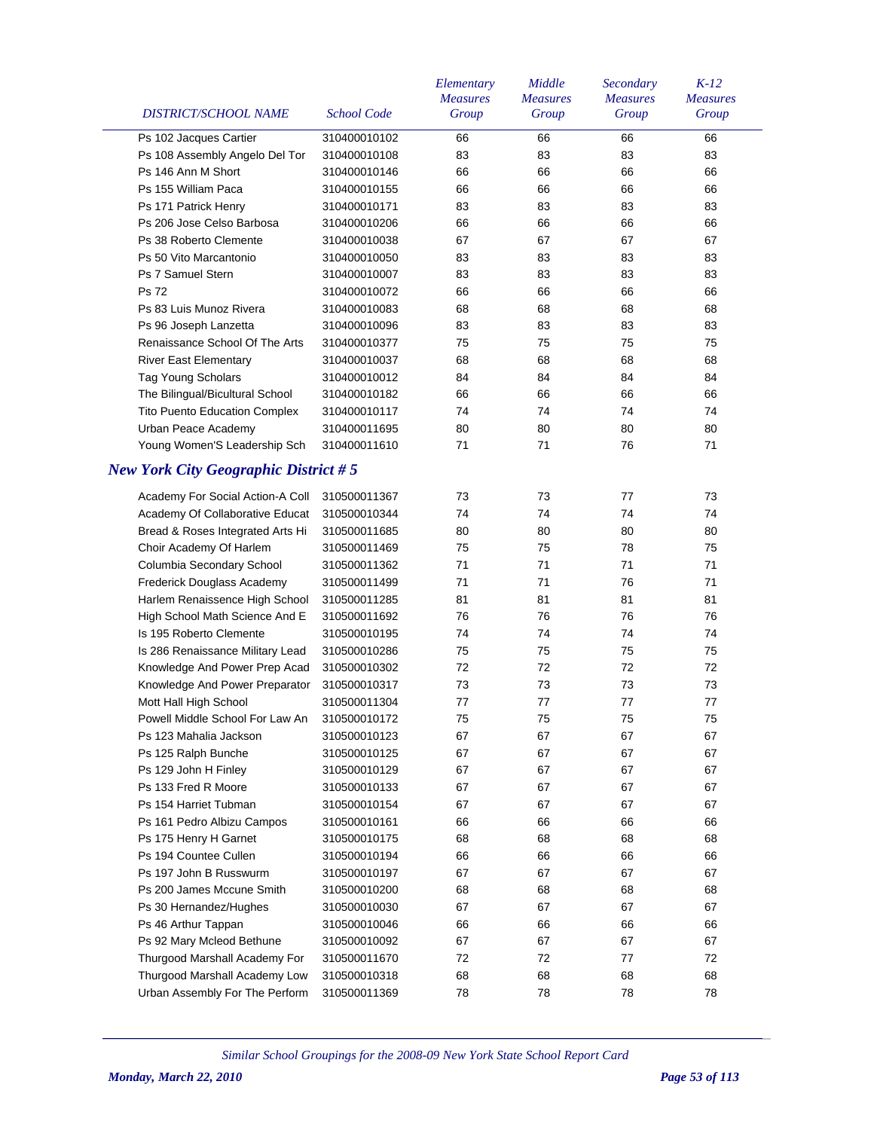| DISTRICT/SCHOOL NAME                        | <b>School Code</b> | Elementary<br><b>Measures</b><br>Group | Middle<br><b>Measures</b><br>Group | Secondary<br><b>Measures</b><br>Group | $K-12$<br><b>Measures</b><br>Group |
|---------------------------------------------|--------------------|----------------------------------------|------------------------------------|---------------------------------------|------------------------------------|
| Ps 102 Jacques Cartier                      | 310400010102       | 66                                     | 66                                 | 66                                    | 66                                 |
| Ps 108 Assembly Angelo Del Tor              | 310400010108       | 83                                     | 83                                 | 83                                    | 83                                 |
| Ps 146 Ann M Short                          | 310400010146       | 66                                     | 66                                 | 66                                    | 66                                 |
| Ps 155 William Paca                         | 310400010155       | 66                                     | 66                                 | 66                                    | 66                                 |
| Ps 171 Patrick Henry                        | 310400010171       | 83                                     | 83                                 | 83                                    | 83                                 |
| Ps 206 Jose Celso Barbosa                   | 310400010206       | 66                                     | 66                                 | 66                                    | 66                                 |
| Ps 38 Roberto Clemente                      | 310400010038       | 67                                     | 67                                 | 67                                    | 67                                 |
| Ps 50 Vito Marcantonio                      | 310400010050       | 83                                     | 83                                 | 83                                    | 83                                 |
| Ps 7 Samuel Stern                           | 310400010007       | 83                                     | 83                                 | 83                                    | 83                                 |
| <b>Ps 72</b>                                | 310400010072       | 66                                     | 66                                 | 66                                    | 66                                 |
| Ps 83 Luis Munoz Rivera                     | 310400010083       | 68                                     | 68                                 | 68                                    | 68                                 |
| Ps 96 Joseph Lanzetta                       | 310400010096       | 83                                     | 83                                 | 83                                    | 83                                 |
| Renaissance School Of The Arts              | 310400010377       | 75                                     | 75                                 | 75                                    | 75                                 |
| <b>River East Elementary</b>                | 310400010037       | 68                                     | 68                                 | 68                                    | 68                                 |
| <b>Tag Young Scholars</b>                   | 310400010012       | 84                                     | 84                                 | 84                                    | 84                                 |
| The Bilingual/Bicultural School             | 310400010182       | 66                                     | 66                                 | 66                                    | 66                                 |
| <b>Tito Puento Education Complex</b>        | 310400010117       | 74                                     | 74                                 | 74                                    | 74                                 |
| Urban Peace Academy                         | 310400011695       | 80                                     | 80                                 | 80                                    | 80                                 |
| Young Women'S Leadership Sch                | 310400011610       | 71                                     | 71                                 | 76                                    | 71                                 |
| <b>New York City Geographic District #5</b> |                    |                                        |                                    |                                       |                                    |
| Academy For Social Action-A Coll            | 310500011367       | 73                                     | 73                                 | 77                                    | 73                                 |
| Academy Of Collaborative Educat             | 310500010344       | 74                                     | 74                                 | 74                                    | 74                                 |
| Bread & Roses Integrated Arts Hi            | 310500011685       | 80                                     | 80                                 | 80                                    | 80                                 |
| Choir Academy Of Harlem                     | 310500011469       | 75                                     | 75                                 | 78                                    | 75                                 |
| Columbia Secondary School                   | 310500011362       | 71                                     | 71                                 | 71                                    | 71                                 |
| Frederick Douglass Academy                  | 310500011499       | 71                                     | 71                                 | 76                                    | 71                                 |
| Harlem Renaissence High School              | 310500011285       | 81                                     | 81                                 | 81                                    | 81                                 |
| High School Math Science And E              | 310500011692       | 76                                     | 76                                 | 76                                    | 76                                 |
| Is 195 Roberto Clemente                     | 310500010195       | 74                                     | 74                                 | 74                                    | 74                                 |
| Is 286 Renaissance Military Lead            | 310500010286       | 75                                     | 75                                 | 75                                    | 75                                 |
| Knowledge And Power Prep Acad               | 310500010302       | 72                                     | 72                                 | 72                                    | 72                                 |
| Knowledge And Power Preparator              | 310500010317       | 73                                     | 73                                 | 73                                    | 73                                 |
| Mott Hall High School                       | 310500011304       | 77                                     | 77                                 | 77                                    | 77                                 |
| Powell Middle School For Law An             | 310500010172       | 75                                     | 75                                 | 75                                    | ${\bf 75}$                         |
| Ps 123 Mahalia Jackson                      | 310500010123       | 67                                     | 67                                 | 67                                    | 67                                 |
| Ps 125 Ralph Bunche                         | 310500010125       | 67                                     | 67                                 | 67                                    | 67                                 |
| Ps 129 John H Finley                        | 310500010129       | 67                                     | 67                                 | 67                                    | 67                                 |
| Ps 133 Fred R Moore                         | 310500010133       | 67                                     | 67                                 | 67                                    | 67                                 |
| Ps 154 Harriet Tubman                       | 310500010154       | 67                                     | 67                                 | 67                                    | 67                                 |
| Ps 161 Pedro Albizu Campos                  | 310500010161       | 66                                     | 66                                 | 66                                    | 66                                 |
| Ps 175 Henry H Garnet                       | 310500010175       | 68                                     | 68                                 | 68                                    | 68                                 |
| Ps 194 Countee Cullen                       | 310500010194       | 66                                     | 66                                 | 66                                    | 66                                 |
| Ps 197 John B Russwurm                      | 310500010197       | 67                                     | 67                                 | 67                                    | 67                                 |
| Ps 200 James Mccune Smith                   | 310500010200       | 68                                     | 68                                 | 68                                    | 68                                 |
| Ps 30 Hernandez/Hughes                      | 310500010030       | 67                                     | 67                                 | 67                                    | 67                                 |
| Ps 46 Arthur Tappan                         | 310500010046       | 66                                     | 66                                 | 66                                    | 66                                 |
| Ps 92 Mary Mcleod Bethune                   | 310500010092       | 67                                     | 67                                 | 67                                    | 67                                 |
| Thurgood Marshall Academy For               | 310500011670       | 72                                     | 72                                 | 77                                    | 72                                 |
| Thurgood Marshall Academy Low               | 310500010318       | 68                                     | 68                                 | 68                                    | 68                                 |
| Urban Assembly For The Perform              | 310500011369       | 78                                     | 78                                 | 78                                    | 78                                 |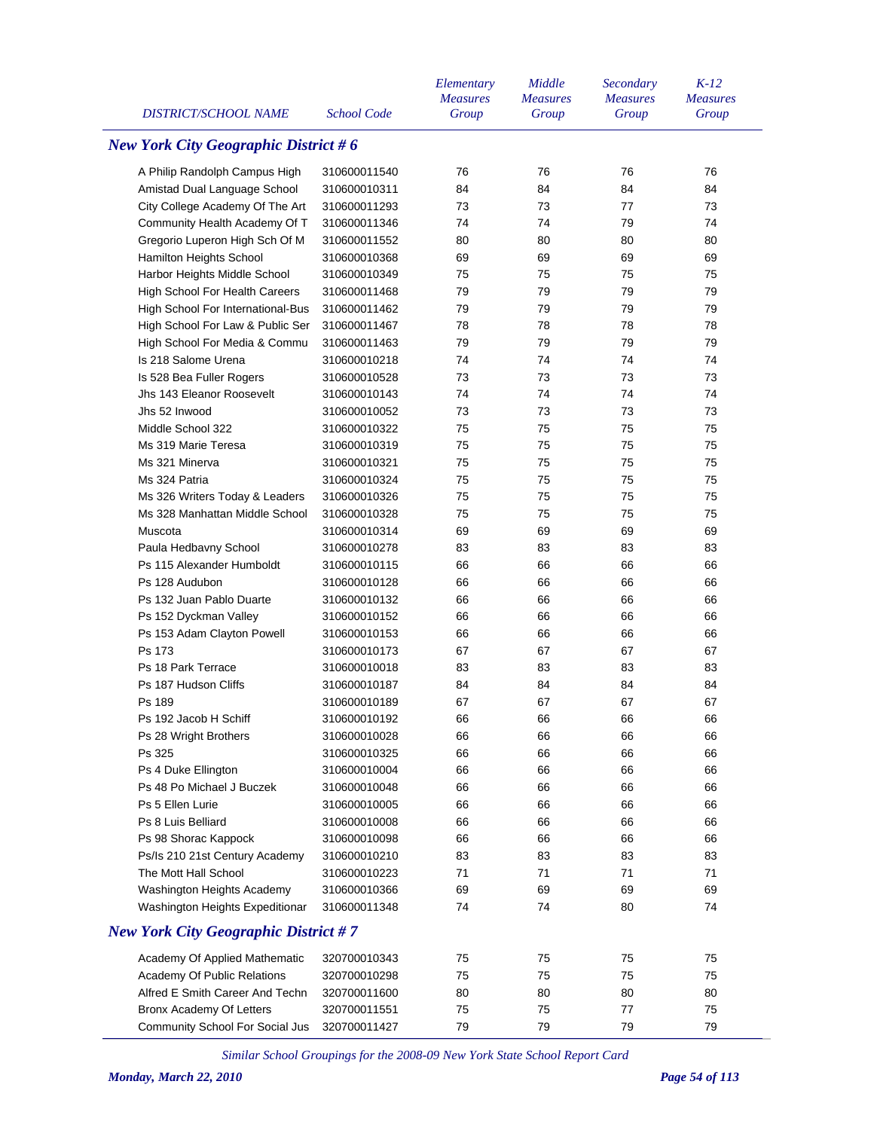| <b>New York City Geographic District #6</b><br>76<br>76<br>76<br>A Philip Randolph Campus High<br>310600011540<br>76<br>Amistad Dual Language School<br>310600010311<br>84<br>84<br>84<br>84<br>City College Academy Of The Art<br>73<br>77<br>310600011293<br>73<br>73<br>Community Health Academy Of T<br>74<br>79<br>74<br>310600011346<br>74<br>Gregorio Luperon High Sch Of M<br>310600011552<br>80<br>80<br>80<br>80<br>Hamilton Heights School<br>69<br>69<br>310600010368<br>69<br>69<br>Harbor Heights Middle School<br>75<br>75<br>310600010349<br>75<br>75<br><b>High School For Health Careers</b><br>79<br>79<br>79<br>79<br>310600011468<br>79<br>79<br>79<br>79<br>High School For International-Bus<br>310600011462<br>High School For Law & Public Ser<br>78<br>78<br>78<br>78<br>310600011467<br>79<br>79<br>79<br>79<br>High School For Media & Commu<br>310600011463<br>Is 218 Salome Urena<br>74<br>74<br>74<br>74<br>310600010218<br>73<br>Is 528 Bea Fuller Rogers<br>310600010528<br>73<br>73<br>73<br>Jhs 143 Eleanor Roosevelt<br>310600010143<br>74<br>74<br>74<br>74 | <b>DISTRICT/SCHOOL NAME</b> |
|--------------------------------------------------------------------------------------------------------------------------------------------------------------------------------------------------------------------------------------------------------------------------------------------------------------------------------------------------------------------------------------------------------------------------------------------------------------------------------------------------------------------------------------------------------------------------------------------------------------------------------------------------------------------------------------------------------------------------------------------------------------------------------------------------------------------------------------------------------------------------------------------------------------------------------------------------------------------------------------------------------------------------------------------------------------------------------------------------|-----------------------------|
|                                                                                                                                                                                                                                                                                                                                                                                                                                                                                                                                                                                                                                                                                                                                                                                                                                                                                                                                                                                                                                                                                                  |                             |
|                                                                                                                                                                                                                                                                                                                                                                                                                                                                                                                                                                                                                                                                                                                                                                                                                                                                                                                                                                                                                                                                                                  |                             |
|                                                                                                                                                                                                                                                                                                                                                                                                                                                                                                                                                                                                                                                                                                                                                                                                                                                                                                                                                                                                                                                                                                  |                             |
|                                                                                                                                                                                                                                                                                                                                                                                                                                                                                                                                                                                                                                                                                                                                                                                                                                                                                                                                                                                                                                                                                                  |                             |
|                                                                                                                                                                                                                                                                                                                                                                                                                                                                                                                                                                                                                                                                                                                                                                                                                                                                                                                                                                                                                                                                                                  |                             |
|                                                                                                                                                                                                                                                                                                                                                                                                                                                                                                                                                                                                                                                                                                                                                                                                                                                                                                                                                                                                                                                                                                  |                             |
|                                                                                                                                                                                                                                                                                                                                                                                                                                                                                                                                                                                                                                                                                                                                                                                                                                                                                                                                                                                                                                                                                                  |                             |
|                                                                                                                                                                                                                                                                                                                                                                                                                                                                                                                                                                                                                                                                                                                                                                                                                                                                                                                                                                                                                                                                                                  |                             |
|                                                                                                                                                                                                                                                                                                                                                                                                                                                                                                                                                                                                                                                                                                                                                                                                                                                                                                                                                                                                                                                                                                  |                             |
|                                                                                                                                                                                                                                                                                                                                                                                                                                                                                                                                                                                                                                                                                                                                                                                                                                                                                                                                                                                                                                                                                                  |                             |
|                                                                                                                                                                                                                                                                                                                                                                                                                                                                                                                                                                                                                                                                                                                                                                                                                                                                                                                                                                                                                                                                                                  |                             |
|                                                                                                                                                                                                                                                                                                                                                                                                                                                                                                                                                                                                                                                                                                                                                                                                                                                                                                                                                                                                                                                                                                  |                             |
|                                                                                                                                                                                                                                                                                                                                                                                                                                                                                                                                                                                                                                                                                                                                                                                                                                                                                                                                                                                                                                                                                                  |                             |
|                                                                                                                                                                                                                                                                                                                                                                                                                                                                                                                                                                                                                                                                                                                                                                                                                                                                                                                                                                                                                                                                                                  |                             |
|                                                                                                                                                                                                                                                                                                                                                                                                                                                                                                                                                                                                                                                                                                                                                                                                                                                                                                                                                                                                                                                                                                  |                             |
| Jhs 52 Inwood<br>310600010052<br>73<br>73<br>73<br>73                                                                                                                                                                                                                                                                                                                                                                                                                                                                                                                                                                                                                                                                                                                                                                                                                                                                                                                                                                                                                                            |                             |
| Middle School 322<br>310600010322<br>75<br>75<br>75<br>75                                                                                                                                                                                                                                                                                                                                                                                                                                                                                                                                                                                                                                                                                                                                                                                                                                                                                                                                                                                                                                        |                             |
| Ms 319 Marie Teresa<br>75<br>75<br>75<br>75<br>310600010319                                                                                                                                                                                                                                                                                                                                                                                                                                                                                                                                                                                                                                                                                                                                                                                                                                                                                                                                                                                                                                      |                             |
| Ms 321 Minerva<br>310600010321<br>75<br>75<br>75<br>75                                                                                                                                                                                                                                                                                                                                                                                                                                                                                                                                                                                                                                                                                                                                                                                                                                                                                                                                                                                                                                           |                             |
| Ms 324 Patria<br>75<br>75<br>75<br>75<br>310600010324                                                                                                                                                                                                                                                                                                                                                                                                                                                                                                                                                                                                                                                                                                                                                                                                                                                                                                                                                                                                                                            |                             |
| 75<br>75<br>75<br>75<br>Ms 326 Writers Today & Leaders<br>310600010326                                                                                                                                                                                                                                                                                                                                                                                                                                                                                                                                                                                                                                                                                                                                                                                                                                                                                                                                                                                                                           |                             |
| Ms 328 Manhattan Middle School<br>75<br>75<br>75<br>75<br>310600010328                                                                                                                                                                                                                                                                                                                                                                                                                                                                                                                                                                                                                                                                                                                                                                                                                                                                                                                                                                                                                           |                             |
| 69<br>69<br>69<br>69<br>Muscota<br>310600010314                                                                                                                                                                                                                                                                                                                                                                                                                                                                                                                                                                                                                                                                                                                                                                                                                                                                                                                                                                                                                                                  |                             |
| Paula Hedbavny School<br>83<br>83<br>83<br>83<br>310600010278                                                                                                                                                                                                                                                                                                                                                                                                                                                                                                                                                                                                                                                                                                                                                                                                                                                                                                                                                                                                                                    |                             |
| Ps 115 Alexander Humboldt<br>66<br>66<br>66<br>66<br>310600010115                                                                                                                                                                                                                                                                                                                                                                                                                                                                                                                                                                                                                                                                                                                                                                                                                                                                                                                                                                                                                                |                             |
| Ps 128 Audubon<br>66<br>66<br>66<br>66<br>310600010128                                                                                                                                                                                                                                                                                                                                                                                                                                                                                                                                                                                                                                                                                                                                                                                                                                                                                                                                                                                                                                           |                             |
| Ps 132 Juan Pablo Duarte<br>66<br>66<br>66<br>66<br>310600010132                                                                                                                                                                                                                                                                                                                                                                                                                                                                                                                                                                                                                                                                                                                                                                                                                                                                                                                                                                                                                                 |                             |
| Ps 152 Dyckman Valley<br>66<br>66<br>66<br>66<br>310600010152                                                                                                                                                                                                                                                                                                                                                                                                                                                                                                                                                                                                                                                                                                                                                                                                                                                                                                                                                                                                                                    |                             |
| Ps 153 Adam Clayton Powell<br>310600010153<br>66<br>66<br>66<br>66                                                                                                                                                                                                                                                                                                                                                                                                                                                                                                                                                                                                                                                                                                                                                                                                                                                                                                                                                                                                                               |                             |
| Ps 173<br>310600010173<br>67<br>67<br>67<br>67                                                                                                                                                                                                                                                                                                                                                                                                                                                                                                                                                                                                                                                                                                                                                                                                                                                                                                                                                                                                                                                   |                             |
| Ps 18 Park Terrace<br>310600010018<br>83<br>83<br>83<br>83                                                                                                                                                                                                                                                                                                                                                                                                                                                                                                                                                                                                                                                                                                                                                                                                                                                                                                                                                                                                                                       |                             |
| Ps 187 Hudson Cliffs<br>310600010187<br>84<br>84<br>84<br>84                                                                                                                                                                                                                                                                                                                                                                                                                                                                                                                                                                                                                                                                                                                                                                                                                                                                                                                                                                                                                                     |                             |
| Ps 189<br>67<br>67<br>67<br>67<br>310600010189                                                                                                                                                                                                                                                                                                                                                                                                                                                                                                                                                                                                                                                                                                                                                                                                                                                                                                                                                                                                                                                   |                             |
| Ps 192 Jacob H Schiff<br>310600010192<br>66<br>66<br>66<br>66                                                                                                                                                                                                                                                                                                                                                                                                                                                                                                                                                                                                                                                                                                                                                                                                                                                                                                                                                                                                                                    |                             |
| 66<br>66<br>Ps 28 Wright Brothers<br>310600010028<br>66<br>66                                                                                                                                                                                                                                                                                                                                                                                                                                                                                                                                                                                                                                                                                                                                                                                                                                                                                                                                                                                                                                    |                             |
| 66<br>66<br>66<br>66<br>Ps 325<br>310600010325                                                                                                                                                                                                                                                                                                                                                                                                                                                                                                                                                                                                                                                                                                                                                                                                                                                                                                                                                                                                                                                   |                             |
| Ps 4 Duke Ellington<br>66<br>66<br>66<br>66<br>310600010004                                                                                                                                                                                                                                                                                                                                                                                                                                                                                                                                                                                                                                                                                                                                                                                                                                                                                                                                                                                                                                      |                             |
| Ps 48 Po Michael J Buczek<br>66<br>66<br>66<br>66<br>310600010048                                                                                                                                                                                                                                                                                                                                                                                                                                                                                                                                                                                                                                                                                                                                                                                                                                                                                                                                                                                                                                |                             |
| Ps 5 Ellen Lurie<br>66<br>66<br>66<br>66<br>310600010005                                                                                                                                                                                                                                                                                                                                                                                                                                                                                                                                                                                                                                                                                                                                                                                                                                                                                                                                                                                                                                         |                             |
| Ps 8 Luis Belliard<br>310600010008<br>66<br>66<br>66<br>66                                                                                                                                                                                                                                                                                                                                                                                                                                                                                                                                                                                                                                                                                                                                                                                                                                                                                                                                                                                                                                       |                             |
| Ps 98 Shorac Kappock<br>310600010098<br>66<br>66<br>66<br>66                                                                                                                                                                                                                                                                                                                                                                                                                                                                                                                                                                                                                                                                                                                                                                                                                                                                                                                                                                                                                                     |                             |
| 83<br>Ps/Is 210 21st Century Academy<br>310600010210<br>83<br>83<br>83                                                                                                                                                                                                                                                                                                                                                                                                                                                                                                                                                                                                                                                                                                                                                                                                                                                                                                                                                                                                                           |                             |
| 71<br>The Mott Hall School<br>310600010223<br>71<br>71<br>71                                                                                                                                                                                                                                                                                                                                                                                                                                                                                                                                                                                                                                                                                                                                                                                                                                                                                                                                                                                                                                     |                             |
| 69<br>Washington Heights Academy<br>310600010366<br>69<br>69<br>69                                                                                                                                                                                                                                                                                                                                                                                                                                                                                                                                                                                                                                                                                                                                                                                                                                                                                                                                                                                                                               |                             |
| Washington Heights Expeditionar<br>310600011348<br>74<br>74<br>80<br>74                                                                                                                                                                                                                                                                                                                                                                                                                                                                                                                                                                                                                                                                                                                                                                                                                                                                                                                                                                                                                          |                             |
| <b>New York City Geographic District #7</b>                                                                                                                                                                                                                                                                                                                                                                                                                                                                                                                                                                                                                                                                                                                                                                                                                                                                                                                                                                                                                                                      |                             |
| Academy Of Applied Mathematic<br>75<br>75<br>75<br>75<br>320700010343                                                                                                                                                                                                                                                                                                                                                                                                                                                                                                                                                                                                                                                                                                                                                                                                                                                                                                                                                                                                                            |                             |
| Academy Of Public Relations<br>320700010298<br>75<br>75<br>75<br>75                                                                                                                                                                                                                                                                                                                                                                                                                                                                                                                                                                                                                                                                                                                                                                                                                                                                                                                                                                                                                              |                             |
| Alfred E Smith Career And Techn<br>320700011600<br>80<br>80<br>80<br>80                                                                                                                                                                                                                                                                                                                                                                                                                                                                                                                                                                                                                                                                                                                                                                                                                                                                                                                                                                                                                          |                             |
| Bronx Academy Of Letters<br>320700011551<br>75<br>75<br>77<br>75                                                                                                                                                                                                                                                                                                                                                                                                                                                                                                                                                                                                                                                                                                                                                                                                                                                                                                                                                                                                                                 |                             |
| 79<br>79<br>Community School For Social Jus<br>320700011427<br>79<br>79                                                                                                                                                                                                                                                                                                                                                                                                                                                                                                                                                                                                                                                                                                                                                                                                                                                                                                                                                                                                                          |                             |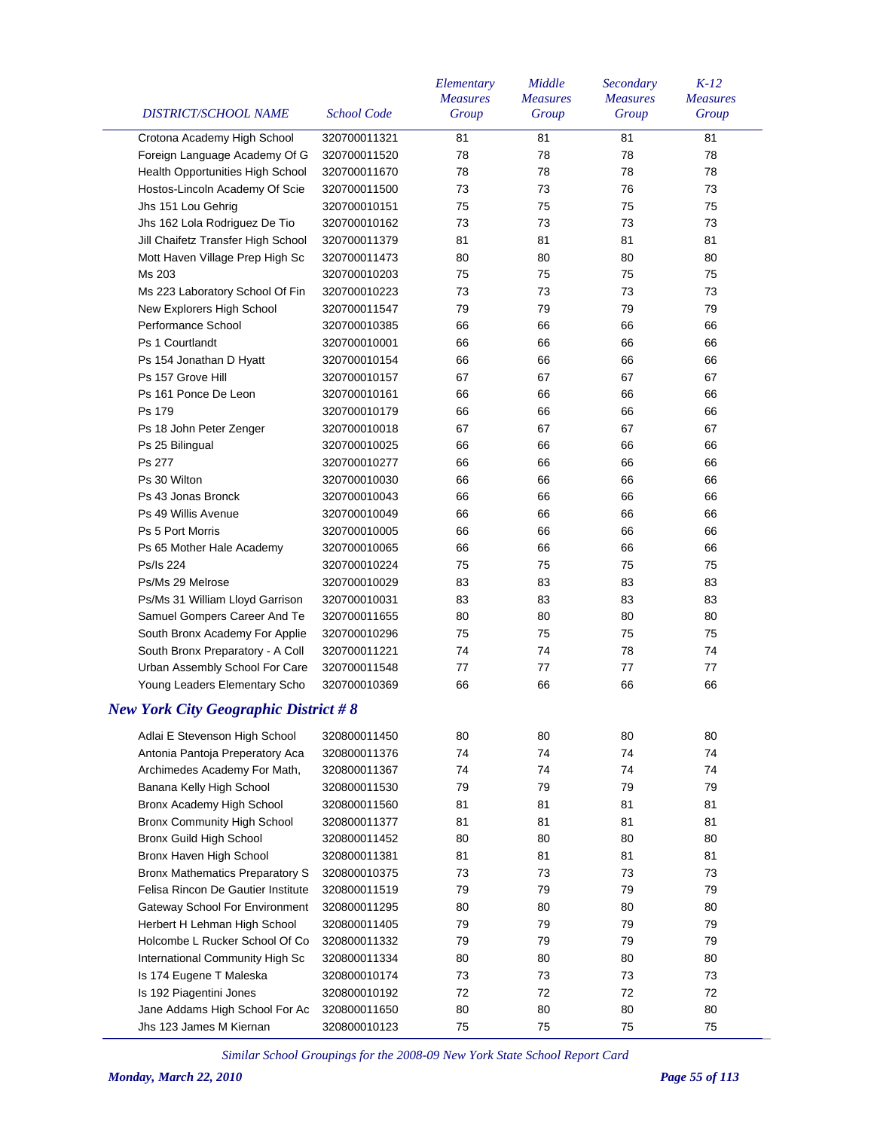| DISTRICT/SCHOOL NAME                        | <b>School Code</b> | Elementary<br><b>Measures</b><br>Group | Middle<br><b>Measures</b><br>Group | Secondary<br><b>Measures</b><br>Group | $K-12$<br><b>Measures</b><br>Group |
|---------------------------------------------|--------------------|----------------------------------------|------------------------------------|---------------------------------------|------------------------------------|
| Crotona Academy High School                 | 320700011321       | 81                                     | 81                                 | 81                                    | 81                                 |
| Foreign Language Academy Of G               | 320700011520       | 78                                     | 78                                 | 78                                    | 78                                 |
| Health Opportunities High School            | 320700011670       | 78                                     | 78                                 | 78                                    | 78                                 |
| Hostos-Lincoln Academy Of Scie              | 320700011500       | 73                                     | 73                                 | 76                                    | 73                                 |
| Jhs 151 Lou Gehrig                          | 320700010151       | 75                                     | 75                                 | 75                                    | 75                                 |
| Jhs 162 Lola Rodriguez De Tio               | 320700010162       | 73                                     | 73                                 | 73                                    | 73                                 |
| Jill Chaifetz Transfer High School          | 320700011379       | 81                                     | 81                                 | 81                                    | 81                                 |
| Mott Haven Village Prep High Sc             | 320700011473       | 80                                     | 80                                 | 80                                    | 80                                 |
| Ms 203                                      | 320700010203       | 75                                     | 75                                 | 75                                    | 75                                 |
| Ms 223 Laboratory School Of Fin             | 320700010223       | 73                                     | 73                                 | 73                                    | 73                                 |
| New Explorers High School                   | 320700011547       | 79                                     | 79                                 | 79                                    | 79                                 |
| Performance School                          | 320700010385       | 66                                     | 66                                 | 66                                    | 66                                 |
| Ps 1 Courtlandt                             | 320700010001       | 66                                     | 66                                 | 66                                    | 66                                 |
| Ps 154 Jonathan D Hyatt                     | 320700010154       | 66                                     | 66                                 | 66                                    | 66                                 |
| Ps 157 Grove Hill                           | 320700010157       | 67                                     | 67                                 | 67                                    | 67                                 |
| Ps 161 Ponce De Leon                        | 320700010161       | 66                                     | 66                                 | 66                                    | 66                                 |
| Ps 179                                      | 320700010179       | 66                                     | 66                                 | 66                                    | 66                                 |
| Ps 18 John Peter Zenger                     | 320700010018       | 67                                     | 67                                 | 67                                    | 67                                 |
| Ps 25 Bilingual                             | 320700010025       | 66                                     | 66                                 | 66                                    | 66                                 |
| Ps 277                                      | 320700010277       | 66                                     | 66                                 | 66                                    | 66                                 |
| Ps 30 Wilton                                | 320700010030       | 66                                     | 66                                 | 66                                    | 66                                 |
| Ps 43 Jonas Bronck                          | 320700010043       | 66                                     | 66                                 | 66                                    | 66                                 |
| Ps 49 Willis Avenue                         | 320700010049       | 66                                     | 66                                 | 66                                    | 66                                 |
| Ps 5 Port Morris                            | 320700010005       | 66                                     | 66                                 | 66                                    | 66                                 |
| Ps 65 Mother Hale Academy                   | 320700010065       | 66                                     | 66                                 | 66                                    | 66                                 |
| Ps/Is 224                                   | 320700010224       | 75                                     | 75                                 | 75                                    | 75                                 |
| Ps/Ms 29 Melrose                            | 320700010029       | 83                                     | 83                                 | 83                                    | 83                                 |
| Ps/Ms 31 William Lloyd Garrison             | 320700010031       | 83                                     | 83                                 | 83                                    | 83                                 |
| Samuel Gompers Career And Te                | 320700011655       | 80                                     | 80                                 | 80                                    | 80                                 |
| South Bronx Academy For Applie              | 320700010296       | 75                                     | 75                                 | 75                                    | 75                                 |
| South Bronx Preparatory - A Coll            | 320700011221       | 74                                     | 74                                 | 78                                    | 74                                 |
| Urban Assembly School For Care              | 320700011548       | 77                                     | 77                                 | 77                                    | 77                                 |
| Young Leaders Elementary Scho               | 320700010369       | 66                                     | 66                                 | 66                                    | 66                                 |
| <b>New York City Geographic District #8</b> |                    |                                        |                                    |                                       |                                    |
| Adlai E Stevenson High School               | 320800011450       | 80                                     | 80                                 | 80                                    | 80                                 |
| Antonia Pantoja Preperatory Aca             | 320800011376       | 74                                     | 74                                 | 74                                    | 74                                 |
| Archimedes Academy For Math,                | 320800011367       | 74                                     | 74                                 | 74                                    | 74                                 |
| Banana Kelly High School                    | 320800011530       | 79                                     | 79                                 | 79                                    | 79                                 |
| Bronx Academy High School                   | 320800011560       | 81                                     | 81                                 | 81                                    | 81                                 |
| Bronx Community High School                 | 320800011377       | 81                                     | 81                                 | 81                                    | 81                                 |
| Bronx Guild High School                     | 320800011452       | 80                                     | 80                                 | 80                                    | 80                                 |
| Bronx Haven High School                     | 320800011381       | 81                                     | 81                                 | 81                                    | 81                                 |
| <b>Bronx Mathematics Preparatory S</b>      | 320800010375       | 73                                     | 73                                 | 73                                    | 73                                 |
| Felisa Rincon De Gautier Institute          | 320800011519       | 79                                     | 79                                 | 79                                    | 79                                 |
| <b>Gateway School For Environment</b>       | 320800011295       | 80                                     | 80                                 | 80                                    | 80                                 |
| Herbert H Lehman High School                | 320800011405       | 79                                     | 79                                 | 79                                    | 79                                 |
| Holcombe L Rucker School Of Co              | 320800011332       | 79                                     | 79                                 | 79                                    | 79                                 |
| International Community High Sc             | 320800011334       | 80                                     | 80                                 | 80                                    | 80                                 |
| Is 174 Eugene T Maleska                     | 320800010174       | 73                                     | 73                                 | 73                                    | 73                                 |
| Is 192 Piagentini Jones                     | 320800010192       | 72                                     | 72                                 | 72                                    | 72                                 |
| Jane Addams High School For Ac              | 320800011650       | 80                                     | 80                                 | 80                                    | 80                                 |
| Jhs 123 James M Kiernan                     | 320800010123       | 75                                     | 75                                 | 75                                    | 75                                 |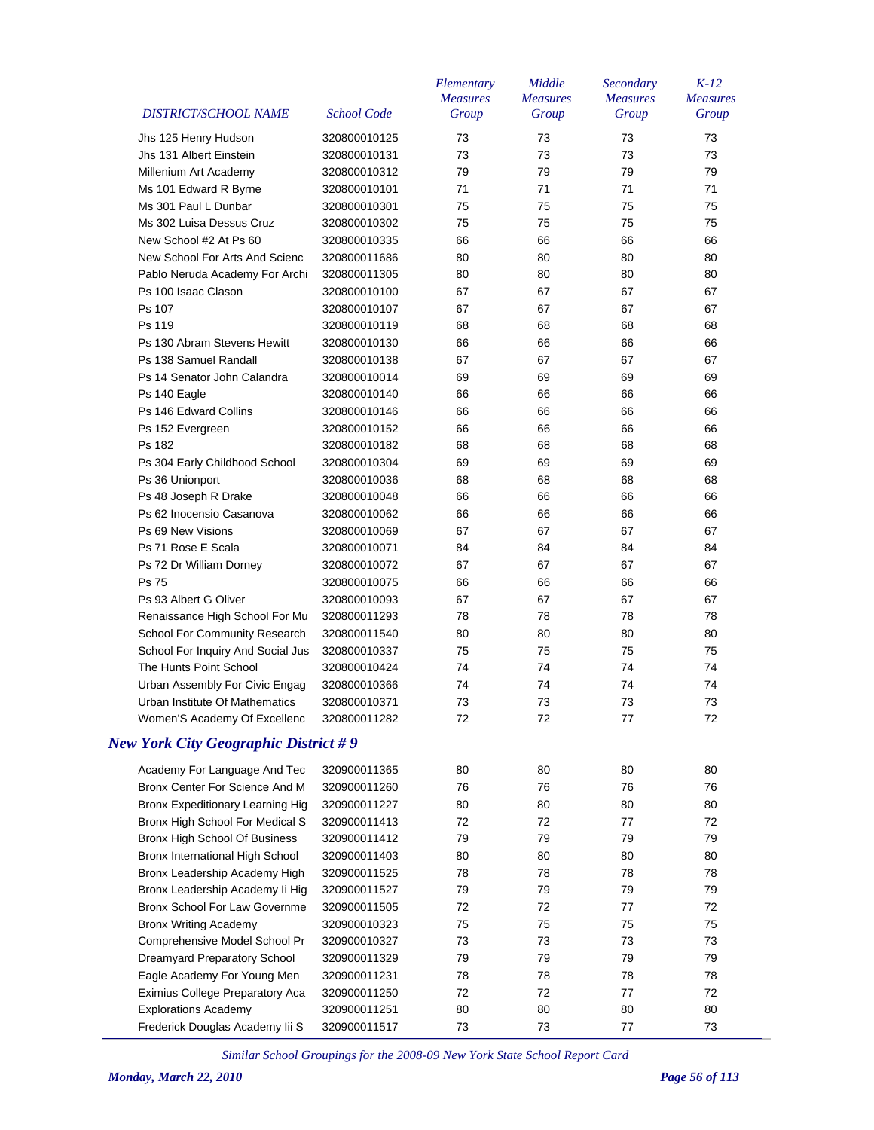| <b>DISTRICT/SCHOOL NAME</b>                 | <b>School Code</b> | Elementary<br><b>Measures</b><br>Group | Middle<br><b>Measures</b><br>Group | Secondary<br><b>Measures</b><br>Group | $K-12$<br><b>Measures</b><br>Group |
|---------------------------------------------|--------------------|----------------------------------------|------------------------------------|---------------------------------------|------------------------------------|
| Jhs 125 Henry Hudson                        | 320800010125       | 73                                     | 73                                 | 73                                    | 73                                 |
| Jhs 131 Albert Einstein                     | 320800010131       | 73                                     | 73                                 | 73                                    | 73                                 |
| Millenium Art Academy                       | 320800010312       | 79                                     | 79                                 | 79                                    | 79                                 |
| Ms 101 Edward R Byrne                       | 320800010101       | 71                                     | 71                                 | 71                                    | 71                                 |
| Ms 301 Paul L Dunbar                        | 320800010301       | 75                                     | 75                                 | 75                                    | 75                                 |
| Ms 302 Luisa Dessus Cruz                    | 320800010302       | 75                                     | 75                                 | 75                                    | 75                                 |
| New School #2 At Ps 60                      | 320800010335       | 66                                     | 66                                 | 66                                    | 66                                 |
| New School For Arts And Scienc              | 320800011686       | 80                                     | 80                                 | 80                                    | 80                                 |
| Pablo Neruda Academy For Archi              | 320800011305       | 80                                     | 80                                 | 80                                    | 80                                 |
| Ps 100 Isaac Clason                         | 320800010100       | 67                                     | 67                                 | 67                                    | 67                                 |
| Ps 107                                      | 320800010107       | 67                                     | 67                                 | 67                                    | 67                                 |
| Ps 119                                      | 320800010119       | 68                                     | 68                                 | 68                                    | 68                                 |
| Ps 130 Abram Stevens Hewitt                 | 320800010130       | 66                                     | 66                                 | 66                                    | 66                                 |
| Ps 138 Samuel Randall                       | 320800010138       | 67                                     | 67                                 | 67                                    | 67                                 |
| Ps 14 Senator John Calandra                 | 320800010014       | 69                                     | 69                                 | 69                                    | 69                                 |
| Ps 140 Eagle                                | 320800010140       | 66                                     | 66                                 | 66                                    | 66                                 |
| Ps 146 Edward Collins                       | 320800010146       | 66                                     | 66                                 | 66                                    | 66                                 |
| Ps 152 Evergreen                            | 320800010152       | 66                                     | 66                                 | 66                                    | 66                                 |
| Ps 182                                      | 320800010182       | 68                                     | 68                                 | 68                                    | 68                                 |
| Ps 304 Early Childhood School               | 320800010304       | 69                                     | 69                                 | 69                                    | 69                                 |
| Ps 36 Unionport                             | 320800010036       | 68                                     | 68                                 | 68                                    | 68                                 |
| Ps 48 Joseph R Drake                        | 320800010048       | 66                                     | 66                                 | 66                                    | 66                                 |
| Ps 62 Inocensio Casanova                    | 320800010062       | 66                                     | 66                                 | 66                                    | 66                                 |
| Ps 69 New Visions                           | 320800010069       | 67                                     | 67                                 | 67                                    | 67                                 |
| Ps 71 Rose E Scala                          | 320800010071       | 84                                     | 84                                 | 84                                    | 84                                 |
| Ps 72 Dr William Dorney                     | 320800010072       | 67                                     | 67                                 | 67                                    | 67                                 |
| <b>Ps 75</b>                                | 320800010075       | 66                                     | 66                                 | 66                                    | 66                                 |
| Ps 93 Albert G Oliver                       | 320800010093       | 67                                     | 67                                 | 67                                    | 67                                 |
| Renaissance High School For Mu              | 320800011293       | 78                                     | 78                                 | 78                                    | 78                                 |
| School For Community Research               | 320800011540       | 80                                     | 80                                 | 80                                    | 80                                 |
| School For Inquiry And Social Jus           | 320800010337       | 75                                     | 75                                 | 75                                    | 75                                 |
| The Hunts Point School                      | 320800010424       | 74                                     | 74                                 | 74                                    | 74                                 |
| Urban Assembly For Civic Engag              | 320800010366       | 74                                     | 74                                 | 74                                    | 74                                 |
| Urban Institute Of Mathematics              | 320800010371       | 73                                     | 73                                 | 73                                    | 73                                 |
| Women'S Academy Of Excellenc                | 320800011282       | 72                                     | 72                                 | $77$                                  | $72\,$                             |
| <b>New York City Geographic District #9</b> |                    |                                        |                                    |                                       |                                    |
| Academy For Language And Tec                | 320900011365       | 80                                     | 80                                 | 80                                    | 80                                 |
| Bronx Center For Science And M              | 320900011260       | 76                                     | 76                                 | 76                                    | 76                                 |
| Bronx Expeditionary Learning Hig            | 320900011227       | 80                                     | 80                                 | 80                                    | 80                                 |
| Bronx High School For Medical S             | 320900011413       | 72                                     | 72                                 | 77                                    | 72                                 |
| Bronx High School Of Business               | 320900011412       | 79                                     | 79                                 | 79                                    | 79                                 |
| Bronx International High School             | 320900011403       | 80                                     | 80                                 | 80                                    | 80                                 |
| Bronx Leadership Academy High               | 320900011525       | 78                                     | 78                                 | 78                                    | 78                                 |
| Bronx Leadership Academy li Hig             | 320900011527       | 79                                     | 79                                 | 79                                    | 79                                 |
| Bronx School For Law Governme               | 320900011505       | 72                                     | 72                                 | 77                                    | 72                                 |
| <b>Bronx Writing Academy</b>                | 320900010323       | 75                                     | 75                                 | 75                                    | 75                                 |
| Comprehensive Model School Pr               | 320900010327       | 73                                     | 73                                 | 73                                    | 73                                 |
| Dreamyard Preparatory School                | 320900011329       | 79                                     | 79                                 | 79                                    | 79                                 |
| Eagle Academy For Young Men                 | 320900011231       | 78                                     | 78                                 | 78                                    | 78                                 |
| Eximius College Preparatory Aca             | 320900011250       | 72                                     | 72                                 | 77                                    | 72                                 |
| <b>Explorations Academy</b>                 | 320900011251       | 80                                     | 80                                 | 80                                    | 80                                 |
| Frederick Douglas Academy lii S             | 320900011517       | 73                                     | 73                                 | 77                                    | 73                                 |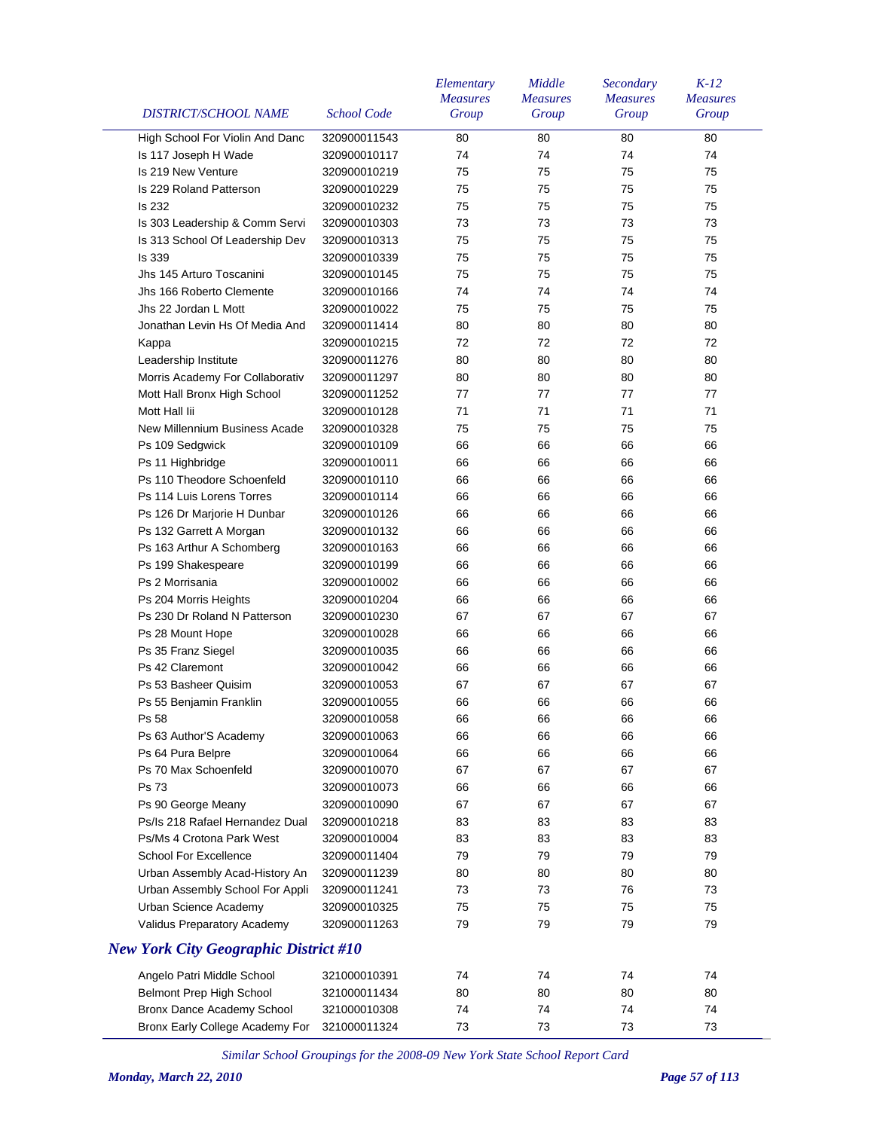| <b>DISTRICT/SCHOOL NAME</b>                  | <b>School Code</b> | Elementary<br><b>Measures</b><br>Group | Middle<br><b>Measures</b><br>Group | Secondary<br><b>Measures</b><br>Group | $K-12$<br><b>Measures</b><br>Group |
|----------------------------------------------|--------------------|----------------------------------------|------------------------------------|---------------------------------------|------------------------------------|
| High School For Violin And Danc              | 320900011543       | 80                                     | 80                                 | 80                                    | 80                                 |
| Is 117 Joseph H Wade                         | 320900010117       | 74                                     | 74                                 | 74                                    | 74                                 |
| Is 219 New Venture                           | 320900010219       | 75                                     | 75                                 | 75                                    | 75                                 |
| Is 229 Roland Patterson                      | 320900010229       | 75                                     | 75                                 | 75                                    | 75                                 |
| Is 232                                       | 320900010232       | 75                                     | 75                                 | 75                                    | 75                                 |
| Is 303 Leadership & Comm Servi               | 320900010303       | 73                                     | 73                                 | 73                                    | 73                                 |
| Is 313 School Of Leadership Dev              | 320900010313       | 75                                     | 75                                 | 75                                    | 75                                 |
| Is 339                                       | 320900010339       | 75                                     | 75                                 | 75                                    | 75                                 |
| Jhs 145 Arturo Toscanini                     | 320900010145       | 75                                     | 75                                 | 75                                    | 75                                 |
| Jhs 166 Roberto Clemente                     | 320900010166       | 74                                     | 74                                 | 74                                    | 74                                 |
| Jhs 22 Jordan L Mott                         | 320900010022       | 75                                     | 75                                 | 75                                    | 75                                 |
| Jonathan Levin Hs Of Media And               | 320900011414       | 80                                     | 80                                 | 80                                    | 80                                 |
| Kappa                                        | 320900010215       | 72                                     | 72                                 | 72                                    | 72                                 |
| Leadership Institute                         | 320900011276       | 80                                     | 80                                 | 80                                    | 80                                 |
| Morris Academy For Collaborativ              | 320900011297       | 80                                     | 80                                 | 80                                    | 80                                 |
| Mott Hall Bronx High School                  | 320900011252       | 77                                     | 77                                 | 77                                    | 77                                 |
| Mott Hall lii                                | 320900010128       | 71                                     | 71                                 | 71                                    | 71                                 |
| New Millennium Business Acade                | 320900010328       | 75                                     | 75                                 | 75                                    | 75                                 |
| Ps 109 Sedgwick                              | 320900010109       | 66                                     | 66                                 | 66                                    | 66                                 |
| Ps 11 Highbridge                             | 320900010011       | 66                                     | 66                                 | 66                                    | 66                                 |
| Ps 110 Theodore Schoenfeld                   | 320900010110       | 66                                     | 66                                 | 66                                    | 66                                 |
| Ps 114 Luis Lorens Torres                    | 320900010114       | 66                                     | 66                                 | 66                                    | 66                                 |
| Ps 126 Dr Marjorie H Dunbar                  | 320900010126       | 66                                     | 66                                 | 66                                    | 66                                 |
| Ps 132 Garrett A Morgan                      | 320900010132       | 66                                     | 66                                 | 66                                    | 66                                 |
| Ps 163 Arthur A Schomberg                    | 320900010163       | 66                                     | 66                                 | 66                                    | 66                                 |
| Ps 199 Shakespeare                           | 320900010199       | 66                                     | 66                                 | 66                                    | 66                                 |
| Ps 2 Morrisania                              | 320900010002       | 66                                     | 66                                 | 66                                    | 66                                 |
| Ps 204 Morris Heights                        | 320900010204       | 66                                     | 66                                 | 66                                    | 66                                 |
| Ps 230 Dr Roland N Patterson                 | 320900010230       | 67                                     | 67                                 | 67                                    | 67                                 |
| Ps 28 Mount Hope                             | 320900010028       | 66                                     | 66                                 | 66                                    | 66                                 |
| Ps 35 Franz Siegel                           | 320900010035       | 66                                     | 66                                 | 66                                    | 66                                 |
| Ps 42 Claremont                              | 320900010042       | 66                                     | 66                                 | 66                                    | 66                                 |
| Ps 53 Basheer Quisim                         | 320900010053       | 67                                     | 67                                 | 67                                    | 67                                 |
| Ps 55 Benjamin Franklin                      | 320900010055       | 66                                     | 66                                 | 66                                    | 66                                 |
| Ps 58                                        |                    | 66                                     | 66                                 | 66                                    | 66                                 |
|                                              | 320900010058       |                                        |                                    |                                       |                                    |
| Ps 63 Author'S Academy                       | 320900010063       | 66                                     | 66                                 | 66                                    | 66                                 |
| Ps 64 Pura Belpre<br>Ps 70 Max Schoenfeld    | 320900010064       | 66                                     | 66<br>67                           | 66<br>67                              | 66<br>67                           |
|                                              | 320900010070       | 67                                     |                                    |                                       |                                    |
| Ps 73                                        | 320900010073       | 66                                     | 66                                 | 66                                    | 66                                 |
| Ps 90 George Meany                           | 320900010090       | 67                                     | 67                                 | 67                                    | 67                                 |
| Ps/Is 218 Rafael Hernandez Dual              | 320900010218       | 83                                     | 83                                 | 83                                    | 83                                 |
| Ps/Ms 4 Crotona Park West                    | 320900010004       | 83                                     | 83                                 | 83                                    | 83                                 |
| <b>School For Excellence</b>                 | 320900011404       | 79                                     | 79                                 | 79                                    | 79                                 |
| Urban Assembly Acad-History An               | 320900011239       | 80                                     | 80                                 | 80                                    | 80                                 |
| Urban Assembly School For Appli              | 320900011241       | 73                                     | 73                                 | 76                                    | 73                                 |
| Urban Science Academy                        | 320900010325       | 75                                     | 75                                 | 75                                    | 75                                 |
| Validus Preparatory Academy                  | 320900011263       | 79                                     | 79                                 | 79                                    | 79                                 |
| <b>New York City Geographic District #10</b> |                    |                                        |                                    |                                       |                                    |
| Angelo Patri Middle School                   | 321000010391       | 74                                     | 74                                 | 74                                    | 74                                 |
| Belmont Prep High School                     | 321000011434       | 80                                     | 80                                 | 80                                    | 80                                 |
| Bronx Dance Academy School                   | 321000010308       | 74                                     | 74                                 | 74                                    | 74                                 |
| Bronx Early College Academy For              | 321000011324       | 73                                     | 73                                 | 73                                    | 73                                 |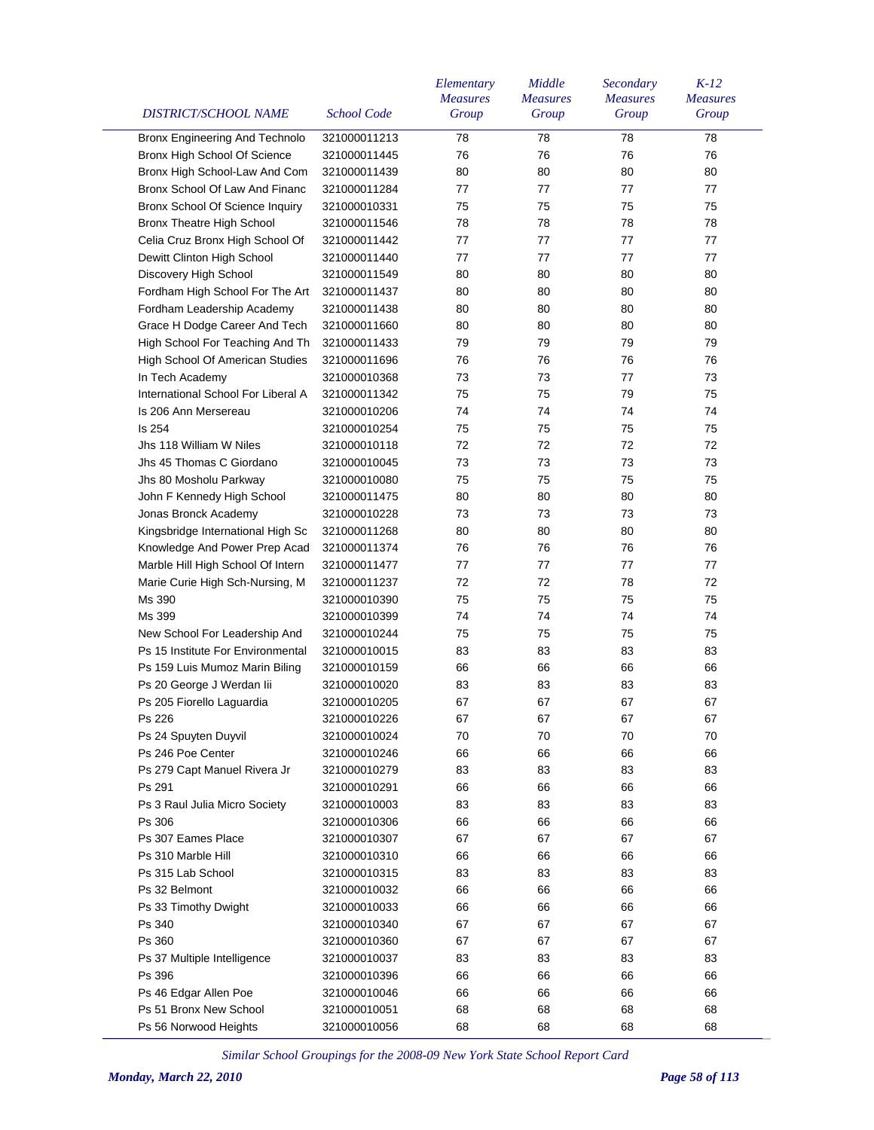| DISTRICT/SCHOOL NAME               | <b>School Code</b> | Elementary<br><b>Measures</b><br>Group | Middle<br><b>Measures</b><br>Group | Secondary<br><b>Measures</b><br>Group | $K-12$<br><b>Measures</b><br>Group |
|------------------------------------|--------------------|----------------------------------------|------------------------------------|---------------------------------------|------------------------------------|
| Bronx Engineering And Technolo     | 321000011213       | 78                                     | 78                                 | 78                                    | 78                                 |
| Bronx High School Of Science       | 321000011445       | 76                                     | 76                                 | 76                                    | 76                                 |
| Bronx High School-Law And Com      | 321000011439       | 80                                     | 80                                 | 80                                    | 80                                 |
| Bronx School Of Law And Financ     | 321000011284       | 77                                     | 77                                 | 77                                    | 77                                 |
| Bronx School Of Science Inquiry    | 321000010331       | 75                                     | 75                                 | 75                                    | 75                                 |
| Bronx Theatre High School          | 321000011546       | 78                                     | 78                                 | 78                                    | 78                                 |
| Celia Cruz Bronx High School Of    | 321000011442       | 77                                     | 77                                 | 77                                    | 77                                 |
| Dewitt Clinton High School         | 321000011440       | 77                                     | 77                                 | 77                                    | 77                                 |
| Discovery High School              | 321000011549       | 80                                     | 80                                 | 80                                    | 80                                 |
| Fordham High School For The Art    | 321000011437       | 80                                     | 80                                 | 80                                    | 80                                 |
| Fordham Leadership Academy         | 321000011438       | 80                                     | 80                                 | 80                                    | 80                                 |
| Grace H Dodge Career And Tech      | 321000011660       | 80                                     | 80                                 | 80                                    | 80                                 |
| High School For Teaching And Th    | 321000011433       | 79                                     | 79                                 | 79                                    | 79                                 |
| High School Of American Studies    | 321000011696       | 76                                     | 76                                 | 76                                    | 76                                 |
| In Tech Academy                    | 321000010368       | 73                                     | 73                                 | 77                                    | 73                                 |
| International School For Liberal A | 321000011342       | 75                                     | 75                                 | 79                                    | 75                                 |
| Is 206 Ann Mersereau               | 321000010206       | 74                                     | 74                                 | 74                                    | 74                                 |
| Is 254                             | 321000010254       | 75                                     | 75                                 | 75                                    | 75                                 |
| Jhs 118 William W Niles            | 321000010118       | 72                                     | 72                                 | 72                                    | 72                                 |
| Jhs 45 Thomas C Giordano           | 321000010045       | 73                                     | 73                                 | 73                                    | 73                                 |
| Jhs 80 Mosholu Parkway             | 321000010080       | 75                                     | 75                                 | 75                                    | 75                                 |
| John F Kennedy High School         | 321000011475       | 80                                     | 80                                 | 80                                    | 80                                 |
| Jonas Bronck Academy               | 321000010228       | 73                                     | 73                                 | 73                                    | 73                                 |
| Kingsbridge International High Sc  | 321000011268       | 80                                     | 80                                 | 80                                    | 80                                 |
| Knowledge And Power Prep Acad      | 321000011374       | 76                                     | 76                                 | 76                                    | 76                                 |
| Marble Hill High School Of Intern  | 321000011477       | 77                                     | 77                                 | 77                                    | 77                                 |
| Marie Curie High Sch-Nursing, M    | 321000011237       | 72                                     | 72                                 | 78                                    | 72                                 |
| Ms 390                             | 321000010390       | 75                                     | 75                                 | 75                                    | 75                                 |
| Ms 399                             | 321000010399       | 74                                     | 74                                 | 74                                    | 74                                 |
| New School For Leadership And      | 321000010244       | 75                                     | 75                                 | 75                                    | 75                                 |
| Ps 15 Institute For Environmental  | 321000010015       | 83                                     | 83                                 | 83                                    | 83                                 |
| Ps 159 Luis Mumoz Marin Biling     | 321000010159       | 66                                     | 66                                 | 66                                    | 66                                 |
| Ps 20 George J Werdan lii          | 321000010020       | 83                                     | 83                                 | 83                                    | 83                                 |
| Ps 205 Fiorello Laguardia          | 321000010205       | 67                                     | 67                                 | 67                                    | 67                                 |
| Ps 226                             | 321000010226       |                                        | 67                                 |                                       | 67                                 |
| Ps 24 Spuyten Duyvil               | 321000010024       | 67<br>70                               | 70                                 | 67<br>70                              | 70                                 |
| Ps 246 Poe Center                  | 321000010246       | 66                                     | 66                                 | 66                                    | 66                                 |
| Ps 279 Capt Manuel Rivera Jr       | 321000010279       | 83                                     | 83                                 | 83                                    | 83                                 |
| Ps 291                             | 321000010291       | 66                                     | 66                                 | 66                                    | 66                                 |
| Ps 3 Raul Julia Micro Society      | 321000010003       | 83                                     | 83                                 | 83                                    | 83                                 |
| Ps 306                             | 321000010306       | 66                                     | 66                                 | 66                                    | 66                                 |
| Ps 307 Eames Place                 | 321000010307       | 67                                     | 67                                 | 67                                    | 67                                 |
| Ps 310 Marble Hill                 | 321000010310       | 66                                     | 66                                 | 66                                    | 66                                 |
| Ps 315 Lab School                  | 321000010315       | 83                                     | 83                                 | 83                                    | 83                                 |
| Ps 32 Belmont                      | 321000010032       | 66                                     | 66                                 | 66                                    | 66                                 |
| Ps 33 Timothy Dwight               | 321000010033       | 66                                     | 66                                 | 66                                    | 66                                 |
|                                    |                    |                                        |                                    |                                       |                                    |
| Ps 340                             | 321000010340       | 67                                     | 67                                 | 67                                    | 67                                 |
| Ps 360                             | 321000010360       | 67                                     | 67                                 | 67                                    | 67                                 |
| Ps 37 Multiple Intelligence        | 321000010037       | 83                                     | 83                                 | 83                                    | 83                                 |
| Ps 396                             | 321000010396       | 66                                     | 66                                 | 66                                    | 66                                 |
| Ps 46 Edgar Allen Poe              | 321000010046       | 66                                     | 66                                 | 66                                    | 66                                 |
| Ps 51 Bronx New School             | 321000010051       | 68                                     | 68                                 | 68                                    | 68                                 |
| Ps 56 Norwood Heights              | 321000010056       | 68                                     | 68                                 | 68                                    | 68                                 |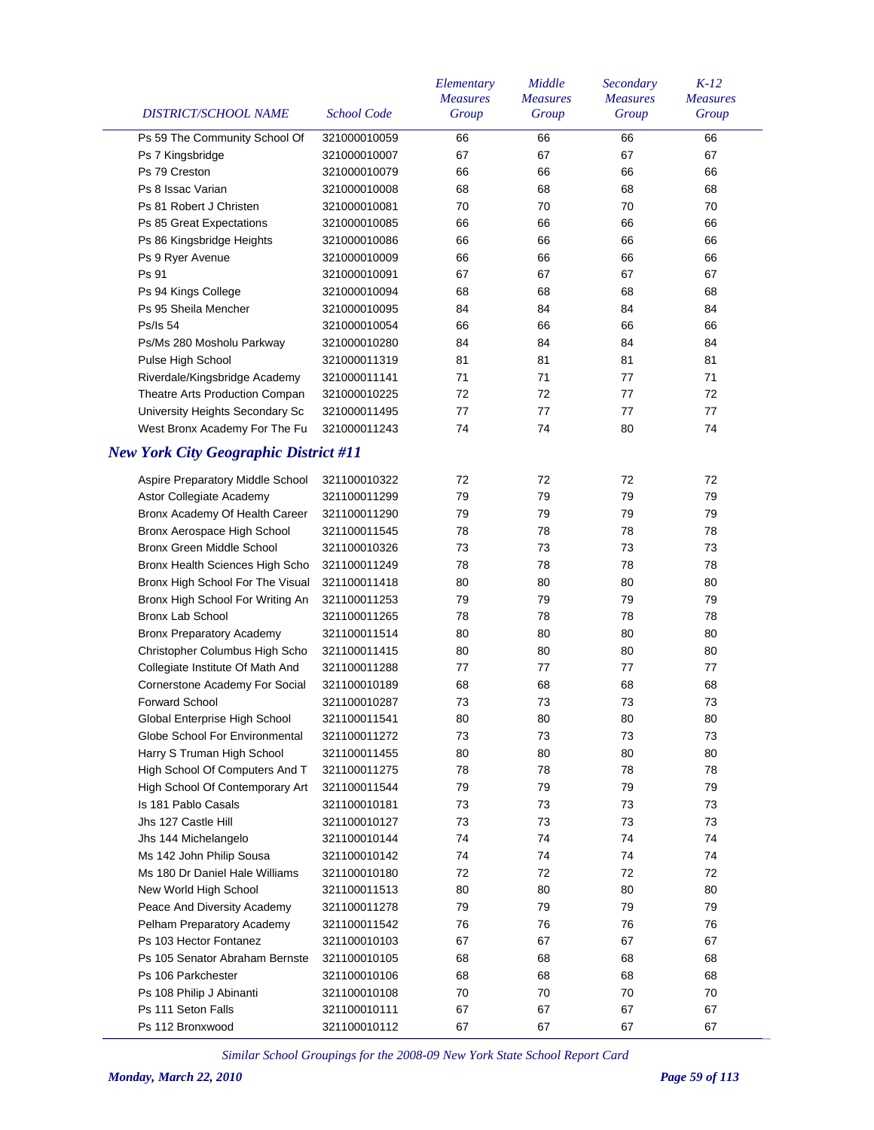| DISTRICT/SCHOOL NAME                         | <b>School Code</b> | Elementary<br><b>Measures</b><br>Group | Middle<br><b>Measures</b><br>Group | Secondary<br><b>Measures</b><br>Group | $K-12$<br><b>Measures</b><br>Group |
|----------------------------------------------|--------------------|----------------------------------------|------------------------------------|---------------------------------------|------------------------------------|
| Ps 59 The Community School Of                | 321000010059       | 66                                     | 66                                 | 66                                    | 66                                 |
| Ps 7 Kingsbridge                             | 321000010007       | 67                                     | 67                                 | 67                                    | 67                                 |
| Ps 79 Creston                                | 321000010079       | 66                                     | 66                                 | 66                                    | 66                                 |
| Ps 8 Issac Varian                            | 321000010008       | 68                                     | 68                                 | 68                                    | 68                                 |
| Ps 81 Robert J Christen                      | 321000010081       | 70                                     | 70                                 | 70                                    | 70                                 |
| Ps 85 Great Expectations                     | 321000010085       | 66                                     | 66                                 | 66                                    | 66                                 |
| Ps 86 Kingsbridge Heights                    | 321000010086       | 66                                     | 66                                 | 66                                    | 66                                 |
| Ps 9 Ryer Avenue                             | 321000010009       | 66                                     | 66                                 | 66                                    | 66                                 |
| Ps 91                                        | 321000010091       | 67                                     | 67                                 | 67                                    | 67                                 |
| Ps 94 Kings College                          | 321000010094       | 68                                     | 68                                 | 68                                    | 68                                 |
| Ps 95 Sheila Mencher                         | 321000010095       | 84                                     | 84                                 | 84                                    | 84                                 |
| <b>Ps/Is 54</b>                              | 321000010054       | 66                                     | 66                                 | 66                                    | 66                                 |
| Ps/Ms 280 Mosholu Parkway                    | 321000010280       | 84                                     | 84                                 | 84                                    | 84                                 |
| Pulse High School                            | 321000011319       | 81                                     | 81                                 | 81                                    | 81                                 |
| Riverdale/Kingsbridge Academy                | 321000011141       | 71                                     | 71                                 | 77                                    | 71                                 |
| Theatre Arts Production Compan               | 321000010225       | 72                                     | 72                                 | 77                                    | 72                                 |
| University Heights Secondary Sc              | 321000011495       | 77                                     | 77                                 | 77                                    | 77                                 |
| West Bronx Academy For The Fu                | 321000011243       | 74                                     | 74                                 | 80                                    | 74                                 |
| <b>New York City Geographic District #11</b> |                    |                                        |                                    |                                       |                                    |
| Aspire Preparatory Middle School             | 321100010322       | 72                                     | 72                                 | 72                                    | 72                                 |
| Astor Collegiate Academy                     | 321100011299       | 79                                     | 79                                 | 79                                    | 79                                 |
| Bronx Academy Of Health Career               | 321100011290       | 79                                     | 79                                 | 79                                    | 79                                 |
| Bronx Aerospace High School                  | 321100011545       | 78                                     | 78                                 | 78                                    | 78                                 |
| Bronx Green Middle School                    | 321100010326       | 73                                     | 73                                 | 73                                    | 73                                 |
| Bronx Health Sciences High Scho              | 321100011249       | 78                                     | 78                                 | 78                                    | 78                                 |
|                                              | 321100011418       | 80                                     | 80                                 | 80                                    | 80                                 |
| Bronx High School For The Visual             |                    |                                        |                                    |                                       |                                    |
| Bronx High School For Writing An             | 321100011253       | 79                                     | 79                                 | 79                                    | 79                                 |
| Bronx Lab School                             | 321100011265       | 78                                     | 78                                 | 78                                    | 78                                 |
| <b>Bronx Preparatory Academy</b>             | 321100011514       | 80                                     | 80                                 | 80                                    | 80                                 |
| Christopher Columbus High Scho               | 321100011415       | 80                                     | 80                                 | 80                                    | 80                                 |
| Collegiate Institute Of Math And             | 321100011288       | 77                                     | 77                                 | 77                                    | 77                                 |
| Cornerstone Academy For Social               | 321100010189       | 68                                     | 68                                 | 68                                    | 68                                 |
| <b>Forward School</b>                        | 321100010287       | 73                                     | 73                                 | 73                                    | 73                                 |
| Global Enterprise High School                | 321100011541       | 80                                     | 80                                 | 80                                    | 80                                 |
| Globe School For Environmental               | 321100011272       | 73                                     | 73                                 | 73                                    | 73                                 |
| Harry S Truman High School                   | 321100011455       | 80                                     | 80                                 | 80                                    | 80                                 |
| High School Of Computers And T               | 321100011275       | 78                                     | 78                                 | 78                                    | 78                                 |
| High School Of Contemporary Art              | 321100011544       | 79                                     | 79                                 | 79                                    | 79                                 |
| Is 181 Pablo Casals                          | 321100010181       | 73                                     | 73                                 | 73                                    | 73                                 |
| Jhs 127 Castle Hill                          | 321100010127       | 73                                     | 73                                 | 73                                    | 73                                 |
| Jhs 144 Michelangelo                         | 321100010144       | 74                                     | 74                                 | 74                                    | 74                                 |
| Ms 142 John Philip Sousa                     | 321100010142       | 74                                     | 74                                 | 74                                    | 74                                 |
| Ms 180 Dr Daniel Hale Williams               | 321100010180       | 72                                     | 72                                 | 72                                    | 72                                 |
| New World High School                        | 321100011513       | 80                                     | 80                                 | 80                                    | 80                                 |
| Peace And Diversity Academy                  | 321100011278       | 79                                     | 79                                 | 79                                    | 79                                 |
| Pelham Preparatory Academy                   | 321100011542       | 76                                     | 76                                 | 76                                    | 76                                 |
| Ps 103 Hector Fontanez                       | 321100010103       | 67                                     | 67                                 | 67                                    | 67                                 |
| Ps 105 Senator Abraham Bernste               | 321100010105       | 68                                     | 68                                 | 68                                    | 68                                 |
| Ps 106 Parkchester                           | 321100010106       | 68                                     | 68                                 | 68                                    | 68                                 |
| Ps 108 Philip J Abinanti                     | 321100010108       | 70                                     | 70                                 | 70                                    | 70                                 |
| Ps 111 Seton Falls                           | 321100010111       | 67                                     | 67                                 | 67                                    | 67                                 |
| Ps 112 Bronxwood                             | 321100010112       | 67                                     | 67                                 | 67                                    | 67                                 |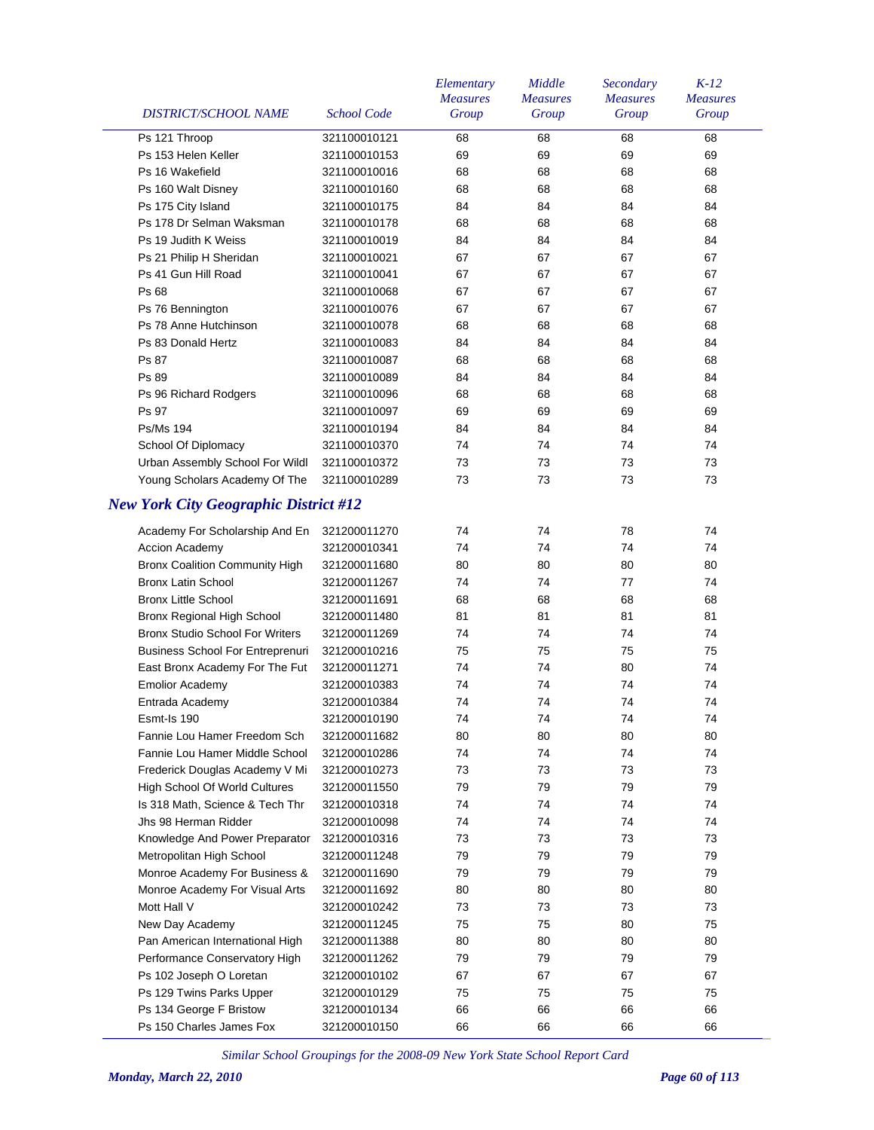| DISTRICT/SCHOOL NAME                          | <b>School Code</b> | Elementary<br><b>Measures</b><br>Group | Middle<br><b>Measures</b><br>Group | Secondary<br><b>Measures</b><br>Group | $K-12$<br><b>Measures</b><br>Group |
|-----------------------------------------------|--------------------|----------------------------------------|------------------------------------|---------------------------------------|------------------------------------|
| Ps 121 Throop                                 | 321100010121       | 68                                     | 68                                 | 68                                    | 68                                 |
| Ps 153 Helen Keller                           | 321100010153       | 69                                     | 69                                 | 69                                    | 69                                 |
| Ps 16 Wakefield                               | 321100010016       | 68                                     | 68                                 | 68                                    | 68                                 |
| Ps 160 Walt Disney                            | 321100010160       | 68                                     | 68                                 | 68                                    | 68                                 |
| Ps 175 City Island                            | 321100010175       | 84                                     | 84                                 | 84                                    | 84                                 |
| Ps 178 Dr Selman Waksman                      | 321100010178       | 68                                     | 68                                 | 68                                    | 68                                 |
| Ps 19 Judith K Weiss                          | 321100010019       | 84                                     | 84                                 | 84                                    | 84                                 |
| Ps 21 Philip H Sheridan                       | 321100010021       | 67                                     | 67                                 | 67                                    | 67                                 |
| Ps 41 Gun Hill Road                           | 321100010041       | 67                                     | 67                                 | 67                                    | 67                                 |
| Ps 68                                         | 321100010068       | 67                                     | 67                                 | 67                                    | 67                                 |
|                                               |                    |                                        |                                    |                                       |                                    |
| Ps 76 Bennington                              | 321100010076       | 67                                     | 67                                 | 67                                    | 67                                 |
| Ps 78 Anne Hutchinson                         | 321100010078       | 68                                     | 68                                 | 68                                    | 68                                 |
| Ps 83 Donald Hertz                            | 321100010083       | 84                                     | 84                                 | 84                                    | 84                                 |
| Ps 87                                         | 321100010087       | 68                                     | 68                                 | 68                                    | 68                                 |
| Ps 89                                         | 321100010089       | 84                                     | 84                                 | 84                                    | 84                                 |
| Ps 96 Richard Rodgers                         | 321100010096       | 68                                     | 68                                 | 68                                    | 68                                 |
| Ps 97                                         | 321100010097       | 69                                     | 69                                 | 69                                    | 69                                 |
| <b>Ps/Ms 194</b>                              | 321100010194       | 84                                     | 84                                 | 84                                    | 84                                 |
| School Of Diplomacy                           | 321100010370       | 74                                     | 74                                 | 74                                    | 74                                 |
| Urban Assembly School For Wildl               | 321100010372       | 73                                     | 73                                 | 73                                    | 73                                 |
| Young Scholars Academy Of The                 | 321100010289       | 73                                     | 73                                 | 73                                    | 73                                 |
| <b>New York City Geographic District #12</b>  |                    |                                        |                                    |                                       |                                    |
| Academy For Scholarship And En                | 321200011270       | 74                                     | 74                                 | 78                                    | 74                                 |
| <b>Accion Academy</b>                         | 321200010341       | 74                                     | 74                                 | 74                                    | 74                                 |
| <b>Bronx Coalition Community High</b>         | 321200011680       | 80                                     | 80                                 | 80                                    | 80                                 |
| <b>Bronx Latin School</b>                     | 321200011267       | 74                                     | 74                                 | 77                                    | 74                                 |
| <b>Bronx Little School</b>                    | 321200011691       | 68                                     | 68                                 | 68                                    | 68                                 |
| Bronx Regional High School                    | 321200011480       | 81                                     | 81                                 | 81                                    | 81                                 |
| <b>Bronx Studio School For Writers</b>        | 321200011269       | 74                                     | 74                                 | 74                                    | 74                                 |
| <b>Business School For Entreprenuri</b>       | 321200010216       | 75                                     | 75                                 | 75                                    | 75                                 |
| East Bronx Academy For The Fut                | 321200011271       | 74                                     | 74                                 | 80                                    | 74                                 |
| <b>Emolior Academy</b>                        | 321200010383       | 74                                     | 74                                 | 74                                    | 74                                 |
| Entrada Academy                               | 321200010384       | 74                                     | 74                                 | 74                                    | 74                                 |
| Esmt-Is 190                                   | 321200010190       | 74                                     | 74                                 | 74                                    | 74                                 |
| Fannie Lou Hamer Freedom Sch                  | 321200011682       | 80                                     | 80                                 | 80                                    | 80                                 |
| Fannie Lou Hamer Middle School                | 321200010286       | 74                                     | 74                                 | 74                                    | 74                                 |
| Frederick Douglas Academy V Mi                | 321200010273       | 73                                     | 73                                 | 73                                    | 73                                 |
| High School Of World Cultures                 | 321200011550       | 79                                     | 79                                 | 79                                    | 79                                 |
| Is 318 Math, Science & Tech Thr               | 321200010318       | 74                                     | 74                                 | 74                                    | 74                                 |
| Jhs 98 Herman Ridder                          | 321200010098       | 74                                     | 74                                 | 74                                    | 74                                 |
| Knowledge And Power Preparator                | 321200010316       | 73                                     | 73                                 | 73                                    | 73                                 |
| Metropolitan High School                      | 321200011248       | 79                                     | 79                                 | 79                                    | 79                                 |
| Monroe Academy For Business &                 | 321200011690       | 79                                     | 79                                 | 79                                    | 79                                 |
|                                               |                    | 80                                     | 80                                 | 80                                    | 80                                 |
| Monroe Academy For Visual Arts<br>Mott Hall V | 321200011692       | 73                                     | 73                                 |                                       |                                    |
|                                               | 321200010242       |                                        |                                    | 73                                    | 73                                 |
| New Day Academy                               | 321200011245       | 75                                     | 75                                 | 80                                    | 75                                 |
| Pan American International High               | 321200011388       | 80                                     | 80                                 | 80                                    | 80                                 |
| Performance Conservatory High                 | 321200011262       | 79                                     | 79                                 | 79                                    | 79                                 |
| Ps 102 Joseph O Loretan                       | 321200010102       | 67                                     | 67                                 | 67                                    | 67                                 |
| Ps 129 Twins Parks Upper                      | 321200010129       | 75                                     | 75                                 | 75                                    | 75                                 |
| Ps 134 George F Bristow                       | 321200010134       | 66                                     | 66                                 | 66                                    | 66                                 |
| Ps 150 Charles James Fox                      | 321200010150       | 66                                     | 66                                 | 66                                    | 66                                 |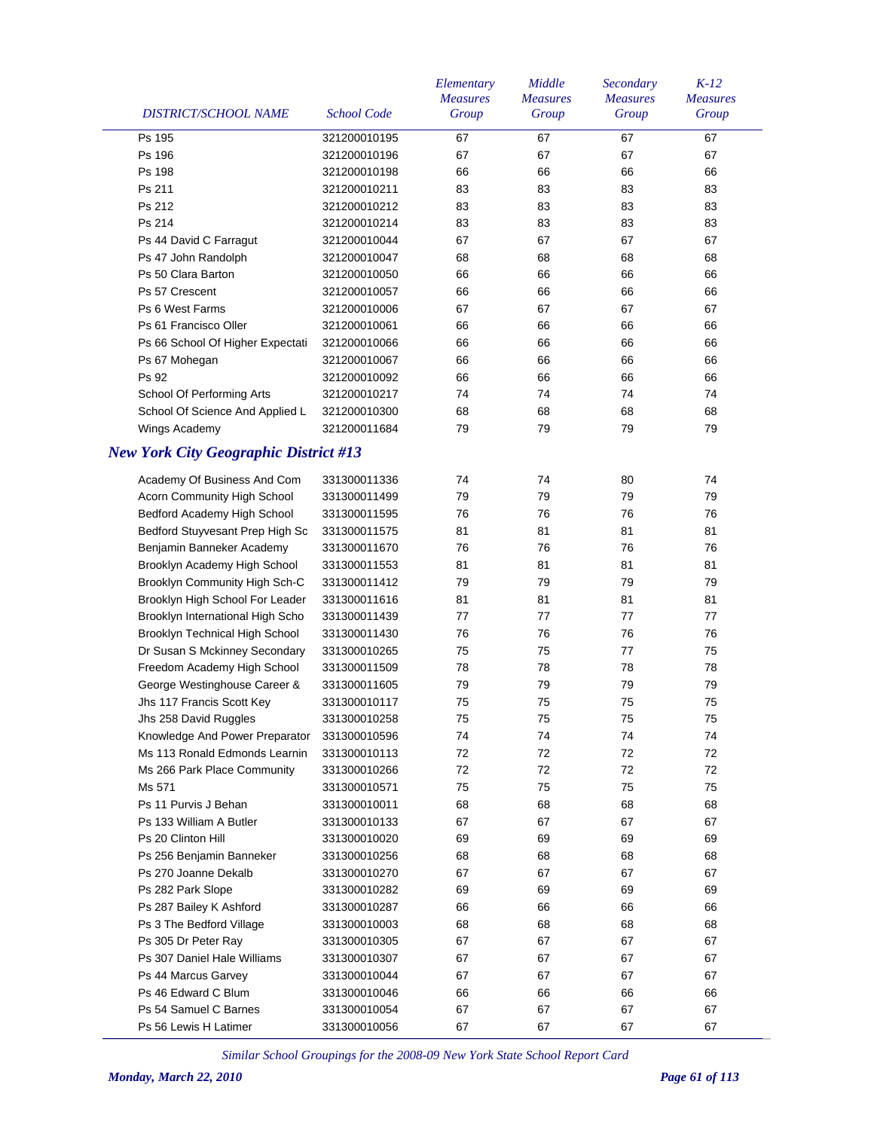| Ps 195<br>67<br>67<br>67<br>67<br>321200010195<br>67<br>67<br>67<br>Ps 196<br>67<br>321200010196<br>Ps 198<br>321200010198<br>66<br>66<br>66<br>66<br>83<br>83<br>Ps 211<br>321200010211<br>83<br>83<br>Ps 212<br>83<br>83<br>83<br>321200010212<br>83<br>83<br>83<br>83<br>Ps 214<br>321200010214<br>83<br>321200010044<br>67<br>67<br>67<br>67<br>Ps 44 David C Farragut<br>Ps 47 John Randolph<br>68<br>68<br>68<br>68<br>321200010047<br>Ps 50 Clara Barton<br>66<br>66<br>66<br>66<br>321200010050<br>Ps 57 Crescent<br>321200010057<br>66<br>66<br>66<br>66<br>Ps 6 West Farms<br>321200010006<br>67<br>67<br>67<br>67<br>Ps 61 Francisco Oller<br>321200010061<br>66<br>66<br>66<br>66<br>Ps 66 School Of Higher Expectati<br>66<br>66<br>66<br>66<br>321200010066<br>66<br>66<br>66<br>66<br>Ps 67 Mohegan<br>321200010067<br>Ps 92<br>66<br>66<br>66<br>66<br>321200010092<br>School Of Performing Arts<br>74<br>74<br>74<br>74<br>321200010217<br>School Of Science And Applied L<br>68<br>68<br>68<br>68<br>321200010300<br>Wings Academy<br>321200011684<br>79<br>79<br>79<br>79<br><b>New York City Geographic District #13</b><br>Academy Of Business And Com<br>331300011336<br>74<br>74<br>80<br>74<br>79<br>Acorn Community High School<br>331300011499<br>79<br>79<br>79<br>Bedford Academy High School<br>76<br>76<br>76<br>76<br>331300011595<br>Bedford Stuyvesant Prep High Sc<br>81<br>81<br>81<br>81<br>331300011575<br>Benjamin Banneker Academy<br>76<br>76<br>76<br>76<br>331300011670<br>Brooklyn Academy High School<br>81<br>81<br>81<br>81<br>331300011553<br>Brooklyn Community High Sch-C<br>79<br>79<br>79<br>79<br>331300011412<br>Brooklyn High School For Leader<br>81<br>81<br>81<br>81<br>331300011616<br>77<br>Brooklyn International High Scho<br>77<br>77<br>77<br>331300011439<br>Brooklyn Technical High School<br>76<br>76<br>76<br>76<br>331300011430<br>Dr Susan S Mckinney Secondary<br>75<br>75<br>77<br>75<br>331300010265<br>Freedom Academy High School<br>78<br>78<br>78<br>78<br>331300011509<br>George Westinghouse Career &<br>331300011605<br>79<br>79<br>79<br>79<br>75<br>Jhs 117 Francis Scott Key<br>75<br>75<br>75<br>331300010117<br>Jhs 258 David Ruggles<br>331300010258<br>75<br>75<br>75<br>75<br>Knowledge And Power Preparator<br>74<br>74<br>74<br>74<br>331300010596<br>72<br>Ms 113 Ronald Edmonds Learnin<br>331300010113<br>72<br>72<br>72<br>Ms 266 Park Place Community<br>72<br>72<br>72<br>72<br>331300010266<br>Ms 571<br>75<br>75<br>75<br>75<br>331300010571<br>Ps 11 Purvis J Behan<br>68<br>68<br>331300010011<br>68<br>68<br>Ps 133 William A Butler<br>67<br>67<br>331300010133<br>67<br>67<br>Ps 20 Clinton Hill<br>69<br>331300010020<br>69<br>69<br>69<br>68<br>Ps 256 Benjamin Banneker<br>331300010256<br>68<br>68<br>68<br>Ps 270 Joanne Dekalb<br>67<br>67<br>331300010270<br>67<br>67<br>Ps 282 Park Slope<br>69<br>69<br>69<br>69<br>331300010282<br>Ps 287 Bailey K Ashford<br>66<br>66<br>331300010287<br>66<br>66<br>Ps 3 The Bedford Village<br>68<br>68<br>331300010003<br>68<br>68<br>Ps 305 Dr Peter Ray<br>67<br>67<br>331300010305<br>67<br>67<br>Ps 307 Daniel Hale Williams<br>67<br>67<br>331300010307<br>67<br>67<br>Ps 44 Marcus Garvey<br>67<br>331300010044<br>67<br>67<br>67<br>Ps 46 Edward C Blum<br>66<br>331300010046<br>66<br>66<br>66<br>Ps 54 Samuel C Barnes<br>331300010054<br>67<br>67<br>67<br>67 | DISTRICT/SCHOOL NAME  | <b>School Code</b> | Elementary<br><b>Measures</b><br>Group | Middle<br><b>Measures</b><br>Group | Secondary<br><b>Measures</b><br>Group | $K-12$<br><b>Measures</b><br>Group |
|-----------------------------------------------------------------------------------------------------------------------------------------------------------------------------------------------------------------------------------------------------------------------------------------------------------------------------------------------------------------------------------------------------------------------------------------------------------------------------------------------------------------------------------------------------------------------------------------------------------------------------------------------------------------------------------------------------------------------------------------------------------------------------------------------------------------------------------------------------------------------------------------------------------------------------------------------------------------------------------------------------------------------------------------------------------------------------------------------------------------------------------------------------------------------------------------------------------------------------------------------------------------------------------------------------------------------------------------------------------------------------------------------------------------------------------------------------------------------------------------------------------------------------------------------------------------------------------------------------------------------------------------------------------------------------------------------------------------------------------------------------------------------------------------------------------------------------------------------------------------------------------------------------------------------------------------------------------------------------------------------------------------------------------------------------------------------------------------------------------------------------------------------------------------------------------------------------------------------------------------------------------------------------------------------------------------------------------------------------------------------------------------------------------------------------------------------------------------------------------------------------------------------------------------------------------------------------------------------------------------------------------------------------------------------------------------------------------------------------------------------------------------------------------------------------------------------------------------------------------------------------------------------------------------------------------------------------------------------------------------------------------------------------------------------------------------------------------------------------------------------------------------------------------------------------------------------------------------------------------------------------------------------------------------------------------------------------------------------------------------------------------------------------------------------------|-----------------------|--------------------|----------------------------------------|------------------------------------|---------------------------------------|------------------------------------|
|                                                                                                                                                                                                                                                                                                                                                                                                                                                                                                                                                                                                                                                                                                                                                                                                                                                                                                                                                                                                                                                                                                                                                                                                                                                                                                                                                                                                                                                                                                                                                                                                                                                                                                                                                                                                                                                                                                                                                                                                                                                                                                                                                                                                                                                                                                                                                                                                                                                                                                                                                                                                                                                                                                                                                                                                                                                                                                                                                                                                                                                                                                                                                                                                                                                                                                                                                                                                                             |                       |                    |                                        |                                    |                                       |                                    |
|                                                                                                                                                                                                                                                                                                                                                                                                                                                                                                                                                                                                                                                                                                                                                                                                                                                                                                                                                                                                                                                                                                                                                                                                                                                                                                                                                                                                                                                                                                                                                                                                                                                                                                                                                                                                                                                                                                                                                                                                                                                                                                                                                                                                                                                                                                                                                                                                                                                                                                                                                                                                                                                                                                                                                                                                                                                                                                                                                                                                                                                                                                                                                                                                                                                                                                                                                                                                                             |                       |                    |                                        |                                    |                                       |                                    |
|                                                                                                                                                                                                                                                                                                                                                                                                                                                                                                                                                                                                                                                                                                                                                                                                                                                                                                                                                                                                                                                                                                                                                                                                                                                                                                                                                                                                                                                                                                                                                                                                                                                                                                                                                                                                                                                                                                                                                                                                                                                                                                                                                                                                                                                                                                                                                                                                                                                                                                                                                                                                                                                                                                                                                                                                                                                                                                                                                                                                                                                                                                                                                                                                                                                                                                                                                                                                                             |                       |                    |                                        |                                    |                                       |                                    |
|                                                                                                                                                                                                                                                                                                                                                                                                                                                                                                                                                                                                                                                                                                                                                                                                                                                                                                                                                                                                                                                                                                                                                                                                                                                                                                                                                                                                                                                                                                                                                                                                                                                                                                                                                                                                                                                                                                                                                                                                                                                                                                                                                                                                                                                                                                                                                                                                                                                                                                                                                                                                                                                                                                                                                                                                                                                                                                                                                                                                                                                                                                                                                                                                                                                                                                                                                                                                                             |                       |                    |                                        |                                    |                                       |                                    |
|                                                                                                                                                                                                                                                                                                                                                                                                                                                                                                                                                                                                                                                                                                                                                                                                                                                                                                                                                                                                                                                                                                                                                                                                                                                                                                                                                                                                                                                                                                                                                                                                                                                                                                                                                                                                                                                                                                                                                                                                                                                                                                                                                                                                                                                                                                                                                                                                                                                                                                                                                                                                                                                                                                                                                                                                                                                                                                                                                                                                                                                                                                                                                                                                                                                                                                                                                                                                                             |                       |                    |                                        |                                    |                                       |                                    |
|                                                                                                                                                                                                                                                                                                                                                                                                                                                                                                                                                                                                                                                                                                                                                                                                                                                                                                                                                                                                                                                                                                                                                                                                                                                                                                                                                                                                                                                                                                                                                                                                                                                                                                                                                                                                                                                                                                                                                                                                                                                                                                                                                                                                                                                                                                                                                                                                                                                                                                                                                                                                                                                                                                                                                                                                                                                                                                                                                                                                                                                                                                                                                                                                                                                                                                                                                                                                                             |                       |                    |                                        |                                    |                                       |                                    |
|                                                                                                                                                                                                                                                                                                                                                                                                                                                                                                                                                                                                                                                                                                                                                                                                                                                                                                                                                                                                                                                                                                                                                                                                                                                                                                                                                                                                                                                                                                                                                                                                                                                                                                                                                                                                                                                                                                                                                                                                                                                                                                                                                                                                                                                                                                                                                                                                                                                                                                                                                                                                                                                                                                                                                                                                                                                                                                                                                                                                                                                                                                                                                                                                                                                                                                                                                                                                                             |                       |                    |                                        |                                    |                                       |                                    |
|                                                                                                                                                                                                                                                                                                                                                                                                                                                                                                                                                                                                                                                                                                                                                                                                                                                                                                                                                                                                                                                                                                                                                                                                                                                                                                                                                                                                                                                                                                                                                                                                                                                                                                                                                                                                                                                                                                                                                                                                                                                                                                                                                                                                                                                                                                                                                                                                                                                                                                                                                                                                                                                                                                                                                                                                                                                                                                                                                                                                                                                                                                                                                                                                                                                                                                                                                                                                                             |                       |                    |                                        |                                    |                                       |                                    |
|                                                                                                                                                                                                                                                                                                                                                                                                                                                                                                                                                                                                                                                                                                                                                                                                                                                                                                                                                                                                                                                                                                                                                                                                                                                                                                                                                                                                                                                                                                                                                                                                                                                                                                                                                                                                                                                                                                                                                                                                                                                                                                                                                                                                                                                                                                                                                                                                                                                                                                                                                                                                                                                                                                                                                                                                                                                                                                                                                                                                                                                                                                                                                                                                                                                                                                                                                                                                                             |                       |                    |                                        |                                    |                                       |                                    |
|                                                                                                                                                                                                                                                                                                                                                                                                                                                                                                                                                                                                                                                                                                                                                                                                                                                                                                                                                                                                                                                                                                                                                                                                                                                                                                                                                                                                                                                                                                                                                                                                                                                                                                                                                                                                                                                                                                                                                                                                                                                                                                                                                                                                                                                                                                                                                                                                                                                                                                                                                                                                                                                                                                                                                                                                                                                                                                                                                                                                                                                                                                                                                                                                                                                                                                                                                                                                                             |                       |                    |                                        |                                    |                                       |                                    |
|                                                                                                                                                                                                                                                                                                                                                                                                                                                                                                                                                                                                                                                                                                                                                                                                                                                                                                                                                                                                                                                                                                                                                                                                                                                                                                                                                                                                                                                                                                                                                                                                                                                                                                                                                                                                                                                                                                                                                                                                                                                                                                                                                                                                                                                                                                                                                                                                                                                                                                                                                                                                                                                                                                                                                                                                                                                                                                                                                                                                                                                                                                                                                                                                                                                                                                                                                                                                                             |                       |                    |                                        |                                    |                                       |                                    |
|                                                                                                                                                                                                                                                                                                                                                                                                                                                                                                                                                                                                                                                                                                                                                                                                                                                                                                                                                                                                                                                                                                                                                                                                                                                                                                                                                                                                                                                                                                                                                                                                                                                                                                                                                                                                                                                                                                                                                                                                                                                                                                                                                                                                                                                                                                                                                                                                                                                                                                                                                                                                                                                                                                                                                                                                                                                                                                                                                                                                                                                                                                                                                                                                                                                                                                                                                                                                                             |                       |                    |                                        |                                    |                                       |                                    |
|                                                                                                                                                                                                                                                                                                                                                                                                                                                                                                                                                                                                                                                                                                                                                                                                                                                                                                                                                                                                                                                                                                                                                                                                                                                                                                                                                                                                                                                                                                                                                                                                                                                                                                                                                                                                                                                                                                                                                                                                                                                                                                                                                                                                                                                                                                                                                                                                                                                                                                                                                                                                                                                                                                                                                                                                                                                                                                                                                                                                                                                                                                                                                                                                                                                                                                                                                                                                                             |                       |                    |                                        |                                    |                                       |                                    |
|                                                                                                                                                                                                                                                                                                                                                                                                                                                                                                                                                                                                                                                                                                                                                                                                                                                                                                                                                                                                                                                                                                                                                                                                                                                                                                                                                                                                                                                                                                                                                                                                                                                                                                                                                                                                                                                                                                                                                                                                                                                                                                                                                                                                                                                                                                                                                                                                                                                                                                                                                                                                                                                                                                                                                                                                                                                                                                                                                                                                                                                                                                                                                                                                                                                                                                                                                                                                                             |                       |                    |                                        |                                    |                                       |                                    |
|                                                                                                                                                                                                                                                                                                                                                                                                                                                                                                                                                                                                                                                                                                                                                                                                                                                                                                                                                                                                                                                                                                                                                                                                                                                                                                                                                                                                                                                                                                                                                                                                                                                                                                                                                                                                                                                                                                                                                                                                                                                                                                                                                                                                                                                                                                                                                                                                                                                                                                                                                                                                                                                                                                                                                                                                                                                                                                                                                                                                                                                                                                                                                                                                                                                                                                                                                                                                                             |                       |                    |                                        |                                    |                                       |                                    |
|                                                                                                                                                                                                                                                                                                                                                                                                                                                                                                                                                                                                                                                                                                                                                                                                                                                                                                                                                                                                                                                                                                                                                                                                                                                                                                                                                                                                                                                                                                                                                                                                                                                                                                                                                                                                                                                                                                                                                                                                                                                                                                                                                                                                                                                                                                                                                                                                                                                                                                                                                                                                                                                                                                                                                                                                                                                                                                                                                                                                                                                                                                                                                                                                                                                                                                                                                                                                                             |                       |                    |                                        |                                    |                                       |                                    |
|                                                                                                                                                                                                                                                                                                                                                                                                                                                                                                                                                                                                                                                                                                                                                                                                                                                                                                                                                                                                                                                                                                                                                                                                                                                                                                                                                                                                                                                                                                                                                                                                                                                                                                                                                                                                                                                                                                                                                                                                                                                                                                                                                                                                                                                                                                                                                                                                                                                                                                                                                                                                                                                                                                                                                                                                                                                                                                                                                                                                                                                                                                                                                                                                                                                                                                                                                                                                                             |                       |                    |                                        |                                    |                                       |                                    |
|                                                                                                                                                                                                                                                                                                                                                                                                                                                                                                                                                                                                                                                                                                                                                                                                                                                                                                                                                                                                                                                                                                                                                                                                                                                                                                                                                                                                                                                                                                                                                                                                                                                                                                                                                                                                                                                                                                                                                                                                                                                                                                                                                                                                                                                                                                                                                                                                                                                                                                                                                                                                                                                                                                                                                                                                                                                                                                                                                                                                                                                                                                                                                                                                                                                                                                                                                                                                                             |                       |                    |                                        |                                    |                                       |                                    |
|                                                                                                                                                                                                                                                                                                                                                                                                                                                                                                                                                                                                                                                                                                                                                                                                                                                                                                                                                                                                                                                                                                                                                                                                                                                                                                                                                                                                                                                                                                                                                                                                                                                                                                                                                                                                                                                                                                                                                                                                                                                                                                                                                                                                                                                                                                                                                                                                                                                                                                                                                                                                                                                                                                                                                                                                                                                                                                                                                                                                                                                                                                                                                                                                                                                                                                                                                                                                                             |                       |                    |                                        |                                    |                                       |                                    |
|                                                                                                                                                                                                                                                                                                                                                                                                                                                                                                                                                                                                                                                                                                                                                                                                                                                                                                                                                                                                                                                                                                                                                                                                                                                                                                                                                                                                                                                                                                                                                                                                                                                                                                                                                                                                                                                                                                                                                                                                                                                                                                                                                                                                                                                                                                                                                                                                                                                                                                                                                                                                                                                                                                                                                                                                                                                                                                                                                                                                                                                                                                                                                                                                                                                                                                                                                                                                                             |                       |                    |                                        |                                    |                                       |                                    |
|                                                                                                                                                                                                                                                                                                                                                                                                                                                                                                                                                                                                                                                                                                                                                                                                                                                                                                                                                                                                                                                                                                                                                                                                                                                                                                                                                                                                                                                                                                                                                                                                                                                                                                                                                                                                                                                                                                                                                                                                                                                                                                                                                                                                                                                                                                                                                                                                                                                                                                                                                                                                                                                                                                                                                                                                                                                                                                                                                                                                                                                                                                                                                                                                                                                                                                                                                                                                                             |                       |                    |                                        |                                    |                                       |                                    |
|                                                                                                                                                                                                                                                                                                                                                                                                                                                                                                                                                                                                                                                                                                                                                                                                                                                                                                                                                                                                                                                                                                                                                                                                                                                                                                                                                                                                                                                                                                                                                                                                                                                                                                                                                                                                                                                                                                                                                                                                                                                                                                                                                                                                                                                                                                                                                                                                                                                                                                                                                                                                                                                                                                                                                                                                                                                                                                                                                                                                                                                                                                                                                                                                                                                                                                                                                                                                                             |                       |                    |                                        |                                    |                                       |                                    |
|                                                                                                                                                                                                                                                                                                                                                                                                                                                                                                                                                                                                                                                                                                                                                                                                                                                                                                                                                                                                                                                                                                                                                                                                                                                                                                                                                                                                                                                                                                                                                                                                                                                                                                                                                                                                                                                                                                                                                                                                                                                                                                                                                                                                                                                                                                                                                                                                                                                                                                                                                                                                                                                                                                                                                                                                                                                                                                                                                                                                                                                                                                                                                                                                                                                                                                                                                                                                                             |                       |                    |                                        |                                    |                                       |                                    |
|                                                                                                                                                                                                                                                                                                                                                                                                                                                                                                                                                                                                                                                                                                                                                                                                                                                                                                                                                                                                                                                                                                                                                                                                                                                                                                                                                                                                                                                                                                                                                                                                                                                                                                                                                                                                                                                                                                                                                                                                                                                                                                                                                                                                                                                                                                                                                                                                                                                                                                                                                                                                                                                                                                                                                                                                                                                                                                                                                                                                                                                                                                                                                                                                                                                                                                                                                                                                                             |                       |                    |                                        |                                    |                                       |                                    |
|                                                                                                                                                                                                                                                                                                                                                                                                                                                                                                                                                                                                                                                                                                                                                                                                                                                                                                                                                                                                                                                                                                                                                                                                                                                                                                                                                                                                                                                                                                                                                                                                                                                                                                                                                                                                                                                                                                                                                                                                                                                                                                                                                                                                                                                                                                                                                                                                                                                                                                                                                                                                                                                                                                                                                                                                                                                                                                                                                                                                                                                                                                                                                                                                                                                                                                                                                                                                                             |                       |                    |                                        |                                    |                                       |                                    |
|                                                                                                                                                                                                                                                                                                                                                                                                                                                                                                                                                                                                                                                                                                                                                                                                                                                                                                                                                                                                                                                                                                                                                                                                                                                                                                                                                                                                                                                                                                                                                                                                                                                                                                                                                                                                                                                                                                                                                                                                                                                                                                                                                                                                                                                                                                                                                                                                                                                                                                                                                                                                                                                                                                                                                                                                                                                                                                                                                                                                                                                                                                                                                                                                                                                                                                                                                                                                                             |                       |                    |                                        |                                    |                                       |                                    |
|                                                                                                                                                                                                                                                                                                                                                                                                                                                                                                                                                                                                                                                                                                                                                                                                                                                                                                                                                                                                                                                                                                                                                                                                                                                                                                                                                                                                                                                                                                                                                                                                                                                                                                                                                                                                                                                                                                                                                                                                                                                                                                                                                                                                                                                                                                                                                                                                                                                                                                                                                                                                                                                                                                                                                                                                                                                                                                                                                                                                                                                                                                                                                                                                                                                                                                                                                                                                                             |                       |                    |                                        |                                    |                                       |                                    |
|                                                                                                                                                                                                                                                                                                                                                                                                                                                                                                                                                                                                                                                                                                                                                                                                                                                                                                                                                                                                                                                                                                                                                                                                                                                                                                                                                                                                                                                                                                                                                                                                                                                                                                                                                                                                                                                                                                                                                                                                                                                                                                                                                                                                                                                                                                                                                                                                                                                                                                                                                                                                                                                                                                                                                                                                                                                                                                                                                                                                                                                                                                                                                                                                                                                                                                                                                                                                                             |                       |                    |                                        |                                    |                                       |                                    |
|                                                                                                                                                                                                                                                                                                                                                                                                                                                                                                                                                                                                                                                                                                                                                                                                                                                                                                                                                                                                                                                                                                                                                                                                                                                                                                                                                                                                                                                                                                                                                                                                                                                                                                                                                                                                                                                                                                                                                                                                                                                                                                                                                                                                                                                                                                                                                                                                                                                                                                                                                                                                                                                                                                                                                                                                                                                                                                                                                                                                                                                                                                                                                                                                                                                                                                                                                                                                                             |                       |                    |                                        |                                    |                                       |                                    |
|                                                                                                                                                                                                                                                                                                                                                                                                                                                                                                                                                                                                                                                                                                                                                                                                                                                                                                                                                                                                                                                                                                                                                                                                                                                                                                                                                                                                                                                                                                                                                                                                                                                                                                                                                                                                                                                                                                                                                                                                                                                                                                                                                                                                                                                                                                                                                                                                                                                                                                                                                                                                                                                                                                                                                                                                                                                                                                                                                                                                                                                                                                                                                                                                                                                                                                                                                                                                                             |                       |                    |                                        |                                    |                                       |                                    |
|                                                                                                                                                                                                                                                                                                                                                                                                                                                                                                                                                                                                                                                                                                                                                                                                                                                                                                                                                                                                                                                                                                                                                                                                                                                                                                                                                                                                                                                                                                                                                                                                                                                                                                                                                                                                                                                                                                                                                                                                                                                                                                                                                                                                                                                                                                                                                                                                                                                                                                                                                                                                                                                                                                                                                                                                                                                                                                                                                                                                                                                                                                                                                                                                                                                                                                                                                                                                                             |                       |                    |                                        |                                    |                                       |                                    |
|                                                                                                                                                                                                                                                                                                                                                                                                                                                                                                                                                                                                                                                                                                                                                                                                                                                                                                                                                                                                                                                                                                                                                                                                                                                                                                                                                                                                                                                                                                                                                                                                                                                                                                                                                                                                                                                                                                                                                                                                                                                                                                                                                                                                                                                                                                                                                                                                                                                                                                                                                                                                                                                                                                                                                                                                                                                                                                                                                                                                                                                                                                                                                                                                                                                                                                                                                                                                                             |                       |                    |                                        |                                    |                                       |                                    |
|                                                                                                                                                                                                                                                                                                                                                                                                                                                                                                                                                                                                                                                                                                                                                                                                                                                                                                                                                                                                                                                                                                                                                                                                                                                                                                                                                                                                                                                                                                                                                                                                                                                                                                                                                                                                                                                                                                                                                                                                                                                                                                                                                                                                                                                                                                                                                                                                                                                                                                                                                                                                                                                                                                                                                                                                                                                                                                                                                                                                                                                                                                                                                                                                                                                                                                                                                                                                                             |                       |                    |                                        |                                    |                                       |                                    |
|                                                                                                                                                                                                                                                                                                                                                                                                                                                                                                                                                                                                                                                                                                                                                                                                                                                                                                                                                                                                                                                                                                                                                                                                                                                                                                                                                                                                                                                                                                                                                                                                                                                                                                                                                                                                                                                                                                                                                                                                                                                                                                                                                                                                                                                                                                                                                                                                                                                                                                                                                                                                                                                                                                                                                                                                                                                                                                                                                                                                                                                                                                                                                                                                                                                                                                                                                                                                                             |                       |                    |                                        |                                    |                                       |                                    |
|                                                                                                                                                                                                                                                                                                                                                                                                                                                                                                                                                                                                                                                                                                                                                                                                                                                                                                                                                                                                                                                                                                                                                                                                                                                                                                                                                                                                                                                                                                                                                                                                                                                                                                                                                                                                                                                                                                                                                                                                                                                                                                                                                                                                                                                                                                                                                                                                                                                                                                                                                                                                                                                                                                                                                                                                                                                                                                                                                                                                                                                                                                                                                                                                                                                                                                                                                                                                                             |                       |                    |                                        |                                    |                                       |                                    |
|                                                                                                                                                                                                                                                                                                                                                                                                                                                                                                                                                                                                                                                                                                                                                                                                                                                                                                                                                                                                                                                                                                                                                                                                                                                                                                                                                                                                                                                                                                                                                                                                                                                                                                                                                                                                                                                                                                                                                                                                                                                                                                                                                                                                                                                                                                                                                                                                                                                                                                                                                                                                                                                                                                                                                                                                                                                                                                                                                                                                                                                                                                                                                                                                                                                                                                                                                                                                                             |                       |                    |                                        |                                    |                                       |                                    |
|                                                                                                                                                                                                                                                                                                                                                                                                                                                                                                                                                                                                                                                                                                                                                                                                                                                                                                                                                                                                                                                                                                                                                                                                                                                                                                                                                                                                                                                                                                                                                                                                                                                                                                                                                                                                                                                                                                                                                                                                                                                                                                                                                                                                                                                                                                                                                                                                                                                                                                                                                                                                                                                                                                                                                                                                                                                                                                                                                                                                                                                                                                                                                                                                                                                                                                                                                                                                                             |                       |                    |                                        |                                    |                                       |                                    |
|                                                                                                                                                                                                                                                                                                                                                                                                                                                                                                                                                                                                                                                                                                                                                                                                                                                                                                                                                                                                                                                                                                                                                                                                                                                                                                                                                                                                                                                                                                                                                                                                                                                                                                                                                                                                                                                                                                                                                                                                                                                                                                                                                                                                                                                                                                                                                                                                                                                                                                                                                                                                                                                                                                                                                                                                                                                                                                                                                                                                                                                                                                                                                                                                                                                                                                                                                                                                                             |                       |                    |                                        |                                    |                                       |                                    |
|                                                                                                                                                                                                                                                                                                                                                                                                                                                                                                                                                                                                                                                                                                                                                                                                                                                                                                                                                                                                                                                                                                                                                                                                                                                                                                                                                                                                                                                                                                                                                                                                                                                                                                                                                                                                                                                                                                                                                                                                                                                                                                                                                                                                                                                                                                                                                                                                                                                                                                                                                                                                                                                                                                                                                                                                                                                                                                                                                                                                                                                                                                                                                                                                                                                                                                                                                                                                                             |                       |                    |                                        |                                    |                                       |                                    |
|                                                                                                                                                                                                                                                                                                                                                                                                                                                                                                                                                                                                                                                                                                                                                                                                                                                                                                                                                                                                                                                                                                                                                                                                                                                                                                                                                                                                                                                                                                                                                                                                                                                                                                                                                                                                                                                                                                                                                                                                                                                                                                                                                                                                                                                                                                                                                                                                                                                                                                                                                                                                                                                                                                                                                                                                                                                                                                                                                                                                                                                                                                                                                                                                                                                                                                                                                                                                                             |                       |                    |                                        |                                    |                                       |                                    |
|                                                                                                                                                                                                                                                                                                                                                                                                                                                                                                                                                                                                                                                                                                                                                                                                                                                                                                                                                                                                                                                                                                                                                                                                                                                                                                                                                                                                                                                                                                                                                                                                                                                                                                                                                                                                                                                                                                                                                                                                                                                                                                                                                                                                                                                                                                                                                                                                                                                                                                                                                                                                                                                                                                                                                                                                                                                                                                                                                                                                                                                                                                                                                                                                                                                                                                                                                                                                                             |                       |                    |                                        |                                    |                                       |                                    |
|                                                                                                                                                                                                                                                                                                                                                                                                                                                                                                                                                                                                                                                                                                                                                                                                                                                                                                                                                                                                                                                                                                                                                                                                                                                                                                                                                                                                                                                                                                                                                                                                                                                                                                                                                                                                                                                                                                                                                                                                                                                                                                                                                                                                                                                                                                                                                                                                                                                                                                                                                                                                                                                                                                                                                                                                                                                                                                                                                                                                                                                                                                                                                                                                                                                                                                                                                                                                                             |                       |                    |                                        |                                    |                                       |                                    |
|                                                                                                                                                                                                                                                                                                                                                                                                                                                                                                                                                                                                                                                                                                                                                                                                                                                                                                                                                                                                                                                                                                                                                                                                                                                                                                                                                                                                                                                                                                                                                                                                                                                                                                                                                                                                                                                                                                                                                                                                                                                                                                                                                                                                                                                                                                                                                                                                                                                                                                                                                                                                                                                                                                                                                                                                                                                                                                                                                                                                                                                                                                                                                                                                                                                                                                                                                                                                                             |                       |                    |                                        |                                    |                                       |                                    |
|                                                                                                                                                                                                                                                                                                                                                                                                                                                                                                                                                                                                                                                                                                                                                                                                                                                                                                                                                                                                                                                                                                                                                                                                                                                                                                                                                                                                                                                                                                                                                                                                                                                                                                                                                                                                                                                                                                                                                                                                                                                                                                                                                                                                                                                                                                                                                                                                                                                                                                                                                                                                                                                                                                                                                                                                                                                                                                                                                                                                                                                                                                                                                                                                                                                                                                                                                                                                                             |                       |                    |                                        |                                    |                                       |                                    |
|                                                                                                                                                                                                                                                                                                                                                                                                                                                                                                                                                                                                                                                                                                                                                                                                                                                                                                                                                                                                                                                                                                                                                                                                                                                                                                                                                                                                                                                                                                                                                                                                                                                                                                                                                                                                                                                                                                                                                                                                                                                                                                                                                                                                                                                                                                                                                                                                                                                                                                                                                                                                                                                                                                                                                                                                                                                                                                                                                                                                                                                                                                                                                                                                                                                                                                                                                                                                                             |                       |                    |                                        |                                    |                                       |                                    |
|                                                                                                                                                                                                                                                                                                                                                                                                                                                                                                                                                                                                                                                                                                                                                                                                                                                                                                                                                                                                                                                                                                                                                                                                                                                                                                                                                                                                                                                                                                                                                                                                                                                                                                                                                                                                                                                                                                                                                                                                                                                                                                                                                                                                                                                                                                                                                                                                                                                                                                                                                                                                                                                                                                                                                                                                                                                                                                                                                                                                                                                                                                                                                                                                                                                                                                                                                                                                                             |                       |                    |                                        |                                    |                                       |                                    |
|                                                                                                                                                                                                                                                                                                                                                                                                                                                                                                                                                                                                                                                                                                                                                                                                                                                                                                                                                                                                                                                                                                                                                                                                                                                                                                                                                                                                                                                                                                                                                                                                                                                                                                                                                                                                                                                                                                                                                                                                                                                                                                                                                                                                                                                                                                                                                                                                                                                                                                                                                                                                                                                                                                                                                                                                                                                                                                                                                                                                                                                                                                                                                                                                                                                                                                                                                                                                                             |                       |                    |                                        |                                    |                                       |                                    |
|                                                                                                                                                                                                                                                                                                                                                                                                                                                                                                                                                                                                                                                                                                                                                                                                                                                                                                                                                                                                                                                                                                                                                                                                                                                                                                                                                                                                                                                                                                                                                                                                                                                                                                                                                                                                                                                                                                                                                                                                                                                                                                                                                                                                                                                                                                                                                                                                                                                                                                                                                                                                                                                                                                                                                                                                                                                                                                                                                                                                                                                                                                                                                                                                                                                                                                                                                                                                                             |                       |                    |                                        |                                    |                                       |                                    |
|                                                                                                                                                                                                                                                                                                                                                                                                                                                                                                                                                                                                                                                                                                                                                                                                                                                                                                                                                                                                                                                                                                                                                                                                                                                                                                                                                                                                                                                                                                                                                                                                                                                                                                                                                                                                                                                                                                                                                                                                                                                                                                                                                                                                                                                                                                                                                                                                                                                                                                                                                                                                                                                                                                                                                                                                                                                                                                                                                                                                                                                                                                                                                                                                                                                                                                                                                                                                                             |                       |                    |                                        |                                    |                                       |                                    |
|                                                                                                                                                                                                                                                                                                                                                                                                                                                                                                                                                                                                                                                                                                                                                                                                                                                                                                                                                                                                                                                                                                                                                                                                                                                                                                                                                                                                                                                                                                                                                                                                                                                                                                                                                                                                                                                                                                                                                                                                                                                                                                                                                                                                                                                                                                                                                                                                                                                                                                                                                                                                                                                                                                                                                                                                                                                                                                                                                                                                                                                                                                                                                                                                                                                                                                                                                                                                                             |                       |                    |                                        |                                    |                                       |                                    |
|                                                                                                                                                                                                                                                                                                                                                                                                                                                                                                                                                                                                                                                                                                                                                                                                                                                                                                                                                                                                                                                                                                                                                                                                                                                                                                                                                                                                                                                                                                                                                                                                                                                                                                                                                                                                                                                                                                                                                                                                                                                                                                                                                                                                                                                                                                                                                                                                                                                                                                                                                                                                                                                                                                                                                                                                                                                                                                                                                                                                                                                                                                                                                                                                                                                                                                                                                                                                                             |                       |                    |                                        |                                    |                                       |                                    |
|                                                                                                                                                                                                                                                                                                                                                                                                                                                                                                                                                                                                                                                                                                                                                                                                                                                                                                                                                                                                                                                                                                                                                                                                                                                                                                                                                                                                                                                                                                                                                                                                                                                                                                                                                                                                                                                                                                                                                                                                                                                                                                                                                                                                                                                                                                                                                                                                                                                                                                                                                                                                                                                                                                                                                                                                                                                                                                                                                                                                                                                                                                                                                                                                                                                                                                                                                                                                                             | Ps 56 Lewis H Latimer | 331300010056       | 67                                     | 67                                 | 67                                    | 67                                 |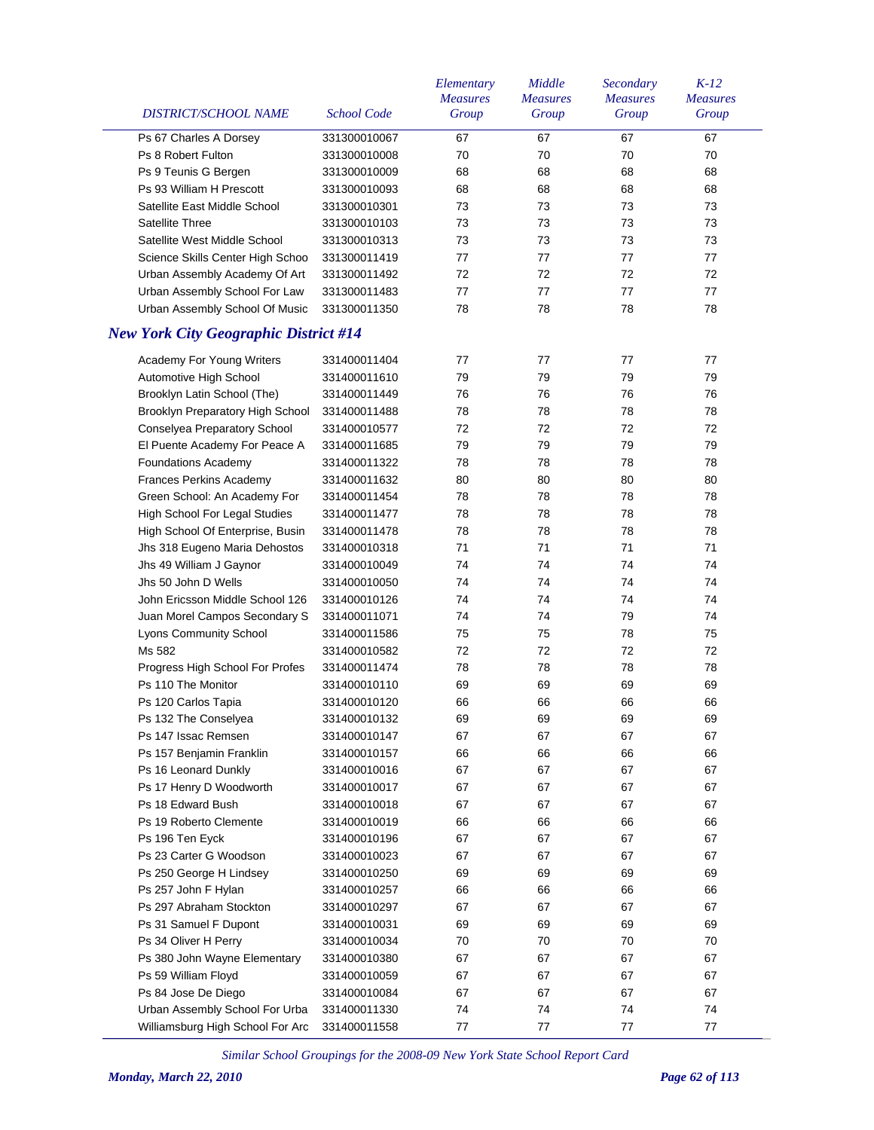| DISTRICT/SCHOOL NAME                         | School Code  | Elementary<br><b>Measures</b><br>Group | Middle<br><b>Measures</b><br>Group | Secondary<br><b>Measures</b><br>Group | $K-12$<br><b>Measures</b><br>Group |
|----------------------------------------------|--------------|----------------------------------------|------------------------------------|---------------------------------------|------------------------------------|
| Ps 67 Charles A Dorsey                       | 331300010067 | 67                                     | 67                                 | 67                                    | 67                                 |
| Ps 8 Robert Fulton                           | 331300010008 | 70                                     | 70                                 | 70                                    | 70                                 |
| Ps 9 Teunis G Bergen                         | 331300010009 | 68                                     | 68                                 | 68                                    | 68                                 |
| Ps 93 William H Prescott                     | 331300010093 | 68                                     | 68                                 | 68                                    | 68                                 |
| Satellite East Middle School                 | 331300010301 | 73                                     | 73                                 | 73                                    | 73                                 |
| <b>Satellite Three</b>                       | 331300010103 | 73                                     | 73                                 | 73                                    | 73                                 |
| Satellite West Middle School                 | 331300010313 | 73                                     | 73                                 | 73                                    | 73                                 |
| Science Skills Center High Schoo             | 331300011419 | 77                                     | 77                                 | 77                                    | 77                                 |
| Urban Assembly Academy Of Art                | 331300011492 | 72                                     | 72                                 | 72                                    | 72                                 |
| Urban Assembly School For Law                | 331300011483 | 77                                     | 77                                 | 77                                    | 77                                 |
| Urban Assembly School Of Music               | 331300011350 | 78                                     | 78                                 | 78                                    | 78                                 |
|                                              |              |                                        |                                    |                                       |                                    |
| <b>New York City Geographic District #14</b> |              |                                        |                                    |                                       |                                    |
| Academy For Young Writers                    | 331400011404 | 77                                     | 77                                 | 77                                    | 77                                 |
| Automotive High School                       | 331400011610 | 79                                     | 79                                 | 79                                    | 79                                 |
| Brooklyn Latin School (The)                  | 331400011449 | 76                                     | 76                                 | 76                                    | 76                                 |
| Brooklyn Preparatory High School             | 331400011488 | 78                                     | 78                                 | 78                                    | 78                                 |
| Conselyea Preparatory School                 | 331400010577 | 72                                     | 72                                 | 72                                    | 72                                 |
| El Puente Academy For Peace A                | 331400011685 | 79                                     | 79                                 | 79                                    | 79                                 |
| <b>Foundations Academy</b>                   | 331400011322 | 78                                     | 78                                 | 78                                    | 78                                 |
| <b>Frances Perkins Academy</b>               | 331400011632 | 80                                     | 80                                 | 80                                    | 80                                 |
| Green School: An Academy For                 | 331400011454 | 78                                     | 78                                 | 78                                    | 78                                 |
| High School For Legal Studies                | 331400011477 | 78                                     | 78                                 | 78                                    | 78                                 |
| High School Of Enterprise, Busin             | 331400011478 | 78                                     | 78                                 | 78                                    | 78                                 |
| Jhs 318 Eugeno Maria Dehostos                | 331400010318 | 71                                     | 71                                 | 71                                    | 71                                 |
| Jhs 49 William J Gaynor                      | 331400010049 | 74                                     | 74                                 | 74                                    | 74                                 |
| Jhs 50 John D Wells                          | 331400010050 | 74                                     | 74                                 | 74                                    | 74                                 |
| John Ericsson Middle School 126              | 331400010126 | 74                                     | 74                                 | 74                                    | 74                                 |
| Juan Morel Campos Secondary S                | 331400011071 | 74                                     | 74                                 | 79                                    | 74                                 |
| Lyons Community School                       | 331400011586 | 75                                     | 75                                 | 78                                    | 75                                 |
| Ms 582                                       | 331400010582 | 72                                     | 72                                 | 72                                    | 72                                 |
| Progress High School For Profes              | 331400011474 | 78                                     | 78                                 | 78                                    | 78                                 |
| Ps 110 The Monitor                           | 331400010110 | 69                                     | 69                                 | 69                                    | 69                                 |
| Ps 120 Carlos Tapia                          | 331400010120 | 66                                     | 66                                 | 66                                    | 66                                 |
| Ps 132 The Conselyea                         | 331400010132 | 69                                     | 69                                 | 69                                    | 69                                 |
| Ps 147 Issac Remsen                          | 331400010147 | 67                                     | 67                                 | 67                                    | 67                                 |
| Ps 157 Benjamin Franklin                     | 331400010157 | 66                                     | 66                                 | 66                                    | 66                                 |
| Ps 16 Leonard Dunkly                         | 331400010016 | 67                                     | 67                                 | 67                                    | 67                                 |
| Ps 17 Henry D Woodworth                      | 331400010017 | 67                                     | 67                                 | 67                                    | 67                                 |
| Ps 18 Edward Bush                            | 331400010018 | 67                                     | 67                                 | 67                                    | 67                                 |
| Ps 19 Roberto Clemente                       | 331400010019 | 66                                     | 66                                 | 66                                    | 66                                 |
| Ps 196 Ten Eyck                              | 331400010196 | 67                                     | 67                                 | 67                                    | 67                                 |
| Ps 23 Carter G Woodson                       | 331400010023 | 67                                     | 67                                 | 67                                    | 67                                 |
| Ps 250 George H Lindsey                      | 331400010250 | 69                                     | 69                                 | 69                                    | 69                                 |
| Ps 257 John F Hylan                          | 331400010257 | 66                                     | 66                                 | 66                                    | 66                                 |
| Ps 297 Abraham Stockton                      | 331400010297 | 67                                     | 67                                 | 67                                    | 67                                 |
| Ps 31 Samuel F Dupont                        | 331400010031 | 69                                     | 69                                 | 69                                    | 69                                 |
| Ps 34 Oliver H Perry                         | 331400010034 | 70                                     | 70                                 | 70                                    | 70                                 |
| Ps 380 John Wayne Elementary                 | 331400010380 | 67                                     | 67                                 | 67                                    | 67                                 |
| Ps 59 William Floyd                          | 331400010059 | 67                                     | 67                                 | 67                                    | 67                                 |
| Ps 84 Jose De Diego                          | 331400010084 | 67                                     | 67                                 | 67                                    | 67                                 |
| Urban Assembly School For Urba               | 331400011330 | 74                                     | 74                                 | 74                                    | 74                                 |
| Williamsburg High School For Arc             | 331400011558 | 77                                     | 77                                 | 77                                    | 77                                 |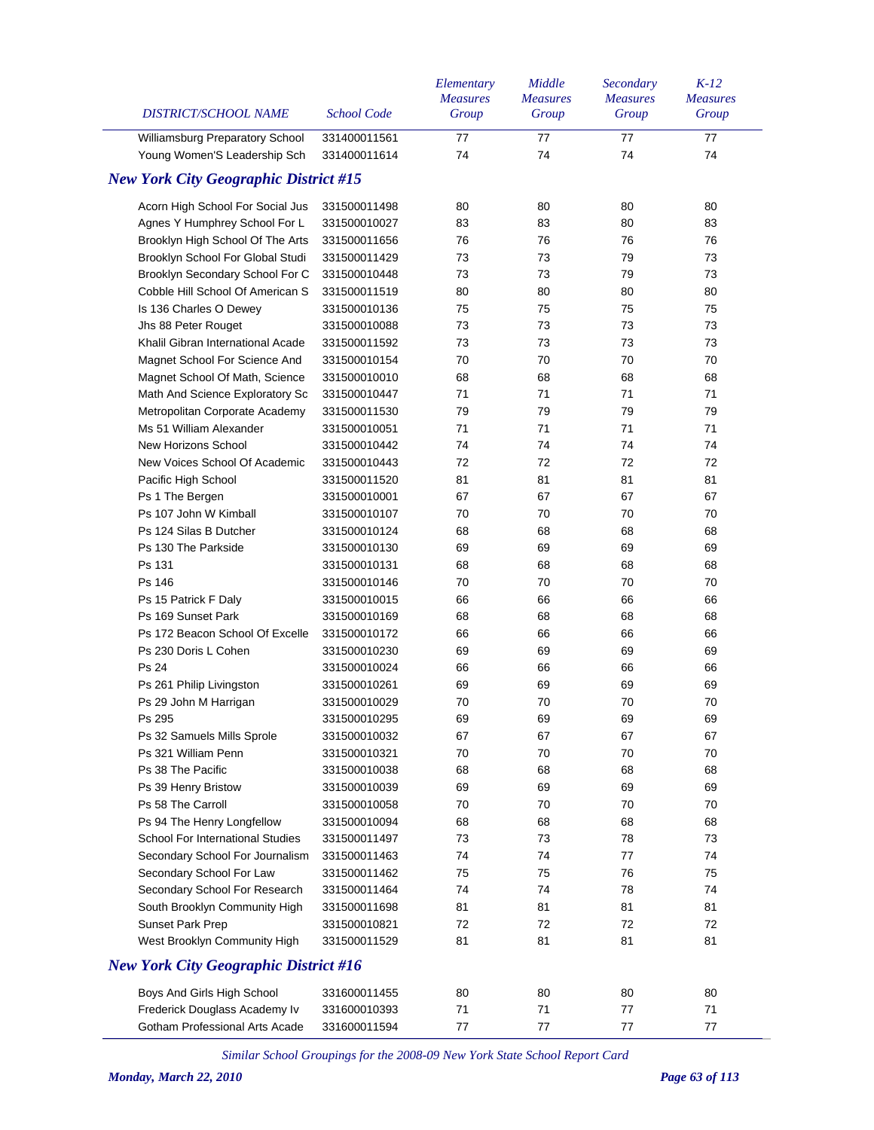| <b>DISTRICT/SCHOOL NAME</b>                  | <b>School Code</b> | Elementary<br><b>Measures</b><br>Group | Middle<br><b>Measures</b><br>Group | Secondary<br><b>Measures</b><br>Group | $K-12$<br><b>Measures</b><br>Group |
|----------------------------------------------|--------------------|----------------------------------------|------------------------------------|---------------------------------------|------------------------------------|
| Williamsburg Preparatory School              | 331400011561       | 77                                     | 77                                 | 77                                    | 77                                 |
| Young Women'S Leadership Sch                 | 331400011614       | 74                                     | 74                                 | 74                                    | 74                                 |
| <b>New York City Geographic District #15</b> |                    |                                        |                                    |                                       |                                    |
| Acorn High School For Social Jus             | 331500011498       | 80                                     | 80                                 | 80                                    | 80                                 |
| Agnes Y Humphrey School For L                | 331500010027       | 83                                     | 83                                 | 80                                    | 83                                 |
| Brooklyn High School Of The Arts             | 331500011656       | 76                                     | 76                                 | 76                                    | 76                                 |
| Brooklyn School For Global Studi             | 331500011429       | 73                                     | 73                                 | 79                                    | 73                                 |
| Brooklyn Secondary School For C              | 331500010448       | 73                                     | 73                                 | 79                                    | 73                                 |
| Cobble Hill School Of American S             | 331500011519       | 80                                     | 80                                 | 80                                    | 80                                 |
| Is 136 Charles O Dewey                       | 331500010136       | 75                                     | 75                                 | 75                                    | 75                                 |
| Jhs 88 Peter Rouget                          | 331500010088       | 73                                     | 73                                 | 73                                    | 73                                 |
| Khalil Gibran International Acade            | 331500011592       | 73                                     | 73                                 | 73                                    | 73                                 |
| Magnet School For Science And                | 331500010154       | 70                                     | 70                                 | 70                                    | 70                                 |
| Magnet School Of Math, Science               | 331500010010       | 68                                     | 68                                 | 68                                    | 68                                 |
| Math And Science Exploratory Sc              | 331500010447       | 71                                     | 71                                 | 71                                    | 71                                 |
| Metropolitan Corporate Academy               | 331500011530       | 79                                     | 79                                 | 79                                    | 79                                 |
| Ms 51 William Alexander                      | 331500010051       | 71                                     | 71                                 | 71                                    | 71                                 |
| New Horizons School                          | 331500010442       | 74                                     | 74                                 | 74                                    | 74                                 |
| New Voices School Of Academic                | 331500010443       | 72                                     | 72                                 | 72                                    | 72                                 |
| Pacific High School                          | 331500011520       | 81                                     | 81                                 | 81                                    | 81                                 |
| Ps 1 The Bergen                              | 331500010001       | 67                                     | 67                                 | 67                                    | 67                                 |
| Ps 107 John W Kimball                        | 331500010107       | 70                                     | 70                                 | 70                                    | 70                                 |
| Ps 124 Silas B Dutcher                       | 331500010124       | 68                                     | 68                                 | 68                                    | 68                                 |
| Ps 130 The Parkside                          | 331500010130       | 69                                     | 69                                 | 69                                    | 69                                 |
| Ps 131                                       | 331500010131       | 68                                     | 68                                 | 68                                    | 68                                 |
| Ps 146                                       | 331500010146       | 70                                     | 70                                 | 70                                    | 70                                 |
| Ps 15 Patrick F Daly                         | 331500010015       | 66                                     | 66                                 | 66                                    | 66                                 |
| Ps 169 Sunset Park                           | 331500010169       | 68                                     | 68                                 | 68                                    | 68                                 |
| Ps 172 Beacon School Of Excelle              | 331500010172       | 66                                     | 66                                 | 66                                    | 66                                 |
| Ps 230 Doris L Cohen                         | 331500010230       | 69                                     | 69                                 | 69                                    | 69                                 |
| Ps 24                                        | 331500010024       | 66                                     | 66                                 | 66                                    | 66                                 |
| Ps 261 Philip Livingston                     | 331500010261       | 69                                     | 69                                 | 69                                    | 69                                 |
| Ps 29 John M Harrigan                        | 331500010029       | 70                                     | 70                                 | 70                                    | 70                                 |
| Ps 295                                       | 331500010295       | 69                                     | 69                                 | 69                                    | 69                                 |
| Ps 32 Samuels Mills Sprole                   | 331500010032       | 67                                     | 67                                 | 67                                    | 67                                 |
| Ps 321 William Penn                          | 331500010321       | 70                                     | 70                                 | 70                                    | 70                                 |
| Ps 38 The Pacific                            | 331500010038       | 68                                     | 68                                 | 68                                    | 68                                 |
| Ps 39 Henry Bristow                          | 331500010039       | 69                                     | 69                                 | 69                                    | 69                                 |
| Ps 58 The Carroll                            | 331500010058       | 70                                     | 70                                 | 70                                    | 70                                 |
| Ps 94 The Henry Longfellow                   | 331500010094       | 68                                     | 68                                 | 68                                    | 68                                 |
| <b>School For International Studies</b>      | 331500011497       | 73                                     | 73                                 | 78                                    | 73                                 |
| Secondary School For Journalism              | 331500011463       | 74                                     | 74                                 | 77                                    | 74                                 |
| Secondary School For Law                     | 331500011462       | 75                                     | 75                                 | 76                                    | 75                                 |
| Secondary School For Research                | 331500011464       | 74                                     | 74                                 | 78                                    | 74                                 |
| South Brooklyn Community High                | 331500011698       | 81                                     | 81                                 | 81                                    | 81                                 |
| Sunset Park Prep                             | 331500010821       | 72                                     | 72                                 | 72                                    | 72                                 |
| West Brooklyn Community High                 | 331500011529       | 81                                     | 81                                 | 81                                    | 81                                 |
| <b>New York City Geographic District #16</b> |                    |                                        |                                    |                                       |                                    |
| Boys And Girls High School                   | 331600011455       | 80                                     | 80                                 | 80                                    | 80                                 |
| Frederick Douglass Academy Iv                | 331600010393       | 71                                     | 71                                 | 77                                    | 71                                 |
| Gotham Professional Arts Acade               | 331600011594       | 77                                     | 77                                 | 77                                    | 77                                 |
|                                              |                    |                                        |                                    |                                       |                                    |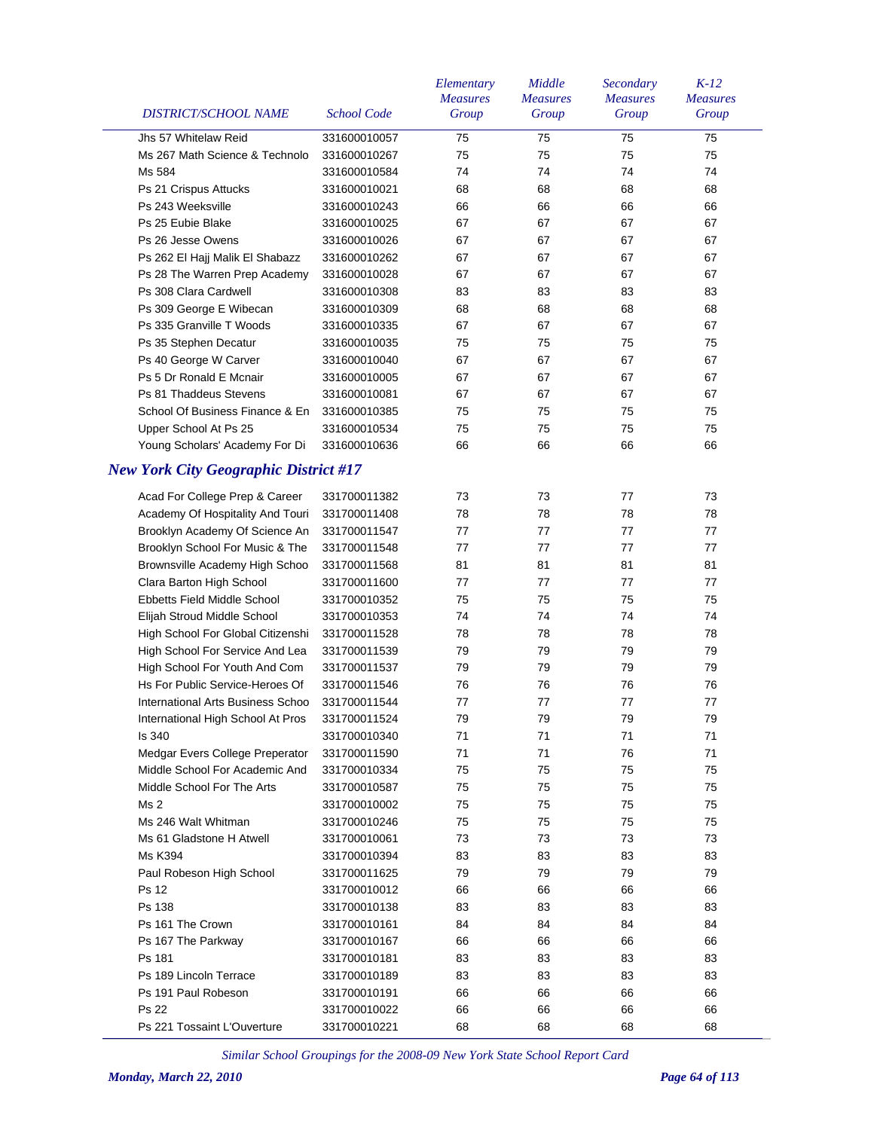| DISTRICT/SCHOOL NAME                         | <b>School Code</b> | Elementary<br><b>Measures</b><br>Group | Middle<br><b>Measures</b><br>Group | Secondary<br><b>Measures</b><br>Group | $K-12$<br><b>Measures</b><br>Group |
|----------------------------------------------|--------------------|----------------------------------------|------------------------------------|---------------------------------------|------------------------------------|
| Jhs 57 Whitelaw Reid                         | 331600010057       | 75                                     | 75                                 | 75                                    | 75                                 |
| Ms 267 Math Science & Technolo               | 331600010267       | 75                                     | 75                                 | 75                                    | 75                                 |
| Ms 584                                       | 331600010584       | 74                                     | 74                                 | 74                                    | 74                                 |
| Ps 21 Crispus Attucks                        | 331600010021       | 68                                     | 68                                 | 68                                    | 68                                 |
| Ps 243 Weeksville                            | 331600010243       | 66                                     | 66                                 | 66                                    | 66                                 |
| Ps 25 Eubie Blake                            | 331600010025       | 67                                     | 67                                 | 67                                    | 67                                 |
| Ps 26 Jesse Owens                            | 331600010026       | 67                                     | 67                                 | 67                                    | 67                                 |
| Ps 262 El Hajj Malik El Shabazz              | 331600010262       | 67                                     | 67                                 | 67                                    | 67                                 |
| Ps 28 The Warren Prep Academy                | 331600010028       | 67                                     | 67                                 | 67                                    | 67                                 |
| Ps 308 Clara Cardwell                        | 331600010308       | 83                                     | 83                                 | 83                                    | 83                                 |
| Ps 309 George E Wibecan                      | 331600010309       | 68                                     | 68                                 | 68                                    | 68                                 |
| Ps 335 Granville T Woods                     | 331600010335       | 67                                     | 67                                 | 67                                    | 67                                 |
| Ps 35 Stephen Decatur                        | 331600010035       | 75                                     | 75                                 | 75                                    | 75                                 |
| Ps 40 George W Carver                        | 331600010040       | 67                                     | 67                                 | 67                                    | 67                                 |
| Ps 5 Dr Ronald E Mcnair                      | 331600010005       | 67                                     | 67                                 | 67                                    | 67                                 |
| Ps 81 Thaddeus Stevens                       | 331600010081       | 67                                     | 67                                 | 67                                    | 67                                 |
| School Of Business Finance & En              | 331600010385       | 75                                     | 75                                 | 75                                    | 75                                 |
| Upper School At Ps 25                        | 331600010534       | 75                                     | 75                                 | 75                                    | 75                                 |
| Young Scholars' Academy For Di               | 331600010636       | 66                                     | 66                                 | 66                                    | 66                                 |
| <b>New York City Geographic District #17</b> |                    |                                        |                                    |                                       |                                    |
|                                              |                    |                                        |                                    |                                       |                                    |
| Acad For College Prep & Career               | 331700011382       | 73                                     | 73                                 | 77                                    | 73                                 |
| Academy Of Hospitality And Touri             | 331700011408       | 78                                     | 78                                 | 78                                    | 78                                 |
| Brooklyn Academy Of Science An               | 331700011547       | 77                                     | 77                                 | 77                                    | 77                                 |
| Brooklyn School For Music & The              | 331700011548       | 77                                     | 77                                 | 77                                    | 77                                 |
| Brownsville Academy High Schoo               | 331700011568       | 81                                     | 81                                 | 81                                    | 81                                 |
| Clara Barton High School                     | 331700011600       | 77                                     | 77                                 | 77                                    | 77                                 |
| Ebbetts Field Middle School                  | 331700010352       | 75                                     | 75                                 | 75                                    | 75                                 |
| Elijah Stroud Middle School                  | 331700010353       | 74                                     | 74                                 | 74                                    | 74                                 |
| High School For Global Citizenshi            | 331700011528       | 78                                     | 78                                 | 78                                    | 78                                 |
| High School For Service And Lea              | 331700011539       | 79                                     | 79                                 | 79                                    | 79                                 |
| High School For Youth And Com                | 331700011537       | 79                                     | 79                                 | 79                                    | 79                                 |
| Hs For Public Service-Heroes Of              | 331700011546       | 76                                     | 76                                 | 76                                    | 76                                 |
| International Arts Business Schoo            | 331700011544       | 77                                     | 77                                 | 77                                    | 77                                 |
| International High School At Pros            | 331700011524       | 79                                     | 79                                 | 79                                    | 79                                 |
| Is 340                                       | 331700010340       | 71                                     | 71                                 | 71                                    | 71                                 |
| Medgar Evers College Preperator              | 331700011590       | 71                                     | 71                                 | 76                                    | 71                                 |
| Middle School For Academic And               | 331700010334       | 75                                     | 75                                 | 75                                    | 75                                 |
| Middle School For The Arts                   | 331700010587       | 75                                     | 75                                 | 75                                    | 75                                 |
| Ms 2                                         | 331700010002       | 75                                     | 75                                 | 75                                    | 75                                 |
| Ms 246 Walt Whitman                          | 331700010246       | 75                                     | 75                                 | 75                                    | 75                                 |
| Ms 61 Gladstone H Atwell                     | 331700010061       | 73                                     | 73                                 | 73                                    | 73                                 |
| Ms K394                                      | 331700010394       | 83                                     | 83                                 | 83                                    | 83                                 |
| Paul Robeson High School                     | 331700011625       | 79                                     | 79                                 | 79                                    | 79                                 |
| Ps 12                                        | 331700010012       | 66                                     | 66                                 | 66                                    | 66                                 |
| Ps 138                                       | 331700010138       | 83                                     | 83                                 | 83                                    | 83                                 |
| Ps 161 The Crown                             | 331700010161       | 84                                     | 84                                 | 84                                    | 84                                 |
| Ps 167 The Parkway                           | 331700010167       | 66                                     | 66                                 | 66                                    | 66                                 |
| Ps 181                                       | 331700010181       | 83                                     | 83                                 | 83                                    | 83                                 |
| Ps 189 Lincoln Terrace                       | 331700010189       | 83                                     | 83                                 | 83                                    | 83                                 |
| Ps 191 Paul Robeson                          | 331700010191       | 66                                     | 66                                 | 66                                    | 66                                 |
| Ps 22                                        | 331700010022       | 66                                     | 66                                 | 66                                    | 66                                 |
| Ps 221 Tossaint L'Ouverture                  | 331700010221       | 68                                     | 68                                 | 68                                    | 68                                 |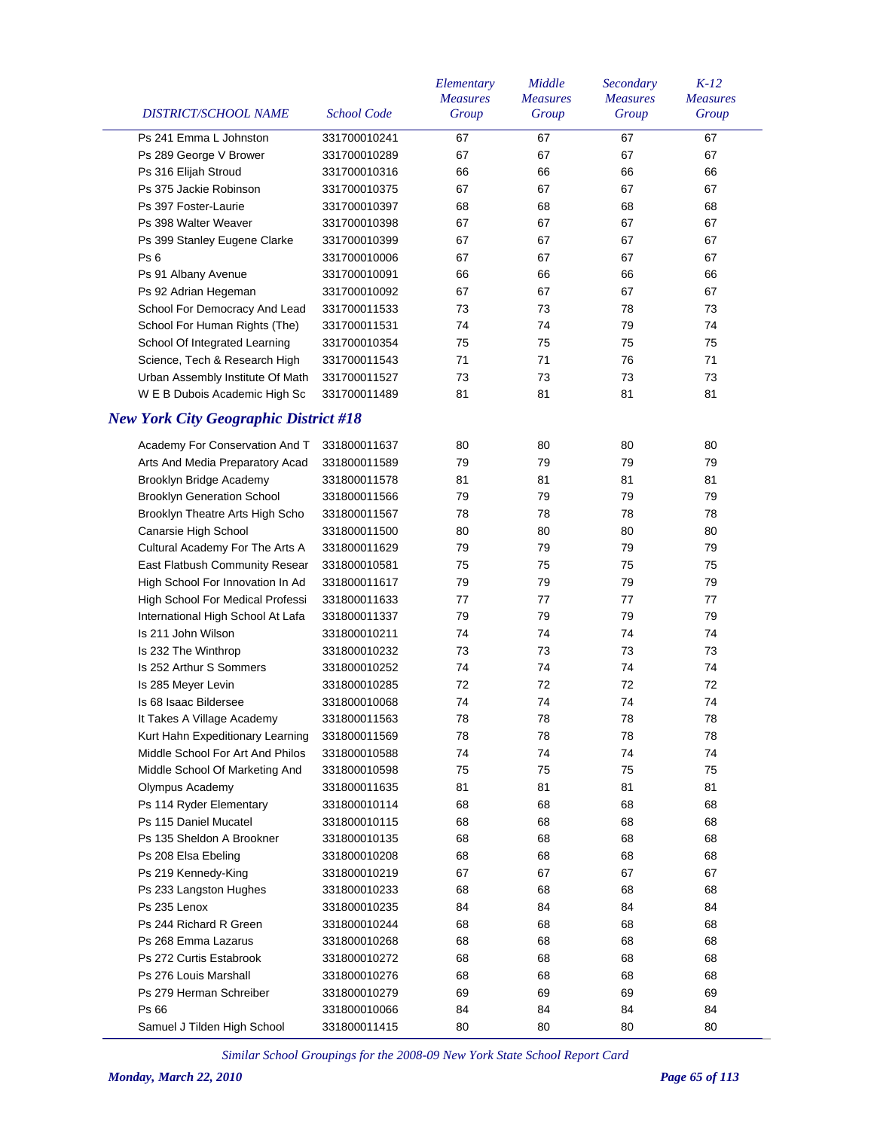| DISTRICT/SCHOOL NAME                         | <b>School Code</b> | Elementary<br><b>Measures</b><br>Group | Middle<br><b>Measures</b><br>Group | Secondary<br><b>Measures</b><br>Group | $K-12$<br><b>Measures</b><br>Group |
|----------------------------------------------|--------------------|----------------------------------------|------------------------------------|---------------------------------------|------------------------------------|
| Ps 241 Emma L Johnston                       | 331700010241       | 67                                     | 67                                 | 67                                    | 67                                 |
| Ps 289 George V Brower                       | 331700010289       | 67                                     | 67                                 | 67                                    | 67                                 |
| Ps 316 Elijah Stroud                         | 331700010316       | 66                                     | 66                                 | 66                                    | 66                                 |
| Ps 375 Jackie Robinson                       | 331700010375       | 67                                     | 67                                 | 67                                    | 67                                 |
| Ps 397 Foster-Laurie                         | 331700010397       | 68                                     | 68                                 | 68                                    | 68                                 |
| Ps 398 Walter Weaver                         | 331700010398       | 67                                     | 67                                 | 67                                    | 67                                 |
| Ps 399 Stanley Eugene Clarke                 | 331700010399       | 67                                     | 67                                 | 67                                    | 67                                 |
| Ps <sub>6</sub>                              | 331700010006       | 67                                     | 67                                 | 67                                    | 67                                 |
| Ps 91 Albany Avenue                          | 331700010091       | 66                                     | 66                                 | 66                                    | 66                                 |
| Ps 92 Adrian Hegeman                         | 331700010092       | 67                                     | 67                                 | 67                                    | 67                                 |
| School For Democracy And Lead                | 331700011533       | 73                                     | 73                                 | 78                                    | 73                                 |
| School For Human Rights (The)                | 331700011531       | 74                                     | 74                                 | 79                                    | 74                                 |
| School Of Integrated Learning                | 331700010354       | 75                                     | 75                                 | 75                                    | 75                                 |
| Science, Tech & Research High                | 331700011543       | 71                                     | 71                                 | 76                                    | 71                                 |
| Urban Assembly Institute Of Math             | 331700011527       | 73                                     | 73                                 | 73                                    | 73                                 |
| W E B Dubois Academic High Sc                | 331700011489       | 81                                     | 81                                 | 81                                    | 81                                 |
| <b>New York City Geographic District #18</b> |                    |                                        |                                    |                                       |                                    |
| Academy For Conservation And T               | 331800011637       | 80                                     | 80                                 | 80                                    | 80                                 |
| Arts And Media Preparatory Acad              | 331800011589       | 79                                     | 79                                 | 79                                    | 79                                 |
| Brooklyn Bridge Academy                      | 331800011578       | 81                                     | 81                                 | 81                                    | 81                                 |
| <b>Brooklyn Generation School</b>            | 331800011566       | 79                                     | 79                                 | 79                                    | 79                                 |
| Brooklyn Theatre Arts High Scho              | 331800011567       | 78                                     | 78                                 | 78                                    | 78                                 |
| Canarsie High School                         | 331800011500       | 80                                     | 80                                 | 80                                    | 80                                 |
| Cultural Academy For The Arts A              | 331800011629       | 79                                     | 79                                 | 79                                    | 79                                 |
| East Flatbush Community Resear               | 331800010581       | 75                                     | 75                                 | 75                                    | 75                                 |
| High School For Innovation In Ad             | 331800011617       | 79                                     | 79                                 | 79                                    | 79                                 |
| High School For Medical Professi             | 331800011633       | 77                                     | 77                                 | 77                                    | 77                                 |
| International High School At Lafa            | 331800011337       | 79                                     | 79                                 | 79                                    | 79                                 |
| Is 211 John Wilson                           | 331800010211       | 74                                     | 74                                 | 74                                    | 74                                 |
| Is 232 The Winthrop                          | 331800010232       | 73                                     | 73                                 | 73                                    | 73                                 |
| Is 252 Arthur S Sommers                      | 331800010252       | 74                                     | 74                                 | 74                                    | 74                                 |
| Is 285 Meyer Levin                           | 331800010285       | 72                                     | 72                                 | 72                                    | 72                                 |
| Is 68 Isaac Bildersee                        | 331800010068       | 74                                     | 74                                 | 74                                    | 74                                 |
| It Takes A Village Academy                   | 331800011563       | 78                                     | 78                                 | 78                                    | 78                                 |
| Kurt Hahn Expeditionary Learning             | 331800011569       | 78                                     | 78                                 | 78                                    | 78                                 |
| Middle School For Art And Philos             | 331800010588       | 74                                     | 74                                 | 74                                    | 74                                 |
| Middle School Of Marketing And               | 331800010598       | 75                                     | 75                                 | 75                                    | 75                                 |
| Olympus Academy                              | 331800011635       | 81                                     | 81                                 | 81                                    | 81                                 |
| Ps 114 Ryder Elementary                      | 331800010114       | 68                                     | 68                                 | 68                                    | 68                                 |
| Ps 115 Daniel Mucatel                        | 331800010115       | 68                                     | 68                                 | 68                                    | 68                                 |
| Ps 135 Sheldon A Brookner                    | 331800010135       | 68                                     | 68                                 | 68                                    | 68                                 |
| Ps 208 Elsa Ebeling                          | 331800010208       | 68                                     | 68                                 | 68                                    | 68                                 |
| Ps 219 Kennedy-King                          | 331800010219       | 67                                     | 67                                 | 67                                    | 67                                 |
| Ps 233 Langston Hughes                       | 331800010233       | 68                                     | 68                                 | 68                                    | 68                                 |
| Ps 235 Lenox                                 | 331800010235       | 84                                     | 84                                 | 84                                    | 84                                 |
| Ps 244 Richard R Green                       | 331800010244       | 68                                     | 68                                 | 68                                    | 68                                 |
| Ps 268 Emma Lazarus                          | 331800010268       | 68                                     | 68                                 | 68                                    | 68                                 |
| Ps 272 Curtis Estabrook                      | 331800010272       | 68                                     | 68                                 | 68                                    | 68                                 |
| Ps 276 Louis Marshall                        | 331800010276       | 68                                     | 68                                 | 68                                    | 68                                 |
| Ps 279 Herman Schreiber                      | 331800010279       | 69                                     | 69                                 | 69                                    | 69                                 |
| Ps 66                                        | 331800010066       | 84                                     | 84                                 | 84                                    | 84                                 |
| Samuel J Tilden High School                  | 331800011415       | 80                                     | 80                                 | 80                                    | 80                                 |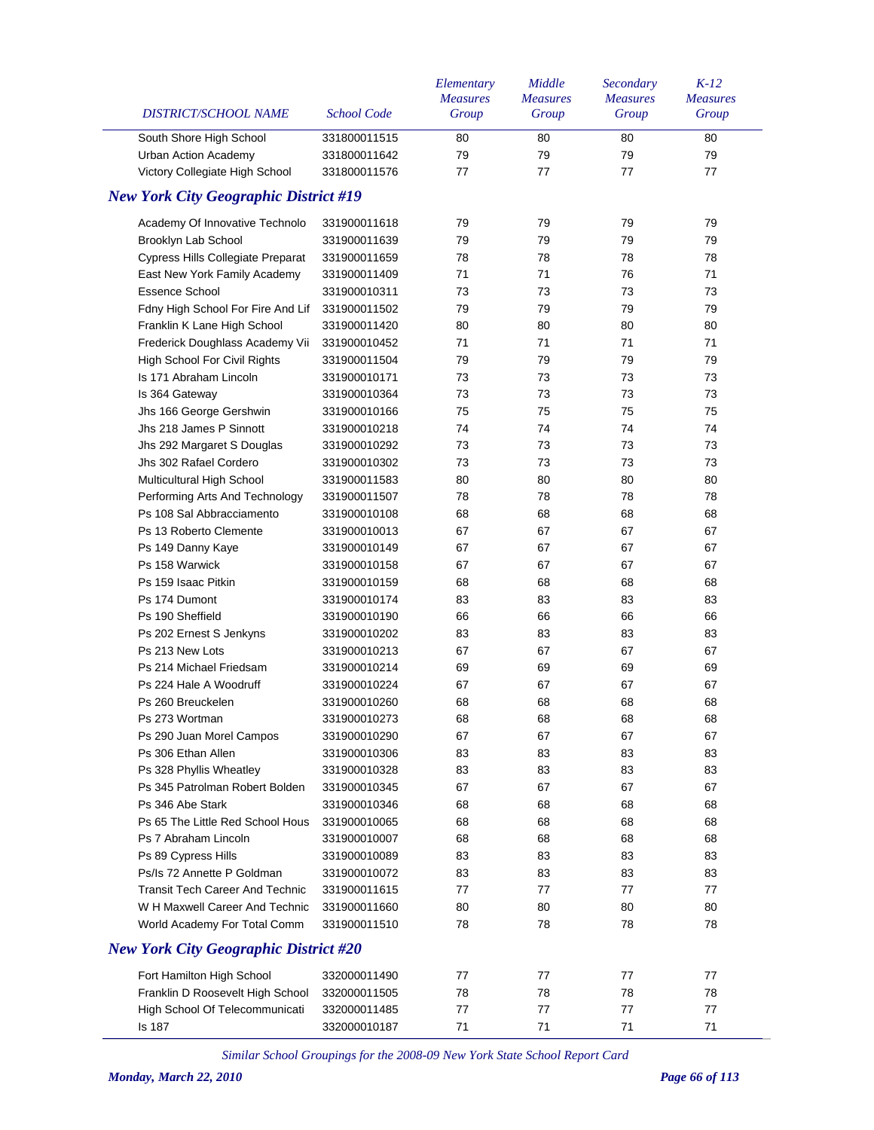| DISTRICT/SCHOOL NAME                         | <b>School Code</b> | Elementary<br><b>Measures</b><br>Group | Middle<br><b>Measures</b><br>Group | Secondary<br><b>Measures</b><br>Group | $K-12$<br><b>Measures</b><br>Group |
|----------------------------------------------|--------------------|----------------------------------------|------------------------------------|---------------------------------------|------------------------------------|
| South Shore High School                      | 331800011515       | 80                                     | 80                                 | 80                                    | 80                                 |
| <b>Urban Action Academy</b>                  | 331800011642       | 79                                     | 79                                 | 79                                    | 79                                 |
| Victory Collegiate High School               | 331800011576       | 77                                     | 77                                 | 77                                    | 77                                 |
| <b>New York City Geographic District #19</b> |                    |                                        |                                    |                                       |                                    |
| Academy Of Innovative Technolo               | 331900011618       | 79                                     | 79                                 | 79                                    | 79                                 |
| Brooklyn Lab School                          | 331900011639       | 79                                     | 79                                 | 79                                    | 79                                 |
| Cypress Hills Collegiate Preparat            | 331900011659       | 78                                     | 78                                 | 78                                    | 78                                 |
| East New York Family Academy                 | 331900011409       | 71                                     | 71                                 | 76                                    | 71                                 |
| <b>Essence School</b>                        | 331900010311       | 73                                     | 73                                 | 73                                    | 73                                 |
| Fdny High School For Fire And Lif            | 331900011502       | 79                                     | 79                                 | 79                                    | 79                                 |
| Franklin K Lane High School                  | 331900011420       | 80                                     | 80                                 | 80                                    | 80                                 |
| Frederick Doughlass Academy Vii              | 331900010452       | 71                                     | 71                                 | 71                                    | 71                                 |
| High School For Civil Rights                 | 331900011504       | 79                                     | 79                                 | 79                                    | 79                                 |
| Is 171 Abraham Lincoln                       | 331900010171       | 73                                     | 73                                 | 73                                    | 73                                 |
| Is 364 Gateway                               | 331900010364       | 73                                     | 73                                 | 73                                    | 73                                 |
| Jhs 166 George Gershwin                      | 331900010166       | 75                                     | 75                                 | 75                                    | 75                                 |
| Jhs 218 James P Sinnott                      | 331900010218       | 74                                     | 74                                 | 74                                    | 74                                 |
| Jhs 292 Margaret S Douglas                   | 331900010292       | 73                                     | 73                                 | 73                                    | 73                                 |
| Jhs 302 Rafael Cordero                       | 331900010302       | 73                                     | 73                                 | 73                                    | 73                                 |
| Multicultural High School                    | 331900011583       | 80                                     | 80                                 | 80                                    | 80                                 |
| Performing Arts And Technology               | 331900011507       | 78                                     | 78                                 | 78                                    | 78                                 |
| Ps 108 Sal Abbracciamento                    | 331900010108       | 68                                     | 68                                 | 68                                    | 68                                 |
| Ps 13 Roberto Clemente                       | 331900010013       | 67                                     | 67                                 | 67                                    | 67                                 |
| Ps 149 Danny Kaye                            | 331900010149       | 67                                     | 67                                 | 67                                    | 67                                 |
| Ps 158 Warwick                               | 331900010158       | 67                                     | 67                                 | 67                                    | 67                                 |
| Ps 159 Isaac Pitkin                          | 331900010159       | 68                                     | 68                                 | 68                                    | 68                                 |
| Ps 174 Dumont                                | 331900010174       | 83                                     | 83                                 | 83                                    | 83                                 |
| Ps 190 Sheffield                             | 331900010190       | 66                                     | 66                                 | 66                                    | 66                                 |
| Ps 202 Ernest S Jenkyns                      | 331900010202       | 83                                     | 83                                 | 83                                    | 83                                 |
| Ps 213 New Lots                              | 331900010213       | 67                                     | 67                                 | 67                                    | 67                                 |
| Ps 214 Michael Friedsam                      | 331900010214       | 69                                     | 69                                 | 69                                    | 69                                 |
| Ps 224 Hale A Woodruff                       | 331900010224       | 67                                     | 67                                 | 67                                    | 67                                 |
| Ps 260 Breuckelen                            | 331900010260       | 68                                     | 68                                 | 68                                    | 68                                 |
| Ps 273 Wortman                               | 331900010273       | 68                                     | 68                                 | 68                                    | 68                                 |
| Ps 290 Juan Morel Campos                     | 331900010290       | 67                                     | 67                                 | 67                                    | 67                                 |
| Ps 306 Ethan Allen                           | 331900010306       | 83                                     | 83                                 | 83                                    | 83                                 |
| Ps 328 Phyllis Wheatley                      | 331900010328       | 83                                     | 83                                 | 83                                    | 83                                 |
| Ps 345 Patrolman Robert Bolden               | 331900010345       | 67                                     | 67                                 | 67                                    | 67                                 |
| Ps 346 Abe Stark                             | 331900010346       | 68                                     | 68                                 | 68                                    | 68                                 |
| Ps 65 The Little Red School Hous             | 331900010065       | 68                                     | 68                                 | 68                                    | 68                                 |
| Ps 7 Abraham Lincoln                         | 331900010007       | 68                                     | 68                                 | 68                                    | 68                                 |
| Ps 89 Cypress Hills                          | 331900010089       | 83                                     | 83                                 | 83                                    | 83                                 |
| Ps/Is 72 Annette P Goldman                   | 331900010072       | 83                                     | 83                                 | 83                                    | 83                                 |
| <b>Transit Tech Career And Technic</b>       | 331900011615       | 77                                     | 77                                 | 77                                    | 77                                 |
| W H Maxwell Career And Technic               | 331900011660       | 80                                     | 80                                 | 80                                    | 80                                 |
| World Academy For Total Comm                 | 331900011510       | 78                                     | 78                                 | 78                                    | 78                                 |
| <b>New York City Geographic District #20</b> |                    |                                        |                                    |                                       |                                    |
| Fort Hamilton High School                    | 332000011490       | 77                                     | 77                                 | 77                                    | 77                                 |
| Franklin D Roosevelt High School             | 332000011505       | 78                                     | 78                                 | 78                                    | 78                                 |
| High School Of Telecommunicati               | 332000011485       | 77                                     | 77                                 | 77                                    | 77                                 |
| <b>Is 187</b>                                | 332000010187       | 71                                     | 71                                 | 71                                    | 71                                 |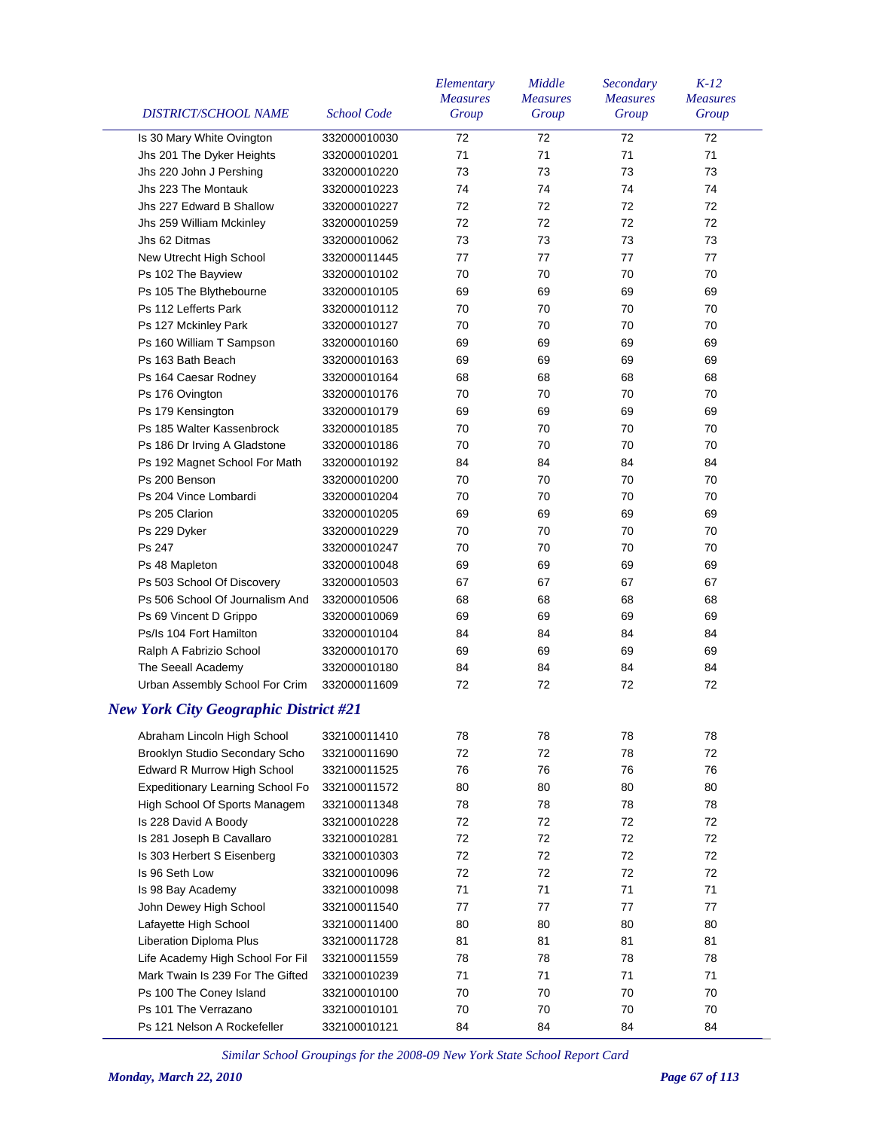| <b>DISTRICT/SCHOOL NAME</b>                  | <b>School Code</b> | Elementary<br><b>Measures</b><br>Group | Middle<br><b>Measures</b><br>Group | Secondary<br><b>Measures</b><br>Group | $K-12$<br><b>Measures</b><br>Group |
|----------------------------------------------|--------------------|----------------------------------------|------------------------------------|---------------------------------------|------------------------------------|
| Is 30 Mary White Ovington                    | 332000010030       | 72                                     | 72                                 | 72                                    | 72                                 |
| Jhs 201 The Dyker Heights                    | 332000010201       | 71                                     | 71                                 | 71                                    | 71                                 |
| Jhs 220 John J Pershing                      | 332000010220       | 73                                     | 73                                 | 73                                    | 73                                 |
| Jhs 223 The Montauk                          | 332000010223       | 74                                     | 74                                 | 74                                    | 74                                 |
| Jhs 227 Edward B Shallow                     | 332000010227       | 72                                     | 72                                 | 72                                    | 72                                 |
| Jhs 259 William Mckinley                     | 332000010259       | 72                                     | 72                                 | 72                                    | 72                                 |
| Jhs 62 Ditmas                                | 332000010062       | 73                                     | 73                                 | 73                                    | 73                                 |
| New Utrecht High School                      | 332000011445       | 77                                     | 77                                 | 77                                    | 77                                 |
| Ps 102 The Bayview                           | 332000010102       | 70                                     | 70                                 | 70                                    | 70                                 |
| Ps 105 The Blythebourne                      | 332000010105       | 69                                     | 69                                 | 69                                    | 69                                 |
| Ps 112 Lefferts Park                         | 332000010112       | 70                                     | 70                                 | 70                                    | 70                                 |
| Ps 127 Mckinley Park                         | 332000010127       | 70                                     | 70                                 | 70                                    | 70                                 |
| Ps 160 William T Sampson                     | 332000010160       | 69                                     | 69                                 | 69                                    | 69                                 |
| Ps 163 Bath Beach                            | 332000010163       | 69                                     | 69                                 | 69                                    | 69                                 |
| Ps 164 Caesar Rodney                         | 332000010164       | 68                                     | 68                                 | 68                                    | 68                                 |
| Ps 176 Ovington                              | 332000010176       | 70                                     | 70                                 | 70                                    | 70                                 |
| Ps 179 Kensington                            | 332000010179       | 69                                     | 69                                 | 69                                    | 69                                 |
| Ps 185 Walter Kassenbrock                    | 332000010185       | 70                                     | 70                                 | 70                                    | 70                                 |
| Ps 186 Dr Irving A Gladstone                 | 332000010186       | 70                                     | 70                                 | 70                                    | 70                                 |
| Ps 192 Magnet School For Math                | 332000010192       | 84                                     | 84                                 | 84                                    | 84                                 |
| Ps 200 Benson                                | 332000010200       | 70                                     | 70                                 | 70                                    | 70                                 |
| Ps 204 Vince Lombardi                        | 332000010204       | 70                                     | 70                                 | 70                                    | 70                                 |
| Ps 205 Clarion                               | 332000010205       | 69                                     | 69                                 | 69                                    | 69                                 |
| Ps 229 Dyker                                 | 332000010229       | 70                                     | 70                                 | 70                                    | 70                                 |
| Ps 247                                       | 332000010247       | 70                                     | 70                                 | 70                                    | 70                                 |
| Ps 48 Mapleton                               | 332000010048       | 69                                     | 69                                 | 69                                    | 69                                 |
| Ps 503 School Of Discovery                   | 332000010503       | 67                                     | 67                                 | 67                                    | 67                                 |
| Ps 506 School Of Journalism And              | 332000010506       | 68                                     | 68                                 | 68                                    | 68                                 |
| Ps 69 Vincent D Grippo                       | 332000010069       | 69                                     | 69                                 | 69                                    | 69                                 |
| Ps/Is 104 Fort Hamilton                      | 332000010104       | 84                                     | 84                                 | 84                                    | 84                                 |
| Ralph A Fabrizio School                      | 332000010170       | 69                                     | 69                                 | 69                                    | 69                                 |
| The Seeall Academy                           | 332000010180       | 84                                     | 84                                 | 84                                    | 84                                 |
| Urban Assembly School For Crim               | 332000011609       | 72                                     | 72                                 | 72                                    | 72                                 |
| <b>New York City Geographic District #21</b> |                    |                                        |                                    |                                       |                                    |
| Abraham Lincoln High School                  | 332100011410       | 78                                     | 78                                 | 78                                    | 78                                 |
| Brooklyn Studio Secondary Scho               | 332100011690       | 72                                     | 72                                 | 78                                    | 72                                 |
| Edward R Murrow High School                  | 332100011525       | 76                                     | 76                                 | 76                                    | 76                                 |
| Expeditionary Learning School Fo             | 332100011572       | 80                                     | 80                                 | 80                                    | 80                                 |
| High School Of Sports Managem                | 332100011348       | 78                                     | 78                                 | 78                                    | 78                                 |
| Is 228 David A Boody                         | 332100010228       | 72                                     | 72                                 | 72                                    | 72                                 |
| Is 281 Joseph B Cavallaro                    | 332100010281       | 72                                     | 72                                 | 72                                    | 72                                 |
| Is 303 Herbert S Eisenberg                   | 332100010303       | 72                                     | 72                                 | 72                                    | 72                                 |
| Is 96 Seth Low                               | 332100010096       | 72                                     | 72                                 | 72                                    | 72                                 |
| Is 98 Bay Academy                            | 332100010098       | 71                                     | 71                                 | 71                                    | 71                                 |
| John Dewey High School                       | 332100011540       | 77                                     | 77                                 | 77                                    | 77                                 |
| Lafayette High School                        | 332100011400       | 80                                     | 80                                 | 80                                    | 80                                 |
| Liberation Diploma Plus                      | 332100011728       | 81                                     | 81                                 | 81                                    | 81                                 |
| Life Academy High School For Fil             | 332100011559       | 78                                     | 78                                 | 78                                    | 78                                 |
| Mark Twain Is 239 For The Gifted             | 332100010239       | 71                                     | 71                                 | 71                                    | 71                                 |
| Ps 100 The Coney Island                      | 332100010100       | 70                                     | 70                                 | 70                                    | 70                                 |
| Ps 101 The Verrazano                         | 332100010101       | 70                                     | 70                                 | 70                                    | 70                                 |
| Ps 121 Nelson A Rockefeller                  | 332100010121       | 84                                     | 84                                 | 84                                    | 84                                 |
|                                              |                    |                                        |                                    |                                       |                                    |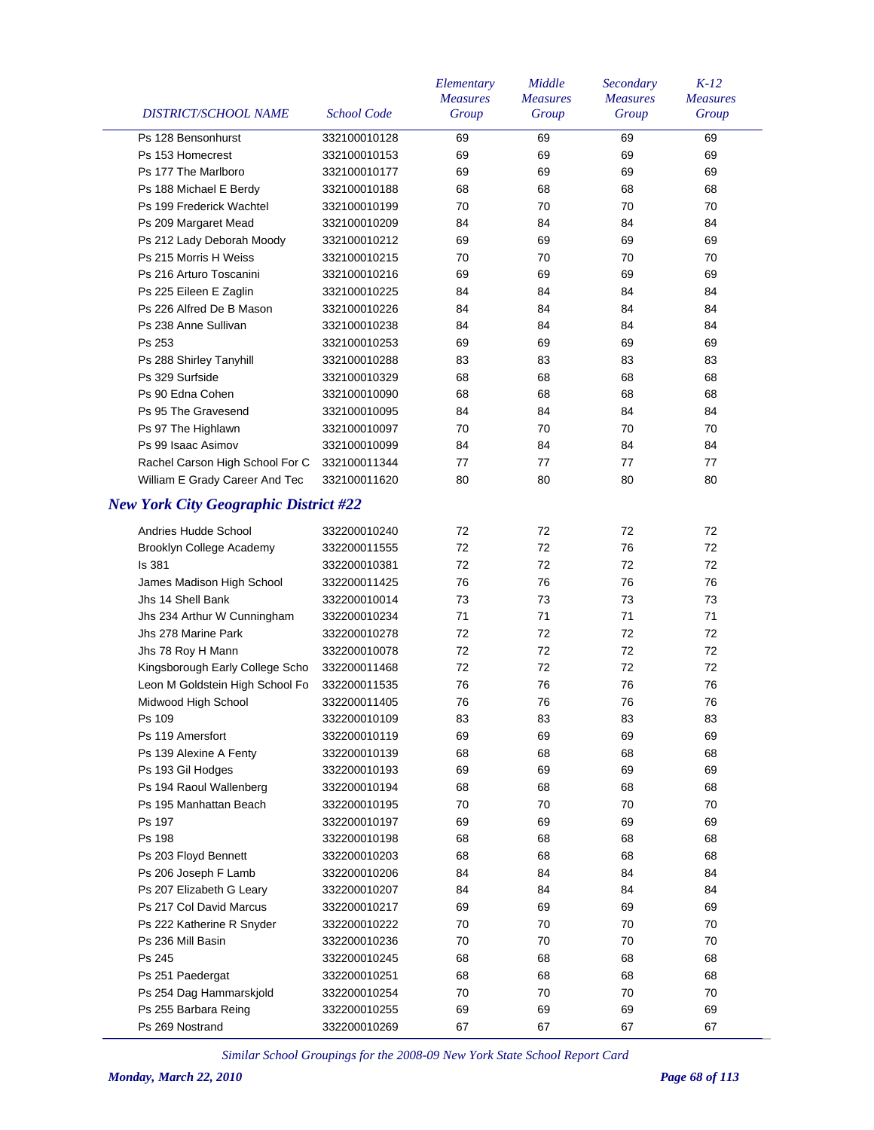|                                              |                    | Elementary<br><b>Measures</b> | Middle<br><b>Measures</b> | Secondary<br><b>Measures</b> | $K-12$<br><b>Measures</b> |
|----------------------------------------------|--------------------|-------------------------------|---------------------------|------------------------------|---------------------------|
| DISTRICT/SCHOOL NAME                         | <b>School Code</b> | Group                         | Group                     | Group                        | Group                     |
| Ps 128 Bensonhurst                           | 332100010128       | 69                            | 69                        | 69                           | 69                        |
| Ps 153 Homecrest                             | 332100010153       | 69                            | 69                        | 69                           | 69                        |
| Ps 177 The Marlboro                          | 332100010177       | 69                            | 69                        | 69                           | 69                        |
| Ps 188 Michael E Berdy                       | 332100010188       | 68                            | 68                        | 68                           | 68                        |
| Ps 199 Frederick Wachtel                     | 332100010199       | 70                            | 70                        | 70                           | 70                        |
| Ps 209 Margaret Mead                         | 332100010209       | 84                            | 84                        | 84                           | 84                        |
| Ps 212 Lady Deborah Moody                    | 332100010212       | 69                            | 69                        | 69                           | 69                        |
| Ps 215 Morris H Weiss                        | 332100010215       | 70                            | 70                        | 70                           | 70                        |
| Ps 216 Arturo Toscanini                      | 332100010216       | 69                            | 69                        | 69                           | 69                        |
| Ps 225 Eileen E Zaglin                       | 332100010225       | 84                            | 84                        | 84                           | 84                        |
| Ps 226 Alfred De B Mason                     | 332100010226       | 84                            | 84                        | 84                           | 84                        |
| Ps 238 Anne Sullivan                         | 332100010238       | 84                            | 84                        | 84                           | 84                        |
| Ps 253                                       | 332100010253       | 69                            | 69                        | 69                           | 69                        |
| Ps 288 Shirley Tanyhill                      | 332100010288       | 83                            | 83                        | 83                           | 83                        |
| Ps 329 Surfside                              | 332100010329       | 68                            | 68                        | 68                           | 68                        |
| Ps 90 Edna Cohen                             | 332100010090       | 68                            | 68                        | 68                           | 68                        |
| Ps 95 The Gravesend                          | 332100010095       | 84                            | 84                        | 84                           | 84                        |
| Ps 97 The Highlawn                           | 332100010097       | 70                            | 70                        | 70                           | 70                        |
| Ps 99 Isaac Asimov                           | 332100010099       | 84                            | 84                        | 84                           | 84                        |
| Rachel Carson High School For C              | 332100011344       | 77                            | 77                        | 77                           | 77                        |
| William E Grady Career And Tec               | 332100011620       | 80                            | 80                        | 80                           | 80                        |
| <b>New York City Geographic District #22</b> |                    |                               |                           |                              |                           |
| Andries Hudde School                         | 332200010240       | 72                            | 72                        | 72                           | 72                        |
| Brooklyn College Academy                     | 332200011555       | 72                            | 72                        | 76                           | 72                        |
| Is 381                                       | 332200010381       | 72                            | 72                        | 72                           | 72                        |
| James Madison High School                    | 332200011425       | 76                            | 76                        | 76                           | 76                        |
| Jhs 14 Shell Bank                            | 332200010014       | 73                            | 73                        | 73                           | 73                        |
| Jhs 234 Arthur W Cunningham                  | 332200010234       | 71                            | 71                        | 71                           | 71                        |
| Jhs 278 Marine Park                          | 332200010278       | 72                            | 72                        | 72                           | 72                        |
| Jhs 78 Roy H Mann                            | 332200010078       | 72                            | 72                        | 72                           | 72                        |
| Kingsborough Early College Scho              | 332200011468       | 72                            | 72                        | 72                           | 72                        |
| Leon M Goldstein High School Fo              | 332200011535       | 76                            | 76                        | 76                           | 76                        |
| Midwood High School                          | 332200011405       | 76                            | 76                        | 76                           | 76                        |
| Ps 109                                       | 332200010109       | 83                            | 83                        | 83                           | 83                        |
| Ps 119 Amersfort                             | 332200010119       | 69                            | 69                        | 69                           | 69                        |
| Ps 139 Alexine A Fenty                       | 332200010139       | 68                            | 68                        | 68                           | 68                        |
| Ps 193 Gil Hodges                            | 332200010193       | 69                            | 69                        | 69                           | 69                        |
| Ps 194 Raoul Wallenberg                      | 332200010194       | 68                            | 68                        | 68                           | 68                        |
| Ps 195 Manhattan Beach                       | 332200010195       | 70                            | 70                        | 70                           | 70                        |
| Ps 197                                       | 332200010197       | 69                            | 69                        | 69                           | 69                        |
| Ps 198                                       | 332200010198       | 68                            | 68                        | 68                           | 68                        |
| Ps 203 Floyd Bennett                         | 332200010203       | 68                            | 68                        | 68                           | 68                        |
| Ps 206 Joseph F Lamb                         | 332200010206       | 84                            | 84                        | 84                           | 84                        |
| Ps 207 Elizabeth G Leary                     | 332200010207       | 84                            | 84                        | 84                           | 84                        |
| Ps 217 Col David Marcus                      | 332200010217       | 69                            | 69                        | 69                           | 69                        |
| Ps 222 Katherine R Snyder                    | 332200010222       | 70                            | 70                        | 70                           | 70                        |
| Ps 236 Mill Basin                            | 332200010236       | 70                            | 70                        | 70                           | 70                        |
| Ps 245                                       | 332200010245       | 68                            | 68                        | 68                           | 68                        |
| Ps 251 Paedergat                             | 332200010251       | 68                            | 68                        | 68                           | 68                        |
| Ps 254 Dag Hammarskjold                      | 332200010254       | 70                            | 70                        | 70                           | 70                        |
| Ps 255 Barbara Reing                         | 332200010255       | 69                            | 69                        | 69                           | 69                        |
| Ps 269 Nostrand                              | 332200010269       | 67                            | 67                        | 67                           | 67                        |
|                                              |                    |                               |                           |                              |                           |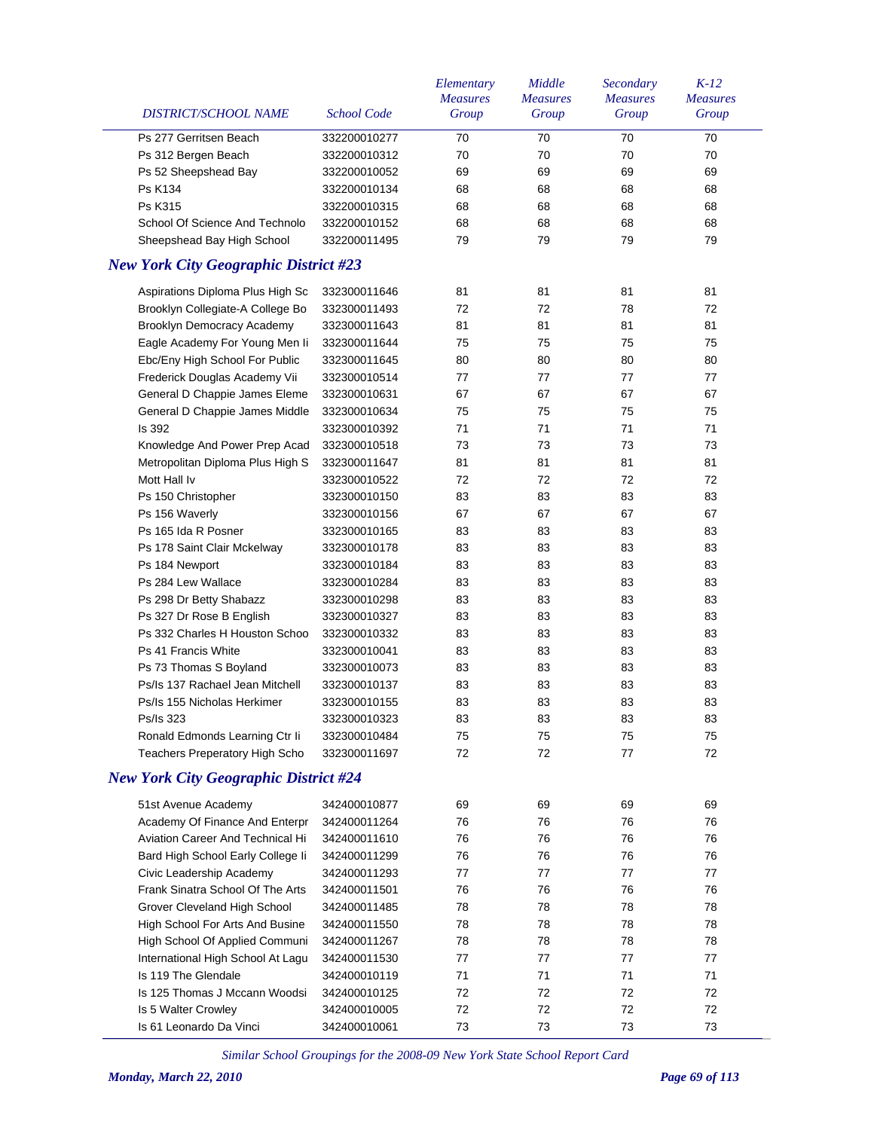| DISTRICT/SCHOOL NAME                                                                  | <b>School Code</b> | Elementary<br><b>Measures</b><br>Group | Middle<br><b>Measures</b><br>Group | Secondary<br><b>Measures</b><br>Group | $K-12$<br><b>Measures</b><br>Group |
|---------------------------------------------------------------------------------------|--------------------|----------------------------------------|------------------------------------|---------------------------------------|------------------------------------|
| Ps 277 Gerritsen Beach                                                                | 332200010277       | 70                                     | 70                                 | 70                                    | 70                                 |
| Ps 312 Bergen Beach                                                                   | 332200010312       | 70                                     | 70                                 | 70                                    | 70                                 |
| Ps 52 Sheepshead Bay                                                                  | 332200010052       | 69                                     | 69                                 | 69                                    | 69                                 |
| Ps K134                                                                               | 332200010134       | 68                                     | 68                                 | 68                                    | 68                                 |
| Ps K315                                                                               | 332200010315       | 68                                     | 68                                 | 68                                    | 68                                 |
| School Of Science And Technolo                                                        | 332200010152       | 68                                     | 68                                 | 68                                    | 68                                 |
| Sheepshead Bay High School                                                            | 332200011495       | 79                                     | 79                                 | 79                                    | 79                                 |
| <b>New York City Geographic District #23</b>                                          |                    |                                        |                                    |                                       |                                    |
| Aspirations Diploma Plus High Sc                                                      | 332300011646       | 81                                     | 81                                 | 81                                    | 81                                 |
| Brooklyn Collegiate-A College Bo                                                      | 332300011493       | 72                                     | 72                                 | 78                                    | 72                                 |
| Brooklyn Democracy Academy                                                            | 332300011643       | 81                                     | 81                                 | 81                                    | 81                                 |
| Eagle Academy For Young Men li                                                        | 332300011644       | 75                                     | 75                                 | 75                                    | 75                                 |
| Ebc/Eny High School For Public                                                        | 332300011645       | 80                                     | 80                                 | 80                                    | 80                                 |
| Frederick Douglas Academy Vii                                                         | 332300010514       | 77                                     | 77                                 | 77                                    | 77                                 |
| General D Chappie James Eleme                                                         | 332300010631       | 67                                     | 67                                 | 67                                    | 67                                 |
| General D Chappie James Middle                                                        | 332300010634       | 75                                     | 75                                 | 75                                    | 75                                 |
| Is 392                                                                                | 332300010392       | 71                                     | 71                                 | 71                                    | 71                                 |
| Knowledge And Power Prep Acad                                                         | 332300010518       | 73                                     | 73                                 | 73                                    | 73                                 |
| Metropolitan Diploma Plus High S                                                      | 332300011647       | 81                                     | 81                                 | 81                                    | 81                                 |
| Mott Hall Iv                                                                          | 332300010522       | 72                                     | 72                                 | 72                                    | 72                                 |
| Ps 150 Christopher                                                                    | 332300010150       | 83                                     | 83                                 | 83                                    | 83                                 |
| Ps 156 Waverly                                                                        | 332300010156       | 67                                     | 67                                 | 67                                    | 67                                 |
| Ps 165 Ida R Posner                                                                   | 332300010165       | 83                                     | 83                                 | 83                                    | 83                                 |
| Ps 178 Saint Clair Mckelway                                                           | 332300010178       | 83                                     | 83                                 | 83                                    | 83                                 |
| Ps 184 Newport                                                                        | 332300010184       | 83                                     | 83                                 | 83                                    | 83                                 |
| Ps 284 Lew Wallace                                                                    | 332300010284       | 83                                     | 83                                 | 83                                    | 83                                 |
| Ps 298 Dr Betty Shabazz                                                               | 332300010298       | 83                                     | 83                                 | 83                                    | 83                                 |
| Ps 327 Dr Rose B English                                                              | 332300010327       | 83                                     | 83                                 | 83                                    | 83                                 |
| Ps 332 Charles H Houston Schoo                                                        | 332300010332       | 83                                     | 83                                 | 83                                    | 83                                 |
| Ps 41 Francis White                                                                   | 332300010041       | 83                                     | 83                                 | 83                                    | 83                                 |
| Ps 73 Thomas S Boyland                                                                | 332300010073       | 83                                     | 83                                 | 83                                    | 83                                 |
| Ps/Is 137 Rachael Jean Mitchell                                                       |                    |                                        |                                    |                                       |                                    |
|                                                                                       | 332300010137       | 83                                     | 83                                 | 83                                    | 83                                 |
| Ps/Is 155 Nicholas Herkimer                                                           | 332300010155       | 83                                     | 83                                 | 83                                    | 83                                 |
| Ps/Is 323                                                                             | 332300010323       | 83                                     | 83                                 | 83                                    | 83                                 |
| Ronald Edmonds Learning Ctr Ii                                                        | 332300010484       | 75                                     | 75                                 | 75                                    | 75                                 |
| <b>Teachers Preperatory High Scho</b><br><b>New York City Geographic District #24</b> | 332300011697       | 72                                     | 72                                 | 77                                    | 72                                 |
|                                                                                       |                    |                                        |                                    |                                       |                                    |
| 51st Avenue Academy                                                                   | 342400010877       | 69                                     | 69                                 | 69                                    | 69                                 |
| Academy Of Finance And Enterpr                                                        | 342400011264       | 76                                     | 76                                 | 76                                    | 76                                 |
| <b>Aviation Career And Technical Hi</b>                                               | 342400011610       | 76                                     | 76                                 | 76                                    | 76                                 |
| Bard High School Early College li                                                     | 342400011299       | 76                                     | 76                                 | 76                                    | 76                                 |
| Civic Leadership Academy                                                              | 342400011293       | 77                                     | 77                                 | 77                                    | 77                                 |
| Frank Sinatra School Of The Arts                                                      | 342400011501       | 76                                     | 76                                 | 76                                    | 76                                 |
| Grover Cleveland High School                                                          | 342400011485       | 78                                     | 78                                 | 78                                    | 78                                 |
| High School For Arts And Busine                                                       | 342400011550       | 78                                     | 78                                 | 78                                    | 78                                 |
| High School Of Applied Communi                                                        | 342400011267       | 78                                     | 78                                 | 78                                    | 78                                 |
| International High School At Lagu                                                     | 342400011530       | 77                                     | 77                                 | 77                                    | 77                                 |
| Is 119 The Glendale                                                                   | 342400010119       | 71                                     | 71                                 | 71                                    | 71                                 |
| Is 125 Thomas J Mccann Woodsi                                                         | 342400010125       | 72                                     | 72                                 | 72                                    | 72                                 |
| Is 5 Walter Crowley                                                                   | 342400010005       | 72                                     | 72                                 | 72                                    | 72                                 |
| Is 61 Leonardo Da Vinci                                                               | 342400010061       | 73                                     | 73                                 | 73                                    | 73                                 |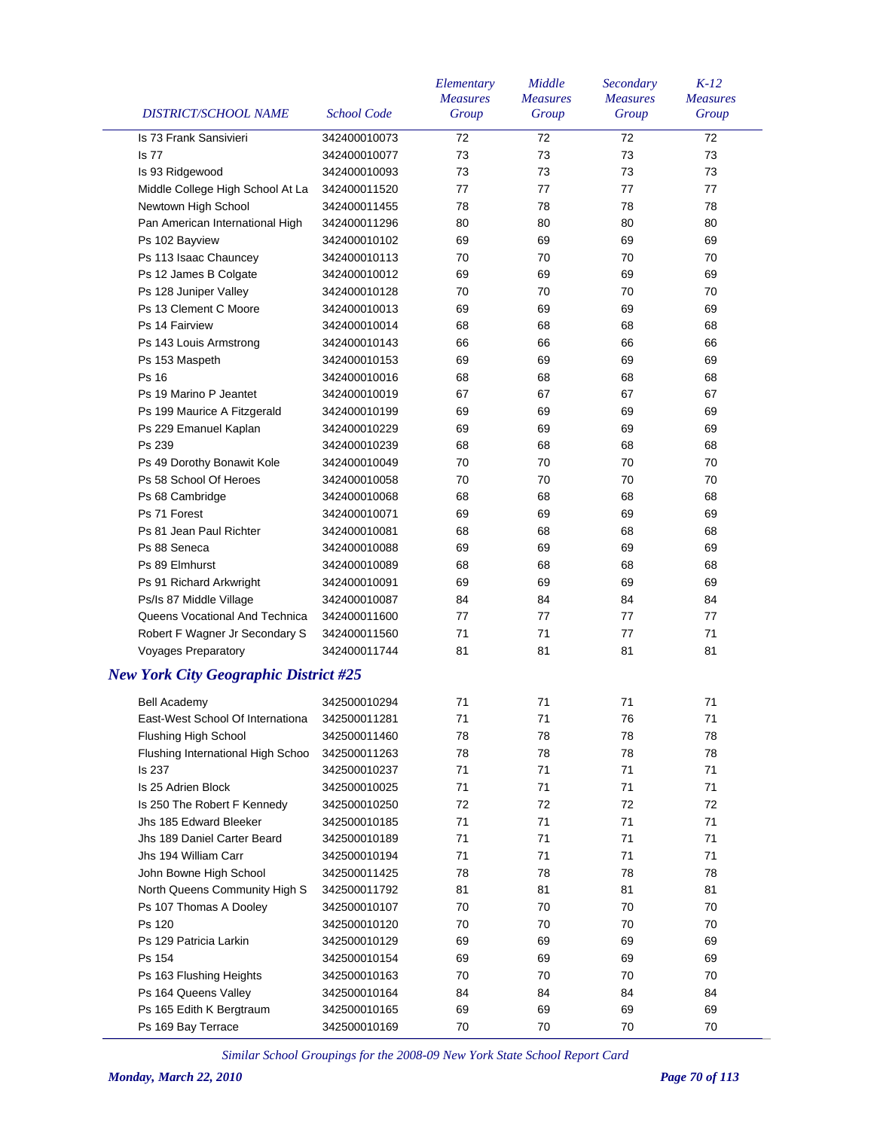| <b>DISTRICT/SCHOOL NAME</b>                  | <b>School Code</b> | Elementary<br><b>Measures</b><br>Group | Middle<br><b>Measures</b><br>Group | Secondary<br><b>Measures</b><br>Group | $K-12$<br><b>Measures</b><br>Group |
|----------------------------------------------|--------------------|----------------------------------------|------------------------------------|---------------------------------------|------------------------------------|
| Is 73 Frank Sansivieri                       | 342400010073       | 72                                     | 72                                 | 72                                    | 72                                 |
| <b>Is 77</b>                                 | 342400010077       | 73                                     | 73                                 | 73                                    | 73                                 |
| Is 93 Ridgewood                              | 342400010093       | 73                                     | 73                                 | 73                                    | 73                                 |
| Middle College High School At La             | 342400011520       | 77                                     | 77                                 | 77                                    | 77                                 |
| Newtown High School                          | 342400011455       | 78                                     | 78                                 | 78                                    | 78                                 |
| Pan American International High              | 342400011296       | 80                                     | 80                                 | 80                                    | 80                                 |
| Ps 102 Bayview                               | 342400010102       | 69                                     | 69                                 | 69                                    | 69                                 |
| Ps 113 Isaac Chauncey                        | 342400010113       | 70                                     | 70                                 | 70                                    | 70                                 |
| Ps 12 James B Colgate                        | 342400010012       | 69                                     | 69                                 | 69                                    | 69                                 |
| Ps 128 Juniper Valley                        | 342400010128       | 70                                     | 70                                 | 70                                    | 70                                 |
| Ps 13 Clement C Moore                        | 342400010013       | 69                                     | 69                                 | 69                                    | 69                                 |
| Ps 14 Fairview                               | 342400010014       | 68                                     | 68                                 | 68                                    | 68                                 |
| Ps 143 Louis Armstrong                       | 342400010143       | 66                                     | 66                                 | 66                                    | 66                                 |
| Ps 153 Maspeth                               | 342400010153       | 69                                     | 69                                 | 69                                    | 69                                 |
| <b>Ps 16</b>                                 | 342400010016       | 68                                     | 68                                 | 68                                    | 68                                 |
| Ps 19 Marino P Jeantet                       | 342400010019       | 67                                     | 67                                 | 67                                    | 67                                 |
| Ps 199 Maurice A Fitzgerald                  | 342400010199       | 69                                     | 69                                 | 69                                    | 69                                 |
| Ps 229 Emanuel Kaplan                        | 342400010229       | 69                                     | 69                                 | 69                                    | 69                                 |
| Ps 239                                       | 342400010239       | 68                                     | 68                                 | 68                                    | 68                                 |
| Ps 49 Dorothy Bonawit Kole                   | 342400010049       | 70                                     | 70                                 | 70                                    | 70                                 |
| Ps 58 School Of Heroes                       | 342400010058       | 70                                     | 70                                 | 70                                    | 70                                 |
| Ps 68 Cambridge                              | 342400010068       | 68                                     | 68                                 | 68                                    | 68                                 |
| Ps 71 Forest                                 | 342400010071       | 69                                     | 69                                 | 69                                    | 69                                 |
| Ps 81 Jean Paul Richter                      | 342400010081       | 68                                     | 68                                 | 68                                    | 68                                 |
| Ps 88 Seneca                                 | 342400010088       | 69                                     | 69                                 | 69                                    | 69                                 |
| Ps 89 Elmhurst                               | 342400010089       | 68                                     | 68                                 | 68                                    | 68                                 |
| Ps 91 Richard Arkwright                      | 342400010091       | 69                                     | 69                                 | 69                                    | 69                                 |
| Ps/Is 87 Middle Village                      | 342400010087       | 84                                     | 84                                 | 84                                    | 84                                 |
| Queens Vocational And Technica               | 342400011600       | 77                                     | 77                                 | 77                                    | 77                                 |
| Robert F Wagner Jr Secondary S               | 342400011560       | 71                                     | 71                                 | 77                                    | 71                                 |
| <b>Voyages Preparatory</b>                   | 342400011744       | 81                                     | 81                                 | 81                                    | 81                                 |
| <b>New York City Geographic District #25</b> |                    |                                        |                                    |                                       |                                    |
| <b>Bell Academy</b>                          | 342500010294       | 71                                     | 71                                 | 71                                    | 71                                 |
| East-West School Of Internationa             | 342500011281       | $71$                                   | 71                                 | 76                                    | $71$                               |
| Flushing High School                         | 342500011460       | 78                                     | 78                                 | 78                                    | 78                                 |
| Flushing International High Schoo            | 342500011263       | 78                                     | 78                                 | 78                                    | 78                                 |
| Is 237                                       | 342500010237       | 71                                     | 71                                 | 71                                    | 71                                 |
| Is 25 Adrien Block                           | 342500010025       | 71                                     | 71                                 | 71                                    | 71                                 |
| Is 250 The Robert F Kennedy                  | 342500010250       | 72                                     | 72                                 | 72                                    | 72                                 |
| Jhs 185 Edward Bleeker                       | 342500010185       | 71                                     | 71                                 | 71                                    | 71                                 |
| Jhs 189 Daniel Carter Beard                  | 342500010189       | 71                                     | 71                                 | 71                                    | 71                                 |
| Jhs 194 William Carr                         | 342500010194       | 71                                     | 71                                 | 71                                    | 71                                 |
| John Bowne High School                       | 342500011425       | 78                                     | 78                                 | 78                                    | 78                                 |
| North Queens Community High S                | 342500011792       | 81                                     | 81                                 | 81                                    | 81                                 |
| Ps 107 Thomas A Dooley                       | 342500010107       | 70                                     | 70                                 | 70                                    | 70                                 |
|                                              |                    |                                        |                                    |                                       |                                    |
| Ps 120                                       | 342500010120       | 70                                     | 70                                 | 70                                    | 70                                 |
| Ps 129 Patricia Larkin                       | 342500010129       | 69                                     | 69                                 | 69                                    | 69                                 |
| Ps 154                                       | 342500010154       | 69                                     | 69                                 | 69                                    | 69                                 |
| Ps 163 Flushing Heights                      | 342500010163       | 70                                     | 70                                 | 70                                    | 70                                 |
| Ps 164 Queens Valley                         | 342500010164       | 84                                     | 84                                 | 84                                    | 84                                 |
| Ps 165 Edith K Bergtraum                     | 342500010165       | 69                                     | 69                                 | 69                                    | 69                                 |
| Ps 169 Bay Terrace                           | 342500010169       | 70                                     | 70                                 | 70                                    | 70                                 |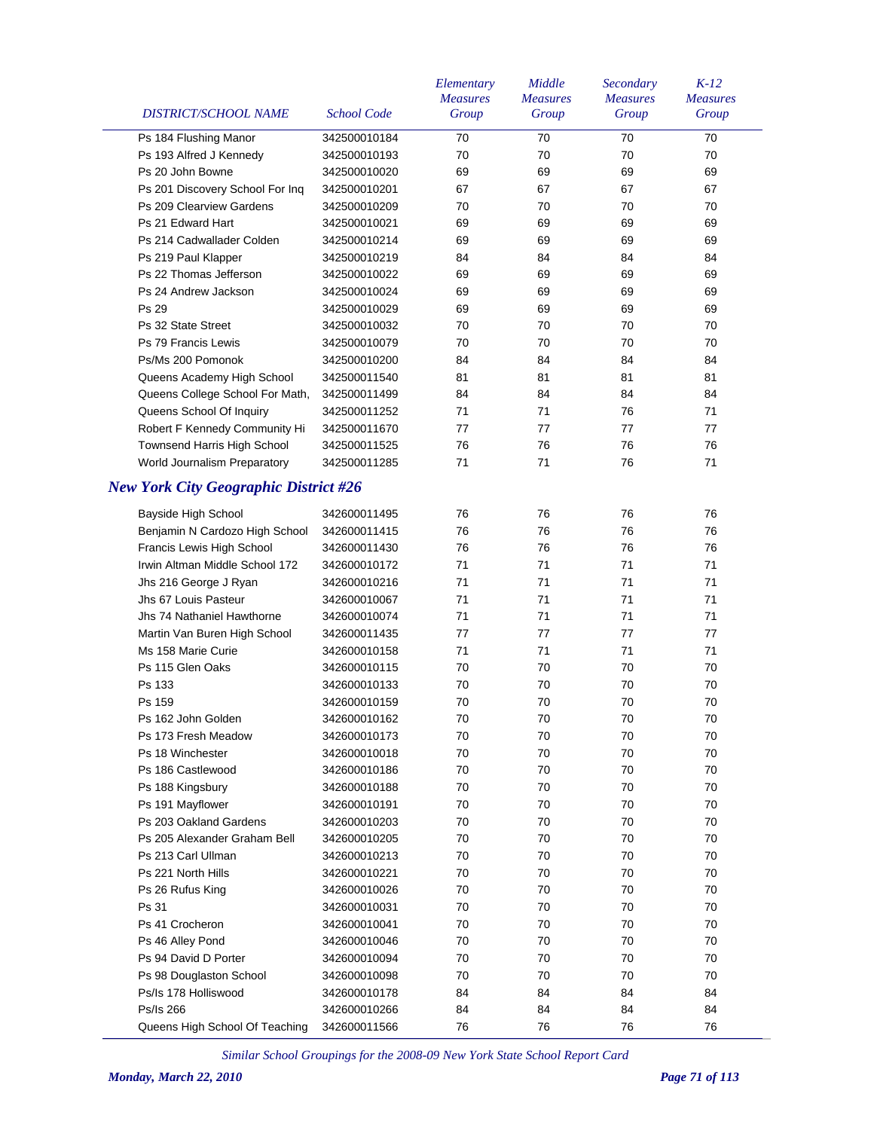| DISTRICT/SCHOOL NAME                         | <b>School Code</b> | Elementary<br><b>Measures</b><br>Group | Middle<br><b>Measures</b><br>Group | Secondary<br><b>Measures</b><br>Group | $K-12$<br><b>Measures</b><br>Group |
|----------------------------------------------|--------------------|----------------------------------------|------------------------------------|---------------------------------------|------------------------------------|
| Ps 184 Flushing Manor                        | 342500010184       | 70                                     | 70                                 | 70                                    | 70                                 |
| Ps 193 Alfred J Kennedy                      | 342500010193       | 70                                     | 70                                 | 70                                    | 70                                 |
| Ps 20 John Bowne                             | 342500010020       | 69                                     | 69                                 | 69                                    | 69                                 |
| Ps 201 Discovery School For Inq              | 342500010201       | 67                                     | 67                                 | 67                                    | 67                                 |
| Ps 209 Clearview Gardens                     | 342500010209       | 70                                     | 70                                 | 70                                    | 70                                 |
| Ps 21 Edward Hart                            | 342500010021       | 69                                     | 69                                 | 69                                    | 69                                 |
| Ps 214 Cadwallader Colden                    | 342500010214       | 69                                     | 69                                 | 69                                    | 69                                 |
| Ps 219 Paul Klapper                          | 342500010219       | 84                                     | 84                                 | 84                                    | 84                                 |
| Ps 22 Thomas Jefferson                       | 342500010022       | 69                                     | 69                                 | 69                                    | 69                                 |
| Ps 24 Andrew Jackson                         | 342500010024       | 69                                     | 69                                 | 69                                    | 69                                 |
| Ps 29                                        | 342500010029       | 69                                     | 69                                 | 69                                    | 69                                 |
| Ps 32 State Street                           | 342500010032       | 70                                     | 70                                 | 70                                    | 70                                 |
| Ps 79 Francis Lewis                          | 342500010079       | 70                                     | 70                                 | 70                                    | 70                                 |
| Ps/Ms 200 Pomonok                            | 342500010200       | 84                                     | 84                                 | 84                                    | 84                                 |
| Queens Academy High School                   | 342500011540       | 81                                     | 81                                 | 81                                    | 81                                 |
| Queens College School For Math,              | 342500011499       | 84                                     | 84                                 | 84                                    | 84                                 |
| Queens School Of Inquiry                     | 342500011252       | 71                                     | 71                                 | 76                                    | 71                                 |
| Robert F Kennedy Community Hi                | 342500011670       | 77                                     | 77                                 | 77                                    | 77                                 |
| <b>Townsend Harris High School</b>           | 342500011525       | 76                                     | 76                                 | 76                                    | 76                                 |
| World Journalism Preparatory                 | 342500011285       | 71                                     | 71                                 | 76                                    | 71                                 |
| <b>New York City Geographic District #26</b> |                    |                                        |                                    |                                       |                                    |
| Bayside High School                          | 342600011495       | 76                                     | 76                                 | 76                                    | 76                                 |
| Benjamin N Cardozo High School               | 342600011415       | 76                                     | 76                                 | 76                                    | 76                                 |
| Francis Lewis High School                    | 342600011430       | 76                                     | 76                                 | 76                                    | 76                                 |
| Irwin Altman Middle School 172               | 342600010172       | 71                                     | 71                                 | 71                                    | 71                                 |
| Jhs 216 George J Ryan                        | 342600010216       | 71                                     | 71                                 | 71                                    | 71                                 |
| Jhs 67 Louis Pasteur                         | 342600010067       | 71                                     | 71                                 | 71                                    | 71                                 |
| Jhs 74 Nathaniel Hawthorne                   | 342600010074       | 71                                     | 71                                 | 71                                    | 71                                 |
| Martin Van Buren High School                 | 342600011435       | 77                                     | 77                                 | 77                                    | 77                                 |
| Ms 158 Marie Curie                           | 342600010158       | 71                                     | 71                                 | 71                                    | 71                                 |
| Ps 115 Glen Oaks                             | 342600010115       | 70                                     | 70                                 | 70                                    | 70                                 |
| Ps 133                                       | 342600010133       | 70                                     | 70                                 | 70                                    | 70                                 |
| Ps 159                                       | 342600010159       | 70                                     | 70                                 | 70                                    | 70                                 |
| Ps 162 John Golden                           | 342600010162       | 70                                     | 70                                 | 70                                    | 70                                 |
| Ps 173 Fresh Meadow                          | 342600010173       | 70                                     | 70                                 | 70                                    | 70                                 |
| Ps 18 Winchester                             | 342600010018       | 70                                     | 70                                 | 70                                    | 70                                 |
| Ps 186 Castlewood                            | 342600010186       | 70                                     | 70                                 | 70                                    | 70                                 |
| Ps 188 Kingsbury                             | 342600010188       | 70                                     | 70                                 | 70                                    | 70                                 |
| Ps 191 Mayflower                             | 342600010191       | 70                                     | 70                                 | 70                                    | 70                                 |
| Ps 203 Oakland Gardens                       | 342600010203       | 70                                     | 70                                 | 70                                    | 70                                 |
| Ps 205 Alexander Graham Bell                 | 342600010205       | 70                                     | 70                                 | 70                                    | 70                                 |
| Ps 213 Carl Ullman                           | 342600010213       | 70                                     | 70                                 | 70                                    | 70                                 |
| Ps 221 North Hills                           | 342600010221       | 70                                     | 70                                 | 70                                    | 70                                 |
| Ps 26 Rufus King                             | 342600010026       | 70                                     | 70                                 | 70                                    | 70                                 |
| Ps 31                                        | 342600010031       | 70                                     | 70                                 | 70                                    | 70                                 |
| Ps 41 Crocheron                              | 342600010041       | 70                                     | 70                                 | 70                                    | 70                                 |
| Ps 46 Alley Pond                             | 342600010046       | 70                                     | 70                                 | 70                                    | 70                                 |
| Ps 94 David D Porter                         | 342600010094       | 70                                     | 70                                 | 70                                    | 70                                 |
| Ps 98 Douglaston School                      | 342600010098       | 70                                     | 70                                 | 70                                    | 70                                 |
| Ps/Is 178 Holliswood                         | 342600010178       | 84                                     | 84                                 | 84                                    | 84                                 |
| Ps/Is 266                                    | 342600010266       | 84                                     | 84                                 | 84                                    | 84                                 |
| Queens High School Of Teaching               | 342600011566       | 76                                     | 76                                 | 76                                    | 76                                 |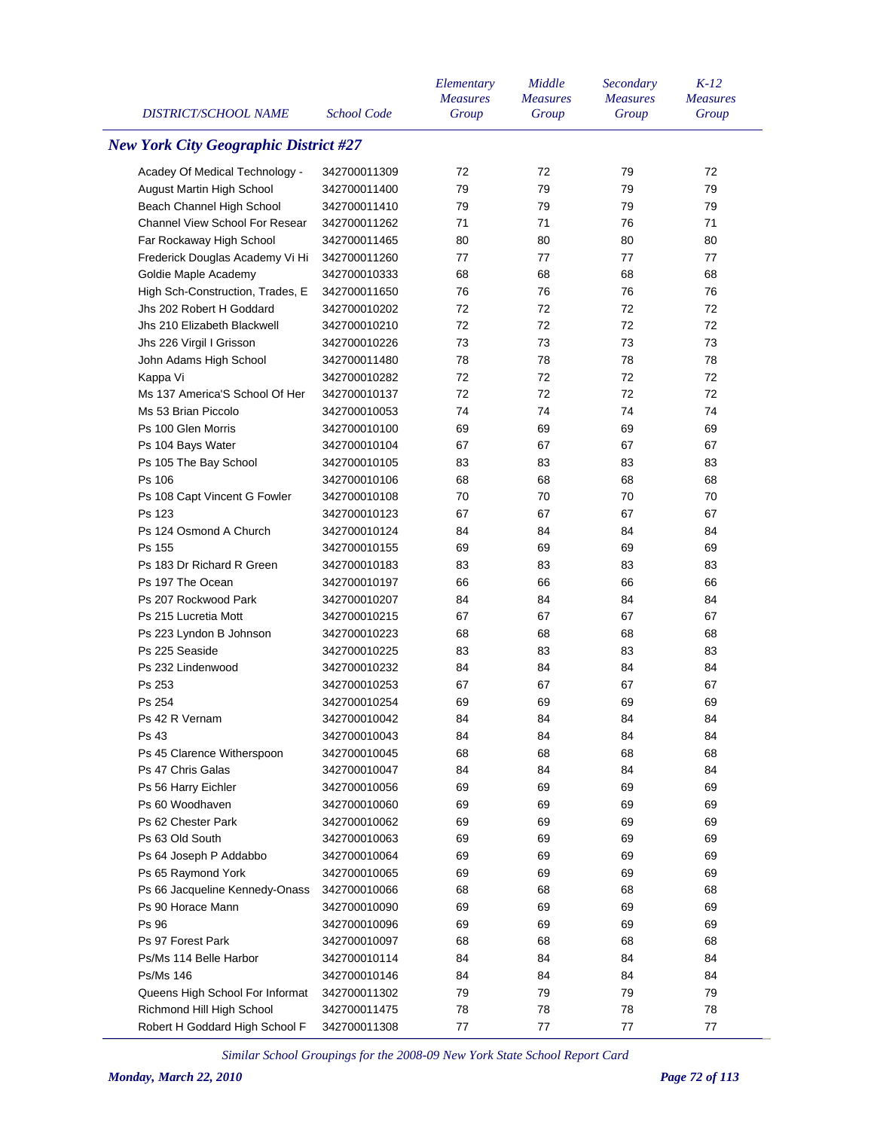| <b>DISTRICT/SCHOOL NAME</b>                  | School Code  | Elementary<br><b>Measures</b><br>Group | Middle<br><b>Measures</b><br>Group | Secondary<br><b>Measures</b><br>Group | $K-12$<br><b>Measures</b><br>Group |
|----------------------------------------------|--------------|----------------------------------------|------------------------------------|---------------------------------------|------------------------------------|
| <b>New York City Geographic District #27</b> |              |                                        |                                    |                                       |                                    |
| Acadey Of Medical Technology -               | 342700011309 | 72                                     | 72                                 | 79                                    | 72                                 |
| August Martin High School                    | 342700011400 | 79                                     | 79                                 | 79                                    | 79                                 |
| Beach Channel High School                    | 342700011410 | 79                                     | 79                                 | 79                                    | 79                                 |
| <b>Channel View School For Resear</b>        | 342700011262 | 71                                     | 71                                 | 76                                    | 71                                 |
| Far Rockaway High School                     | 342700011465 | 80                                     | 80                                 | 80                                    | 80                                 |
| Frederick Douglas Academy Vi Hi              | 342700011260 | 77                                     | 77                                 | 77                                    | 77                                 |
| Goldie Maple Academy                         | 342700010333 | 68                                     | 68                                 | 68                                    | 68                                 |
| High Sch-Construction, Trades, E             | 342700011650 | 76                                     | 76                                 | 76                                    | 76                                 |
| Jhs 202 Robert H Goddard                     | 342700010202 | 72                                     | 72                                 | 72                                    | 72                                 |
| Jhs 210 Elizabeth Blackwell                  | 342700010210 | 72                                     | 72                                 | 72                                    | 72                                 |
| Jhs 226 Virgil I Grisson                     | 342700010226 | 73                                     | 73                                 | 73                                    | 73                                 |
| John Adams High School                       | 342700011480 | 78                                     | 78                                 | 78                                    | 78                                 |
| Kappa Vi                                     | 342700010282 | 72                                     | 72                                 | 72                                    | 72                                 |
| Ms 137 America'S School Of Her               | 342700010137 | 72                                     | 72                                 | 72                                    | 72                                 |
| Ms 53 Brian Piccolo                          | 342700010053 | 74                                     | 74                                 | 74                                    | 74                                 |
| Ps 100 Glen Morris                           | 342700010100 | 69                                     | 69                                 | 69                                    | 69                                 |
| Ps 104 Bays Water                            | 342700010104 | 67                                     | 67                                 | 67                                    | 67                                 |
| Ps 105 The Bay School                        | 342700010105 | 83                                     | 83                                 | 83                                    | 83                                 |
| Ps 106                                       | 342700010106 | 68                                     | 68                                 | 68                                    | 68                                 |
| Ps 108 Capt Vincent G Fowler                 | 342700010108 | 70                                     | 70                                 | 70                                    | 70                                 |
| Ps 123                                       | 342700010123 | 67                                     | 67                                 | 67                                    | 67                                 |
| Ps 124 Osmond A Church                       | 342700010124 | 84                                     | 84                                 | 84                                    | 84                                 |
| Ps 155                                       | 342700010155 | 69                                     | 69                                 | 69                                    | 69                                 |
| Ps 183 Dr Richard R Green                    |              | 83                                     | 83                                 | 83                                    | 83                                 |
| Ps 197 The Ocean                             | 342700010183 | 66                                     | 66                                 | 66                                    | 66                                 |
| Ps 207 Rockwood Park                         | 342700010197 | 84                                     | 84                                 | 84                                    | 84                                 |
|                                              | 342700010207 |                                        |                                    | 67                                    |                                    |
| Ps 215 Lucretia Mott                         | 342700010215 | 67                                     | 67                                 |                                       | 67                                 |
| Ps 223 Lyndon B Johnson                      | 342700010223 | 68                                     | 68                                 | 68                                    | 68                                 |
| Ps 225 Seaside                               | 342700010225 | 83                                     | 83                                 | 83                                    | 83                                 |
| Ps 232 Lindenwood                            | 342700010232 | 84                                     | 84                                 | 84                                    | 84                                 |
| Ps 253                                       | 342700010253 | 67                                     | 67                                 | 67                                    | 67                                 |
| Ps 254                                       | 342700010254 | 69                                     | 69                                 | 69                                    | 69                                 |
| Ps 42 R Vernam                               | 342700010042 | 84                                     | 84                                 | 84                                    | 84                                 |
| Ps 43                                        | 342700010043 | 84                                     | 84                                 | 84                                    | 84                                 |
| Ps 45 Clarence Witherspoon                   | 342700010045 | 68                                     | 68                                 | 68                                    | 68                                 |
| Ps 47 Chris Galas                            | 342700010047 | 84                                     | 84                                 | 84                                    | 84                                 |
| Ps 56 Harry Eichler                          | 342700010056 | 69                                     | 69                                 | 69                                    | 69                                 |
| Ps 60 Woodhaven                              | 342700010060 | 69                                     | 69                                 | 69                                    | 69                                 |
| Ps 62 Chester Park                           | 342700010062 | 69                                     | 69                                 | 69                                    | 69                                 |
| Ps 63 Old South                              | 342700010063 | 69                                     | 69                                 | 69                                    | 69                                 |
| Ps 64 Joseph P Addabbo                       | 342700010064 | 69                                     | 69                                 | 69                                    | 69                                 |
| Ps 65 Raymond York                           | 342700010065 | 69                                     | 69                                 | 69                                    | 69                                 |
| Ps 66 Jacqueline Kennedy-Onass               | 342700010066 | 68                                     | 68                                 | 68                                    | 68                                 |
| Ps 90 Horace Mann                            | 342700010090 | 69                                     | 69                                 | 69                                    | 69                                 |
| Ps 96                                        | 342700010096 | 69                                     | 69                                 | 69                                    | 69                                 |
| Ps 97 Forest Park                            | 342700010097 | 68                                     | 68                                 | 68                                    | 68                                 |
| Ps/Ms 114 Belle Harbor                       | 342700010114 | 84                                     | 84                                 | 84                                    | 84                                 |
| Ps/Ms 146                                    | 342700010146 | 84                                     | 84                                 | 84                                    | 84                                 |
| Queens High School For Informat              | 342700011302 | 79                                     | 79                                 | 79                                    | 79                                 |
| Richmond Hill High School                    | 342700011475 | 78                                     | 78                                 | 78                                    | 78                                 |
| Robert H Goddard High School F               | 342700011308 | 77                                     | 77                                 | 77                                    | 77                                 |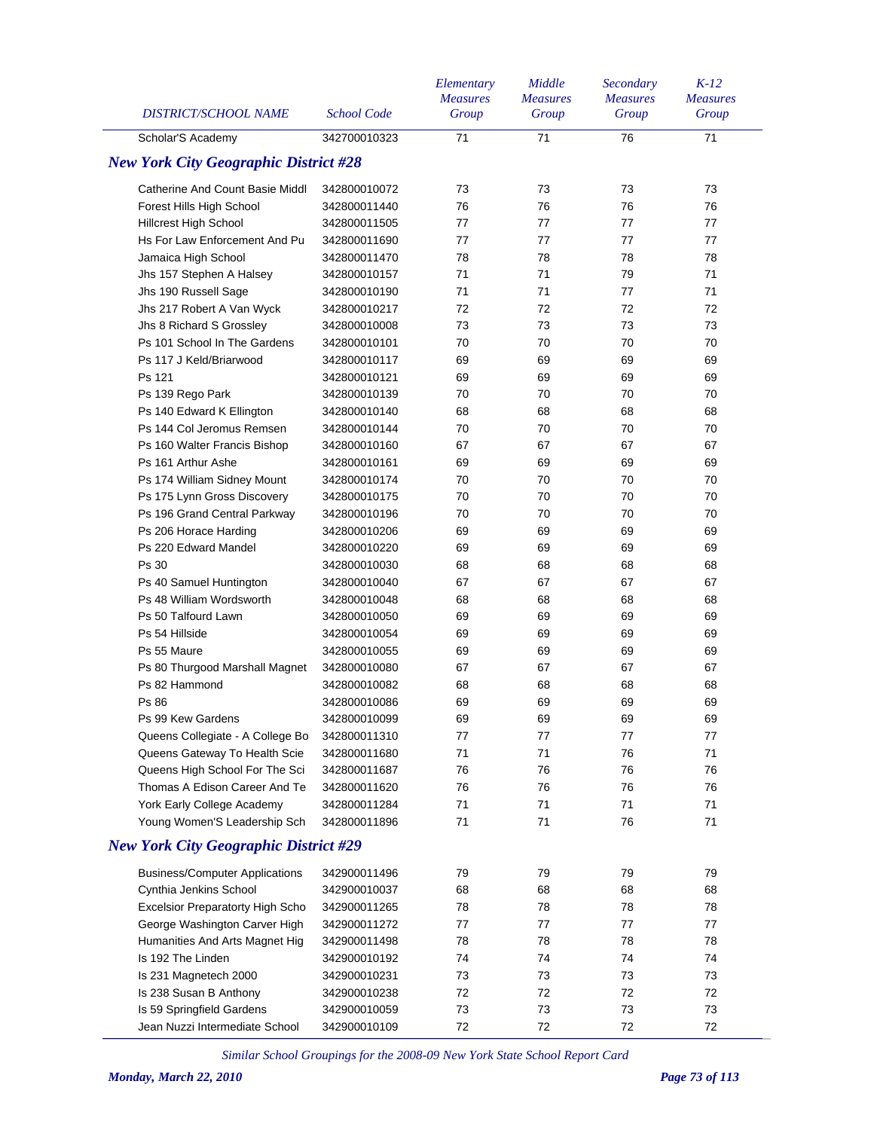| <b>DISTRICT/SCHOOL NAME</b>                  | <b>School Code</b> | Elementary<br><b>Measures</b><br>Group | Middle<br><b>Measures</b><br>Group | Secondary<br><b>Measures</b><br>Group | $K-12$<br><b>Measures</b><br>Group |
|----------------------------------------------|--------------------|----------------------------------------|------------------------------------|---------------------------------------|------------------------------------|
| Scholar'S Academy                            | 342700010323       | 71                                     | 71                                 | 76                                    | 71                                 |
| <b>New York City Geographic District #28</b> |                    |                                        |                                    |                                       |                                    |
| <b>Catherine And Count Basie Middl</b>       | 342800010072       | 73                                     | 73                                 | 73                                    | 73                                 |
| Forest Hills High School                     | 342800011440       | 76                                     | 76                                 | 76                                    | 76                                 |
| Hillcrest High School                        | 342800011505       | 77                                     | 77                                 | 77                                    | 77                                 |
| Hs For Law Enforcement And Pu                | 342800011690       | 77                                     | 77                                 | 77                                    | 77                                 |
| Jamaica High School                          | 342800011470       | 78                                     | 78                                 | 78                                    | 78                                 |
| Jhs 157 Stephen A Halsey                     | 342800010157       | 71                                     | 71                                 | 79                                    | 71                                 |
| Jhs 190 Russell Sage                         | 342800010190       | 71                                     | 71                                 | 77                                    | 71                                 |
| Jhs 217 Robert A Van Wyck                    | 342800010217       | 72                                     | 72                                 | 72                                    | 72                                 |
| Jhs 8 Richard S Grossley                     | 342800010008       | 73                                     | 73                                 | 73                                    | 73                                 |
| Ps 101 School In The Gardens                 | 342800010101       | 70                                     | 70                                 | 70                                    | 70                                 |
| Ps 117 J Keld/Briarwood                      | 342800010117       | 69                                     | 69                                 | 69                                    | 69                                 |
| Ps 121                                       | 342800010121       | 69                                     | 69                                 | 69                                    | 69                                 |
| Ps 139 Rego Park                             | 342800010139       | 70                                     | 70                                 | 70                                    | 70                                 |
| Ps 140 Edward K Ellington                    | 342800010140       | 68                                     | 68                                 | 68                                    | 68                                 |
| Ps 144 Col Jeromus Remsen                    | 342800010144       | 70                                     | 70                                 | 70                                    | 70                                 |
| Ps 160 Walter Francis Bishop                 | 342800010160       | 67                                     | 67                                 | 67                                    | 67                                 |
| Ps 161 Arthur Ashe                           | 342800010161       | 69                                     | 69                                 | 69                                    | 69                                 |
| Ps 174 William Sidney Mount                  | 342800010174       | 70                                     | 70                                 | 70                                    | 70                                 |
| Ps 175 Lynn Gross Discovery                  | 342800010175       | 70                                     | 70                                 | 70                                    | 70                                 |
| Ps 196 Grand Central Parkway                 | 342800010196       | 70                                     | 70                                 | 70                                    | 70                                 |
| Ps 206 Horace Harding                        | 342800010206       | 69                                     | 69                                 | 69                                    | 69                                 |
| Ps 220 Edward Mandel                         | 342800010220       | 69                                     | 69                                 | 69                                    | 69                                 |
| <b>Ps 30</b>                                 | 342800010030       | 68                                     | 68                                 | 68                                    | 68                                 |
| Ps 40 Samuel Huntington                      | 342800010040       | 67                                     | 67                                 | 67                                    | 67                                 |
| Ps 48 William Wordsworth                     | 342800010048       | 68                                     | 68                                 | 68                                    | 68                                 |
| Ps 50 Talfourd Lawn                          | 342800010050       | 69                                     | 69                                 | 69                                    | 69                                 |
| Ps 54 Hillside                               | 342800010054       | 69                                     | 69                                 | 69                                    | 69                                 |
| Ps 55 Maure                                  | 342800010055       | 69                                     | 69                                 | 69                                    | 69                                 |
| Ps 80 Thurgood Marshall Magnet               | 342800010080       | 67                                     | 67                                 | 67                                    | 67                                 |
| Ps 82 Hammond                                | 342800010082       | 68                                     | 68                                 | 68                                    | 68                                 |
| Ps 86                                        | 342800010086       | 69                                     | 69                                 | 69                                    | 69                                 |
| Ps 99 Kew Gardens                            | 342800010099       | 69                                     | 69                                 | 69                                    | 69                                 |
| Queens Collegiate - A College Bo             | 342800011310       | 77                                     | 77                                 | 77                                    | 77                                 |
| Queens Gateway To Health Scie                | 342800011680       | 71                                     | 71                                 | 76                                    | 71                                 |
| Queens High School For The Sci               | 342800011687       | 76                                     | 76                                 | 76                                    | 76                                 |
| Thomas A Edison Career And Te                | 342800011620       | 76                                     | 76                                 | 76                                    | 76                                 |
| York Early College Academy                   | 342800011284       | 71                                     | 71                                 | 71                                    | 71                                 |
| Young Women'S Leadership Sch                 | 342800011896       | 71                                     | 71                                 | 76                                    | 71                                 |
| <b>New York City Geographic District #29</b> |                    |                                        |                                    |                                       |                                    |
| <b>Business/Computer Applications</b>        | 342900011496       | 79                                     | 79                                 | 79                                    | 79                                 |
| Cynthia Jenkins School                       | 342900010037       | 68                                     | 68                                 | 68                                    | 68                                 |
| <b>Excelsior Preparatorty High Scho</b>      | 342900011265       | 78                                     | 78                                 | 78                                    | 78                                 |
| George Washington Carver High                | 342900011272       | 77                                     | 77                                 | 77                                    | 77                                 |
| Humanities And Arts Magnet Hig               | 342900011498       | 78                                     | 78                                 | 78                                    | 78                                 |
| Is 192 The Linden                            | 342900010192       | 74                                     | 74                                 | 74                                    | 74                                 |
| Is 231 Magnetech 2000                        | 342900010231       | 73                                     | 73                                 | 73                                    | 73                                 |
| Is 238 Susan B Anthony                       | 342900010238       | 72                                     | 72                                 | 72                                    | 72                                 |
| Is 59 Springfield Gardens                    | 342900010059       | 73                                     | 73                                 | 73                                    | 73                                 |
| Jean Nuzzi Intermediate School               | 342900010109       | 72                                     | 72                                 | 72                                    | 72                                 |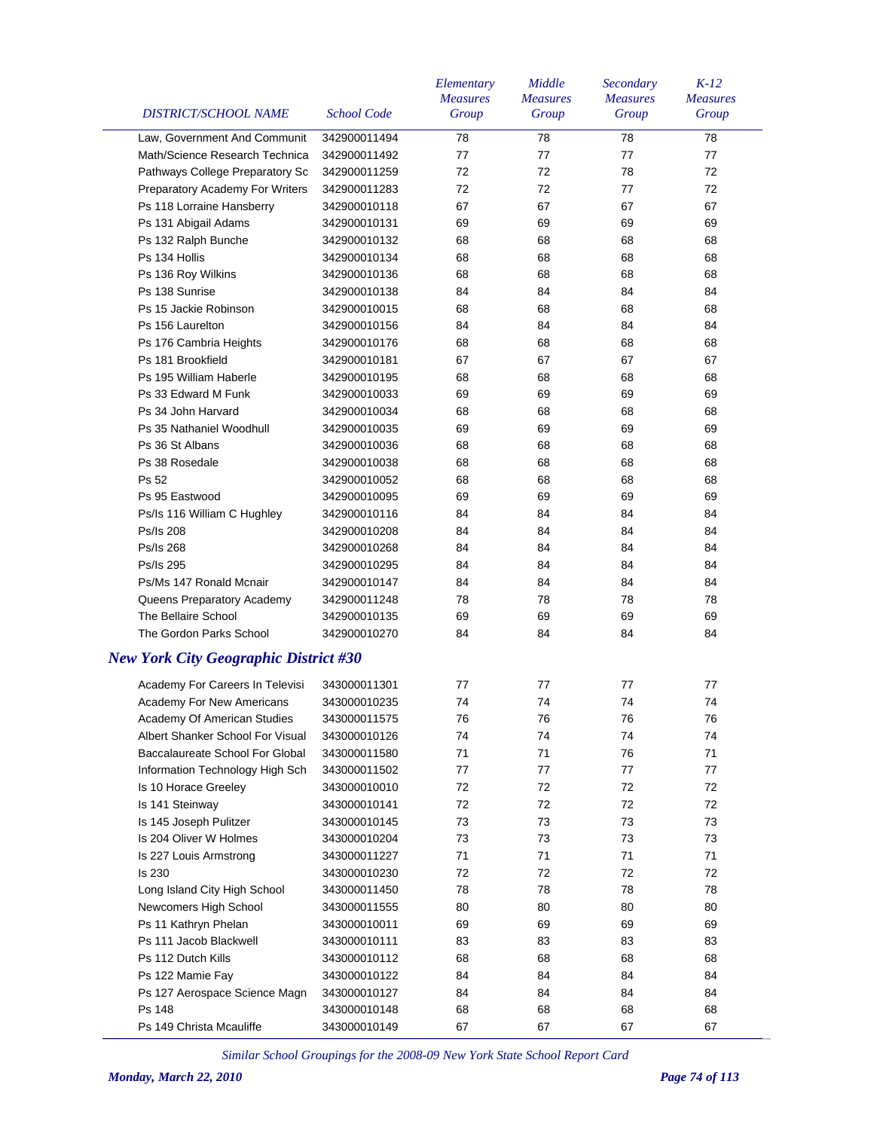| <b>DISTRICT/SCHOOL NAME</b>                           | <b>School Code</b>           | Elementary<br><b>Measures</b><br>Group | Middle<br><b>Measures</b><br>Group | Secondary<br><b>Measures</b><br>Group | $K-12$<br><b>Measures</b><br>Group |
|-------------------------------------------------------|------------------------------|----------------------------------------|------------------------------------|---------------------------------------|------------------------------------|
| Law, Government And Communit                          | 342900011494                 | 78                                     | 78                                 | 78                                    | 78                                 |
| Math/Science Research Technica                        | 342900011492                 | 77                                     | 77                                 | 77                                    | 77                                 |
| Pathways College Preparatory Sc                       | 342900011259                 | 72                                     | 72                                 | 78                                    | 72                                 |
| Preparatory Academy For Writers                       | 342900011283                 | 72                                     | 72                                 | 77                                    | 72                                 |
| Ps 118 Lorraine Hansberry                             | 342900010118                 | 67                                     | 67                                 | 67                                    | 67                                 |
| Ps 131 Abigail Adams                                  | 342900010131                 | 69                                     | 69                                 | 69                                    | 69                                 |
| Ps 132 Ralph Bunche                                   | 342900010132                 | 68                                     | 68                                 | 68                                    | 68                                 |
| Ps 134 Hollis                                         | 342900010134                 | 68                                     | 68                                 | 68                                    | 68                                 |
| Ps 136 Roy Wilkins                                    | 342900010136                 | 68                                     | 68                                 | 68                                    | 68                                 |
| Ps 138 Sunrise                                        | 342900010138                 | 84                                     | 84                                 | 84                                    | 84                                 |
| Ps 15 Jackie Robinson                                 | 342900010015                 | 68                                     | 68                                 | 68                                    | 68                                 |
| Ps 156 Laurelton                                      | 342900010156                 | 84                                     | 84                                 | 84                                    | 84                                 |
| Ps 176 Cambria Heights                                | 342900010176                 | 68                                     | 68                                 | 68                                    | 68                                 |
| Ps 181 Brookfield                                     | 342900010181                 | 67                                     | 67                                 | 67                                    | 67                                 |
| Ps 195 William Haberle                                | 342900010195                 | 68                                     | 68                                 | 68                                    | 68                                 |
| Ps 33 Edward M Funk                                   | 342900010033                 | 69                                     | 69                                 | 69                                    | 69                                 |
| Ps 34 John Harvard                                    | 342900010034                 | 68                                     | 68                                 | 68                                    | 68                                 |
| Ps 35 Nathaniel Woodhull                              | 342900010035                 | 69                                     | 69                                 | 69                                    | 69                                 |
| Ps 36 St Albans                                       | 342900010036                 | 68                                     | 68                                 | 68                                    | 68                                 |
| Ps 38 Rosedale                                        | 342900010038                 | 68                                     | 68                                 | 68                                    | 68                                 |
| Ps 52                                                 | 342900010052                 | 68                                     | 68                                 | 68                                    | 68                                 |
| Ps 95 Eastwood                                        | 342900010095                 | 69                                     | 69                                 | 69                                    | 69                                 |
| Ps/Is 116 William C Hughley                           | 342900010116                 | 84                                     | 84                                 | 84                                    | 84                                 |
| Ps/Is 208                                             | 342900010208                 | 84                                     | 84                                 | 84                                    | 84                                 |
| Ps/Is 268                                             | 342900010268                 | 84                                     | 84                                 | 84                                    | 84                                 |
| Ps/Is 295                                             | 342900010295                 | 84                                     | 84                                 | 84                                    | 84                                 |
| Ps/Ms 147 Ronald Mcnair                               | 342900010147                 | 84                                     | 84                                 | 84                                    | 84                                 |
| Queens Preparatory Academy                            | 342900011248                 | 78                                     | 78                                 | 78                                    | 78                                 |
| The Bellaire School                                   | 342900010135                 | 69                                     | 69                                 | 69                                    | 69                                 |
| The Gordon Parks School                               | 342900010270                 | 84                                     | 84                                 | 84                                    | 84                                 |
| <b>New York City Geographic District #30</b>          |                              |                                        |                                    |                                       |                                    |
| Academy For Careers In Televisi                       | 343000011301                 | 77                                     | 77                                 | 77                                    | 77                                 |
| <b>Academy For New Americans</b>                      | 343000010235                 | 74                                     | 74                                 | 74                                    | 74                                 |
| Academy Of American Studies                           | 343000011575                 | 76                                     | 76                                 | 76                                    | 76                                 |
| Albert Shanker School For Visual                      | 343000010126                 | 74                                     | 74                                 | 74                                    | 74                                 |
| Baccalaureate School For Global                       | 343000011580                 | 71                                     | 71                                 | 76                                    | 71                                 |
| Information Technology High Sch                       | 343000011502                 | 77                                     | 77                                 | 77                                    | 77                                 |
| Is 10 Horace Greeley                                  | 343000010010                 | 72                                     | 72                                 | 72                                    | 72                                 |
| Is 141 Steinway                                       | 343000010141                 | 72                                     | 72                                 | 72                                    | 72                                 |
| Is 145 Joseph Pulitzer                                | 343000010145                 | 73                                     | 73                                 | 73                                    | 73                                 |
| Is 204 Oliver W Holmes                                | 343000010204                 | 73                                     | 73                                 | 73                                    | 73                                 |
| Is 227 Louis Armstrong                                | 343000011227                 | 71                                     | 71                                 | 71                                    | 71                                 |
| Is 230                                                | 343000010230                 | 72                                     | 72                                 | 72                                    | 72                                 |
|                                                       |                              | 78                                     | 78                                 | 78                                    | 78                                 |
| Long Island City High School<br>Newcomers High School | 343000011450<br>343000011555 | 80                                     | 80                                 | 80                                    | 80                                 |
|                                                       |                              | 69                                     | 69                                 | 69                                    | 69                                 |
| Ps 11 Kathryn Phelan<br>Ps 111 Jacob Blackwell        | 343000010011                 | 83                                     | 83                                 |                                       | 83                                 |
|                                                       | 343000010111                 |                                        |                                    | 83                                    |                                    |
| Ps 112 Dutch Kills                                    | 343000010112                 | 68                                     | 68                                 | 68                                    | 68                                 |
| Ps 122 Mamie Fay                                      | 343000010122                 | 84                                     | 84                                 | 84                                    | 84                                 |
| Ps 127 Aerospace Science Magn                         | 343000010127                 | 84                                     | 84                                 | 84                                    | 84                                 |
| Ps 148                                                | 343000010148                 | 68                                     | 68                                 | 68                                    | 68                                 |
| Ps 149 Christa Mcauliffe                              | 343000010149                 | 67                                     | 67                                 | 67                                    | 67                                 |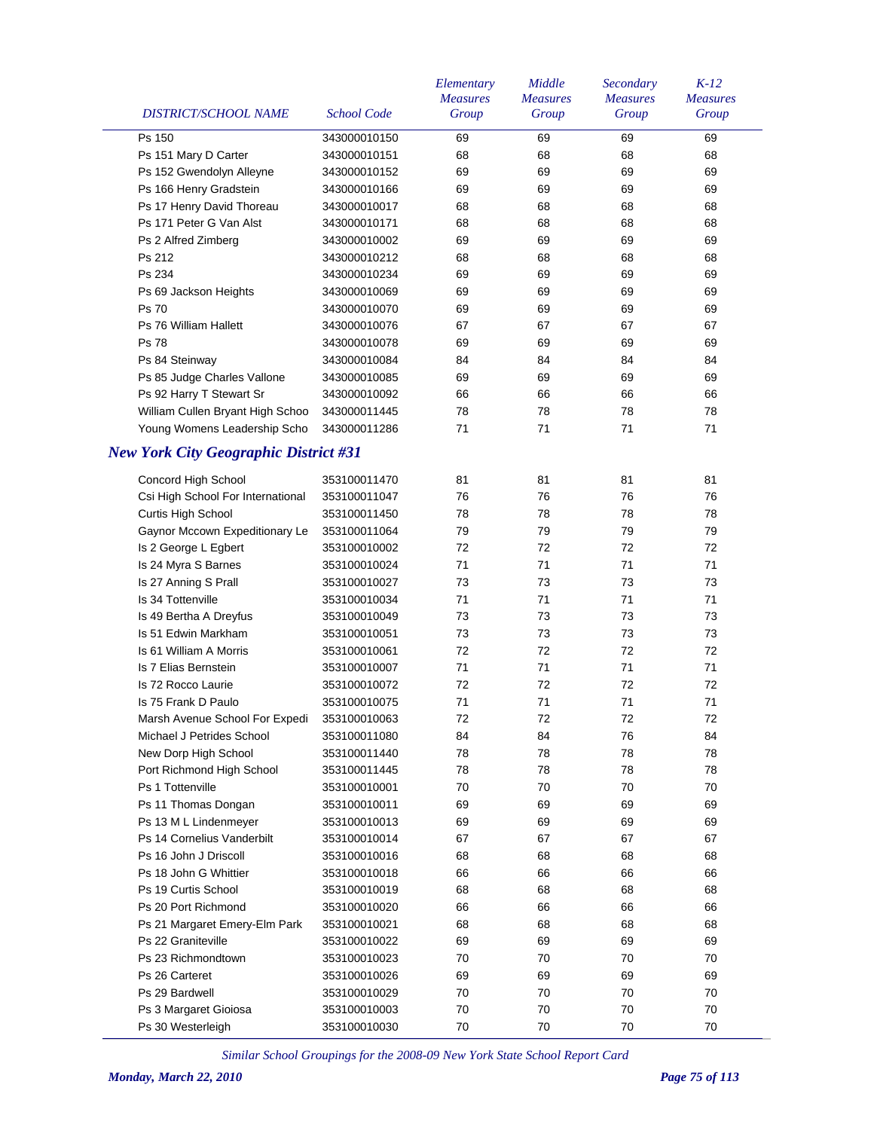| DISTRICT/SCHOOL NAME                         | <b>School Code</b> | Elementary<br><b>Measures</b><br>Group | Middle<br><b>Measures</b><br>Group | Secondary<br><b>Measures</b><br>Group | $K-12$<br><b>Measures</b><br>Group |
|----------------------------------------------|--------------------|----------------------------------------|------------------------------------|---------------------------------------|------------------------------------|
| Ps 150                                       | 343000010150       | 69                                     | 69                                 | 69                                    | 69                                 |
| Ps 151 Mary D Carter                         | 343000010151       | 68                                     | 68                                 | 68                                    | 68                                 |
| Ps 152 Gwendolyn Alleyne                     | 343000010152       | 69                                     | 69                                 | 69                                    | 69                                 |
| Ps 166 Henry Gradstein                       | 343000010166       | 69                                     | 69                                 | 69                                    | 69                                 |
| Ps 17 Henry David Thoreau                    | 343000010017       | 68                                     | 68                                 | 68                                    | 68                                 |
| Ps 171 Peter G Van Alst                      | 343000010171       | 68                                     | 68                                 | 68                                    | 68                                 |
| Ps 2 Alfred Zimberg                          | 343000010002       | 69                                     | 69                                 | 69                                    | 69                                 |
| Ps 212                                       | 343000010212       | 68                                     | 68                                 | 68                                    | 68                                 |
| Ps 234                                       | 343000010234       | 69                                     | 69                                 | 69                                    | 69                                 |
| Ps 69 Jackson Heights                        | 343000010069       | 69                                     | 69                                 | 69                                    | 69                                 |
| Ps 70                                        | 343000010070       | 69                                     | 69                                 | 69                                    | 69                                 |
| Ps 76 William Hallett                        | 343000010076       | 67                                     | 67                                 | 67                                    | 67                                 |
| <b>Ps 78</b>                                 | 343000010078       | 69                                     | 69                                 | 69                                    | 69                                 |
| Ps 84 Steinway                               | 343000010084       | 84                                     | 84                                 | 84                                    | 84                                 |
| Ps 85 Judge Charles Vallone                  | 343000010085       | 69                                     | 69                                 | 69                                    | 69                                 |
| Ps 92 Harry T Stewart Sr                     | 343000010092       | 66                                     | 66                                 | 66                                    | 66                                 |
| William Cullen Bryant High Schoo             | 343000011445       | 78                                     | 78                                 | 78                                    | 78                                 |
| Young Womens Leadership Scho                 | 343000011286       | 71                                     | 71                                 | 71                                    | 71                                 |
| <b>New York City Geographic District #31</b> |                    |                                        |                                    |                                       |                                    |
| Concord High School                          | 353100011470       | 81                                     | 81                                 | 81                                    | 81                                 |
| Csi High School For International            | 353100011047       | 76                                     | 76                                 | 76                                    | 76                                 |
| Curtis High School                           | 353100011450       | 78                                     | 78                                 | 78                                    | 78                                 |
| Gaynor Mccown Expeditionary Le               | 353100011064       | 79                                     | 79                                 | 79                                    | 79                                 |
| Is 2 George L Egbert                         | 353100010002       | 72                                     | 72                                 | 72                                    | 72                                 |
| Is 24 Myra S Barnes                          | 353100010024       | 71                                     | 71                                 | 71                                    | 71                                 |
| Is 27 Anning S Prall                         | 353100010027       | 73                                     | 73                                 | 73                                    | 73                                 |
| Is 34 Tottenville                            | 353100010034       | 71                                     | 71                                 | 71                                    | 71                                 |
| Is 49 Bertha A Dreyfus                       | 353100010049       | 73                                     | 73                                 | 73                                    | 73                                 |
| Is 51 Edwin Markham                          | 353100010051       | 73                                     | 73                                 | 73                                    | 73                                 |
| Is 61 William A Morris                       | 353100010061       | 72                                     | 72                                 | 72                                    | 72                                 |
| Is 7 Elias Bernstein                         | 353100010007       | 71                                     | 71                                 | 71                                    | 71                                 |
| Is 72 Rocco Laurie                           | 353100010072       | 72                                     | 72                                 | 72                                    | 72                                 |
| Is 75 Frank D Paulo                          | 353100010075       | 71                                     | 71                                 | 71                                    | 71                                 |
| Marsh Avenue School For Expedi               | 353100010063       | 72                                     | 72                                 | 72                                    | 72                                 |
| Michael J Petrides School                    | 353100011080       | 84                                     | 84                                 | 76                                    | 84                                 |
| New Dorp High School                         | 353100011440       | 78                                     | 78                                 | 78                                    | 78                                 |
| Port Richmond High School                    | 353100011445       | 78                                     | 78                                 | 78                                    | 78                                 |
| Ps 1 Tottenville                             | 353100010001       | 70                                     | 70                                 | 70                                    | 70                                 |
| Ps 11 Thomas Dongan                          | 353100010011       | 69                                     | 69                                 | 69                                    | 69                                 |
| Ps 13 M L Lindenmeyer                        | 353100010013       | 69                                     | 69                                 | 69                                    | 69                                 |
| Ps 14 Cornelius Vanderbilt                   | 353100010014       | 67                                     | 67                                 | 67                                    | 67                                 |
| Ps 16 John J Driscoll                        | 353100010016       | 68                                     | 68                                 | 68                                    | 68                                 |
| Ps 18 John G Whittier                        | 353100010018       | 66                                     | 66                                 | 66                                    | 66                                 |
| Ps 19 Curtis School                          | 353100010019       | 68                                     | 68                                 | 68                                    | 68                                 |
| Ps 20 Port Richmond                          | 353100010020       | 66                                     | 66                                 | 66                                    | 66                                 |
| Ps 21 Margaret Emery-Elm Park                | 353100010021       | 68                                     | 68                                 | 68                                    | 68                                 |
| Ps 22 Graniteville                           | 353100010022       | 69                                     | 69                                 | 69                                    | 69                                 |
| Ps 23 Richmondtown                           | 353100010023       | 70                                     | 70                                 | 70                                    | 70                                 |
| Ps 26 Carteret                               | 353100010026       | 69                                     | 69                                 | 69                                    | 69                                 |
| Ps 29 Bardwell                               | 353100010029       | 70                                     | 70                                 | 70                                    | 70                                 |
| Ps 3 Margaret Gioiosa                        | 353100010003       | 70                                     | 70                                 | 70                                    | 70                                 |
| Ps 30 Westerleigh                            | 353100010030       | 70                                     | 70                                 | 70                                    | 70                                 |
|                                              |                    |                                        |                                    |                                       |                                    |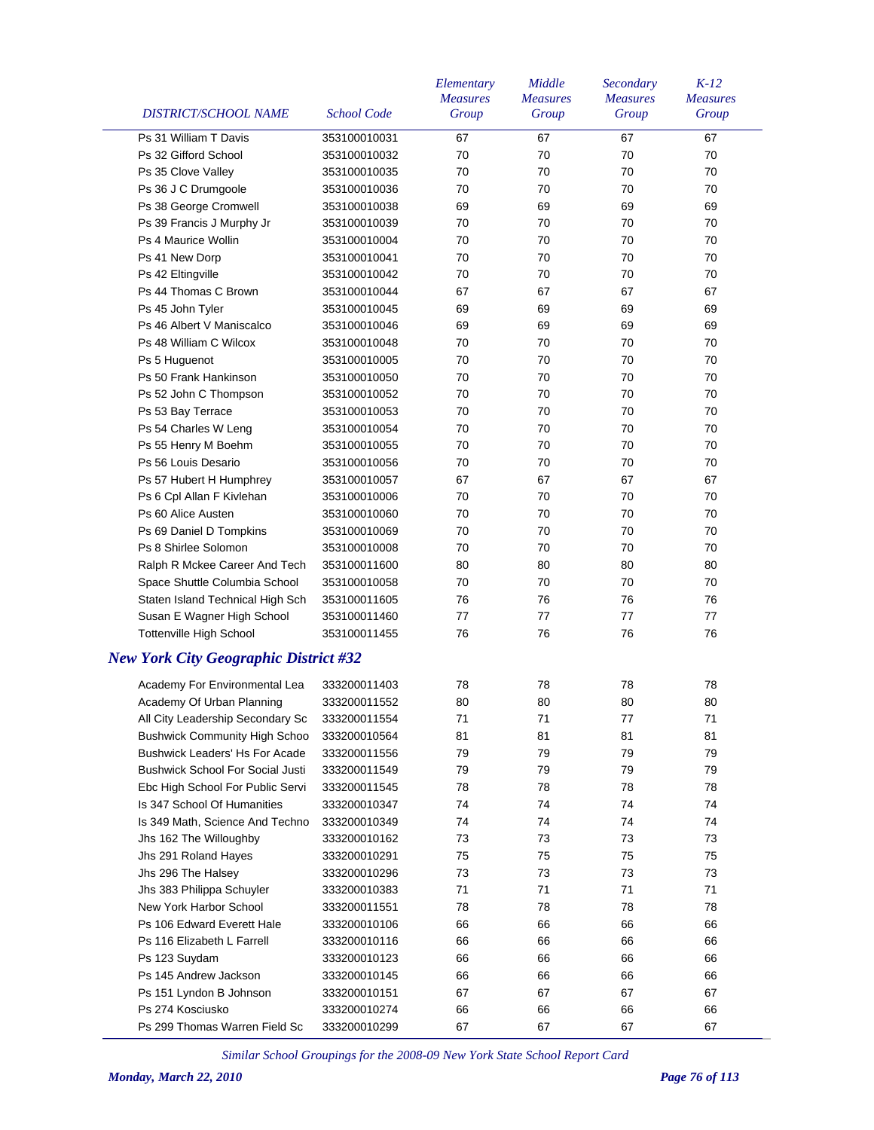| <b>DISTRICT/SCHOOL NAME</b>                  | <b>School Code</b> | Elementary<br><b>Measures</b><br>Group | Middle<br><b>Measures</b><br>Group | Secondary<br><b>Measures</b><br>Group | $K-12$<br><b>Measures</b><br>Group |
|----------------------------------------------|--------------------|----------------------------------------|------------------------------------|---------------------------------------|------------------------------------|
| Ps 31 William T Davis                        | 353100010031       | 67                                     | 67                                 | 67                                    | 67                                 |
| Ps 32 Gifford School                         | 353100010032       | 70                                     | 70                                 | 70                                    | 70                                 |
| Ps 35 Clove Valley                           | 353100010035       | 70                                     | 70                                 | 70                                    | 70                                 |
| Ps 36 J C Drumgoole                          | 353100010036       | 70                                     | 70                                 | 70                                    | 70                                 |
| Ps 38 George Cromwell                        | 353100010038       | 69                                     | 69                                 | 69                                    | 69                                 |
| Ps 39 Francis J Murphy Jr                    | 353100010039       | 70                                     | 70                                 | 70                                    | 70                                 |
| <b>Ps 4 Maurice Wollin</b>                   | 353100010004       | 70                                     | 70                                 | 70                                    | 70                                 |
| Ps 41 New Dorp                               | 353100010041       | 70                                     | 70                                 | 70                                    | 70                                 |
| Ps 42 Eltingville                            | 353100010042       | 70                                     | 70                                 | 70                                    | 70                                 |
| Ps 44 Thomas C Brown                         | 353100010044       | 67                                     | 67                                 | 67                                    | 67                                 |
|                                              | 353100010045       | 69                                     | 69                                 | 69                                    | 69                                 |
| Ps 45 John Tyler                             |                    |                                        |                                    |                                       |                                    |
| Ps 46 Albert V Maniscalco                    | 353100010046       | 69                                     | 69                                 | 69                                    | 69                                 |
| Ps 48 William C Wilcox                       | 353100010048       | 70                                     | 70                                 | 70                                    | 70                                 |
| Ps 5 Huguenot                                | 353100010005       | 70                                     | 70                                 | 70                                    | 70                                 |
| Ps 50 Frank Hankinson                        | 353100010050       | 70                                     | 70                                 | 70                                    | 70                                 |
| Ps 52 John C Thompson                        | 353100010052       | 70                                     | 70                                 | 70                                    | 70                                 |
| Ps 53 Bay Terrace                            | 353100010053       | 70                                     | 70                                 | 70                                    | 70                                 |
| Ps 54 Charles W Leng                         | 353100010054       | 70                                     | 70                                 | 70                                    | 70                                 |
| Ps 55 Henry M Boehm                          | 353100010055       | 70                                     | 70                                 | 70                                    | 70                                 |
| Ps 56 Louis Desario                          | 353100010056       | 70                                     | 70                                 | 70                                    | 70                                 |
| Ps 57 Hubert H Humphrey                      | 353100010057       | 67                                     | 67                                 | 67                                    | 67                                 |
| Ps 6 Cpl Allan F Kivlehan                    | 353100010006       | 70                                     | 70                                 | 70                                    | 70                                 |
| Ps 60 Alice Austen                           | 353100010060       | 70                                     | 70                                 | 70                                    | 70                                 |
| Ps 69 Daniel D Tompkins                      | 353100010069       | 70                                     | 70                                 | 70                                    | 70                                 |
| Ps 8 Shirlee Solomon                         | 353100010008       | 70                                     | 70                                 | 70                                    | 70                                 |
| Ralph R Mckee Career And Tech                | 353100011600       | 80                                     | 80                                 | 80                                    | 80                                 |
| Space Shuttle Columbia School                | 353100010058       | 70                                     | 70                                 | 70                                    | 70                                 |
| Staten Island Technical High Sch             | 353100011605       | 76                                     | 76                                 | 76                                    | 76                                 |
| Susan E Wagner High School                   | 353100011460       | 77                                     | 77                                 | 77                                    | 77                                 |
| <b>Tottenville High School</b>               | 353100011455       | 76                                     | 76                                 | 76                                    | 76                                 |
| <b>New York City Geographic District #32</b> |                    |                                        |                                    |                                       |                                    |
| Academy For Environmental Lea                | 333200011403       | 78                                     | 78                                 | 78                                    | 78                                 |
| Academy Of Urban Planning                    | 333200011552       | 80                                     | 80                                 | 80                                    | 80                                 |
| All City Leadership Secondary Sc             | 333200011554       | 71                                     | 71                                 | 77                                    | 71                                 |
| <b>Bushwick Community High Schoo</b>         | 333200010564       | 81                                     | 81                                 | 81                                    | 81                                 |
| <b>Bushwick Leaders' Hs For Acade</b>        | 333200011556       | 79                                     | 79                                 | 79                                    | 79                                 |
| <b>Bushwick School For Social Justi</b>      | 333200011549       | 79                                     | 79                                 | 79                                    | 79                                 |
| Ebc High School For Public Servi             | 333200011545       | 78                                     | 78                                 | 78                                    | 78                                 |
| Is 347 School Of Humanities                  | 333200010347       | 74                                     | 74                                 | 74                                    | 74                                 |
| Is 349 Math, Science And Techno              | 333200010349       | 74                                     | 74                                 | 74                                    | 74                                 |
| Jhs 162 The Willoughby                       | 333200010162       | 73                                     | 73                                 | 73                                    | 73                                 |
| Jhs 291 Roland Hayes                         | 333200010291       | 75                                     | 75                                 | 75                                    | 75                                 |
| Jhs 296 The Halsey                           | 333200010296       | 73                                     | 73                                 | 73                                    | 73                                 |
| Jhs 383 Philippa Schuyler                    | 333200010383       | 71                                     | 71                                 | 71                                    | 71                                 |
| New York Harbor School                       | 333200011551       | 78                                     | 78                                 | 78                                    | 78                                 |
| Ps 106 Edward Everett Hale                   | 333200010106       | 66                                     | 66                                 | 66                                    | 66                                 |
| Ps 116 Elizabeth L Farrell                   | 333200010116       | 66                                     | 66                                 | 66                                    | 66                                 |
| Ps 123 Suydam                                |                    | 66                                     | 66                                 |                                       | 66                                 |
|                                              | 333200010123       |                                        |                                    | 66                                    |                                    |
| Ps 145 Andrew Jackson                        | 333200010145       | 66                                     | 66                                 | 66                                    | 66                                 |
| Ps 151 Lyndon B Johnson                      | 333200010151       | 67                                     | 67                                 | 67                                    | 67                                 |
| Ps 274 Kosciusko                             | 333200010274       | 66                                     | 66                                 | 66                                    | 66                                 |
| Ps 299 Thomas Warren Field Sc                | 333200010299       | 67                                     | 67                                 | 67                                    | 67                                 |

 $\frac{1}{2}$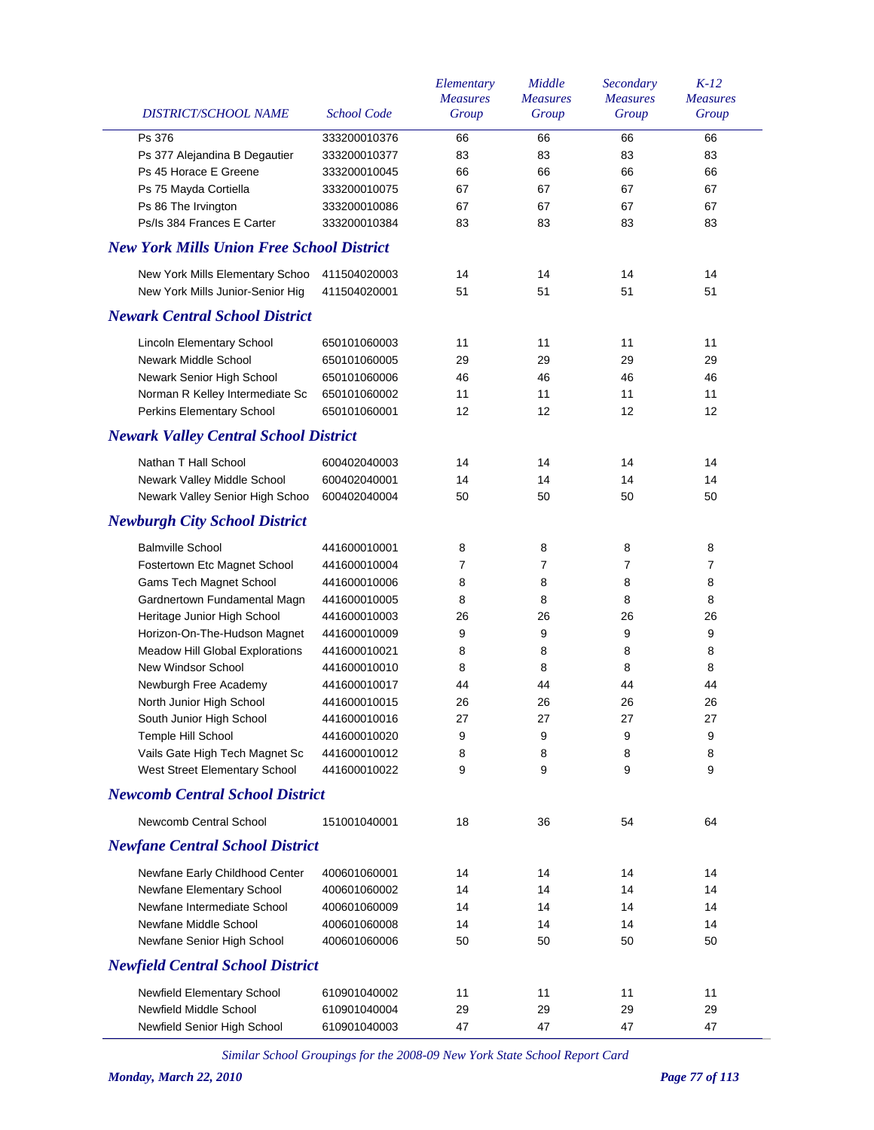| DISTRICT/SCHOOL NAME                             | <b>School Code</b> | Elementary<br><b>Measures</b><br>Group | Middle<br><b>Measures</b><br>Group | Secondary<br><b>Measures</b><br>Group | $K-12$<br><b>Measures</b><br>Group |
|--------------------------------------------------|--------------------|----------------------------------------|------------------------------------|---------------------------------------|------------------------------------|
| Ps 376                                           | 333200010376       | 66                                     | 66                                 | 66                                    | 66                                 |
| Ps 377 Alejandina B Degautier                    | 333200010377       | 83                                     | 83                                 | 83                                    | 83                                 |
| Ps 45 Horace E Greene                            | 333200010045       | 66                                     | 66                                 | 66                                    | 66                                 |
| Ps 75 Mayda Cortiella                            | 333200010075       | 67                                     | 67                                 | 67                                    | 67                                 |
| Ps 86 The Irvington                              | 333200010086       | 67                                     | 67                                 | 67                                    | 67                                 |
| Ps/Is 384 Frances E Carter                       | 333200010384       | 83                                     | 83                                 | 83                                    | 83                                 |
| <b>New York Mills Union Free School District</b> |                    |                                        |                                    |                                       |                                    |
| New York Mills Elementary Schoo                  | 411504020003       | 14                                     | 14                                 | 14                                    | 14                                 |
| New York Mills Junior-Senior Hig                 | 411504020001       | 51                                     | 51                                 | 51                                    | 51                                 |
| <b>Newark Central School District</b>            |                    |                                        |                                    |                                       |                                    |
| Lincoln Elementary School                        | 650101060003       | 11                                     | 11                                 | 11                                    | 11                                 |
| Newark Middle School                             | 650101060005       | 29                                     | 29                                 | 29                                    | 29                                 |
| Newark Senior High School                        | 650101060006       | 46                                     | 46                                 | 46                                    | 46                                 |
| Norman R Kelley Intermediate Sc                  | 650101060002       | 11                                     | 11                                 | 11                                    | 11                                 |
| Perkins Elementary School                        | 650101060001       | 12                                     | 12                                 | 12                                    | 12                                 |
| <b>Newark Valley Central School District</b>     |                    |                                        |                                    |                                       |                                    |
| Nathan T Hall School                             | 600402040003       | 14                                     | 14                                 | 14                                    | 14                                 |
| Newark Valley Middle School                      | 600402040001       | 14                                     | 14                                 | 14                                    | 14                                 |
| Newark Valley Senior High Schoo                  | 600402040004       | 50                                     | 50                                 | 50                                    | 50                                 |
| <b>Newburgh City School District</b>             |                    |                                        |                                    |                                       |                                    |
| <b>Balmville School</b>                          | 441600010001       | 8                                      | 8                                  | 8                                     | 8                                  |
| Fostertown Etc Magnet School                     | 441600010004       | 7                                      | 7                                  | 7                                     | 7                                  |
| Gams Tech Magnet School                          | 441600010006       | 8                                      | 8                                  | 8                                     | 8                                  |
| Gardnertown Fundamental Magn                     | 441600010005       | 8                                      | 8                                  | 8                                     | 8                                  |
| Heritage Junior High School                      | 441600010003       | 26                                     | 26                                 | 26                                    | 26                                 |
| Horizon-On-The-Hudson Magnet                     | 441600010009       | 9                                      | 9                                  | 9                                     | 9                                  |
| Meadow Hill Global Explorations                  | 441600010021       | 8                                      | 8                                  | 8                                     | 8                                  |
| New Windsor School                               | 441600010010       | 8                                      | 8                                  | 8                                     | 8                                  |
| Newburgh Free Academy                            | 441600010017       | 44                                     | 44                                 | 44                                    | 44                                 |
| North Junior High School                         | 441600010015       | 26                                     | 26                                 | 26                                    | 26                                 |
| South Junior High School                         | 441600010016       | 27                                     | 27                                 | 27                                    | 27                                 |
| Temple Hill School                               | 441600010020       | 9                                      | 9                                  | 9                                     | 9                                  |
| Vails Gate High Tech Magnet Sc                   | 441600010012       | 8                                      | 8                                  | 8                                     | 8                                  |
| West Street Elementary School                    | 441600010022       | 9                                      | 9                                  | 9                                     | 9                                  |
| <b>Newcomb Central School District</b>           |                    |                                        |                                    |                                       |                                    |
| Newcomb Central School                           | 151001040001       | 18                                     | 36                                 | 54                                    | 64                                 |
| <b>Newfane Central School District</b>           |                    |                                        |                                    |                                       |                                    |
| Newfane Early Childhood Center                   | 400601060001       | 14                                     | 14                                 | 14                                    | 14                                 |
| Newfane Elementary School                        | 400601060002       | 14                                     | 14                                 | 14                                    | 14                                 |
| Newfane Intermediate School                      | 400601060009       | 14                                     | 14                                 | 14                                    | 14                                 |
| Newfane Middle School                            | 400601060008       | 14                                     | 14                                 | 14                                    | 14                                 |
| Newfane Senior High School                       | 400601060006       | 50                                     | 50                                 | 50                                    | 50                                 |
| <b>Newfield Central School District</b>          |                    |                                        |                                    |                                       |                                    |
| Newfield Elementary School                       | 610901040002       | 11                                     | 11                                 | 11                                    | 11                                 |
| Newfield Middle School                           | 610901040004       | 29                                     | 29                                 | 29                                    | 29                                 |
| Newfield Senior High School                      | 610901040003       | 47                                     | 47                                 | 47                                    | 47                                 |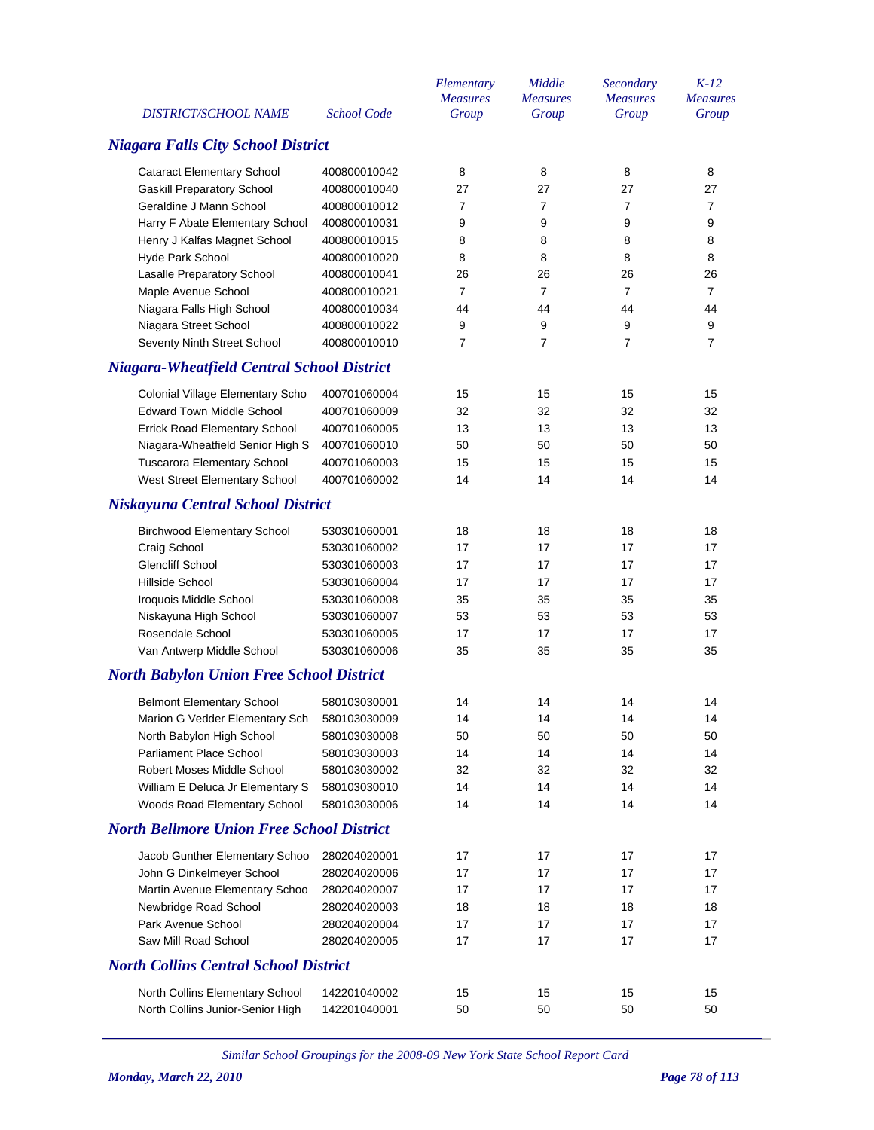| <b>DISTRICT/SCHOOL NAME</b>                       | <b>School Code</b> | Elementary<br><b>Measures</b><br>Group | Middle<br><b>Measures</b><br>Group | Secondary<br><b>Measures</b><br>Group | $K-12$<br><b>Measures</b><br>Group |
|---------------------------------------------------|--------------------|----------------------------------------|------------------------------------|---------------------------------------|------------------------------------|
| <b>Niagara Falls City School District</b>         |                    |                                        |                                    |                                       |                                    |
| <b>Cataract Elementary School</b>                 | 400800010042       | 8                                      | 8                                  | 8                                     | 8                                  |
| <b>Gaskill Preparatory School</b>                 | 400800010040       | 27                                     | 27                                 | 27                                    | 27                                 |
| Geraldine J Mann School                           | 400800010012       | 7                                      | $\overline{7}$                     | $\overline{7}$                        | 7                                  |
| Harry F Abate Elementary School                   | 400800010031       | 9                                      | 9                                  | 9                                     | 9                                  |
| Henry J Kalfas Magnet School                      | 400800010015       | 8                                      | 8                                  | 8                                     | 8                                  |
| Hyde Park School                                  | 400800010020       | 8                                      | 8                                  | 8                                     | 8                                  |
| Lasalle Preparatory School                        | 400800010041       | 26                                     | 26                                 | 26                                    | 26                                 |
| Maple Avenue School                               | 400800010021       | 7                                      | $\overline{7}$                     | $\overline{7}$                        | 7                                  |
| Niagara Falls High School                         | 400800010034       | 44                                     | 44                                 | 44                                    | 44                                 |
| Niagara Street School                             | 400800010022       | 9                                      | 9                                  | 9                                     | 9                                  |
| Seventy Ninth Street School                       | 400800010010       | 7                                      | 7                                  | $\overline{7}$                        | $\overline{7}$                     |
| <b>Niagara-Wheatfield Central School District</b> |                    |                                        |                                    |                                       |                                    |
| Colonial Village Elementary Scho                  | 400701060004       | 15                                     | 15                                 | 15                                    | 15                                 |
| <b>Edward Town Middle School</b>                  | 400701060009       | 32                                     | 32                                 | 32                                    | 32                                 |
| Errick Road Elementary School                     | 400701060005       | 13                                     | 13                                 | 13                                    | 13                                 |
| Niagara-Wheatfield Senior High S                  | 400701060010       | 50                                     | 50                                 | 50                                    | 50                                 |
| Tuscarora Elementary School                       | 400701060003       | 15                                     | 15                                 | 15                                    | 15                                 |
| West Street Elementary School                     | 400701060002       | 14                                     | 14                                 | 14                                    | 14                                 |
| <b>Niskayuna Central School District</b>          |                    |                                        |                                    |                                       |                                    |
| <b>Birchwood Elementary School</b>                | 530301060001       | 18                                     | 18                                 | 18                                    | 18                                 |
| Craig School                                      | 530301060002       | 17                                     | 17                                 | 17                                    | 17                                 |
| <b>Glencliff School</b>                           | 530301060003       | 17                                     | 17                                 | 17                                    | 17                                 |
| Hillside School                                   | 530301060004       | 17                                     | 17                                 | 17                                    | 17                                 |
| Iroquois Middle School                            | 530301060008       | 35                                     | 35                                 | 35                                    | 35                                 |
| Niskayuna High School                             | 530301060007       | 53                                     | 53                                 | 53                                    | 53                                 |
| Rosendale School                                  | 530301060005       | 17                                     | 17                                 | 17                                    | 17                                 |
| Van Antwerp Middle School                         | 530301060006       | 35                                     | 35                                 | 35                                    | 35                                 |
| <b>North Babylon Union Free School District</b>   |                    |                                        |                                    |                                       |                                    |
| <b>Belmont Elementary School</b>                  | 580103030001       | 14                                     | 14                                 | 14                                    | 14                                 |
| Marion G Vedder Elementary Sch                    | 580103030009       | 14                                     | 14                                 | 14                                    | 14                                 |
| North Babylon High School                         | 580103030008       | 50                                     | 50                                 | 50                                    | 50                                 |
| Parliament Place School                           | 580103030003       | 14                                     | 14                                 | 14                                    | 14                                 |
| Robert Moses Middle School                        | 580103030002       | 32                                     | 32                                 | 32                                    | 32                                 |
| William E Deluca Jr Elementary S                  | 580103030010       | 14                                     | 14                                 | 14                                    | 14                                 |
| Woods Road Elementary School                      | 580103030006       | 14                                     | 14                                 | 14                                    | 14                                 |
| <b>North Bellmore Union Free School District</b>  |                    |                                        |                                    |                                       |                                    |
| Jacob Gunther Elementary Schoo                    | 280204020001       | 17                                     | 17                                 | 17                                    | 17                                 |
| John G Dinkelmeyer School                         | 280204020006       | 17                                     | 17                                 | 17                                    | 17                                 |
| Martin Avenue Elementary Schoo                    | 280204020007       | 17                                     | 17                                 | 17                                    | 17                                 |
| Newbridge Road School                             | 280204020003       | 18                                     | 18                                 | 18                                    | 18                                 |
| Park Avenue School                                | 280204020004       | 17                                     | 17                                 | 17                                    | 17                                 |
| Saw Mill Road School                              | 280204020005       | 17                                     | 17                                 | 17                                    | 17                                 |
| <b>North Collins Central School District</b>      |                    |                                        |                                    |                                       |                                    |
| North Collins Elementary School                   | 142201040002       | 15                                     | 15                                 | 15                                    | 15                                 |
| North Collins Junior-Senior High                  | 142201040001       | 50                                     | 50                                 | 50                                    | 50                                 |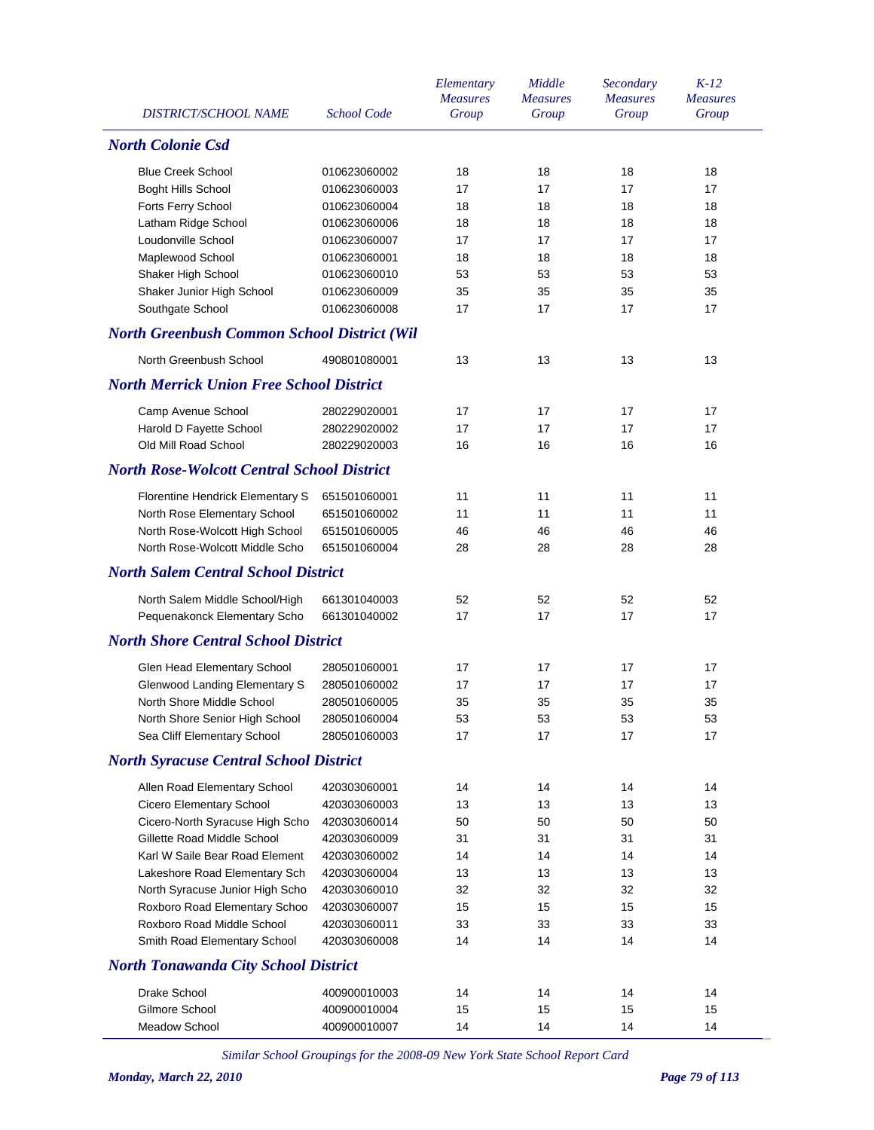|                                                    |                    | Elementary      | Middle          | Secondary       | $K-12$          |
|----------------------------------------------------|--------------------|-----------------|-----------------|-----------------|-----------------|
|                                                    |                    | <b>Measures</b> | <b>Measures</b> | <b>Measures</b> | <b>Measures</b> |
| <b>DISTRICT/SCHOOL NAME</b>                        | <b>School Code</b> | Group           | Group           | Group           | Group           |
| <b>North Colonie Csd</b>                           |                    |                 |                 |                 |                 |
| <b>Blue Creek School</b>                           | 010623060002       | 18              | 18              | 18              | 18              |
| <b>Boght Hills School</b>                          | 010623060003       | 17              | 17              | 17              | 17              |
| Forts Ferry School                                 | 010623060004       | 18              | 18              | 18              | 18              |
| Latham Ridge School                                | 010623060006       | 18              | 18              | 18              | 18              |
| Loudonville School                                 | 010623060007       | 17              | 17              | 17              | 17              |
| Maplewood School                                   | 010623060001       | 18              | 18              | 18              | 18              |
| Shaker High School                                 | 010623060010       | 53              | 53              | 53              | 53              |
| Shaker Junior High School                          | 010623060009       | 35              | 35              | 35              | 35              |
| Southgate School                                   | 010623060008       | 17              | 17              | 17              | 17              |
| <b>North Greenbush Common School District (Wil</b> |                    |                 |                 |                 |                 |
| North Greenbush School                             | 490801080001       | 13              | 13              | 13              | 13              |
| <b>North Merrick Union Free School District</b>    |                    |                 |                 |                 |                 |
| Camp Avenue School                                 | 280229020001       | 17              | 17              | 17              | 17              |
| Harold D Fayette School                            | 280229020002       | 17              | 17              | 17              | 17              |
| Old Mill Road School                               | 280229020003       | 16              | 16              | 16              | 16              |
|                                                    |                    |                 |                 |                 |                 |
| <b>North Rose-Wolcott Central School District</b>  |                    |                 |                 |                 |                 |
| Florentine Hendrick Elementary S                   | 651501060001       | 11              | 11              | 11              | 11              |
| North Rose Elementary School                       | 651501060002       | 11              | 11              | 11              | 11              |
| North Rose-Wolcott High School                     | 651501060005       | 46              | 46              | 46              | 46              |
| North Rose-Wolcott Middle Scho                     | 651501060004       | 28              | 28              | 28              | 28              |
| <b>North Salem Central School District</b>         |                    |                 |                 |                 |                 |
| North Salem Middle School/High                     | 661301040003       | 52              | 52              | 52              | 52              |
| Pequenakonck Elementary Scho                       | 661301040002       | 17              | 17              | 17              | 17              |
| <b>North Shore Central School District</b>         |                    |                 |                 |                 |                 |
| Glen Head Elementary School                        | 280501060001       | 17              | 17              | 17              | 17              |
| Glenwood Landing Elementary S                      | 280501060002       | 17              | 17              | 17              | 17              |
| North Shore Middle School                          | 280501060005       | 35              | 35              | 35              | 35              |
| North Shore Senior High School                     | 280501060004       | 53              | 53              | 53              | 53              |
| Sea Cliff Elementary School                        | 280501060003       | 17              | 17              | 17              | 17              |
| <b>North Syracuse Central School District</b>      |                    |                 |                 |                 |                 |
| Allen Road Elementary School                       | 420303060001       | 14              | 14              | 14              | 14              |
| Cicero Elementary School                           | 420303060003       | 13              | 13              | 13              | 13              |
| Cicero-North Syracuse High Scho                    | 420303060014       | 50              | 50              | 50              | 50              |
| Gillette Road Middle School                        | 420303060009       | 31              | 31              | 31              | 31              |
| Karl W Saile Bear Road Element                     | 420303060002       | 14              | 14              | 14              | 14              |
| Lakeshore Road Elementary Sch                      | 420303060004       | 13              | 13              | 13              | 13              |
| North Syracuse Junior High Scho                    | 420303060010       | 32              | 32              | 32              | 32              |
| Roxboro Road Elementary Schoo                      | 420303060007       | 15              | 15              | 15              | 15              |
| Roxboro Road Middle School                         | 420303060011       | 33              | 33              | 33              | 33              |
| Smith Road Elementary School                       | 420303060008       | 14              | 14              | 14              | 14              |
| <b>North Tonawanda City School District</b>        |                    |                 |                 |                 |                 |
| Drake School                                       | 400900010003       | 14              | 14              | 14              | 14              |
| Gilmore School                                     | 400900010004       | 15              | 15              | 15              | 15              |
| Meadow School                                      | 400900010007       | 14              | 14              | 14              | 14              |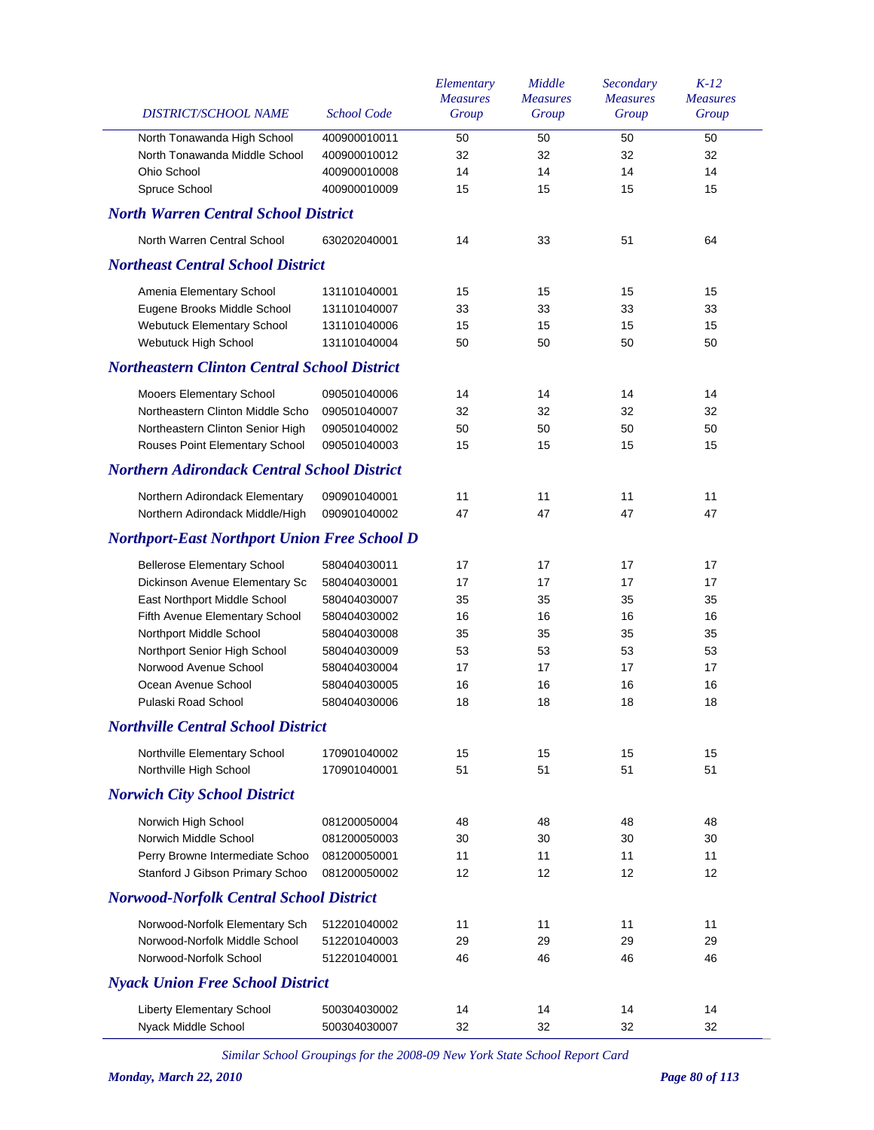| DISTRICT/SCHOOL NAME                                | <b>School Code</b> | Elementary<br><b>Measures</b><br>Group | Middle<br><b>Measures</b><br>Group | Secondary<br><b>Measures</b><br>Group | $K-12$<br><b>Measures</b><br>Group |
|-----------------------------------------------------|--------------------|----------------------------------------|------------------------------------|---------------------------------------|------------------------------------|
| North Tonawanda High School                         | 400900010011       | 50                                     | 50                                 | 50                                    | 50                                 |
| North Tonawanda Middle School                       | 400900010012       | 32                                     | 32                                 | 32                                    | 32                                 |
| Ohio School                                         | 400900010008       | 14                                     | 14                                 | 14                                    | 14                                 |
| Spruce School                                       | 400900010009       | 15                                     | 15                                 | 15                                    | 15                                 |
| <b>North Warren Central School District</b>         |                    |                                        |                                    |                                       |                                    |
| North Warren Central School                         | 630202040001       | 14                                     | 33                                 | 51                                    | 64                                 |
| <b>Northeast Central School District</b>            |                    |                                        |                                    |                                       |                                    |
| Amenia Elementary School                            | 131101040001       | 15                                     | 15                                 | 15                                    | 15                                 |
| Eugene Brooks Middle School                         | 131101040007       | 33                                     | 33                                 | 33                                    | 33                                 |
| <b>Webutuck Elementary School</b>                   | 131101040006       | 15                                     | 15                                 | 15                                    | 15                                 |
| Webutuck High School                                | 131101040004       | 50                                     | 50                                 | 50                                    | 50                                 |
| <b>Northeastern Clinton Central School District</b> |                    |                                        |                                    |                                       |                                    |
| Mooers Elementary School                            | 090501040006       | 14                                     | 14                                 | 14                                    | 14                                 |
| Northeastern Clinton Middle Scho                    | 090501040007       | 32                                     | 32                                 | 32                                    | 32                                 |
| Northeastern Clinton Senior High                    | 090501040002       | 50                                     | 50                                 | 50                                    | 50                                 |
| Rouses Point Elementary School                      | 090501040003       | 15                                     | 15                                 | 15                                    | 15                                 |
| <b>Northern Adirondack Central School District</b>  |                    |                                        |                                    |                                       |                                    |
| Northern Adirondack Elementary                      | 090901040001       | 11                                     | 11                                 | 11                                    | 11                                 |
| Northern Adirondack Middle/High                     | 090901040002       | 47                                     | 47                                 | 47                                    | 47                                 |
| <b>Northport-East Northport Union Free School D</b> |                    |                                        |                                    |                                       |                                    |
| <b>Bellerose Elementary School</b>                  | 580404030011       | 17                                     | 17                                 | 17                                    | 17                                 |
| Dickinson Avenue Elementary Sc                      | 580404030001       | 17                                     | 17                                 | 17                                    | 17                                 |
| East Northport Middle School                        | 580404030007       | 35                                     | 35                                 | 35                                    | 35                                 |
| Fifth Avenue Elementary School                      | 580404030002       | 16                                     | 16                                 | 16                                    | 16                                 |
| Northport Middle School                             | 580404030008       | 35                                     | 35                                 | 35                                    | 35                                 |
| Northport Senior High School                        | 580404030009       | 53                                     | 53                                 | 53                                    | 53                                 |
| Norwood Avenue School                               | 580404030004       | 17                                     | 17                                 | 17                                    | 17                                 |
| Ocean Avenue School                                 | 580404030005       | 16                                     | 16                                 | 16                                    | 16                                 |
| Pulaski Road School                                 | 580404030006       | 18                                     | 18                                 | 18                                    | 18                                 |
| <b>Northville Central School District</b>           |                    |                                        |                                    |                                       |                                    |
| Northville Elementary School                        | 170901040002       | 15                                     | 15                                 | 15                                    | 15                                 |
| Northville High School                              | 170901040001       | 51                                     | 51                                 | 51                                    | 51                                 |
| <b>Norwich City School District</b>                 |                    |                                        |                                    |                                       |                                    |
| Norwich High School                                 | 081200050004       | 48                                     | 48                                 | 48                                    | 48                                 |
| Norwich Middle School                               | 081200050003       | 30                                     | 30                                 | 30                                    | 30                                 |
| Perry Browne Intermediate Schoo                     | 081200050001       | 11                                     | 11                                 | 11                                    | 11                                 |
| Stanford J Gibson Primary Schoo                     | 081200050002       | 12                                     | 12                                 | 12                                    | 12                                 |
| <b>Norwood-Norfolk Central School District</b>      |                    |                                        |                                    |                                       |                                    |
| Norwood-Norfolk Elementary Sch                      | 512201040002       | 11                                     | 11                                 | 11                                    | 11                                 |
| Norwood-Norfolk Middle School                       | 512201040003       | 29                                     | 29                                 | 29                                    | 29                                 |
| Norwood-Norfolk School                              | 512201040001       | 46                                     | 46                                 | 46                                    | 46                                 |
| <b>Nyack Union Free School District</b>             |                    |                                        |                                    |                                       |                                    |
| <b>Liberty Elementary School</b>                    | 500304030002       | 14                                     | 14                                 | 14                                    | 14                                 |
| Nyack Middle School                                 | 500304030007       | 32                                     | 32                                 | 32                                    | 32                                 |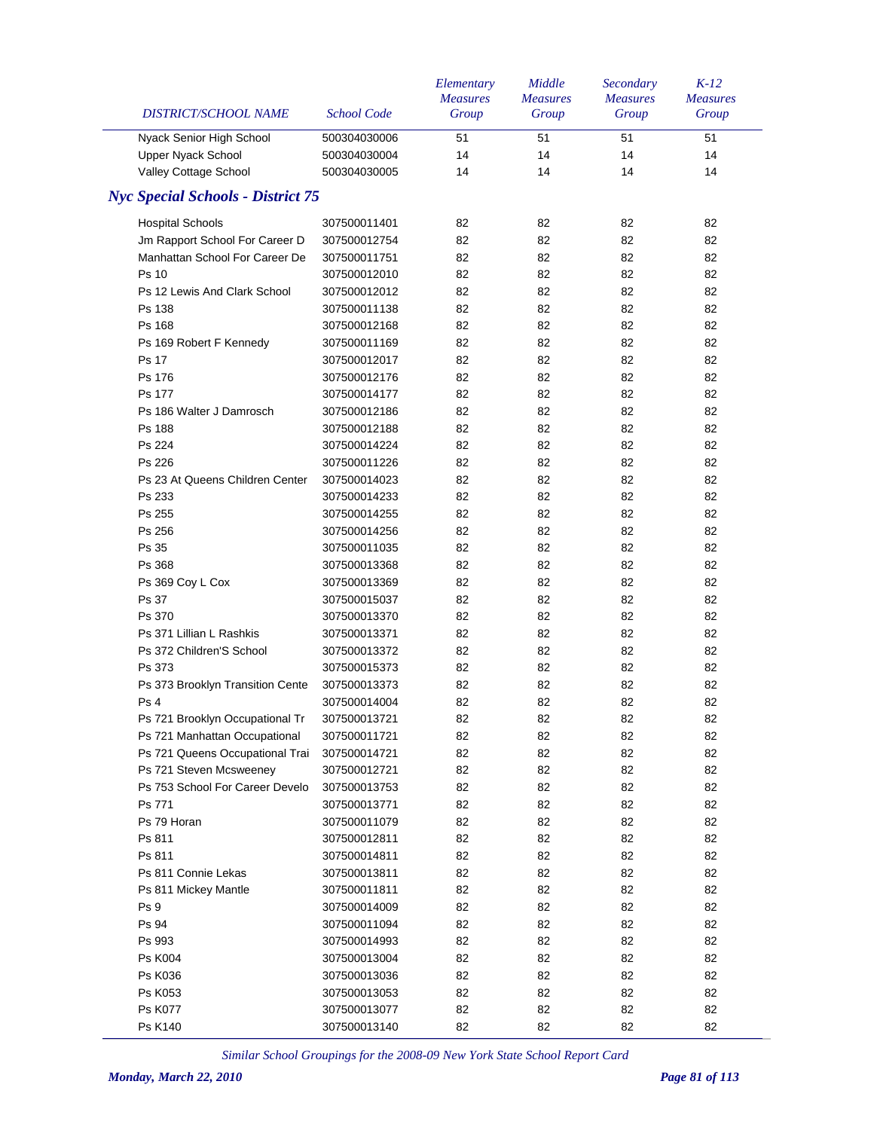| DISTRICT/SCHOOL NAME                                             | <b>School Code</b>           | Elementary<br><b>Measures</b><br>Group | Middle<br><b>Measures</b><br>Group | Secondary<br><b>Measures</b><br>Group | $K-12$<br><b>Measures</b><br>Group |
|------------------------------------------------------------------|------------------------------|----------------------------------------|------------------------------------|---------------------------------------|------------------------------------|
| Nyack Senior High School                                         | 500304030006                 | 51                                     | 51                                 | 51                                    | 51                                 |
| Upper Nyack School                                               | 500304030004                 | 14                                     | 14                                 | 14                                    | 14                                 |
| Valley Cottage School                                            | 500304030005                 | 14                                     | 14                                 | 14                                    | 14                                 |
| <b>Nyc Special Schools - District 75</b>                         |                              |                                        |                                    |                                       |                                    |
| <b>Hospital Schools</b>                                          | 307500011401                 | 82                                     | 82                                 | 82                                    | 82                                 |
| Jm Rapport School For Career D                                   | 307500012754                 | 82                                     | 82                                 | 82                                    | 82                                 |
| Manhattan School For Career De                                   | 307500011751                 | 82                                     | 82                                 | 82                                    | 82                                 |
| Ps 10                                                            | 307500012010                 | 82                                     | 82                                 | 82                                    | 82                                 |
| Ps 12 Lewis And Clark School                                     | 307500012012                 | 82                                     | 82                                 | 82                                    | 82                                 |
| Ps 138                                                           | 307500011138                 | 82                                     | 82                                 | 82                                    | 82                                 |
| Ps 168                                                           | 307500012168                 | 82                                     | 82                                 | 82                                    | 82                                 |
| Ps 169 Robert F Kennedy                                          | 307500011169                 | 82                                     | 82                                 | 82                                    | 82                                 |
| Ps 17                                                            | 307500012017                 | 82                                     | 82                                 | 82                                    | 82                                 |
| Ps 176                                                           | 307500012176                 | 82                                     | 82                                 | 82                                    | 82                                 |
| Ps 177                                                           | 307500014177                 | 82                                     | 82                                 | 82                                    | 82                                 |
| Ps 186 Walter J Damrosch                                         | 307500012186                 | 82                                     | 82                                 | 82                                    | 82                                 |
| Ps 188                                                           | 307500012188                 | 82                                     | 82                                 | 82                                    | 82                                 |
| Ps 224                                                           | 307500014224                 | 82                                     | 82                                 | 82                                    | 82                                 |
| Ps 226                                                           | 307500011226                 | 82                                     | 82                                 | 82                                    | 82                                 |
| Ps 23 At Queens Children Center                                  | 307500014023                 | 82                                     | 82                                 | 82                                    | 82                                 |
| Ps 233                                                           | 307500014233                 | 82                                     | 82                                 | 82                                    | 82                                 |
| Ps 255                                                           | 307500014255                 | 82                                     | 82                                 | 82                                    | 82                                 |
| Ps 256                                                           | 307500014256                 | 82                                     | 82                                 | 82                                    | 82                                 |
| Ps 35                                                            | 307500011035                 | 82                                     | 82                                 | 82                                    | 82                                 |
| Ps 368                                                           | 307500013368                 | 82                                     | 82                                 | 82                                    | 82                                 |
| Ps 369 Coy L Cox                                                 | 307500013369                 | 82                                     | 82                                 | 82                                    | 82                                 |
| Ps 37                                                            | 307500015037                 | 82                                     | 82                                 | 82                                    | 82                                 |
| Ps 370                                                           | 307500013370                 | 82                                     | 82                                 | 82                                    | 82                                 |
| Ps 371 Lillian L Rashkis                                         | 307500013371                 | 82                                     | 82                                 | 82                                    | 82                                 |
| Ps 372 Children'S School                                         | 307500013372                 | 82                                     | 82                                 | 82                                    | 82                                 |
| Ps 373                                                           | 307500015373                 | 82                                     | 82                                 | 82                                    | 82                                 |
| Ps 373 Brooklyn Transition Cente                                 | 307500013373                 | 82                                     | 82                                 | 82                                    | 82                                 |
| Ps 4                                                             | 307500014004                 | 82                                     | 82                                 | 82                                    | 82                                 |
| Ps 721 Brooklyn Occupational Tr                                  |                              | 82                                     | 82                                 | 82                                    | 82                                 |
|                                                                  | 307500013721<br>307500011721 |                                        |                                    |                                       | 82                                 |
| Ps 721 Manhattan Occupational<br>Ps 721 Queens Occupational Trai | 307500014721                 | 82                                     | 82<br>82                           | 82                                    | 82                                 |
| Ps 721 Steven Mcsweeney                                          |                              | 82                                     | 82                                 | 82                                    | 82                                 |
| Ps 753 School For Career Develo                                  | 307500012721                 | 82                                     | 82                                 | 82                                    | 82                                 |
| Ps 771                                                           | 307500013753<br>307500013771 | 82<br>82                               | 82                                 | 82                                    | 82                                 |
| Ps 79 Horan                                                      | 307500011079                 | 82                                     | 82                                 | 82<br>82                              | 82                                 |
|                                                                  |                              |                                        |                                    |                                       |                                    |
| Ps 811                                                           | 307500012811                 | 82                                     | 82                                 | 82                                    | 82                                 |
| Ps 811                                                           | 307500014811                 | 82                                     | 82                                 | 82                                    | 82                                 |
| Ps 811 Connie Lekas                                              | 307500013811                 | 82                                     | 82                                 | 82                                    | 82                                 |
| Ps 811 Mickey Mantle                                             | 307500011811                 | 82                                     | 82                                 | 82                                    | 82                                 |
| Ps 9                                                             | 307500014009                 | 82                                     | 82                                 | 82                                    | 82                                 |
| Ps 94                                                            | 307500011094                 | 82                                     | 82                                 | 82                                    | 82                                 |
| Ps 993                                                           | 307500014993                 | 82                                     | 82                                 | 82                                    | 82                                 |
| <b>Ps K004</b>                                                   | 307500013004                 | 82                                     | 82                                 | 82                                    | 82                                 |
| Ps K036                                                          | 307500013036                 | 82                                     | 82                                 | 82                                    | 82                                 |
| Ps K053                                                          | 307500013053                 | 82                                     | 82                                 | 82                                    | 82                                 |
| <b>Ps K077</b>                                                   | 307500013077                 | 82                                     | 82                                 | 82                                    | 82                                 |
| Ps K140                                                          | 307500013140                 | 82                                     | 82                                 | 82                                    | 82                                 |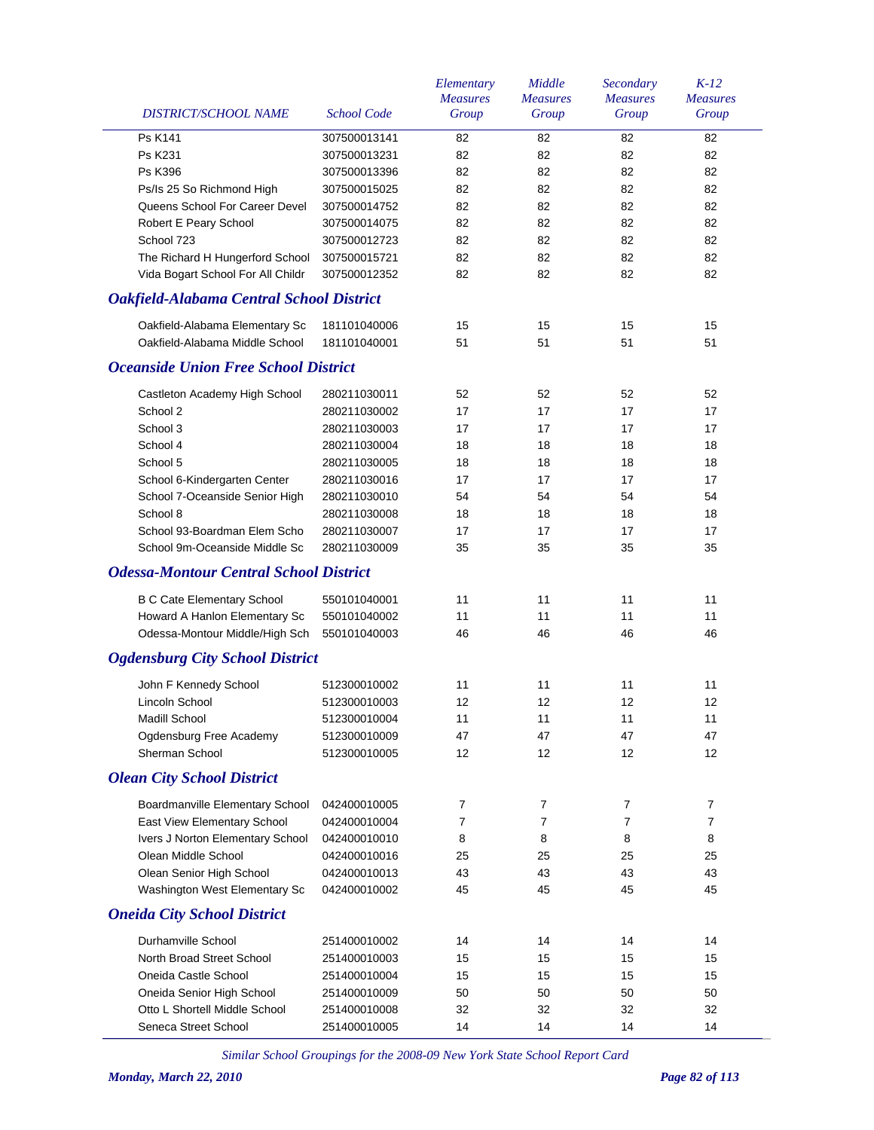|                                                 |                    | Elementary<br><b>Measures</b> | Middle<br><b>Measures</b> | Secondary<br><b>Measures</b> | $K-12$<br><b>Measures</b> |
|-------------------------------------------------|--------------------|-------------------------------|---------------------------|------------------------------|---------------------------|
| DISTRICT/SCHOOL NAME                            | <b>School Code</b> | Group                         | Group                     | Group                        | Group                     |
| Ps K141                                         | 307500013141       | 82                            | 82                        | 82                           | 82                        |
| Ps K231                                         | 307500013231       | 82                            | 82                        | 82                           | 82                        |
| <b>Ps K396</b>                                  | 307500013396       | 82                            | 82                        | 82                           | 82                        |
| Ps/Is 25 So Richmond High                       | 307500015025       | 82                            | 82                        | 82                           | 82                        |
| Queens School For Career Devel                  | 307500014752       | 82                            | 82                        | 82                           | 82                        |
| Robert E Peary School                           | 307500014075       | 82                            | 82                        | 82                           | 82                        |
| School 723                                      | 307500012723       | 82                            | 82                        | 82                           | 82                        |
| The Richard H Hungerford School                 | 307500015721       | 82                            | 82                        | 82                           | 82                        |
| Vida Bogart School For All Childr               | 307500012352       | 82                            | 82                        | 82                           | 82                        |
| <b>Oakfield-Alabama Central School District</b> |                    |                               |                           |                              |                           |
| Oakfield-Alabama Elementary Sc                  | 181101040006       | 15                            | 15                        | 15                           | 15                        |
| Oakfield-Alabama Middle School                  | 181101040001       | 51                            | 51                        | 51                           | 51                        |
| <b>Oceanside Union Free School District</b>     |                    |                               |                           |                              |                           |
| Castleton Academy High School                   | 280211030011       | 52                            | 52                        | 52                           | 52                        |
| School 2                                        | 280211030002       | 17                            | 17                        | 17                           | 17                        |
| School 3                                        | 280211030003       | 17                            | 17                        | 17                           | 17                        |
| School 4                                        | 280211030004       | 18                            | 18                        | 18                           | 18                        |
| School 5                                        | 280211030005       | 18                            | 18                        | 18                           | 18                        |
| School 6-Kindergarten Center                    | 280211030016       | 17                            | 17                        | 17                           | 17                        |
| School 7-Oceanside Senior High                  | 280211030010       | 54                            | 54                        | 54                           | 54                        |
| School 8                                        | 280211030008       | 18                            | 18                        | 18                           | 18                        |
| School 93-Boardman Elem Scho                    | 280211030007       | 17                            | 17                        | 17                           | 17                        |
| School 9m-Oceanside Middle Sc                   | 280211030009       | 35                            | 35                        | 35                           | 35                        |
| <b>Odessa-Montour Central School District</b>   |                    |                               |                           |                              |                           |
| <b>B C Cate Elementary School</b>               | 550101040001       | 11                            | 11                        | 11                           | 11                        |
| Howard A Hanlon Elementary Sc                   | 550101040002       | 11                            | 11                        | 11                           | 11                        |
| Odessa-Montour Middle/High Sch                  | 550101040003       | 46                            | 46                        | 46                           | 46                        |
| <b>Ogdensburg City School District</b>          |                    |                               |                           |                              |                           |
|                                                 |                    |                               |                           |                              |                           |
| John F Kennedy School                           | 512300010002       | 11                            | 11                        | 11                           | 11                        |
| Lincoln School                                  | 512300010003       | 12                            | 12                        | 12                           | 12                        |
| Madill School                                   | 512300010004       | 11                            | 11                        | 11                           | $11$                      |
| Ogdensburg Free Academy                         | 512300010009       | 47                            | 47                        | 47                           | 47                        |
| Sherman School                                  | 512300010005       | 12                            | 12                        | 12                           | 12                        |
| <b>Olean City School District</b>               |                    |                               |                           |                              |                           |
| Boardmanville Elementary School                 | 042400010005       | 7                             | 7                         | $\overline{7}$               | 7                         |
| East View Elementary School                     | 042400010004       | 7                             | $\overline{7}$            | $\overline{7}$               | 7                         |
| Ivers J Norton Elementary School                | 042400010010       | 8                             | 8                         | 8                            | 8                         |
| Olean Middle School                             | 042400010016       | 25                            | 25                        | 25                           | 25                        |
| Olean Senior High School                        | 042400010013       | 43                            | 43                        | 43                           | 43                        |
| Washington West Elementary Sc                   | 042400010002       | 45                            | 45                        | 45                           | 45                        |
| <b>Oneida City School District</b>              |                    |                               |                           |                              |                           |
| Durhamville School                              | 251400010002       | 14                            | 14                        | 14                           | 14                        |
| North Broad Street School                       | 251400010003       | 15                            | 15                        | 15                           | 15                        |
| Oneida Castle School                            | 251400010004       | 15                            | 15                        | 15                           | 15                        |
| Oneida Senior High School                       | 251400010009       | 50                            | 50                        | 50                           | 50                        |
| Otto L Shortell Middle School                   | 251400010008       | 32                            | 32                        | 32                           | 32                        |
| Seneca Street School                            | 251400010005       | 14                            | 14                        | 14                           | 14                        |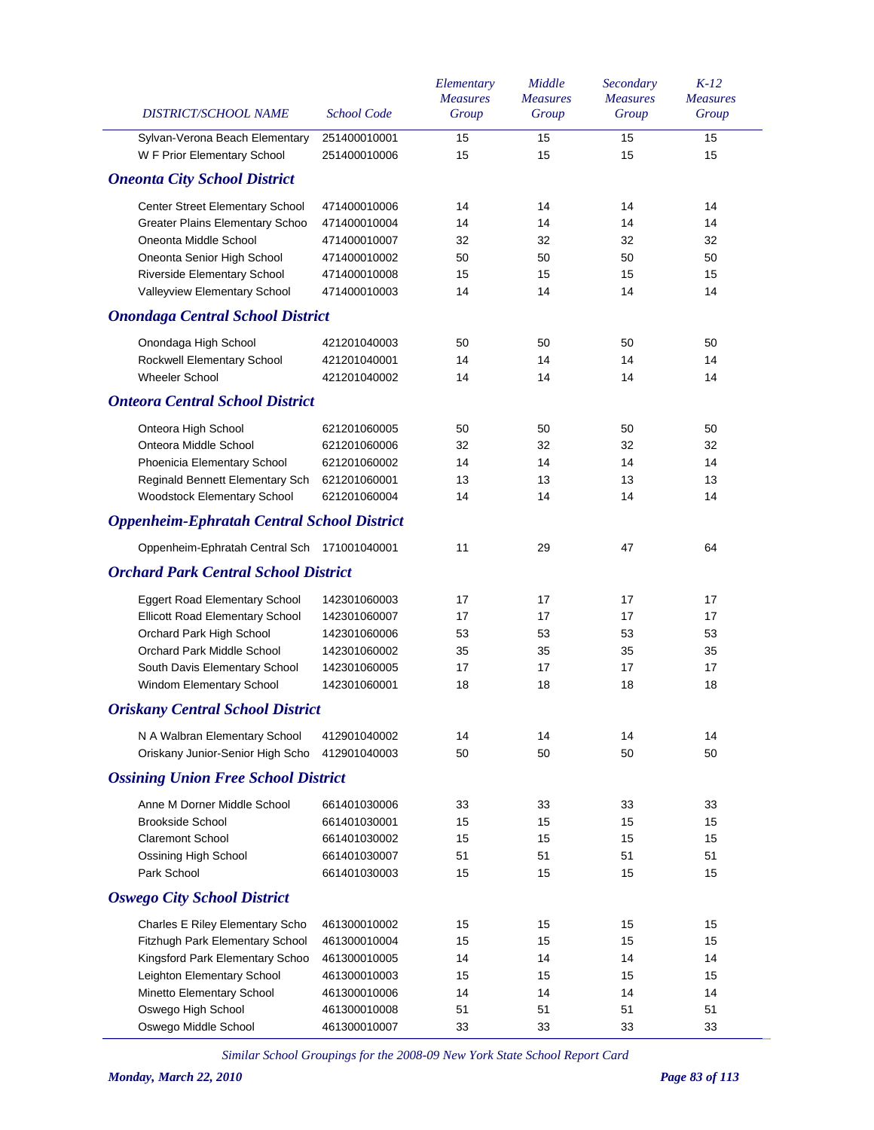| DISTRICT/SCHOOL NAME                              | <b>School Code</b> | Elementary<br><b>Measures</b><br>Group | Middle<br><b>Measures</b><br>Group | Secondary<br><b>Measures</b><br>Group | $K-12$<br><b>Measures</b><br>Group |
|---------------------------------------------------|--------------------|----------------------------------------|------------------------------------|---------------------------------------|------------------------------------|
| Sylvan-Verona Beach Elementary                    | 251400010001       | 15                                     | 15                                 | 15                                    | 15                                 |
| W F Prior Elementary School                       | 251400010006       | 15                                     | 15                                 | 15                                    | 15                                 |
| <b>Oneonta City School District</b>               |                    |                                        |                                    |                                       |                                    |
| Center Street Elementary School                   | 471400010006       | 14                                     | 14                                 | 14                                    | 14                                 |
| <b>Greater Plains Elementary Schoo</b>            | 471400010004       | 14                                     | 14                                 | 14                                    | 14                                 |
| Oneonta Middle School                             | 471400010007       | 32                                     | 32                                 | 32                                    | 32                                 |
| Oneonta Senior High School                        | 471400010002       | 50                                     | 50                                 | 50                                    | 50                                 |
| Riverside Elementary School                       | 471400010008       | 15                                     | 15                                 | 15                                    | 15                                 |
| Valleyview Elementary School                      | 471400010003       | 14                                     | 14                                 | 14                                    | 14                                 |
| <b>Onondaga Central School District</b>           |                    |                                        |                                    |                                       |                                    |
| Onondaga High School                              | 421201040003       | 50                                     | 50                                 | 50                                    | 50                                 |
| Rockwell Elementary School                        | 421201040001       | 14                                     | 14                                 | 14                                    | 14                                 |
| <b>Wheeler School</b>                             | 421201040002       | 14                                     | 14                                 | 14                                    | 14                                 |
| <b>Onteora Central School District</b>            |                    |                                        |                                    |                                       |                                    |
| Onteora High School                               | 621201060005       | 50                                     | 50                                 | 50                                    | 50                                 |
| Onteora Middle School                             | 621201060006       | 32                                     | 32                                 | 32                                    | 32                                 |
| Phoenicia Elementary School                       | 621201060002       | 14                                     | 14                                 | 14                                    | 14                                 |
| Reginald Bennett Elementary Sch                   | 621201060001       | 13                                     | 13                                 | 13                                    | 13                                 |
| Woodstock Elementary School                       | 621201060004       | 14                                     | 14                                 | 14                                    | 14                                 |
| <b>Oppenheim-Ephratah Central School District</b> |                    |                                        |                                    |                                       |                                    |
| Oppenheim-Ephratah Central Sch 171001040001       |                    | 11                                     | 29                                 | 47                                    | 64                                 |
| <b>Orchard Park Central School District</b>       |                    |                                        |                                    |                                       |                                    |
| Eggert Road Elementary School                     | 142301060003       | 17                                     | 17                                 | 17                                    | 17                                 |
| Ellicott Road Elementary School                   | 142301060007       | 17                                     | 17                                 | 17                                    | 17                                 |
| Orchard Park High School                          | 142301060006       | 53                                     | 53                                 | 53                                    | 53                                 |
| Orchard Park Middle School                        | 142301060002       | 35                                     | 35                                 | 35                                    | 35                                 |
| South Davis Elementary School                     | 142301060005       | 17                                     | 17                                 | 17                                    | 17                                 |
| Windom Elementary School                          | 142301060001       | 18                                     | 18                                 | 18                                    | 18                                 |
| <b>Oriskany Central School District</b>           |                    |                                        |                                    |                                       |                                    |
| N A Walbran Elementary School                     | 412901040002       | 14                                     | 14                                 | 14                                    | 14                                 |
| Oriskany Junior-Senior High Scho                  | 412901040003       | 50                                     | 50                                 | 50                                    | 50                                 |
| <b>Ossining Union Free School District</b>        |                    |                                        |                                    |                                       |                                    |
| Anne M Dorner Middle School                       | 661401030006       | 33                                     | 33                                 | 33                                    | 33                                 |
| <b>Brookside School</b>                           | 661401030001       | 15                                     | 15                                 | 15                                    | 15                                 |
| <b>Claremont School</b>                           | 661401030002       | 15                                     | 15                                 | 15                                    | 15                                 |
| Ossining High School                              | 661401030007       | 51                                     | 51                                 | 51                                    | 51                                 |
| Park School                                       | 661401030003       | 15                                     | 15                                 | 15                                    | 15                                 |
| <b>Oswego City School District</b>                |                    |                                        |                                    |                                       |                                    |
| <b>Charles E Riley Elementary Scho</b>            | 461300010002       | 15                                     | 15                                 | 15                                    | 15                                 |
| Fitzhugh Park Elementary School                   | 461300010004       | 15                                     | 15                                 | 15                                    | 15                                 |
| Kingsford Park Elementary Schoo                   | 461300010005       | 14                                     | 14                                 | 14                                    | 14                                 |
| Leighton Elementary School                        | 461300010003       | 15                                     | 15                                 | 15                                    | 15                                 |
| Minetto Elementary School                         | 461300010006       | 14                                     | 14                                 | 14                                    | 14                                 |
| Oswego High School                                | 461300010008       | 51                                     | 51                                 | 51                                    | 51                                 |
| Oswego Middle School                              | 461300010007       | 33                                     | 33                                 | 33                                    | 33                                 |
|                                                   |                    |                                        |                                    |                                       |                                    |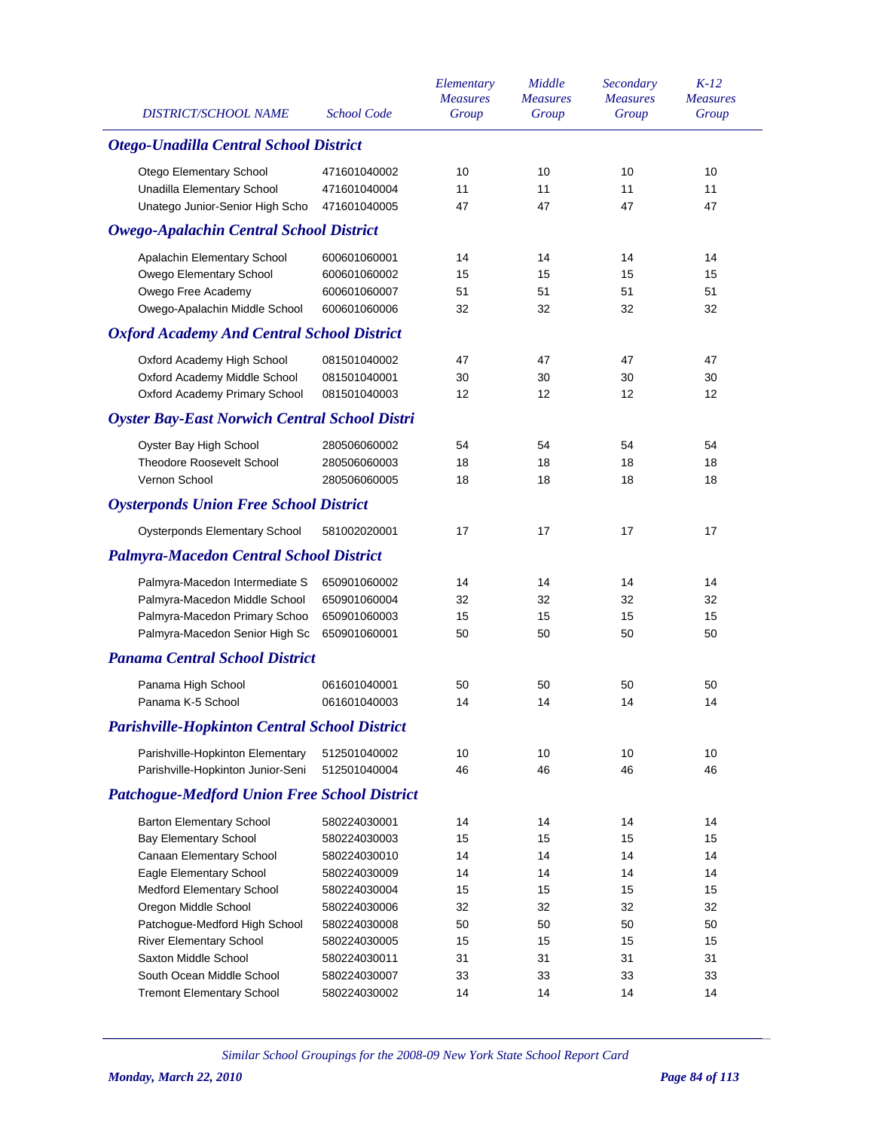| <b>DISTRICT/SCHOOL NAME</b>                          | <b>School Code</b> | Elementary<br><b>Measures</b><br>Group | Middle<br><b>Measures</b><br>Group | Secondary<br><b>Measures</b><br>Group | $K-12$<br><b>Measures</b><br>Group |
|------------------------------------------------------|--------------------|----------------------------------------|------------------------------------|---------------------------------------|------------------------------------|
| <b>Otego-Unadilla Central School District</b>        |                    |                                        |                                    |                                       |                                    |
| Otego Elementary School                              | 471601040002       | 10                                     | 10                                 | 10                                    | 10                                 |
| Unadilla Elementary School                           | 471601040004       | 11                                     | 11                                 | 11                                    | 11                                 |
| Unatego Junior-Senior High Scho                      | 471601040005       | 47                                     | 47                                 | 47                                    | 47                                 |
| <b>Owego-Apalachin Central School District</b>       |                    |                                        |                                    |                                       |                                    |
| Apalachin Elementary School                          | 600601060001       | 14                                     | 14                                 | 14                                    | 14                                 |
| Owego Elementary School                              | 600601060002       | 15                                     | 15                                 | 15                                    | 15                                 |
| Owego Free Academy                                   | 600601060007       | 51                                     | 51                                 | 51                                    | 51                                 |
| Owego-Apalachin Middle School                        | 600601060006       | 32                                     | 32                                 | 32                                    | 32                                 |
| <b>Oxford Academy And Central School District</b>    |                    |                                        |                                    |                                       |                                    |
| Oxford Academy High School                           | 081501040002       | 47                                     | 47                                 | 47                                    | 47                                 |
| Oxford Academy Middle School                         | 081501040001       | 30                                     | 30                                 | 30                                    | 30                                 |
| Oxford Academy Primary School                        | 081501040003       | 12                                     | 12                                 | 12                                    | 12                                 |
| <b>Oyster Bay-East Norwich Central School Distri</b> |                    |                                        |                                    |                                       |                                    |
| Oyster Bay High School                               | 280506060002       | 54                                     | 54                                 | 54                                    | 54                                 |
| <b>Theodore Roosevelt School</b>                     | 280506060003       | 18                                     | 18                                 | 18                                    | 18                                 |
| Vernon School                                        | 280506060005       | 18                                     | 18                                 | 18                                    | 18                                 |
| <b>Oysterponds Union Free School District</b>        |                    |                                        |                                    |                                       |                                    |
| <b>Oysterponds Elementary School</b>                 | 581002020001       | 17                                     | 17                                 | 17                                    | 17                                 |
| <b>Palmyra-Macedon Central School District</b>       |                    |                                        |                                    |                                       |                                    |
| Palmyra-Macedon Intermediate S                       | 650901060002       | 14                                     | 14                                 | 14                                    | 14                                 |
| Palmyra-Macedon Middle School                        | 650901060004       | 32                                     | 32                                 | 32                                    | 32                                 |
| Palmyra-Macedon Primary Schoo                        | 650901060003       | 15                                     | 15                                 | 15                                    | 15                                 |
| Palmyra-Macedon Senior High Sc                       | 650901060001       | 50                                     | 50                                 | 50                                    | 50                                 |
| <b>Panama Central School District</b>                |                    |                                        |                                    |                                       |                                    |
| Panama High School                                   | 061601040001       | 50                                     | 50                                 | 50                                    | 50                                 |
| Panama K-5 School                                    | 061601040003       | 14                                     | 14                                 | 14                                    | 14                                 |
| <b>Parishville-Hopkinton Central School District</b> |                    |                                        |                                    |                                       |                                    |
| Parishville-Hopkinton Elementary                     | 512501040002       | 10                                     | 10                                 | 10                                    | 10                                 |
| Parishville-Hopkinton Junior-Seni                    | 512501040004       | 46                                     | 46                                 | 46                                    | 46                                 |
| <b>Patchogue-Medford Union Free School District</b>  |                    |                                        |                                    |                                       |                                    |
| <b>Barton Elementary School</b>                      | 580224030001       | 14                                     | 14                                 | 14                                    | 14                                 |
| <b>Bay Elementary School</b>                         | 580224030003       | 15                                     | 15                                 | 15                                    | 15                                 |
| Canaan Elementary School                             | 580224030010       | 14                                     | 14                                 | 14                                    | 14                                 |
| Eagle Elementary School                              | 580224030009       | 14                                     | 14                                 | 14                                    | 14                                 |
| <b>Medford Elementary School</b>                     | 580224030004       | 15                                     | 15                                 | 15                                    | 15                                 |
| Oregon Middle School                                 | 580224030006       | 32                                     | 32                                 | 32                                    | 32                                 |
| Patchogue-Medford High School                        | 580224030008       | 50                                     | 50                                 | 50                                    | 50                                 |
| <b>River Elementary School</b>                       | 580224030005       | 15                                     | 15                                 | 15                                    | 15                                 |
| Saxton Middle School                                 | 580224030011       | 31                                     | 31                                 | 31                                    | 31                                 |
| South Ocean Middle School                            | 580224030007       | 33                                     | 33                                 | 33                                    | 33                                 |
| <b>Tremont Elementary School</b>                     | 580224030002       | 14                                     | 14                                 | 14                                    | 14                                 |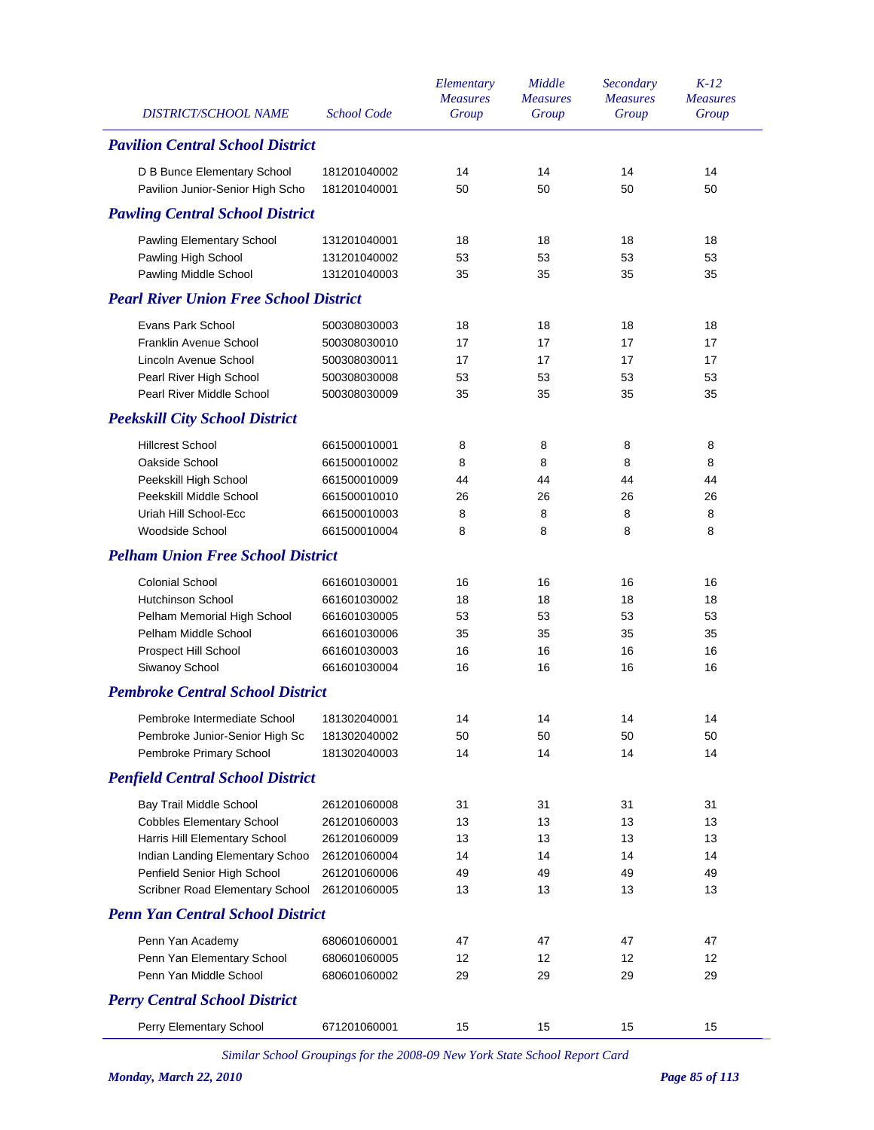| <b>DISTRICT/SCHOOL NAME</b>                   | <b>School Code</b> | Elementary<br><b>Measures</b><br>Group | Middle<br><b>Measures</b><br>Group | Secondary<br><b>Measures</b><br>Group | $K-12$<br><b>Measures</b><br>Group |
|-----------------------------------------------|--------------------|----------------------------------------|------------------------------------|---------------------------------------|------------------------------------|
| <b>Pavilion Central School District</b>       |                    |                                        |                                    |                                       |                                    |
| D B Bunce Elementary School                   | 181201040002       | 14                                     | 14                                 | 14                                    | 14                                 |
| Pavilion Junior-Senior High Scho              | 181201040001       | 50                                     | 50                                 | 50                                    | 50                                 |
| <b>Pawling Central School District</b>        |                    |                                        |                                    |                                       |                                    |
| Pawling Elementary School                     | 131201040001       | 18                                     | 18                                 | 18                                    | 18                                 |
| Pawling High School                           | 131201040002       | 53                                     | 53                                 | 53                                    | 53                                 |
| Pawling Middle School                         | 131201040003       | 35                                     | 35                                 | 35                                    | 35                                 |
| <b>Pearl River Union Free School District</b> |                    |                                        |                                    |                                       |                                    |
| Evans Park School                             | 500308030003       | 18                                     | 18                                 | 18                                    | 18                                 |
| Franklin Avenue School                        | 500308030010       | 17                                     | 17                                 | 17                                    | 17                                 |
| Lincoln Avenue School                         | 500308030011       | 17                                     | 17                                 | 17                                    | 17                                 |
| Pearl River High School                       | 500308030008       | 53                                     | 53                                 | 53                                    | 53                                 |
| Pearl River Middle School                     | 500308030009       | 35                                     | 35                                 | 35                                    | 35                                 |
| <b>Peekskill City School District</b>         |                    |                                        |                                    |                                       |                                    |
| <b>Hillcrest School</b>                       | 661500010001       | 8                                      | 8                                  | 8                                     | 8                                  |
| Oakside School                                | 661500010002       | 8                                      | 8                                  | 8                                     | 8                                  |
| Peekskill High School                         | 661500010009       | 44                                     | 44                                 | 44                                    | 44                                 |
| Peekskill Middle School                       | 661500010010       | 26                                     | 26                                 | 26                                    | 26                                 |
| Uriah Hill School-Ecc                         | 661500010003       | 8                                      | 8                                  | 8                                     | 8                                  |
| Woodside School                               | 661500010004       | 8                                      | 8                                  | 8                                     | 8                                  |
| <b>Pelham Union Free School District</b>      |                    |                                        |                                    |                                       |                                    |
| <b>Colonial School</b>                        | 661601030001       | 16                                     | 16                                 | 16                                    | 16                                 |
| <b>Hutchinson School</b>                      | 661601030002       | 18                                     | 18                                 | 18                                    | 18                                 |
| Pelham Memorial High School                   | 661601030005       | 53                                     | 53                                 | 53                                    | 53                                 |
| Pelham Middle School                          | 661601030006       | 35                                     | 35                                 | 35                                    | 35                                 |
| Prospect Hill School                          | 661601030003       | 16                                     | 16                                 | 16                                    | 16                                 |
| Siwanoy School                                | 661601030004       | 16                                     | 16                                 | 16                                    | 16                                 |
| <b>Pembroke Central School District</b>       |                    |                                        |                                    |                                       |                                    |
| Pembroke Intermediate School 181302040001     |                    | 14                                     | 14                                 | 14                                    | 14                                 |
| Pembroke Junior-Senior High Sc                | 181302040002       | 50                                     | 50                                 | 50                                    | 50                                 |
| Pembroke Primary School                       | 181302040003       | 14                                     | 14                                 | 14                                    | 14                                 |
| <b>Penfield Central School District</b>       |                    |                                        |                                    |                                       |                                    |
| Bay Trail Middle School                       | 261201060008       | 31                                     | 31                                 | 31                                    | 31                                 |
| <b>Cobbles Elementary School</b>              | 261201060003       | 13                                     | 13                                 | 13                                    | 13                                 |
| Harris Hill Elementary School                 | 261201060009       | 13                                     | 13                                 | 13                                    | 13                                 |
| Indian Landing Elementary Schoo               | 261201060004       | 14                                     | 14                                 | 14                                    | 14                                 |
| Penfield Senior High School                   | 261201060006       | 49                                     | 49                                 | 49                                    | 49                                 |
| Scribner Road Elementary School               | 261201060005       | 13                                     | 13                                 | 13                                    | 13                                 |
| <b>Penn Yan Central School District</b>       |                    |                                        |                                    |                                       |                                    |
| Penn Yan Academy                              | 680601060001       | 47                                     | 47                                 | 47                                    | 47                                 |
| Penn Yan Elementary School                    | 680601060005       | 12                                     | 12                                 | 12                                    | 12                                 |
| Penn Yan Middle School                        | 680601060002       | 29                                     | 29                                 | 29                                    | 29                                 |
| <b>Perry Central School District</b>          |                    |                                        |                                    |                                       |                                    |
| Perry Elementary School                       | 671201060001       | 15                                     | 15                                 | 15                                    | 15                                 |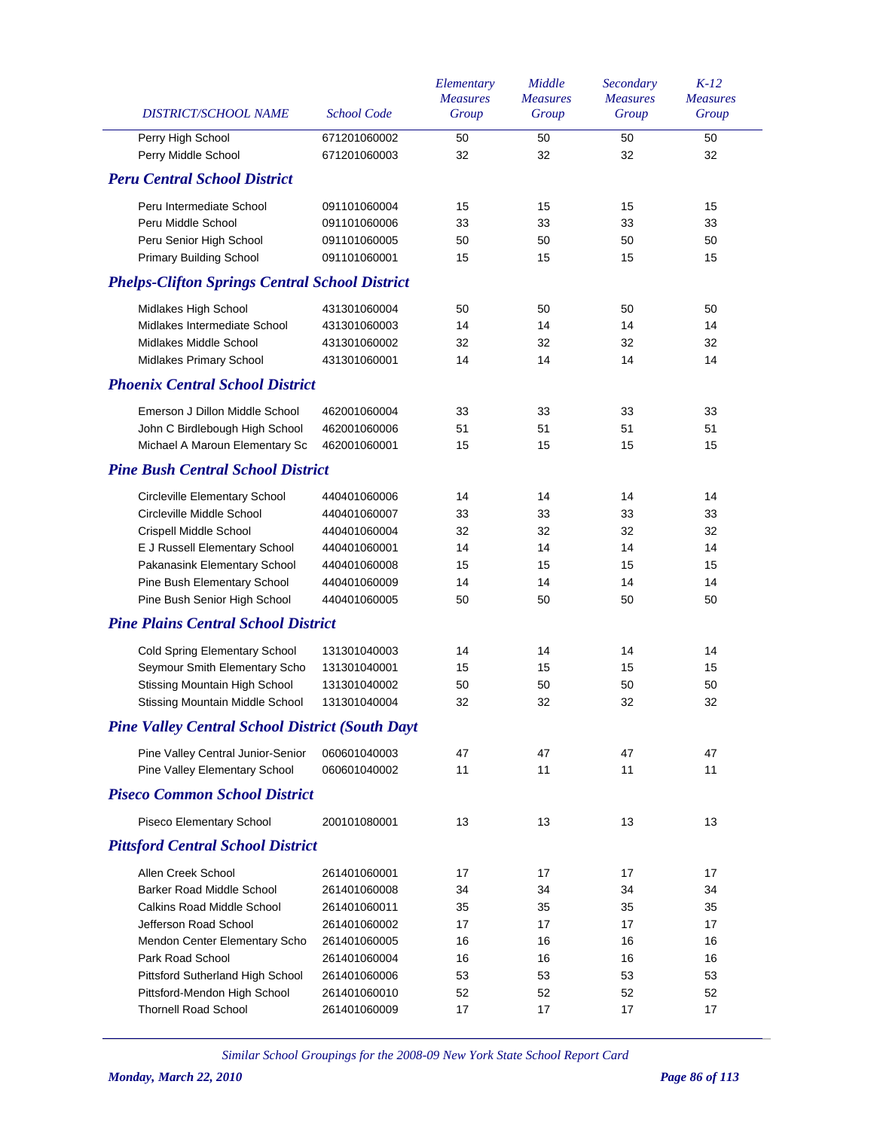| DISTRICT/SCHOOL NAME                                   | <b>School Code</b> | Elementary<br><b>Measures</b><br>Group | Middle<br><b>Measures</b><br>Group | Secondary<br><b>Measures</b><br>Group | $K-12$<br><b>Measures</b><br>Group |
|--------------------------------------------------------|--------------------|----------------------------------------|------------------------------------|---------------------------------------|------------------------------------|
| Perry High School                                      | 671201060002       | 50                                     | 50                                 | 50                                    | 50                                 |
| Perry Middle School                                    | 671201060003       | 32                                     | 32                                 | 32                                    | 32                                 |
| <b>Peru Central School District</b>                    |                    |                                        |                                    |                                       |                                    |
| Peru Intermediate School                               | 091101060004       | 15                                     | 15                                 | 15                                    | 15                                 |
| Peru Middle School                                     | 091101060006       | 33                                     | 33                                 | 33                                    | 33                                 |
| Peru Senior High School                                | 091101060005       | 50                                     | 50                                 | 50                                    | 50                                 |
| <b>Primary Building School</b>                         | 091101060001       | 15                                     | 15                                 | 15                                    | 15                                 |
| <b>Phelps-Clifton Springs Central School District</b>  |                    |                                        |                                    |                                       |                                    |
| Midlakes High School                                   | 431301060004       | 50                                     | 50                                 | 50                                    | 50                                 |
| Midlakes Intermediate School                           | 431301060003       | 14                                     | 14                                 | 14                                    | 14                                 |
| Midlakes Middle School                                 | 431301060002       | 32                                     | 32                                 | 32                                    | 32                                 |
| Midlakes Primary School                                | 431301060001       | 14                                     | 14                                 | 14                                    | 14                                 |
| <b>Phoenix Central School District</b>                 |                    |                                        |                                    |                                       |                                    |
| Emerson J Dillon Middle School                         | 462001060004       | 33                                     | 33                                 | 33                                    | 33                                 |
| John C Birdlebough High School                         | 462001060006       | 51                                     | 51                                 | 51                                    | 51                                 |
| Michael A Maroun Elementary Sc                         | 462001060001       | 15                                     | 15                                 | 15                                    | 15                                 |
| <b>Pine Bush Central School District</b>               |                    |                                        |                                    |                                       |                                    |
| <b>Circleville Elementary School</b>                   | 440401060006       | 14                                     | 14                                 | 14                                    | 14                                 |
| Circleville Middle School                              | 440401060007       | 33                                     | 33                                 | 33                                    | 33                                 |
| Crispell Middle School                                 | 440401060004       | 32                                     | 32                                 | 32                                    | 32                                 |
| E J Russell Elementary School                          | 440401060001       | 14                                     | 14                                 | 14                                    | 14                                 |
| Pakanasink Elementary School                           | 440401060008       | 15                                     | 15                                 | 15                                    | 15                                 |
| Pine Bush Elementary School                            | 440401060009       | 14                                     | 14                                 | 14                                    | 14                                 |
| Pine Bush Senior High School                           | 440401060005       | 50                                     | 50                                 | 50                                    | 50                                 |
| <b>Pine Plains Central School District</b>             |                    |                                        |                                    |                                       |                                    |
| Cold Spring Elementary School                          | 131301040003       | 14                                     | 14                                 | 14                                    | 14                                 |
| Seymour Smith Elementary Scho                          | 131301040001       | 15                                     | 15                                 | 15                                    | 15                                 |
| Stissing Mountain High School                          | 131301040002       | 50                                     | 50                                 | 50                                    | 50                                 |
| <b>Stissing Mountain Middle School</b>                 | 131301040004       | 32                                     | 32                                 | 32                                    | 32                                 |
| <b>Pine Valley Central School District (South Dayt</b> |                    |                                        |                                    |                                       |                                    |
| Pine Valley Central Junior-Senior                      | 060601040003       | 47                                     | 47                                 | 47                                    | 47                                 |
| Pine Valley Elementary School                          | 060601040002       | 11                                     | 11                                 | 11                                    | 11                                 |
| <b>Piseco Common School District</b>                   |                    |                                        |                                    |                                       |                                    |
| Piseco Elementary School                               | 200101080001       | 13                                     | 13                                 | 13                                    | 13                                 |
| <b>Pittsford Central School District</b>               |                    |                                        |                                    |                                       |                                    |
| Allen Creek School                                     | 261401060001       | 17                                     | 17                                 | 17                                    | 17                                 |
| Barker Road Middle School                              | 261401060008       | 34                                     | 34                                 | 34                                    | 34                                 |
| Calkins Road Middle School                             | 261401060011       | 35                                     | 35                                 | 35                                    | 35                                 |
| Jefferson Road School                                  | 261401060002       | 17                                     | 17                                 | 17                                    | 17                                 |
| Mendon Center Elementary Scho                          | 261401060005       | 16                                     | 16                                 | 16                                    | 16                                 |
| Park Road School                                       | 261401060004       | 16                                     | 16                                 | 16                                    | 16                                 |
| Pittsford Sutherland High School                       | 261401060006       | 53                                     | 53                                 | 53                                    | 53                                 |
| Pittsford-Mendon High School                           | 261401060010       | 52                                     | 52                                 | 52                                    | 52                                 |
| <b>Thornell Road School</b>                            | 261401060009       | 17                                     | 17                                 | 17                                    | 17                                 |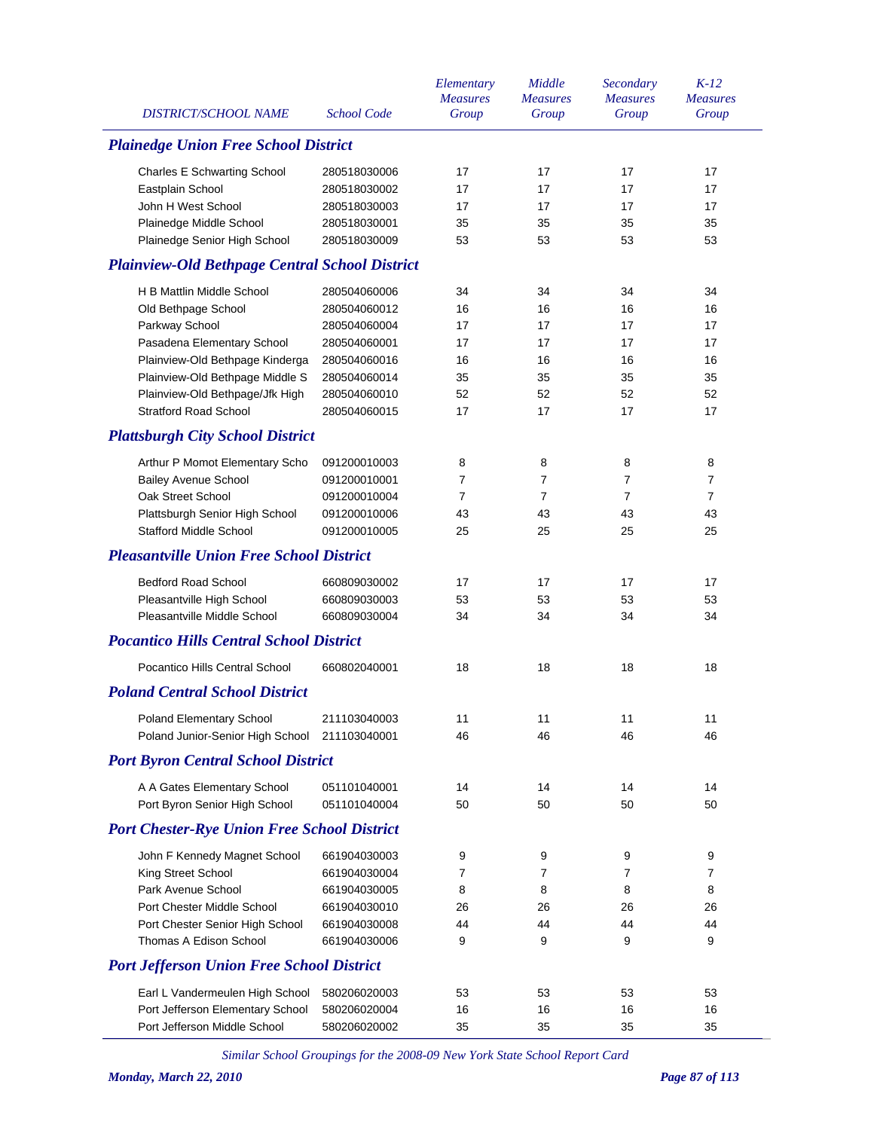| <b>DISTRICT/SCHOOL NAME</b>                           | <b>School Code</b> | Elementary<br><b>Measures</b><br>Group | Middle<br><b>Measures</b><br>Group | Secondary<br><b>Measures</b><br>Group | $K-12$<br><b>Measures</b><br>Group |
|-------------------------------------------------------|--------------------|----------------------------------------|------------------------------------|---------------------------------------|------------------------------------|
| <b>Plainedge Union Free School District</b>           |                    |                                        |                                    |                                       |                                    |
| <b>Charles E Schwarting School</b>                    | 280518030006       | 17                                     | 17                                 | 17                                    | 17                                 |
| Eastplain School                                      | 280518030002       | 17                                     | 17                                 | 17                                    | 17                                 |
| John H West School                                    | 280518030003       | 17                                     | 17                                 | 17                                    | 17                                 |
| Plainedge Middle School                               | 280518030001       | 35                                     | 35                                 | 35                                    | 35                                 |
| Plainedge Senior High School                          | 280518030009       | 53                                     | 53                                 | 53                                    | 53                                 |
| <b>Plainview-Old Bethpage Central School District</b> |                    |                                        |                                    |                                       |                                    |
| H B Mattlin Middle School                             | 280504060006       | 34                                     | 34                                 | 34                                    | 34                                 |
| Old Bethpage School                                   | 280504060012       | 16                                     | 16                                 | 16                                    | 16                                 |
| Parkway School                                        | 280504060004       | 17                                     | 17                                 | 17                                    | 17                                 |
| Pasadena Elementary School                            | 280504060001       | 17                                     | 17                                 | 17                                    | 17                                 |
| Plainview-Old Bethpage Kinderga                       | 280504060016       | 16                                     | 16                                 | 16                                    | 16                                 |
| Plainview-Old Bethpage Middle S                       | 280504060014       | 35                                     | 35                                 | 35                                    | 35                                 |
| Plainview-Old Bethpage/Jfk High                       | 280504060010       | 52                                     | 52                                 | 52                                    | 52                                 |
| <b>Stratford Road School</b>                          | 280504060015       | 17                                     | 17                                 | 17                                    | 17                                 |
| <b>Plattsburgh City School District</b>               |                    |                                        |                                    |                                       |                                    |
| Arthur P Momot Elementary Scho                        | 091200010003       | 8                                      | 8                                  | 8                                     | 8                                  |
| <b>Bailey Avenue School</b>                           | 091200010001       | 7                                      | 7                                  | $\overline{7}$                        | $\overline{7}$                     |
| Oak Street School                                     | 091200010004       | $\overline{7}$                         | $\overline{7}$                     | $\overline{7}$                        | $\overline{7}$                     |
| Plattsburgh Senior High School                        | 091200010006       | 43                                     | 43                                 | 43                                    | 43                                 |
| <b>Stafford Middle School</b>                         | 091200010005       | 25                                     | 25                                 | 25                                    | 25                                 |
| <b>Pleasantville Union Free School District</b>       |                    |                                        |                                    |                                       |                                    |
| <b>Bedford Road School</b>                            | 660809030002       | 17                                     | 17                                 | 17                                    | 17                                 |
| Pleasantville High School                             | 660809030003       | 53                                     | 53                                 | 53                                    | 53                                 |
| Pleasantville Middle School                           | 660809030004       | 34                                     | 34                                 | 34                                    | 34                                 |
| <b>Pocantico Hills Central School District</b>        |                    |                                        |                                    |                                       |                                    |
| Pocantico Hills Central School                        | 660802040001       | 18                                     | 18                                 | 18                                    | 18                                 |
| <b>Poland Central School District</b>                 |                    |                                        |                                    |                                       |                                    |
| Poland Elementary School                              | 211103040003       | 11                                     | 11                                 | 11                                    | 11                                 |
| Poland Junior-Senior High School                      | 211103040001       | 46                                     | 46                                 | 46                                    | 46                                 |
| <b>Port Byron Central School District</b>             |                    |                                        |                                    |                                       |                                    |
| A A Gates Elementary School                           | 051101040001       | 14                                     | 14                                 | 14                                    | 14                                 |
| Port Byron Senior High School                         | 051101040004       | 50                                     | 50                                 | 50                                    | 50                                 |
| <b>Port Chester-Rye Union Free School District</b>    |                    |                                        |                                    |                                       |                                    |
| John F Kennedy Magnet School                          | 661904030003       | 9                                      | 9                                  | 9                                     | 9                                  |
| King Street School                                    | 661904030004       | 7                                      | 7                                  | 7                                     | 7                                  |
| Park Avenue School                                    | 661904030005       | 8                                      | 8                                  | 8                                     | 8                                  |
| Port Chester Middle School                            | 661904030010       | 26                                     | 26                                 | 26                                    | 26                                 |
| Port Chester Senior High School                       | 661904030008       | 44                                     | 44                                 | 44                                    | 44                                 |
| Thomas A Edison School                                | 661904030006       | 9                                      | 9                                  | 9                                     | 9                                  |
| <b>Port Jefferson Union Free School District</b>      |                    |                                        |                                    |                                       |                                    |
| Earl L Vandermeulen High School                       | 580206020003       | 53                                     | 53                                 | 53                                    | 53                                 |
| Port Jefferson Elementary School                      | 580206020004       | 16                                     | 16                                 | 16                                    | 16                                 |
| Port Jefferson Middle School                          | 580206020002       | 35                                     | 35                                 | 35                                    | 35                                 |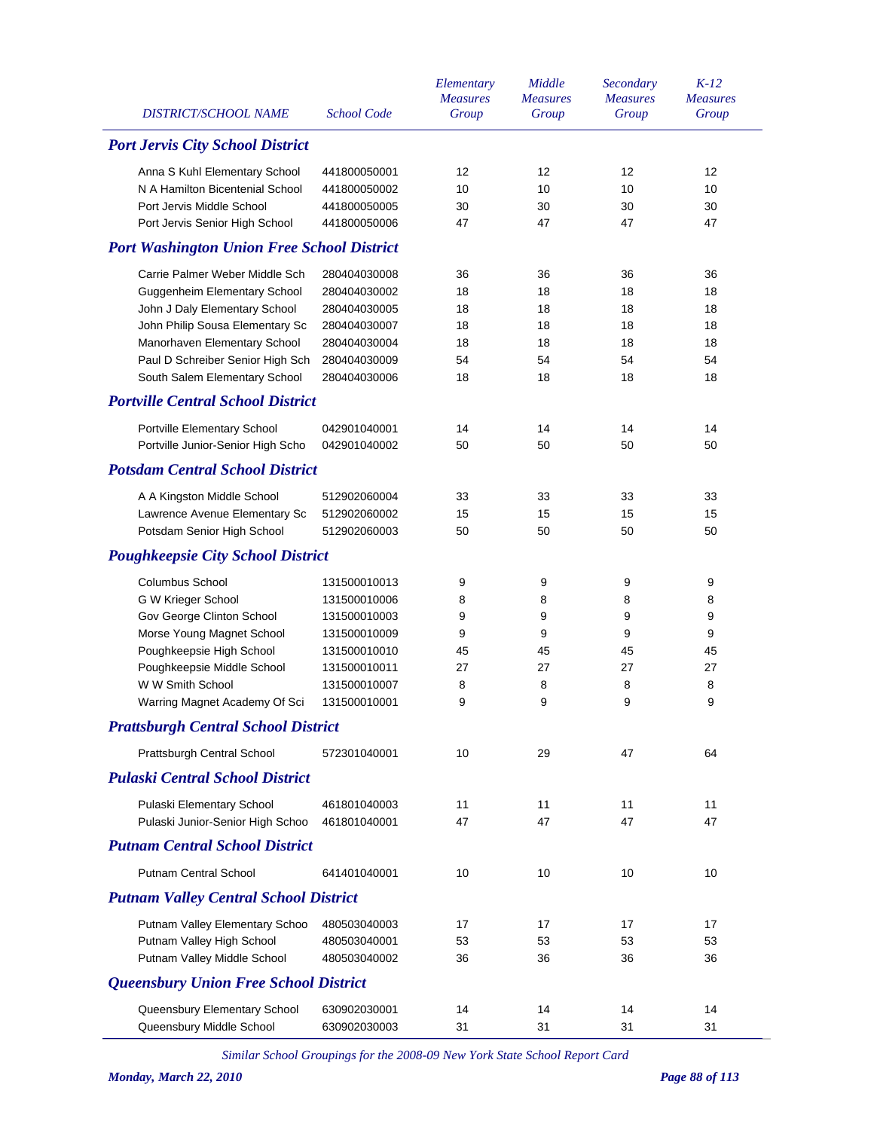| 12<br>12 |
|----------|
| 10<br>10 |
| 30<br>30 |
| 47<br>47 |
|          |
| 36<br>36 |
| 18<br>18 |
| 18<br>18 |
| 18<br>18 |
| 18<br>18 |
| 54<br>54 |
| 18<br>18 |
|          |
| 14<br>14 |
| 50<br>50 |
|          |
| 33<br>33 |
| 15<br>15 |
| 50<br>50 |
|          |
| 9<br>9   |
| 8<br>8   |
| 9<br>9   |
| 9<br>9   |
| 45<br>45 |
| 27<br>27 |
| 8<br>8   |
| 9<br>9   |
|          |
| 47<br>64 |
|          |
| 11<br>11 |
| 47<br>47 |
|          |
| 10<br>10 |
|          |
| 17<br>17 |
| 53<br>53 |
| 36<br>36 |
|          |
| 14<br>14 |
| 31<br>31 |
|          |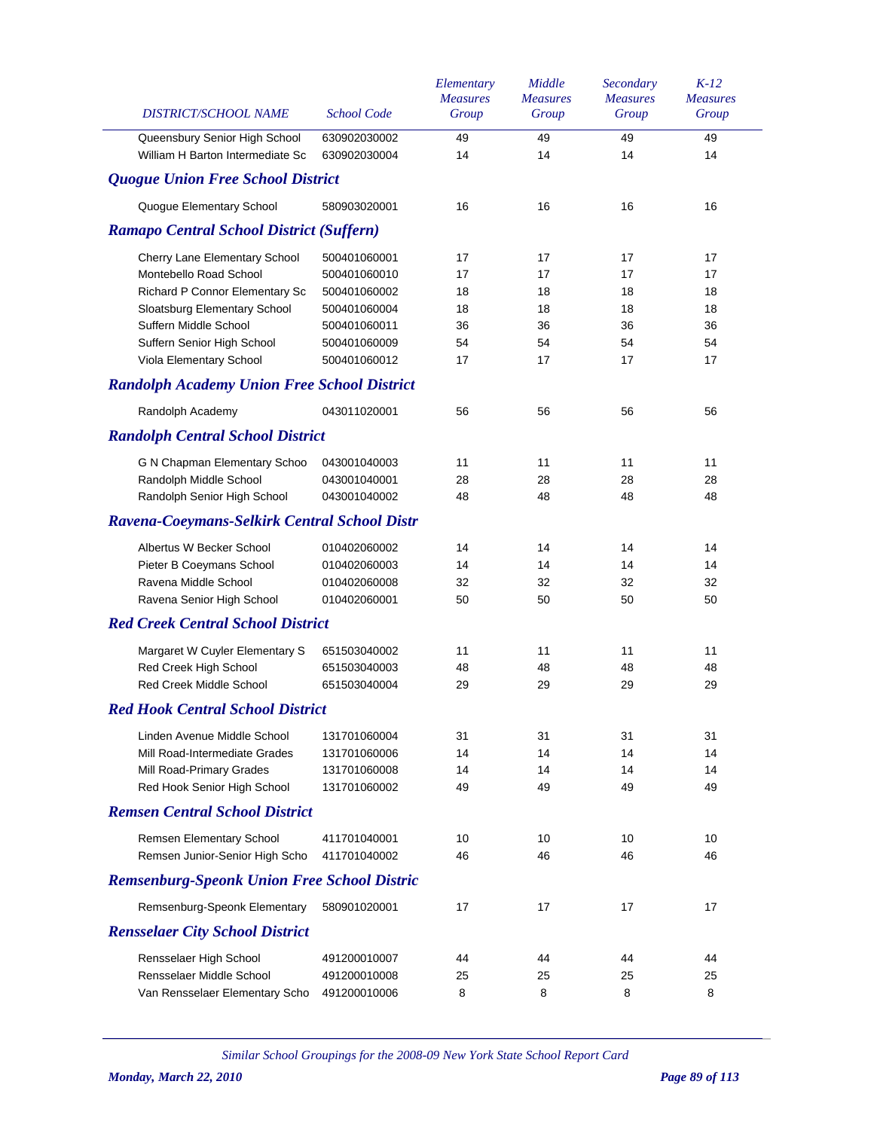| DISTRICT/SCHOOL NAME                               | <b>School Code</b> | Elementary<br><b>Measures</b><br>Group | Middle<br><b>Measures</b><br>Group | Secondary<br><b>Measures</b><br>Group | $K-12$<br><b>Measures</b><br>Group |
|----------------------------------------------------|--------------------|----------------------------------------|------------------------------------|---------------------------------------|------------------------------------|
| Queensbury Senior High School                      | 630902030002       | 49                                     | 49                                 | 49                                    | 49                                 |
| William H Barton Intermediate Sc                   | 630902030004       | 14                                     | 14                                 | 14                                    | 14                                 |
| <b>Quogue Union Free School District</b>           |                    |                                        |                                    |                                       |                                    |
| Quogue Elementary School                           | 580903020001       | 16                                     | 16                                 | 16                                    | 16                                 |
| <b>Ramapo Central School District (Suffern)</b>    |                    |                                        |                                    |                                       |                                    |
| Cherry Lane Elementary School                      | 500401060001       | 17                                     | 17                                 | 17                                    | 17                                 |
| Montebello Road School                             | 500401060010       | 17                                     | 17                                 | 17                                    | 17                                 |
| Richard P Connor Elementary Sc                     | 500401060002       | 18                                     | 18                                 | 18                                    | 18                                 |
| Sloatsburg Elementary School                       | 500401060004       | 18                                     | 18                                 | 18                                    | 18                                 |
| Suffern Middle School                              | 500401060011       | 36                                     | 36                                 | 36                                    | 36                                 |
| Suffern Senior High School                         | 500401060009       | 54                                     | 54                                 | 54                                    | 54                                 |
| Viola Elementary School                            | 500401060012       | 17                                     | 17                                 | 17                                    | 17                                 |
| <b>Randolph Academy Union Free School District</b> |                    |                                        |                                    |                                       |                                    |
| Randolph Academy                                   | 043011020001       | 56                                     | 56                                 | 56                                    | 56                                 |
| <b>Randolph Central School District</b>            |                    |                                        |                                    |                                       |                                    |
| G N Chapman Elementary Schoo                       | 043001040003       | 11                                     | 11                                 | 11                                    | 11                                 |
| Randolph Middle School                             | 043001040001       | 28                                     | 28                                 | 28                                    | 28                                 |
| Randolph Senior High School                        | 043001040002       | 48                                     | 48                                 | 48                                    | 48                                 |
| Ravena-Coeymans-Selkirk Central School Distr       |                    |                                        |                                    |                                       |                                    |
| Albertus W Becker School                           | 010402060002       | 14                                     | 14                                 | 14                                    | 14                                 |
| Pieter B Coeymans School                           | 010402060003       | 14                                     | 14                                 | 14                                    | 14                                 |
| Ravena Middle School                               | 010402060008       | 32                                     | 32                                 | 32                                    | 32                                 |
| Ravena Senior High School                          | 010402060001       | 50                                     | 50                                 | 50                                    | 50                                 |
| <b>Red Creek Central School District</b>           |                    |                                        |                                    |                                       |                                    |
| Margaret W Cuyler Elementary S                     | 651503040002       | 11                                     | 11                                 | 11                                    | 11                                 |
| Red Creek High School                              | 651503040003       | 48                                     | 48                                 | 48                                    | 48                                 |
| Red Creek Middle School                            | 651503040004       | 29                                     | 29                                 | 29                                    | 29                                 |
| <b>Red Hook Central School District</b>            |                    |                                        |                                    |                                       |                                    |
| Linden Avenue Middle School                        | 131701060004       | 31                                     | 31                                 | 31                                    | 31                                 |
| Mill Road-Intermediate Grades                      | 131701060006       | 14                                     | 14                                 | 14                                    | 14                                 |
| Mill Road-Primary Grades                           | 131701060008       | 14                                     | 14                                 | 14                                    | 14                                 |
| Red Hook Senior High School                        | 131701060002       | 49                                     | 49                                 | 49                                    | 49                                 |
| <b>Remsen Central School District</b>              |                    |                                        |                                    |                                       |                                    |
| Remsen Elementary School                           | 411701040001       | 10                                     | 10                                 | 10                                    | 10                                 |
| Remsen Junior-Senior High Scho                     | 411701040002       | 46                                     | 46                                 | 46                                    | 46                                 |
| <b>Remsenburg-Speonk Union Free School Distric</b> |                    |                                        |                                    |                                       |                                    |
| Remsenburg-Speonk Elementary                       | 580901020001       | 17                                     | 17                                 | 17                                    | 17                                 |
| <b>Rensselaer City School District</b>             |                    |                                        |                                    |                                       |                                    |
| Rensselaer High School                             | 491200010007       | 44                                     | 44                                 | 44                                    | 44                                 |
| Rensselaer Middle School                           | 491200010008       | 25                                     | 25                                 | 25                                    | 25                                 |
| Van Rensselaer Elementary Scho                     | 491200010006       | 8                                      | 8                                  | 8                                     | 8                                  |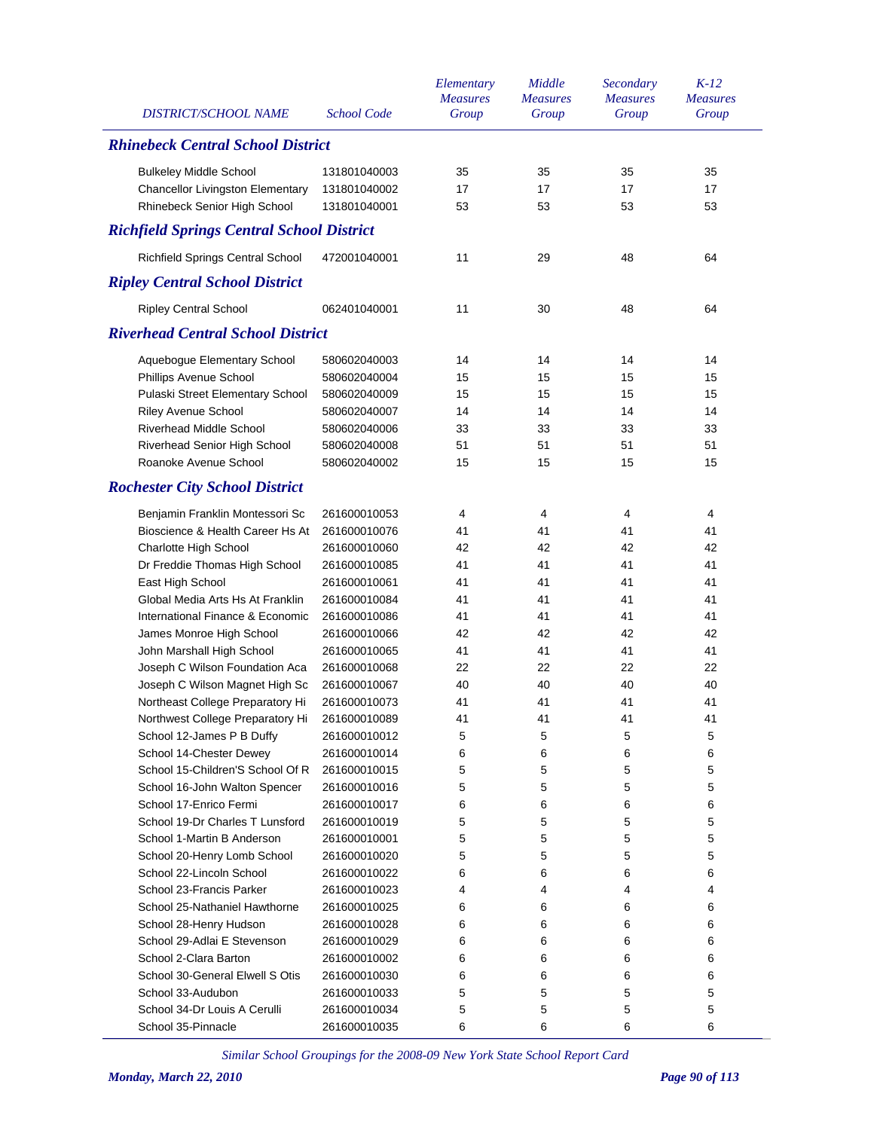| <b>DISTRICT/SCHOOL NAME</b>                      | <b>School Code</b> | Elementary<br><b>Measures</b><br>Group | Middle<br><b>Measures</b><br>Group | Secondary<br><b>Measures</b><br>Group | $K-12$<br><b>Measures</b><br>Group |
|--------------------------------------------------|--------------------|----------------------------------------|------------------------------------|---------------------------------------|------------------------------------|
| <b>Rhinebeck Central School District</b>         |                    |                                        |                                    |                                       |                                    |
| <b>Bulkeley Middle School</b>                    | 131801040003       | 35                                     | 35                                 | 35                                    | 35                                 |
| Chancellor Livingston Elementary                 | 131801040002       | 17                                     | 17                                 | 17                                    | 17                                 |
| Rhinebeck Senior High School                     | 131801040001       | 53                                     | 53                                 | 53                                    | 53                                 |
| <b>Richfield Springs Central School District</b> |                    |                                        |                                    |                                       |                                    |
| Richfield Springs Central School                 | 472001040001       | 11                                     | 29                                 | 48                                    | 64                                 |
| <b>Ripley Central School District</b>            |                    |                                        |                                    |                                       |                                    |
| <b>Ripley Central School</b>                     | 062401040001       | 11                                     | 30                                 | 48                                    | 64                                 |
| <b>Riverhead Central School District</b>         |                    |                                        |                                    |                                       |                                    |
| Aquebogue Elementary School                      | 580602040003       | 14                                     | 14                                 | 14                                    | 14                                 |
| Phillips Avenue School                           | 580602040004       | 15                                     | 15                                 | 15                                    | 15                                 |
| Pulaski Street Elementary School                 | 580602040009       | 15                                     | 15                                 | 15                                    | 15                                 |
| Riley Avenue School                              | 580602040007       | 14                                     | 14                                 | 14                                    | 14                                 |
| <b>Riverhead Middle School</b>                   | 580602040006       | 33                                     | 33                                 | 33                                    | 33                                 |
| Riverhead Senior High School                     | 580602040008       | 51                                     | 51                                 | 51                                    | 51                                 |
| Roanoke Avenue School                            | 580602040002       | 15                                     | 15                                 | 15                                    | 15                                 |
| <b>Rochester City School District</b>            |                    |                                        |                                    |                                       |                                    |
| Benjamin Franklin Montessori Sc                  | 261600010053       | 4                                      | 4                                  | 4                                     | 4                                  |
| Bioscience & Health Career Hs At                 | 261600010076       | 41                                     | 41                                 | 41                                    | 41                                 |
| Charlotte High School                            | 261600010060       | 42                                     | 42                                 | 42                                    | 42                                 |
| Dr Freddie Thomas High School                    | 261600010085       | 41                                     | 41                                 | 41                                    | 41                                 |
| East High School                                 | 261600010061       | 41                                     | 41                                 | 41                                    | 41                                 |
| Global Media Arts Hs At Franklin                 | 261600010084       | 41                                     | 41                                 | 41                                    | 41                                 |
| International Finance & Economic                 | 261600010086       | 41                                     | 41                                 | 41                                    | 41                                 |
| James Monroe High School                         | 261600010066       | 42                                     | 42                                 | 42                                    | 42                                 |
| John Marshall High School                        | 261600010065       | 41                                     | 41                                 | 41                                    | 41                                 |
| Joseph C Wilson Foundation Aca                   | 261600010068       | 22                                     | 22                                 | 22                                    | 22                                 |
| Joseph C Wilson Magnet High Sc                   | 261600010067       | 40                                     | 40                                 | 40                                    | 40                                 |
| Northeast College Preparatory Hi                 | 261600010073       | 41                                     | 41                                 | 41                                    | 41                                 |
| Northwest College Preparatory Hi                 | 261600010089       | 41                                     | 41                                 | 41                                    | 41                                 |
| School 12-James P B Duffy                        | 261600010012       | 5                                      | 5                                  | 5                                     | 5                                  |
| School 14-Chester Dewey                          | 261600010014       | 6                                      | 6                                  | 6                                     | 6                                  |
| School 15-Children'S School Of R                 | 261600010015       | 5                                      | 5                                  | 5                                     | 5                                  |
| School 16-John Walton Spencer                    | 261600010016       | 5                                      | 5                                  | 5                                     | 5                                  |
| School 17-Enrico Fermi                           | 261600010017       | 6                                      | 6                                  | 6                                     | 6                                  |
| School 19-Dr Charles T Lunsford                  | 261600010019       | 5                                      | 5                                  | 5                                     | 5                                  |
| School 1-Martin B Anderson                       | 261600010001       | 5                                      | 5                                  | 5                                     | 5                                  |
| School 20-Henry Lomb School                      | 261600010020       | 5                                      | 5                                  | 5                                     | 5                                  |
| School 22-Lincoln School                         | 261600010022       | 6                                      | 6                                  | 6                                     | 6                                  |
| School 23-Francis Parker                         | 261600010023       | 4                                      | 4                                  | 4                                     | 4                                  |
| School 25-Nathaniel Hawthorne                    | 261600010025       | 6                                      | 6                                  | 6                                     | 6                                  |
| School 28-Henry Hudson                           | 261600010028       | 6                                      | 6                                  | 6                                     | 6                                  |
| School 29-Adlai E Stevenson                      | 261600010029       | 6                                      | 6                                  | 6                                     | 6                                  |
| School 2-Clara Barton                            | 261600010002       | 6                                      | 6                                  | 6                                     | 6                                  |
| School 30-General Elwell S Otis                  | 261600010030       | 6                                      | 6                                  | 6                                     | 6                                  |
| School 33-Audubon                                | 261600010033       | 5                                      | 5                                  | 5                                     | 5                                  |
| School 34-Dr Louis A Cerulli                     | 261600010034       | 5                                      | 5                                  | 5                                     | 5                                  |
| School 35-Pinnacle                               | 261600010035       | 6                                      | 6                                  | 6                                     | 6                                  |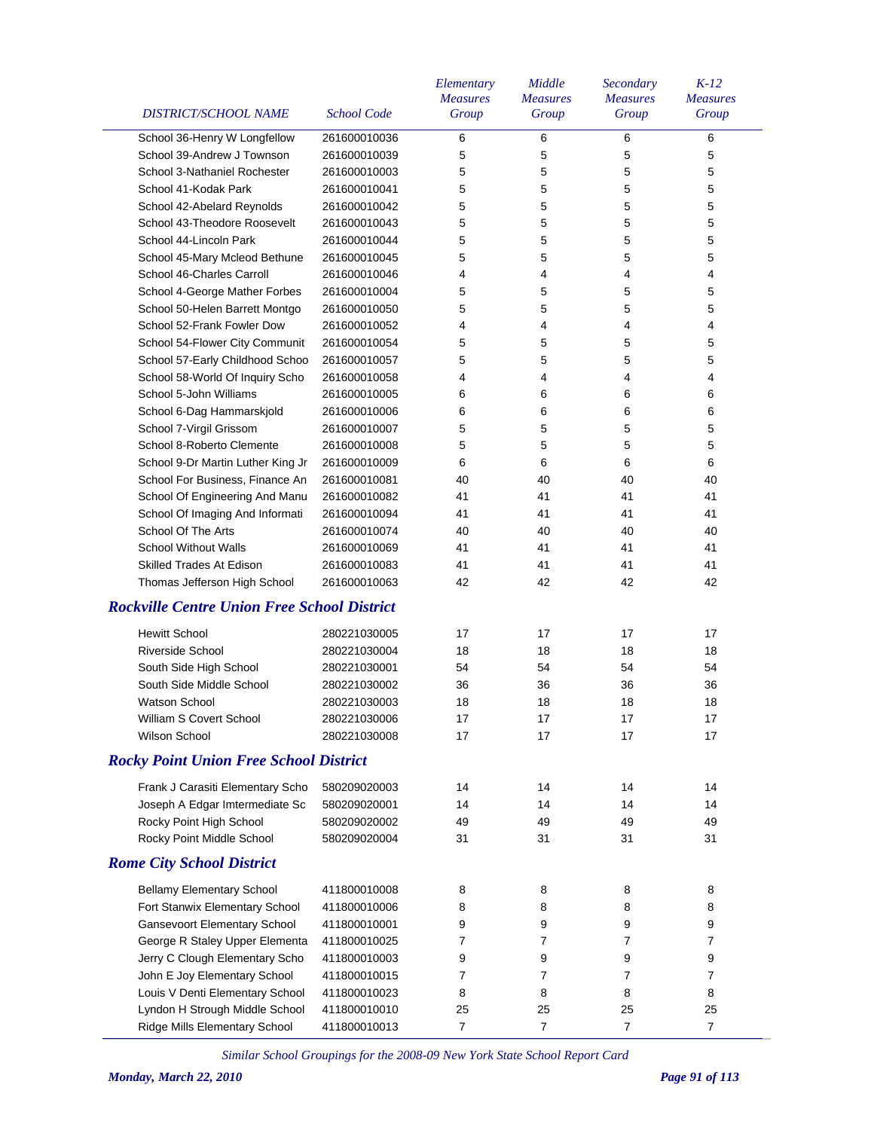| DISTRICT/SCHOOL NAME                               | <b>School Code</b> | Elementary<br><b>Measures</b><br>Group | Middle<br><b>Measures</b><br>Group | Secondary<br><b>Measures</b><br>Group | $K-12$<br><i>Measures</i><br>Group |
|----------------------------------------------------|--------------------|----------------------------------------|------------------------------------|---------------------------------------|------------------------------------|
|                                                    |                    |                                        |                                    |                                       |                                    |
| School 36-Henry W Longfellow                       | 261600010036       | 6                                      | 6                                  | 6                                     | 6                                  |
| School 39-Andrew J Townson                         | 261600010039       | 5                                      | 5                                  | 5                                     | 5                                  |
| School 3-Nathaniel Rochester                       | 261600010003       | 5                                      | 5                                  | 5                                     | 5                                  |
| School 41-Kodak Park                               | 261600010041       | 5                                      | 5                                  | 5                                     | 5                                  |
| School 42-Abelard Reynolds                         | 261600010042       | 5                                      | 5                                  | 5                                     | 5                                  |
| School 43-Theodore Roosevelt                       | 261600010043       | 5                                      | 5                                  | 5                                     | 5                                  |
| School 44-Lincoln Park                             | 261600010044       | 5                                      | 5                                  | 5                                     | 5                                  |
| School 45-Mary Mcleod Bethune                      | 261600010045       | 5                                      | 5                                  | 5                                     | 5                                  |
| School 46-Charles Carroll                          | 261600010046       | 4                                      | 4                                  | 4                                     | 4                                  |
| School 4-George Mather Forbes                      | 261600010004       | 5                                      | 5                                  | 5                                     | 5                                  |
| School 50-Helen Barrett Montgo                     | 261600010050       | 5                                      | 5                                  | 5                                     | 5                                  |
| School 52-Frank Fowler Dow                         | 261600010052       | 4                                      | 4                                  | 4                                     | 4                                  |
| School 54-Flower City Communit                     | 261600010054       | 5                                      | 5                                  | 5                                     | 5                                  |
| School 57-Early Childhood Schoo                    | 261600010057       | 5                                      | 5                                  | 5                                     | 5                                  |
| School 58-World Of Inquiry Scho                    | 261600010058       | 4                                      | 4                                  | 4                                     | 4                                  |
| School 5-John Williams                             | 261600010005       | 6                                      | 6                                  | 6                                     | 6                                  |
| School 6-Dag Hammarskjold                          | 261600010006       | 6                                      | 6                                  | 6                                     | 6                                  |
| School 7-Virgil Grissom                            | 261600010007       | 5                                      | 5                                  | 5                                     | 5                                  |
| School 8-Roberto Clemente                          | 261600010008       | 5                                      | 5                                  | 5                                     | 5                                  |
| School 9-Dr Martin Luther King Jr                  | 261600010009       | 6                                      | 6                                  | 6                                     | 6                                  |
| School For Business, Finance An                    | 261600010081       | 40                                     | 40                                 | 40                                    | 40                                 |
| School Of Engineering And Manu                     | 261600010082       | 41                                     | 41                                 | 41                                    | 41                                 |
| School Of Imaging And Informati                    | 261600010094       | 41                                     | 41                                 | 41                                    | 41                                 |
| School Of The Arts                                 | 261600010074       | 40                                     | 40                                 | 40                                    | 40                                 |
| <b>School Without Walls</b>                        | 261600010069       | 41                                     | 41                                 | 41                                    | 41                                 |
| Skilled Trades At Edison                           | 261600010083       | 41                                     | 41                                 | 41                                    | 41                                 |
| Thomas Jefferson High School                       | 261600010063       | 42                                     | 42                                 | 42                                    | 42                                 |
| <b>Rockville Centre Union Free School District</b> |                    |                                        |                                    |                                       |                                    |
| <b>Hewitt School</b>                               | 280221030005       | 17                                     | 17                                 | 17                                    | 17                                 |
| <b>Riverside School</b>                            | 280221030004       | 18                                     | 18                                 | 18                                    | 18                                 |
| South Side High School                             | 280221030001       | 54                                     | 54                                 | 54                                    | 54                                 |
| South Side Middle School                           | 280221030002       | 36                                     | 36                                 | 36                                    | 36                                 |
| <b>Watson School</b>                               | 280221030003       | 18                                     | 18                                 | 18                                    | 18                                 |
| William S Covert School                            | 280221030006       | $17\,$                                 | $17\,$                             | $17\,$                                | 17                                 |
| Wilson School                                      | 280221030008       | 17                                     | 17                                 | 17                                    | 17                                 |
| <b>Rocky Point Union Free School District</b>      |                    |                                        |                                    |                                       |                                    |
| Frank J Carasiti Elementary Scho                   | 580209020003       | 14                                     | 14                                 | 14                                    | 14                                 |
| Joseph A Edgar Imtermediate Sc                     | 580209020001       | 14                                     | 14                                 | 14                                    | 14                                 |
| Rocky Point High School                            | 580209020002       | 49                                     | 49                                 | 49                                    | 49                                 |
| Rocky Point Middle School                          | 580209020004       | 31                                     | 31                                 | 31                                    | 31                                 |
| <b>Rome City School District</b>                   |                    |                                        |                                    |                                       |                                    |
|                                                    |                    |                                        |                                    |                                       |                                    |
| <b>Bellamy Elementary School</b>                   | 411800010008       | 8                                      | 8                                  | 8                                     | 8                                  |
| Fort Stanwix Elementary School                     | 411800010006       | 8                                      | 8                                  | 8                                     | 8                                  |
| Gansevoort Elementary School                       | 411800010001       | 9                                      | 9                                  | 9                                     | 9                                  |
| George R Staley Upper Elementa                     | 411800010025       | 7                                      | 7                                  | $\overline{7}$                        | 7                                  |
| Jerry C Clough Elementary Scho                     | 411800010003       | 9                                      | 9                                  | 9                                     | 9                                  |
| John E Joy Elementary School                       | 411800010015       | 7                                      | 7                                  | $\overline{7}$                        | 7                                  |
| Louis V Denti Elementary School                    | 411800010023       | 8                                      | 8                                  | 8                                     | 8                                  |
| Lyndon H Strough Middle School                     | 411800010010       | 25                                     | 25                                 | 25                                    | 25                                 |
| Ridge Mills Elementary School                      | 411800010013       | $\overline{7}$                         | 7                                  | $\overline{7}$                        | $\overline{7}$                     |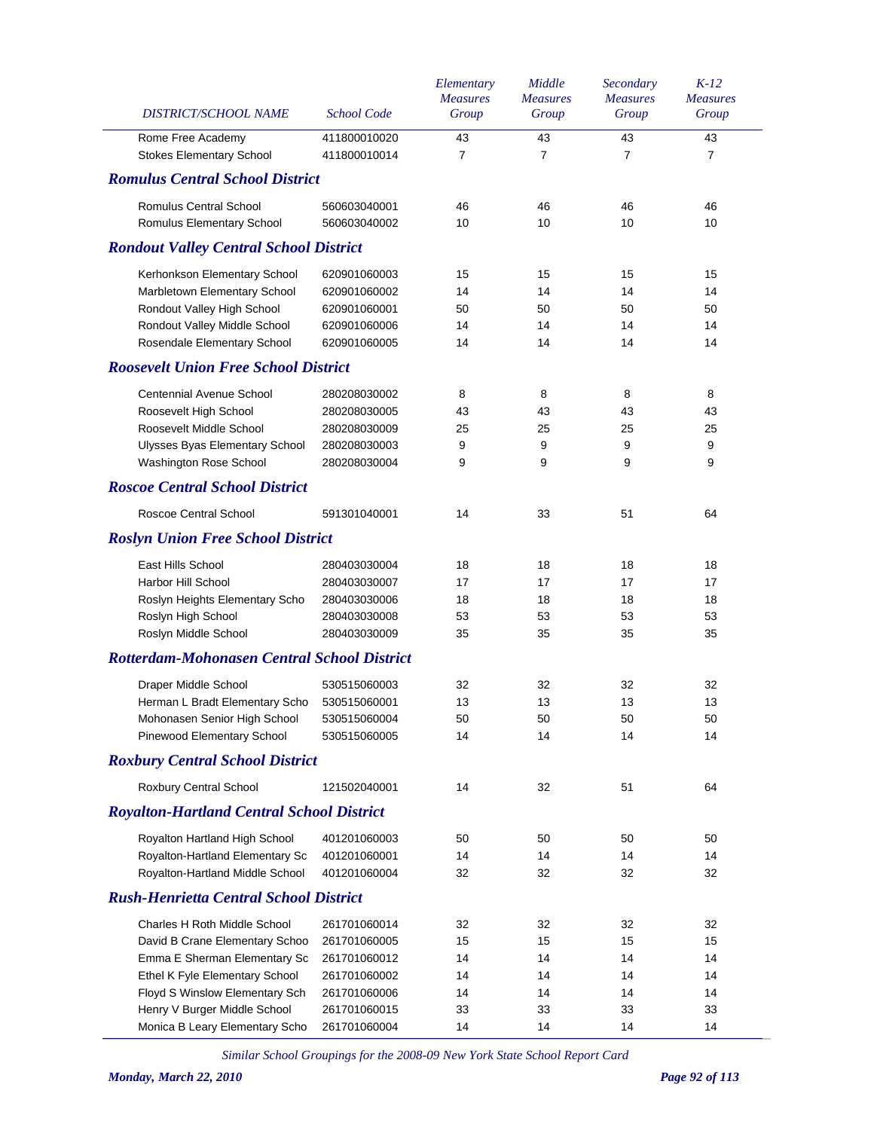| <b>DISTRICT/SCHOOL NAME</b>                                | <b>School Code</b>           | Elementary<br><b>Measures</b><br>Group | Middle<br><b>Measures</b><br>Group | Secondary<br><b>Measures</b><br>Group | $K-12$<br><b>Measures</b><br>Group |
|------------------------------------------------------------|------------------------------|----------------------------------------|------------------------------------|---------------------------------------|------------------------------------|
| Rome Free Academy                                          | 411800010020<br>411800010014 | 43<br>$\overline{7}$                   | 43<br>$\overline{7}$               | 43<br>$\overline{7}$                  | 43                                 |
| <b>Stokes Elementary School</b>                            |                              |                                        |                                    |                                       | $\overline{7}$                     |
| <b>Romulus Central School District</b>                     |                              |                                        |                                    |                                       |                                    |
| <b>Romulus Central School</b><br>Romulus Elementary School | 560603040001<br>560603040002 | 46<br>10                               | 46<br>10                           | 46<br>10                              | 46<br>10                           |
| <b>Rondout Valley Central School District</b>              |                              |                                        |                                    |                                       |                                    |
| Kerhonkson Elementary School                               | 620901060003                 | 15                                     | 15                                 | 15                                    | 15                                 |
| Marbletown Elementary School                               | 620901060002                 | 14                                     | 14                                 | 14                                    | 14                                 |
| Rondout Valley High School                                 | 620901060001                 | 50                                     | 50                                 | 50                                    | 50                                 |
| Rondout Valley Middle School                               | 620901060006                 | 14                                     | 14                                 | 14                                    | 14                                 |
| Rosendale Elementary School                                | 620901060005                 | 14                                     | 14                                 | 14                                    | 14                                 |
| <b>Roosevelt Union Free School District</b>                |                              |                                        |                                    |                                       |                                    |
| <b>Centennial Avenue School</b>                            | 280208030002                 | 8                                      | 8                                  | 8                                     | 8                                  |
| Roosevelt High School                                      | 280208030005                 | 43                                     | 43                                 | 43                                    | 43                                 |
| Roosevelt Middle School                                    | 280208030009                 | 25                                     | 25                                 | 25                                    | 25                                 |
| Ulysses Byas Elementary School                             | 280208030003                 | 9                                      | 9                                  | 9                                     | 9                                  |
| Washington Rose School                                     | 280208030004                 | 9                                      | 9                                  | 9                                     | 9                                  |
| <b>Roscoe Central School District</b>                      |                              |                                        |                                    |                                       |                                    |
| Roscoe Central School                                      | 591301040001                 | 14                                     | 33                                 | 51                                    | 64                                 |
| <b>Roslyn Union Free School District</b>                   |                              |                                        |                                    |                                       |                                    |
| East Hills School                                          | 280403030004                 | 18                                     | 18                                 | 18                                    | 18                                 |
| Harbor Hill School                                         | 280403030007                 | 17                                     | 17                                 | 17                                    | 17                                 |
| Roslyn Heights Elementary Scho                             | 280403030006                 | 18                                     | 18                                 | 18                                    | 18                                 |
| Roslyn High School                                         | 280403030008                 | 53                                     | 53                                 | 53                                    | 53                                 |
| Roslyn Middle School                                       | 280403030009                 | 35                                     | 35                                 | 35                                    | 35                                 |
| <b>Rotterdam-Mohonasen Central School District</b>         |                              |                                        |                                    |                                       |                                    |
| Draper Middle School                                       | 530515060003                 | 32                                     | 32                                 | 32                                    | 32                                 |
| Herman L Bradt Elementary Scho                             | 530515060001                 | 13                                     | 13                                 | 13                                    | 13                                 |
| Mohonasen Senior High School                               | 530515060004                 | 50                                     | 50                                 | 50                                    | 50                                 |
| Pinewood Elementary School                                 | 530515060005                 | 14                                     | 14                                 | 14                                    | 14                                 |
| <b>Roxbury Central School District</b>                     |                              |                                        |                                    |                                       |                                    |
| Roxbury Central School                                     | 121502040001                 | 14                                     | 32                                 | 51                                    | 64                                 |
| <b>Royalton-Hartland Central School District</b>           |                              |                                        |                                    |                                       |                                    |
| Royalton Hartland High School                              | 401201060003                 | 50                                     | 50                                 | 50                                    | 50                                 |
| Royalton-Hartland Elementary Sc                            | 401201060001                 | 14                                     | 14                                 | 14                                    | 14                                 |
| Royalton-Hartland Middle School                            | 401201060004                 | 32                                     | 32                                 | 32                                    | 32                                 |
| <b>Rush-Henrietta Central School District</b>              |                              |                                        |                                    |                                       |                                    |
| Charles H Roth Middle School                               | 261701060014                 | 32                                     | 32                                 | 32                                    | 32                                 |
| David B Crane Elementary Schoo                             | 261701060005                 | 15                                     | 15                                 | 15                                    | 15                                 |
| Emma E Sherman Elementary Sc                               | 261701060012                 | 14                                     | 14                                 | 14                                    | 14                                 |
| Ethel K Fyle Elementary School                             | 261701060002                 | 14                                     | 14                                 | 14                                    | 14                                 |
| Floyd S Winslow Elementary Sch                             | 261701060006                 | 14                                     | 14                                 | 14                                    | 14                                 |
| Henry V Burger Middle School                               | 261701060015                 | 33                                     | 33                                 | 33                                    | 33                                 |
| Monica B Leary Elementary Scho                             | 261701060004                 | 14                                     | 14                                 | 14                                    | 14                                 |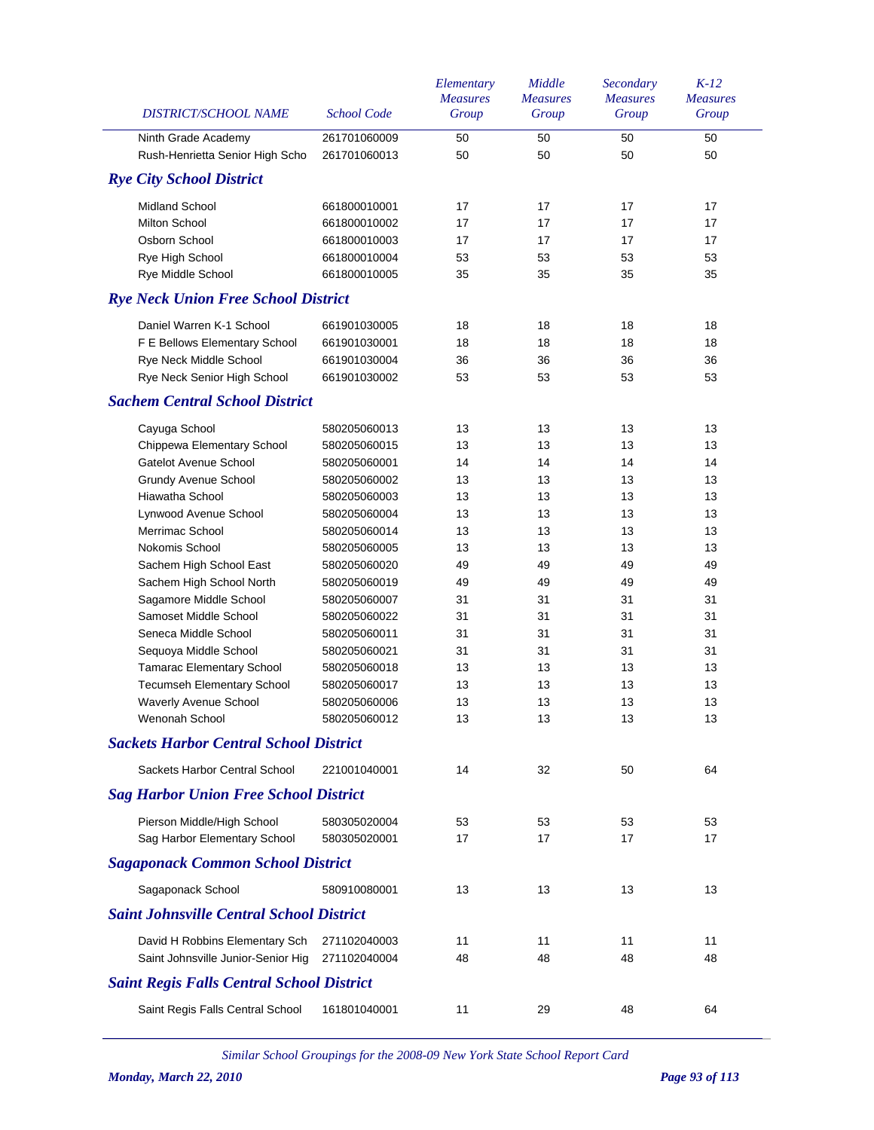| DISTRICT/SCHOOL NAME                             | <b>School Code</b> | Elementary<br><b>Measures</b><br>Group | Middle<br><b>Measures</b><br>Group | Secondary<br><b>Measures</b><br>Group | $K-12$<br><b>Measures</b><br>Group |
|--------------------------------------------------|--------------------|----------------------------------------|------------------------------------|---------------------------------------|------------------------------------|
| Ninth Grade Academy                              | 261701060009       | 50                                     | 50                                 | 50                                    | 50                                 |
| Rush-Henrietta Senior High Scho                  | 261701060013       | 50                                     | 50                                 | 50                                    | 50                                 |
| <b>Rye City School District</b>                  |                    |                                        |                                    |                                       |                                    |
| <b>Midland School</b>                            | 661800010001       | 17                                     | 17                                 | 17                                    | 17                                 |
| <b>Milton School</b>                             | 661800010002       | 17                                     | 17                                 | 17                                    | 17                                 |
| Osborn School                                    | 661800010003       | 17                                     | 17                                 | 17                                    | 17                                 |
| Rye High School                                  | 661800010004       | 53                                     | 53                                 | 53                                    | 53                                 |
| Rye Middle School                                | 661800010005       | 35                                     | 35                                 | 35                                    | 35                                 |
| <b>Rye Neck Union Free School District</b>       |                    |                                        |                                    |                                       |                                    |
| Daniel Warren K-1 School                         | 661901030005       | 18                                     | 18                                 | 18                                    | 18                                 |
| F E Bellows Elementary School                    | 661901030001       | 18                                     | 18                                 | 18                                    | 18                                 |
| Rye Neck Middle School                           | 661901030004       | 36                                     | 36                                 | 36                                    | 36                                 |
| Rye Neck Senior High School                      | 661901030002       | 53                                     | 53                                 | 53                                    | 53                                 |
| <b>Sachem Central School District</b>            |                    |                                        |                                    |                                       |                                    |
| Cayuga School                                    | 580205060013       | 13                                     | 13                                 | 13                                    | 13                                 |
| Chippewa Elementary School                       | 580205060015       | 13                                     | 13                                 | 13                                    | 13                                 |
| <b>Gatelot Avenue School</b>                     | 580205060001       | 14                                     | 14                                 | 14                                    | 14                                 |
| <b>Grundy Avenue School</b>                      | 580205060002       | 13                                     | 13                                 | 13                                    | 13                                 |
| Hiawatha School                                  | 580205060003       | 13                                     | 13                                 | 13                                    | 13                                 |
| Lynwood Avenue School                            | 580205060004       | 13                                     | 13                                 | 13                                    | 13                                 |
| Merrimac School                                  | 580205060014       | 13                                     | 13                                 | 13                                    | 13                                 |
| Nokomis School                                   | 580205060005       | 13                                     | 13                                 | 13                                    | 13                                 |
| Sachem High School East                          | 580205060020       | 49                                     | 49                                 | 49                                    | 49                                 |
| Sachem High School North                         | 580205060019       | 49                                     | 49                                 | 49                                    | 49                                 |
| Sagamore Middle School                           | 580205060007       | 31                                     | 31                                 | 31                                    | 31                                 |
| Samoset Middle School                            | 580205060022       | 31                                     | 31                                 | 31                                    | 31                                 |
| Seneca Middle School                             | 580205060011       | 31                                     | 31                                 | 31                                    | 31                                 |
| Sequoya Middle School                            | 580205060021       | 31                                     | 31                                 | 31                                    | 31                                 |
| <b>Tamarac Elementary School</b>                 | 580205060018       | 13                                     | 13                                 | 13                                    | 13                                 |
| Tecumseh Elementary School                       | 580205060017       | 13                                     | 13                                 | 13                                    | 13                                 |
| Waverly Avenue School                            | 580205060006       | 13                                     | 13                                 | 13                                    | 13                                 |
| Wenonah School                                   | 580205060012       | 13                                     | 13                                 | 13                                    | 13                                 |
| <b>Sackets Harbor Central School District</b>    |                    |                                        |                                    |                                       |                                    |
| Sackets Harbor Central School                    | 221001040001       | 14                                     | 32                                 | 50                                    | 64                                 |
| <b>Sag Harbor Union Free School District</b>     |                    |                                        |                                    |                                       |                                    |
| Pierson Middle/High School                       | 580305020004       | 53                                     | 53                                 | 53                                    | 53                                 |
| Sag Harbor Elementary School                     | 580305020001       | 17                                     | 17                                 | 17                                    | 17                                 |
| <b>Sagaponack Common School District</b>         |                    |                                        |                                    |                                       |                                    |
| Sagaponack School                                | 580910080001       | 13                                     | 13                                 | 13                                    | 13                                 |
| <b>Saint Johnsville Central School District</b>  |                    |                                        |                                    |                                       |                                    |
| David H Robbins Elementary Sch                   | 271102040003       | 11                                     | 11                                 | 11                                    | 11                                 |
| Saint Johnsville Junior-Senior Hig               | 271102040004       | 48                                     | 48                                 | 48                                    | 48                                 |
| <b>Saint Regis Falls Central School District</b> |                    |                                        |                                    |                                       |                                    |
| Saint Regis Falls Central School                 | 161801040001       | 11                                     | 29                                 | 48                                    | 64                                 |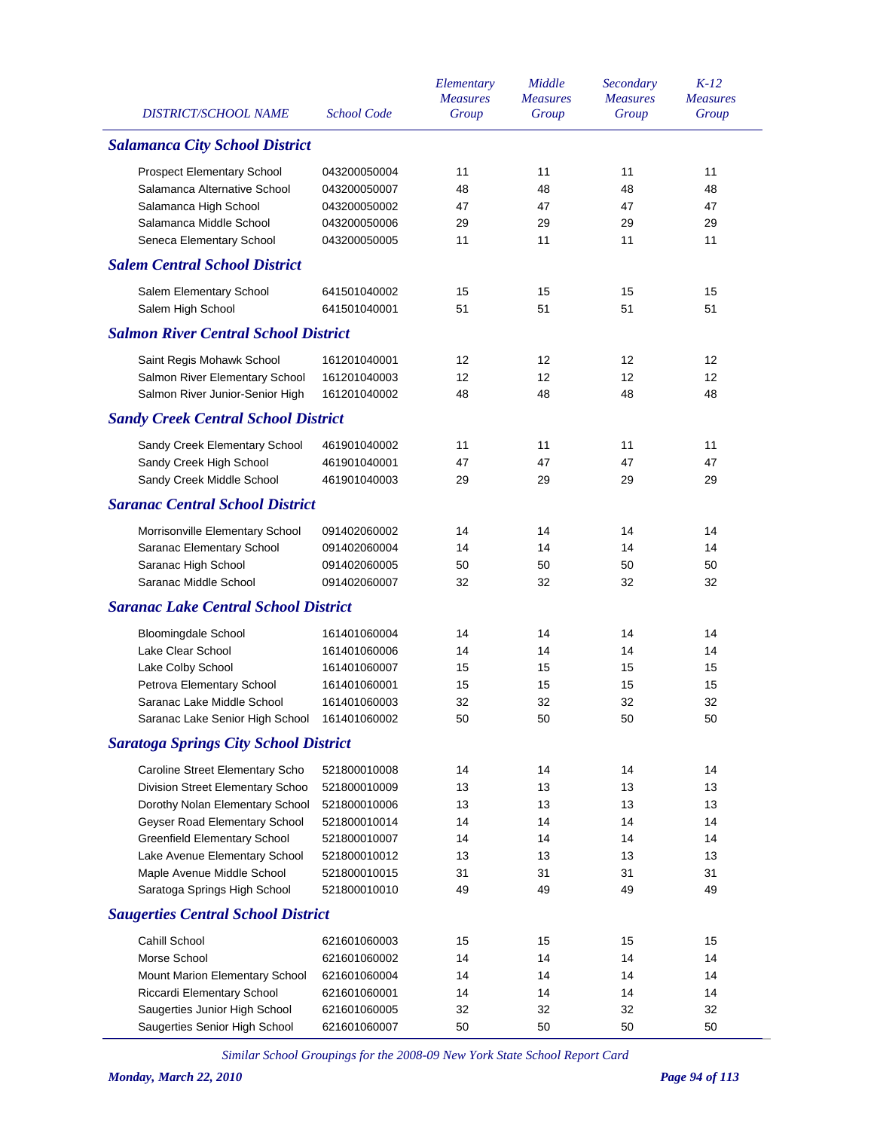| <b>DISTRICT/SCHOOL NAME</b>                  | <b>School Code</b> | Elementary<br><b>Measures</b><br>Group | Middle<br><b>Measures</b><br>Group | Secondary<br><b>Measures</b><br>Group | $K-12$<br><b>Measures</b><br>Group |
|----------------------------------------------|--------------------|----------------------------------------|------------------------------------|---------------------------------------|------------------------------------|
| <b>Salamanca City School District</b>        |                    |                                        |                                    |                                       |                                    |
| <b>Prospect Elementary School</b>            | 043200050004       | 11                                     | 11                                 | 11                                    | 11                                 |
| Salamanca Alternative School                 | 043200050007       | 48                                     | 48                                 | 48                                    | 48                                 |
| Salamanca High School                        | 043200050002       | 47                                     | 47                                 | 47                                    | 47                                 |
| Salamanca Middle School                      | 043200050006       | 29                                     | 29                                 | 29                                    | 29                                 |
| Seneca Elementary School                     | 043200050005       | 11                                     | 11                                 | 11                                    | 11                                 |
| <b>Salem Central School District</b>         |                    |                                        |                                    |                                       |                                    |
| Salem Elementary School                      | 641501040002       | 15                                     | 15                                 | 15                                    | 15                                 |
| Salem High School                            | 641501040001       | 51                                     | 51                                 | 51                                    | 51                                 |
| <b>Salmon River Central School District</b>  |                    |                                        |                                    |                                       |                                    |
| Saint Regis Mohawk School                    | 161201040001       | 12                                     | 12                                 | 12                                    | 12                                 |
| Salmon River Elementary School               | 161201040003       | 12                                     | 12                                 | 12                                    | $12 \overline{ }$                  |
| Salmon River Junior-Senior High              | 161201040002       | 48                                     | 48                                 | 48                                    | 48                                 |
| <b>Sandy Creek Central School District</b>   |                    |                                        |                                    |                                       |                                    |
| Sandy Creek Elementary School                | 461901040002       | 11                                     | 11                                 | 11                                    | 11                                 |
| Sandy Creek High School                      | 461901040001       | 47                                     | 47                                 | 47                                    | 47                                 |
| Sandy Creek Middle School                    | 461901040003       | 29                                     | 29                                 | 29                                    | 29                                 |
| <b>Saranac Central School District</b>       |                    |                                        |                                    |                                       |                                    |
| Morrisonville Elementary School              | 091402060002       | 14                                     | 14                                 | 14                                    | 14                                 |
| Saranac Elementary School                    | 091402060004       | 14                                     | 14                                 | 14                                    | 14                                 |
| Saranac High School                          | 091402060005       | 50                                     | 50                                 | 50                                    | 50                                 |
| Saranac Middle School                        | 091402060007       | 32                                     | 32                                 | 32                                    | 32                                 |
| <b>Saranac Lake Central School District</b>  |                    |                                        |                                    |                                       |                                    |
| <b>Bloomingdale School</b>                   | 161401060004       | 14                                     | 14                                 | 14                                    | 14                                 |
| Lake Clear School                            | 161401060006       | 14                                     | 14                                 | 14                                    | 14                                 |
| Lake Colby School                            | 161401060007       | 15                                     | 15                                 | 15                                    | 15                                 |
| Petrova Elementary School                    | 161401060001       | 15                                     | 15                                 | 15                                    | 15                                 |
| Saranac Lake Middle School                   | 161401060003       | 32                                     | 32                                 | 32                                    | 32                                 |
| Saranac Lake Senior High School 161401060002 |                    | 50                                     | 50                                 | 50                                    | 50                                 |
| <b>Saratoga Springs City School District</b> |                    |                                        |                                    |                                       |                                    |
| Caroline Street Elementary Scho              | 521800010008       | 14                                     | 14                                 | 14                                    | 14                                 |
| Division Street Elementary Schoo             | 521800010009       | 13                                     | 13                                 | 13                                    | 13                                 |
| Dorothy Nolan Elementary School              | 521800010006       | 13                                     | 13                                 | 13                                    | 13                                 |
| Geyser Road Elementary School                | 521800010014       | 14                                     | 14                                 | 14                                    | 14                                 |
| <b>Greenfield Elementary School</b>          | 521800010007       | 14                                     | 14                                 | 14                                    | 14                                 |
| Lake Avenue Elementary School                | 521800010012       | 13                                     | 13                                 | 13                                    | 13                                 |
| Maple Avenue Middle School                   | 521800010015       | 31                                     | 31                                 | 31                                    | 31                                 |
| Saratoga Springs High School                 | 521800010010       | 49                                     | 49                                 | 49                                    | 49                                 |
| <b>Saugerties Central School District</b>    |                    |                                        |                                    |                                       |                                    |
| Cahill School                                | 621601060003       | 15                                     | 15                                 | 15                                    | 15                                 |
| Morse School                                 | 621601060002       | 14                                     | 14                                 | 14                                    | 14                                 |
| Mount Marion Elementary School               | 621601060004       | 14                                     | 14                                 | 14                                    | 14                                 |
| Riccardi Elementary School                   | 621601060001       | 14                                     | 14                                 | 14                                    | 14                                 |
| Saugerties Junior High School                | 621601060005       | 32                                     | 32                                 | 32                                    | 32                                 |
| Saugerties Senior High School                | 621601060007       | 50                                     | 50                                 | 50                                    | 50                                 |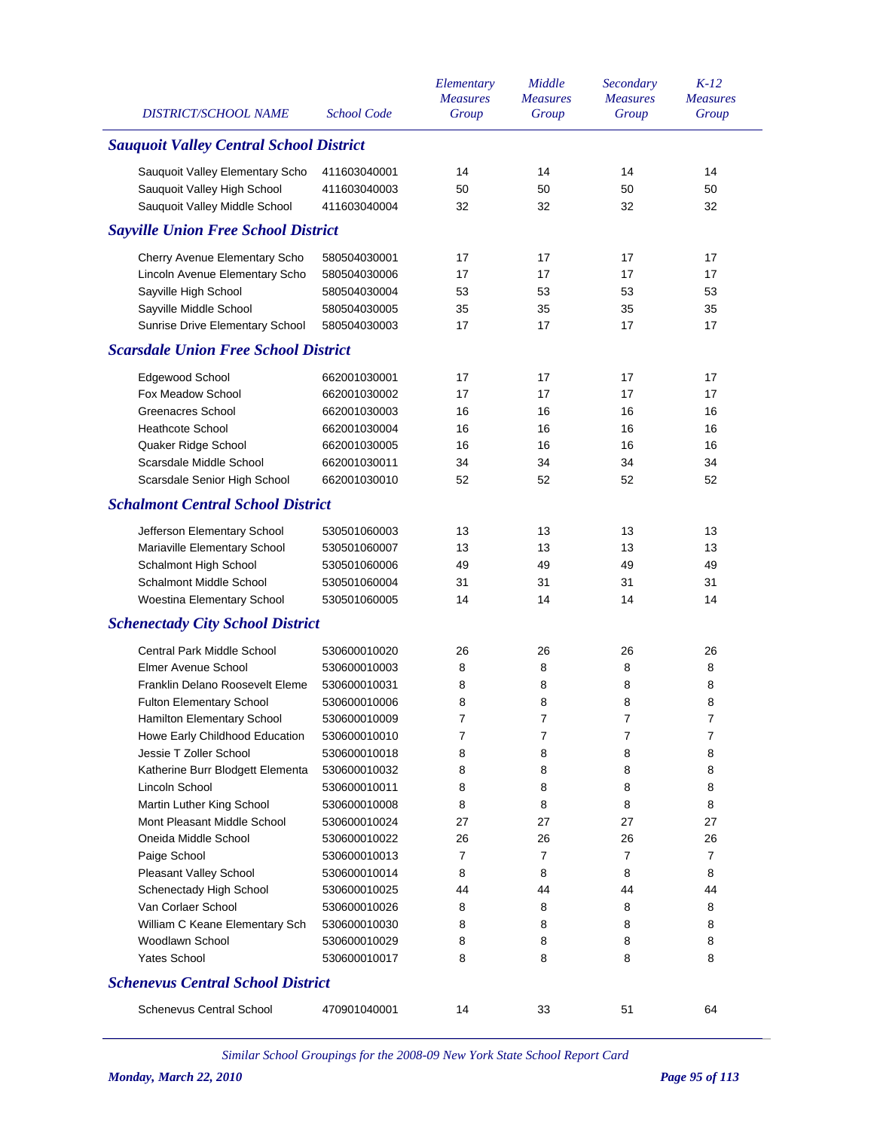| DISTRICT/SCHOOL NAME                                        | <b>School Code</b>           | Elementary<br><b>Measures</b><br>Group | Middle<br><b>Measures</b><br>Group | Secondary<br><b>Measures</b><br>Group | $K-12$<br><b>Measures</b><br>Group |
|-------------------------------------------------------------|------------------------------|----------------------------------------|------------------------------------|---------------------------------------|------------------------------------|
| <b>Sauquoit Valley Central School District</b>              |                              |                                        |                                    |                                       |                                    |
| Sauquoit Valley Elementary Scho                             | 411603040001                 | 14                                     | 14                                 | 14                                    | 14                                 |
| Sauquoit Valley High School                                 | 411603040003                 | 50                                     | 50                                 | 50                                    | 50                                 |
| Sauquoit Valley Middle School                               | 411603040004                 | 32                                     | 32                                 | 32                                    | 32                                 |
| <b>Sayville Union Free School District</b>                  |                              |                                        |                                    |                                       |                                    |
| Cherry Avenue Elementary Scho                               | 580504030001                 | 17                                     | 17                                 | 17                                    | 17                                 |
| Lincoln Avenue Elementary Scho                              | 580504030006                 | 17                                     | 17                                 | 17                                    | 17                                 |
| Sayville High School                                        | 580504030004                 | 53                                     | 53                                 | 53                                    | 53                                 |
| Sayville Middle School                                      | 580504030005                 | 35                                     | 35                                 | 35                                    | 35                                 |
| Sunrise Drive Elementary School                             | 580504030003                 | 17                                     | 17                                 | 17                                    | 17                                 |
| <b>Scarsdale Union Free School District</b>                 |                              |                                        |                                    |                                       |                                    |
| Edgewood School                                             | 662001030001                 | 17                                     | 17                                 | 17                                    | 17                                 |
| Fox Meadow School                                           | 662001030002                 | 17                                     | 17                                 | 17                                    | 17                                 |
| Greenacres School                                           | 662001030003                 | 16                                     | 16                                 | 16                                    | 16                                 |
| <b>Heathcote School</b>                                     | 662001030004                 | 16                                     | 16                                 | 16                                    | 16                                 |
| Quaker Ridge School                                         | 662001030005                 | 16                                     | 16                                 | 16                                    | 16                                 |
| Scarsdale Middle School                                     | 662001030011                 | 34                                     | 34                                 | 34                                    | 34                                 |
| Scarsdale Senior High School                                | 662001030010                 | 52                                     | 52                                 | 52                                    | 52                                 |
| <b>Schalmont Central School District</b>                    |                              |                                        |                                    |                                       |                                    |
|                                                             |                              | 13                                     | 13                                 | 13                                    | 13                                 |
| Jefferson Elementary School<br>Mariaville Elementary School | 530501060003<br>530501060007 | 13                                     | 13                                 | 13                                    | 13                                 |
| Schalmont High School                                       | 530501060006                 | 49                                     | 49                                 | 49                                    | 49                                 |
| Schalmont Middle School                                     | 530501060004                 | 31                                     | 31                                 | 31                                    | 31                                 |
| Woestina Elementary School                                  | 530501060005                 | 14                                     | 14                                 | 14                                    | 14                                 |
| <b>Schenectady City School District</b>                     |                              |                                        |                                    |                                       |                                    |
|                                                             |                              |                                        |                                    |                                       |                                    |
| <b>Central Park Middle School</b>                           | 530600010020                 | 26                                     | 26                                 | 26                                    | 26                                 |
| <b>Elmer Avenue School</b>                                  | 530600010003                 | 8                                      | 8                                  | 8                                     | 8                                  |
| Franklin Delano Roosevelt Eleme                             | 530600010031                 | 8                                      | 8                                  | 8                                     | 8                                  |
| Fulton Elementary School                                    | 530600010006                 | 8                                      | 8                                  | 8                                     | 8                                  |
| Hamilton Elementary School                                  | 530600010009                 | 7                                      | 7                                  | 7                                     | 7                                  |
| Howe Early Childhood Education                              | 530600010010                 | 7                                      | 7                                  | 7                                     | 7                                  |
| Jessie T Zoller School                                      | 530600010018                 | 8                                      | 8                                  | 8                                     | 8                                  |
| Katherine Burr Blodgett Elementa                            | 530600010032                 | 8                                      | 8                                  | 8                                     | 8                                  |
| Lincoln School                                              | 530600010011                 | 8                                      | 8                                  | 8                                     | 8                                  |
| Martin Luther King School                                   | 530600010008                 | 8                                      | 8                                  | 8                                     | 8                                  |
| Mont Pleasant Middle School                                 | 530600010024                 | 27                                     | 27                                 | 27                                    | 27                                 |
| Oneida Middle School                                        | 530600010022                 | 26                                     | 26                                 | 26                                    | 26                                 |
| Paige School                                                | 530600010013                 | 7                                      | 7                                  | $\overline{7}$                        | 7                                  |
| Pleasant Valley School                                      | 530600010014                 | 8                                      | 8                                  | 8                                     | 8                                  |
| Schenectady High School<br>Van Corlaer School               | 530600010025                 | 44                                     | 44<br>8                            | 44                                    | 44<br>8                            |
|                                                             | 530600010026                 | 8<br>8                                 | 8                                  | 8<br>8                                | 8                                  |
| William C Keane Elementary Sch<br>Woodlawn School           | 530600010030                 | 8                                      | 8                                  | 8                                     | 8                                  |
| <b>Yates School</b>                                         | 530600010029<br>530600010017 | 8                                      | 8                                  | 8                                     | 8                                  |
|                                                             |                              |                                        |                                    |                                       |                                    |
| <b>Schenevus Central School District</b>                    |                              |                                        |                                    |                                       |                                    |
| <b>Schenevus Central School</b>                             | 470901040001                 | 14                                     | 33                                 | 51                                    | 64                                 |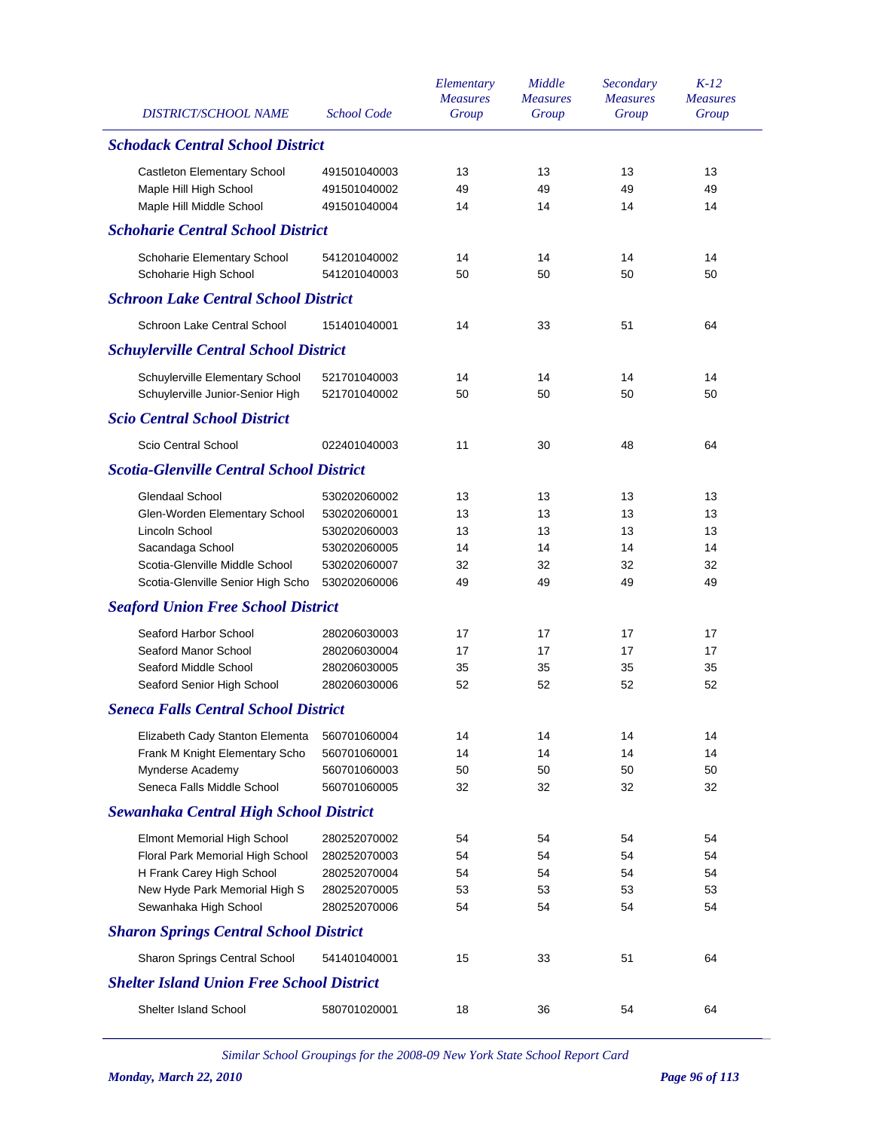| <b>DISTRICT/SCHOOL NAME</b>                      | <b>School Code</b> | Elementary<br><b>Measures</b><br>Group | Middle<br><b>Measures</b><br>Group | Secondary<br><b>Measures</b><br>Group | $K-12$<br><b>Measures</b><br>Group |
|--------------------------------------------------|--------------------|----------------------------------------|------------------------------------|---------------------------------------|------------------------------------|
| <b>Schodack Central School District</b>          |                    |                                        |                                    |                                       |                                    |
| <b>Castleton Elementary School</b>               | 491501040003       | 13                                     | 13                                 | 13                                    | 13                                 |
| Maple Hill High School                           | 491501040002       | 49                                     | 49                                 | 49                                    | 49                                 |
| Maple Hill Middle School                         | 491501040004       | 14                                     | 14                                 | 14                                    | 14                                 |
| <b>Schoharie Central School District</b>         |                    |                                        |                                    |                                       |                                    |
| Schoharie Elementary School                      | 541201040002       | 14                                     | 14                                 | 14                                    | 14                                 |
| Schoharie High School                            | 541201040003       | 50                                     | 50                                 | 50                                    | 50                                 |
| <b>Schroon Lake Central School District</b>      |                    |                                        |                                    |                                       |                                    |
| Schroon Lake Central School                      | 151401040001       | 14                                     | 33                                 | 51                                    | 64                                 |
| <b>Schuylerville Central School District</b>     |                    |                                        |                                    |                                       |                                    |
| Schuylerville Elementary School                  | 521701040003       | 14                                     | 14                                 | 14                                    | 14                                 |
| Schuylerville Junior-Senior High                 | 521701040002       | 50                                     | 50                                 | 50                                    | 50                                 |
| <b>Scio Central School District</b>              |                    |                                        |                                    |                                       |                                    |
| Scio Central School                              | 022401040003       | 11                                     | 30                                 | 48                                    | 64                                 |
| <b>Scotia-Glenville Central School District</b>  |                    |                                        |                                    |                                       |                                    |
| Glendaal School                                  | 530202060002       | 13                                     | 13                                 | 13                                    | 13                                 |
| Glen-Worden Elementary School                    | 530202060001       | 13                                     | 13                                 | 13                                    | 13                                 |
| Lincoln School                                   | 530202060003       | 13                                     | 13                                 | 13                                    | 13                                 |
| Sacandaga School                                 | 530202060005       | 14                                     | 14                                 | 14                                    | 14                                 |
| Scotia-Glenville Middle School                   | 530202060007       | 32                                     | 32                                 | 32                                    | 32                                 |
| Scotia-Glenville Senior High Scho                | 530202060006       | 49                                     | 49                                 | 49                                    | 49                                 |
| <b>Seaford Union Free School District</b>        |                    |                                        |                                    |                                       |                                    |
| Seaford Harbor School                            | 280206030003       | 17                                     | 17                                 | 17                                    | 17                                 |
| Seaford Manor School                             | 280206030004       | 17                                     | 17                                 | 17                                    | 17                                 |
| Seaford Middle School                            | 280206030005       | 35                                     | 35                                 | 35                                    | 35                                 |
| Seaford Senior High School                       | 280206030006       | 52                                     | 52                                 | 52                                    | 52                                 |
| <b>Seneca Falls Central School District</b>      |                    |                                        |                                    |                                       |                                    |
| Elizabeth Cady Stanton Elementa                  | 560701060004       | 14                                     | 14                                 | 14                                    | 14                                 |
| Frank M Knight Elementary Scho                   | 560701060001       | 14                                     | 14                                 | 14                                    | 14                                 |
| Mynderse Academy                                 | 560701060003       | 50                                     | 50                                 | 50                                    | 50                                 |
| Seneca Falls Middle School                       | 560701060005       | 32                                     | 32                                 | 32                                    | 32                                 |
| <b>Sewanhaka Central High School District</b>    |                    |                                        |                                    |                                       |                                    |
| Elmont Memorial High School                      | 280252070002       | 54                                     | 54                                 | 54                                    | 54                                 |
| Floral Park Memorial High School                 | 280252070003       | 54                                     | 54                                 | 54                                    | 54                                 |
| H Frank Carey High School                        | 280252070004       | 54                                     | 54                                 | 54                                    | 54                                 |
| New Hyde Park Memorial High S                    | 280252070005       | 53                                     | 53                                 | 53                                    | 53                                 |
| Sewanhaka High School                            | 280252070006       | 54                                     | 54                                 | 54                                    | 54                                 |
| <b>Sharon Springs Central School District</b>    |                    |                                        |                                    |                                       |                                    |
| Sharon Springs Central School                    | 541401040001       | 15                                     | 33                                 | 51                                    | 64                                 |
| <b>Shelter Island Union Free School District</b> |                    |                                        |                                    |                                       |                                    |
| Shelter Island School                            | 580701020001       | 18                                     | 36                                 | 54                                    | 64                                 |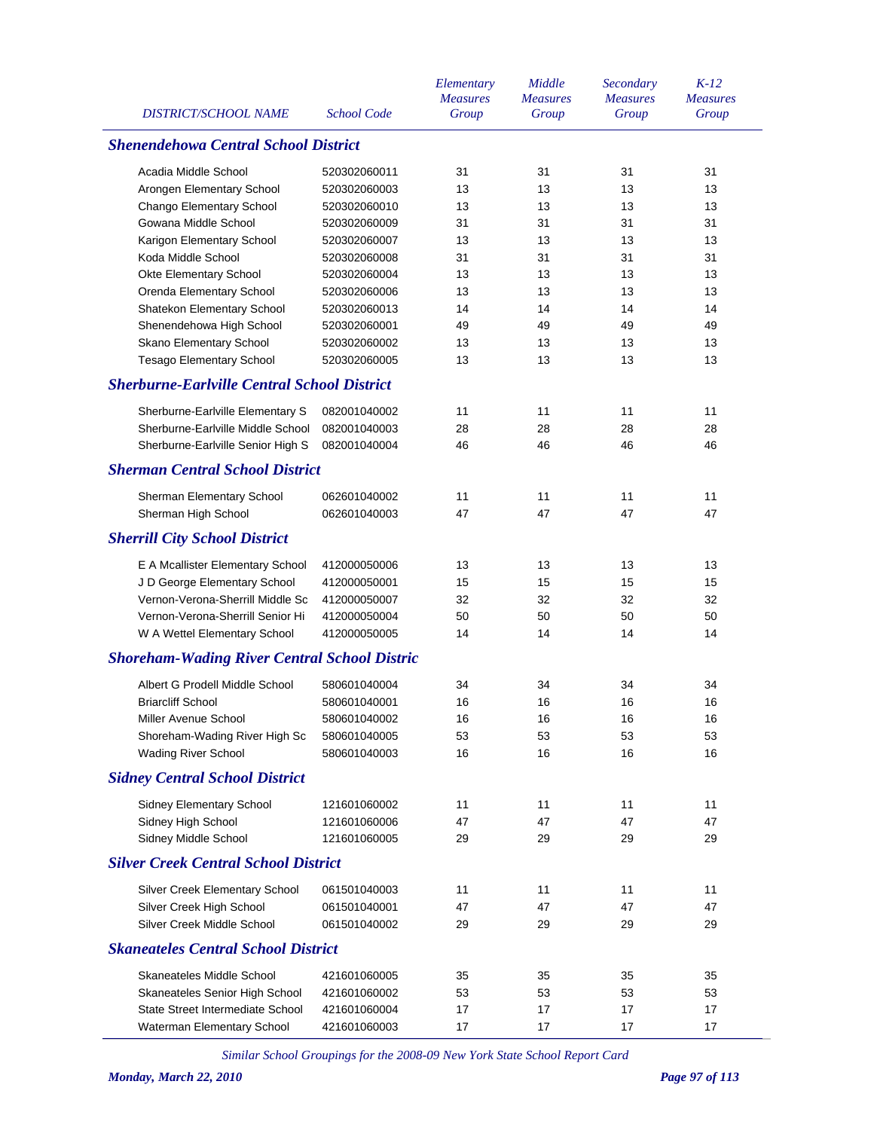| <b>DISTRICT/SCHOOL NAME</b>                         | <b>School Code</b>           | Elementary<br><b>Measures</b><br>Group | Middle<br><b>Measures</b><br>Group | Secondary<br><b>Measures</b><br>Group | $K-12$<br><b>Measures</b><br>Group |
|-----------------------------------------------------|------------------------------|----------------------------------------|------------------------------------|---------------------------------------|------------------------------------|
| <b>Shenendehowa Central School District</b>         |                              |                                        |                                    |                                       |                                    |
| Acadia Middle School                                | 520302060011                 | 31                                     | 31                                 | 31                                    | 31                                 |
| Arongen Elementary School                           | 520302060003                 | 13                                     | 13                                 | 13                                    | 13                                 |
| Chango Elementary School                            | 520302060010                 | 13                                     | 13                                 | 13                                    | 13                                 |
| Gowana Middle School                                | 520302060009                 | 31                                     | 31                                 | 31                                    | 31                                 |
| Karigon Elementary School                           | 520302060007                 | 13                                     | 13                                 | 13                                    | 13                                 |
| Koda Middle School                                  | 520302060008                 | 31                                     | 31                                 | 31                                    | 31                                 |
| Okte Elementary School                              | 520302060004                 | 13                                     | 13                                 | 13                                    | 13                                 |
| Orenda Elementary School                            | 520302060006                 | 13                                     | 13                                 | 13                                    | 13                                 |
| Shatekon Elementary School                          | 520302060013                 | 14                                     | 14                                 | 14                                    | 14                                 |
| Shenendehowa High School                            | 520302060001                 | 49                                     | 49                                 | 49                                    | 49                                 |
| Skano Elementary School                             | 520302060002                 | 13                                     | 13                                 | 13                                    | 13                                 |
| <b>Tesago Elementary School</b>                     | 520302060005                 | 13                                     | 13                                 | 13                                    | 13                                 |
| <b>Sherburne-Earlville Central School District</b>  |                              |                                        |                                    |                                       |                                    |
| Sherburne-Earlville Elementary S                    | 082001040002                 | 11                                     | 11                                 | 11                                    | 11                                 |
| Sherburne-Earlville Middle School                   | 082001040003                 | 28                                     | 28                                 | 28                                    | 28                                 |
| Sherburne-Earlville Senior High S                   | 082001040004                 | 46                                     | 46                                 | 46                                    | 46                                 |
| <b>Sherman Central School District</b>              |                              |                                        |                                    |                                       |                                    |
| Sherman Elementary School                           | 062601040002                 | 11                                     | 11                                 | 11                                    | 11                                 |
| Sherman High School                                 | 062601040003                 | 47                                     | 47                                 | 47                                    | 47                                 |
|                                                     |                              |                                        |                                    |                                       |                                    |
| <b>Sherrill City School District</b>                |                              |                                        |                                    |                                       |                                    |
| E A Mcallister Elementary School                    | 412000050006                 | 13                                     | 13                                 | 13                                    | 13                                 |
| J D George Elementary School                        | 412000050001                 | 15                                     | 15                                 | 15                                    | 15                                 |
| Vernon-Verona-Sherrill Middle Sc                    | 412000050007                 | 32                                     | 32                                 | 32                                    | 32                                 |
| Vernon-Verona-Sherrill Senior Hi                    | 412000050004                 | 50                                     | 50                                 | 50                                    | 50                                 |
| W A Wettel Elementary School                        | 412000050005                 | 14                                     | 14                                 | 14                                    | 14                                 |
| <b>Shoreham-Wading River Central School Distric</b> |                              |                                        |                                    |                                       |                                    |
| Albert G Prodell Middle School                      | 580601040004                 | 34                                     | 34                                 | 34                                    | 34                                 |
| <b>Briarcliff School</b>                            | 580601040001                 | 16                                     | 16                                 | 16                                    | 16                                 |
| Miller Avenue School                                | 580601040002                 | 16                                     | 16                                 | 16                                    | 16                                 |
| Shoreham-Wading River High Sc                       | 580601040005                 | 53                                     | 53                                 | 53                                    | 53                                 |
| <b>Wading River School</b>                          | 580601040003                 | 16                                     | 16                                 | 16                                    | 16                                 |
| <b>Sidney Central School District</b>               |                              |                                        |                                    |                                       |                                    |
| Sidney Elementary School                            | 121601060002                 | 11                                     | 11                                 | 11                                    | 11                                 |
| Sidney High School                                  | 121601060006                 | 47                                     | 47                                 | 47                                    | 47                                 |
| Sidney Middle School                                | 121601060005                 | 29                                     | 29                                 | 29                                    | 29                                 |
| <b>Silver Creek Central School District</b>         |                              |                                        |                                    |                                       |                                    |
| Silver Creek Elementary School                      | 061501040003                 | 11                                     | 11                                 | 11                                    | 11                                 |
| Silver Creek High School                            | 061501040001                 | 47                                     | 47                                 | 47                                    | 47                                 |
| Silver Creek Middle School                          | 061501040002                 | 29                                     | 29                                 | 29                                    | 29                                 |
| <b>Skaneateles Central School District</b>          |                              |                                        |                                    |                                       |                                    |
| Skaneateles Middle School                           |                              | 35                                     | 35                                 | 35                                    | 35                                 |
| Skaneateles Senior High School                      | 421601060005<br>421601060002 | 53                                     | 53                                 | 53                                    | 53                                 |
| State Street Intermediate School                    | 421601060004                 | 17                                     | 17                                 | 17                                    | 17                                 |
| Waterman Elementary School                          | 421601060003                 | 17                                     | 17                                 | 17                                    | 17                                 |
|                                                     |                              |                                        |                                    |                                       |                                    |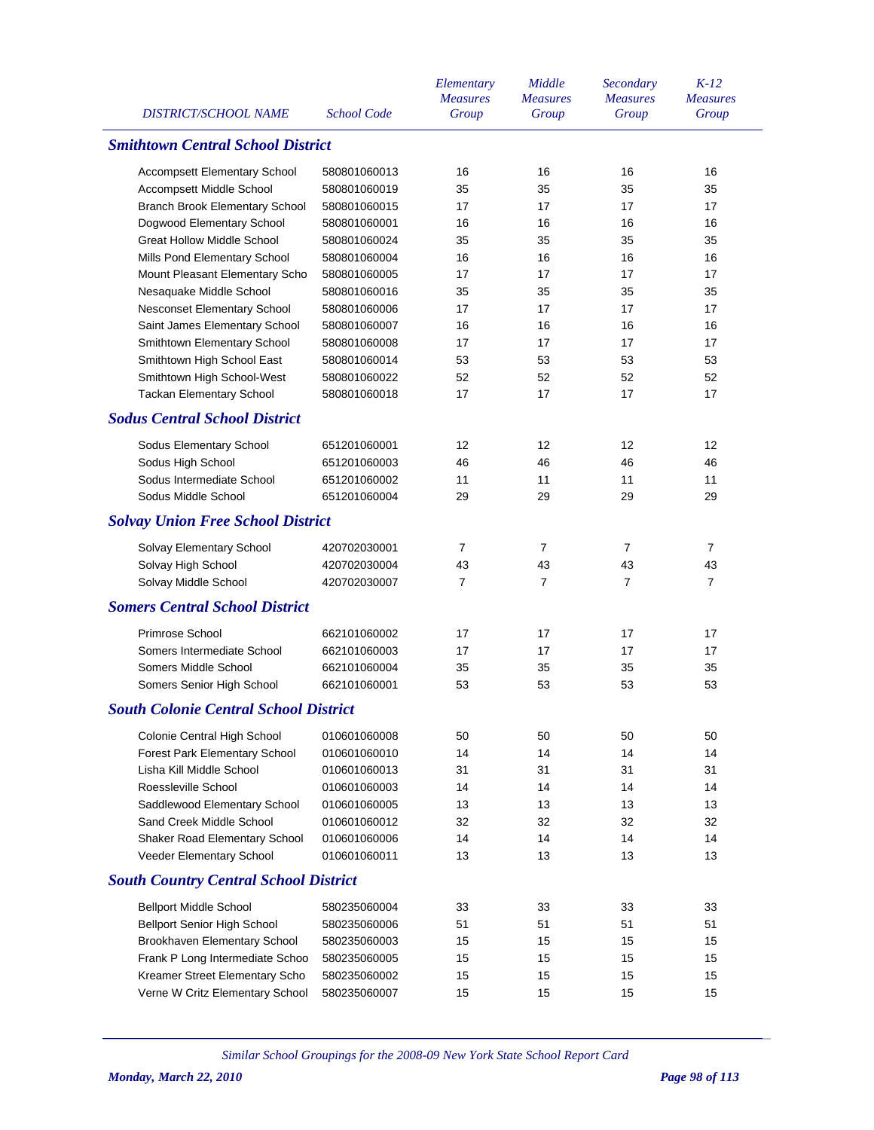| DISTRICT/SCHOOL NAME                         | <b>School Code</b> | Elementary<br><b>Measures</b><br>Group | Middle<br><b>Measures</b><br>Group | Secondary<br><b>Measures</b><br>Group | $K-12$<br><b>Measures</b><br>Group |
|----------------------------------------------|--------------------|----------------------------------------|------------------------------------|---------------------------------------|------------------------------------|
| <b>Smithtown Central School District</b>     |                    |                                        |                                    |                                       |                                    |
| <b>Accompsett Elementary School</b>          | 580801060013       | 16                                     | 16                                 | 16                                    | 16                                 |
| Accompsett Middle School                     | 580801060019       | 35                                     | 35                                 | 35                                    | 35                                 |
| Branch Brook Elementary School               | 580801060015       | 17                                     | 17                                 | 17                                    | 17                                 |
| Dogwood Elementary School                    | 580801060001       | 16                                     | 16                                 | 16                                    | 16                                 |
| <b>Great Hollow Middle School</b>            | 580801060024       | 35                                     | 35                                 | 35                                    | 35                                 |
| Mills Pond Elementary School                 | 580801060004       | 16                                     | 16                                 | 16                                    | 16                                 |
| Mount Pleasant Elementary Scho               | 580801060005       | 17                                     | 17                                 | 17                                    | 17                                 |
| Nesaquake Middle School                      | 580801060016       | 35                                     | 35                                 | 35                                    | 35                                 |
| Nesconset Elementary School                  | 580801060006       | 17                                     | 17                                 | 17                                    | 17                                 |
| Saint James Elementary School                | 580801060007       | 16                                     | 16                                 | 16                                    | 16                                 |
| Smithtown Elementary School                  | 580801060008       | 17                                     | 17                                 | 17                                    | 17                                 |
| Smithtown High School East                   | 580801060014       | 53                                     | 53                                 | 53                                    | 53                                 |
| Smithtown High School-West                   | 580801060022       | 52                                     | 52                                 | 52                                    | 52                                 |
| <b>Tackan Elementary School</b>              | 580801060018       | 17                                     | 17                                 | 17                                    | 17                                 |
| <b>Sodus Central School District</b>         |                    |                                        |                                    |                                       |                                    |
| Sodus Elementary School                      | 651201060001       | 12                                     | 12                                 | 12                                    | 12                                 |
| Sodus High School                            | 651201060003       | 46                                     | 46                                 | 46                                    | 46                                 |
| Sodus Intermediate School                    | 651201060002       | 11                                     | 11                                 | 11                                    | 11                                 |
| Sodus Middle School                          | 651201060004       | 29                                     | 29                                 | 29                                    | 29                                 |
| <b>Solvay Union Free School District</b>     |                    |                                        |                                    |                                       |                                    |
| Solvay Elementary School                     | 420702030001       | 7                                      | 7                                  | $\overline{7}$                        | 7                                  |
| Solvay High School                           | 420702030004       | 43                                     | 43                                 | 43                                    | 43                                 |
| Solvay Middle School                         | 420702030007       | 7                                      | 7                                  | $\overline{7}$                        | $\overline{7}$                     |
| <b>Somers Central School District</b>        |                    |                                        |                                    |                                       |                                    |
|                                              |                    |                                        |                                    |                                       |                                    |
| Primrose School                              | 662101060002       | 17                                     | 17                                 | 17                                    | 17                                 |
| Somers Intermediate School                   | 662101060003       | 17                                     | 17                                 | 17                                    | 17                                 |
| Somers Middle School                         | 662101060004       | 35                                     | 35                                 | 35                                    | 35                                 |
| Somers Senior High School                    | 662101060001       | 53                                     | 53                                 | 53                                    | 53                                 |
| <b>South Colonie Central School District</b> |                    |                                        |                                    |                                       |                                    |
| Colonie Central High School                  | 010601060008       | 50                                     | 50                                 | 50                                    | 50                                 |
| <b>Forest Park Elementary School</b>         | 010601060010       | 14                                     | 14                                 | 14                                    | 14                                 |
| Lisha Kill Middle School                     | 010601060013       | 31                                     | 31                                 | 31                                    | 31                                 |
| Roessleville School                          | 010601060003       | 14                                     | 14                                 | 14                                    | 14                                 |
| Saddlewood Elementary School                 | 010601060005       | 13                                     | 13                                 | 13                                    | 13                                 |
| Sand Creek Middle School                     | 010601060012       | 32                                     | 32                                 | 32                                    | 32                                 |
| Shaker Road Elementary School                | 010601060006       | 14                                     | 14                                 | 14                                    | 14                                 |
| Veeder Elementary School                     | 010601060011       | 13                                     | 13                                 | 13                                    | 13                                 |
| <b>South Country Central School District</b> |                    |                                        |                                    |                                       |                                    |
| <b>Bellport Middle School</b>                | 580235060004       | 33                                     | 33                                 | 33                                    | 33                                 |
| <b>Bellport Senior High School</b>           | 580235060006       | 51                                     | 51                                 | 51                                    | 51                                 |
| Brookhaven Elementary School                 | 580235060003       | 15                                     | 15                                 | 15                                    | 15                                 |
| Frank P Long Intermediate Schoo              | 580235060005       | 15                                     | 15                                 | 15                                    | 15                                 |
| Kreamer Street Elementary Scho               | 580235060002       | 15                                     | 15                                 | 15                                    | 15                                 |
| Verne W Critz Elementary School              | 580235060007       | 15                                     | 15                                 | 15                                    | 15                                 |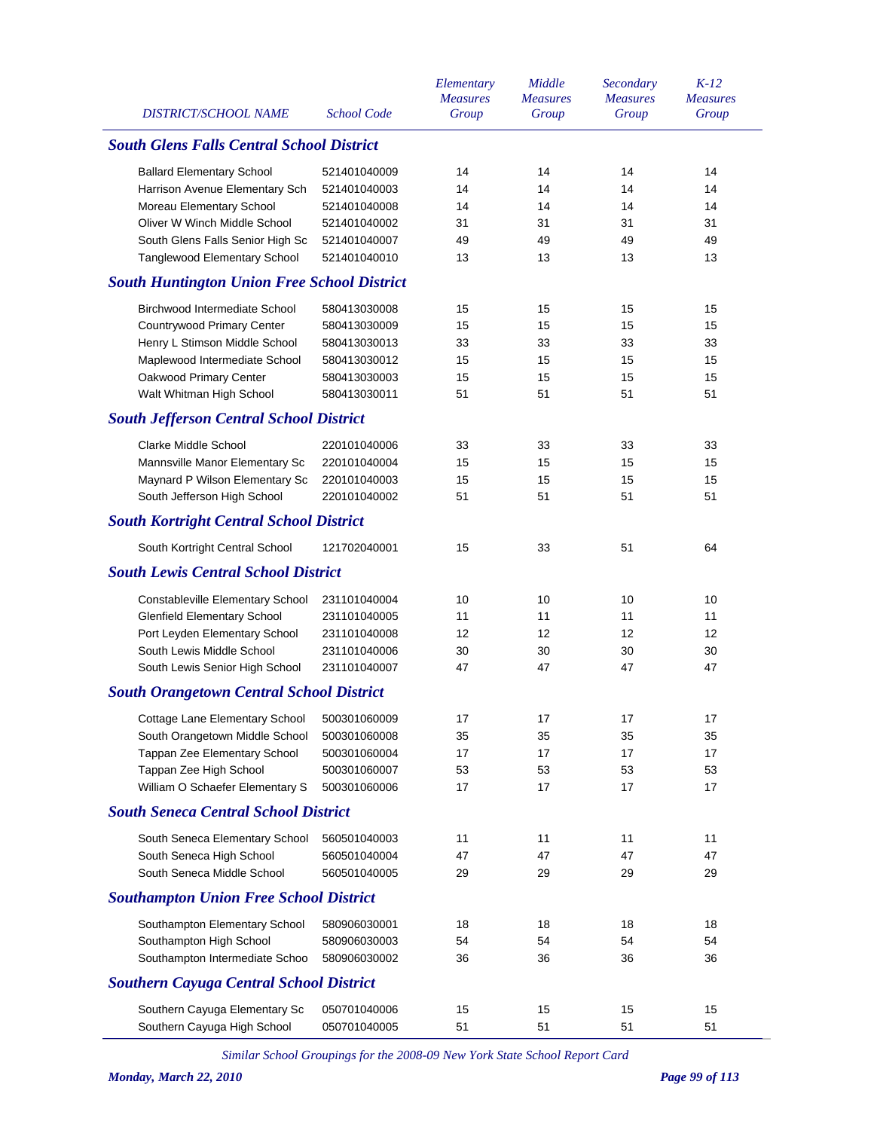| <b>DISTRICT/SCHOOL NAME</b>                        | <b>School Code</b> | Elementary<br><b>Measures</b><br>Group | Middle<br><b>Measures</b><br>Group | Secondary<br><b>Measures</b><br>Group | $K-12$<br><b>Measures</b><br>Group |
|----------------------------------------------------|--------------------|----------------------------------------|------------------------------------|---------------------------------------|------------------------------------|
| <b>South Glens Falls Central School District</b>   |                    |                                        |                                    |                                       |                                    |
| <b>Ballard Elementary School</b>                   | 521401040009       | 14                                     | 14                                 | 14                                    | 14                                 |
| Harrison Avenue Elementary Sch                     | 521401040003       | 14                                     | 14                                 | 14                                    | 14                                 |
| Moreau Elementary School                           | 521401040008       | 14                                     | 14                                 | 14                                    | 14                                 |
| Oliver W Winch Middle School                       | 521401040002       | 31                                     | 31                                 | 31                                    | 31                                 |
| South Glens Falls Senior High Sc                   | 521401040007       | 49                                     | 49                                 | 49                                    | 49                                 |
| Tanglewood Elementary School                       | 521401040010       | 13                                     | 13                                 | 13                                    | 13                                 |
| <b>South Huntington Union Free School District</b> |                    |                                        |                                    |                                       |                                    |
| Birchwood Intermediate School                      | 580413030008       | 15                                     | 15                                 | 15                                    | 15                                 |
| Countrywood Primary Center                         | 580413030009       | 15                                     | 15                                 | 15                                    | 15                                 |
| Henry L Stimson Middle School                      | 580413030013       | 33                                     | 33                                 | 33                                    | 33                                 |
| Maplewood Intermediate School                      | 580413030012       | 15                                     | 15                                 | 15                                    | 15                                 |
| Oakwood Primary Center                             | 580413030003       | 15                                     | 15                                 | 15                                    | 15                                 |
| Walt Whitman High School                           | 580413030011       | 51                                     | 51                                 | 51                                    | 51                                 |
| <b>South Jefferson Central School District</b>     |                    |                                        |                                    |                                       |                                    |
| Clarke Middle School                               | 220101040006       | 33                                     | 33                                 | 33                                    | 33                                 |
| Mannsville Manor Elementary Sc                     | 220101040004       | 15                                     | 15                                 | 15                                    | 15                                 |
| Maynard P Wilson Elementary Sc                     | 220101040003       | 15                                     | 15                                 | 15                                    | 15                                 |
| South Jefferson High School                        | 220101040002       | 51                                     | 51                                 | 51                                    | 51                                 |
| <b>South Kortright Central School District</b>     |                    |                                        |                                    |                                       |                                    |
| South Kortright Central School                     | 121702040001       | 15                                     | 33                                 | 51                                    | 64                                 |
| <b>South Lewis Central School District</b>         |                    |                                        |                                    |                                       |                                    |
|                                                    |                    |                                        |                                    |                                       |                                    |
| Constableville Elementary School                   | 231101040004       | 10                                     | 10                                 | 10                                    | 10                                 |
| <b>Glenfield Elementary School</b>                 | 231101040005       | 11                                     | 11                                 | 11                                    | 11                                 |
| Port Leyden Elementary School                      | 231101040008       | 12                                     | 12                                 | 12                                    | 12                                 |
| South Lewis Middle School                          | 231101040006       | 30                                     | 30                                 | 30                                    | 30                                 |
| South Lewis Senior High School                     | 231101040007       | 47                                     | 47                                 | 47                                    | 47                                 |
| <b>South Orangetown Central School District</b>    |                    |                                        |                                    |                                       |                                    |
| Cottage Lane Elementary School                     | 500301060009       | 17                                     | 17                                 | 17                                    | 17                                 |
| South Orangetown Middle School                     | 500301060008       | 35                                     | 35                                 | 35                                    | 35                                 |
| Tappan Zee Elementary School                       | 500301060004       | 17                                     | 17                                 | 17                                    | 17                                 |
| Tappan Zee High School                             | 500301060007       | 53                                     | 53                                 | 53                                    | 53                                 |
| William O Schaefer Elementary S                    | 500301060006       | 17                                     | 17                                 | 17                                    | 17                                 |
| <b>South Seneca Central School District</b>        |                    |                                        |                                    |                                       |                                    |
| South Seneca Elementary School                     | 560501040003       | 11                                     | 11                                 | 11                                    | 11                                 |
| South Seneca High School                           | 560501040004       | 47                                     | 47                                 | 47                                    | 47                                 |
| South Seneca Middle School                         | 560501040005       | 29                                     | 29                                 | 29                                    | 29                                 |
| <b>Southampton Union Free School District</b>      |                    |                                        |                                    |                                       |                                    |
| Southampton Elementary School                      | 580906030001       | 18                                     | 18                                 | 18                                    | 18                                 |
| Southampton High School                            | 580906030003       | 54                                     | 54                                 | 54                                    | 54                                 |
| Southampton Intermediate Schoo                     | 580906030002       | 36                                     | 36                                 | 36                                    | 36                                 |
| <b>Southern Cayuga Central School District</b>     |                    |                                        |                                    |                                       |                                    |
|                                                    |                    |                                        |                                    |                                       |                                    |
| Southern Cayuga Elementary Sc                      | 050701040006       | 15                                     | 15                                 | 15<br>51                              | 15                                 |
| Southern Cayuga High School                        | 050701040005       | 51                                     | 51                                 |                                       | 51                                 |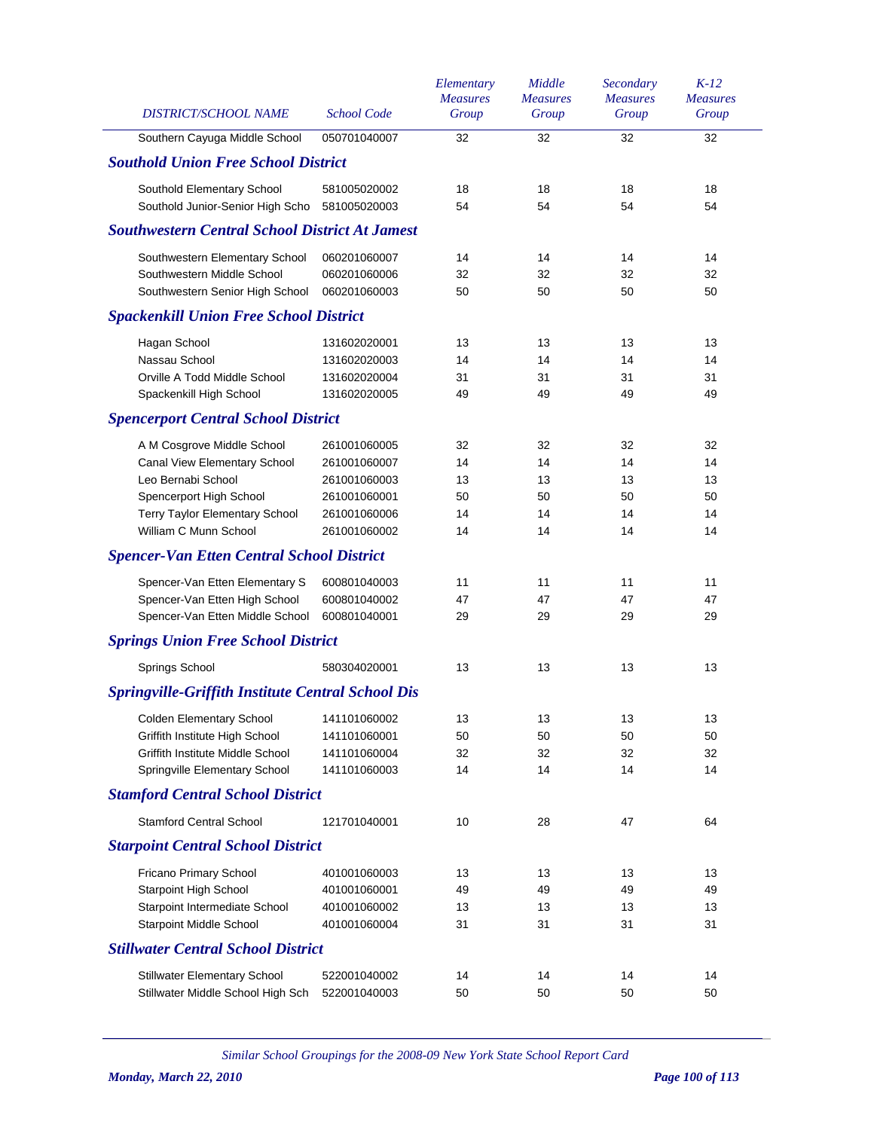| DISTRICT/SCHOOL NAME                                     | <b>School Code</b> | Elementary<br><b>Measures</b><br>Group | Middle<br><b>Measures</b><br>Group | Secondary<br><b>Measures</b><br>Group | $K-12$<br><b>Measures</b><br>Group |
|----------------------------------------------------------|--------------------|----------------------------------------|------------------------------------|---------------------------------------|------------------------------------|
| Southern Cayuga Middle School                            | 050701040007       | 32                                     | 32                                 | 32                                    | 32                                 |
| <b>Southold Union Free School District</b>               |                    |                                        |                                    |                                       |                                    |
| Southold Elementary School                               | 581005020002       | 18                                     | 18                                 | 18                                    | 18                                 |
| Southold Junior-Senior High Scho                         | 581005020003       | 54                                     | 54                                 | 54                                    | 54                                 |
| <b>Southwestern Central School District At Jamest</b>    |                    |                                        |                                    |                                       |                                    |
| Southwestern Elementary School                           | 060201060007       | 14                                     | 14                                 | 14                                    | 14                                 |
| Southwestern Middle School                               | 060201060006       | 32                                     | 32                                 | 32                                    | 32                                 |
| Southwestern Senior High School                          | 060201060003       | 50                                     | 50                                 | 50                                    | 50                                 |
| <b>Spackenkill Union Free School District</b>            |                    |                                        |                                    |                                       |                                    |
| Hagan School                                             | 131602020001       | 13                                     | 13                                 | 13                                    | 13                                 |
| Nassau School                                            | 131602020003       | 14                                     | 14                                 | 14                                    | 14                                 |
| Orville A Todd Middle School                             | 131602020004       | 31                                     | 31                                 | 31                                    | 31                                 |
| Spackenkill High School                                  | 131602020005       | 49                                     | 49                                 | 49                                    | 49                                 |
| <b>Spencerport Central School District</b>               |                    |                                        |                                    |                                       |                                    |
| A M Cosgrove Middle School                               | 261001060005       | 32                                     | 32                                 | 32                                    | 32                                 |
| Canal View Elementary School                             | 261001060007       | 14                                     | 14                                 | 14                                    | 14                                 |
| Leo Bernabi School                                       | 261001060003       | 13                                     | 13                                 | 13                                    | 13                                 |
| Spencerport High School                                  | 261001060001       | 50                                     | 50                                 | 50                                    | 50                                 |
| Terry Taylor Elementary School                           | 261001060006       | 14                                     | 14                                 | 14                                    | 14                                 |
| William C Munn School                                    | 261001060002       | 14                                     | 14                                 | 14                                    | 14                                 |
| <b>Spencer-Van Etten Central School District</b>         |                    |                                        |                                    |                                       |                                    |
| Spencer-Van Etten Elementary S                           | 600801040003       | 11                                     | 11                                 | 11                                    | 11                                 |
| Spencer-Van Etten High School                            | 600801040002       | 47                                     | 47                                 | 47                                    | 47                                 |
| Spencer-Van Etten Middle School                          | 600801040001       | 29                                     | 29                                 | 29                                    | 29                                 |
| <b>Springs Union Free School District</b>                |                    |                                        |                                    |                                       |                                    |
| Springs School                                           | 580304020001       | 13                                     | 13                                 | 13                                    | 13                                 |
| <b>Springville-Griffith Institute Central School Dis</b> |                    |                                        |                                    |                                       |                                    |
| Colden Elementary School 141101060002                    |                    | 13                                     | 13                                 | 13                                    | 13                                 |
| Griffith Institute High School                           | 141101060001       | 50                                     | 50                                 | 50                                    | 50                                 |
| Griffith Institute Middle School                         | 141101060004       | 32                                     | 32                                 | 32                                    | 32                                 |
| Springville Elementary School                            | 141101060003       | 14                                     | 14                                 | 14                                    | 14                                 |
| <b>Stamford Central School District</b>                  |                    |                                        |                                    |                                       |                                    |
| <b>Stamford Central School</b>                           | 121701040001       | 10                                     | 28                                 | 47                                    | 64                                 |
| <b>Starpoint Central School District</b>                 |                    |                                        |                                    |                                       |                                    |
| Fricano Primary School                                   | 401001060003       | 13                                     | 13                                 | 13                                    | 13                                 |
| Starpoint High School                                    | 401001060001       | 49                                     | 49                                 | 49                                    | 49                                 |
| Starpoint Intermediate School                            | 401001060002       | 13                                     | 13                                 | 13                                    | 13                                 |
| <b>Starpoint Middle School</b>                           | 401001060004       | 31                                     | 31                                 | 31                                    | 31                                 |
| <b>Stillwater Central School District</b>                |                    |                                        |                                    |                                       |                                    |
| <b>Stillwater Elementary School</b>                      | 522001040002       | 14                                     | 14                                 | 14                                    | 14                                 |
| Stillwater Middle School High Sch                        | 522001040003       | 50                                     | 50                                 | 50                                    | 50                                 |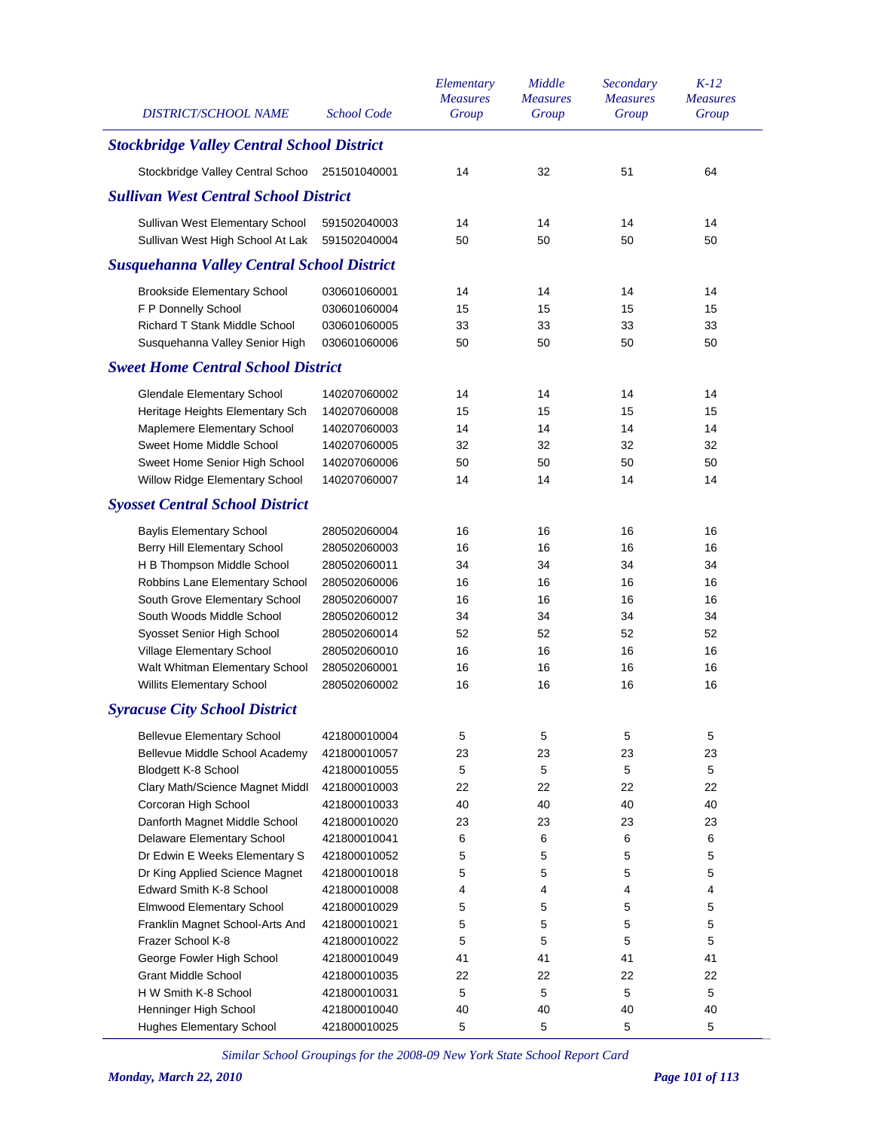| DISTRICT/SCHOOL NAME                              | School Code  | Elementary<br><b>Measures</b><br>Group | Middle<br><b>Measures</b><br>Group | Secondary<br><b>Measures</b><br>Group | $K-12$<br><b>Measures</b><br>Group |
|---------------------------------------------------|--------------|----------------------------------------|------------------------------------|---------------------------------------|------------------------------------|
| <b>Stockbridge Valley Central School District</b> |              |                                        |                                    |                                       |                                    |
| Stockbridge Valley Central Schoo                  | 251501040001 | 14                                     | 32                                 | 51                                    | 64                                 |
| <b>Sullivan West Central School District</b>      |              |                                        |                                    |                                       |                                    |
| Sullivan West Elementary School                   | 591502040003 | 14                                     | 14                                 | 14                                    | 14                                 |
| Sullivan West High School At Lak                  | 591502040004 | 50                                     | 50                                 | 50                                    | 50                                 |
| <b>Susquehanna Valley Central School District</b> |              |                                        |                                    |                                       |                                    |
| <b>Brookside Elementary School</b>                | 030601060001 | 14                                     | 14                                 | 14                                    | 14                                 |
| F P Donnelly School                               | 030601060004 | 15                                     | 15                                 | 15                                    | 15                                 |
| Richard T Stank Middle School                     | 030601060005 | 33                                     | 33                                 | 33                                    | 33                                 |
| Susquehanna Valley Senior High                    | 030601060006 | 50                                     | 50                                 | 50                                    | 50                                 |
| <b>Sweet Home Central School District</b>         |              |                                        |                                    |                                       |                                    |
| <b>Glendale Elementary School</b>                 | 140207060002 | 14                                     | 14                                 | 14                                    | 14                                 |
| Heritage Heights Elementary Sch                   | 140207060008 | 15                                     | 15                                 | 15                                    | 15                                 |
| Maplemere Elementary School                       | 140207060003 | 14                                     | 14                                 | 14                                    | 14                                 |
| Sweet Home Middle School                          | 140207060005 | 32                                     | 32                                 | 32                                    | 32                                 |
| Sweet Home Senior High School                     | 140207060006 | 50                                     | 50                                 | 50                                    | 50                                 |
| Willow Ridge Elementary School                    | 140207060007 | 14                                     | 14                                 | 14                                    | 14                                 |
| <b>Syosset Central School District</b>            |              |                                        |                                    |                                       |                                    |
| <b>Baylis Elementary School</b>                   | 280502060004 | 16                                     | 16                                 | 16                                    | 16                                 |
| Berry Hill Elementary School                      | 280502060003 | 16                                     | 16                                 | 16                                    | 16                                 |
| H B Thompson Middle School                        | 280502060011 | 34                                     | 34                                 | 34                                    | 34                                 |
| Robbins Lane Elementary School                    | 280502060006 | 16                                     | 16                                 | 16                                    | 16                                 |
| South Grove Elementary School                     | 280502060007 | 16                                     | 16                                 | 16                                    | 16                                 |
| South Woods Middle School                         | 280502060012 | 34                                     | 34                                 | 34                                    | 34                                 |
| Syosset Senior High School                        | 280502060014 | 52                                     | 52                                 | 52                                    | 52                                 |
| Village Elementary School                         | 280502060010 | 16                                     | 16                                 | 16                                    | 16                                 |
| Walt Whitman Elementary School                    | 280502060001 | 16                                     | 16                                 | 16                                    | 16                                 |
| Willits Elementary School                         | 280502060002 | 16                                     | 16                                 | 16                                    | 16                                 |
| <b>Syracuse City School District</b>              |              |                                        |                                    |                                       |                                    |
| <b>Bellevue Elementary School</b>                 | 421800010004 | 5                                      | 5                                  | 5                                     | 5                                  |
| Bellevue Middle School Academy                    | 421800010057 | 23                                     | 23                                 | 23                                    | 23                                 |
| Blodgett K-8 School                               | 421800010055 | 5                                      | 5                                  | 5                                     | 5                                  |
| Clary Math/Science Magnet Middl                   | 421800010003 | 22                                     | 22                                 | 22                                    | 22                                 |
| Corcoran High School                              | 421800010033 | 40                                     | 40                                 | 40                                    | 40                                 |
| Danforth Magnet Middle School                     | 421800010020 | 23                                     | 23                                 | 23                                    | 23                                 |
| Delaware Elementary School                        | 421800010041 | 6                                      | 6                                  | 6                                     | 6                                  |
| Dr Edwin E Weeks Elementary S                     | 421800010052 | 5                                      | 5                                  | 5                                     | 5                                  |
| Dr King Applied Science Magnet                    | 421800010018 | 5                                      | 5                                  | 5                                     | 5                                  |
| Edward Smith K-8 School                           | 421800010008 | 4                                      | 4                                  | 4                                     | 4                                  |
| Elmwood Elementary School                         | 421800010029 | 5                                      | 5                                  | 5                                     | 5                                  |
| Franklin Magnet School-Arts And                   | 421800010021 | 5                                      | 5                                  | 5                                     | 5                                  |
| Frazer School K-8                                 | 421800010022 | 5                                      | 5                                  | 5                                     | 5                                  |
| George Fowler High School                         | 421800010049 | 41                                     | 41                                 | 41                                    | 41                                 |
| <b>Grant Middle School</b>                        | 421800010035 | 22                                     | 22                                 | 22                                    | 22                                 |
| H W Smith K-8 School                              | 421800010031 | 5                                      | 5                                  | 5                                     | 5                                  |
| Henninger High School                             | 421800010040 | 40                                     | 40                                 | 40                                    | 40                                 |
| <b>Hughes Elementary School</b>                   | 421800010025 | 5                                      | 5                                  | 5                                     | 5                                  |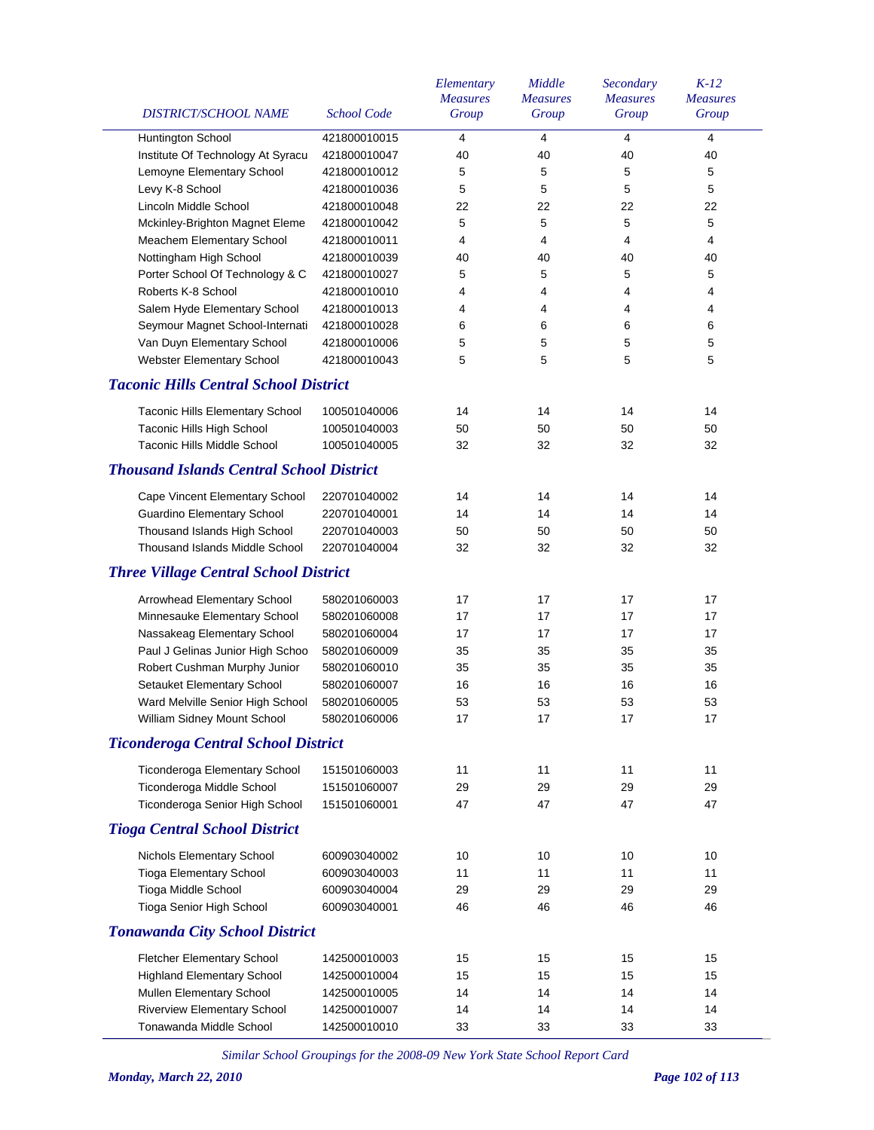|                                                 |                    | Elementary<br><b>Measures</b> | Middle<br><b>Measures</b> | Secondary<br><b>Measures</b> | $K-12$<br><b>Measures</b> |
|-------------------------------------------------|--------------------|-------------------------------|---------------------------|------------------------------|---------------------------|
| <b>DISTRICT/SCHOOL NAME</b>                     | <b>School Code</b> | Group                         | Group                     | Group                        | Group                     |
| Huntington School                               | 421800010015       | 4                             | 4                         | $\overline{4}$               | 4                         |
| Institute Of Technology At Syracu               | 421800010047       | 40                            | 40                        | 40                           | 40                        |
| Lemoyne Elementary School                       | 421800010012       | 5                             | 5                         | 5                            | 5                         |
| Levy K-8 School                                 | 421800010036       | 5                             | 5                         | 5                            | 5                         |
| Lincoln Middle School                           | 421800010048       | 22                            | 22                        | 22                           | 22                        |
| Mckinley-Brighton Magnet Eleme                  | 421800010042       | 5                             | 5                         | 5                            | 5                         |
| Meachem Elementary School                       | 421800010011       | 4                             | 4                         | $\overline{4}$               | $\overline{4}$            |
| Nottingham High School                          | 421800010039       | 40                            | 40                        | 40                           | 40                        |
| Porter School Of Technology & C                 | 421800010027       | 5                             | 5                         | 5                            | $\mathbf 5$               |
| Roberts K-8 School                              | 421800010010       | 4                             | 4                         | 4                            | 4                         |
| Salem Hyde Elementary School                    | 421800010013       | 4                             | 4                         | 4                            | $\overline{4}$            |
| Seymour Magnet School-Internati                 | 421800010028       | 6                             | 6                         | 6                            | 6                         |
| Van Duyn Elementary School                      | 421800010006       | 5                             | 5                         | 5                            | 5                         |
| Webster Elementary School                       | 421800010043       | 5                             | 5                         | 5                            | 5                         |
| <b>Taconic Hills Central School District</b>    |                    |                               |                           |                              |                           |
| Taconic Hills Elementary School                 | 100501040006       | 14                            | 14                        | 14                           | 14                        |
| <b>Taconic Hills High School</b>                | 100501040003       | 50                            | 50                        | 50                           | 50                        |
| <b>Taconic Hills Middle School</b>              | 100501040005       | 32                            | 32                        | 32                           | 32                        |
| <b>Thousand Islands Central School District</b> |                    |                               |                           |                              |                           |
| Cape Vincent Elementary School                  | 220701040002       | 14                            | 14                        | 14                           | 14                        |
| <b>Guardino Elementary School</b>               | 220701040001       | 14                            | 14                        | 14                           | 14                        |
| Thousand Islands High School                    | 220701040003       | 50                            | 50                        | 50                           | 50                        |
| <b>Thousand Islands Middle School</b>           | 220701040004       | 32                            | 32                        | 32                           | 32                        |
| <b>Three Village Central School District</b>    |                    |                               |                           |                              |                           |
| Arrowhead Elementary School                     | 580201060003       | 17                            | 17                        | 17                           | 17                        |
| Minnesauke Elementary School                    | 580201060008       | 17                            | 17                        | 17                           | 17                        |
| Nassakeag Elementary School                     | 580201060004       | 17                            | 17                        | 17                           | 17                        |
| Paul J Gelinas Junior High Schoo                | 580201060009       | 35                            | 35                        | 35                           | 35                        |
| Robert Cushman Murphy Junior                    | 580201060010       | 35                            | 35                        | 35                           | 35                        |
| Setauket Elementary School                      | 580201060007       | 16                            | 16                        | 16                           | 16                        |
| Ward Melville Senior High School                | 580201060005       | 53                            | 53                        | 53                           | 53                        |
| William Sidney Mount School                     | 580201060006       | 17                            | 17                        | 17                           | $17\,$                    |
| <b>Ticonderoga Central School District</b>      |                    |                               |                           |                              |                           |
| Ticonderoga Elementary School                   | 151501060003       | 11                            | 11                        | 11                           | 11                        |
| Ticonderoga Middle School                       | 151501060007       | 29                            | 29                        | 29                           | 29                        |
| Ticonderoga Senior High School                  | 151501060001       | 47                            | 47                        | 47                           | 47                        |
| <b>Tioga Central School District</b>            |                    |                               |                           |                              |                           |
| Nichols Elementary School                       | 600903040002       | 10                            | 10                        | 10                           | 10                        |
| <b>Tioga Elementary School</b>                  | 600903040003       | 11                            | 11                        | 11                           | 11                        |
| Tioga Middle School                             | 600903040004       | 29                            | 29                        | 29                           | 29                        |
| Tioga Senior High School                        | 600903040001       | 46                            | 46                        | 46                           | 46                        |
| <b>Tonawanda City School District</b>           |                    |                               |                           |                              |                           |
| Fletcher Elementary School                      | 142500010003       | 15                            | 15                        | 15                           | 15                        |
| <b>Highland Elementary School</b>               | 142500010004       | 15                            | 15                        | 15                           | 15                        |
| Mullen Elementary School                        | 142500010005       | 14                            | 14                        | 14                           | 14                        |
| <b>Riverview Elementary School</b>              | 142500010007       | 14                            | 14                        | 14                           | 14                        |
| Tonawanda Middle School                         | 142500010010       | 33                            | 33                        | 33                           | 33                        |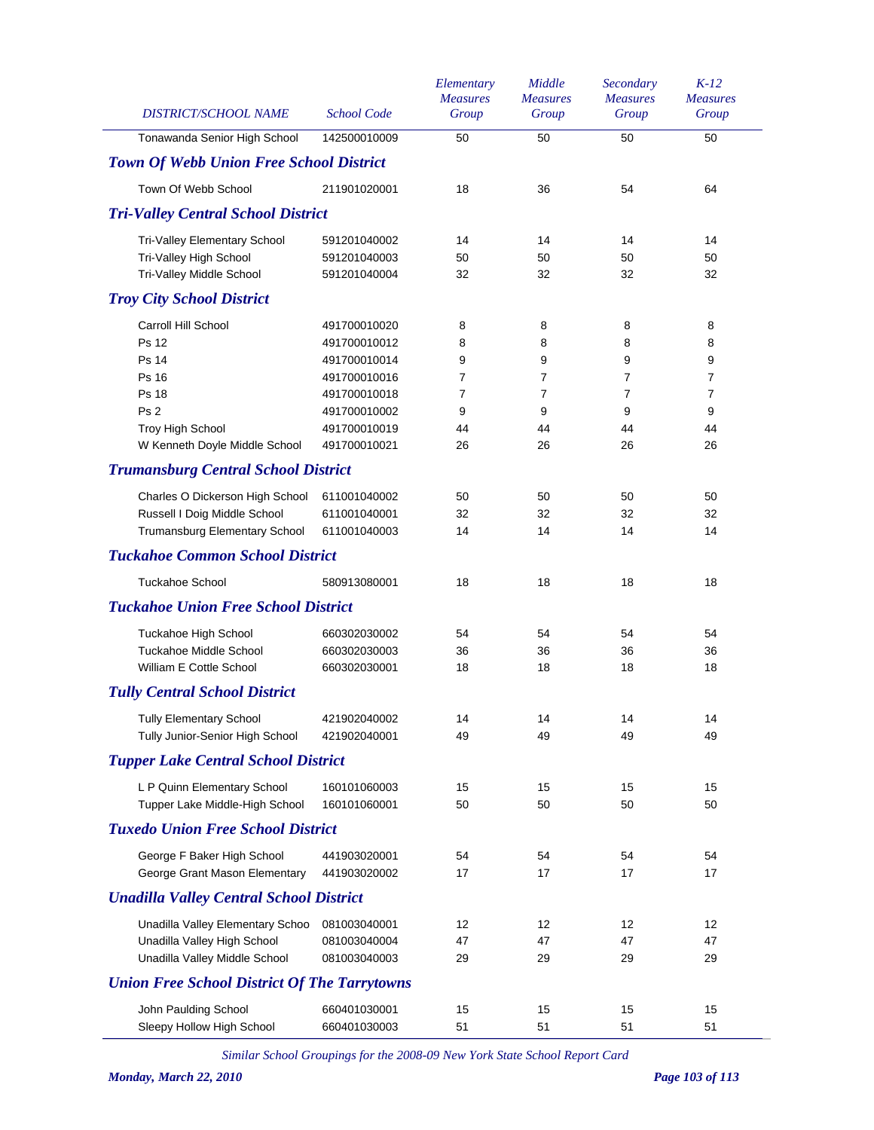|              | Tonawanda Senior High School<br><b>Town Of Webb Union Free School District</b><br>Town Of Webb School<br><b>Tri-Valley Central School District</b><br>Tri-Valley Elementary School<br>Tri-Valley High School<br>Tri-Valley Middle School<br><b>Troy City School District</b><br>Carroll Hill School | 142500010009<br>211901020001<br>591201040002<br>591201040003<br>591201040004<br>491700010020 | 50<br>18<br>14<br>50<br>32 | 50<br>36<br>14<br>50<br>32 | 50<br>54<br>14<br>50<br>32 | 50<br>64<br>14<br>50 |
|--------------|-----------------------------------------------------------------------------------------------------------------------------------------------------------------------------------------------------------------------------------------------------------------------------------------------------|----------------------------------------------------------------------------------------------|----------------------------|----------------------------|----------------------------|----------------------|
|              |                                                                                                                                                                                                                                                                                                     |                                                                                              |                            |                            |                            |                      |
|              |                                                                                                                                                                                                                                                                                                     |                                                                                              |                            |                            |                            |                      |
|              |                                                                                                                                                                                                                                                                                                     |                                                                                              |                            |                            |                            |                      |
|              |                                                                                                                                                                                                                                                                                                     |                                                                                              |                            |                            |                            |                      |
|              |                                                                                                                                                                                                                                                                                                     |                                                                                              |                            |                            |                            |                      |
|              |                                                                                                                                                                                                                                                                                                     |                                                                                              |                            |                            |                            |                      |
|              |                                                                                                                                                                                                                                                                                                     |                                                                                              |                            |                            |                            | 32                   |
|              |                                                                                                                                                                                                                                                                                                     |                                                                                              |                            |                            |                            |                      |
|              |                                                                                                                                                                                                                                                                                                     |                                                                                              | 8                          | 8                          | 8                          | 8                    |
| <b>Ps 12</b> |                                                                                                                                                                                                                                                                                                     | 491700010012                                                                                 | 8                          | 8                          | 8                          | 8                    |
| <b>Ps 14</b> |                                                                                                                                                                                                                                                                                                     | 491700010014                                                                                 | 9                          | 9                          | 9                          | 9                    |
| Ps 16        |                                                                                                                                                                                                                                                                                                     | 491700010016                                                                                 | 7                          | $\overline{7}$             | 7                          | $\overline{7}$       |
| <b>Ps 18</b> |                                                                                                                                                                                                                                                                                                     | 491700010018                                                                                 | 7                          | $\overline{7}$             | 7                          | 7                    |
| Ps 2         |                                                                                                                                                                                                                                                                                                     | 491700010002                                                                                 | 9                          | 9                          | 9                          | 9                    |
|              | Troy High School                                                                                                                                                                                                                                                                                    | 491700010019                                                                                 | 44                         | 44                         | 44                         | 44                   |
|              | W Kenneth Doyle Middle School                                                                                                                                                                                                                                                                       | 491700010021                                                                                 | 26                         | 26                         | 26                         | 26                   |
|              | <b>Trumansburg Central School District</b>                                                                                                                                                                                                                                                          |                                                                                              |                            |                            |                            |                      |
|              | Charles O Dickerson High School                                                                                                                                                                                                                                                                     | 611001040002                                                                                 | 50                         | 50                         | 50                         | 50                   |
|              | Russell I Doig Middle School                                                                                                                                                                                                                                                                        | 611001040001                                                                                 | 32                         | 32                         | 32                         | 32                   |
|              | Trumansburg Elementary School                                                                                                                                                                                                                                                                       | 611001040003                                                                                 | 14                         | 14                         | 14                         | 14                   |
|              | <b>Tuckahoe Common School District</b>                                                                                                                                                                                                                                                              |                                                                                              |                            |                            |                            |                      |
|              | <b>Tuckahoe School</b>                                                                                                                                                                                                                                                                              | 580913080001                                                                                 | 18                         | 18                         | 18                         | 18                   |
|              | <b>Tuckahoe Union Free School District</b>                                                                                                                                                                                                                                                          |                                                                                              |                            |                            |                            |                      |
|              | Tuckahoe High School                                                                                                                                                                                                                                                                                | 660302030002                                                                                 | 54                         | 54                         | 54                         | 54                   |
|              | <b>Tuckahoe Middle School</b>                                                                                                                                                                                                                                                                       | 660302030003                                                                                 | 36                         | 36                         | 36                         | 36                   |
|              | William E Cottle School                                                                                                                                                                                                                                                                             | 660302030001                                                                                 | 18                         | 18                         | 18                         | 18                   |
|              | <b>Tully Central School District</b>                                                                                                                                                                                                                                                                |                                                                                              |                            |                            |                            |                      |
|              | <b>Tully Elementary School</b>                                                                                                                                                                                                                                                                      | 421902040002                                                                                 | 14                         | 14                         | 14                         | 14                   |
|              | Tully Junior-Senior High School                                                                                                                                                                                                                                                                     | 421902040001                                                                                 | 49                         | 49                         | 49                         | 49                   |
|              | <b>Tupper Lake Central School District</b>                                                                                                                                                                                                                                                          |                                                                                              |                            |                            |                            |                      |
|              | L P Quinn Elementary School                                                                                                                                                                                                                                                                         | 160101060003                                                                                 | 15                         | 15                         | 15                         | 15                   |
|              | Tupper Lake Middle-High School                                                                                                                                                                                                                                                                      | 160101060001                                                                                 | 50                         | 50                         | 50                         | 50                   |
|              | <b>Tuxedo Union Free School District</b>                                                                                                                                                                                                                                                            |                                                                                              |                            |                            |                            |                      |
|              | George F Baker High School                                                                                                                                                                                                                                                                          | 441903020001                                                                                 | 54                         | 54                         | 54                         | 54                   |
|              | George Grant Mason Elementary                                                                                                                                                                                                                                                                       | 441903020002                                                                                 | 17                         | 17                         | 17                         | 17                   |
|              | <b>Unadilla Valley Central School District</b>                                                                                                                                                                                                                                                      |                                                                                              |                            |                            |                            |                      |
|              | Unadilla Valley Elementary Schoo                                                                                                                                                                                                                                                                    | 081003040001                                                                                 | 12                         | 12                         | 12                         | 12                   |
|              | Unadilla Valley High School                                                                                                                                                                                                                                                                         | 081003040004                                                                                 | 47                         | 47                         | 47                         | 47                   |
|              | Unadilla Valley Middle School                                                                                                                                                                                                                                                                       | 081003040003                                                                                 | 29                         | 29                         | 29                         | 29                   |
|              | <b>Union Free School District Of The Tarrytowns</b>                                                                                                                                                                                                                                                 |                                                                                              |                            |                            |                            |                      |
|              | John Paulding School                                                                                                                                                                                                                                                                                | 660401030001                                                                                 | 15                         | 15                         | 15                         | 15                   |
|              | Sleepy Hollow High School                                                                                                                                                                                                                                                                           | 660401030003                                                                                 | 51                         | 51                         | 51                         | 51                   |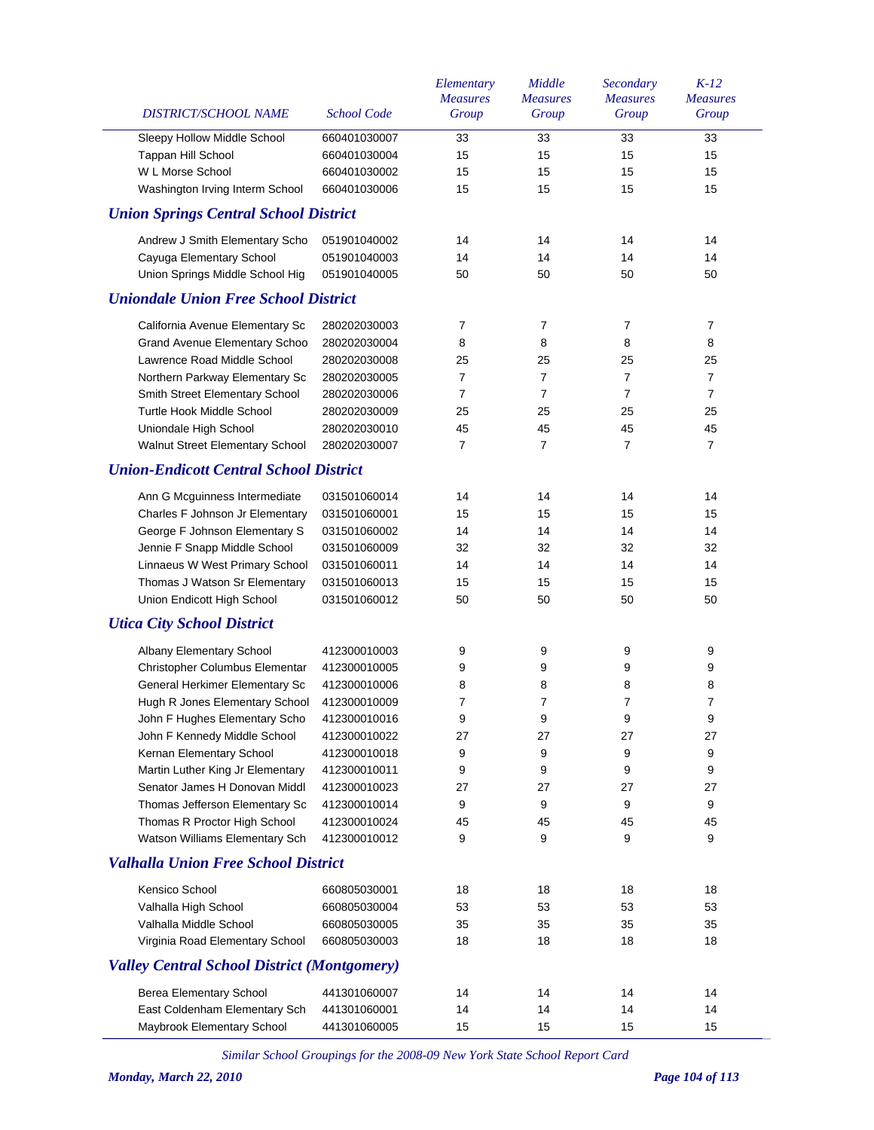| <b>DISTRICT/SCHOOL NAME</b>                        | <b>School Code</b> | Elementary<br><b>Measures</b><br>Group | Middle<br><b>Measures</b><br>Group | Secondary<br><b>Measures</b><br>Group | $K-12$<br><b>Measures</b><br>Group |
|----------------------------------------------------|--------------------|----------------------------------------|------------------------------------|---------------------------------------|------------------------------------|
| Sleepy Hollow Middle School                        | 660401030007       | 33                                     | 33                                 | 33                                    | 33                                 |
| Tappan Hill School                                 | 660401030004       | 15                                     | 15                                 | 15                                    | 15                                 |
| W L Morse School                                   | 660401030002       | 15                                     | 15                                 | 15                                    | 15                                 |
| Washington Irving Interm School                    | 660401030006       | 15                                     | 15                                 | 15                                    | 15                                 |
| <b>Union Springs Central School District</b>       |                    |                                        |                                    |                                       |                                    |
| Andrew J Smith Elementary Scho                     | 051901040002       | 14                                     | 14                                 | 14                                    | 14                                 |
| Cayuga Elementary School                           | 051901040003       | 14                                     | 14                                 | 14                                    | 14                                 |
| Union Springs Middle School Hig                    | 051901040005       | 50                                     | 50                                 | 50                                    | 50                                 |
| <b>Uniondale Union Free School District</b>        |                    |                                        |                                    |                                       |                                    |
| California Avenue Elementary Sc                    | 280202030003       | 7                                      | 7                                  | 7                                     | $\boldsymbol{7}$                   |
| <b>Grand Avenue Elementary Schoo</b>               | 280202030004       | 8                                      | 8                                  | 8                                     | 8                                  |
| Lawrence Road Middle School                        | 280202030008       | 25                                     | 25                                 | 25                                    | 25                                 |
| Northern Parkway Elementary Sc                     | 280202030005       | $\overline{7}$                         | $\overline{7}$                     | $\overline{7}$                        | $\overline{7}$                     |
| Smith Street Elementary School                     | 280202030006       | 7                                      | $\overline{7}$                     | $\overline{7}$                        | $\overline{7}$                     |
| Turtle Hook Middle School                          | 280202030009       | 25                                     | 25                                 | 25                                    | 25                                 |
| Uniondale High School                              | 280202030010       | 45                                     | 45                                 | 45                                    | 45                                 |
| Walnut Street Elementary School                    | 280202030007       | 7                                      | 7                                  | $\overline{7}$                        | $\overline{7}$                     |
| <b>Union-Endicott Central School District</b>      |                    |                                        |                                    |                                       |                                    |
| Ann G Mcguinness Intermediate                      | 031501060014       | 14                                     | 14                                 | 14                                    | 14                                 |
| Charles F Johnson Jr Elementary                    | 031501060001       | 15                                     | 15                                 | 15                                    | 15                                 |
| George F Johnson Elementary S                      | 031501060002       | 14                                     | 14                                 | 14                                    | 14                                 |
| Jennie F Snapp Middle School                       | 031501060009       | 32                                     | 32                                 | 32                                    | 32                                 |
| Linnaeus W West Primary School                     | 031501060011       | 14                                     | 14                                 | 14                                    | 14                                 |
| Thomas J Watson Sr Elementary                      | 031501060013       | 15                                     | 15                                 | 15                                    | 15                                 |
| Union Endicott High School                         | 031501060012       | 50                                     | 50                                 | 50                                    | 50                                 |
| <b>Utica City School District</b>                  |                    |                                        |                                    |                                       |                                    |
| Albany Elementary School                           | 412300010003       | 9                                      | 9                                  | 9                                     | 9                                  |
| Christopher Columbus Elementar                     | 412300010005       | 9                                      | 9                                  | 9                                     | 9                                  |
| General Herkimer Elementary Sc                     | 412300010006       | 8                                      | 8                                  | 8                                     | 8                                  |
| Hugh R Jones Elementary School                     | 412300010009       | 7                                      | 7                                  | 7                                     | 7                                  |
| John F Hughes Elementary Scho                      | 412300010016       | 9                                      | 9                                  | 9                                     | 9                                  |
| John F Kennedy Middle School                       | 412300010022       | 27                                     | 27                                 | 27                                    | 27                                 |
| Kernan Elementary School                           | 412300010018       | 9                                      | 9                                  | 9                                     | 9                                  |
| Martin Luther King Jr Elementary                   | 412300010011       | 9                                      | 9                                  | 9                                     | 9                                  |
| Senator James H Donovan Middl                      | 412300010023       | 27                                     | 27                                 | 27                                    | 27                                 |
| Thomas Jefferson Elementary Sc                     | 412300010014       | 9                                      | 9                                  | 9                                     | 9                                  |
| Thomas R Proctor High School                       | 412300010024       | 45                                     | 45                                 | 45                                    | 45                                 |
| Watson Williams Elementary Sch                     | 412300010012       | 9                                      | 9                                  | 9                                     | 9                                  |
| <b>Valhalla Union Free School District</b>         |                    |                                        |                                    |                                       |                                    |
| Kensico School                                     | 660805030001       | 18                                     | 18                                 | 18                                    | 18                                 |
| Valhalla High School                               | 660805030004       | 53                                     | 53                                 | 53                                    | 53                                 |
| Valhalla Middle School                             | 660805030005       | 35                                     | 35                                 | 35                                    | 35                                 |
| Virginia Road Elementary School                    | 660805030003       | 18                                     | 18                                 | 18                                    | 18                                 |
| <b>Valley Central School District (Montgomery)</b> |                    |                                        |                                    |                                       |                                    |
| <b>Berea Elementary School</b>                     | 441301060007       | 14                                     | 14                                 | 14                                    | 14                                 |
| East Coldenham Elementary Sch                      | 441301060001       | 14                                     | 14                                 | 14                                    | 14                                 |
| Maybrook Elementary School                         | 441301060005       | 15                                     | 15                                 | 15                                    | 15                                 |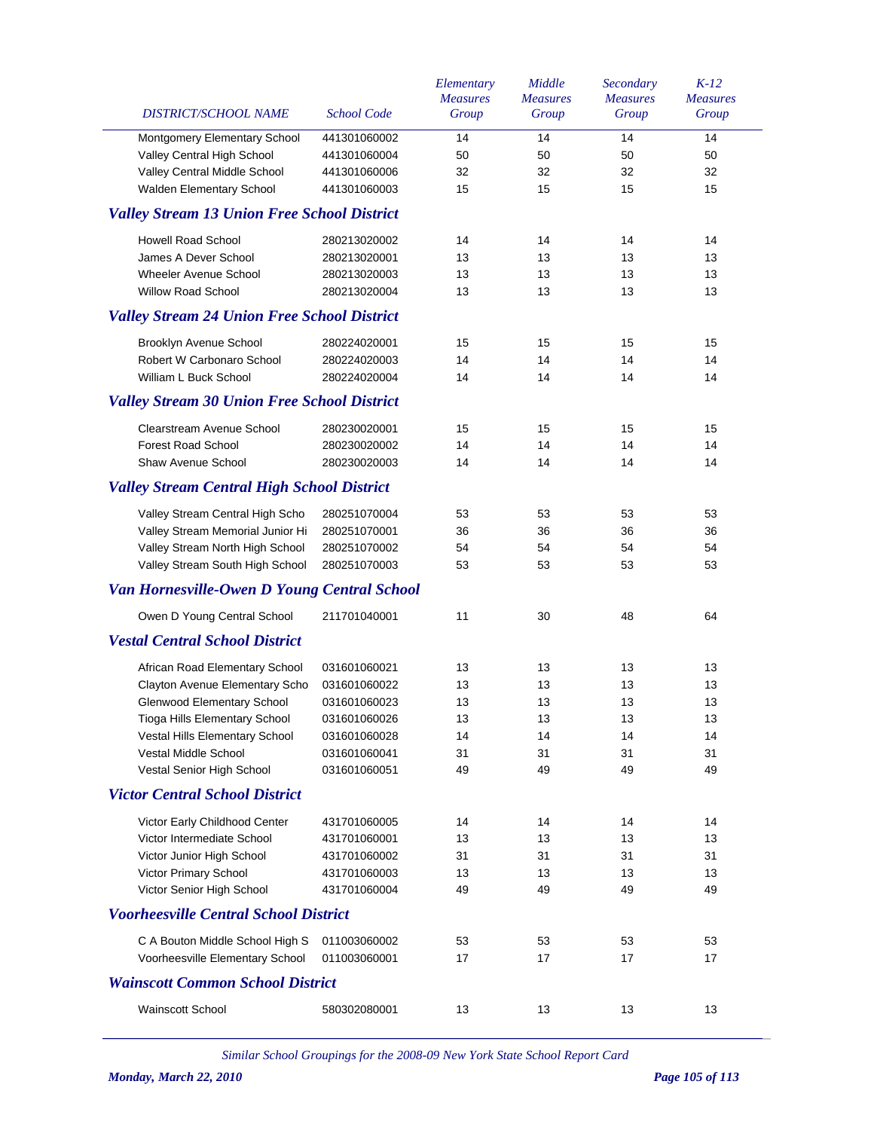| DISTRICT/SCHOOL NAME                               | <b>School Code</b> | Elementary<br><b>Measures</b><br>Group | Middle<br><b>Measures</b><br>Group | Secondary<br><b>Measures</b><br>Group | $K-12$<br><b>Measures</b><br>Group |
|----------------------------------------------------|--------------------|----------------------------------------|------------------------------------|---------------------------------------|------------------------------------|
|                                                    |                    |                                        |                                    |                                       |                                    |
| Montgomery Elementary School                       | 441301060002       | 14                                     | 14                                 | 14                                    | 14                                 |
| Valley Central High School                         | 441301060004       | 50<br>32                               | 50<br>32                           | 50<br>32                              | 50<br>32                           |
| Valley Central Middle School                       | 441301060006       |                                        |                                    |                                       |                                    |
| Walden Elementary School                           | 441301060003       | 15                                     | 15                                 | 15                                    | 15                                 |
| <b>Valley Stream 13 Union Free School District</b> |                    |                                        |                                    |                                       |                                    |
| <b>Howell Road School</b>                          | 280213020002       | 14                                     | 14                                 | 14                                    | 14                                 |
| James A Dever School                               | 280213020001       | 13                                     | 13                                 | 13                                    | 13                                 |
| <b>Wheeler Avenue School</b>                       | 280213020003       | 13                                     | 13                                 | 13                                    | 13                                 |
| <b>Willow Road School</b>                          | 280213020004       | 13                                     | 13                                 | 13                                    | 13                                 |
| <b>Valley Stream 24 Union Free School District</b> |                    |                                        |                                    |                                       |                                    |
| Brooklyn Avenue School                             | 280224020001       | 15                                     | 15                                 | 15                                    | 15                                 |
| Robert W Carbonaro School                          | 280224020003       | 14                                     | 14                                 | 14                                    | 14                                 |
| William L Buck School                              | 280224020004       | 14                                     | 14                                 | 14                                    | 14                                 |
| <b>Valley Stream 30 Union Free School District</b> |                    |                                        |                                    |                                       |                                    |
| Clearstream Avenue School                          | 280230020001       | 15                                     | 15                                 | 15                                    | 15                                 |
| <b>Forest Road School</b>                          | 280230020002       | 14                                     | 14                                 | 14                                    | 14                                 |
| <b>Shaw Avenue School</b>                          | 280230020003       | 14                                     | 14                                 | 14                                    | 14                                 |
| <b>Valley Stream Central High School District</b>  |                    |                                        |                                    |                                       |                                    |
| Valley Stream Central High Scho                    | 280251070004       | 53                                     | 53                                 | 53                                    | 53                                 |
| Valley Stream Memorial Junior Hi                   | 280251070001       | 36                                     | 36                                 | 36                                    | 36                                 |
| Valley Stream North High School                    | 280251070002       | 54                                     | 54                                 | 54                                    | 54                                 |
| Valley Stream South High School                    | 280251070003       | 53                                     | 53                                 | 53                                    | 53                                 |
| <b>Van Hornesville-Owen D Young Central School</b> |                    |                                        |                                    |                                       |                                    |
| Owen D Young Central School                        | 211701040001       | 11                                     | 30                                 | 48                                    | 64                                 |
| <b>Vestal Central School District</b>              |                    |                                        |                                    |                                       |                                    |
| African Road Elementary School                     | 031601060021       | 13                                     | 13                                 | 13                                    | 13                                 |
| Clayton Avenue Elementary Scho                     | 031601060022       | 13                                     | 13                                 | 13                                    | 13                                 |
| <b>Glenwood Elementary School</b>                  | 031601060023       | 13                                     | 13                                 | 13                                    | 13                                 |
| Tioga Hills Elementary School                      | 031601060026       | 13                                     | 13                                 | 13                                    | 13                                 |
| Vestal Hills Elementary School                     | 031601060028       | 14                                     | 14                                 | 14                                    | 14                                 |
| Vestal Middle School                               | 031601060041       | 31                                     | 31                                 | 31                                    | 31                                 |
| Vestal Senior High School                          | 031601060051       | 49                                     | 49                                 | 49                                    | 49                                 |
| <b>Victor Central School District</b>              |                    |                                        |                                    |                                       |                                    |
| Victor Early Childhood Center                      | 431701060005       | 14                                     | 14                                 | 14                                    | 14                                 |
| Victor Intermediate School                         | 431701060001       | 13                                     | 13                                 | 13                                    | 13                                 |
| Victor Junior High School                          | 431701060002       | 31                                     | 31                                 | 31                                    | 31                                 |
| Victor Primary School                              | 431701060003       | 13                                     | 13                                 | 13                                    | 13                                 |
| Victor Senior High School                          | 431701060004       | 49                                     | 49                                 | 49                                    | 49                                 |
| <b>Voorheesville Central School District</b>       |                    |                                        |                                    |                                       |                                    |
| C A Bouton Middle School High S                    | 011003060002       | 53                                     | 53                                 | 53                                    | 53                                 |
| Voorheesville Elementary School                    | 011003060001       | 17                                     | 17                                 | 17                                    | 17                                 |
| <b>Wainscott Common School District</b>            |                    |                                        |                                    |                                       |                                    |
| <b>Wainscott School</b>                            | 580302080001       | 13                                     | 13                                 | 13                                    | 13                                 |
|                                                    |                    |                                        |                                    |                                       |                                    |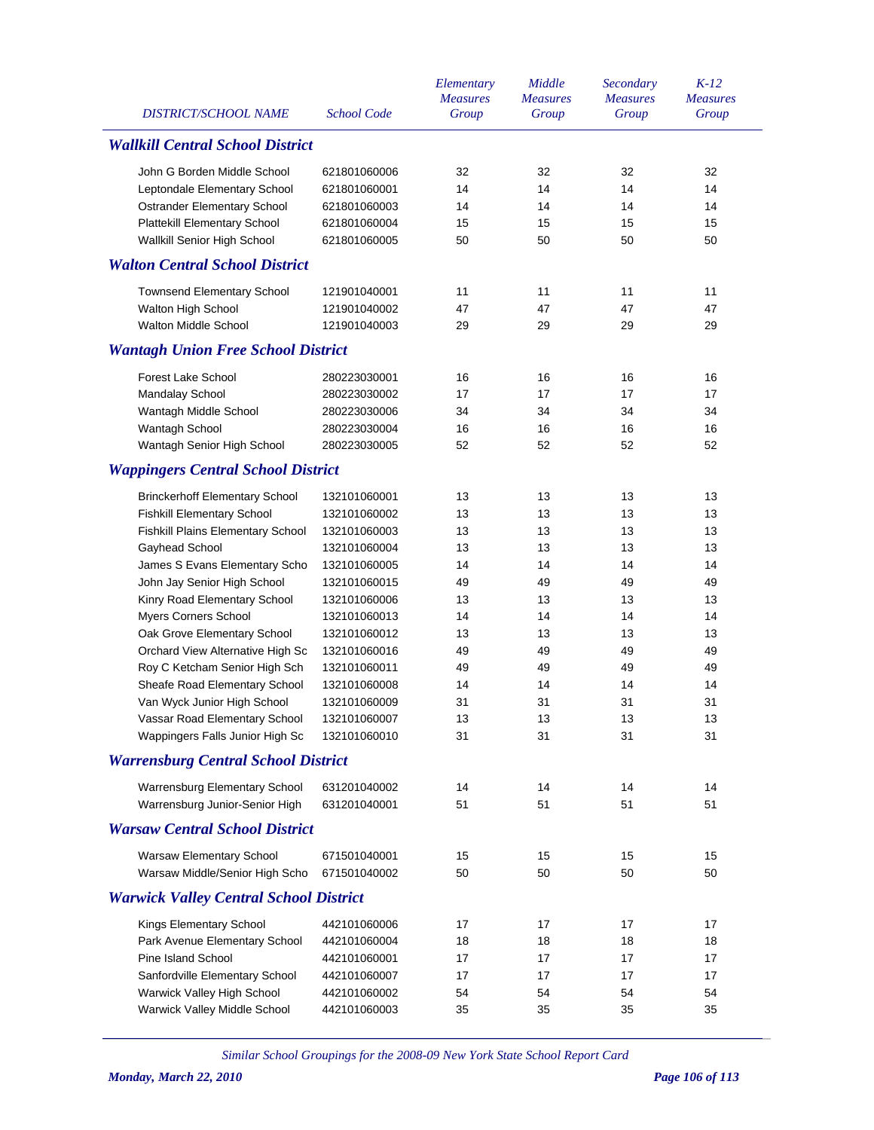|                                               |                    | Elementary<br><b>Measures</b> | Middle<br><b>Measures</b> | Secondary<br><b>Measures</b> | $K-12$<br><b>Measures</b> |
|-----------------------------------------------|--------------------|-------------------------------|---------------------------|------------------------------|---------------------------|
| DISTRICT/SCHOOL NAME                          | <b>School Code</b> | Group                         | Group                     | Group                        | Group                     |
| <b>Wallkill Central School District</b>       |                    |                               |                           |                              |                           |
| John G Borden Middle School                   | 621801060006       | 32                            | 32                        | 32                           | 32                        |
| Leptondale Elementary School                  | 621801060001       | 14                            | 14                        | 14                           | 14                        |
| Ostrander Elementary School                   | 621801060003       | 14                            | 14                        | 14                           | 14                        |
| <b>Plattekill Elementary School</b>           | 621801060004       | 15                            | 15                        | 15                           | 15                        |
| Wallkill Senior High School                   | 621801060005       | 50                            | 50                        | 50                           | 50                        |
| <b>Walton Central School District</b>         |                    |                               |                           |                              |                           |
| <b>Townsend Elementary School</b>             | 121901040001       | 11                            | 11                        | 11                           | 11                        |
| Walton High School                            | 121901040002       | 47                            | 47                        | 47                           | 47                        |
| <b>Walton Middle School</b>                   | 121901040003       | 29                            | 29                        | 29                           | 29                        |
| <b>Wantagh Union Free School District</b>     |                    |                               |                           |                              |                           |
| <b>Forest Lake School</b>                     | 280223030001       | 16                            | 16                        | 16                           | 16                        |
| Mandalay School                               | 280223030002       | 17                            | 17                        | 17                           | 17                        |
| Wantagh Middle School                         | 280223030006       | 34                            | 34                        | 34                           | 34                        |
| Wantagh School                                | 280223030004       | 16                            | 16                        | 16                           | 16                        |
| Wantagh Senior High School                    | 280223030005       | 52                            | 52                        | 52                           | 52                        |
| <b>Wappingers Central School District</b>     |                    |                               |                           |                              |                           |
| <b>Brinckerhoff Elementary School</b>         | 132101060001       | 13                            | 13                        | 13                           | 13                        |
| <b>Fishkill Elementary School</b>             | 132101060002       | 13                            | 13                        | 13                           | 13                        |
| Fishkill Plains Elementary School             | 132101060003       | 13                            | 13                        | 13                           | 13                        |
| Gayhead School                                | 132101060004       | 13                            | 13                        | 13                           | 13                        |
| James S Evans Elementary Scho                 | 132101060005       | 14                            | 14                        | 14                           | 14                        |
| John Jay Senior High School                   | 132101060015       | 49                            | 49                        | 49                           | 49                        |
| Kinry Road Elementary School                  | 132101060006       | 13                            | 13                        | 13                           | 13                        |
| Myers Corners School                          | 132101060013       | 14                            | 14                        | 14                           | 14                        |
| Oak Grove Elementary School                   | 132101060012       | 13                            | 13                        | 13                           | 13                        |
| Orchard View Alternative High Sc              | 132101060016       | 49                            | 49                        | 49                           | 49                        |
| Roy C Ketcham Senior High Sch                 | 132101060011       | 49                            | 49                        | 49                           | 49                        |
| Sheafe Road Elementary School                 | 132101060008       | 14                            | 14                        | 14                           | 14                        |
| Van Wyck Junior High School                   | 132101060009       | 31                            | 31                        | 31                           | 31                        |
| Vassar Road Elementary School                 | 132101060007       | 13                            | 13                        | 13                           | 13                        |
| Wappingers Falls Junior High Sc               | 132101060010       | 31                            | 31                        | 31                           | 31                        |
| <b>Warrensburg Central School District</b>    |                    |                               |                           |                              |                           |
| Warrensburg Elementary School                 | 631201040002       | 14                            | 14                        | 14                           | 14                        |
| Warrensburg Junior-Senior High                | 631201040001       | 51                            | 51                        | 51                           | 51                        |
| <b>Warsaw Central School District</b>         |                    |                               |                           |                              |                           |
| Warsaw Elementary School                      | 671501040001       | 15                            | 15                        | 15                           | 15                        |
| Warsaw Middle/Senior High Scho                | 671501040002       | 50                            | 50                        | 50                           | 50                        |
| <b>Warwick Valley Central School District</b> |                    |                               |                           |                              |                           |
| Kings Elementary School                       | 442101060006       | 17                            | 17                        | 17                           | 17                        |
| Park Avenue Elementary School                 | 442101060004       | 18                            | 18                        | 18                           | 18                        |
| Pine Island School                            | 442101060001       | 17                            | 17                        | 17                           | 17                        |
| Sanfordville Elementary School                | 442101060007       | 17                            | 17                        | 17                           | 17                        |
| Warwick Valley High School                    | 442101060002       | 54                            | 54                        | 54                           | 54                        |
| Warwick Valley Middle School                  | 442101060003       | 35                            | 35                        | 35                           | 35                        |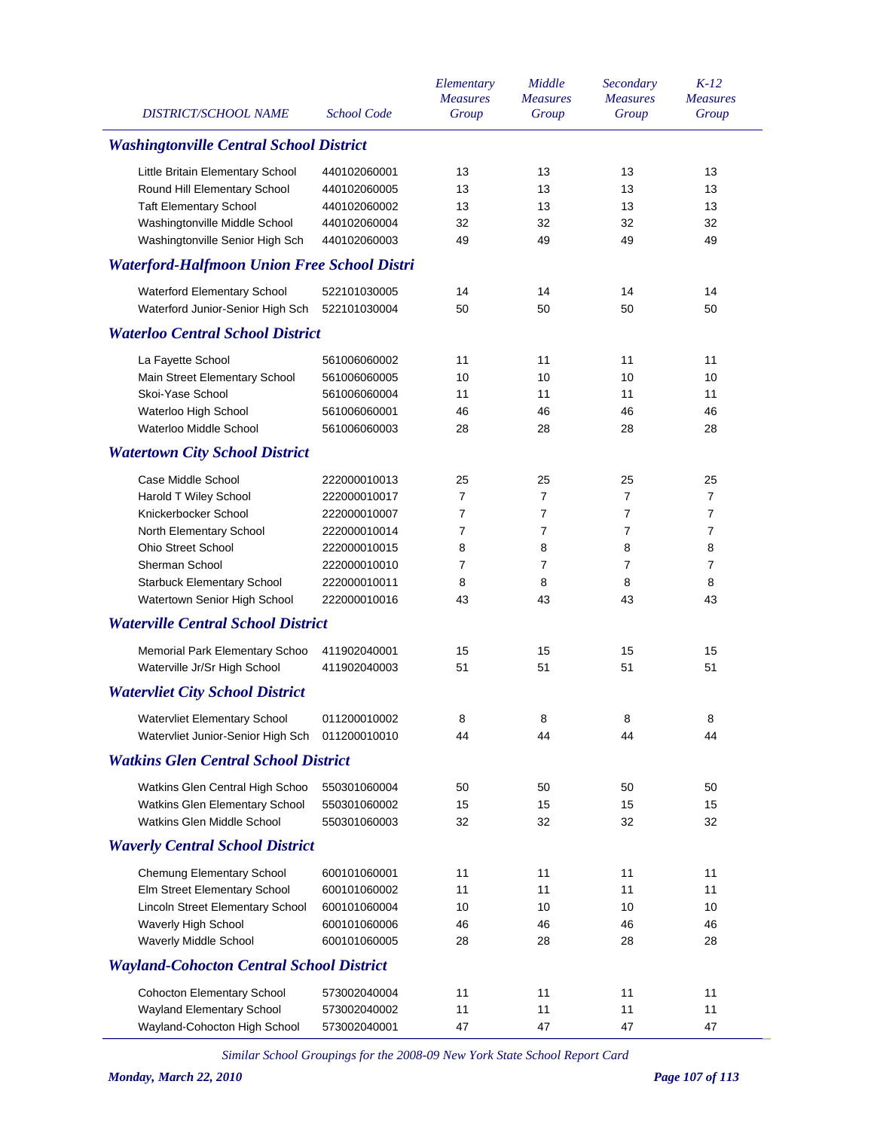| <b>DISTRICT/SCHOOL NAME</b>                        | <b>School Code</b> | Elementary<br><b>Measures</b><br>Group | Middle<br><b>Measures</b><br>Group | Secondary<br><b>Measures</b><br>Group | $K-12$<br><b>Measures</b><br>Group |
|----------------------------------------------------|--------------------|----------------------------------------|------------------------------------|---------------------------------------|------------------------------------|
| <b>Washingtonville Central School District</b>     |                    |                                        |                                    |                                       |                                    |
| Little Britain Elementary School                   | 440102060001       | 13                                     | 13                                 | 13                                    | 13                                 |
| Round Hill Elementary School                       | 440102060005       | 13                                     | 13                                 | 13                                    | 13                                 |
| <b>Taft Elementary School</b>                      | 440102060002       | 13                                     | 13                                 | 13                                    | 13                                 |
| Washingtonville Middle School                      | 440102060004       | 32                                     | 32                                 | 32                                    | 32                                 |
| Washingtonville Senior High Sch                    | 440102060003       | 49                                     | 49                                 | 49                                    | 49                                 |
| <b>Waterford-Halfmoon Union Free School Distri</b> |                    |                                        |                                    |                                       |                                    |
| Waterford Elementary School                        | 522101030005       | 14                                     | 14                                 | 14                                    | 14                                 |
| Waterford Junior-Senior High Sch                   | 522101030004       | 50                                     | 50                                 | 50                                    | 50                                 |
| <b>Waterloo Central School District</b>            |                    |                                        |                                    |                                       |                                    |
| La Fayette School                                  | 561006060002       | 11                                     | 11                                 | 11                                    | 11                                 |
| Main Street Elementary School                      | 561006060005       | 10                                     | 10                                 | 10                                    | 10                                 |
| Skoi-Yase School                                   | 561006060004       | 11                                     | 11                                 | 11                                    | 11                                 |
| Waterloo High School                               | 561006060001       | 46                                     | 46                                 | 46                                    | 46                                 |
| Waterloo Middle School                             | 561006060003       | 28                                     | 28                                 | 28                                    | 28                                 |
| <b>Watertown City School District</b>              |                    |                                        |                                    |                                       |                                    |
| Case Middle School                                 | 222000010013       | 25                                     | 25                                 | 25                                    | 25                                 |
| <b>Harold T Wiley School</b>                       | 222000010017       | 7                                      | 7                                  | $\overline{7}$                        | $\overline{7}$                     |
| Knickerbocker School                               | 222000010007       | 7                                      | 7                                  | $\overline{7}$                        | 7                                  |
| North Elementary School                            | 222000010014       | 7                                      | 7                                  | $\overline{7}$                        | 7                                  |
| <b>Ohio Street School</b>                          | 222000010015       | 8                                      | 8                                  | 8                                     | 8                                  |
| Sherman School                                     | 222000010010       | 7                                      | 7                                  | $\overline{7}$                        | 7                                  |
| <b>Starbuck Elementary School</b>                  | 222000010011       | 8                                      | 8                                  | 8                                     | 8                                  |
| Watertown Senior High School                       | 222000010016       | 43                                     | 43                                 | 43                                    | 43                                 |
| <b>Waterville Central School District</b>          |                    |                                        |                                    |                                       |                                    |
| Memorial Park Elementary Schoo                     | 411902040001       | 15                                     | 15                                 | 15                                    | 15                                 |
| Waterville Jr/Sr High School                       | 411902040003       | 51                                     | 51                                 | 51                                    | 51                                 |
| <b>Watervliet City School District</b>             |                    |                                        |                                    |                                       |                                    |
| <b>Watervliet Elementary School</b>                | 011200010002       | 8                                      | 8                                  | 8                                     | 8                                  |
| Watervliet Junior-Senior High Sch                  | 011200010010       | 44                                     | 44                                 | 44                                    | 44                                 |
| <b>Watkins Glen Central School District</b>        |                    |                                        |                                    |                                       |                                    |
| Watkins Glen Central High Schoo                    | 550301060004       | 50                                     | 50                                 | 50                                    | 50                                 |
| Watkins Glen Elementary School                     | 550301060002       | 15                                     | 15                                 | 15                                    | 15                                 |
| Watkins Glen Middle School                         | 550301060003       | 32                                     | 32                                 | 32                                    | 32                                 |
| <b>Waverly Central School District</b>             |                    |                                        |                                    |                                       |                                    |
| Chemung Elementary School                          | 600101060001       | 11                                     | 11                                 | 11                                    | 11                                 |
| Elm Street Elementary School                       | 600101060002       | 11                                     | 11                                 | 11                                    | 11                                 |
| Lincoln Street Elementary School                   | 600101060004       | 10                                     | 10                                 | 10                                    | 10                                 |
| Waverly High School                                | 600101060006       | 46                                     | 46                                 | 46                                    | 46                                 |
| Waverly Middle School                              | 600101060005       | 28                                     | 28                                 | 28                                    | 28                                 |
| <b>Wayland-Cohocton Central School District</b>    |                    |                                        |                                    |                                       |                                    |
| <b>Cohocton Elementary School</b>                  | 573002040004       | 11                                     | 11                                 | 11                                    | 11                                 |
| Wayland Elementary School                          | 573002040002       | 11                                     | 11                                 | 11                                    | 11                                 |
| Wayland-Cohocton High School                       | 573002040001       | 47                                     | 47                                 | 47                                    | 47                                 |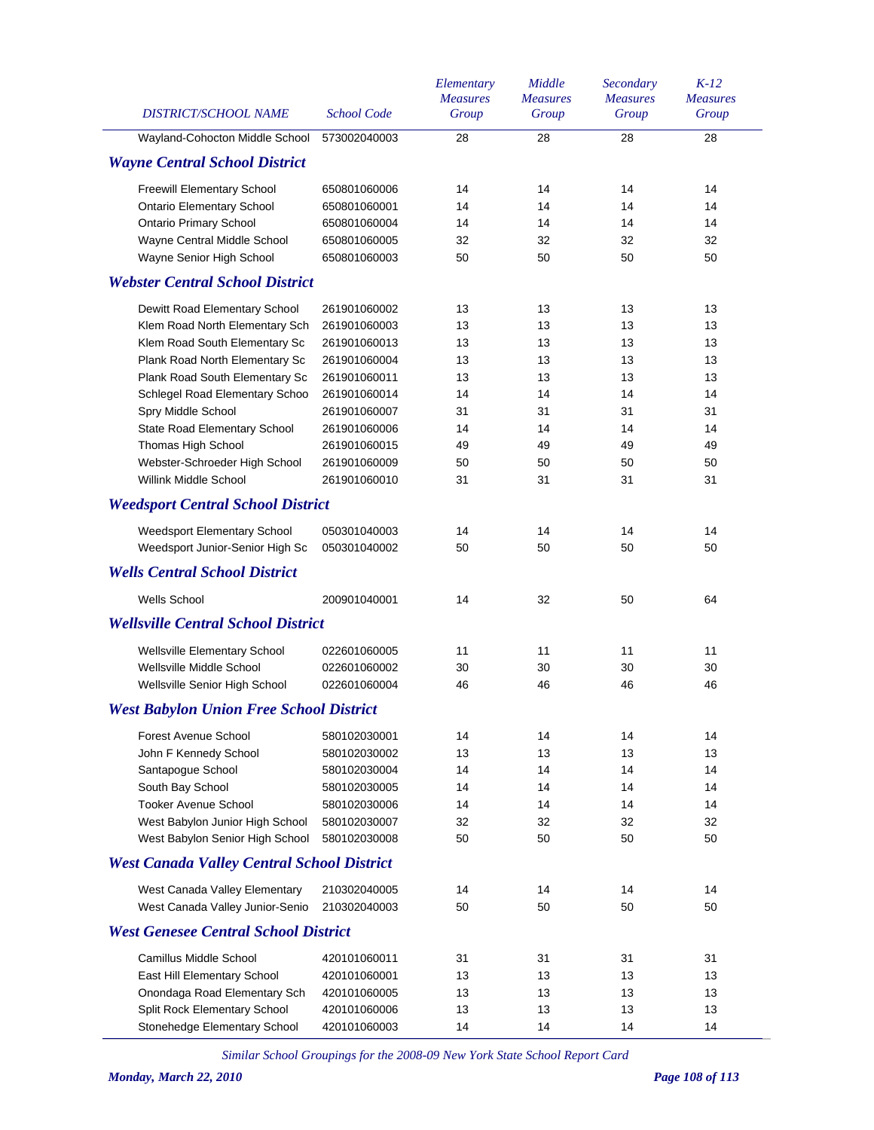| DISTRICT/SCHOOL NAME                              | <b>School Code</b> | Elementary<br><b>Measures</b><br>Group | Middle<br><b>Measures</b><br>Group | Secondary<br><b>Measures</b><br>Group | $K-12$<br><b>Measures</b><br>Group |
|---------------------------------------------------|--------------------|----------------------------------------|------------------------------------|---------------------------------------|------------------------------------|
| Wayland-Cohocton Middle School                    | 573002040003       | 28                                     | 28                                 | 28                                    | 28                                 |
| <b>Wayne Central School District</b>              |                    |                                        |                                    |                                       |                                    |
| Freewill Elementary School                        | 650801060006       | 14                                     | 14                                 | 14                                    | 14                                 |
| <b>Ontario Elementary School</b>                  | 650801060001       | 14                                     | 14                                 | 14                                    | 14                                 |
| <b>Ontario Primary School</b>                     | 650801060004       | 14                                     | 14                                 | 14                                    | 14                                 |
| Wayne Central Middle School                       | 650801060005       | 32                                     | 32                                 | 32                                    | 32                                 |
| Wayne Senior High School                          | 650801060003       | 50                                     | 50                                 | 50                                    | 50                                 |
| <b>Webster Central School District</b>            |                    |                                        |                                    |                                       |                                    |
| Dewitt Road Elementary School                     | 261901060002       | 13                                     | 13                                 | 13                                    | 13                                 |
| Klem Road North Elementary Sch                    | 261901060003       | 13                                     | 13                                 | 13                                    | 13                                 |
| Klem Road South Elementary Sc                     | 261901060013       | 13                                     | 13                                 | 13                                    | 13                                 |
| Plank Road North Elementary Sc                    | 261901060004       | 13                                     | 13                                 | 13                                    | 13                                 |
| Plank Road South Elementary Sc                    | 261901060011       | 13                                     | 13                                 | 13                                    | 13                                 |
| Schlegel Road Elementary Schoo                    | 261901060014       | 14                                     | 14                                 | 14                                    | 14                                 |
| Spry Middle School                                | 261901060007       | 31                                     | 31                                 | 31                                    | 31                                 |
| State Road Elementary School                      | 261901060006       | 14                                     | 14                                 | 14                                    | 14                                 |
| Thomas High School                                | 261901060015       | 49                                     | 49                                 | 49                                    | 49                                 |
| Webster-Schroeder High School                     | 261901060009       | 50                                     | 50                                 | 50                                    | 50                                 |
| Willink Middle School                             | 261901060010       | 31                                     | 31                                 | 31                                    | 31                                 |
| <b>Weedsport Central School District</b>          |                    |                                        |                                    |                                       |                                    |
| Weedsport Elementary School                       | 050301040003       | 14                                     | 14                                 | 14                                    | 14                                 |
| Weedsport Junior-Senior High Sc                   | 050301040002       | 50                                     | 50                                 | 50                                    | 50                                 |
| <b>Wells Central School District</b>              |                    |                                        |                                    |                                       |                                    |
| <b>Wells School</b>                               | 200901040001       | 14                                     | 32                                 | 50                                    | 64                                 |
| <b>Wellsville Central School District</b>         |                    |                                        |                                    |                                       |                                    |
| <b>Wellsville Elementary School</b>               | 022601060005       | 11                                     | 11                                 | 11                                    | 11                                 |
| Wellsville Middle School                          | 022601060002       | 30                                     | 30                                 | 30                                    | 30                                 |
| Wellsville Senior High School                     | 022601060004       | 46                                     | 46                                 | 46                                    | 46                                 |
| <b>West Babylon Union Free School District</b>    |                    |                                        |                                    |                                       |                                    |
| Forest Avenue School                              | 580102030001       | 14                                     | 14                                 | 14                                    | 14                                 |
| John F Kennedy School                             | 580102030002       | 13                                     | 13                                 | 13                                    | 13                                 |
| Santapogue School                                 | 580102030004       | 14                                     | 14                                 | 14                                    | 14                                 |
| South Bay School                                  | 580102030005       | 14                                     | 14                                 | 14                                    | 14                                 |
| <b>Tooker Avenue School</b>                       | 580102030006       | 14                                     | 14                                 | 14                                    | 14                                 |
| West Babylon Junior High School                   | 580102030007       | 32                                     | 32                                 | 32                                    | 32                                 |
| West Babylon Senior High School                   | 580102030008       | 50                                     | 50                                 | 50                                    | 50                                 |
| <b>West Canada Valley Central School District</b> |                    |                                        |                                    |                                       |                                    |
| West Canada Valley Elementary                     | 210302040005       | 14                                     | 14                                 | 14                                    | 14                                 |
| West Canada Valley Junior-Senio                   | 210302040003       | 50                                     | 50                                 | 50                                    | 50                                 |
| <b>West Genesee Central School District</b>       |                    |                                        |                                    |                                       |                                    |
| Camillus Middle School                            | 420101060011       | 31                                     | 31                                 | 31                                    | 31                                 |
| East Hill Elementary School                       | 420101060001       | 13                                     | 13                                 | 13                                    | 13                                 |
| Onondaga Road Elementary Sch                      | 420101060005       | 13                                     | 13                                 | 13                                    | 13                                 |
| Split Rock Elementary School                      | 420101060006       | 13                                     | 13                                 | 13                                    | 13                                 |
| Stonehedge Elementary School                      | 420101060003       | 14                                     | 14                                 | 14                                    | 14                                 |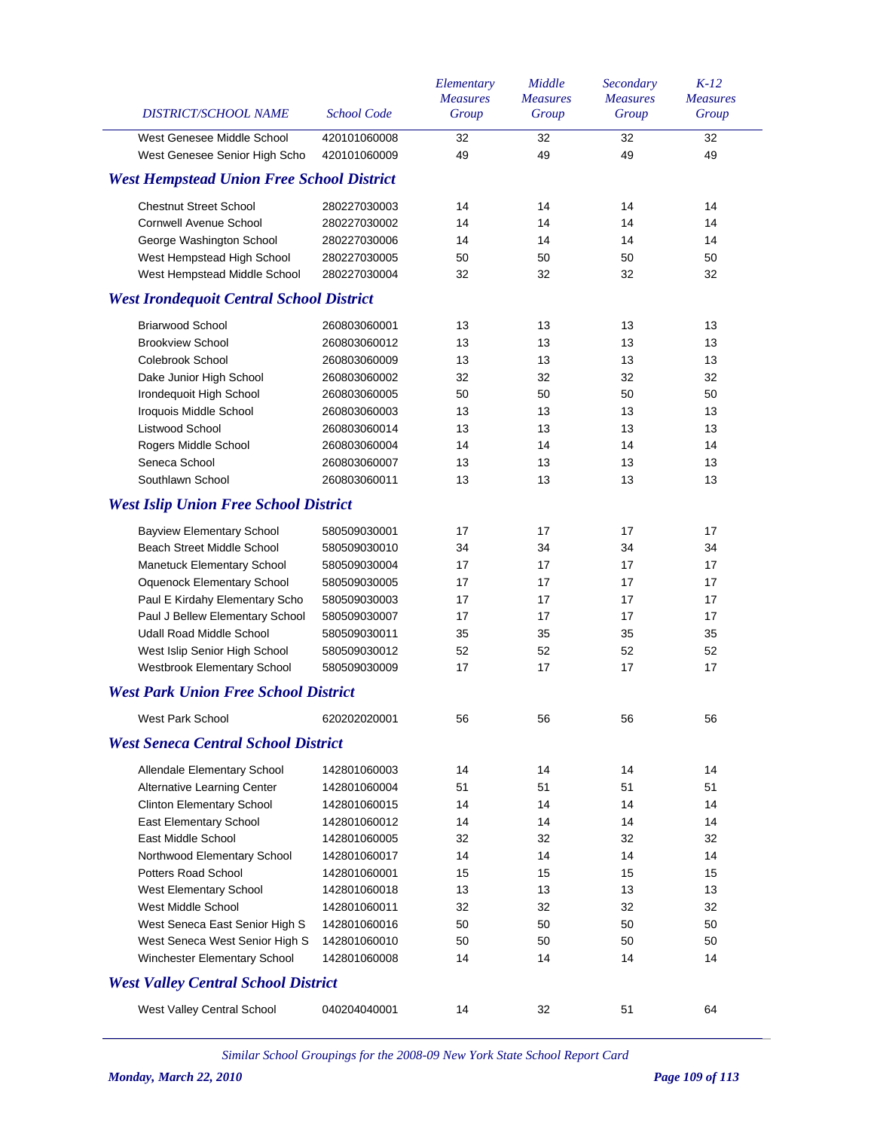| DISTRICT/SCHOOL NAME                             | <b>School Code</b> | Elementary<br><b>Measures</b><br>Group | Middle<br><b>Measures</b><br>Group | Secondary<br><b>Measures</b><br>Group | $K-12$<br><b>Measures</b><br>Group |
|--------------------------------------------------|--------------------|----------------------------------------|------------------------------------|---------------------------------------|------------------------------------|
| West Genesee Middle School                       | 420101060008       | 32                                     | 32                                 | 32                                    | 32                                 |
| West Genesee Senior High Scho                    | 420101060009       | 49                                     | 49                                 | 49                                    | 49                                 |
| <b>West Hempstead Union Free School District</b> |                    |                                        |                                    |                                       |                                    |
| <b>Chestnut Street School</b>                    | 280227030003       | 14                                     | 14                                 | 14                                    | 14                                 |
| Cornwell Avenue School                           | 280227030002       | 14                                     | 14                                 | 14                                    | 14                                 |
| George Washington School                         | 280227030006       | 14                                     | 14                                 | 14                                    | 14                                 |
| West Hempstead High School                       | 280227030005       | 50                                     | 50                                 | 50                                    | 50                                 |
| West Hempstead Middle School                     | 280227030004       | 32                                     | 32                                 | 32                                    | 32                                 |
| <b>West Irondequoit Central School District</b>  |                    |                                        |                                    |                                       |                                    |
| <b>Briarwood School</b>                          | 260803060001       | 13                                     | 13                                 | 13                                    | 13                                 |
| <b>Brookview School</b>                          | 260803060012       | 13                                     | 13                                 | 13                                    | 13                                 |
| Colebrook School                                 | 260803060009       | 13                                     | 13                                 | 13                                    | 13                                 |
| Dake Junior High School                          | 260803060002       | 32                                     | 32                                 | 32                                    | 32                                 |
| Irondequoit High School                          | 260803060005       | 50                                     | 50                                 | 50                                    | 50                                 |
| Iroquois Middle School                           | 260803060003       | 13                                     | 13                                 | 13                                    | 13                                 |
| Listwood School                                  | 260803060014       | 13                                     | 13                                 | 13                                    | 13                                 |
| Rogers Middle School                             | 260803060004       | 14                                     | 14                                 | 14                                    | 14                                 |
| Seneca School                                    | 260803060007       | 13                                     | 13                                 | 13                                    | 13                                 |
| Southlawn School                                 | 260803060011       | 13                                     | 13                                 | 13                                    | 13                                 |
| <b>West Islip Union Free School District</b>     |                    |                                        |                                    |                                       |                                    |
| <b>Bayview Elementary School</b>                 | 580509030001       | 17                                     | 17                                 | 17                                    | 17                                 |
| Beach Street Middle School                       | 580509030010       | 34                                     | 34                                 | 34                                    | 34                                 |
| Manetuck Elementary School                       | 580509030004       | 17                                     | 17                                 | 17                                    | 17                                 |
| Oquenock Elementary School                       | 580509030005       | 17                                     | 17                                 | 17                                    | 17                                 |
| Paul E Kirdahy Elementary Scho                   | 580509030003       | 17                                     | 17                                 | 17                                    | 17                                 |
| Paul J Bellew Elementary School                  | 580509030007       | 17                                     | 17                                 | 17                                    | 17                                 |
| <b>Udall Road Middle School</b>                  | 580509030011       | 35                                     | 35                                 | 35                                    | 35                                 |
| West Islip Senior High School                    | 580509030012       | 52                                     | 52                                 | 52                                    | 52                                 |
| Westbrook Elementary School                      | 580509030009       | 17                                     | 17                                 | 17                                    | 17                                 |
| <b>West Park Union Free School District</b>      |                    |                                        |                                    |                                       |                                    |
| West Park School                                 | 620202020001       | 56                                     | 56                                 | 56                                    | 56                                 |
| <b>West Seneca Central School District</b>       |                    |                                        |                                    |                                       |                                    |
| Allendale Elementary School                      | 142801060003       | 14                                     | 14                                 | 14                                    | 14                                 |
| Alternative Learning Center                      | 142801060004       | 51                                     | 51                                 | 51                                    | 51                                 |
| <b>Clinton Elementary School</b>                 | 142801060015       | 14                                     | 14                                 | 14                                    | 14                                 |
| East Elementary School                           | 142801060012       | 14                                     | 14                                 | 14                                    | 14                                 |
| East Middle School                               | 142801060005       | 32                                     | 32                                 | 32                                    | 32                                 |
| Northwood Elementary School                      | 142801060017       | 14                                     | 14                                 | 14                                    | 14                                 |
| Potters Road School                              | 142801060001       | 15                                     | 15                                 | 15                                    | 15                                 |
| West Elementary School                           | 142801060018       | 13                                     | 13                                 | 13                                    | 13                                 |
| West Middle School                               | 142801060011       | 32                                     | 32                                 | 32                                    | 32                                 |
| West Seneca East Senior High S                   | 142801060016       | 50                                     | 50                                 | 50                                    | 50                                 |
| West Seneca West Senior High S                   | 142801060010       | 50                                     | 50                                 | 50                                    | 50                                 |
| Winchester Elementary School                     | 142801060008       | 14                                     | 14                                 | 14                                    | 14                                 |
| <b>West Valley Central School District</b>       |                    |                                        |                                    |                                       |                                    |
| West Valley Central School                       | 040204040001       | 14                                     | 32                                 | 51                                    | 64                                 |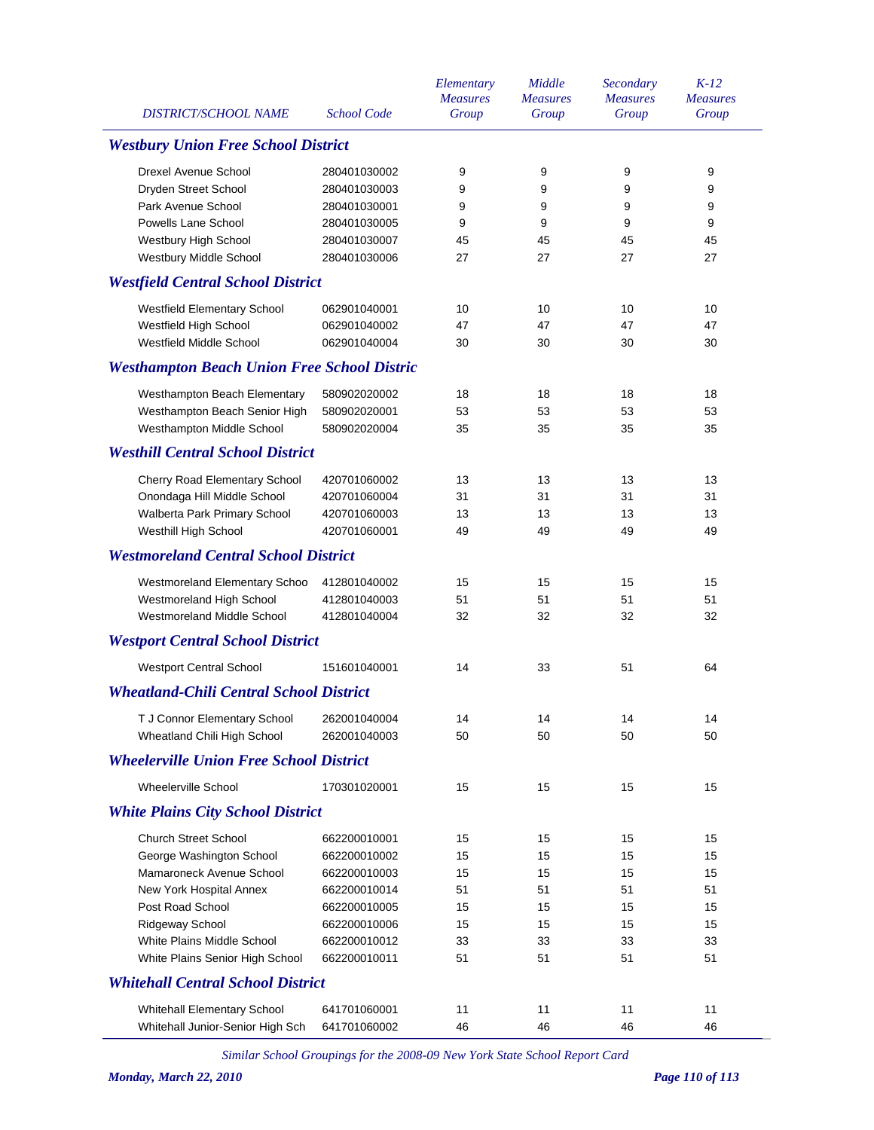| <b>DISTRICT/SCHOOL NAME</b>                        | <b>School Code</b>           | Elementary<br><b>Measures</b><br>Group | Middle<br><b>Measures</b><br>Group | Secondary<br><b>Measures</b><br>Group | $K-12$<br><b>Measures</b><br>Group |
|----------------------------------------------------|------------------------------|----------------------------------------|------------------------------------|---------------------------------------|------------------------------------|
| <b>Westbury Union Free School District</b>         |                              |                                        |                                    |                                       |                                    |
| Drexel Avenue School                               | 280401030002                 | 9                                      | 9                                  | 9                                     | 9                                  |
| Dryden Street School                               | 280401030003                 | 9                                      | 9                                  | 9                                     | 9                                  |
| Park Avenue School                                 | 280401030001                 | 9                                      | 9                                  | 9                                     | 9                                  |
| Powells Lane School                                | 280401030005                 | 9                                      | 9                                  | 9                                     | 9                                  |
| Westbury High School                               | 280401030007                 | 45                                     | 45                                 | 45                                    | 45                                 |
| Westbury Middle School                             | 280401030006                 | 27                                     | 27                                 | 27                                    | 27                                 |
| <b>Westfield Central School District</b>           |                              |                                        |                                    |                                       |                                    |
| Westfield Elementary School                        | 062901040001                 | 10                                     | 10                                 | 10                                    | 10                                 |
| Westfield High School                              | 062901040002                 | 47                                     | 47                                 | 47                                    | 47                                 |
| Westfield Middle School                            | 062901040004                 | 30                                     | 30                                 | 30                                    | 30                                 |
| <b>Westhampton Beach Union Free School Distric</b> |                              |                                        |                                    |                                       |                                    |
| Westhampton Beach Elementary                       | 580902020002                 | 18                                     | 18                                 | 18                                    | 18                                 |
| Westhampton Beach Senior High                      | 580902020001                 | 53                                     | 53                                 | 53                                    | 53                                 |
| Westhampton Middle School                          | 580902020004                 | 35                                     | 35                                 | 35                                    | 35                                 |
| <b>Westhill Central School District</b>            |                              |                                        |                                    |                                       |                                    |
|                                                    |                              |                                        |                                    |                                       |                                    |
| Cherry Road Elementary School                      | 420701060002                 | 13                                     | 13                                 | 13                                    | 13                                 |
| Onondaga Hill Middle School                        | 420701060004                 | 31                                     | 31                                 | 31                                    | 31                                 |
| Walberta Park Primary School                       | 420701060003<br>420701060001 | 13<br>49                               | 13<br>49                           | 13<br>49                              | 13<br>49                           |
| Westhill High School                               |                              |                                        |                                    |                                       |                                    |
| <b>Westmoreland Central School District</b>        |                              |                                        |                                    |                                       |                                    |
| Westmoreland Elementary Schoo                      | 412801040002                 | 15                                     | 15                                 | 15                                    | 15                                 |
| Westmoreland High School                           | 412801040003                 | 51                                     | 51                                 | 51                                    | 51                                 |
| Westmoreland Middle School                         | 412801040004                 | 32                                     | 32                                 | 32                                    | 32                                 |
| <b>Westport Central School District</b>            |                              |                                        |                                    |                                       |                                    |
| <b>Westport Central School</b>                     | 151601040001                 | 14                                     | 33                                 | 51                                    | 64                                 |
| <b>Wheatland-Chili Central School District</b>     |                              |                                        |                                    |                                       |                                    |
| T J Connor Elementary School 262001040004          |                              | 14                                     | 14                                 | 14                                    | 14                                 |
| Wheatland Chili High School                        | 262001040003                 | 50                                     | 50                                 | 50                                    | 50                                 |
| <b>Wheelerville Union Free School District</b>     |                              |                                        |                                    |                                       |                                    |
| Wheelerville School                                | 170301020001                 | 15                                     | 15                                 | 15                                    | 15                                 |
| <b>White Plains City School District</b>           |                              |                                        |                                    |                                       |                                    |
| <b>Church Street School</b>                        | 662200010001                 | 15                                     | 15                                 | 15                                    | 15                                 |
| George Washington School                           | 662200010002                 | 15                                     | 15                                 | 15                                    | 15                                 |
| Mamaroneck Avenue School                           | 662200010003                 | 15                                     | 15                                 | 15                                    | 15                                 |
| New York Hospital Annex                            | 662200010014                 | 51                                     | 51                                 | 51                                    | 51                                 |
| Post Road School                                   | 662200010005                 | 15                                     | 15                                 | 15                                    | 15                                 |
| Ridgeway School                                    | 662200010006                 | 15                                     | 15                                 | 15                                    | 15                                 |
| White Plains Middle School                         | 662200010012                 | 33                                     | 33                                 | 33                                    | 33                                 |
| White Plains Senior High School                    | 662200010011                 | 51                                     | 51                                 | 51                                    | 51                                 |
| <b>Whitehall Central School District</b>           |                              |                                        |                                    |                                       |                                    |
| Whitehall Elementary School                        | 641701060001                 | 11                                     | 11                                 | 11                                    | 11                                 |
| Whitehall Junior-Senior High Sch                   | 641701060002                 | 46                                     | 46                                 | 46                                    | 46                                 |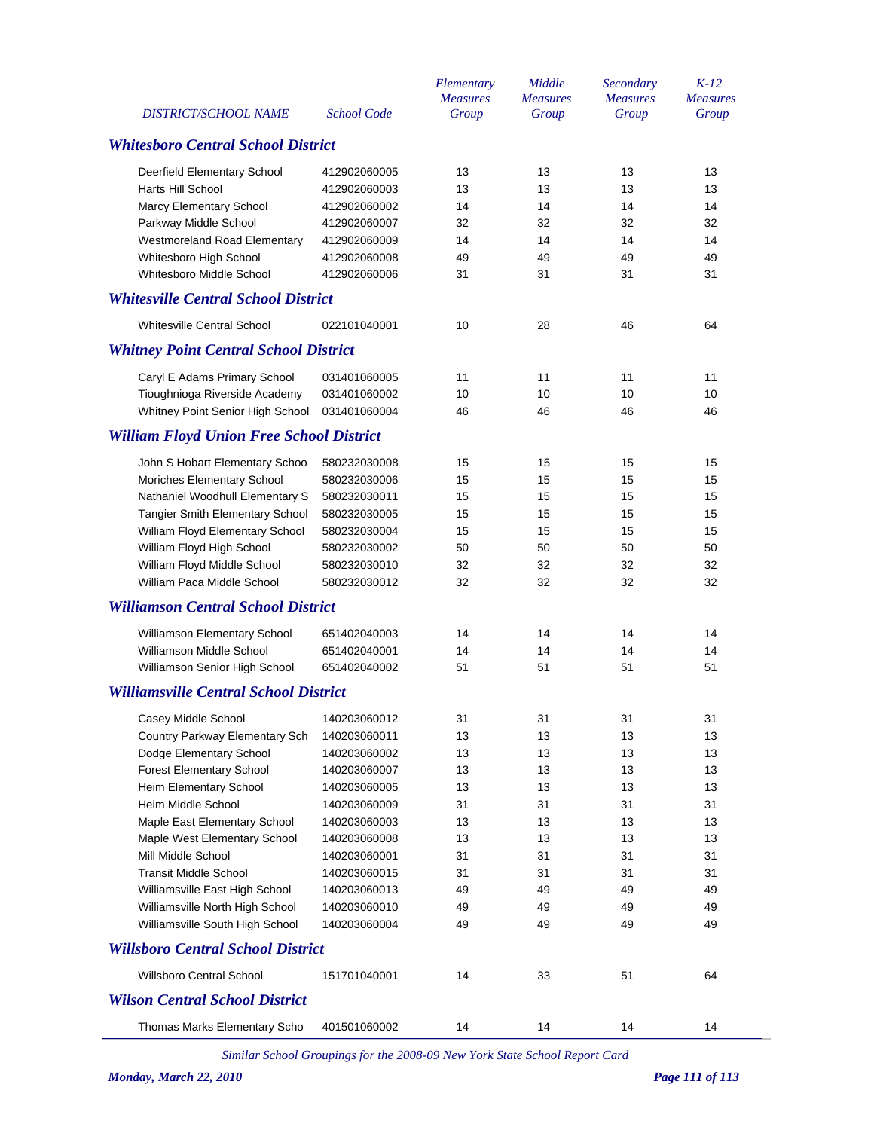| <b>DISTRICT/SCHOOL NAME</b>                     | <b>School Code</b>                        | Elementary<br><b>Measures</b><br>Group | Middle<br><b>Measures</b><br>Group | Secondary<br><b>Measures</b><br>Group | $K-12$<br><b>Measures</b><br>Group |  |  |  |
|-------------------------------------------------|-------------------------------------------|----------------------------------------|------------------------------------|---------------------------------------|------------------------------------|--|--|--|
|                                                 | <b>Whitesboro Central School District</b> |                                        |                                    |                                       |                                    |  |  |  |
| Deerfield Elementary School                     | 412902060005                              | 13                                     | 13                                 | 13                                    | 13                                 |  |  |  |
| Harts Hill School                               | 412902060003                              | 13                                     | 13                                 | 13                                    | 13                                 |  |  |  |
| Marcy Elementary School                         | 412902060002                              | 14                                     | 14                                 | 14                                    | 14                                 |  |  |  |
| Parkway Middle School                           | 412902060007                              | 32                                     | 32                                 | 32                                    | 32                                 |  |  |  |
| Westmoreland Road Elementary                    | 412902060009                              | 14                                     | 14                                 | 14                                    | 14                                 |  |  |  |
| Whitesboro High School                          | 412902060008                              | 49                                     | 49                                 | 49                                    | 49                                 |  |  |  |
| Whitesboro Middle School                        | 412902060006                              | 31                                     | 31                                 | 31                                    | 31                                 |  |  |  |
| <b>Whitesville Central School District</b>      |                                           |                                        |                                    |                                       |                                    |  |  |  |
| <b>Whitesville Central School</b>               | 022101040001                              | 10                                     | 28                                 | 46                                    | 64                                 |  |  |  |
| <b>Whitney Point Central School District</b>    |                                           |                                        |                                    |                                       |                                    |  |  |  |
| Caryl E Adams Primary School                    | 031401060005                              | 11                                     | 11                                 | 11                                    | 11                                 |  |  |  |
| Tioughnioga Riverside Academy                   | 031401060002                              | 10                                     | 10                                 | 10                                    | 10                                 |  |  |  |
| Whitney Point Senior High School                | 031401060004                              | 46                                     | 46                                 | 46                                    | 46                                 |  |  |  |
| <b>William Floyd Union Free School District</b> |                                           |                                        |                                    |                                       |                                    |  |  |  |
| John S Hobart Elementary Schoo                  | 580232030008                              | 15                                     | 15                                 | 15                                    | 15                                 |  |  |  |
| Moriches Elementary School                      | 580232030006                              | 15                                     | 15                                 | 15                                    | 15                                 |  |  |  |
| Nathaniel Woodhull Elementary S                 | 580232030011                              | 15                                     | 15                                 | 15                                    | 15                                 |  |  |  |
| Tangier Smith Elementary School                 | 580232030005                              | 15                                     | 15                                 | 15                                    | 15                                 |  |  |  |
| William Floyd Elementary School                 | 580232030004                              | 15                                     | 15                                 | 15                                    | 15                                 |  |  |  |
| William Floyd High School                       | 580232030002                              | 50                                     | 50                                 | 50                                    | 50                                 |  |  |  |
| William Floyd Middle School                     | 580232030010                              | 32                                     | 32                                 | 32                                    | 32                                 |  |  |  |
| William Paca Middle School                      | 580232030012                              | 32                                     | 32                                 | 32                                    | 32                                 |  |  |  |
| <b>Williamson Central School District</b>       |                                           |                                        |                                    |                                       |                                    |  |  |  |
| Williamson Elementary School                    | 651402040003                              | 14                                     | 14                                 | 14                                    | 14                                 |  |  |  |
| Williamson Middle School                        | 651402040001                              | 14                                     | 14                                 | 14                                    | 14                                 |  |  |  |
| Williamson Senior High School                   | 651402040002                              | 51                                     | 51                                 | 51                                    | 51                                 |  |  |  |
| <b>Williamsville Central School District</b>    |                                           |                                        |                                    |                                       |                                    |  |  |  |
| Casey Middle School                             | 140203060012                              | 31                                     | 31                                 | 31                                    | 31                                 |  |  |  |
| Country Parkway Elementary Sch                  | 140203060011                              | 13                                     | 13                                 | 13                                    | 13                                 |  |  |  |
| Dodge Elementary School                         | 140203060002                              | 13                                     | 13                                 | 13                                    | 13                                 |  |  |  |
| <b>Forest Elementary School</b>                 | 140203060007                              | 13                                     | 13                                 | 13                                    | 13                                 |  |  |  |
| Heim Elementary School                          | 140203060005                              | 13                                     | 13                                 | 13                                    | 13                                 |  |  |  |
| Heim Middle School                              | 140203060009                              | 31                                     | 31                                 | 31                                    | 31                                 |  |  |  |
| Maple East Elementary School                    | 140203060003                              | 13                                     | 13                                 | 13                                    | 13                                 |  |  |  |
| Maple West Elementary School                    | 140203060008                              | 13                                     | 13                                 | 13                                    | 13                                 |  |  |  |
| Mill Middle School                              | 140203060001                              | 31                                     | 31                                 | 31                                    | 31                                 |  |  |  |
| <b>Transit Middle School</b>                    | 140203060015                              | 31                                     | 31                                 | 31                                    | 31                                 |  |  |  |
| Williamsville East High School                  | 140203060013                              | 49                                     | 49                                 | 49                                    | 49                                 |  |  |  |
| Williamsville North High School                 | 140203060010                              | 49                                     | 49                                 | 49                                    | 49                                 |  |  |  |
| Williamsville South High School                 | 140203060004                              | 49                                     | 49                                 | 49                                    | 49                                 |  |  |  |
| <b>Willsboro Central School District</b>        |                                           |                                        |                                    |                                       |                                    |  |  |  |
| <b>Willsboro Central School</b>                 | 151701040001                              | 14                                     | 33                                 | 51                                    | 64                                 |  |  |  |
| <b>Wilson Central School District</b>           |                                           |                                        |                                    |                                       |                                    |  |  |  |
| Thomas Marks Elementary Scho                    | 401501060002                              | 14                                     | 14                                 | 14                                    | 14                                 |  |  |  |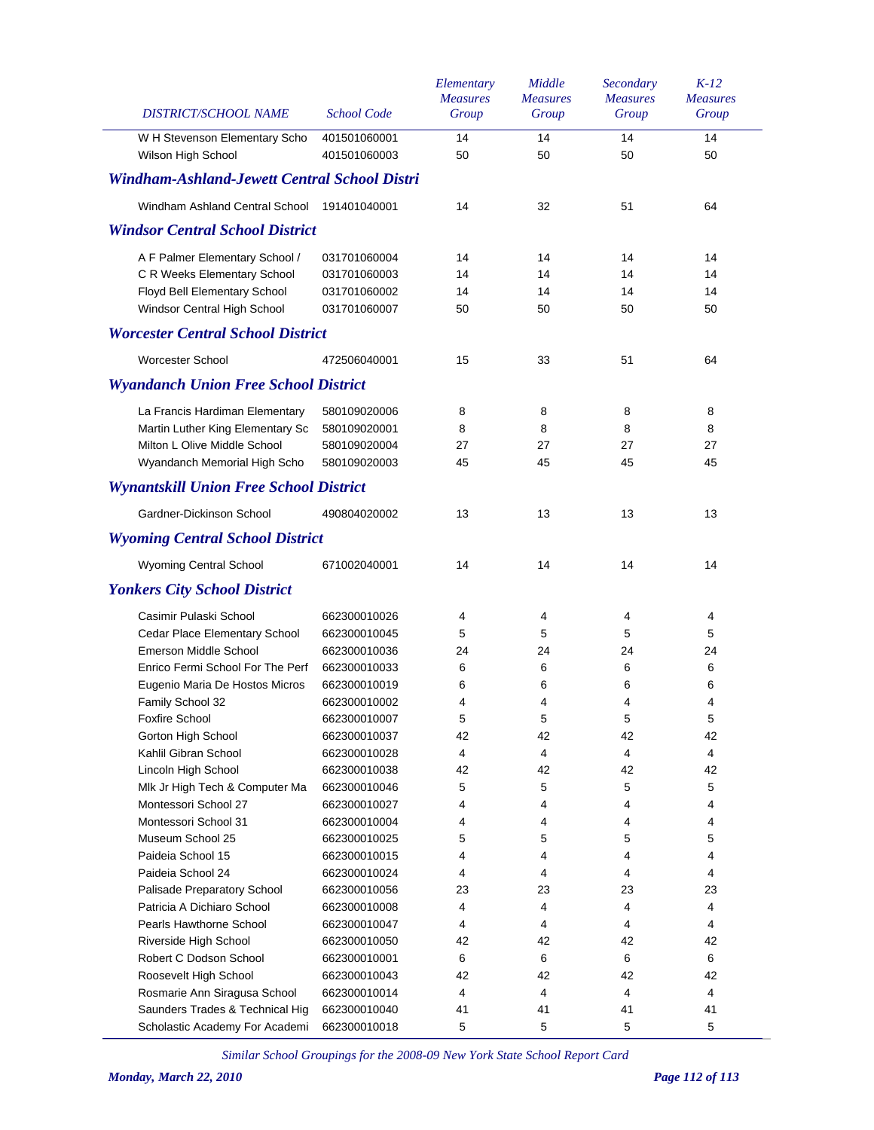| DISTRICT/SCHOOL NAME                                | <b>School Code</b>           | Elementary<br><b>Measures</b><br>Group | Middle<br><b>Measures</b><br>Group | Secondary<br><b>Measures</b><br>Group | $K-12$<br><b>Measures</b><br>Group |
|-----------------------------------------------------|------------------------------|----------------------------------------|------------------------------------|---------------------------------------|------------------------------------|
| W H Stevenson Elementary Scho<br>Wilson High School | 401501060001<br>401501060003 | 14<br>50                               | 14<br>50                           | 14<br>50                              | 14<br>50                           |
| Windham-Ashland-Jewett Central School Distri        |                              |                                        |                                    |                                       |                                    |
| Windham Ashland Central School                      | 191401040001                 | 14                                     | 32                                 | 51                                    | 64                                 |
| <b>Windsor Central School District</b>              |                              |                                        |                                    |                                       |                                    |
| A F Palmer Elementary School /                      | 031701060004                 | 14                                     | 14                                 | 14                                    | 14                                 |
| C R Weeks Elementary School                         | 031701060003                 | 14                                     | 14                                 | 14                                    | 14                                 |
| Floyd Bell Elementary School                        | 031701060002                 | 14                                     | 14                                 | 14                                    | 14                                 |
| Windsor Central High School                         | 031701060007                 | 50                                     | 50                                 | 50                                    | 50                                 |
| <b>Worcester Central School District</b>            |                              |                                        |                                    |                                       |                                    |
| Worcester School                                    | 472506040001                 | 15                                     | 33                                 | 51                                    | 64                                 |
| <b>Wyandanch Union Free School District</b>         |                              |                                        |                                    |                                       |                                    |
| La Francis Hardiman Elementary                      | 580109020006                 | 8                                      | 8                                  | 8                                     | 8                                  |
| Martin Luther King Elementary Sc                    | 580109020001                 | 8                                      | 8                                  | 8                                     | 8                                  |
| Milton L Olive Middle School                        | 580109020004                 | 27                                     | 27                                 | 27                                    | 27                                 |
| Wyandanch Memorial High Scho                        | 580109020003                 | 45                                     | 45                                 | 45                                    | 45                                 |
| <b>Wynantskill Union Free School District</b>       |                              |                                        |                                    |                                       |                                    |
| Gardner-Dickinson School                            | 490804020002                 | 13                                     | 13                                 | 13                                    | 13                                 |
| <b>Wyoming Central School District</b>              |                              |                                        |                                    |                                       |                                    |
| Wyoming Central School                              | 671002040001                 | 14                                     | 14                                 | 14                                    | 14                                 |
| <b>Yonkers City School District</b>                 |                              |                                        |                                    |                                       |                                    |
| Casimir Pulaski School                              | 662300010026                 | 4                                      | 4                                  | 4                                     | 4                                  |
| Cedar Place Elementary School                       | 662300010045                 | 5                                      | 5                                  | 5                                     | 5                                  |
| Emerson Middle School                               | 662300010036                 | 24                                     | 24                                 | 24                                    | 24                                 |
| Enrico Fermi School For The Perf                    | 662300010033                 | 6                                      | 6                                  | 6                                     | 6                                  |
| Eugenio Maria De Hostos Micros                      | 662300010019                 | 6                                      | 6                                  | 6                                     | 6                                  |
| Family School 32                                    | 662300010002                 | 4                                      | 4                                  | 4                                     | 4                                  |
| Foxfire School                                      | 662300010007                 | 5                                      | 5                                  | 5                                     | 5                                  |
| Gorton High School                                  | 662300010037                 | 42                                     | 42                                 | 42                                    | 42                                 |
| Kahlil Gibran School                                | 662300010028                 | 4                                      | 4                                  | 4                                     | 4                                  |
| Lincoln High School                                 | 662300010038                 | 42                                     | 42                                 | 42                                    | 42                                 |
| Mlk Jr High Tech & Computer Ma                      | 662300010046                 | 5                                      | 5                                  | 5                                     | 5                                  |
| Montessori School 27                                | 662300010027                 | 4                                      | 4                                  | 4                                     | 4                                  |
| Montessori School 31                                | 662300010004                 | 4                                      | 4                                  | 4                                     | 4                                  |
| Museum School 25                                    | 662300010025                 | 5                                      | 5                                  | 5                                     | 5                                  |
| Paideia School 15                                   | 662300010015                 | 4                                      | 4                                  | 4                                     | 4                                  |
| Paideia School 24                                   | 662300010024                 | 4                                      | 4                                  | 4                                     | 4                                  |
| Palisade Preparatory School                         | 662300010056                 | 23                                     | 23                                 | 23                                    | 23                                 |
| Patricia A Dichiaro School                          | 662300010008                 | 4                                      | 4                                  | 4                                     | 4                                  |
| Pearls Hawthorne School                             | 662300010047                 | 4                                      | 4                                  | 4                                     | 4                                  |
| Riverside High School                               | 662300010050                 | 42                                     | 42                                 | 42                                    | 42                                 |
| Robert C Dodson School                              | 662300010001                 | 6                                      | 6                                  | 6                                     | 6                                  |
| Roosevelt High School                               | 662300010043                 | 42                                     | 42                                 | 42                                    | 42                                 |
| Rosmarie Ann Siragusa School                        | 662300010014                 | 4                                      | 4                                  | 4                                     | 4                                  |
| Saunders Trades & Technical Hig                     | 662300010040                 | 41                                     | 41                                 | 41                                    | 41                                 |
| Scholastic Academy For Academi                      | 662300010018                 | 5                                      | 5                                  | 5                                     | 5                                  |